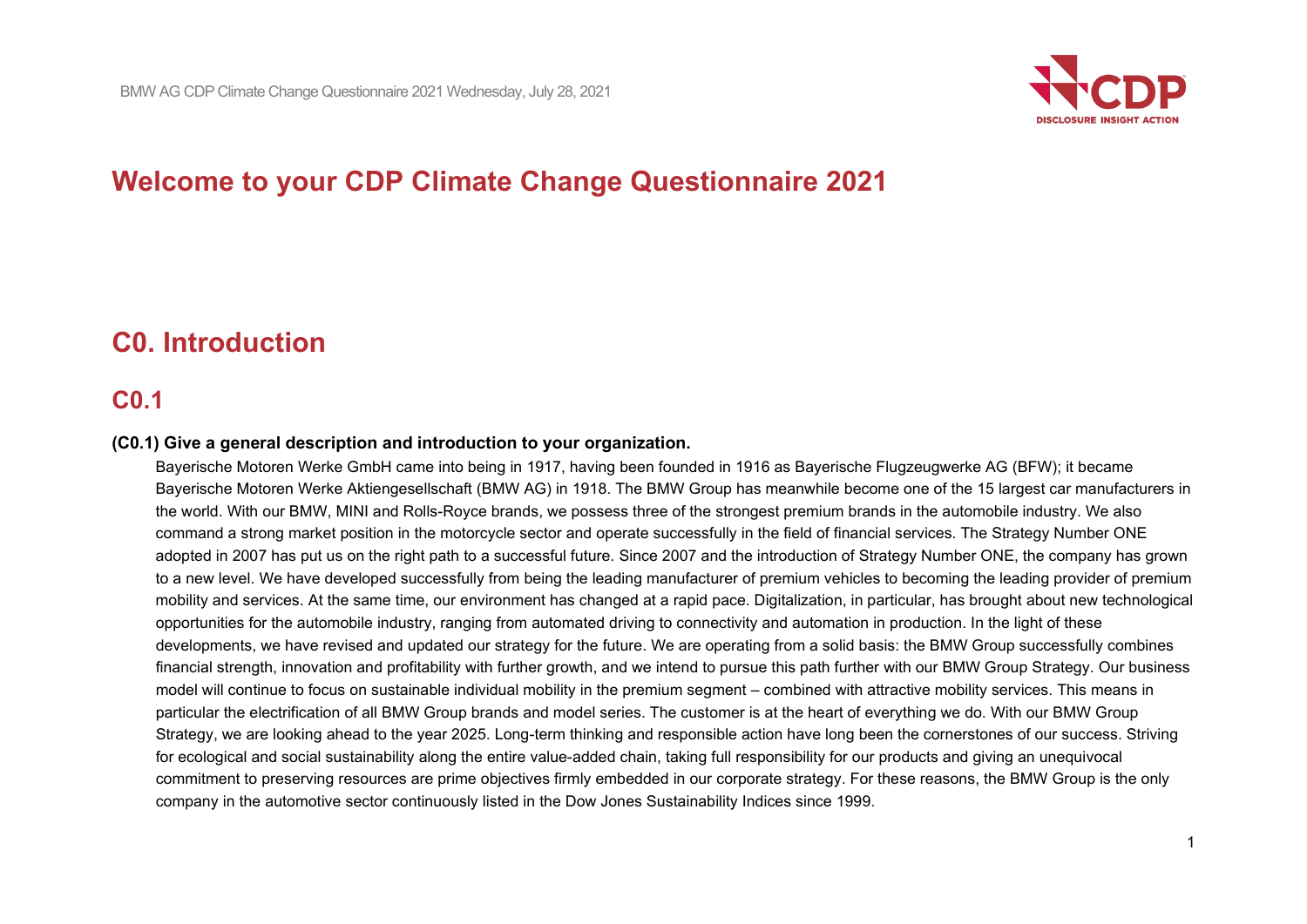

# **Welcome to your CDP Climate Change Questionnaire 2021**

# **C0. Introduction**

# **C0.1**

#### **(C0.1) Give a general description and introduction to your organization.**

Bayerische Motoren Werke GmbH came into being in 1917, having been founded in 1916 as Bayerische Flugzeugwerke AG (BFW); it became Bayerische Motoren Werke Aktiengesellschaft (BMW AG) in 1918. The BMW Group has meanwhile become one of the 15 largest car manufacturers in the world. With our BMW, MINI and Rolls-Royce brands, we possess three of the strongest premium brands in the automobile industry. We also command a strong market position in the motorcycle sector and operate successfully in the field of financial services. The Strategy Number ONE adopted in 2007 has put us on the right path to a successful future. Since 2007 and the introduction of Strategy Number ONE, the company has grown to a new level. We have developed successfully from being the leading manufacturer of premium vehicles to becoming the leading provider of premium mobility and services. At the same time, our environment has changed at a rapid pace. Digitalization, in particular, has brought about new technological opportunities for the automobile industry, ranging from automated driving to connectivity and automation in production. In the light of these developments, we have revised and updated our strategy for the future. We are operating from a solid basis: the BMW Group successfully combines financial strength, innovation and profitability with further growth, and we intend to pursue this path further with our BMW Group Strategy. Our business model will continue to focus on sustainable individual mobility in the premium segment – combined with attractive mobility services. This means in particular the electrification of all BMW Group brands and model series. The customer is at the heart of everything we do. With our BMW Group Strategy, we are looking ahead to the year 2025. Long-term thinking and responsible action have long been the cornerstones of our success. Striving for ecological and social sustainability along the entire value-added chain, taking full responsibility for our products and giving an unequivocal commitment to preserving resources are prime objectives firmly embedded in our corporate strategy. For these reasons, the BMW Group is the only company in the automotive sector continuously listed in the Dow Jones Sustainability Indices since 1999.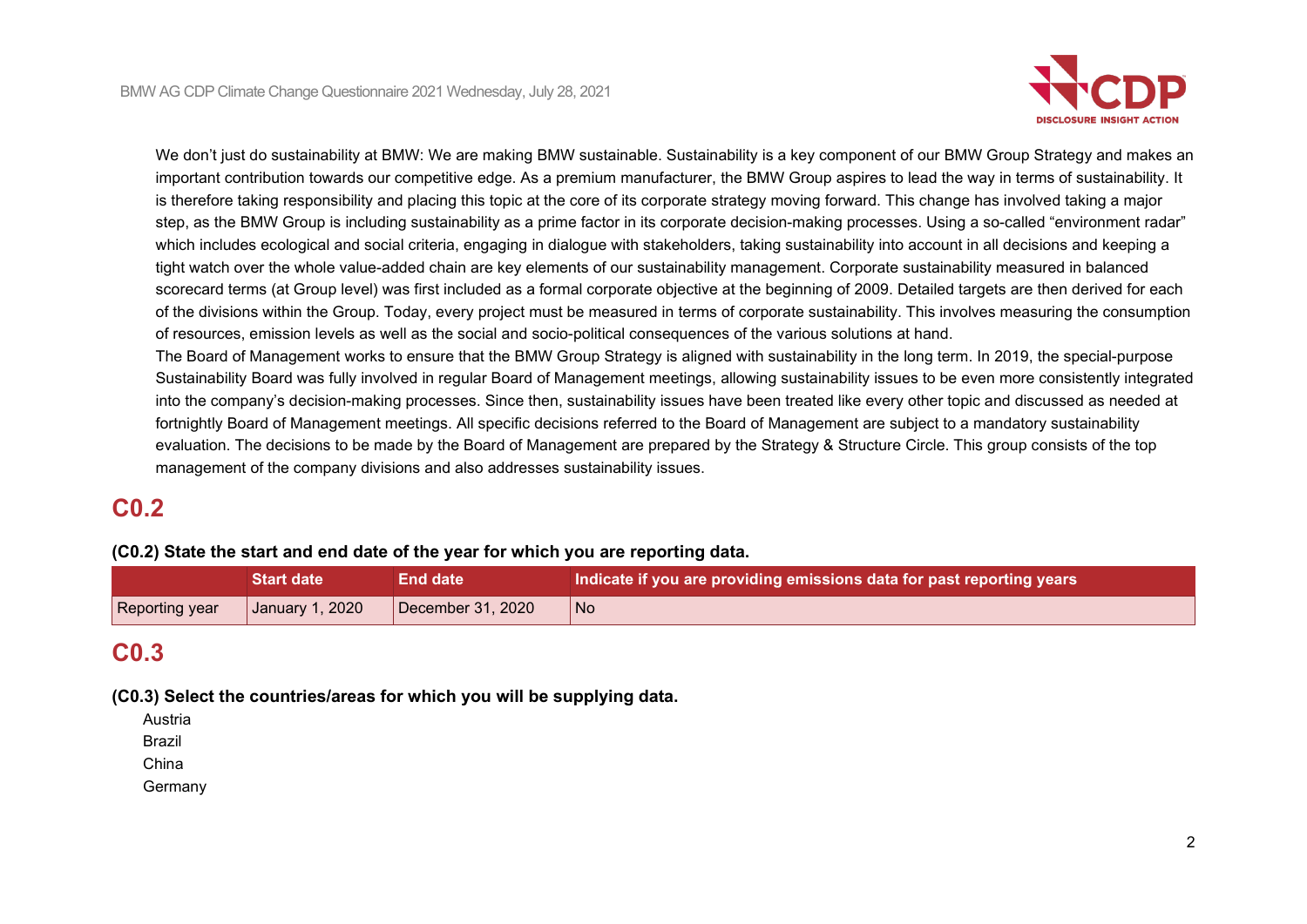

We don't just do sustainability at BMW: We are making BMW sustainable. Sustainability is a key component of our BMW Group Strategy and makes an important contribution towards our competitive edge. As a premium manufacturer, the BMW Group aspires to lead the way in terms of sustainability. It is therefore taking responsibility and placing this topic at the core of its corporate strategy moving forward. This change has involved taking a major step, as the BMW Group is including sustainability as a prime factor in its corporate decision-making processes. Using a so-called "environment radar" which includes ecological and social criteria, engaging in dialogue with stakeholders, taking sustainability into account in all decisions and keeping a tight watch over the whole value-added chain are key elements of our sustainability management. Corporate sustainability measured in balanced scorecard terms (at Group level) was first included as a formal corporate objective at the beginning of 2009. Detailed targets are then derived for each of the divisions within the Group. Today, every project must be measured in terms of corporate sustainability. This involves measuring the consumption of resources, emission levels as well as the social and socio-political consequences of the various solutions at hand.

The Board of Management works to ensure that the BMW Group Strategy is aligned with sustainability in the long term. In 2019, the special-purpose Sustainability Board was fully involved in regular Board of Management meetings, allowing sustainability issues to be even more consistently integrated into the company's decision-making processes. Since then, sustainability issues have been treated like every other topic and discussed as needed at fortnightly Board of Management meetings. All specific decisions referred to the Board of Management are subject to a mandatory sustainability evaluation. The decisions to be made by the Board of Management are prepared by the Strategy & Structure Circle. This group consists of the top management of the company divisions and also addresses sustainability issues.

# **C0.2**

#### **(C0.2) State the start and end date of the year for which you are reporting data.**

|                | <b>Start date</b> | End date <b>\</b> | Indicate if you are providing emissions data for past reporting years |
|----------------|-------------------|-------------------|-----------------------------------------------------------------------|
| Reporting year | January 1, 2020   | December 31, 2020 | No                                                                    |

# **C0.3**

**(C0.3) Select the countries/areas for which you will be supplying data.**

Austria

Brazil

China

Germany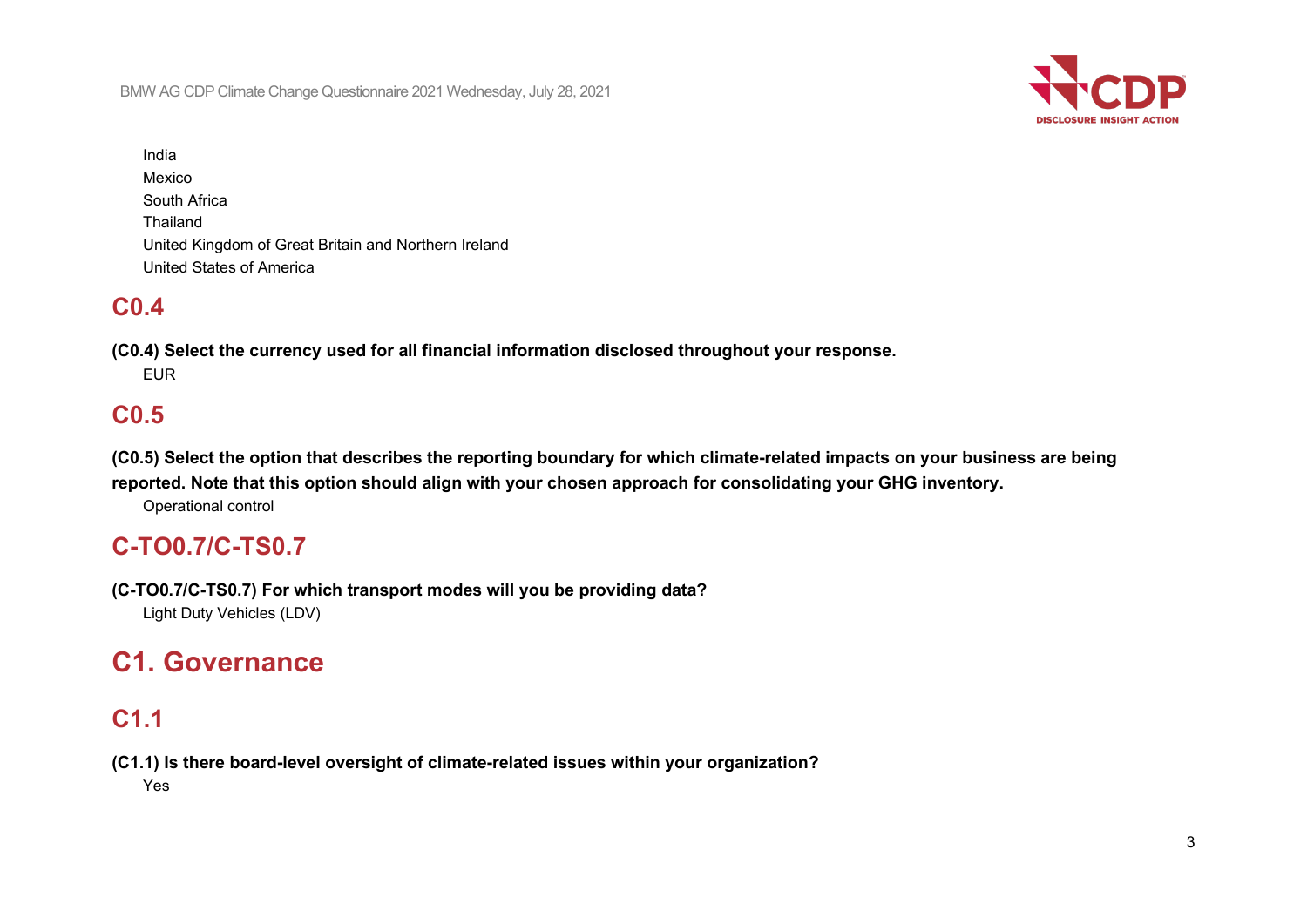BMW AG CDP Climate Change Questionnaire 2021 Wednesday, July 28, 2021



India Mexico South Africa Thailand United Kingdom of Great Britain and Northern Ireland United States of America

# **C0.4**

**(C0.4) Select the currency used for all financial information disclosed throughout your response.** EUR

# **C0.5**

**(C0.5) Select the option that describes the reporting boundary for which climate-related impacts on your business are being reported. Note that this option should align with your chosen approach for consolidating your GHG inventory.**

Operational control

# **C-TO0.7/C-TS0.7**

**(C-TO0.7/C-TS0.7) For which transport modes will you be providing data?** Light Duty Vehicles (LDV)

# **C1. Governance**

# **C1.1**

**(C1.1) Is there board-level oversight of climate-related issues within your organization?** Yes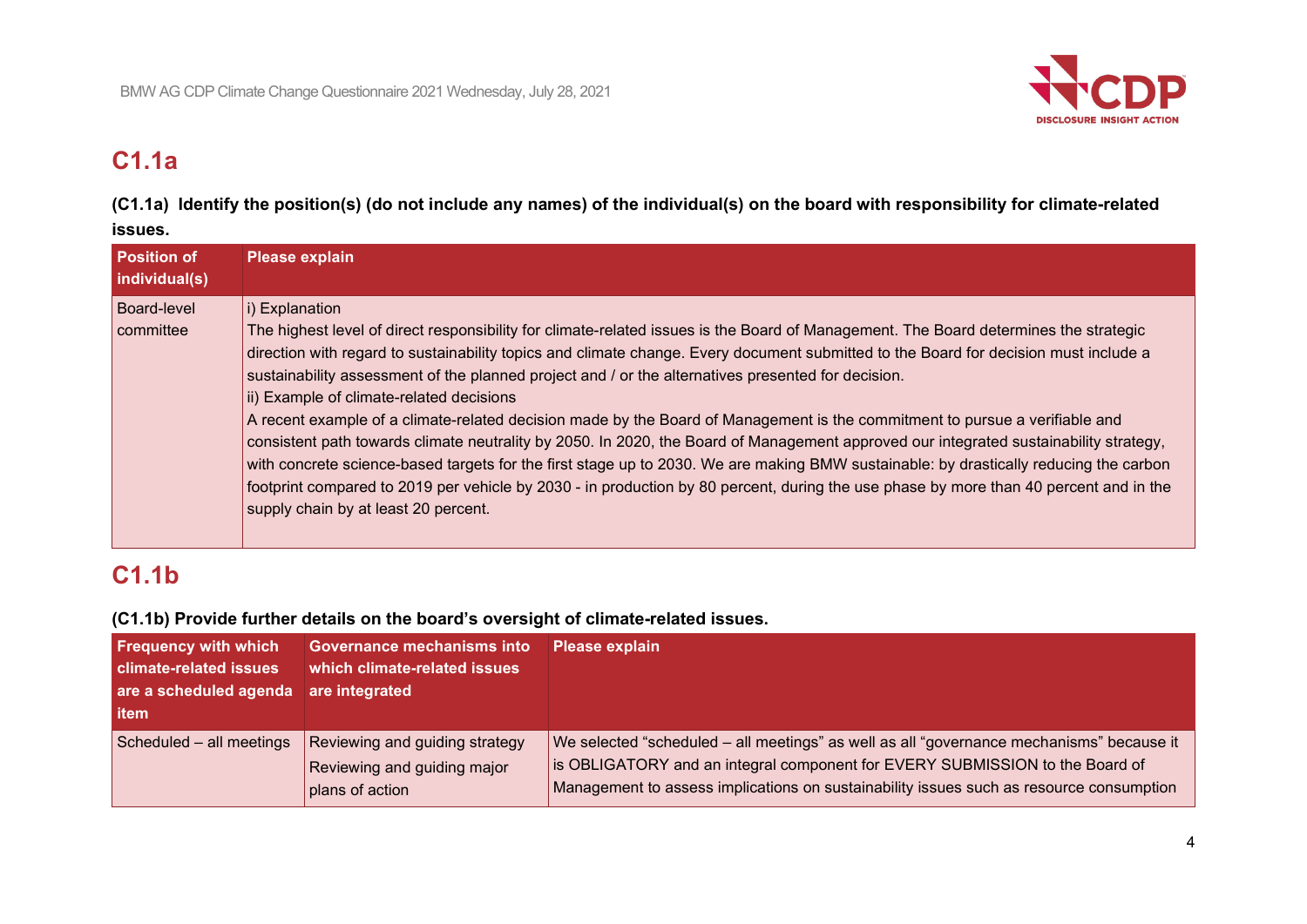

# **C1.1a**

**(C1.1a) Identify the position(s) (do not include any names) of the individual(s) on the board with responsibility for climate-related issues.**

| <b>Position of</b><br>individual(s) | <b>Please explain</b>                                                                                                                                                                                                                                                                                                                                                                                                                                                                                                                                                                                                                                                                                                                                                                                                                                                                                                                                                                                                                              |
|-------------------------------------|----------------------------------------------------------------------------------------------------------------------------------------------------------------------------------------------------------------------------------------------------------------------------------------------------------------------------------------------------------------------------------------------------------------------------------------------------------------------------------------------------------------------------------------------------------------------------------------------------------------------------------------------------------------------------------------------------------------------------------------------------------------------------------------------------------------------------------------------------------------------------------------------------------------------------------------------------------------------------------------------------------------------------------------------------|
| <b>Board-level</b><br>committee     | i) Explanation<br>The highest level of direct responsibility for climate-related issues is the Board of Management. The Board determines the strategic<br>direction with regard to sustainability topics and climate change. Every document submitted to the Board for decision must include a<br>sustainability assessment of the planned project and / or the alternatives presented for decision.<br>ii) Example of climate-related decisions<br>A recent example of a climate-related decision made by the Board of Management is the commitment to pursue a verifiable and<br>consistent path towards climate neutrality by 2050. In 2020, the Board of Management approved our integrated sustainability strategy,<br>with concrete science-based targets for the first stage up to 2030. We are making BMW sustainable: by drastically reducing the carbon<br>footprint compared to 2019 per vehicle by 2030 - in production by 80 percent, during the use phase by more than 40 percent and in the<br>supply chain by at least 20 percent. |

# **C1.1b**

**(C1.1b) Provide further details on the board's oversight of climate-related issues.**

| <b>Frequency with which</b><br><b>climate-related issues</b><br>are a scheduled agenda<br>litem | Governance mechanisms into<br>which climate-related issues<br>are integrated     | <b>Please explain</b>                                                                                                                                                                                                                                               |
|-------------------------------------------------------------------------------------------------|----------------------------------------------------------------------------------|---------------------------------------------------------------------------------------------------------------------------------------------------------------------------------------------------------------------------------------------------------------------|
| Scheduled - all meetings                                                                        | Reviewing and guiding strategy<br>Reviewing and guiding major<br>plans of action | We selected "scheduled – all meetings" as well as all "governance mechanisms" because it<br>is OBLIGATORY and an integral component for EVERY SUBMISSION to the Board of<br>Management to assess implications on sustainability issues such as resource consumption |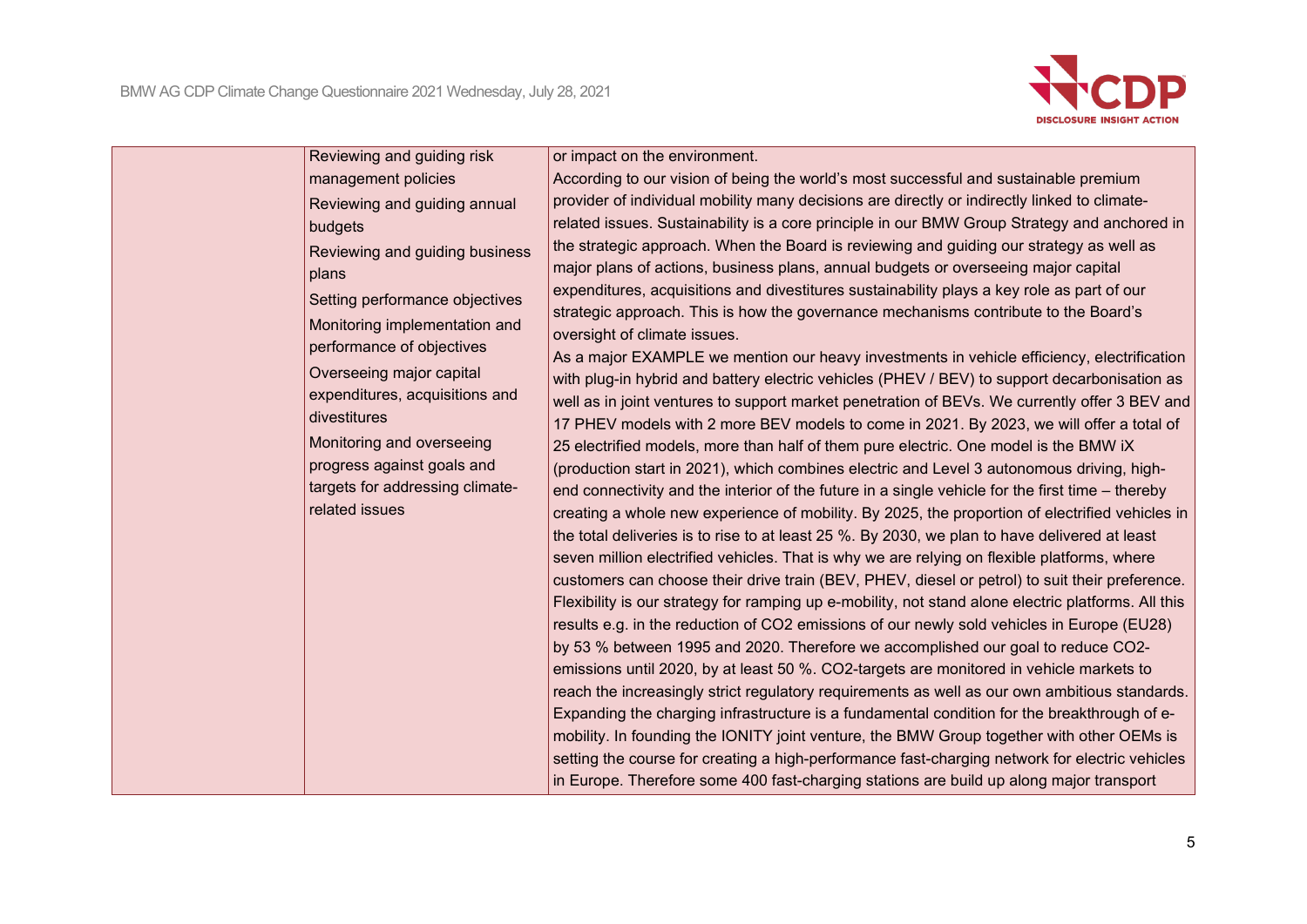

| Reviewing and guiding risk              |  |
|-----------------------------------------|--|
| management policies                     |  |
|                                         |  |
| Reviewing and guiding annual            |  |
| budgets                                 |  |
| Reviewing and guiding business<br>plans |  |
| Setting performance objectives          |  |
| Monitoring implementation and           |  |
| performance of objectives               |  |
| Overseeing major capital                |  |
| expenditures, acquisitions and          |  |
| divestitures                            |  |
| Monitoring and overseeing               |  |
| progress against goals and              |  |
| targets for addressing climate-         |  |
| related issues                          |  |
|                                         |  |
|                                         |  |
|                                         |  |
|                                         |  |
|                                         |  |
|                                         |  |
|                                         |  |
|                                         |  |
|                                         |  |
|                                         |  |
|                                         |  |
|                                         |  |

or impact on the environment.

According to our vision of being the world's most successful and sustainable premium provider of individual mobility many decisions are directly or indirectly linked to climaterelated issues. Sustainability is a core principle in our BMW Group Strategy and anchored in the strategic approach. When the Board is reviewing and guiding our strategy as well as major plans of actions, business plans, annual budgets or overseeing major capital expenditures, acquisitions and divestitures sustainability plays a key role as part of our strategic approach. This is how the governance mechanisms contribute to the Board's oversight of climate issues.

As a major EXAMPLE we mention our heavy investments in vehicle efficiency, electrification with plug-in hybrid and battery electric vehicles (PHEV / BEV) to support decarbonisation as well as in joint ventures to support market penetration of BEVs. We currently offer 3 BEV and 17 PHEV models with 2 more BEV models to come in 2021. By 2023, we will offer a total of 25 electrified models, more than half of them pure electric. One model is the BMW iX (production start in 2021), which combines electric and Level 3 autonomous driving, highend connectivity and the interior of the future in a single vehicle for the first time – thereby creating a whole new experience of mobility. By 2025, the proportion of electrified vehicles in the total deliveries is to rise to at least 25 %. By 2030, we plan to have delivered at least seven million electrified vehicles. That is why we are relying on flexible platforms, where customers can choose their drive train (BEV, PHEV, diesel or petrol) to suit their preference. Flexibility is our strategy for ramping up e-mobility, not stand alone electric platforms. All this results e.g. in the reduction of CO2 emissions of our newly sold vehicles in Europe (EU28) by 53 % between 1995 and 2020. Therefore we accomplished our goal to reduce CO2 emissions until 2020, by at least 50 %. CO2-targets are monitored in vehicle markets to reach the increasingly strict regulatory requirements as well as our own ambitious standards. Expanding the charging infrastructure is a fundamental condition for the breakthrough of emobility. In founding the IONITY joint venture, the BMW Group together with other OEMs is setting the course for creating a high-performance fast-charging network for electric vehicles in Europe. Therefore some 400 fast-charging stations are build up along major transport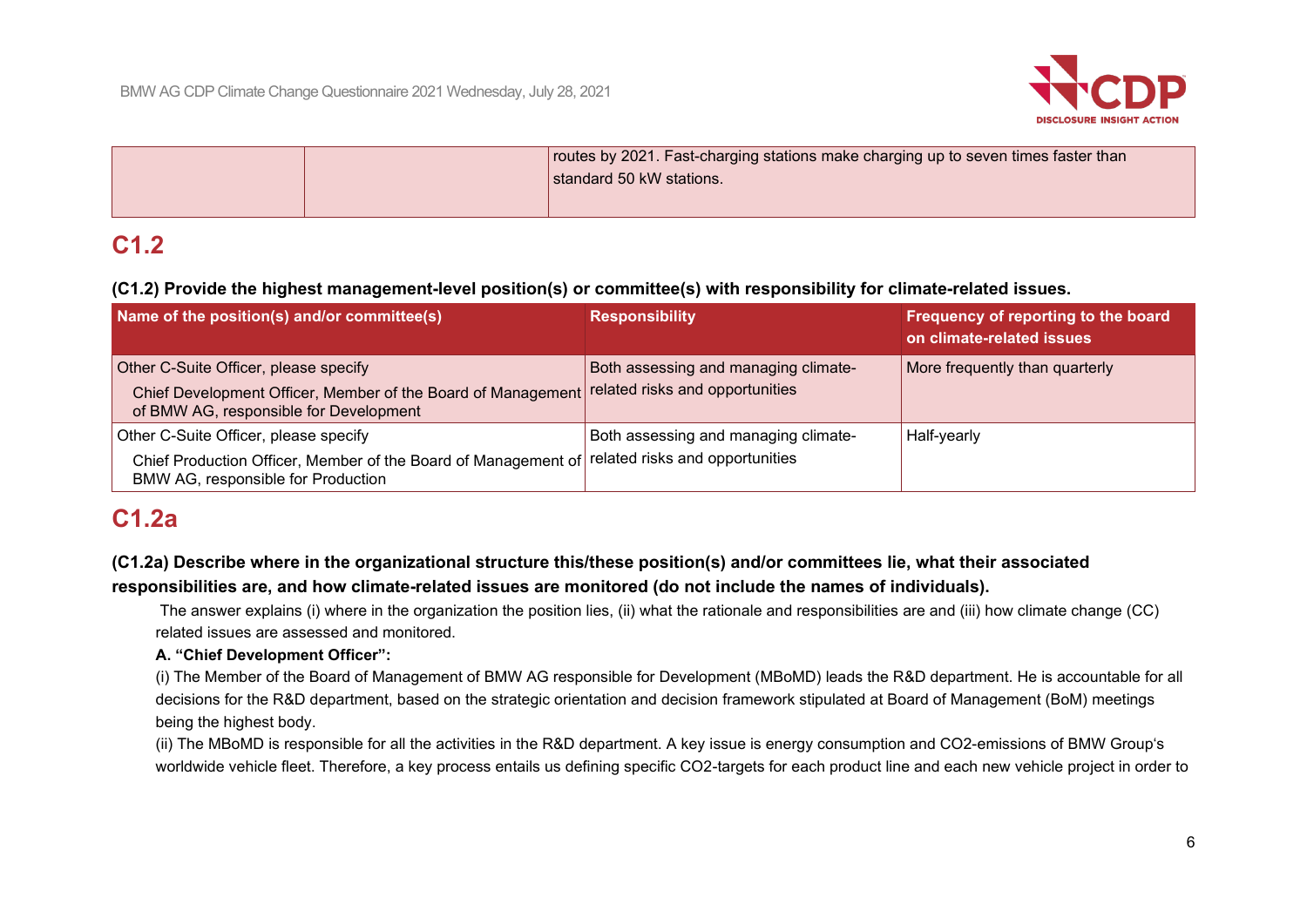

|  | routes by 2021. Fast-charging stations make charging up to seven times faster than<br>standard 50 kW stations. |
|--|----------------------------------------------------------------------------------------------------------------|
|  |                                                                                                                |

# **C1.2**

## **(C1.2) Provide the highest management-level position(s) or committee(s) with responsibility for climate-related issues.**

| Name of the position(s) and/or committee(s)                                                                                                                                     | <b>Responsibility</b>                | Frequency of reporting to the board<br>on climate-related issues |
|---------------------------------------------------------------------------------------------------------------------------------------------------------------------------------|--------------------------------------|------------------------------------------------------------------|
| Other C-Suite Officer, please specify<br>Chief Development Officer, Member of the Board of Management related risks and opportunities<br>of BMW AG, responsible for Development | Both assessing and managing climate- | More frequently than quarterly                                   |
| Other C-Suite Officer, please specify<br>Chief Production Officer, Member of the Board of Management of related risks and opportunities<br>BMW AG, responsible for Production   | Both assessing and managing climate- | Half-yearly                                                      |

# **C1.2a**

# **(C1.2a) Describe where in the organizational structure this/these position(s) and/or committees lie, what their associated**

### **responsibilities are, and how climate-related issues are monitored (do not include the names of individuals).**

The answer explains (i) where in the organization the position lies, (ii) what the rationale and responsibilities are and (iii) how climate change (CC) related issues are assessed and monitored.

## **A. "Chief Development Officer":**

(i) The Member of the Board of Management of BMW AG responsible for Development (MBoMD) leads the R&D department. He is accountable for all decisions for the R&D department, based on the strategic orientation and decision framework stipulated at Board of Management (BoM) meetings being the highest body.

(ii) The MBoMD is responsible for all the activities in the R&D department. A key issue is energy consumption and CO2-emissions of BMW Group's worldwide vehicle fleet. Therefore, a key process entails us defining specific CO2-targets for each product line and each new vehicle project in order to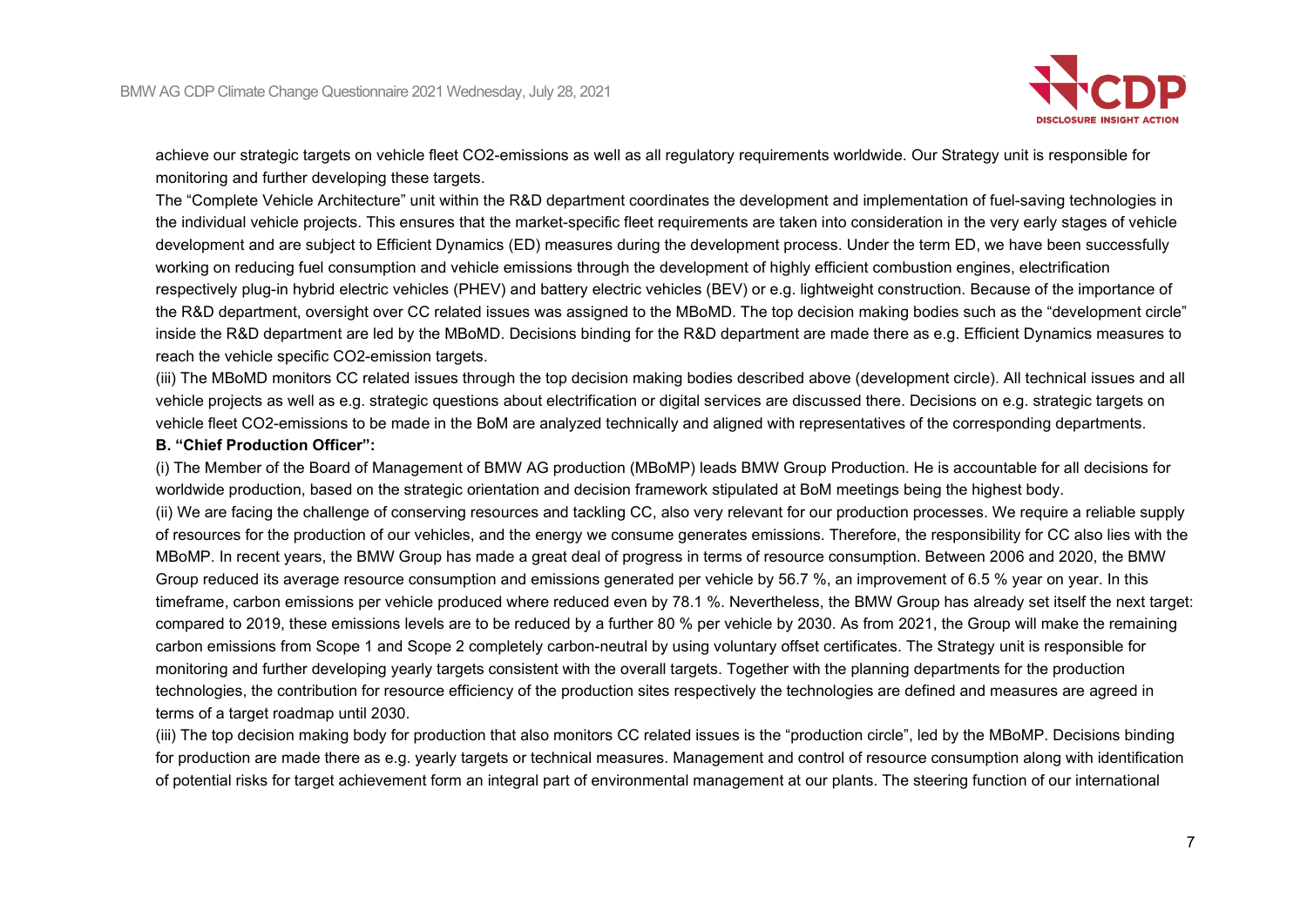

achieve our strategic targets on vehicle fleet CO2-emissions as well as all regulatory requirements worldwide. Our Strategy unit is responsible for monitoring and further developing these targets.

The "Complete Vehicle Architecture" unit within the R&D department coordinates the development and implementation of fuel-saving technologies in the individual vehicle projects. This ensures that the market-specific fleet requirements are taken into consideration in the very early stages of vehicle development and are subject to Efficient Dynamics (ED) measures during the development process. Under the term ED, we have been successfully working on reducing fuel consumption and vehicle emissions through the development of highly efficient combustion engines, electrification respectively plug-in hybrid electric vehicles (PHEV) and battery electric vehicles (BEV) or e.g. lightweight construction. Because of the importance of the R&D department, oversight over CC related issues was assigned to the MBoMD. The top decision making bodies such as the "development circle" inside the R&D department are led by the MBoMD. Decisions binding for the R&D department are made there as e.g. Efficient Dynamics measures to reach the vehicle specific CO2-emission targets.

(iii) The MBoMD monitors CC related issues through the top decision making bodies described above (development circle). All technical issues and all vehicle projects as well as e.g. strategic questions about electrification or digital services are discussed there. Decisions on e.g. strategic targets on vehicle fleet CO2-emissions to be made in the BoM are analyzed technically and aligned with representatives of the corresponding departments.

#### **B. "Chief Production Officer":**

(i) The Member of the Board of Management of BMW AG production (MBoMP) leads BMW Group Production. He is accountable for all decisions for worldwide production, based on the strategic orientation and decision framework stipulated at BoM meetings being the highest body. (ii) We are facing the challenge of conserving resources and tackling CC, also very relevant for our production processes. We require a reliable supply of resources for the production of our vehicles, and the energy we consume generates emissions. Therefore, the responsibility for CC also lies with the MBoMP. In recent years, the BMW Group has made a great deal of progress in terms of resource consumption. Between 2006 and 2020, the BMW Group reduced its average resource consumption and emissions generated per vehicle by 56.7 %, an improvement of 6.5 % year on year. In this timeframe, carbon emissions per vehicle produced where reduced even by 78.1 %. Nevertheless, the BMW Group has already set itself the next target: compared to 2019, these emissions levels are to be reduced by a further 80 % per vehicle by 2030. As from 2021, the Group will make the remaining carbon emissions from Scope 1 and Scope 2 completely carbon-neutral by using voluntary offset certificates. The Strategy unit is responsible for monitoring and further developing yearly targets consistent with the overall targets. Together with the planning departments for the production technologies, the contribution for resource efficiency of the production sites respectively the technologies are defined and measures are agreed in terms of a target roadmap until 2030.

(iii) The top decision making body for production that also monitors CC related issues is the "production circle", led by the MBoMP. Decisions binding for production are made there as e.g. yearly targets or technical measures. Management and control of resource consumption along with identification of potential risks for target achievement form an integral part of environmental management at our plants. The steering function of our international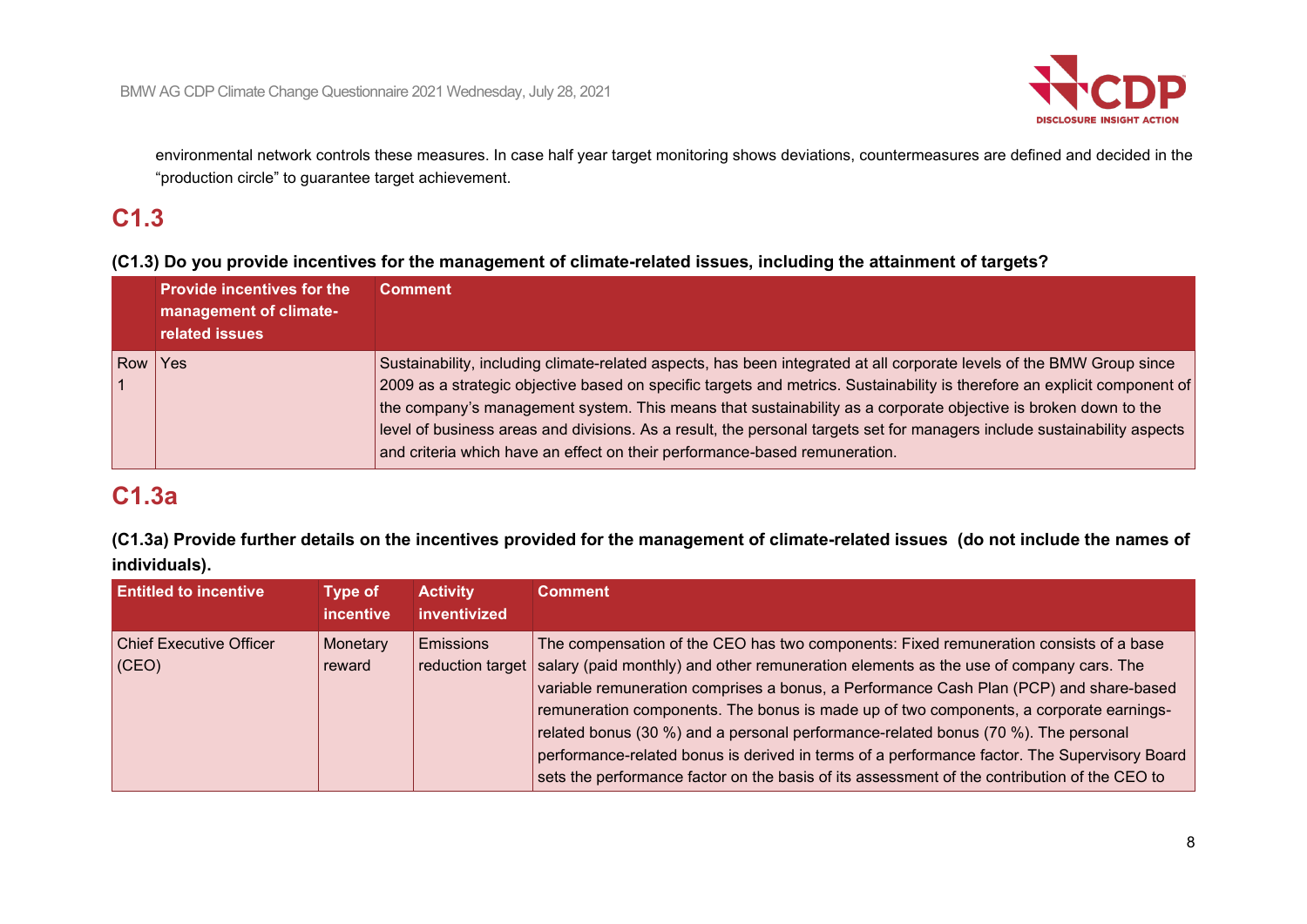

environmental network controls these measures. In case half year target monitoring shows deviations, countermeasures are defined and decided in the "production circle" to guarantee target achievement.

# **C1.3**

## **(C1.3) Do you provide incentives for the management of climate-related issues, including the attainment of targets?**

| <b>Provide incentives for the</b><br>management of climate-<br>related issues | <b>Comment</b>                                                                                                                                                                                                                                                                                                                                                                                                                                                                                                                                                                 |
|-------------------------------------------------------------------------------|--------------------------------------------------------------------------------------------------------------------------------------------------------------------------------------------------------------------------------------------------------------------------------------------------------------------------------------------------------------------------------------------------------------------------------------------------------------------------------------------------------------------------------------------------------------------------------|
| Row Yes                                                                       | Sustainability, including climate-related aspects, has been integrated at all corporate levels of the BMW Group since<br>2009 as a strategic objective based on specific targets and metrics. Sustainability is therefore an explicit component of<br>the company's management system. This means that sustainability as a corporate objective is broken down to the<br>level of business areas and divisions. As a result, the personal targets set for managers include sustainability aspects<br>and criteria which have an effect on their performance-based remuneration. |

# **C1.3a**

**(C1.3a) Provide further details on the incentives provided for the management of climate-related issues (do not include the names of individuals).**

| <b>Entitled to incentive</b>                | <b>Type of</b><br><i>incentive</i> | <b>Activity</b><br>inventivized | <b>Comment</b>                                                                                                                                                                                                                                                                                                                                                                                                                                                                                                                                                                                                                                                            |
|---------------------------------------------|------------------------------------|---------------------------------|---------------------------------------------------------------------------------------------------------------------------------------------------------------------------------------------------------------------------------------------------------------------------------------------------------------------------------------------------------------------------------------------------------------------------------------------------------------------------------------------------------------------------------------------------------------------------------------------------------------------------------------------------------------------------|
| <b>Chief Executive Officer</b><br>$ $ (CEO) | Monetary<br>reward                 | Emissions                       | The compensation of the CEO has two components: Fixed remuneration consists of a base<br>reduction target salary (paid monthly) and other remuneration elements as the use of company cars. The<br>variable remuneration comprises a bonus, a Performance Cash Plan (PCP) and share-based<br>remuneration components. The bonus is made up of two components, a corporate earnings-<br>related bonus (30 %) and a personal performance-related bonus (70 %). The personal<br>performance-related bonus is derived in terms of a performance factor. The Supervisory Board<br>sets the performance factor on the basis of its assessment of the contribution of the CEO to |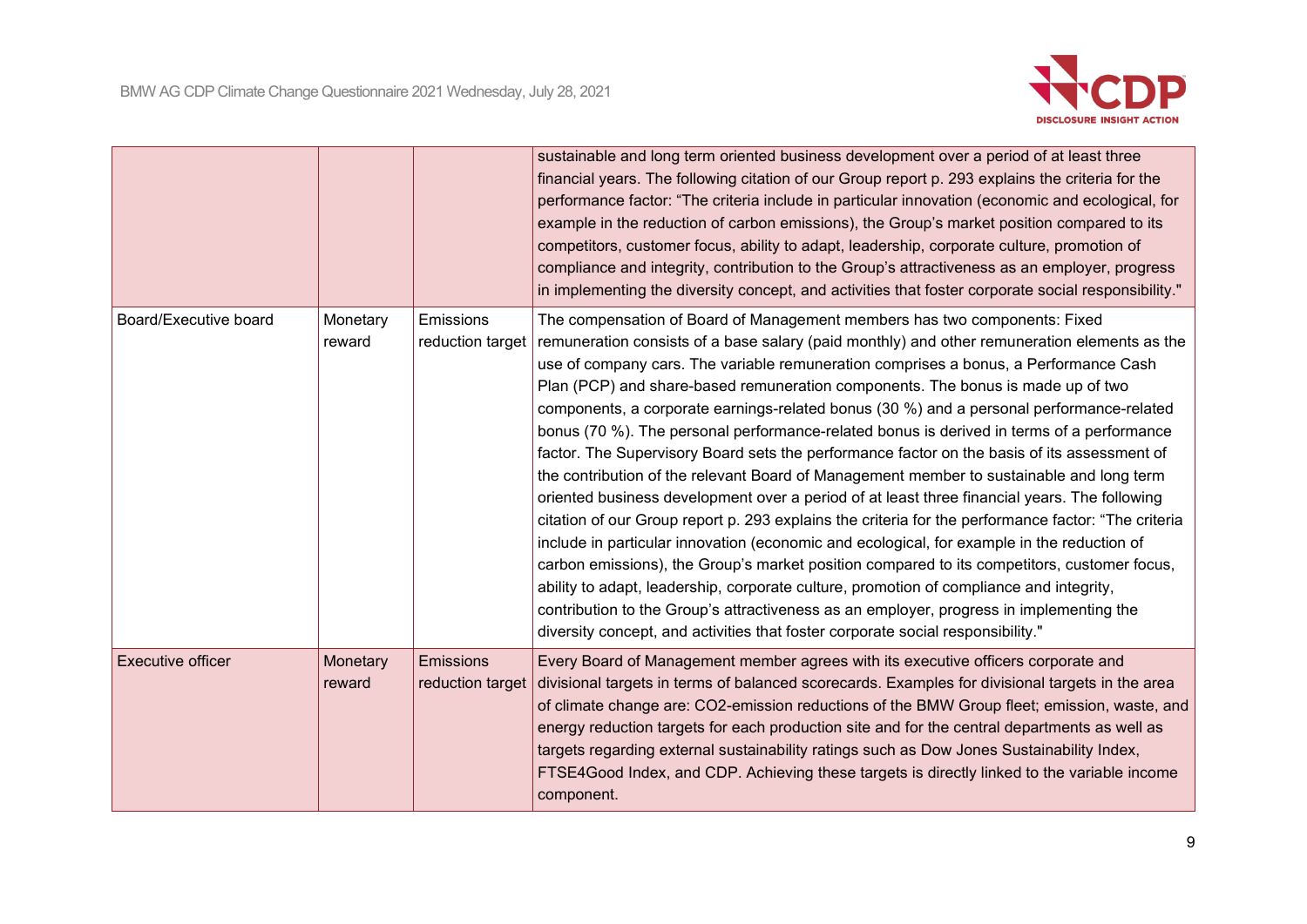

|                          |                    |                               | sustainable and long term oriented business development over a period of at least three<br>financial years. The following citation of our Group report p. 293 explains the criteria for the<br>performance factor: "The criteria include in particular innovation (economic and ecological, for<br>example in the reduction of carbon emissions), the Group's market position compared to its<br>competitors, customer focus, ability to adapt, leadership, corporate culture, promotion of<br>compliance and integrity, contribution to the Group's attractiveness as an employer, progress<br>in implementing the diversity concept, and activities that foster corporate social responsibility."                                                                                                                                                                                                                                                                                                                                                                                                                                                                                                                                                                                                                                                                                                                   |
|--------------------------|--------------------|-------------------------------|-----------------------------------------------------------------------------------------------------------------------------------------------------------------------------------------------------------------------------------------------------------------------------------------------------------------------------------------------------------------------------------------------------------------------------------------------------------------------------------------------------------------------------------------------------------------------------------------------------------------------------------------------------------------------------------------------------------------------------------------------------------------------------------------------------------------------------------------------------------------------------------------------------------------------------------------------------------------------------------------------------------------------------------------------------------------------------------------------------------------------------------------------------------------------------------------------------------------------------------------------------------------------------------------------------------------------------------------------------------------------------------------------------------------------|
| Board/Executive board    | Monetary<br>reward | Emissions<br>reduction target | The compensation of Board of Management members has two components: Fixed<br>remuneration consists of a base salary (paid monthly) and other remuneration elements as the<br>use of company cars. The variable remuneration comprises a bonus, a Performance Cash<br>Plan (PCP) and share-based remuneration components. The bonus is made up of two<br>components, a corporate earnings-related bonus (30 %) and a personal performance-related<br>bonus (70 %). The personal performance-related bonus is derived in terms of a performance<br>factor. The Supervisory Board sets the performance factor on the basis of its assessment of<br>the contribution of the relevant Board of Management member to sustainable and long term<br>oriented business development over a period of at least three financial years. The following<br>citation of our Group report p. 293 explains the criteria for the performance factor: "The criteria<br>include in particular innovation (economic and ecological, for example in the reduction of<br>carbon emissions), the Group's market position compared to its competitors, customer focus,<br>ability to adapt, leadership, corporate culture, promotion of compliance and integrity,<br>contribution to the Group's attractiveness as an employer, progress in implementing the<br>diversity concept, and activities that foster corporate social responsibility." |
| <b>Executive officer</b> | Monetary<br>reward | Emissions<br>reduction target | Every Board of Management member agrees with its executive officers corporate and<br>divisional targets in terms of balanced scorecards. Examples for divisional targets in the area<br>of climate change are: CO2-emission reductions of the BMW Group fleet; emission, waste, and<br>energy reduction targets for each production site and for the central departments as well as<br>targets regarding external sustainability ratings such as Dow Jones Sustainability Index,<br>FTSE4Good Index, and CDP. Achieving these targets is directly linked to the variable income<br>component.                                                                                                                                                                                                                                                                                                                                                                                                                                                                                                                                                                                                                                                                                                                                                                                                                         |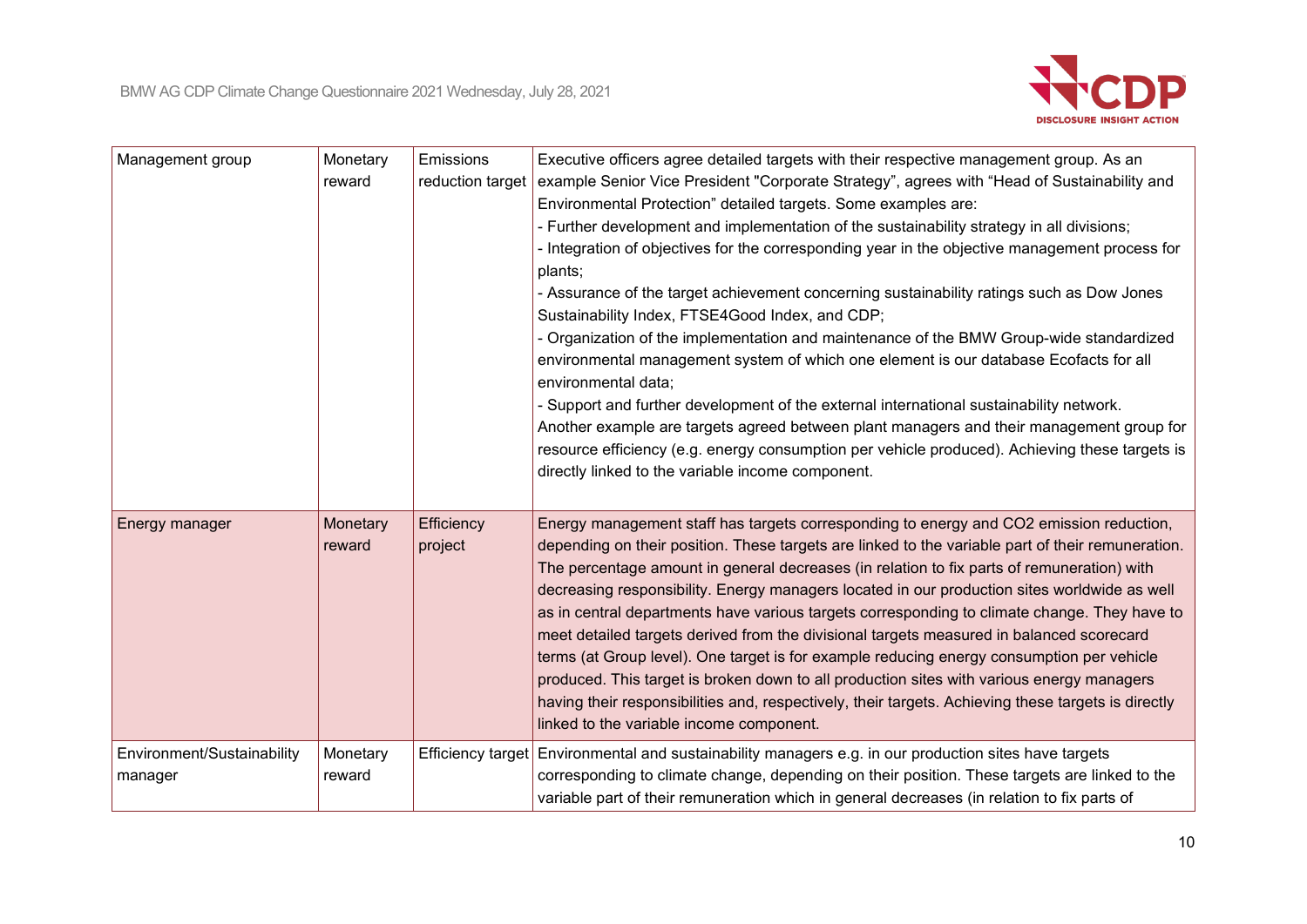

| Management group                      | Monetary<br>reward | Emissions<br>reduction target | Executive officers agree detailed targets with their respective management group. As an<br>example Senior Vice President "Corporate Strategy", agrees with "Head of Sustainability and<br>Environmental Protection" detailed targets. Some examples are:<br>- Further development and implementation of the sustainability strategy in all divisions;<br>- Integration of objectives for the corresponding year in the objective management process for<br>plants;<br>- Assurance of the target achievement concerning sustainability ratings such as Dow Jones<br>Sustainability Index, FTSE4Good Index, and CDP;<br>- Organization of the implementation and maintenance of the BMW Group-wide standardized<br>environmental management system of which one element is our database Ecofacts for all<br>environmental data;<br>- Support and further development of the external international sustainability network.<br>Another example are targets agreed between plant managers and their management group for<br>resource efficiency (e.g. energy consumption per vehicle produced). Achieving these targets is<br>directly linked to the variable income component. |
|---------------------------------------|--------------------|-------------------------------|-----------------------------------------------------------------------------------------------------------------------------------------------------------------------------------------------------------------------------------------------------------------------------------------------------------------------------------------------------------------------------------------------------------------------------------------------------------------------------------------------------------------------------------------------------------------------------------------------------------------------------------------------------------------------------------------------------------------------------------------------------------------------------------------------------------------------------------------------------------------------------------------------------------------------------------------------------------------------------------------------------------------------------------------------------------------------------------------------------------------------------------------------------------------------------|
| Energy manager                        | Monetary<br>reward | Efficiency<br>project         | Energy management staff has targets corresponding to energy and CO2 emission reduction,<br>depending on their position. These targets are linked to the variable part of their remuneration.<br>The percentage amount in general decreases (in relation to fix parts of remuneration) with<br>decreasing responsibility. Energy managers located in our production sites worldwide as well<br>as in central departments have various targets corresponding to climate change. They have to<br>meet detailed targets derived from the divisional targets measured in balanced scorecard<br>terms (at Group level). One target is for example reducing energy consumption per vehicle<br>produced. This target is broken down to all production sites with various energy managers<br>having their responsibilities and, respectively, their targets. Achieving these targets is directly<br>linked to the variable income component.                                                                                                                                                                                                                                         |
| Environment/Sustainability<br>manager | Monetary<br>reward |                               | Efficiency target   Environmental and sustainability managers e.g. in our production sites have targets<br>corresponding to climate change, depending on their position. These targets are linked to the<br>variable part of their remuneration which in general decreases (in relation to fix parts of                                                                                                                                                                                                                                                                                                                                                                                                                                                                                                                                                                                                                                                                                                                                                                                                                                                                     |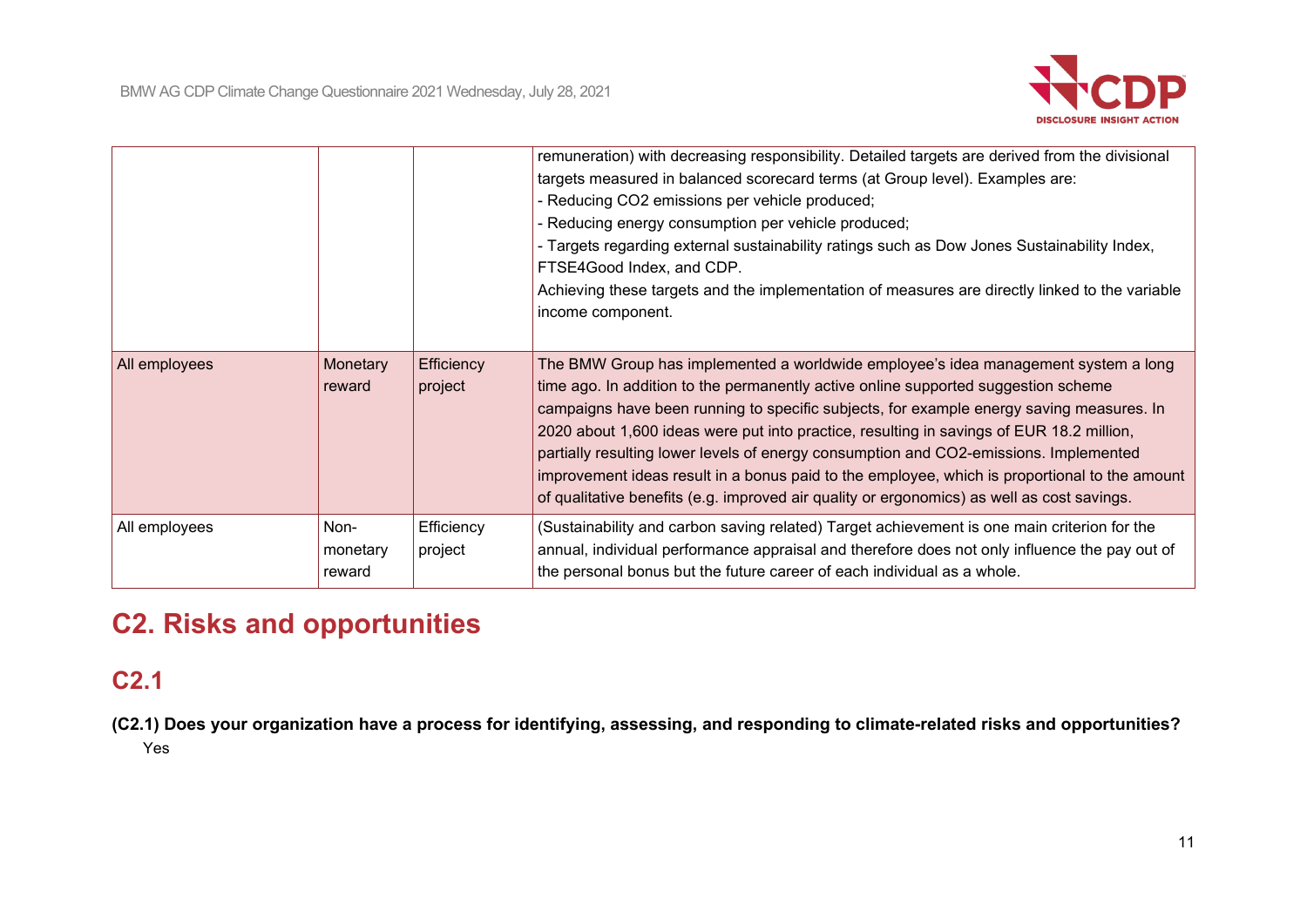

|               |                            |                       | remuneration) with decreasing responsibility. Detailed targets are derived from the divisional<br>targets measured in balanced scorecard terms (at Group level). Examples are:<br>- Reducing CO2 emissions per vehicle produced;<br>- Reducing energy consumption per vehicle produced;<br>- Targets regarding external sustainability ratings such as Dow Jones Sustainability Index,<br>FTSE4Good Index, and CDP.<br>Achieving these targets and the implementation of measures are directly linked to the variable<br>income component.                                                                                                               |
|---------------|----------------------------|-----------------------|----------------------------------------------------------------------------------------------------------------------------------------------------------------------------------------------------------------------------------------------------------------------------------------------------------------------------------------------------------------------------------------------------------------------------------------------------------------------------------------------------------------------------------------------------------------------------------------------------------------------------------------------------------|
| All employees | Monetary<br>reward         | Efficiency<br>project | The BMW Group has implemented a worldwide employee's idea management system a long<br>time ago. In addition to the permanently active online supported suggestion scheme<br>campaigns have been running to specific subjects, for example energy saving measures. In<br>2020 about 1,600 ideas were put into practice, resulting in savings of EUR 18.2 million,<br>partially resulting lower levels of energy consumption and CO2-emissions. Implemented<br>improvement ideas result in a bonus paid to the employee, which is proportional to the amount<br>of qualitative benefits (e.g. improved air quality or ergonomics) as well as cost savings. |
| All employees | Non-<br>monetary<br>reward | Efficiency<br>project | (Sustainability and carbon saving related) Target achievement is one main criterion for the<br>annual, individual performance appraisal and therefore does not only influence the pay out of<br>the personal bonus but the future career of each individual as a whole.                                                                                                                                                                                                                                                                                                                                                                                  |

# **C2. Risks and opportunities**

# **C2.1**

**(C2.1) Does your organization have a process for identifying, assessing, and responding to climate-related risks and opportunities?** Yes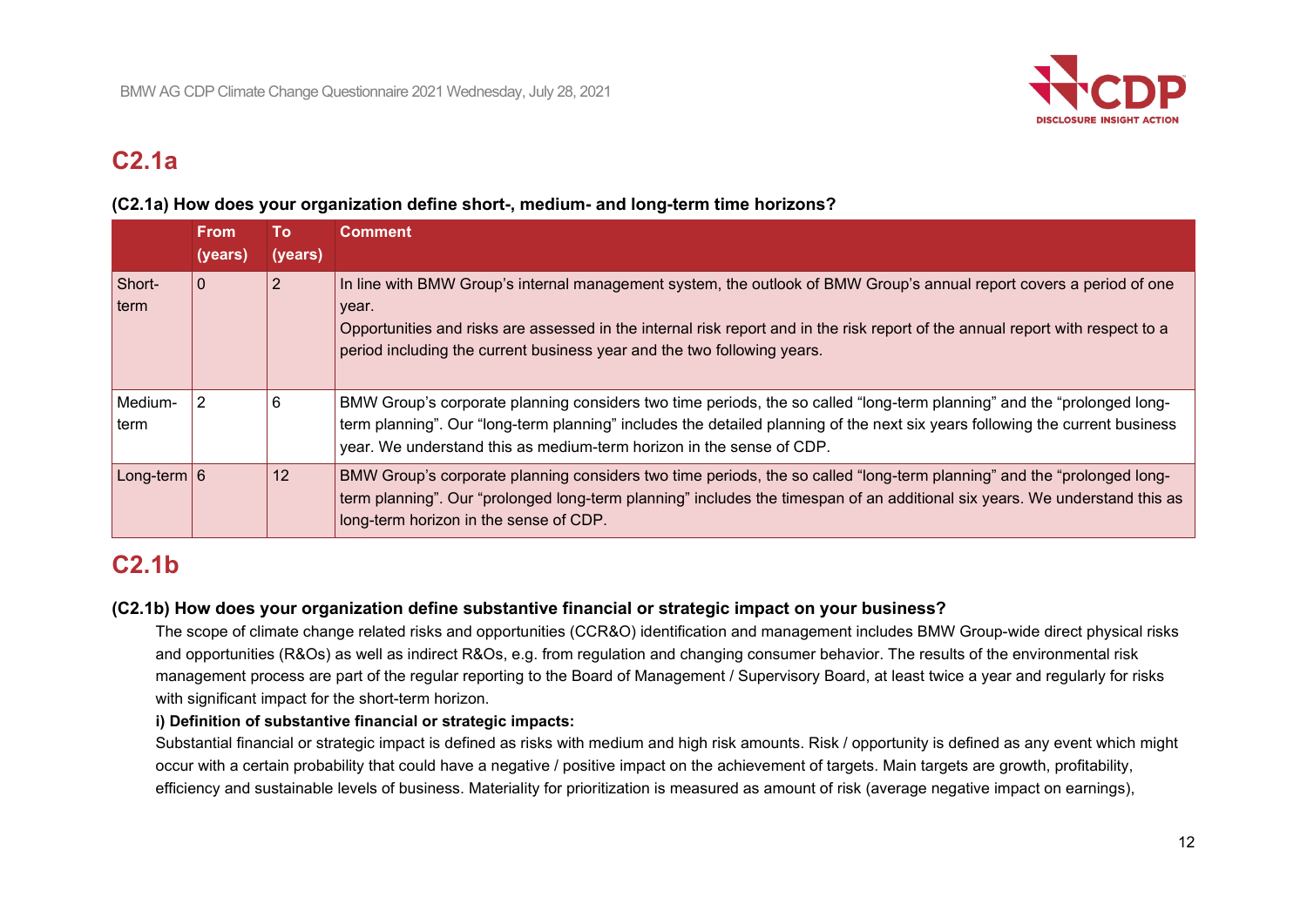

# **C2.1a**

#### **(C2.1a) How does your organization define short-, medium- and long-term time horizons?**

|                 | <b>From</b><br>(years) | Гο<br>(years) | <b>Comment</b>                                                                                                                                                                                                                                                                                                                             |
|-----------------|------------------------|---------------|--------------------------------------------------------------------------------------------------------------------------------------------------------------------------------------------------------------------------------------------------------------------------------------------------------------------------------------------|
| Short-<br>⊺term | $\overline{0}$         |               | In line with BMW Group's internal management system, the outlook of BMW Group's annual report covers a period of one<br>year.<br>Opportunities and risks are assessed in the internal risk report and in the risk report of the annual report with respect to a<br>period including the current business year and the two following years. |
| Medium-<br>term | 2                      | 6             | BMW Group's corporate planning considers two time periods, the so called "long-term planning" and the "prolonged long-<br>term planning". Our "long-term planning" includes the detailed planning of the next six years following the current business<br>year. We understand this as medium-term horizon in the sense of CDP.             |
| Long-term $6$   |                        | 12            | BMW Group's corporate planning considers two time periods, the so called "long-term planning" and the "prolonged long-<br>term planning". Our "prolonged long-term planning" includes the timespan of an additional six years. We understand this as<br>long-term horizon in the sense of CDP.                                             |

# **C2.1b**

### **(C2.1b) How does your organization define substantive financial or strategic impact on your business?**

The scope of climate change related risks and opportunities (CCR&O) identification and management includes BMW Group-wide direct physical risks and opportunities (R&Os) as well as indirect R&Os, e.g. from regulation and changing consumer behavior. The results of the environmental risk management process are part of the regular reporting to the Board of Management / Supervisory Board, at least twice a year and regularly for risks with significant impact for the short-term horizon.

#### **i) Definition of substantive financial or strategic impacts:**

Substantial financial or strategic impact is defined as risks with medium and high risk amounts. Risk / opportunity is defined as any event which might occur with a certain probability that could have a negative / positive impact on the achievement of targets. Main targets are growth, profitability, efficiency and sustainable levels of business. Materiality for prioritization is measured as amount of risk (average negative impact on earnings),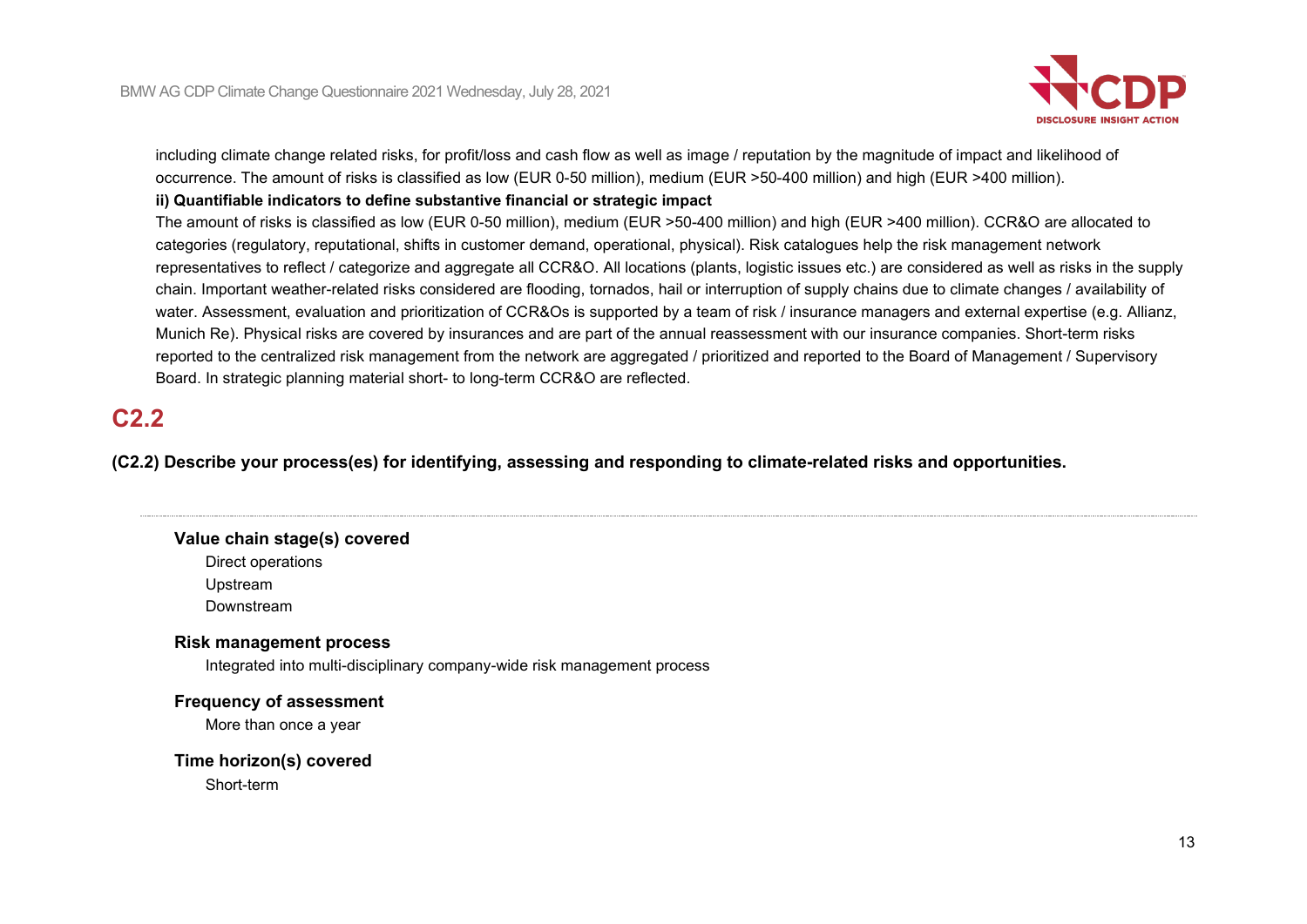

including climate change related risks, for profit/loss and cash flow as well as image / reputation by the magnitude of impact and likelihood of occurrence. The amount of risks is classified as low (EUR 0-50 million), medium (EUR >50-400 million) and high (EUR >400 million).

#### **ii) Quantifiable indicators to define substantive financial or strategic impact**

The amount of risks is classified as low (EUR 0-50 million), medium (EUR >50-400 million) and high (EUR >400 million). CCR&O are allocated to categories (regulatory, reputational, shifts in customer demand, operational, physical). Risk catalogues help the risk management network representatives to reflect / categorize and aggregate all CCR&O. All locations (plants, logistic issues etc.) are considered as well as risks in the supply chain. Important weather-related risks considered are flooding, tornados, hail or interruption of supply chains due to climate changes / availability of water. Assessment, evaluation and prioritization of CCR&Os is supported by a team of risk / insurance managers and external expertise (e.g. Allianz, Munich Re). Physical risks are covered by insurances and are part of the annual reassessment with our insurance companies. Short-term risks reported to the centralized risk management from the network are aggregated / prioritized and reported to the Board of Management / Supervisory Board. In strategic planning material short- to long-term CCR&O are reflected.

# **C2.2**

**(C2.2) Describe your process(es) for identifying, assessing and responding to climate-related risks and opportunities.**

#### **Value chain stage(s) covered**

Direct operations

Upstream

Downstream

### **Risk management process**

Integrated into multi-disciplinary company-wide risk management process

### **Frequency of assessment**

More than once a year

#### **Time horizon(s) covered**

Short-term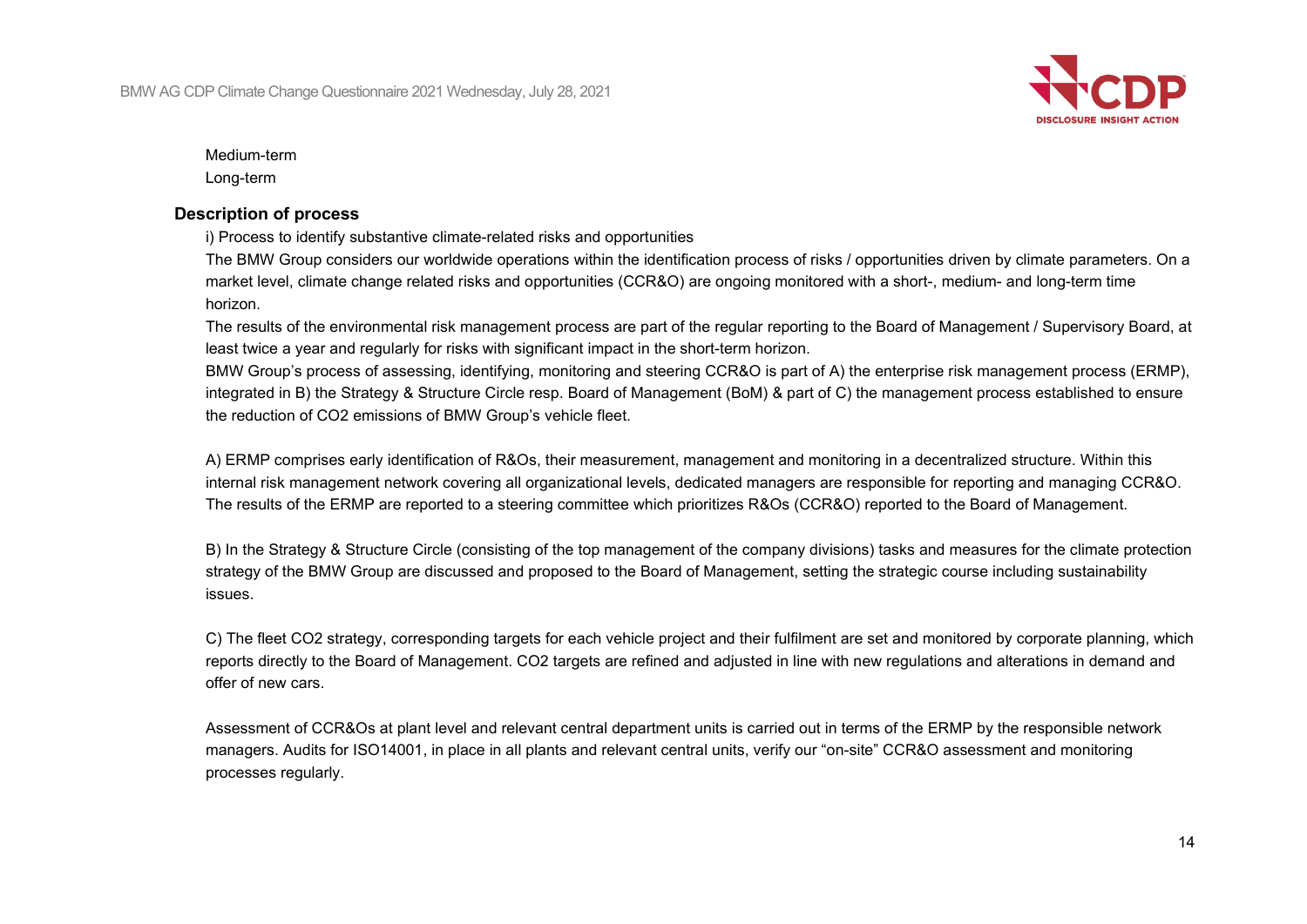

Medium-term

Long-term

#### **Description of process**

i) Process to identify substantive climate-related risks and opportunities

The BMW Group considers our worldwide operations within the identification process of risks / opportunities driven by climate parameters. On a market level, climate change related risks and opportunities (CCR&O) are ongoing monitored with a short-, medium- and long-term time horizon.

The results of the environmental risk management process are part of the regular reporting to the Board of Management / Supervisory Board, at least twice a year and regularly for risks with significant impact in the short-term horizon.

BMW Group's process of assessing, identifying, monitoring and steering CCR&O is part of A) the enterprise risk management process (ERMP), integrated in B) the Strategy & Structure Circle resp. Board of Management (BoM) & part of C) the management process established to ensure the reduction of CO2 emissions of BMW Group's vehicle fleet.

A) ERMP comprises early identification of R&Os, their measurement, management and monitoring in a decentralized structure. Within this internal risk management network covering all organizational levels, dedicated managers are responsible for reporting and managing CCR&O. The results of the ERMP are reported to a steering committee which prioritizes R&Os (CCR&O) reported to the Board of Management.

B) In the Strategy & Structure Circle (consisting of the top management of the company divisions) tasks and measures for the climate protection strategy of the BMW Group are discussed and proposed to the Board of Management, setting the strategic course including sustainability issues.

C) The fleet CO2 strategy, corresponding targets for each vehicle project and their fulfilment are set and monitored by corporate planning, which reports directly to the Board of Management. CO2 targets are refined and adjusted in line with new regulations and alterations in demand and offer of new cars.

Assessment of CCR&Os at plant level and relevant central department units is carried out in terms of the ERMP by the responsible network managers. Audits for ISO14001, in place in all plants and relevant central units, verify our "on-site" CCR&O assessment and monitoring processes regularly.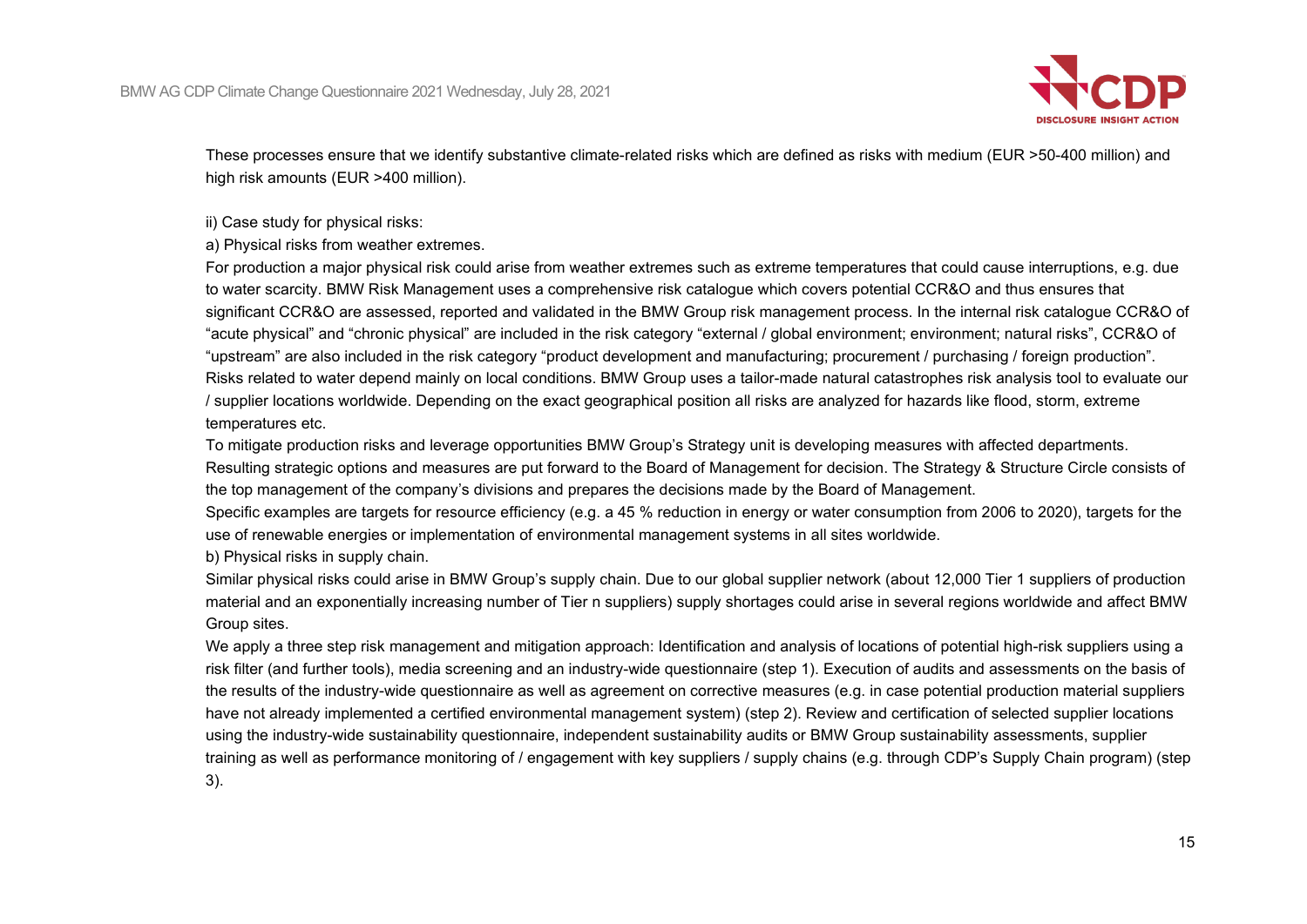

These processes ensure that we identify substantive climate-related risks which are defined as risks with medium (EUR >50-400 million) and high risk amounts (EUR >400 million).

ii) Case study for physical risks:

a) Physical risks from weather extremes.

For production a major physical risk could arise from weather extremes such as extreme temperatures that could cause interruptions, e.g. due to water scarcity. BMW Risk Management uses a comprehensive risk catalogue which covers potential CCR&O and thus ensures that significant CCR&O are assessed, reported and validated in the BMW Group risk management process. In the internal risk catalogue CCR&O of "acute physical" and "chronic physical" are included in the risk category "external / global environment; environment; natural risks", CCR&O of "upstream" are also included in the risk category "product development and manufacturing; procurement / purchasing / foreign production". Risks related to water depend mainly on local conditions. BMW Group uses a tailor-made natural catastrophes risk analysis tool to evaluate our / supplier locations worldwide. Depending on the exact geographical position all risks are analyzed for hazards like flood, storm, extreme temperatures etc.

To mitigate production risks and leverage opportunities BMW Group's Strategy unit is developing measures with affected departments.

Resulting strategic options and measures are put forward to the Board of Management for decision. The Strategy & Structure Circle consists of the top management of the company's divisions and prepares the decisions made by the Board of Management.

Specific examples are targets for resource efficiency (e.g. a 45 % reduction in energy or water consumption from 2006 to 2020), targets for the use of renewable energies or implementation of environmental management systems in all sites worldwide.

b) Physical risks in supply chain.

Similar physical risks could arise in BMW Group's supply chain. Due to our global supplier network (about 12,000 Tier 1 suppliers of production material and an exponentially increasing number of Tier n suppliers) supply shortages could arise in several regions worldwide and affect BMW Group sites.

We apply a three step risk management and mitigation approach: Identification and analysis of locations of potential high-risk suppliers using a risk filter (and further tools), media screening and an industry-wide questionnaire (step 1). Execution of audits and assessments on the basis of the results of the industry-wide questionnaire as well as agreement on corrective measures (e.g. in case potential production material suppliers have not already implemented a certified environmental management system) (step 2). Review and certification of selected supplier locations using the industry-wide sustainability questionnaire, independent sustainability audits or BMW Group sustainability assessments, supplier training as well as performance monitoring of / engagement with key suppliers / supply chains (e.g. through CDP's Supply Chain program) (step 3).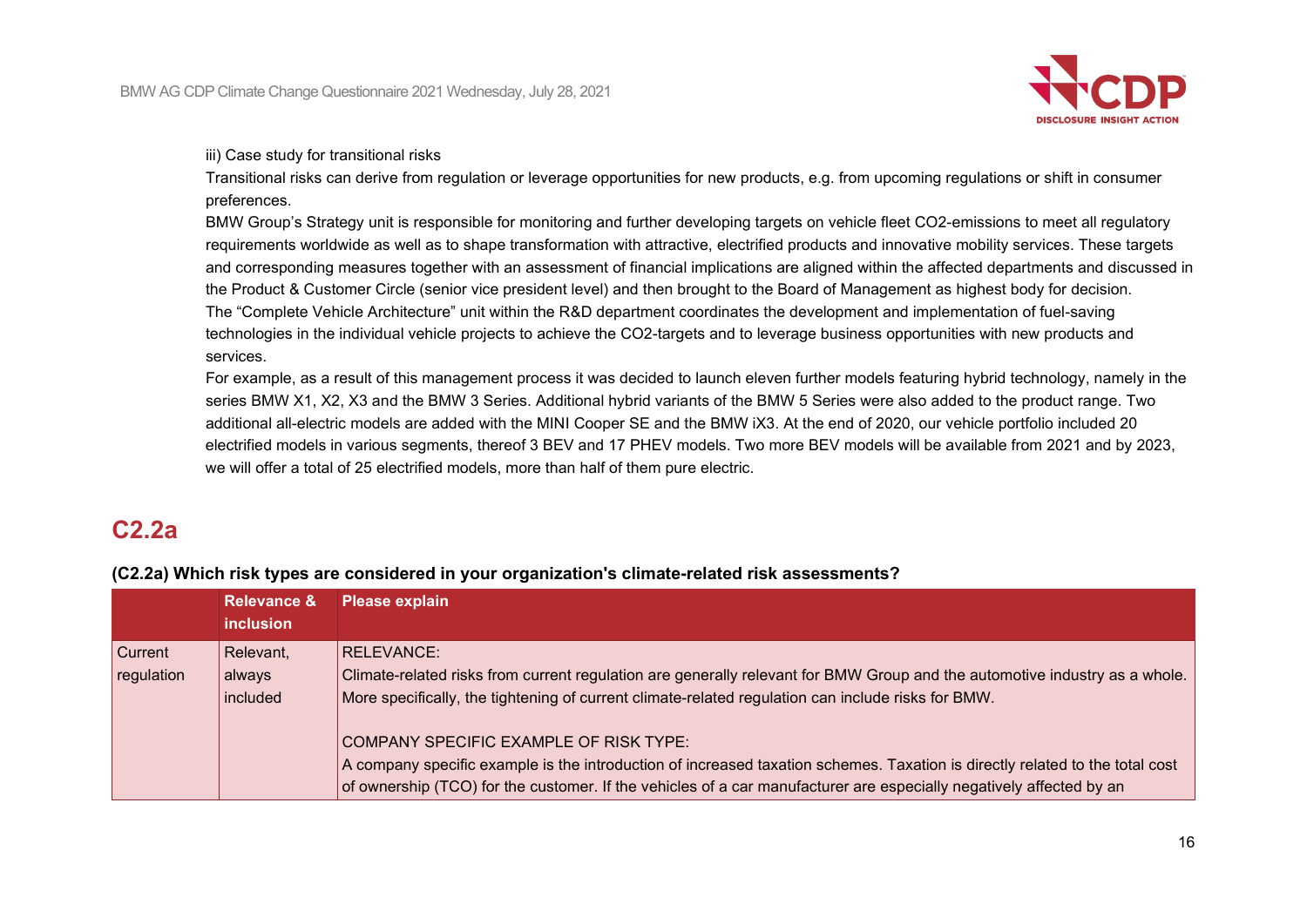

iii) Case study for transitional risks

Transitional risks can derive from regulation or leverage opportunities for new products, e.g. from upcoming regulations or shift in consumer preferences.

BMW Group's Strategy unit is responsible for monitoring and further developing targets on vehicle fleet CO2-emissions to meet all regulatory requirements worldwide as well as to shape transformation with attractive, electrified products and innovative mobility services. These targets and corresponding measures together with an assessment of financial implications are aligned within the affected departments and discussed in the Product & Customer Circle (senior vice president level) and then brought to the Board of Management as highest body for decision. The "Complete Vehicle Architecture" unit within the R&D department coordinates the development and implementation of fuel-saving technologies in the individual vehicle projects to achieve the CO2-targets and to leverage business opportunities with new products and services.

For example, as a result of this management process it was decided to launch eleven further models featuring hybrid technology, namely in the series BMW X1, X2, X3 and the BMW 3 Series. Additional hybrid variants of the BMW 5 Series were also added to the product range. Two additional all-electric models are added with the MINI Cooper SE and the BMW iX3. At the end of 2020, our vehicle portfolio included 20 electrified models in various segments, thereof 3 BEV and 17 PHEV models. Two more BEV models will be available from 2021 and by 2023, we will offer a total of 25 electrified models, more than half of them pure electric.

# **C2.2a**

**(C2.2a) Which risk types are considered in your organization's climate-related risk assessments?**

|                              | <b>Relevance &amp;</b><br><b>inclusion</b> | <b>Please explain</b>                                                                                                                                                                                                                                                                         |
|------------------------------|--------------------------------------------|-----------------------------------------------------------------------------------------------------------------------------------------------------------------------------------------------------------------------------------------------------------------------------------------------|
| <b>Current</b><br>regulation | Relevant,<br>always<br>included            | RELEVANCE:<br>Climate-related risks from current regulation are generally relevant for BMW Group and the automotive industry as a whole.<br>More specifically, the tightening of current climate-related regulation can include risks for BMW.                                                |
|                              |                                            | COMPANY SPECIFIC EXAMPLE OF RISK TYPE:<br>A company specific example is the introduction of increased taxation schemes. Taxation is directly related to the total cost<br>of ownership (TCO) for the customer. If the vehicles of a car manufacturer are especially negatively affected by an |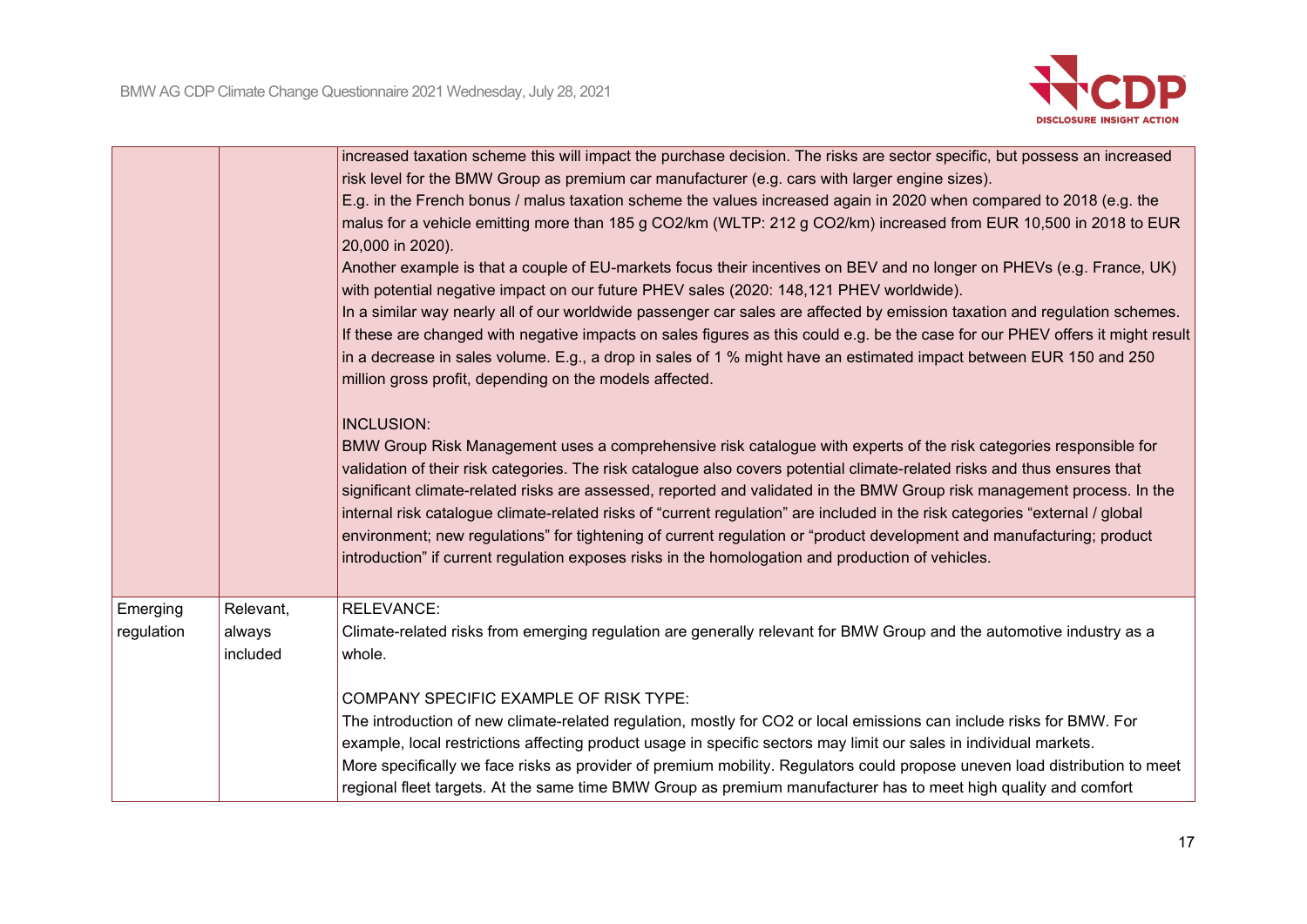

|                        |                                 | increased taxation scheme this will impact the purchase decision. The risks are sector specific, but possess an increased<br>risk level for the BMW Group as premium car manufacturer (e.g. cars with larger engine sizes).<br>E.g. in the French bonus / malus taxation scheme the values increased again in 2020 when compared to 2018 (e.g. the<br>malus for a vehicle emitting more than 185 g CO2/km (WLTP: 212 g CO2/km) increased from EUR 10,500 in 2018 to EUR<br>20,000 in 2020).<br>Another example is that a couple of EU-markets focus their incentives on BEV and no longer on PHEVs (e.g. France, UK)<br>with potential negative impact on our future PHEV sales (2020: 148,121 PHEV worldwide).<br>In a similar way nearly all of our worldwide passenger car sales are affected by emission taxation and regulation schemes.<br>If these are changed with negative impacts on sales figures as this could e.g. be the case for our PHEV offers it might result<br>in a decrease in sales volume. E.g., a drop in sales of 1 % might have an estimated impact between EUR 150 and 250 |
|------------------------|---------------------------------|-------------------------------------------------------------------------------------------------------------------------------------------------------------------------------------------------------------------------------------------------------------------------------------------------------------------------------------------------------------------------------------------------------------------------------------------------------------------------------------------------------------------------------------------------------------------------------------------------------------------------------------------------------------------------------------------------------------------------------------------------------------------------------------------------------------------------------------------------------------------------------------------------------------------------------------------------------------------------------------------------------------------------------------------------------------------------------------------------------|
|                        |                                 | million gross profit, depending on the models affected.<br><b>INCLUSION:</b><br>BMW Group Risk Management uses a comprehensive risk catalogue with experts of the risk categories responsible for<br>validation of their risk categories. The risk catalogue also covers potential climate-related risks and thus ensures that<br>significant climate-related risks are assessed, reported and validated in the BMW Group risk management process. In the<br>internal risk catalogue climate-related risks of "current regulation" are included in the risk categories "external / global<br>environment; new regulations" for tightening of current regulation or "product development and manufacturing; product<br>introduction" if current regulation exposes risks in the homologation and production of vehicles.                                                                                                                                                                                                                                                                               |
| Emerging<br>regulation | Relevant,<br>always<br>included | <b>RELEVANCE:</b><br>Climate-related risks from emerging regulation are generally relevant for BMW Group and the automotive industry as a<br>whole.<br>COMPANY SPECIFIC EXAMPLE OF RISK TYPE:<br>The introduction of new climate-related regulation, mostly for CO2 or local emissions can include risks for BMW. For<br>example, local restrictions affecting product usage in specific sectors may limit our sales in individual markets.<br>More specifically we face risks as provider of premium mobility. Regulators could propose uneven load distribution to meet<br>regional fleet targets. At the same time BMW Group as premium manufacturer has to meet high quality and comfort                                                                                                                                                                                                                                                                                                                                                                                                          |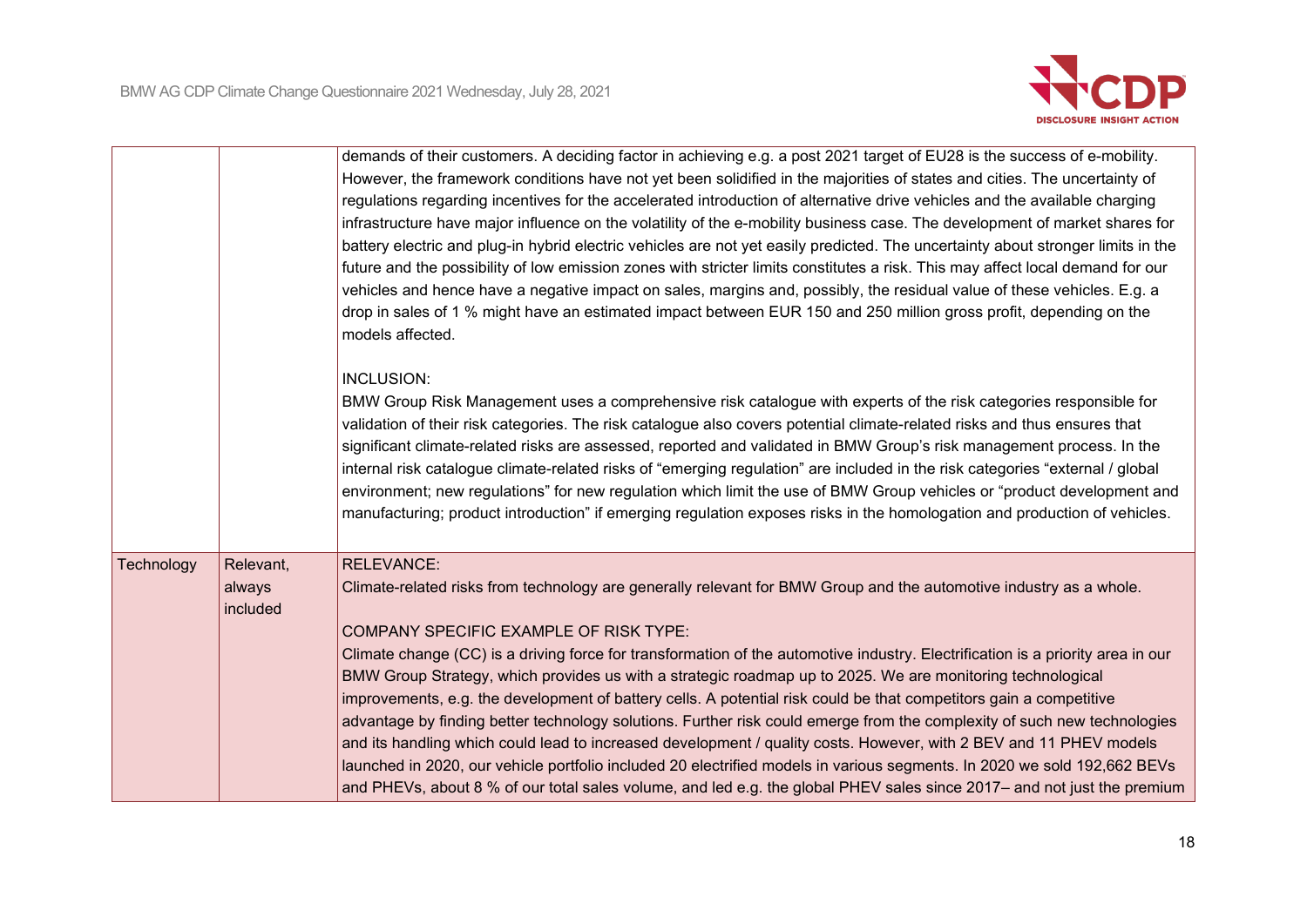

|            |                                 | demands of their customers. A deciding factor in achieving e.g. a post 2021 target of EU28 is the success of e-mobility.<br>However, the framework conditions have not yet been solidified in the majorities of states and cities. The uncertainty of<br>regulations regarding incentives for the accelerated introduction of alternative drive vehicles and the available charging<br>infrastructure have major influence on the volatility of the e-mobility business case. The development of market shares for<br>battery electric and plug-in hybrid electric vehicles are not yet easily predicted. The uncertainty about stronger limits in the<br>future and the possibility of low emission zones with stricter limits constitutes a risk. This may affect local demand for our<br>vehicles and hence have a negative impact on sales, margins and, possibly, the residual value of these vehicles. E.g. a<br>drop in sales of 1 % might have an estimated impact between EUR 150 and 250 million gross profit, depending on the<br>models affected.     |
|------------|---------------------------------|-------------------------------------------------------------------------------------------------------------------------------------------------------------------------------------------------------------------------------------------------------------------------------------------------------------------------------------------------------------------------------------------------------------------------------------------------------------------------------------------------------------------------------------------------------------------------------------------------------------------------------------------------------------------------------------------------------------------------------------------------------------------------------------------------------------------------------------------------------------------------------------------------------------------------------------------------------------------------------------------------------------------------------------------------------------------|
|            |                                 | <b>INCLUSION:</b><br>BMW Group Risk Management uses a comprehensive risk catalogue with experts of the risk categories responsible for<br>validation of their risk categories. The risk catalogue also covers potential climate-related risks and thus ensures that<br>significant climate-related risks are assessed, reported and validated in BMW Group's risk management process. In the<br>internal risk catalogue climate-related risks of "emerging regulation" are included in the risk categories "external / global<br>environment; new regulations" for new regulation which limit the use of BMW Group vehicles or "product development and<br>manufacturing; product introduction" if emerging regulation exposes risks in the homologation and production of vehicles.                                                                                                                                                                                                                                                                              |
| Technology | Relevant,<br>always<br>included | <b>RELEVANCE:</b><br>Climate-related risks from technology are generally relevant for BMW Group and the automotive industry as a whole.<br>COMPANY SPECIFIC EXAMPLE OF RISK TYPE:<br>Climate change (CC) is a driving force for transformation of the automotive industry. Electrification is a priority area in our<br>BMW Group Strategy, which provides us with a strategic roadmap up to 2025. We are monitoring technological<br>improvements, e.g. the development of battery cells. A potential risk could be that competitors gain a competitive<br>advantage by finding better technology solutions. Further risk could emerge from the complexity of such new technologies<br>and its handling which could lead to increased development / quality costs. However, with 2 BEV and 11 PHEV models<br>launched in 2020, our vehicle portfolio included 20 electrified models in various segments. In 2020 we sold 192,662 BEVs<br>and PHEVs, about 8 % of our total sales volume, and led e.g. the global PHEV sales since 2017– and not just the premium |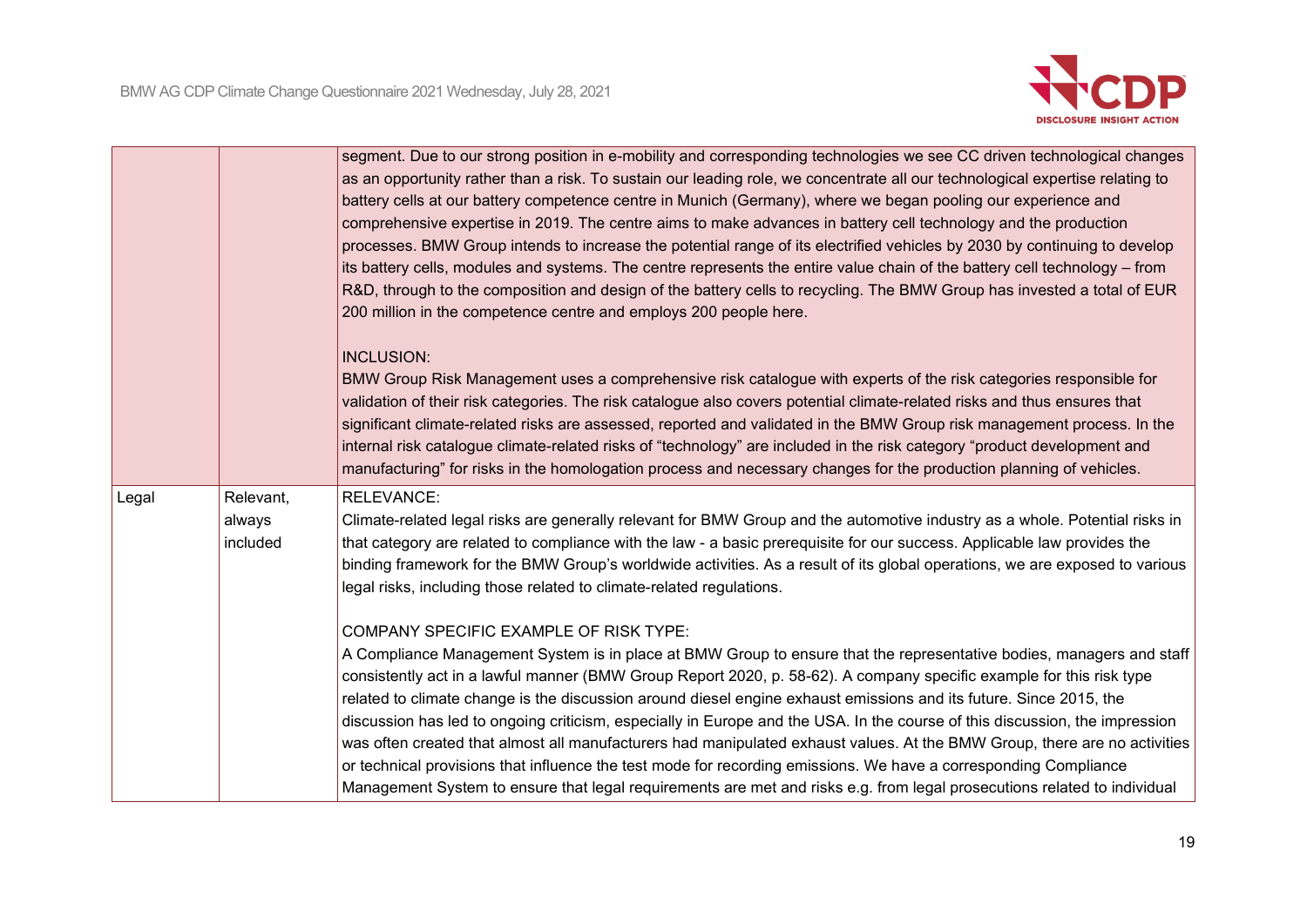

|       |                                 | segment. Due to our strong position in e-mobility and corresponding technologies we see CC driven technological changes<br>as an opportunity rather than a risk. To sustain our leading role, we concentrate all our technological expertise relating to<br>battery cells at our battery competence centre in Munich (Germany), where we began pooling our experience and<br>comprehensive expertise in 2019. The centre aims to make advances in battery cell technology and the production<br>processes. BMW Group intends to increase the potential range of its electrified vehicles by 2030 by continuing to develop<br>its battery cells, modules and systems. The centre represents the entire value chain of the battery cell technology – from<br>R&D, through to the composition and design of the battery cells to recycling. The BMW Group has invested a total of EUR<br>200 million in the competence centre and employs 200 people here.<br><b>INCLUSION:</b><br>BMW Group Risk Management uses a comprehensive risk catalogue with experts of the risk categories responsible for<br>validation of their risk categories. The risk catalogue also covers potential climate-related risks and thus ensures that<br>significant climate-related risks are assessed, reported and validated in the BMW Group risk management process. In the<br>internal risk catalogue climate-related risks of "technology" are included in the risk category "product development and<br>manufacturing" for risks in the homologation process and necessary changes for the production planning of vehicles. |
|-------|---------------------------------|--------------------------------------------------------------------------------------------------------------------------------------------------------------------------------------------------------------------------------------------------------------------------------------------------------------------------------------------------------------------------------------------------------------------------------------------------------------------------------------------------------------------------------------------------------------------------------------------------------------------------------------------------------------------------------------------------------------------------------------------------------------------------------------------------------------------------------------------------------------------------------------------------------------------------------------------------------------------------------------------------------------------------------------------------------------------------------------------------------------------------------------------------------------------------------------------------------------------------------------------------------------------------------------------------------------------------------------------------------------------------------------------------------------------------------------------------------------------------------------------------------------------------------------------------------------------------------------------------------------|
| Legal | Relevant,<br>always<br>included | <b>RELEVANCE:</b><br>Climate-related legal risks are generally relevant for BMW Group and the automotive industry as a whole. Potential risks in<br>that category are related to compliance with the law - a basic prerequisite for our success. Applicable law provides the<br>binding framework for the BMW Group's worldwide activities. As a result of its global operations, we are exposed to various<br>legal risks, including those related to climate-related regulations.<br>COMPANY SPECIFIC EXAMPLE OF RISK TYPE:<br>A Compliance Management System is in place at BMW Group to ensure that the representative bodies, managers and staff<br>consistently act in a lawful manner (BMW Group Report 2020, p. 58-62). A company specific example for this risk type<br>related to climate change is the discussion around diesel engine exhaust emissions and its future. Since 2015, the<br>discussion has led to ongoing criticism, especially in Europe and the USA. In the course of this discussion, the impression<br>was often created that almost all manufacturers had manipulated exhaust values. At the BMW Group, there are no activities<br>or technical provisions that influence the test mode for recording emissions. We have a corresponding Compliance<br>Management System to ensure that legal requirements are met and risks e.g. from legal prosecutions related to individual                                                                                                                                                                                              |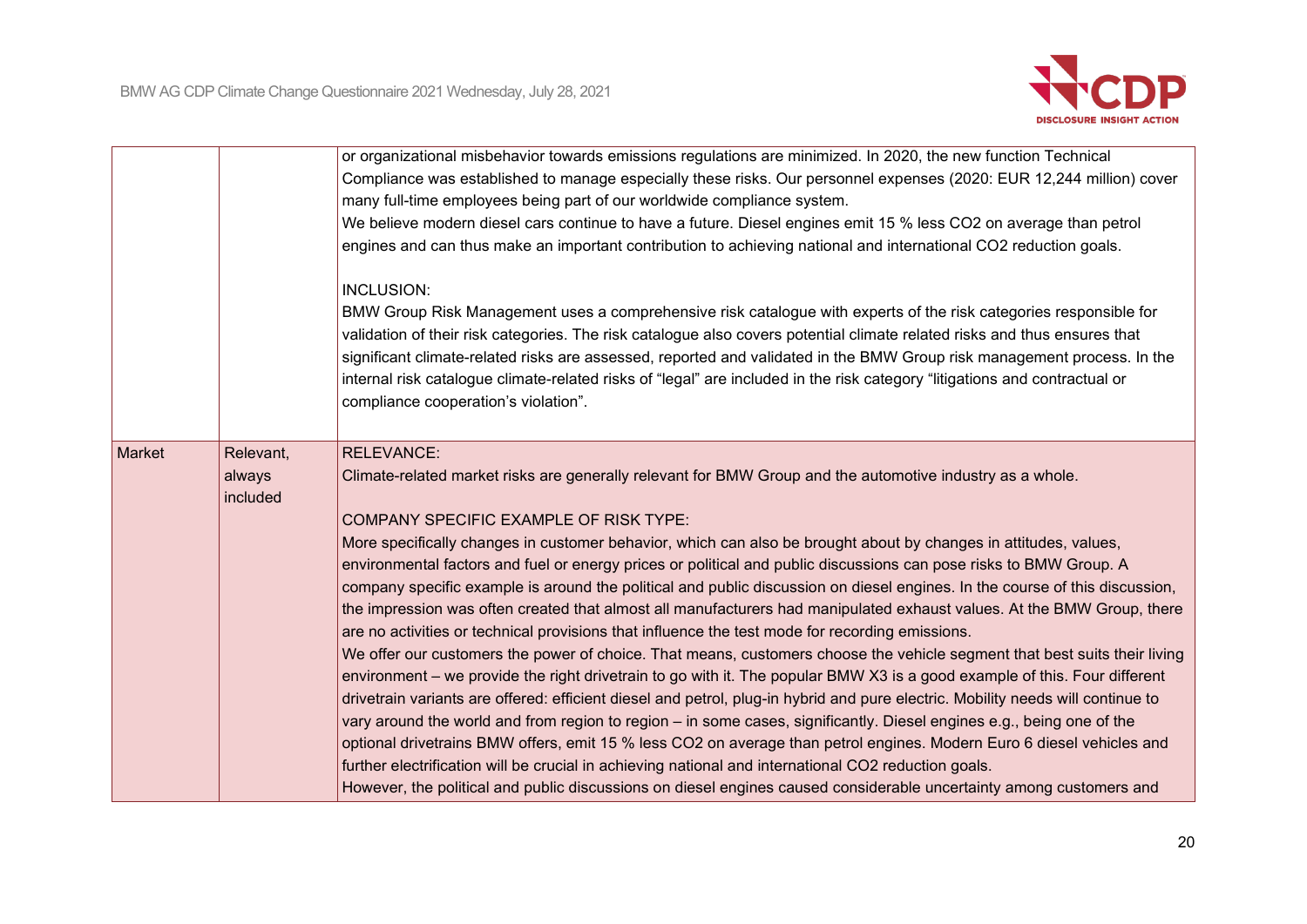

|        |                                 | or organizational misbehavior towards emissions regulations are minimized. In 2020, the new function Technical<br>Compliance was established to manage especially these risks. Our personnel expenses (2020: EUR 12,244 million) cover<br>many full-time employees being part of our worldwide compliance system.<br>We believe modern diesel cars continue to have a future. Diesel engines emit 15 % less CO2 on average than petrol<br>engines and can thus make an important contribution to achieving national and international CO2 reduction goals.<br>INCLUSION:                                                                                                                                                                                                                                                                                                                                                                                                                                                                                                                                                                                                                                                                                                                                                                                                                                                                                                                                                              |
|--------|---------------------------------|---------------------------------------------------------------------------------------------------------------------------------------------------------------------------------------------------------------------------------------------------------------------------------------------------------------------------------------------------------------------------------------------------------------------------------------------------------------------------------------------------------------------------------------------------------------------------------------------------------------------------------------------------------------------------------------------------------------------------------------------------------------------------------------------------------------------------------------------------------------------------------------------------------------------------------------------------------------------------------------------------------------------------------------------------------------------------------------------------------------------------------------------------------------------------------------------------------------------------------------------------------------------------------------------------------------------------------------------------------------------------------------------------------------------------------------------------------------------------------------------------------------------------------------|
|        |                                 | BMW Group Risk Management uses a comprehensive risk catalogue with experts of the risk categories responsible for<br>validation of their risk categories. The risk catalogue also covers potential climate related risks and thus ensures that<br>significant climate-related risks are assessed, reported and validated in the BMW Group risk management process. In the<br>internal risk catalogue climate-related risks of "legal" are included in the risk category "litigations and contractual or<br>compliance cooperation's violation".                                                                                                                                                                                                                                                                                                                                                                                                                                                                                                                                                                                                                                                                                                                                                                                                                                                                                                                                                                                       |
| Market | Relevant,<br>always<br>included | <b>RELEVANCE:</b><br>Climate-related market risks are generally relevant for BMW Group and the automotive industry as a whole.<br>COMPANY SPECIFIC EXAMPLE OF RISK TYPE:<br>More specifically changes in customer behavior, which can also be brought about by changes in attitudes, values,<br>environmental factors and fuel or energy prices or political and public discussions can pose risks to BMW Group. A<br>company specific example is around the political and public discussion on diesel engines. In the course of this discussion,<br>the impression was often created that almost all manufacturers had manipulated exhaust values. At the BMW Group, there<br>are no activities or technical provisions that influence the test mode for recording emissions.<br>We offer our customers the power of choice. That means, customers choose the vehicle segment that best suits their living<br>environment – we provide the right drivetrain to go with it. The popular BMW X3 is a good example of this. Four different<br>drivetrain variants are offered: efficient diesel and petrol, plug-in hybrid and pure electric. Mobility needs will continue to<br>vary around the world and from region to region – in some cases, significantly. Diesel engines e.g., being one of the<br>optional drivetrains BMW offers, emit 15 % less CO2 on average than petrol engines. Modern Euro 6 diesel vehicles and<br>further electrification will be crucial in achieving national and international CO2 reduction goals. |
|        |                                 | However, the political and public discussions on diesel engines caused considerable uncertainty among customers and                                                                                                                                                                                                                                                                                                                                                                                                                                                                                                                                                                                                                                                                                                                                                                                                                                                                                                                                                                                                                                                                                                                                                                                                                                                                                                                                                                                                                   |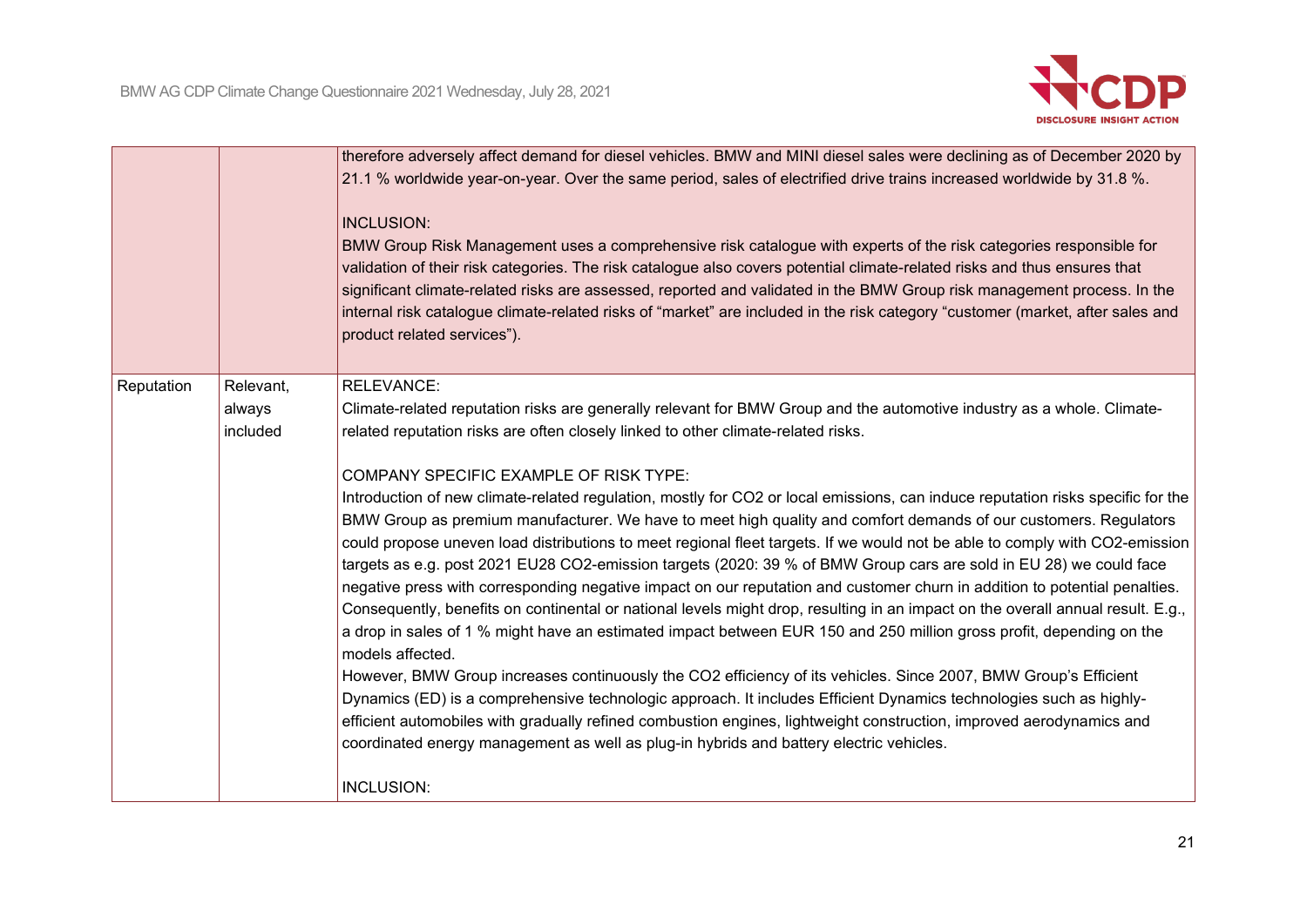

|            |                                 | therefore adversely affect demand for diesel vehicles. BMW and MINI diesel sales were declining as of December 2020 by<br>21.1 % worldwide year-on-year. Over the same period, sales of electrified drive trains increased worldwide by 31.8 %.<br><b>INCLUSION:</b><br>BMW Group Risk Management uses a comprehensive risk catalogue with experts of the risk categories responsible for<br>validation of their risk categories. The risk catalogue also covers potential climate-related risks and thus ensures that<br>significant climate-related risks are assessed, reported and validated in the BMW Group risk management process. In the<br>internal risk catalogue climate-related risks of "market" are included in the risk category "customer (market, after sales and<br>product related services").                                                                                                                                                                                                                                                                                                                                                                                                                                                                                                                                                                                                                                                                                                                                                                                                                                                            |
|------------|---------------------------------|-------------------------------------------------------------------------------------------------------------------------------------------------------------------------------------------------------------------------------------------------------------------------------------------------------------------------------------------------------------------------------------------------------------------------------------------------------------------------------------------------------------------------------------------------------------------------------------------------------------------------------------------------------------------------------------------------------------------------------------------------------------------------------------------------------------------------------------------------------------------------------------------------------------------------------------------------------------------------------------------------------------------------------------------------------------------------------------------------------------------------------------------------------------------------------------------------------------------------------------------------------------------------------------------------------------------------------------------------------------------------------------------------------------------------------------------------------------------------------------------------------------------------------------------------------------------------------------------------------------------------------------------------------------------------------|
| Reputation | Relevant,<br>always<br>included | <b>RELEVANCE:</b><br>Climate-related reputation risks are generally relevant for BMW Group and the automotive industry as a whole. Climate-<br>related reputation risks are often closely linked to other climate-related risks.<br>COMPANY SPECIFIC EXAMPLE OF RISK TYPE:<br>Introduction of new climate-related regulation, mostly for CO2 or local emissions, can induce reputation risks specific for the<br>BMW Group as premium manufacturer. We have to meet high quality and comfort demands of our customers. Regulators<br>could propose uneven load distributions to meet regional fleet targets. If we would not be able to comply with CO2-emission<br>targets as e.g. post 2021 EU28 CO2-emission targets (2020: 39 % of BMW Group cars are sold in EU 28) we could face<br>negative press with corresponding negative impact on our reputation and customer churn in addition to potential penalties.<br>Consequently, benefits on continental or national levels might drop, resulting in an impact on the overall annual result. E.g.,<br>a drop in sales of 1 % might have an estimated impact between EUR 150 and 250 million gross profit, depending on the<br>models affected.<br>However, BMW Group increases continuously the CO2 efficiency of its vehicles. Since 2007, BMW Group's Efficient<br>Dynamics (ED) is a comprehensive technologic approach. It includes Efficient Dynamics technologies such as highly-<br>efficient automobiles with gradually refined combustion engines, lightweight construction, improved aerodynamics and<br>coordinated energy management as well as plug-in hybrids and battery electric vehicles.<br>INCLUSION: |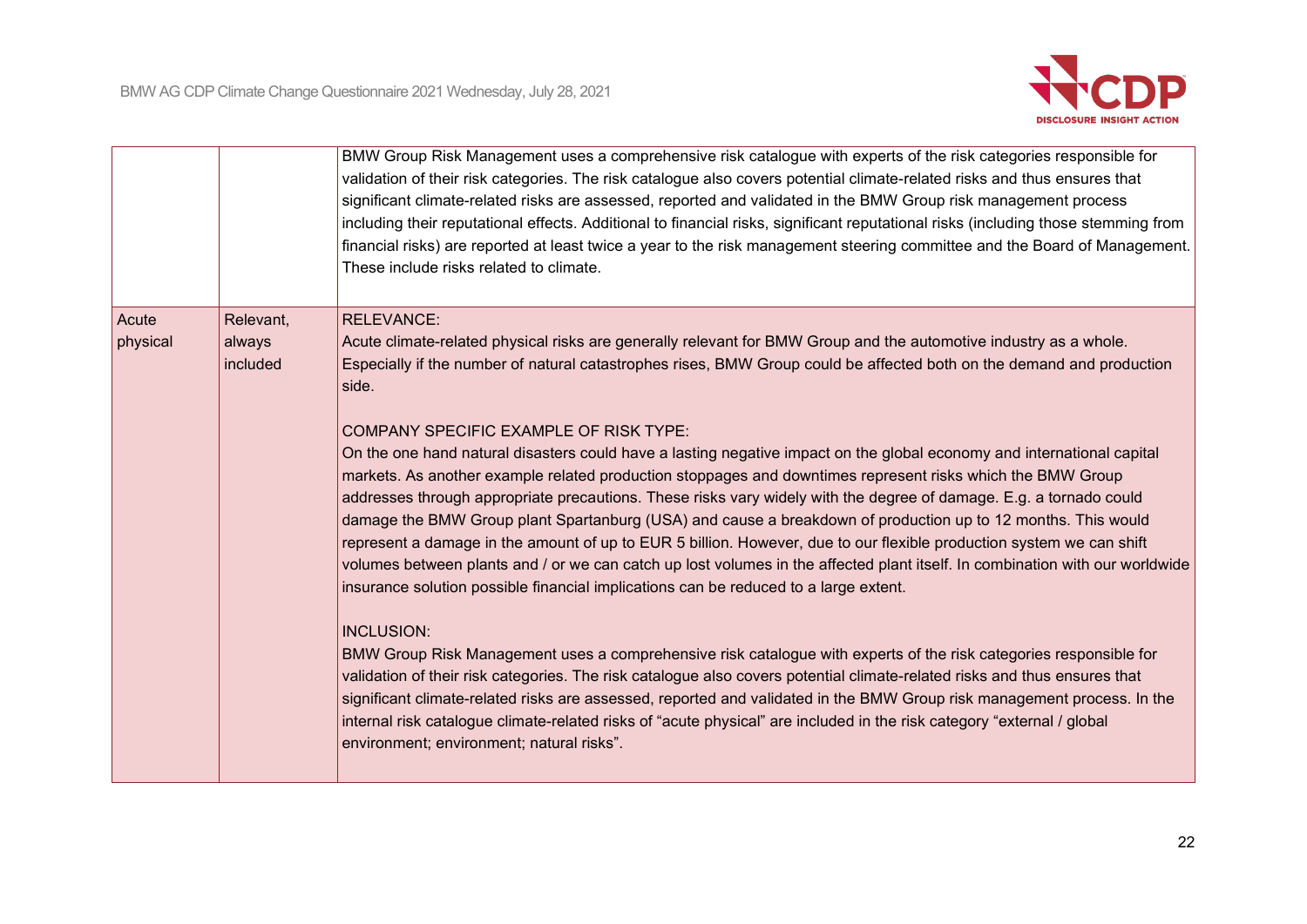

|                   |                                 | BMW Group Risk Management uses a comprehensive risk catalogue with experts of the risk categories responsible for<br>validation of their risk categories. The risk catalogue also covers potential climate-related risks and thus ensures that<br>significant climate-related risks are assessed, reported and validated in the BMW Group risk management process<br>including their reputational effects. Additional to financial risks, significant reputational risks (including those stemming from<br>financial risks) are reported at least twice a year to the risk management steering committee and the Board of Management.<br>These include risks related to climate.                                                                                                                                                                                                                                                                                                                                                                                                                                                                                                                                                                                                                                                                                                                                                                                                                                                                                                                                                                                                                                          |
|-------------------|---------------------------------|---------------------------------------------------------------------------------------------------------------------------------------------------------------------------------------------------------------------------------------------------------------------------------------------------------------------------------------------------------------------------------------------------------------------------------------------------------------------------------------------------------------------------------------------------------------------------------------------------------------------------------------------------------------------------------------------------------------------------------------------------------------------------------------------------------------------------------------------------------------------------------------------------------------------------------------------------------------------------------------------------------------------------------------------------------------------------------------------------------------------------------------------------------------------------------------------------------------------------------------------------------------------------------------------------------------------------------------------------------------------------------------------------------------------------------------------------------------------------------------------------------------------------------------------------------------------------------------------------------------------------------------------------------------------------------------------------------------------------|
| Acute<br>physical | Relevant,<br>always<br>included | <b>RELEVANCE:</b><br>Acute climate-related physical risks are generally relevant for BMW Group and the automotive industry as a whole.<br>Especially if the number of natural catastrophes rises, BMW Group could be affected both on the demand and production<br>side.<br>COMPANY SPECIFIC EXAMPLE OF RISK TYPE:<br>On the one hand natural disasters could have a lasting negative impact on the global economy and international capital<br>markets. As another example related production stoppages and downtimes represent risks which the BMW Group<br>addresses through appropriate precautions. These risks vary widely with the degree of damage. E.g. a tornado could<br>damage the BMW Group plant Spartanburg (USA) and cause a breakdown of production up to 12 months. This would<br>represent a damage in the amount of up to EUR 5 billion. However, due to our flexible production system we can shift<br>volumes between plants and / or we can catch up lost volumes in the affected plant itself. In combination with our worldwide<br>insurance solution possible financial implications can be reduced to a large extent.<br><b>INCLUSION:</b><br>BMW Group Risk Management uses a comprehensive risk catalogue with experts of the risk categories responsible for<br>validation of their risk categories. The risk catalogue also covers potential climate-related risks and thus ensures that<br>significant climate-related risks are assessed, reported and validated in the BMW Group risk management process. In the<br>internal risk catalogue climate-related risks of "acute physical" are included in the risk category "external / global<br>environment; environment; natural risks". |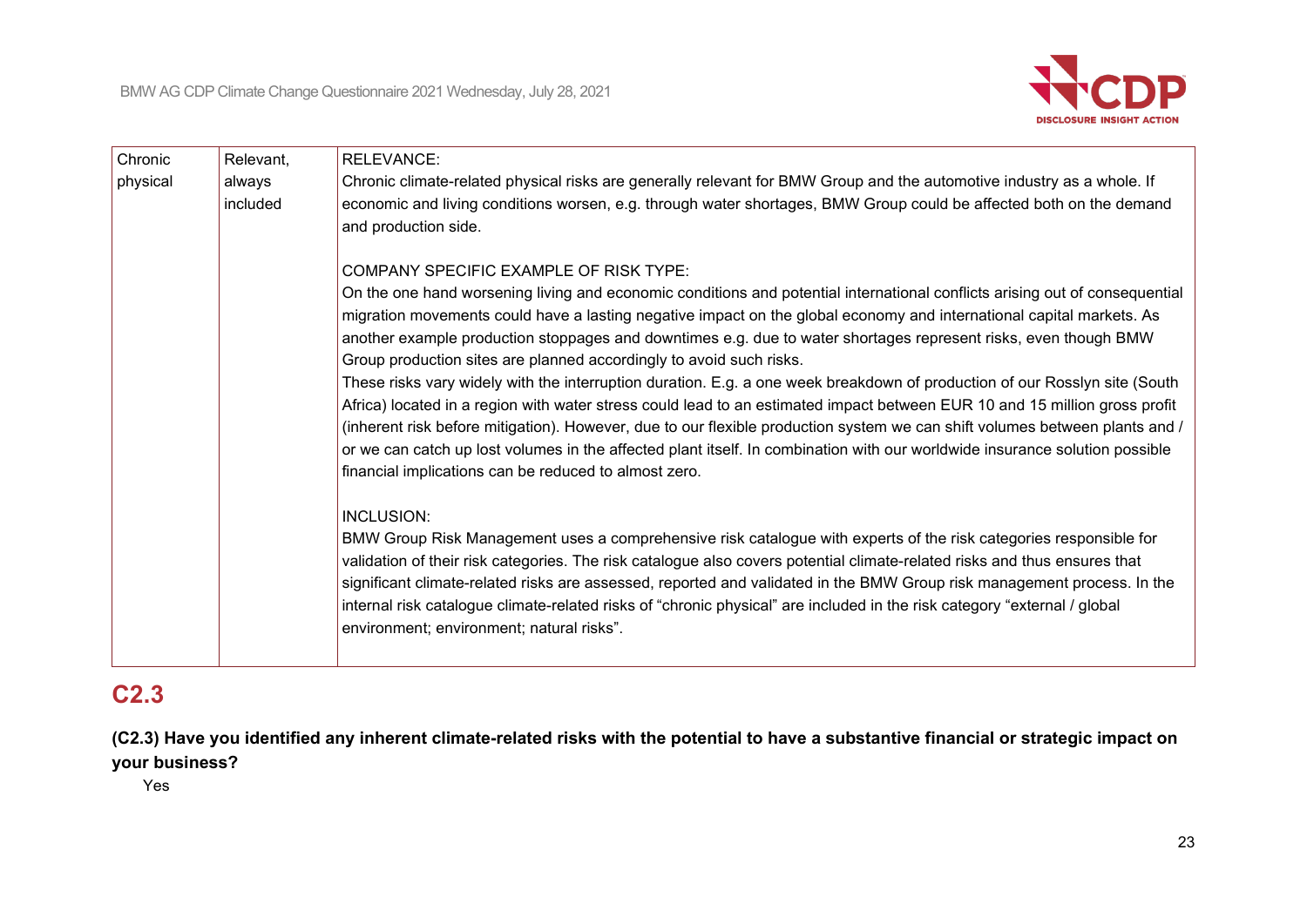

| Chronic  | Relevant,          | <b>RELEVANCE:</b>                                                                                                                                                                                                                                                                                                                                                                                                                                                                                                                                                                                                                                                                                                                                                                                                                                                                                                                                                                                                                                                                                                                                                                                                                                                                                                                                                                                                                                                                                                                                                                                                                                            |
|----------|--------------------|--------------------------------------------------------------------------------------------------------------------------------------------------------------------------------------------------------------------------------------------------------------------------------------------------------------------------------------------------------------------------------------------------------------------------------------------------------------------------------------------------------------------------------------------------------------------------------------------------------------------------------------------------------------------------------------------------------------------------------------------------------------------------------------------------------------------------------------------------------------------------------------------------------------------------------------------------------------------------------------------------------------------------------------------------------------------------------------------------------------------------------------------------------------------------------------------------------------------------------------------------------------------------------------------------------------------------------------------------------------------------------------------------------------------------------------------------------------------------------------------------------------------------------------------------------------------------------------------------------------------------------------------------------------|
| physical | always<br>included | Chronic climate-related physical risks are generally relevant for BMW Group and the automotive industry as a whole. If<br>economic and living conditions worsen, e.g. through water shortages, BMW Group could be affected both on the demand<br>and production side.                                                                                                                                                                                                                                                                                                                                                                                                                                                                                                                                                                                                                                                                                                                                                                                                                                                                                                                                                                                                                                                                                                                                                                                                                                                                                                                                                                                        |
|          |                    | <b>COMPANY SPECIFIC EXAMPLE OF RISK TYPE:</b><br>On the one hand worsening living and economic conditions and potential international conflicts arising out of consequential<br>migration movements could have a lasting negative impact on the global economy and international capital markets. As<br>another example production stoppages and downtimes e.g. due to water shortages represent risks, even though BMW<br>Group production sites are planned accordingly to avoid such risks.<br>These risks vary widely with the interruption duration. E.g. a one week breakdown of production of our Rosslyn site (South<br>Africa) located in a region with water stress could lead to an estimated impact between EUR 10 and 15 million gross profit<br>(inherent risk before mitigation). However, due to our flexible production system we can shift volumes between plants and /<br>or we can catch up lost volumes in the affected plant itself. In combination with our worldwide insurance solution possible<br>financial implications can be reduced to almost zero.<br><b>INCLUSION:</b><br>BMW Group Risk Management uses a comprehensive risk catalogue with experts of the risk categories responsible for<br>validation of their risk categories. The risk catalogue also covers potential climate-related risks and thus ensures that<br>significant climate-related risks are assessed, reported and validated in the BMW Group risk management process. In the<br>internal risk catalogue climate-related risks of "chronic physical" are included in the risk category "external / global<br>environment; environment; natural risks". |

# **C2.3**

**(C2.3) Have you identified any inherent climate-related risks with the potential to have a substantive financial or strategic impact on your business?**

Yes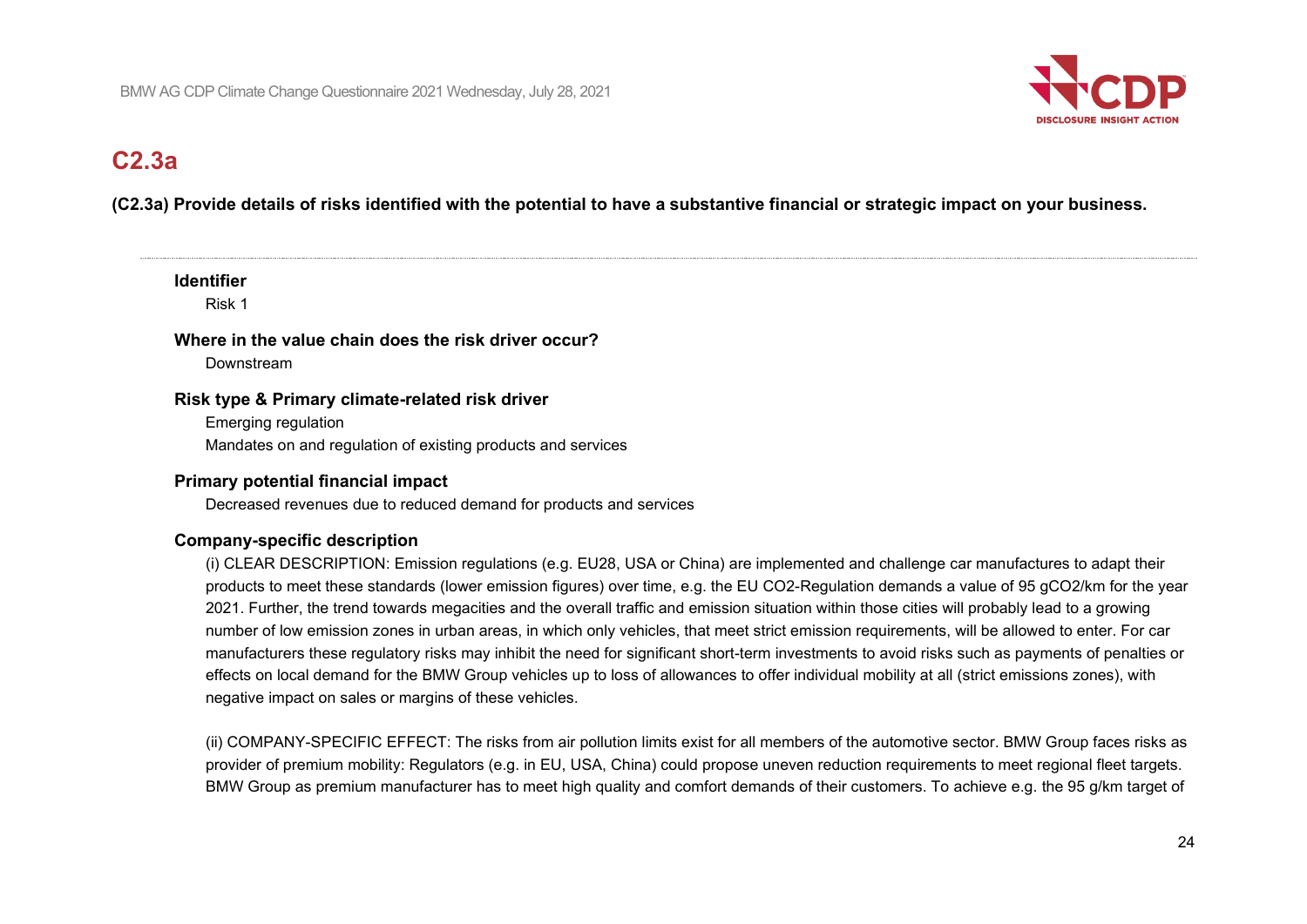

# **C2.3a**

## **(C2.3a) Provide details of risks identified with the potential to have a substantive financial or strategic impact on your business.**

### **Identifier**

Risk 1

### **Where in the value chain does the risk driver occur?**

Downstream

### **Risk type & Primary climate-related risk driver**

Emerging regulation Mandates on and regulation of existing products and services

## **Primary potential financial impact**

Decreased revenues due to reduced demand for products and services

## **Company-specific description**

(i) CLEAR DESCRIPTION: Emission regulations (e.g. EU28, USA or China) are implemented and challenge car manufactures to adapt their products to meet these standards (lower emission figures) over time, e.g. the EU CO2-Regulation demands a value of 95 gCO2/km for the year 2021. Further, the trend towards megacities and the overall traffic and emission situation within those cities will probably lead to a growing number of low emission zones in urban areas, in which only vehicles, that meet strict emission requirements, will be allowed to enter. For car manufacturers these regulatory risks may inhibit the need for significant short-term investments to avoid risks such as payments of penalties or effects on local demand for the BMW Group vehicles up to loss of allowances to offer individual mobility at all (strict emissions zones), with negative impact on sales or margins of these vehicles.

(ii) COMPANY-SPECIFIC EFFECT: The risks from air pollution limits exist for all members of the automotive sector. BMW Group faces risks as provider of premium mobility: Regulators (e.g. in EU, USA, China) could propose uneven reduction requirements to meet regional fleet targets. BMW Group as premium manufacturer has to meet high quality and comfort demands of their customers. To achieve e.g. the 95 g/km target of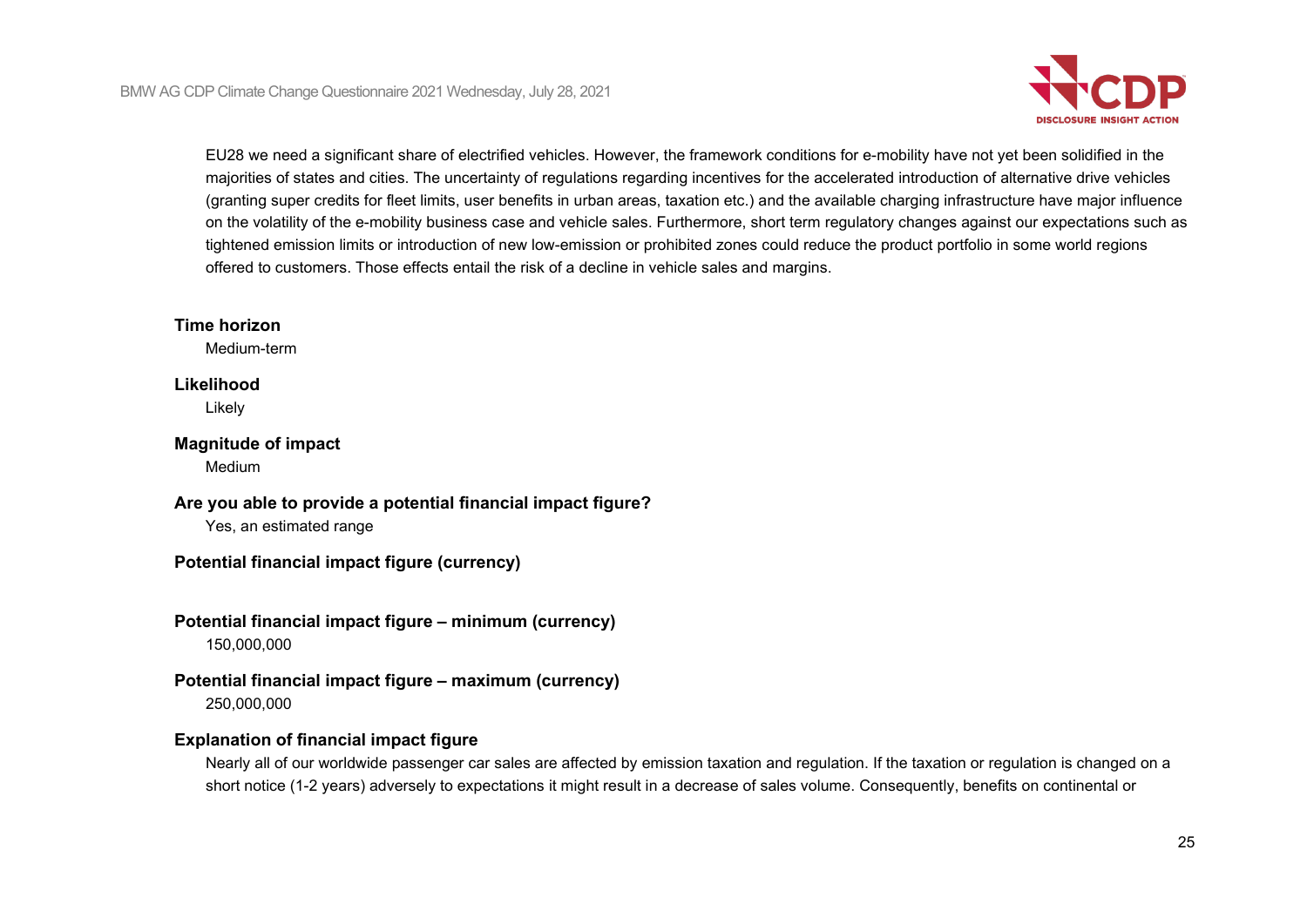

EU28 we need a significant share of electrified vehicles. However, the framework conditions for e-mobility have not yet been solidified in the majorities of states and cities. The uncertainty of regulations regarding incentives for the accelerated introduction of alternative drive vehicles (granting super credits for fleet limits, user benefits in urban areas, taxation etc.) and the available charging infrastructure have major influence on the volatility of the e-mobility business case and vehicle sales. Furthermore, short term regulatory changes against our expectations such as tightened emission limits or introduction of new low-emission or prohibited zones could reduce the product portfolio in some world regions offered to customers. Those effects entail the risk of a decline in vehicle sales and margins.

### **Time horizon**

Medium-term

### **Likelihood**

Likely

#### **Magnitude of impact** Medium

**Are you able to provide a potential financial impact figure?**

Yes, an estimated range

# **Potential financial impact figure (currency)**

# **Potential financial impact figure – minimum (currency)**

150,000,000

### **Potential financial impact figure – maximum (currency)** 250,000,000

# **Explanation of financial impact figure**

Nearly all of our worldwide passenger car sales are affected by emission taxation and regulation. If the taxation or regulation is changed on a short notice (1-2 years) adversely to expectations it might result in a decrease of sales volume. Consequently, benefits on continental or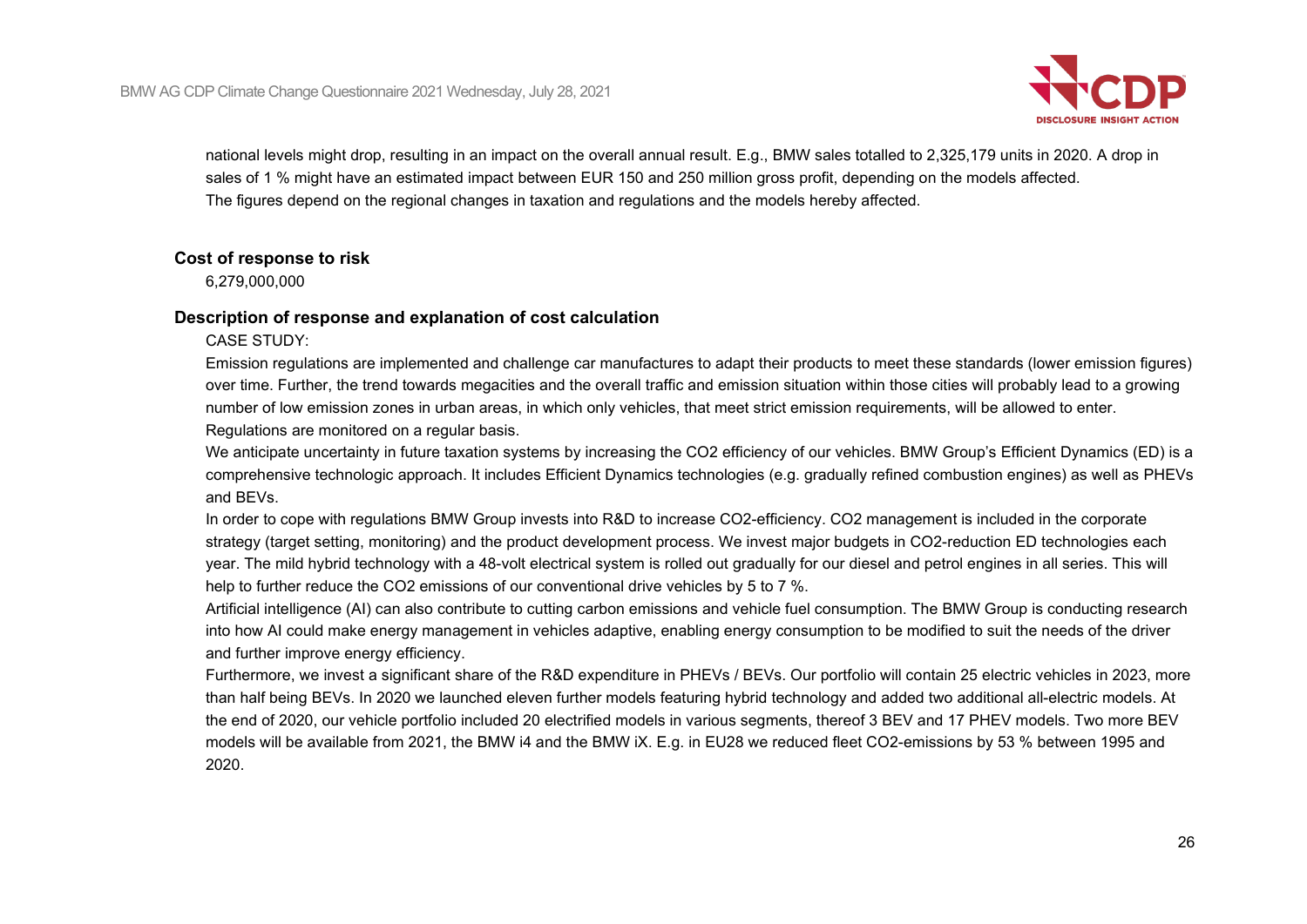

national levels might drop, resulting in an impact on the overall annual result. E.g., BMW sales totalled to 2,325,179 units in 2020. A drop in sales of 1 % might have an estimated impact between EUR 150 and 250 million gross profit, depending on the models affected. The figures depend on the regional changes in taxation and regulations and the models hereby affected.

#### **Cost of response to risk**

6,279,000,000

### **Description of response and explanation of cost calculation**

CASE STUDY:

Emission regulations are implemented and challenge car manufactures to adapt their products to meet these standards (lower emission figures) over time. Further, the trend towards megacities and the overall traffic and emission situation within those cities will probably lead to a growing number of low emission zones in urban areas, in which only vehicles, that meet strict emission requirements, will be allowed to enter. Regulations are monitored on a regular basis.

We anticipate uncertainty in future taxation systems by increasing the CO2 efficiency of our vehicles. BMW Group's Efficient Dynamics (ED) is a comprehensive technologic approach. It includes Efficient Dynamics technologies (e.g. gradually refined combustion engines) as well as PHEVs and BEVs.

In order to cope with regulations BMW Group invests into R&D to increase CO2-efficiency. CO2 management is included in the corporate strategy (target setting, monitoring) and the product development process. We invest major budgets in CO2-reduction ED technologies each year. The mild hybrid technology with a 48-volt electrical system is rolled out gradually for our diesel and petrol engines in all series. This will help to further reduce the CO2 emissions of our conventional drive vehicles by 5 to 7 %.

Artificial intelligence (AI) can also contribute to cutting carbon emissions and vehicle fuel consumption. The BMW Group is conducting research into how AI could make energy management in vehicles adaptive, enabling energy consumption to be modified to suit the needs of the driver and further improve energy efficiency.

Furthermore, we invest a significant share of the R&D expenditure in PHEVs / BEVs. Our portfolio will contain 25 electric vehicles in 2023, more than half being BEVs. In 2020 we launched eleven further models featuring hybrid technology and added two additional all-electric models. At the end of 2020, our vehicle portfolio included 20 electrified models in various segments, thereof 3 BEV and 17 PHEV models. Two more BEV models will be available from 2021, the BMW i4 and the BMW iX. E.g. in EU28 we reduced fleet CO2-emissions by 53 % between 1995 and 2020.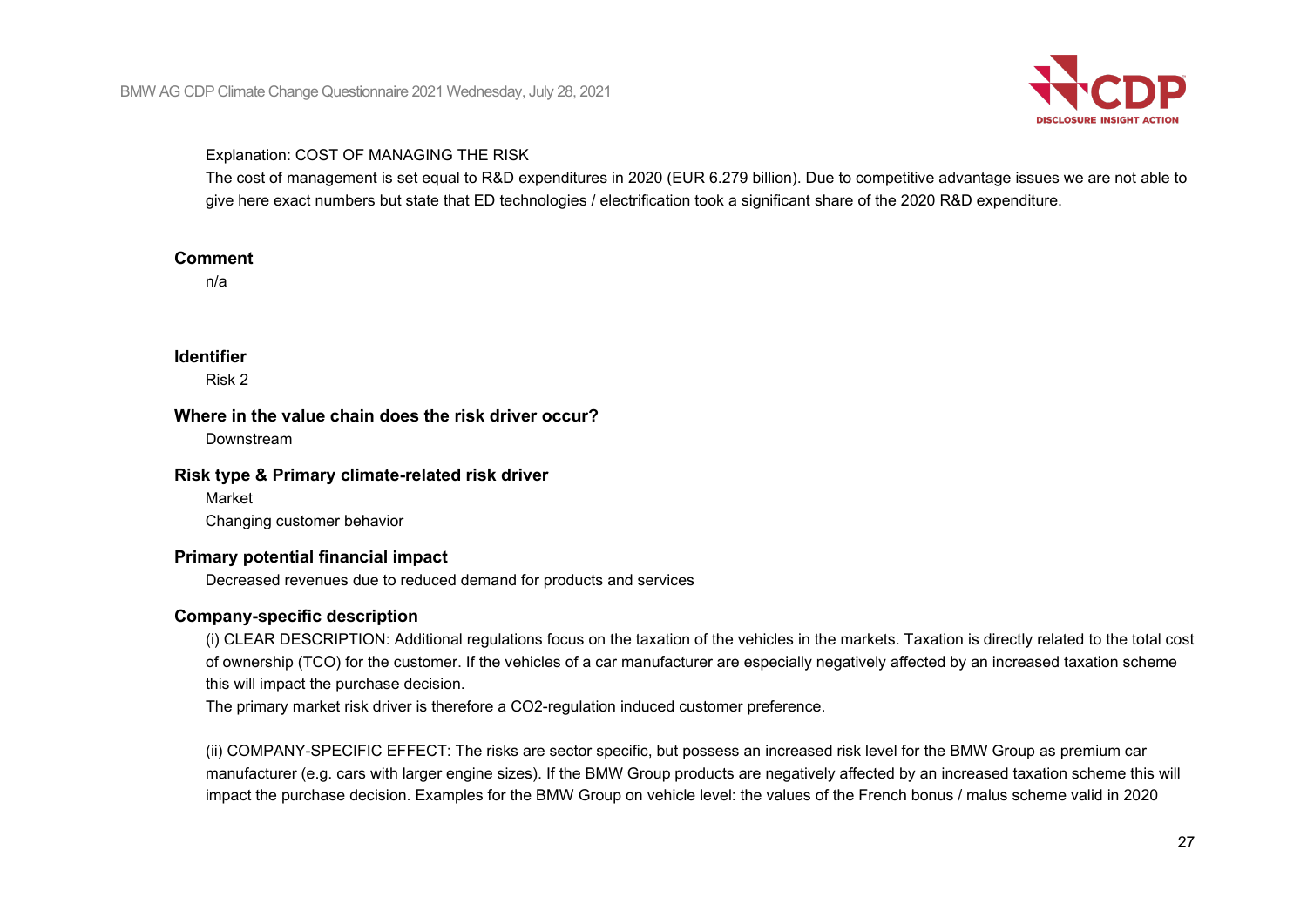

#### Explanation: COST OF MANAGING THE RISK

The cost of management is set equal to R&D expenditures in 2020 (EUR 6.279 billion). Due to competitive advantage issues we are not able to give here exact numbers but state that ED technologies / electrification took a significant share of the 2020 R&D expenditure.

#### **Comment**

n/a

#### **Identifier**

Risk 2

#### **Where in the value chain does the risk driver occur?**

Downstream

#### **Risk type & Primary climate-related risk driver**

Market

Changing customer behavior

### **Primary potential financial impact**

Decreased revenues due to reduced demand for products and services

### **Company-specific description**

(i) CLEAR DESCRIPTION: Additional regulations focus on the taxation of the vehicles in the markets. Taxation is directly related to the total cost of ownership (TCO) for the customer. If the vehicles of a car manufacturer are especially negatively affected by an increased taxation scheme this will impact the purchase decision.

The primary market risk driver is therefore a CO2-regulation induced customer preference.

(ii) COMPANY-SPECIFIC EFFECT: The risks are sector specific, but possess an increased risk level for the BMW Group as premium car manufacturer (e.g. cars with larger engine sizes). If the BMW Group products are negatively affected by an increased taxation scheme this will impact the purchase decision. Examples for the BMW Group on vehicle level: the values of the French bonus / malus scheme valid in 2020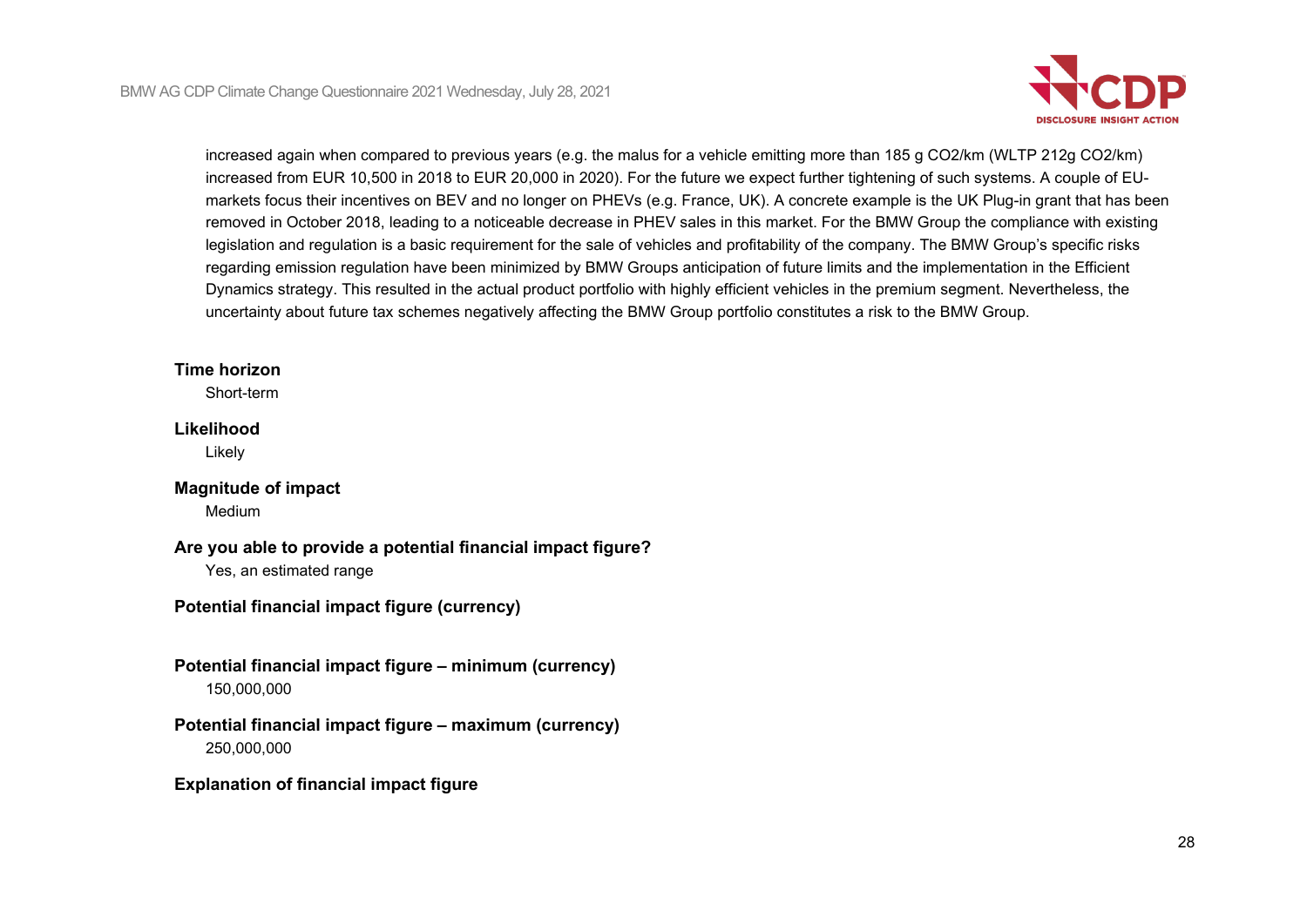

increased again when compared to previous years (e.g. the malus for a vehicle emitting more than 185 g CO2/km (WLTP 212g CO2/km) increased from EUR 10,500 in 2018 to EUR 20,000 in 2020). For the future we expect further tightening of such systems. A couple of EUmarkets focus their incentives on BEV and no longer on PHEVs (e.g. France, UK). A concrete example is the UK Plug-in grant that has been removed in October 2018, leading to a noticeable decrease in PHEV sales in this market. For the BMW Group the compliance with existing legislation and regulation is a basic requirement for the sale of vehicles and profitability of the company. The BMW Group's specific risks regarding emission regulation have been minimized by BMW Groups anticipation of future limits and the implementation in the Efficient Dynamics strategy. This resulted in the actual product portfolio with highly efficient vehicles in the premium segment. Nevertheless, the uncertainty about future tax schemes negatively affecting the BMW Group portfolio constitutes a risk to the BMW Group.

### **Time horizon**

Short-term

#### **Likelihood**

Likely

## **Magnitude of impact**

Medium

## **Are you able to provide a potential financial impact figure?**

Yes, an estimated range

# **Potential financial impact figure (currency)**

**Potential financial impact figure – minimum (currency)** 150,000,000

# **Potential financial impact figure – maximum (currency)** 250,000,000

### **Explanation of financial impact figure**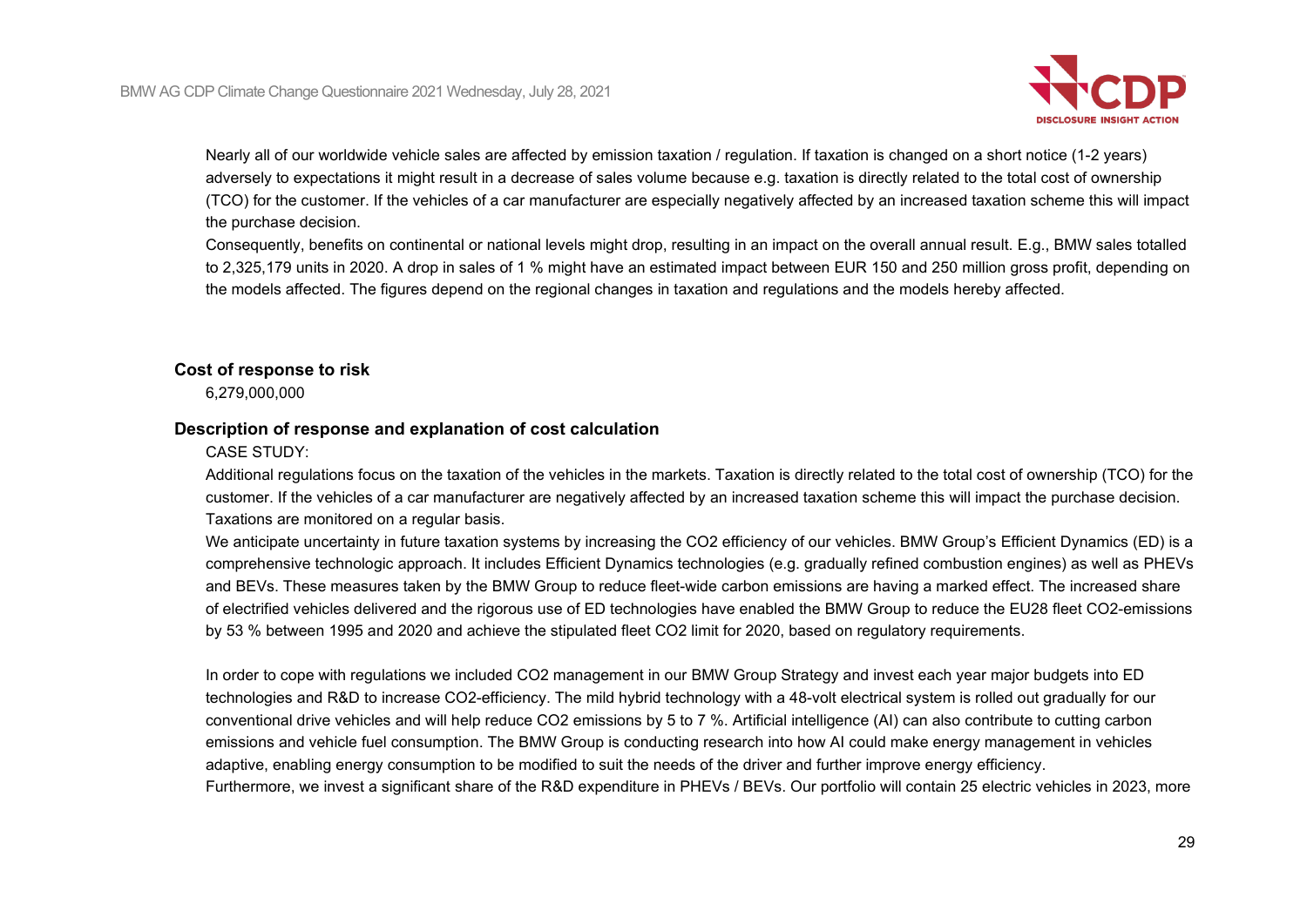

Nearly all of our worldwide vehicle sales are affected by emission taxation / regulation. If taxation is changed on a short notice (1-2 years) adversely to expectations it might result in a decrease of sales volume because e.g. taxation is directly related to the total cost of ownership (TCO) for the customer. If the vehicles of a car manufacturer are especially negatively affected by an increased taxation scheme this will impact the purchase decision.

Consequently, benefits on continental or national levels might drop, resulting in an impact on the overall annual result. E.g., BMW sales totalled to 2,325,179 units in 2020. A drop in sales of 1 % might have an estimated impact between EUR 150 and 250 million gross profit, depending on the models affected. The figures depend on the regional changes in taxation and regulations and the models hereby affected.

### **Cost of response to risk**

6,279,000,000

### **Description of response and explanation of cost calculation**

#### CASE STUDY:

Additional regulations focus on the taxation of the vehicles in the markets. Taxation is directly related to the total cost of ownership (TCO) for the customer. If the vehicles of a car manufacturer are negatively affected by an increased taxation scheme this will impact the purchase decision. Taxations are monitored on a regular basis.

We anticipate uncertainty in future taxation systems by increasing the CO2 efficiency of our vehicles. BMW Group's Efficient Dynamics (ED) is a comprehensive technologic approach. It includes Efficient Dynamics technologies (e.g. gradually refined combustion engines) as well as PHEVs and BEVs. These measures taken by the BMW Group to reduce fleet-wide carbon emissions are having a marked effect. The increased share of electrified vehicles delivered and the rigorous use of ED technologies have enabled the BMW Group to reduce the EU28 fleet CO2-emissions by 53 % between 1995 and 2020 and achieve the stipulated fleet CO2 limit for 2020, based on regulatory requirements.

In order to cope with regulations we included CO2 management in our BMW Group Strategy and invest each year major budgets into ED technologies and R&D to increase CO2-efficiency. The mild hybrid technology with a 48-volt electrical system is rolled out gradually for our conventional drive vehicles and will help reduce CO2 emissions by 5 to 7 %. Artificial intelligence (AI) can also contribute to cutting carbon emissions and vehicle fuel consumption. The BMW Group is conducting research into how AI could make energy management in vehicles adaptive, enabling energy consumption to be modified to suit the needs of the driver and further improve energy efficiency. Furthermore, we invest a significant share of the R&D expenditure in PHEVs / BEVs. Our portfolio will contain 25 electric vehicles in 2023, more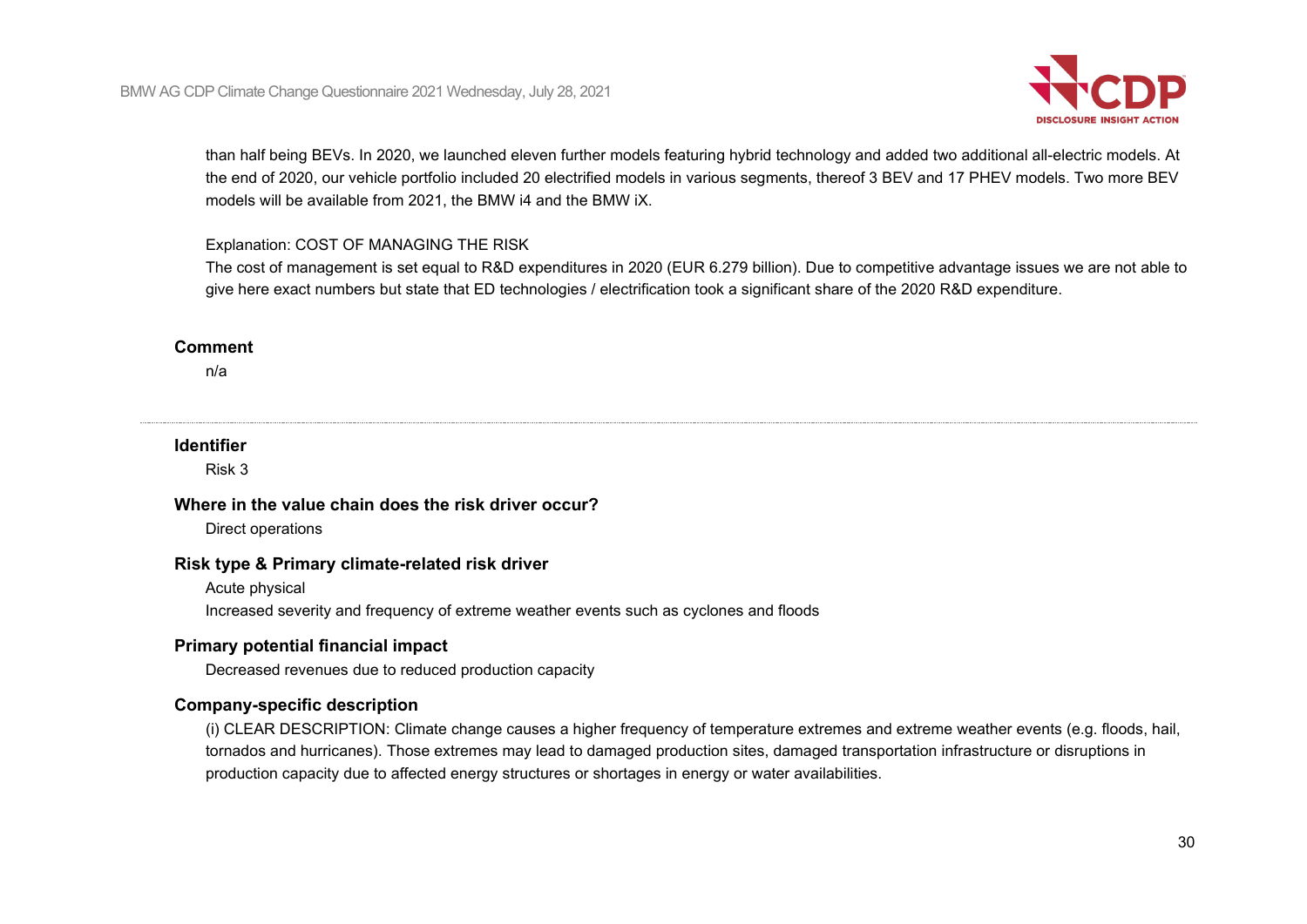

than half being BEVs. In 2020, we launched eleven further models featuring hybrid technology and added two additional all-electric models. At the end of 2020, our vehicle portfolio included 20 electrified models in various segments, thereof 3 BEV and 17 PHEV models. Two more BEV models will be available from 2021, the BMW i4 and the BMW iX.

#### Explanation: COST OF MANAGING THE RISK

The cost of management is set equal to R&D expenditures in 2020 (EUR 6.279 billion). Due to competitive advantage issues we are not able to give here exact numbers but state that ED technologies / electrification took a significant share of the 2020 R&D expenditure.

#### **Comment**

n/a

#### **Identifier**

Risk 3

#### **Where in the value chain does the risk driver occur?**

Direct operations

#### **Risk type & Primary climate-related risk driver**

Acute physical

Increased severity and frequency of extreme weather events such as cyclones and floods

#### **Primary potential financial impact**

Decreased revenues due to reduced production capacity

#### **Company-specific description**

(i) CLEAR DESCRIPTION: Climate change causes a higher frequency of temperature extremes and extreme weather events (e.g. floods, hail, tornados and hurricanes). Those extremes may lead to damaged production sites, damaged transportation infrastructure or disruptions in production capacity due to affected energy structures or shortages in energy or water availabilities.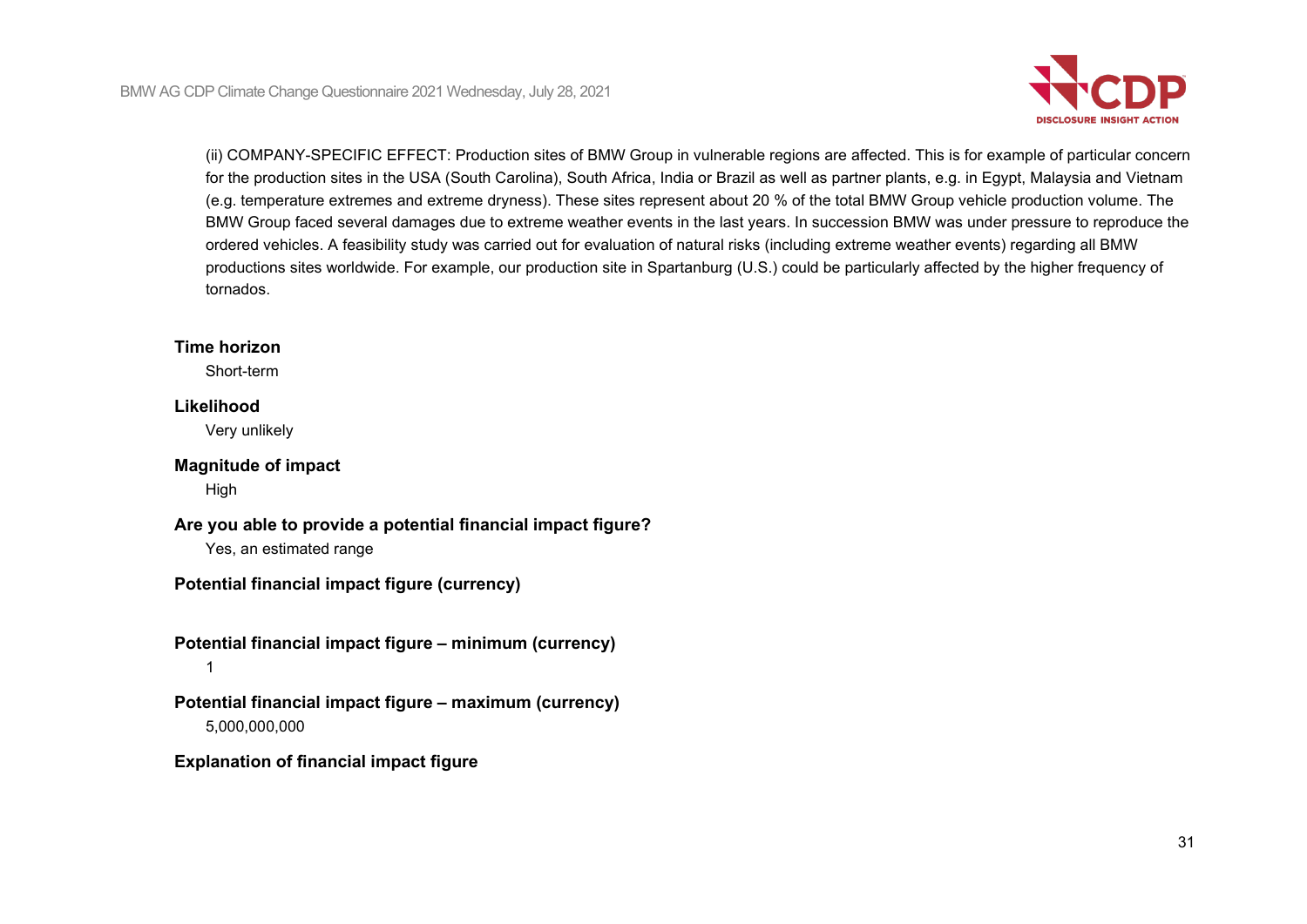

(ii) COMPANY-SPECIFIC EFFECT: Production sites of BMW Group in vulnerable regions are affected. This is for example of particular concern for the production sites in the USA (South Carolina), South Africa, India or Brazil as well as partner plants, e.g. in Egypt, Malaysia and Vietnam (e.g. temperature extremes and extreme dryness). These sites represent about 20 % of the total BMW Group vehicle production volume. The BMW Group faced several damages due to extreme weather events in the last years. In succession BMW was under pressure to reproduce the ordered vehicles. A feasibility study was carried out for evaluation of natural risks (including extreme weather events) regarding all BMW productions sites worldwide. For example, our production site in Spartanburg (U.S.) could be particularly affected by the higher frequency of tornados.

#### **Time horizon**

Short-term

# **Likelihood**

Very unlikely

# **Magnitude of impact**

High

### **Are you able to provide a potential financial impact figure?** Yes, an estimated range

**Potential financial impact figure (currency)**

# **Potential financial impact figure – minimum (currency)** 1

# **Potential financial impact figure – maximum (currency)** 5,000,000,000

## **Explanation of financial impact figure**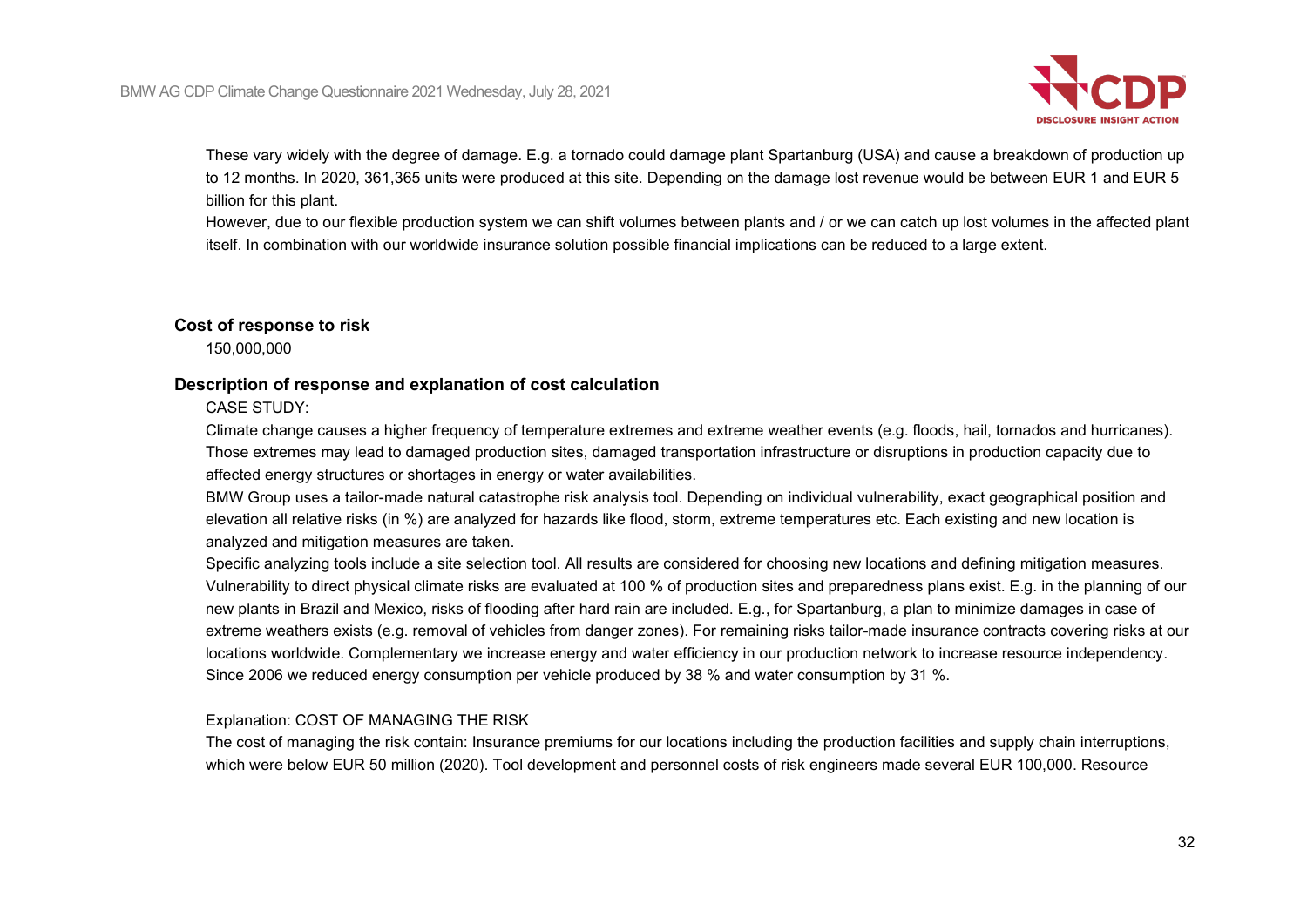

These vary widely with the degree of damage. E.g. a tornado could damage plant Spartanburg (USA) and cause a breakdown of production up to 12 months. In 2020, 361,365 units were produced at this site. Depending on the damage lost revenue would be between EUR 1 and EUR 5 billion for this plant.

However, due to our flexible production system we can shift volumes between plants and / or we can catch up lost volumes in the affected plant itself. In combination with our worldwide insurance solution possible financial implications can be reduced to a large extent.

### **Cost of response to risk**

150,000,000

### **Description of response and explanation of cost calculation**

### CASE STUDY:

Climate change causes a higher frequency of temperature extremes and extreme weather events (e.g. floods, hail, tornados and hurricanes). Those extremes may lead to damaged production sites, damaged transportation infrastructure or disruptions in production capacity due to affected energy structures or shortages in energy or water availabilities.

BMW Group uses a tailor-made natural catastrophe risk analysis tool. Depending on individual vulnerability, exact geographical position and elevation all relative risks (in %) are analyzed for hazards like flood, storm, extreme temperatures etc. Each existing and new location is analyzed and mitigation measures are taken.

Specific analyzing tools include a site selection tool. All results are considered for choosing new locations and defining mitigation measures. Vulnerability to direct physical climate risks are evaluated at 100 % of production sites and preparedness plans exist. E.g. in the planning of our new plants in Brazil and Mexico, risks of flooding after hard rain are included. E.g., for Spartanburg, a plan to minimize damages in case of extreme weathers exists (e.g. removal of vehicles from danger zones). For remaining risks tailor-made insurance contracts covering risks at our locations worldwide. Complementary we increase energy and water efficiency in our production network to increase resource independency. Since 2006 we reduced energy consumption per vehicle produced by 38 % and water consumption by 31 %.

### Explanation: COST OF MANAGING THE RISK

The cost of managing the risk contain: Insurance premiums for our locations including the production facilities and supply chain interruptions, which were below EUR 50 million (2020). Tool development and personnel costs of risk engineers made several EUR 100,000. Resource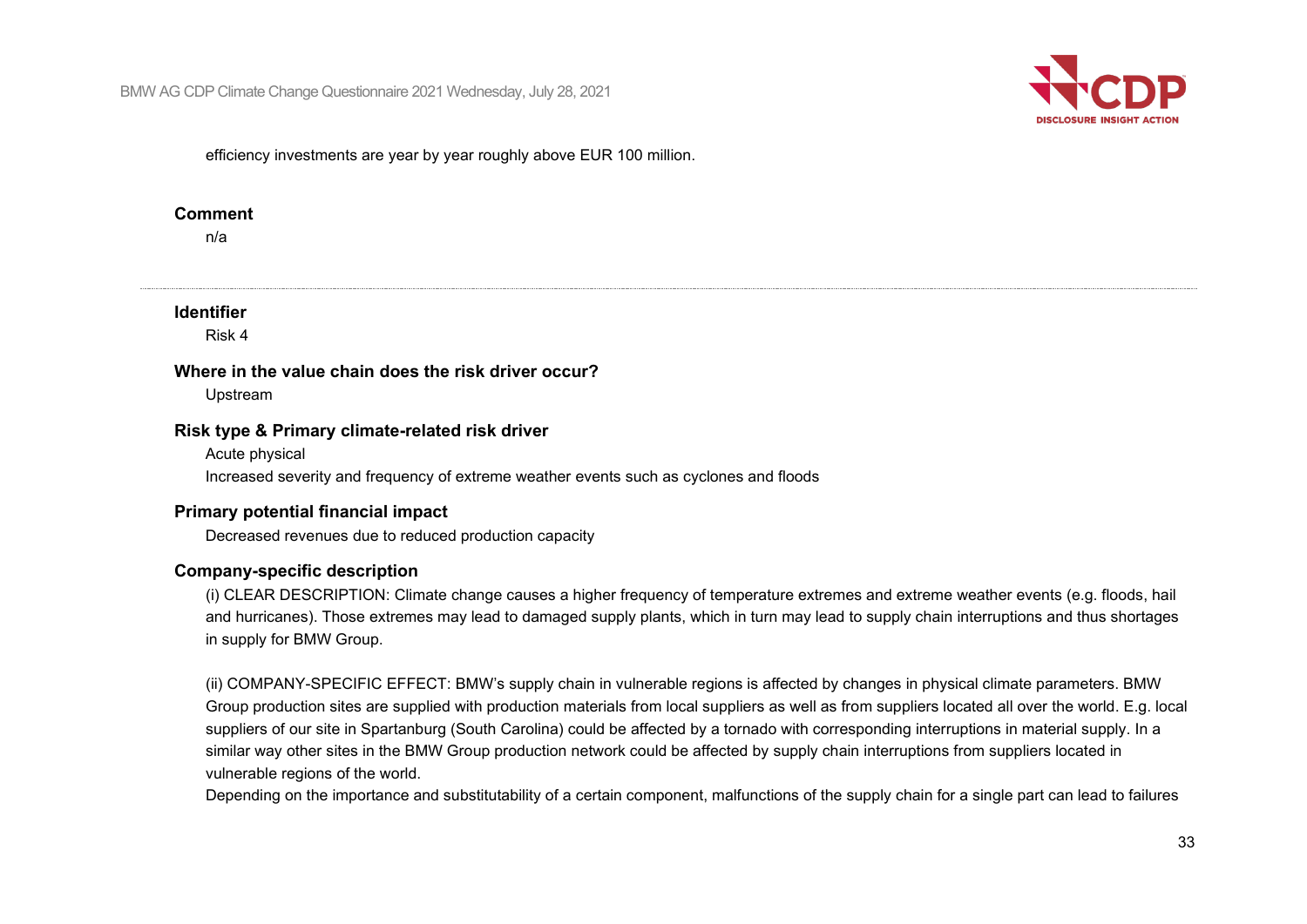

efficiency investments are year by year roughly above EUR 100 million.

#### **Comment**

n/a

### **Identifier**

Risk 4

#### **Where in the value chain does the risk driver occur?**

Upstream

#### **Risk type & Primary climate-related risk driver**

Acute physical Increased severity and frequency of extreme weather events such as cyclones and floods

## **Primary potential financial impact**

Decreased revenues due to reduced production capacity

### **Company-specific description**

(i) CLEAR DESCRIPTION: Climate change causes a higher frequency of temperature extremes and extreme weather events (e.g. floods, hail and hurricanes). Those extremes may lead to damaged supply plants, which in turn may lead to supply chain interruptions and thus shortages in supply for BMW Group.

(ii) COMPANY-SPECIFIC EFFECT: BMW's supply chain in vulnerable regions is affected by changes in physical climate parameters. BMW Group production sites are supplied with production materials from local suppliers as well as from suppliers located all over the world. E.g. local suppliers of our site in Spartanburg (South Carolina) could be affected by a tornado with corresponding interruptions in material supply. In a similar way other sites in the BMW Group production network could be affected by supply chain interruptions from suppliers located in vulnerable regions of the world.

Depending on the importance and substitutability of a certain component, malfunctions of the supply chain for a single part can lead to failures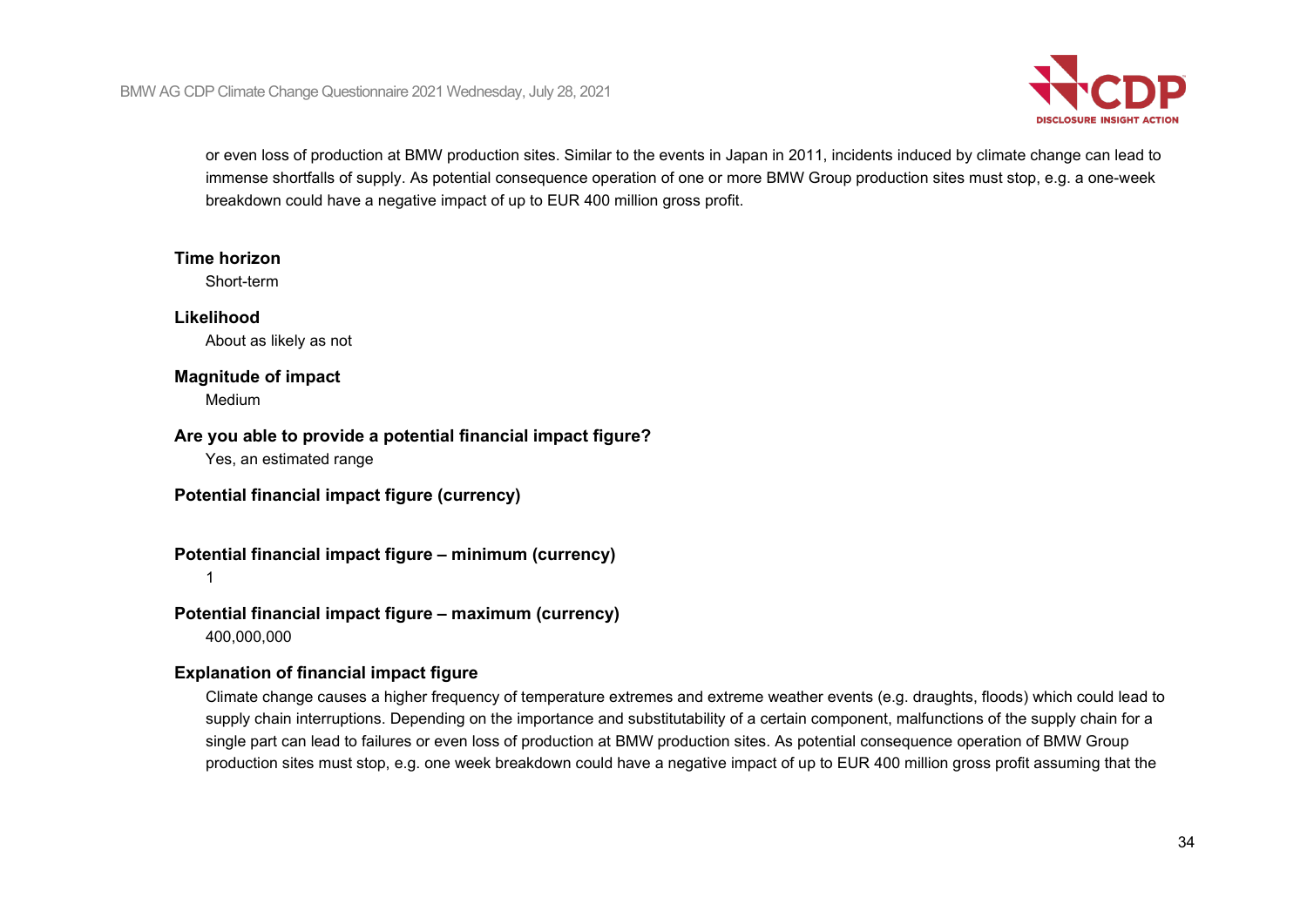

or even loss of production at BMW production sites. Similar to the events in Japan in 2011, incidents induced by climate change can lead to immense shortfalls of supply. As potential consequence operation of one or more BMW Group production sites must stop, e.g. a one-week breakdown could have a negative impact of up to EUR 400 million gross profit.

#### **Time horizon**

Short-term

### **Likelihood**

About as likely as not

### **Magnitude of impact**

Medium

### **Are you able to provide a potential financial impact figure?**

Yes, an estimated range

**Potential financial impact figure (currency)**

# **Potential financial impact figure – minimum (currency)**

1

# **Potential financial impact figure – maximum (currency)**

400,000,000

# **Explanation of financial impact figure**

Climate change causes a higher frequency of temperature extremes and extreme weather events (e.g. draughts, floods) which could lead to supply chain interruptions. Depending on the importance and substitutability of a certain component, malfunctions of the supply chain for a single part can lead to failures or even loss of production at BMW production sites. As potential consequence operation of BMW Group production sites must stop, e.g. one week breakdown could have a negative impact of up to EUR 400 million gross profit assuming that the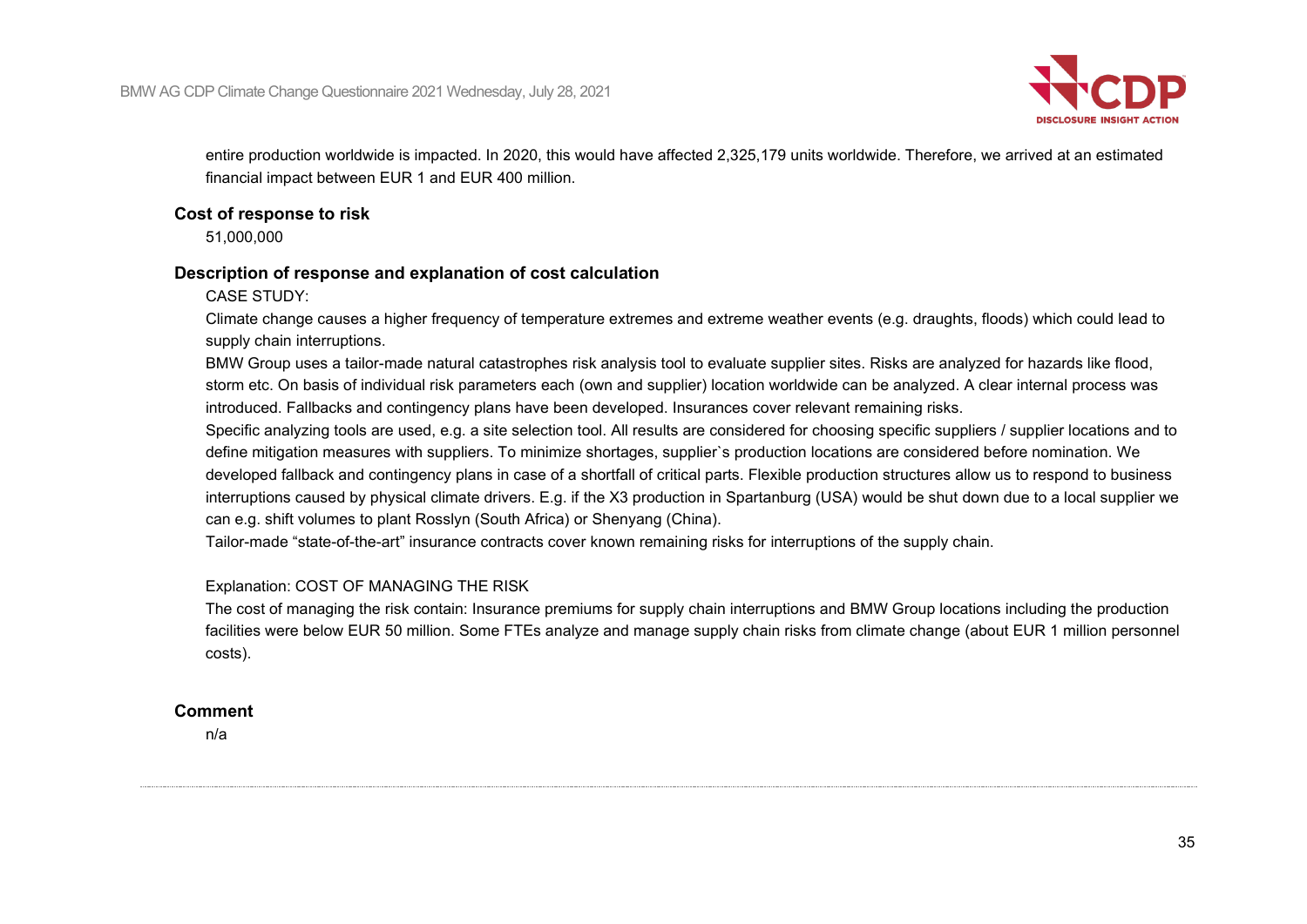

entire production worldwide is impacted. In 2020, this would have affected 2,325,179 units worldwide. Therefore, we arrived at an estimated financial impact between EUR 1 and EUR 400 million.

#### **Cost of response to risk**

51,000,000

### **Description of response and explanation of cost calculation**

CASE STUDY:

Climate change causes a higher frequency of temperature extremes and extreme weather events (e.g. draughts, floods) which could lead to supply chain interruptions.

BMW Group uses a tailor-made natural catastrophes risk analysis tool to evaluate supplier sites. Risks are analyzed for hazards like flood, storm etc. On basis of individual risk parameters each (own and supplier) location worldwide can be analyzed. A clear internal process was introduced. Fallbacks and contingency plans have been developed. Insurances cover relevant remaining risks.

Specific analyzing tools are used, e.g. a site selection tool. All results are considered for choosing specific suppliers / supplier locations and to define mitigation measures with suppliers. To minimize shortages, supplier`s production locations are considered before nomination. We developed fallback and contingency plans in case of a shortfall of critical parts. Flexible production structures allow us to respond to business interruptions caused by physical climate drivers. E.g. if the X3 production in Spartanburg (USA) would be shut down due to a local supplier we can e.g. shift volumes to plant Rosslyn (South Africa) or Shenyang (China).

Tailor-made "state-of-the-art" insurance contracts cover known remaining risks for interruptions of the supply chain.

### Explanation: COST OF MANAGING THE RISK

The cost of managing the risk contain: Insurance premiums for supply chain interruptions and BMW Group locations including the production facilities were below EUR 50 million. Some FTEs analyze and manage supply chain risks from climate change (about EUR 1 million personnel costs).

### **Comment**

n/a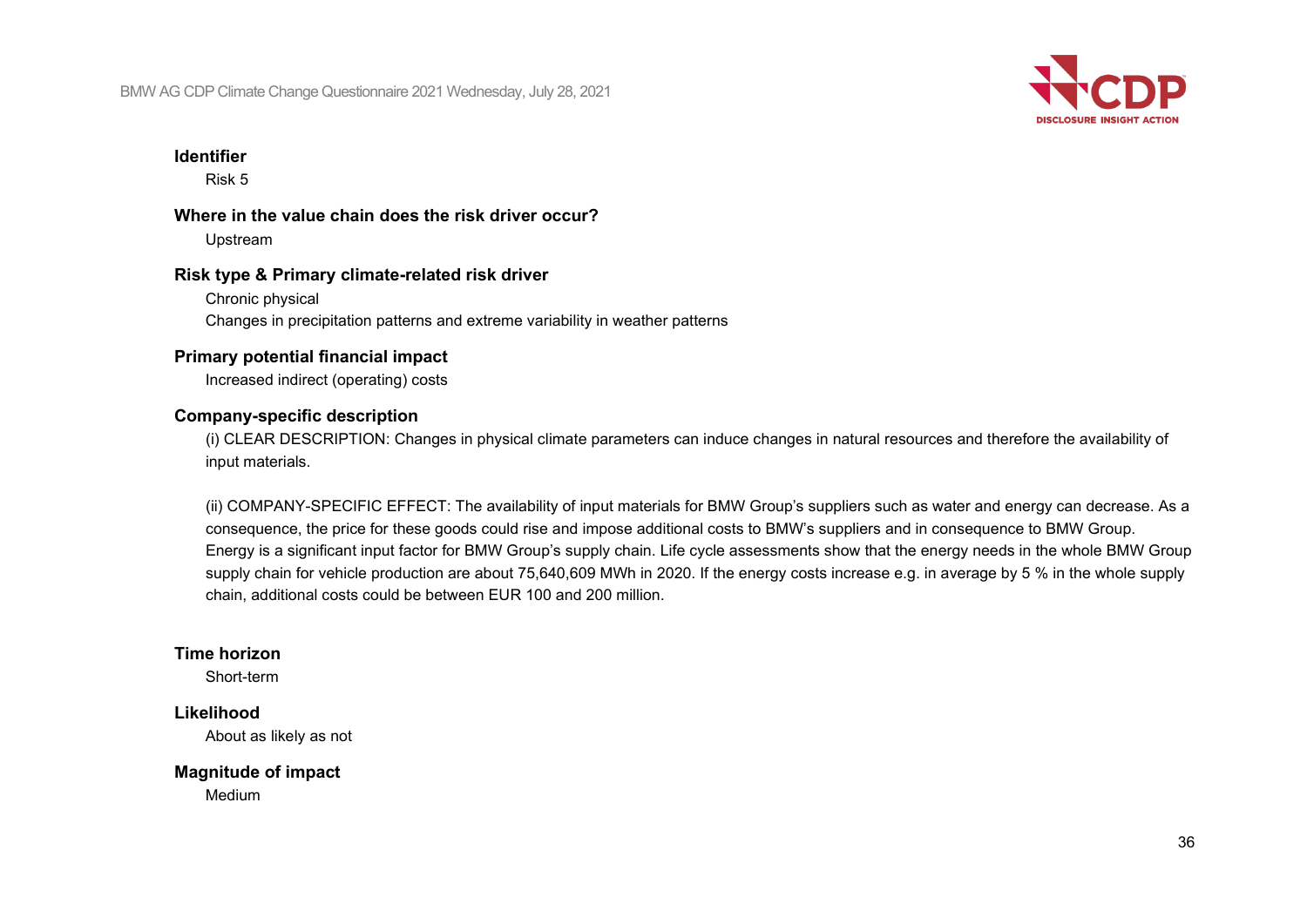

#### **Identifier**

Risk 5

### **Where in the value chain does the risk driver occur?** Upstream

#### **Risk type & Primary climate-related risk driver**

Chronic physical Changes in precipitation patterns and extreme variability in weather patterns

### **Primary potential financial impact**

Increased indirect (operating) costs

#### **Company-specific description**

(i) CLEAR DESCRIPTION: Changes in physical climate parameters can induce changes in natural resources and therefore the availability of input materials.

(ii) COMPANY-SPECIFIC EFFECT: The availability of input materials for BMW Group's suppliers such as water and energy can decrease. As a consequence, the price for these goods could rise and impose additional costs to BMW's suppliers and in consequence to BMW Group. Energy is a significant input factor for BMW Group's supply chain. Life cycle assessments show that the energy needs in the whole BMW Group supply chain for vehicle production are about 75,640,609 MWh in 2020. If the energy costs increase e.g. in average by 5 % in the whole supply chain, additional costs could be between EUR 100 and 200 million.

#### **Time horizon**

Short-term

### **Likelihood**

About as likely as not

#### **Magnitude of impact**

Medium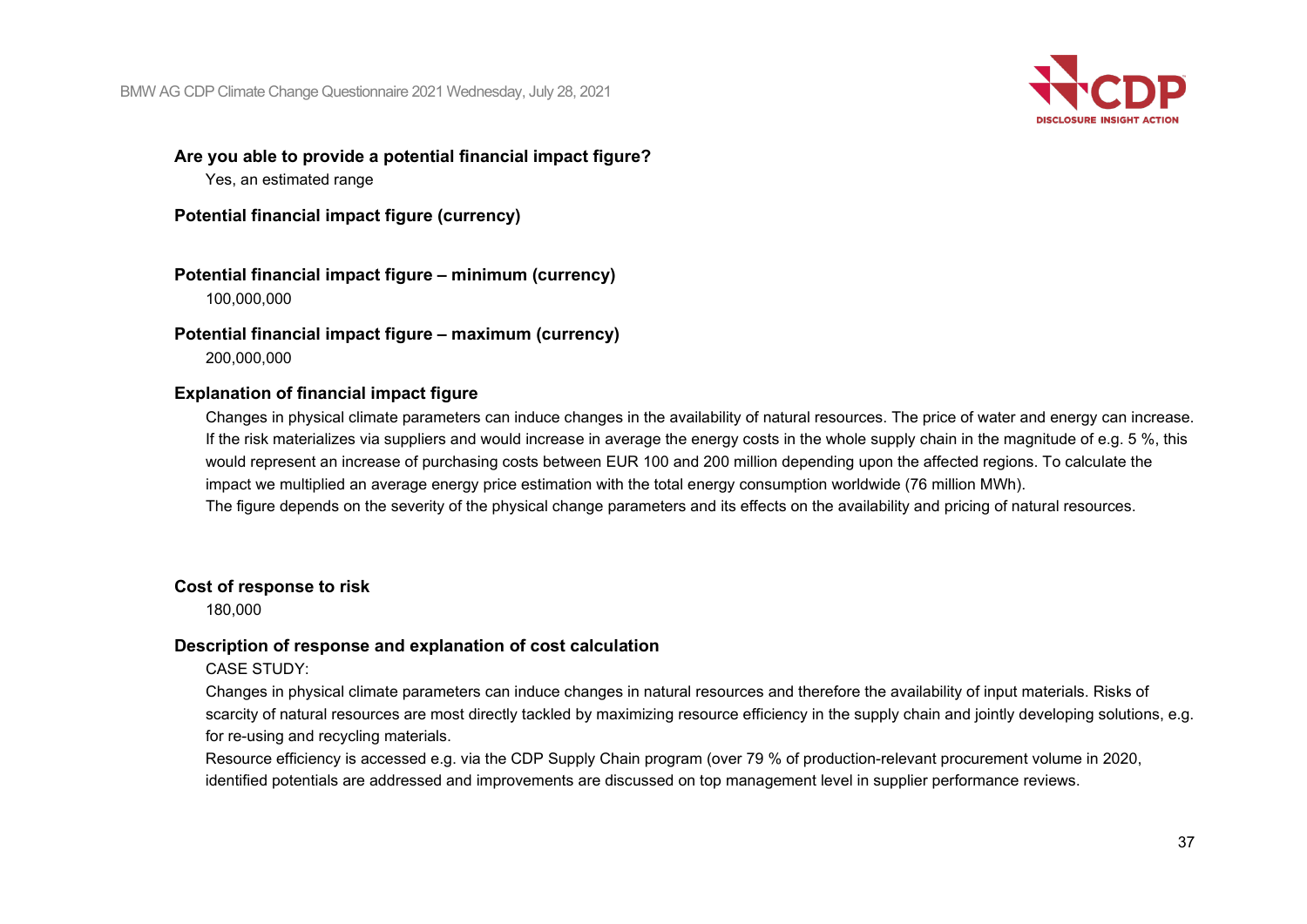

## **Are you able to provide a potential financial impact figure?**

Yes, an estimated range

**Potential financial impact figure (currency)**

**Potential financial impact figure – minimum (currency)** 100,000,000

**Potential financial impact figure – maximum (currency)** 200,000,000

## **Explanation of financial impact figure**

Changes in physical climate parameters can induce changes in the availability of natural resources. The price of water and energy can increase. If the risk materializes via suppliers and would increase in average the energy costs in the whole supply chain in the magnitude of e.g. 5 %, this would represent an increase of purchasing costs between EUR 100 and 200 million depending upon the affected regions. To calculate the impact we multiplied an average energy price estimation with the total energy consumption worldwide (76 million MWh). The figure depends on the severity of the physical change parameters and its effects on the availability and pricing of natural resources.

### **Cost of response to risk**

180,000

### **Description of response and explanation of cost calculation**

CASE STUDY:

Changes in physical climate parameters can induce changes in natural resources and therefore the availability of input materials. Risks of scarcity of natural resources are most directly tackled by maximizing resource efficiency in the supply chain and jointly developing solutions, e.g. for re-using and recycling materials.

Resource efficiency is accessed e.g. via the CDP Supply Chain program (over 79 % of production-relevant procurement volume in 2020, identified potentials are addressed and improvements are discussed on top management level in supplier performance reviews.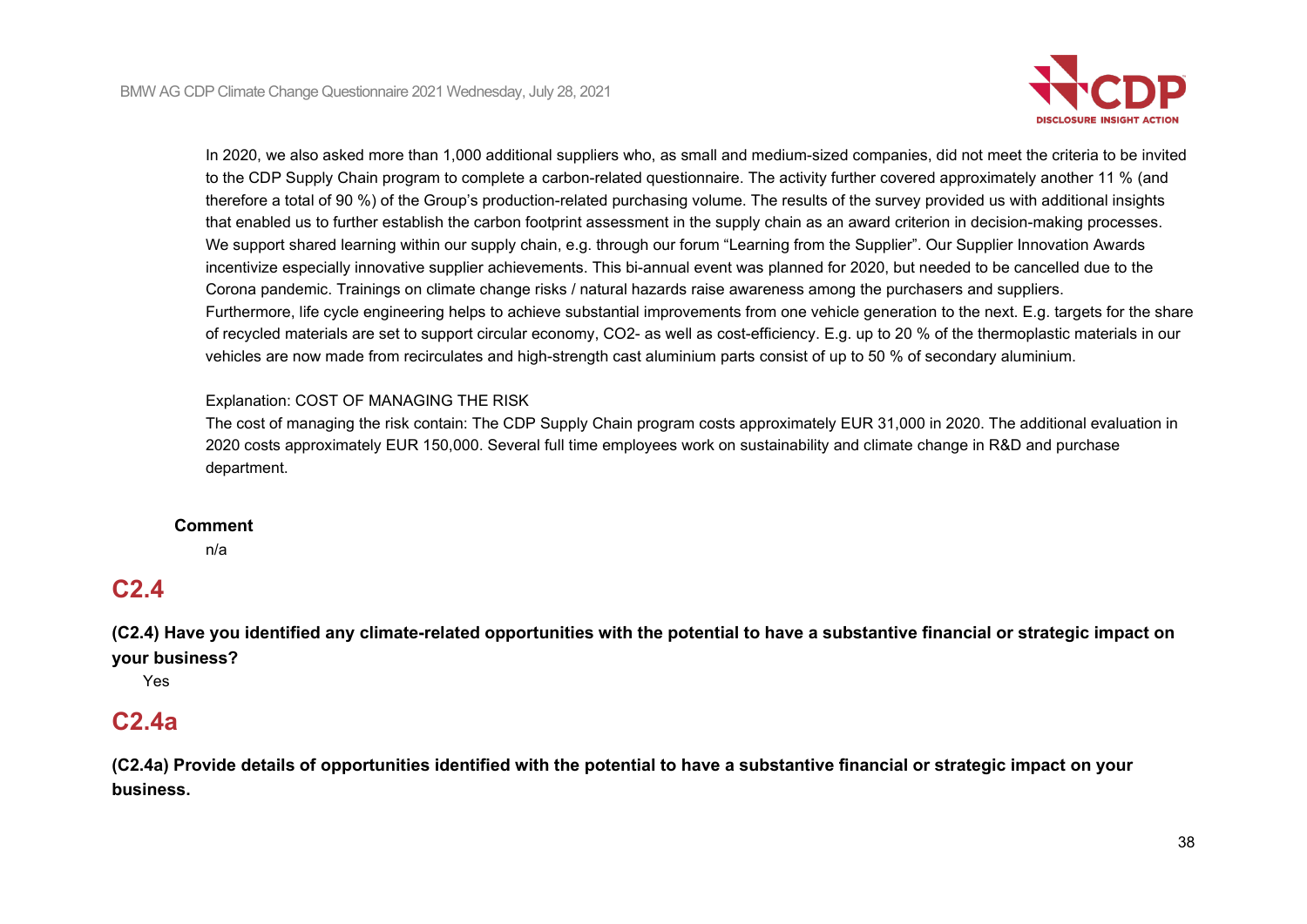

In 2020, we also asked more than 1,000 additional suppliers who, as small and medium-sized companies, did not meet the criteria to be invited to the CDP Supply Chain program to complete a carbon-related questionnaire. The activity further covered approximately another 11 % (and therefore a total of 90 %) of the Group's production-related purchasing volume. The results of the survey provided us with additional insights that enabled us to further establish the carbon footprint assessment in the supply chain as an award criterion in decision-making processes. We support shared learning within our supply chain, e.g. through our forum "Learning from the Supplier". Our Supplier Innovation Awards incentivize especially innovative supplier achievements. This bi-annual event was planned for 2020, but needed to be cancelled due to the Corona pandemic. Trainings on climate change risks / natural hazards raise awareness among the purchasers and suppliers. Furthermore, life cycle engineering helps to achieve substantial improvements from one vehicle generation to the next. E.g. targets for the share of recycled materials are set to support circular economy, CO2- as well as cost-efficiency. E.g. up to 20 % of the thermoplastic materials in our vehicles are now made from recirculates and high-strength cast aluminium parts consist of up to 50 % of secondary aluminium.

### Explanation: COST OF MANAGING THE RISK

The cost of managing the risk contain: The CDP Supply Chain program costs approximately EUR 31,000 in 2020. The additional evaluation in 2020 costs approximately EUR 150,000. Several full time employees work on sustainability and climate change in R&D and purchase department.

#### **Comment**

n/a

# **C2.4**

**(C2.4) Have you identified any climate-related opportunities with the potential to have a substantive financial or strategic impact on your business?**

Yes

## **C2.4a**

**(C2.4a) Provide details of opportunities identified with the potential to have a substantive financial or strategic impact on your business.**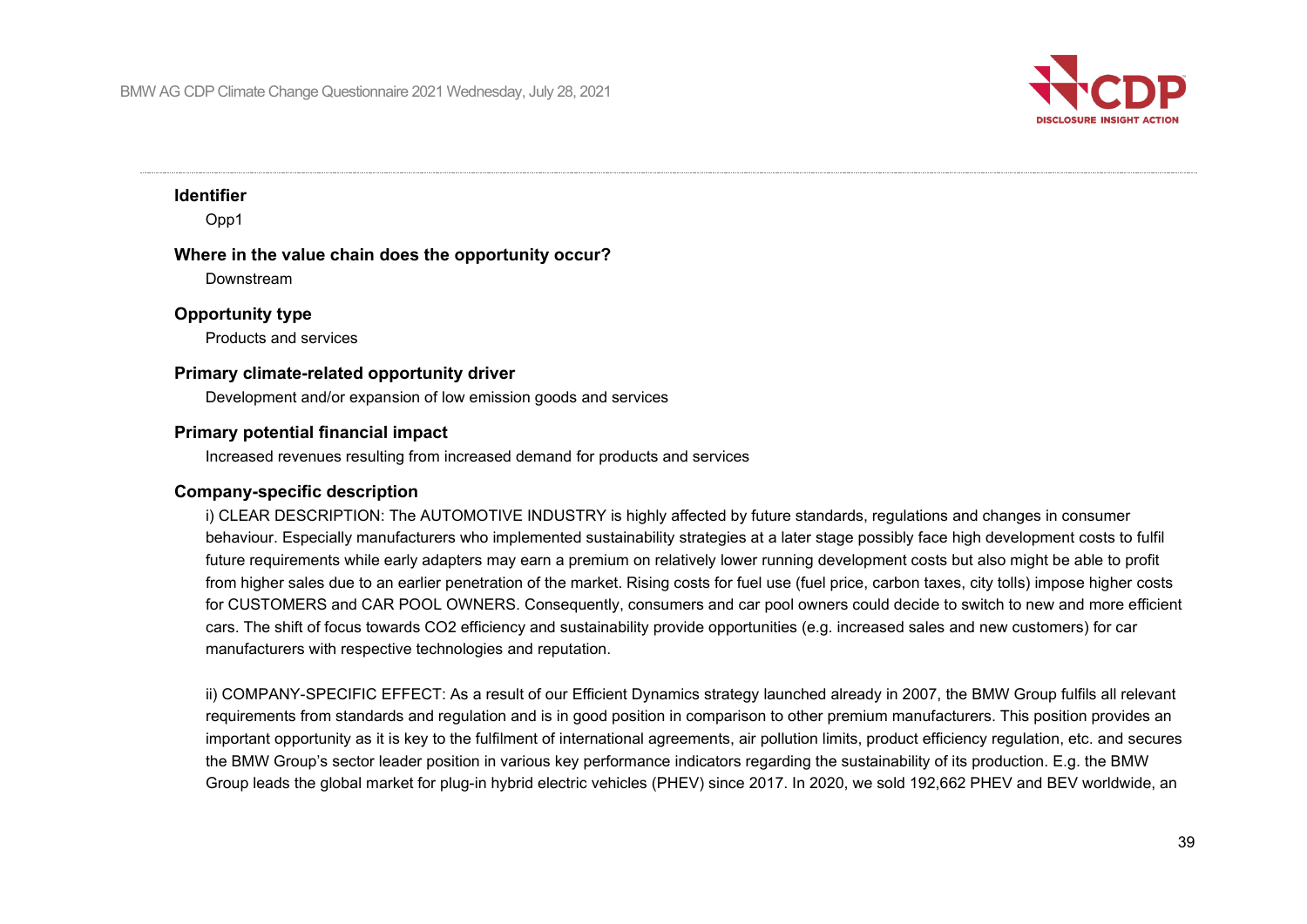

### **Identifier**

Opp1

### **Where in the value chain does the opportunity occur?**

Downstream

### **Opportunity type**

Products and services

### **Primary climate-related opportunity driver**

Development and/or expansion of low emission goods and services

### **Primary potential financial impact**

Increased revenues resulting from increased demand for products and services

### **Company-specific description**

i) CLEAR DESCRIPTION: The AUTOMOTIVE INDUSTRY is highly affected by future standards, regulations and changes in consumer behaviour. Especially manufacturers who implemented sustainability strategies at a later stage possibly face high development costs to fulfil future requirements while early adapters may earn a premium on relatively lower running development costs but also might be able to profit from higher sales due to an earlier penetration of the market. Rising costs for fuel use (fuel price, carbon taxes, city tolls) impose higher costs for CUSTOMERS and CAR POOL OWNERS. Consequently, consumers and car pool owners could decide to switch to new and more efficient cars. The shift of focus towards CO2 efficiency and sustainability provide opportunities (e.g. increased sales and new customers) for car manufacturers with respective technologies and reputation.

ii) COMPANY-SPECIFIC EFFECT: As a result of our Efficient Dynamics strategy launched already in 2007, the BMW Group fulfils all relevant requirements from standards and regulation and is in good position in comparison to other premium manufacturers. This position provides an important opportunity as it is key to the fulfilment of international agreements, air pollution limits, product efficiency regulation, etc. and secures the BMW Group's sector leader position in various key performance indicators regarding the sustainability of its production. E.g. the BMW Group leads the global market for plug-in hybrid electric vehicles (PHEV) since 2017. In 2020, we sold 192,662 PHEV and BEV worldwide, an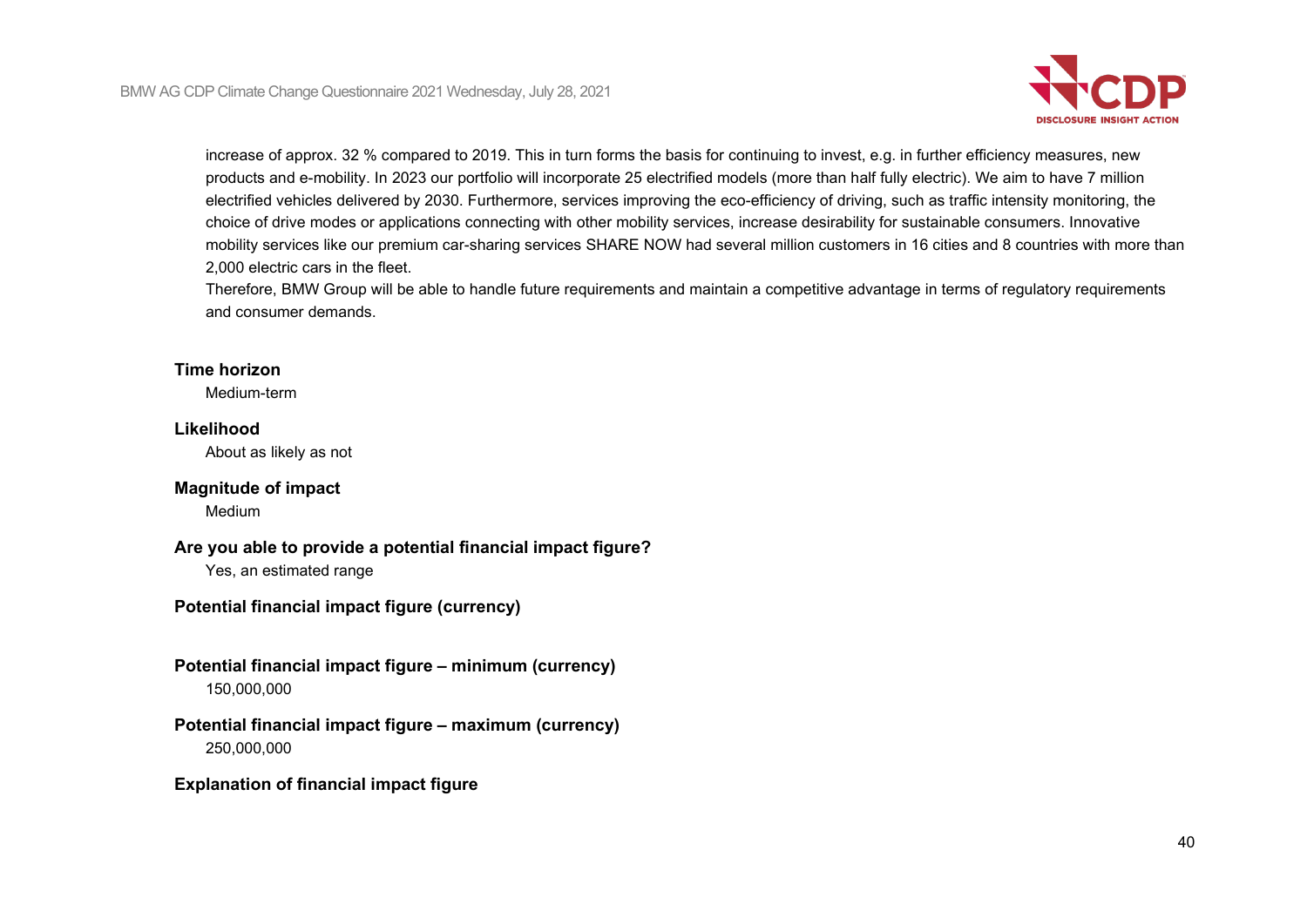

increase of approx. 32 % compared to 2019. This in turn forms the basis for continuing to invest, e.g. in further efficiency measures, new products and e-mobility. In 2023 our portfolio will incorporate 25 electrified models (more than half fully electric). We aim to have 7 million electrified vehicles delivered by 2030. Furthermore, services improving the eco-efficiency of driving, such as traffic intensity monitoring, the choice of drive modes or applications connecting with other mobility services, increase desirability for sustainable consumers. Innovative mobility services like our premium car-sharing services SHARE NOW had several million customers in 16 cities and 8 countries with more than 2,000 electric cars in the fleet.

Therefore, BMW Group will be able to handle future requirements and maintain a competitive advantage in terms of regulatory requirements and consumer demands.

### **Time horizon**

Medium-term

### **Likelihood**

About as likely as not

### **Magnitude of impact**

Medium

### **Are you able to provide a potential financial impact figure?**

Yes, an estimated range

## **Potential financial impact figure (currency)**

**Potential financial impact figure – minimum (currency)** 150,000,000

### **Potential financial impact figure – maximum (currency)** 250,000,000

### **Explanation of financial impact figure**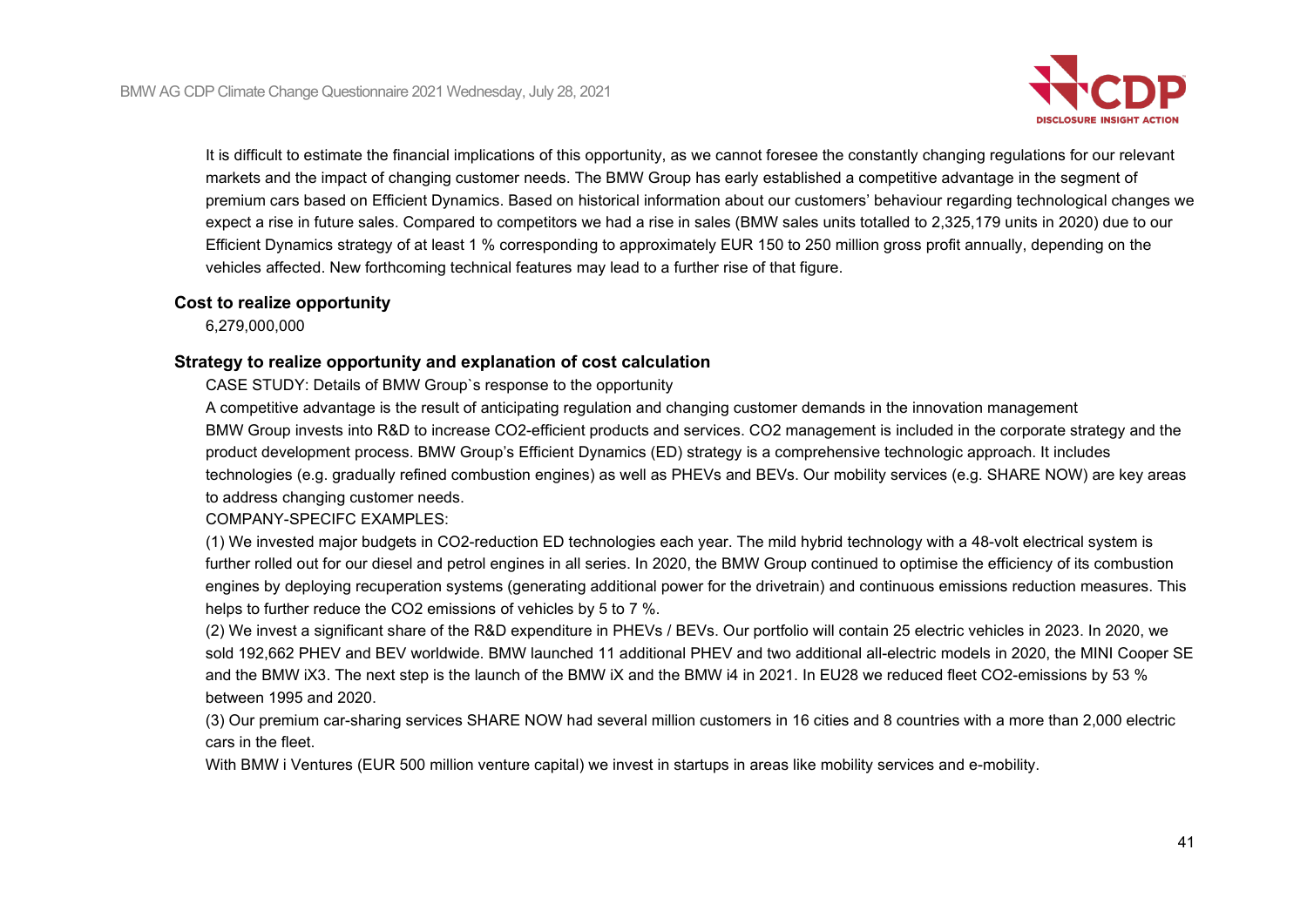

It is difficult to estimate the financial implications of this opportunity, as we cannot foresee the constantly changing regulations for our relevant markets and the impact of changing customer needs. The BMW Group has early established a competitive advantage in the segment of premium cars based on Efficient Dynamics. Based on historical information about our customers' behaviour regarding technological changes we expect a rise in future sales. Compared to competitors we had a rise in sales (BMW sales units totalled to 2,325,179 units in 2020) due to our Efficient Dynamics strategy of at least 1 % corresponding to approximately EUR 150 to 250 million gross profit annually, depending on the vehicles affected. New forthcoming technical features may lead to a further rise of that figure.

### **Cost to realize opportunity**

6,279,000,000

### **Strategy to realize opportunity and explanation of cost calculation**

CASE STUDY: Details of BMW Group`s response to the opportunity

A competitive advantage is the result of anticipating regulation and changing customer demands in the innovation management BMW Group invests into R&D to increase CO2-efficient products and services. CO2 management is included in the corporate strategy and the product development process. BMW Group's Efficient Dynamics (ED) strategy is a comprehensive technologic approach. It includes technologies (e.g. gradually refined combustion engines) as well as PHEVs and BEVs. Our mobility services (e.g. SHARE NOW) are key areas to address changing customer needs.

COMPANY-SPECIFC EXAMPLES:

(1) We invested major budgets in CO2-reduction ED technologies each year. The mild hybrid technology with a 48-volt electrical system is further rolled out for our diesel and petrol engines in all series. In 2020, the BMW Group continued to optimise the efficiency of its combustion engines by deploying recuperation systems (generating additional power for the drivetrain) and continuous emissions reduction measures. This helps to further reduce the CO2 emissions of vehicles by 5 to 7 %.

(2) We invest a significant share of the R&D expenditure in PHEVs / BEVs. Our portfolio will contain 25 electric vehicles in 2023. In 2020, we sold 192,662 PHEV and BEV worldwide. BMW launched 11 additional PHEV and two additional all-electric models in 2020, the MINI Cooper SE and the BMW iX3. The next step is the launch of the BMW iX and the BMW i4 in 2021. In EU28 we reduced fleet CO2-emissions by 53 % between 1995 and 2020.

(3) Our premium car-sharing services SHARE NOW had several million customers in 16 cities and 8 countries with a more than 2,000 electric cars in the fleet.

With BMW i Ventures (EUR 500 million venture capital) we invest in startups in areas like mobility services and e-mobility.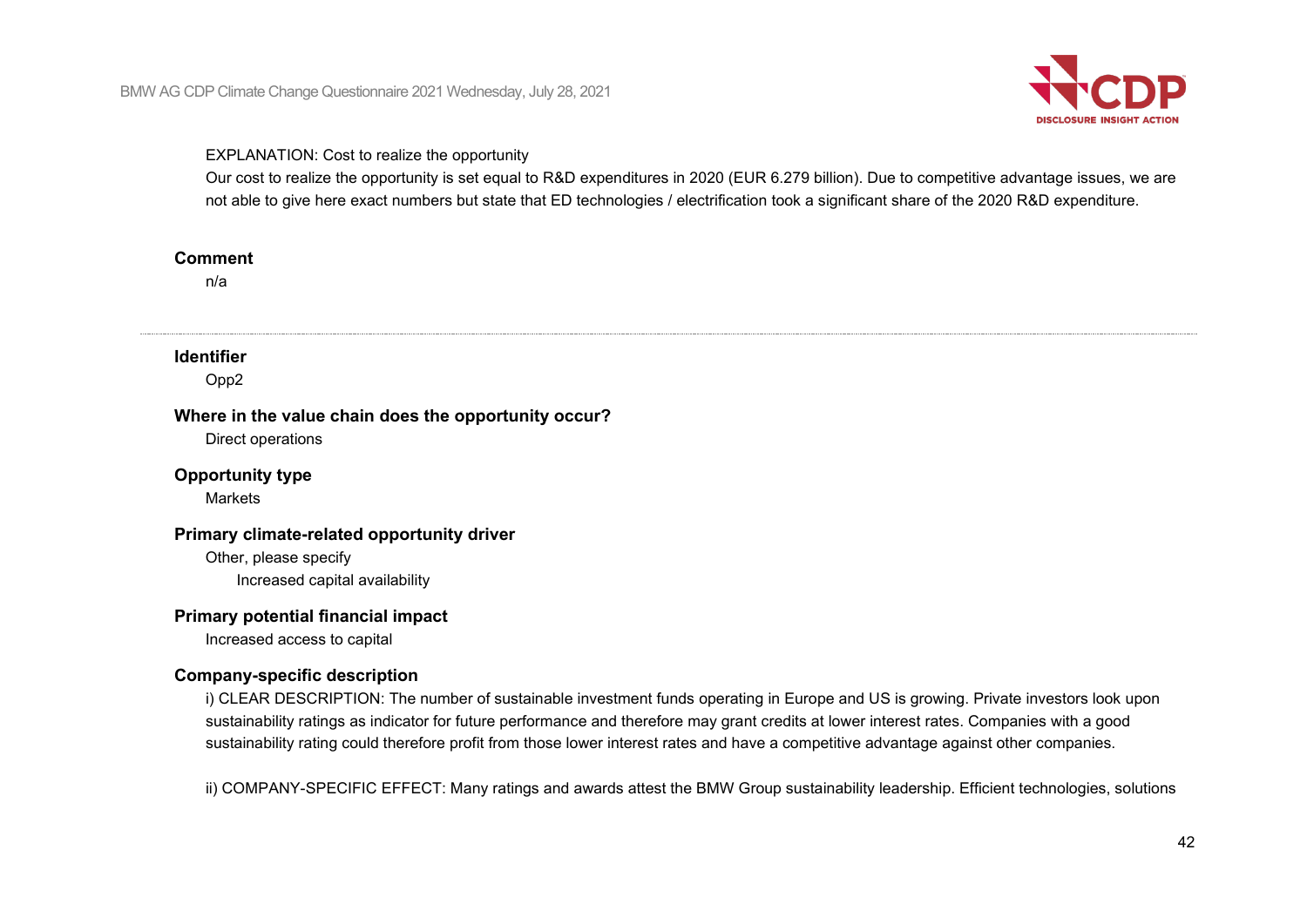

### EXPLANATION: Cost to realize the opportunity

Our cost to realize the opportunity is set equal to R&D expenditures in 2020 (EUR 6.279 billion). Due to competitive advantage issues, we are not able to give here exact numbers but state that ED technologies / electrification took a significant share of the 2020 R&D expenditure.

#### **Comment**

n/a

### **Identifier**

Opp2

#### **Where in the value chain does the opportunity occur?**

Direct operations

### **Opportunity type**

Markets

### **Primary climate-related opportunity driver**

Other, please specify Increased capital availability

### **Primary potential financial impact**

Increased access to capital

### **Company-specific description**

i) CLEAR DESCRIPTION: The number of sustainable investment funds operating in Europe and US is growing. Private investors look upon sustainability ratings as indicator for future performance and therefore may grant credits at lower interest rates. Companies with a good sustainability rating could therefore profit from those lower interest rates and have a competitive advantage against other companies.

ii) COMPANY-SPECIFIC EFFECT: Many ratings and awards attest the BMW Group sustainability leadership. Efficient technologies, solutions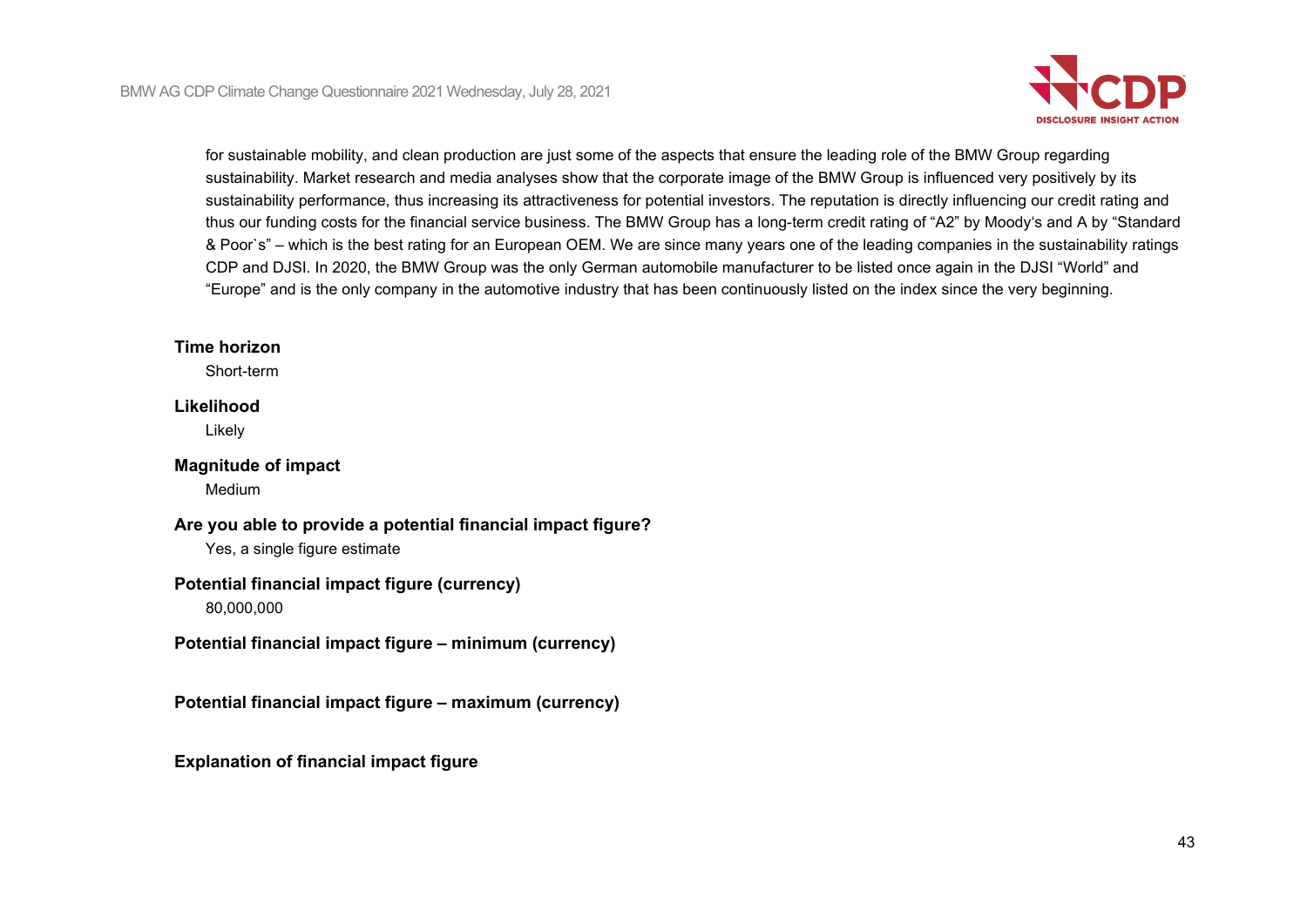

for sustainable mobility, and clean production are just some of the aspects that ensure the leading role of the BMW Group regarding sustainability. Market research and media analyses show that the corporate image of the BMW Group is influenced very positively by its sustainability performance, thus increasing its attractiveness for potential investors. The reputation is directly influencing our credit rating and thus our funding costs for the financial service business. The BMW Group has a long-term credit rating of "A2" by Moody's and A by "Standard & Poor`s" – which is the best rating for an European OEM. We are since many years one of the leading companies in the sustainability ratings CDP and DJSI. In 2020, the BMW Group was the only German automobile manufacturer to be listed once again in the DJSI "World" and "Europe" and is the only company in the automotive industry that has been continuously listed on the index since the very beginning.

### **Time horizon**

Short-term

### **Likelihood**

Likely

#### **Magnitude of impact** Medium

**Are you able to provide a potential financial impact figure?** Yes, a single figure estimate

# **Potential financial impact figure (currency)**

80,000,000

**Potential financial impact figure – minimum (currency)**

**Potential financial impact figure – maximum (currency)**

**Explanation of financial impact figure**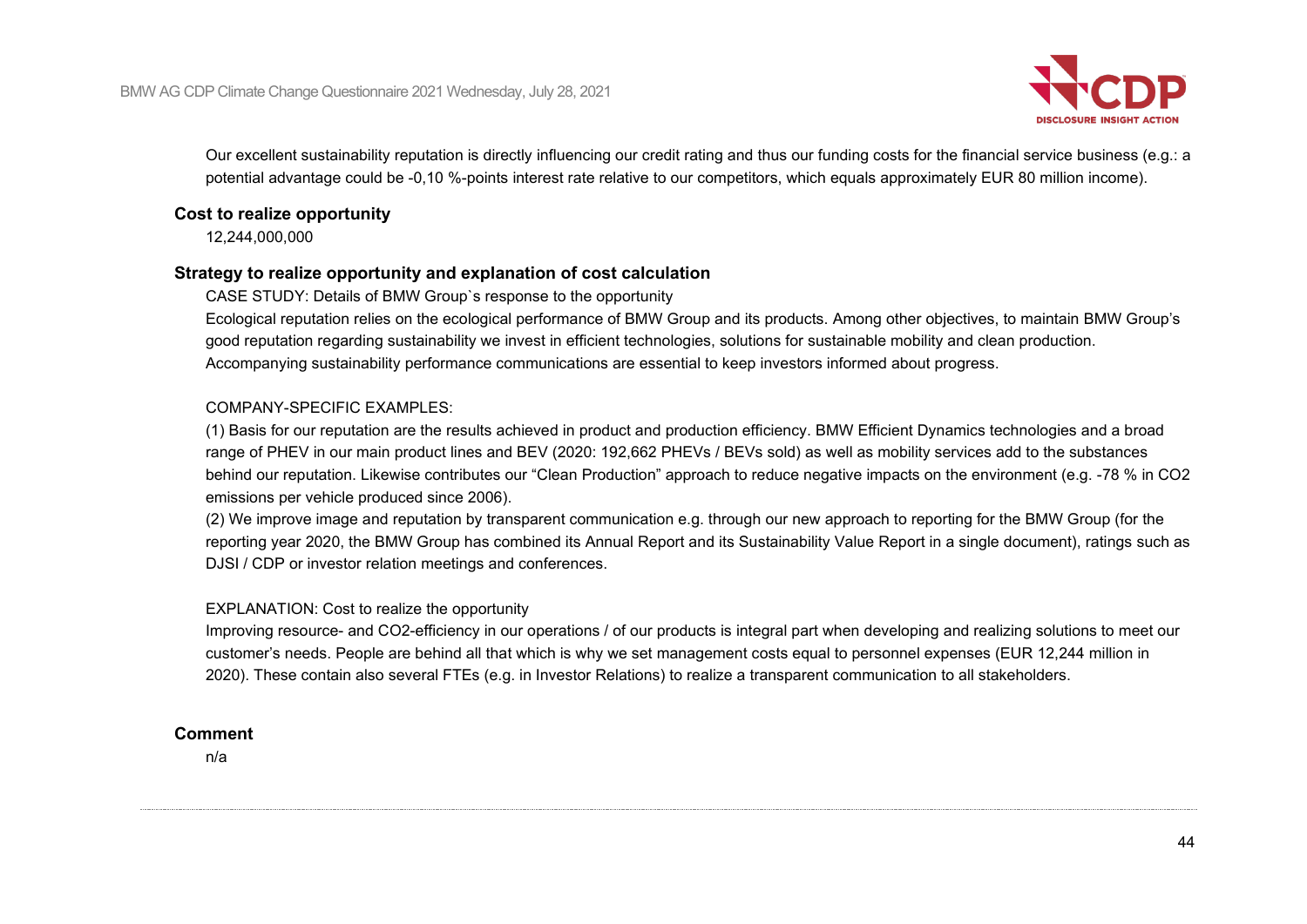

Our excellent sustainability reputation is directly influencing our credit rating and thus our funding costs for the financial service business (e.g.: a potential advantage could be -0,10 %-points interest rate relative to our competitors, which equals approximately EUR 80 million income).

### **Cost to realize opportunity**

12,244,000,000

### **Strategy to realize opportunity and explanation of cost calculation**

CASE STUDY: Details of BMW Group`s response to the opportunity

Ecological reputation relies on the ecological performance of BMW Group and its products. Among other objectives, to maintain BMW Group's good reputation regarding sustainability we invest in efficient technologies, solutions for sustainable mobility and clean production. Accompanying sustainability performance communications are essential to keep investors informed about progress.

### COMPANY-SPECIFIC EXAMPLES:

(1) Basis for our reputation are the results achieved in product and production efficiency. BMW Efficient Dynamics technologies and a broad range of PHEV in our main product lines and BEV (2020: 192,662 PHEVs / BEVs sold) as well as mobility services add to the substances behind our reputation. Likewise contributes our "Clean Production" approach to reduce negative impacts on the environment (e.g. -78 % in CO2 emissions per vehicle produced since 2006).

(2) We improve image and reputation by transparent communication e.g. through our new approach to reporting for the BMW Group (for the reporting year 2020, the BMW Group has combined its Annual Report and its Sustainability Value Report in a single document), ratings such as DJSI / CDP or investor relation meetings and conferences.

### EXPLANATION: Cost to realize the opportunity

Improving resource- and CO2-efficiency in our operations / of our products is integral part when developing and realizing solutions to meet our customer's needs. People are behind all that which is why we set management costs equal to personnel expenses (EUR 12,244 million in 2020). These contain also several FTEs (e.g. in Investor Relations) to realize a transparent communication to all stakeholders.

#### **Comment**

n/a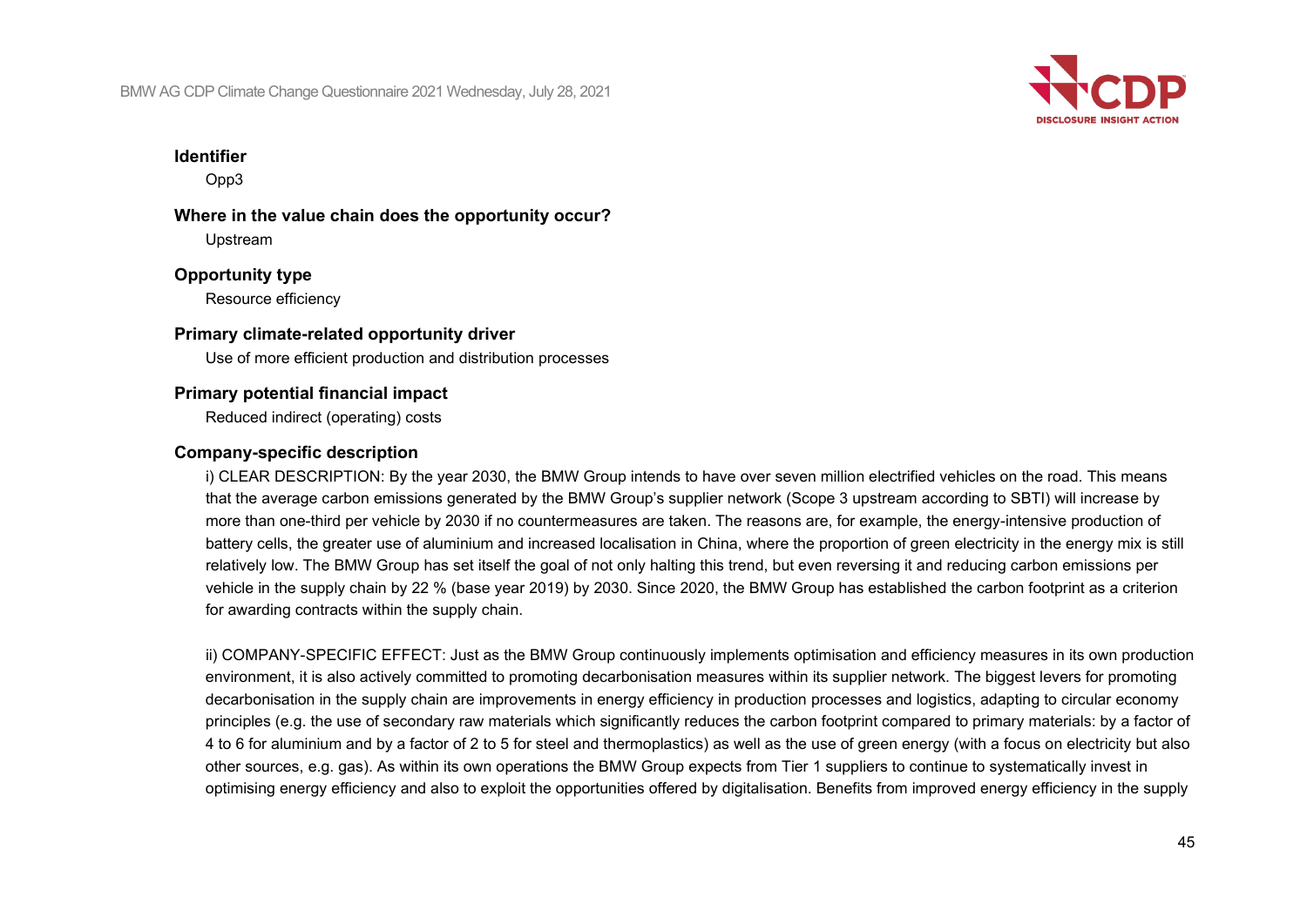

### **Identifier**

Opp3

### **Where in the value chain does the opportunity occur?** Upstream

**Opportunity type** Resource efficiency

# **Primary climate-related opportunity driver**

Use of more efficient production and distribution processes

### **Primary potential financial impact**

Reduced indirect (operating) costs

### **Company-specific description**

i) CLEAR DESCRIPTION: By the year 2030, the BMW Group intends to have over seven million electrified vehicles on the road. This means that the average carbon emissions generated by the BMW Group's supplier network (Scope 3 upstream according to SBTI) will increase by more than one-third per vehicle by 2030 if no countermeasures are taken. The reasons are, for example, the energy-intensive production of battery cells, the greater use of aluminium and increased localisation in China, where the proportion of green electricity in the energy mix is still relatively low. The BMW Group has set itself the goal of not only halting this trend, but even reversing it and reducing carbon emissions per vehicle in the supply chain by 22 % (base year 2019) by 2030. Since 2020, the BMW Group has established the carbon footprint as a criterion for awarding contracts within the supply chain.

ii) COMPANY-SPECIFIC EFFECT: Just as the BMW Group continuously implements optimisation and efficiency measures in its own production environment, it is also actively committed to promoting decarbonisation measures within its supplier network. The biggest levers for promoting decarbonisation in the supply chain are improvements in energy efficiency in production processes and logistics, adapting to circular economy principles (e.g. the use of secondary raw materials which significantly reduces the carbon footprint compared to primary materials: by a factor of 4 to 6 for aluminium and by a factor of 2 to 5 for steel and thermoplastics) as well as the use of green energy (with a focus on electricity but also other sources, e.g. gas). As within its own operations the BMW Group expects from Tier 1 suppliers to continue to systematically invest in optimising energy efficiency and also to exploit the opportunities offered by digitalisation. Benefits from improved energy efficiency in the supply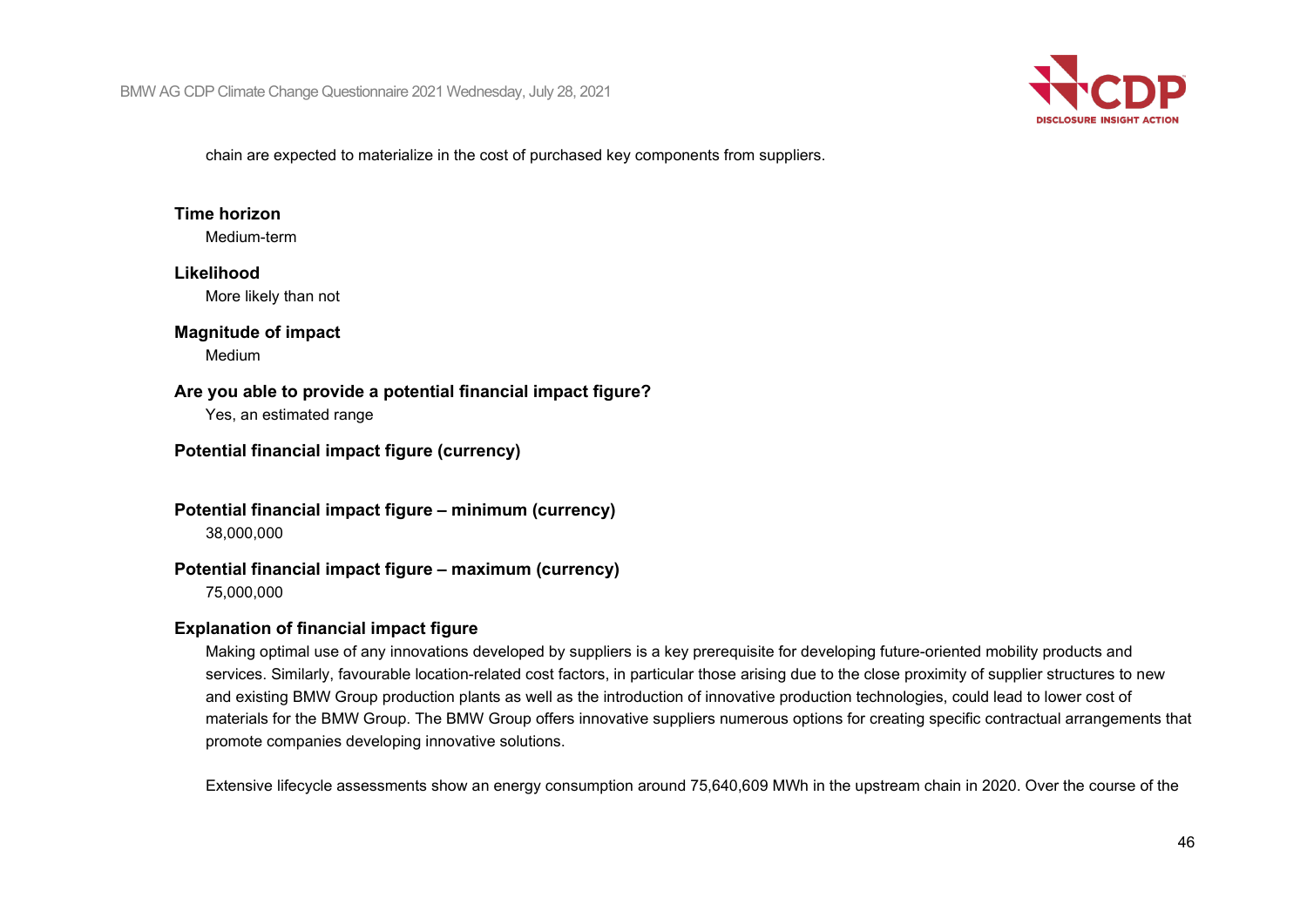

chain are expected to materialize in the cost of purchased key components from suppliers.

### **Time horizon**

Medium-term

## **Likelihood**

More likely than not

### **Magnitude of impact**

Medium

### **Are you able to provide a potential financial impact figure?**

Yes, an estimated range

### **Potential financial impact figure (currency)**

**Potential financial impact figure – minimum (currency)** 38,000,000

### **Potential financial impact figure – maximum (currency)**

75,000,000

### **Explanation of financial impact figure**

Making optimal use of any innovations developed by suppliers is a key prerequisite for developing future-oriented mobility products and services. Similarly, favourable location-related cost factors, in particular those arising due to the close proximity of supplier structures to new and existing BMW Group production plants as well as the introduction of innovative production technologies, could lead to lower cost of materials for the BMW Group. The BMW Group offers innovative suppliers numerous options for creating specific contractual arrangements that promote companies developing innovative solutions.

Extensive lifecycle assessments show an energy consumption around 75,640,609 MWh in the upstream chain in 2020. Over the course of the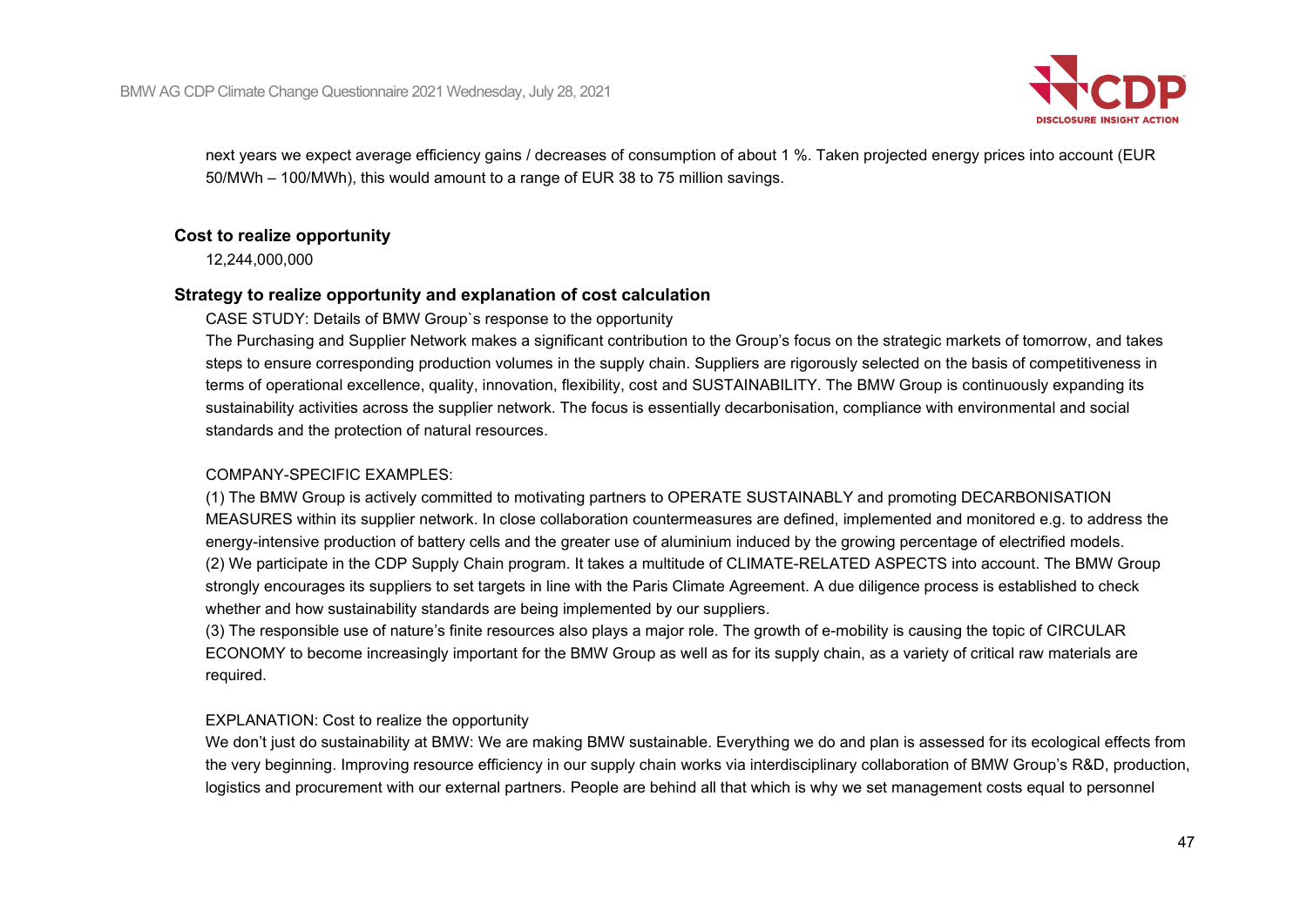

next years we expect average efficiency gains / decreases of consumption of about 1 %. Taken projected energy prices into account (EUR 50/MWh – 100/MWh), this would amount to a range of EUR 38 to 75 million savings.

### **Cost to realize opportunity**

12,244,000,000

### **Strategy to realize opportunity and explanation of cost calculation**

CASE STUDY: Details of BMW Group`s response to the opportunity

The Purchasing and Supplier Network makes a significant contribution to the Group's focus on the strategic markets of tomorrow, and takes steps to ensure corresponding production volumes in the supply chain. Suppliers are rigorously selected on the basis of competitiveness in terms of operational excellence, quality, innovation, flexibility, cost and SUSTAINABILITY. The BMW Group is continuously expanding its sustainability activities across the supplier network. The focus is essentially decarbonisation, compliance with environmental and social standards and the protection of natural resources.

### COMPANY-SPECIFIC EXAMPLES:

(1) The BMW Group is actively committed to motivating partners to OPERATE SUSTAINABLY and promoting DECARBONISATION MEASURES within its supplier network. In close collaboration countermeasures are defined, implemented and monitored e.g. to address the energy-intensive production of battery cells and the greater use of aluminium induced by the growing percentage of electrified models. (2) We participate in the CDP Supply Chain program. It takes a multitude of CLIMATE-RELATED ASPECTS into account. The BMW Group strongly encourages its suppliers to set targets in line with the Paris Climate Agreement. A due diligence process is established to check whether and how sustainability standards are being implemented by our suppliers.

(3) The responsible use of nature's finite resources also plays a major role. The growth of e-mobility is causing the topic of CIRCULAR ECONOMY to become increasingly important for the BMW Group as well as for its supply chain, as a variety of critical raw materials are required.

### EXPLANATION: Cost to realize the opportunity

We don't just do sustainability at BMW: We are making BMW sustainable. Everything we do and plan is assessed for its ecological effects from the very beginning. Improving resource efficiency in our supply chain works via interdisciplinary collaboration of BMW Group's R&D, production, logistics and procurement with our external partners. People are behind all that which is why we set management costs equal to personnel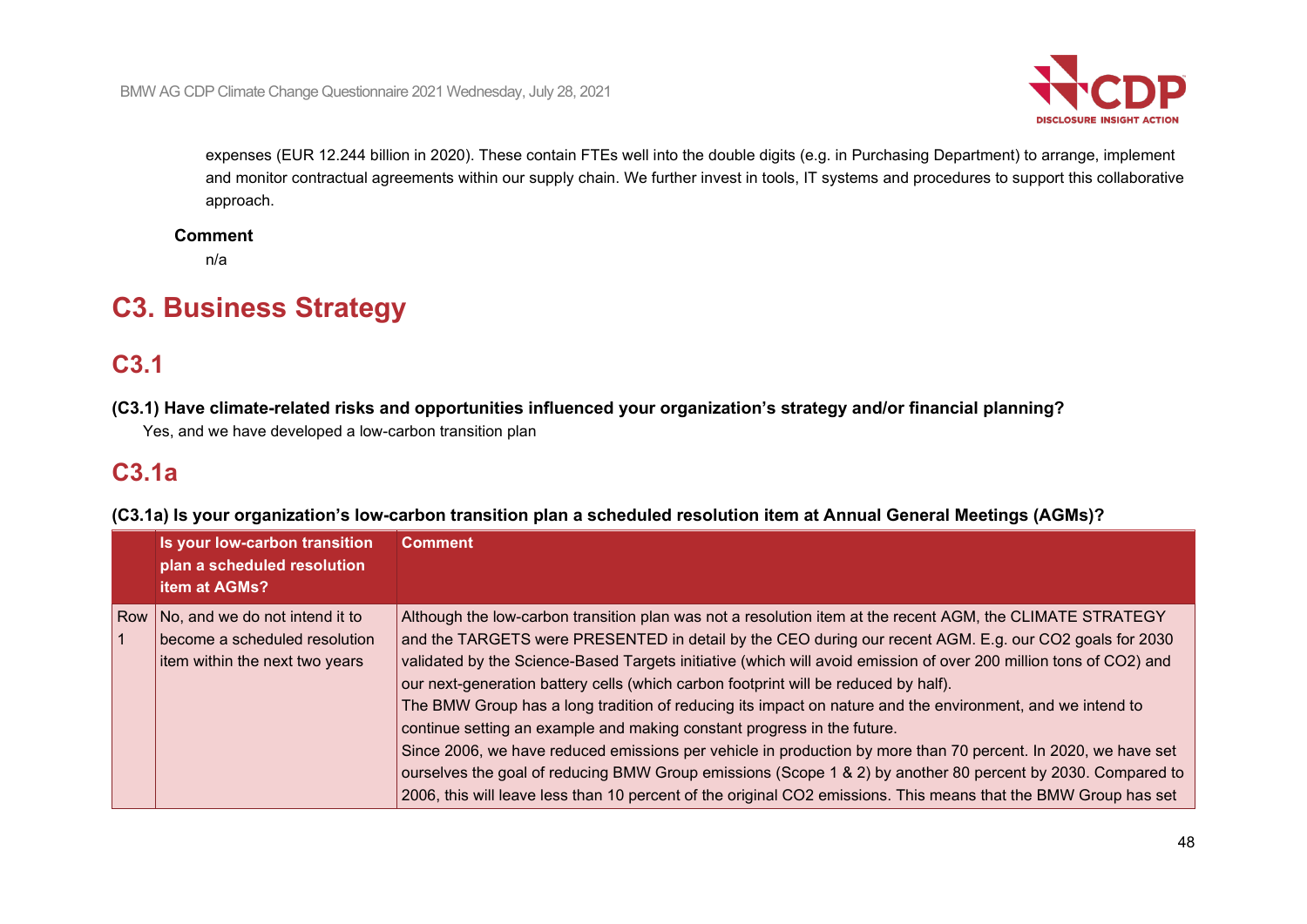

expenses (EUR 12.244 billion in 2020). These contain FTEs well into the double digits (e.g. in Purchasing Department) to arrange, implement and monitor contractual agreements within our supply chain. We further invest in tools, IT systems and procedures to support this collaborative approach.

### **Comment**

n/a

# **C3. Business Strategy**

# **C3.1**

**(C3.1) Have climate-related risks and opportunities influenced your organization's strategy and/or financial planning?**

Yes, and we have developed a low-carbon transition plan

# **C3.1a**

**(C3.1a) Is your organization's low-carbon transition plan a scheduled resolution item at Annual General Meetings (AGMs)?**

| Is your low-carbon transition<br>plan a scheduled resolution<br><b>item at AGMs?</b>                  | <b>Comment</b>                                                                                                                                                                                                                                                                                                                                                                                                                                                                                                                                                                                                                                                                                                                                                                                                                                                                                                                                                             |
|-------------------------------------------------------------------------------------------------------|----------------------------------------------------------------------------------------------------------------------------------------------------------------------------------------------------------------------------------------------------------------------------------------------------------------------------------------------------------------------------------------------------------------------------------------------------------------------------------------------------------------------------------------------------------------------------------------------------------------------------------------------------------------------------------------------------------------------------------------------------------------------------------------------------------------------------------------------------------------------------------------------------------------------------------------------------------------------------|
| Row No, and we do not intend it to<br>become a scheduled resolution<br>item within the next two years | Although the low-carbon transition plan was not a resolution item at the recent AGM, the CLIMATE STRATEGY<br>and the TARGETS were PRESENTED in detail by the CEO during our recent AGM. E.g. our CO2 goals for 2030<br>validated by the Science-Based Targets initiative (which will avoid emission of over 200 million tons of CO2) and<br>our next-generation battery cells (which carbon footprint will be reduced by half).<br>The BMW Group has a long tradition of reducing its impact on nature and the environment, and we intend to<br>continue setting an example and making constant progress in the future.<br>Since 2006, we have reduced emissions per vehicle in production by more than 70 percent. In 2020, we have set<br>ourselves the goal of reducing BMW Group emissions (Scope 1 & 2) by another 80 percent by 2030. Compared to<br>2006, this will leave less than 10 percent of the original CO2 emissions. This means that the BMW Group has set |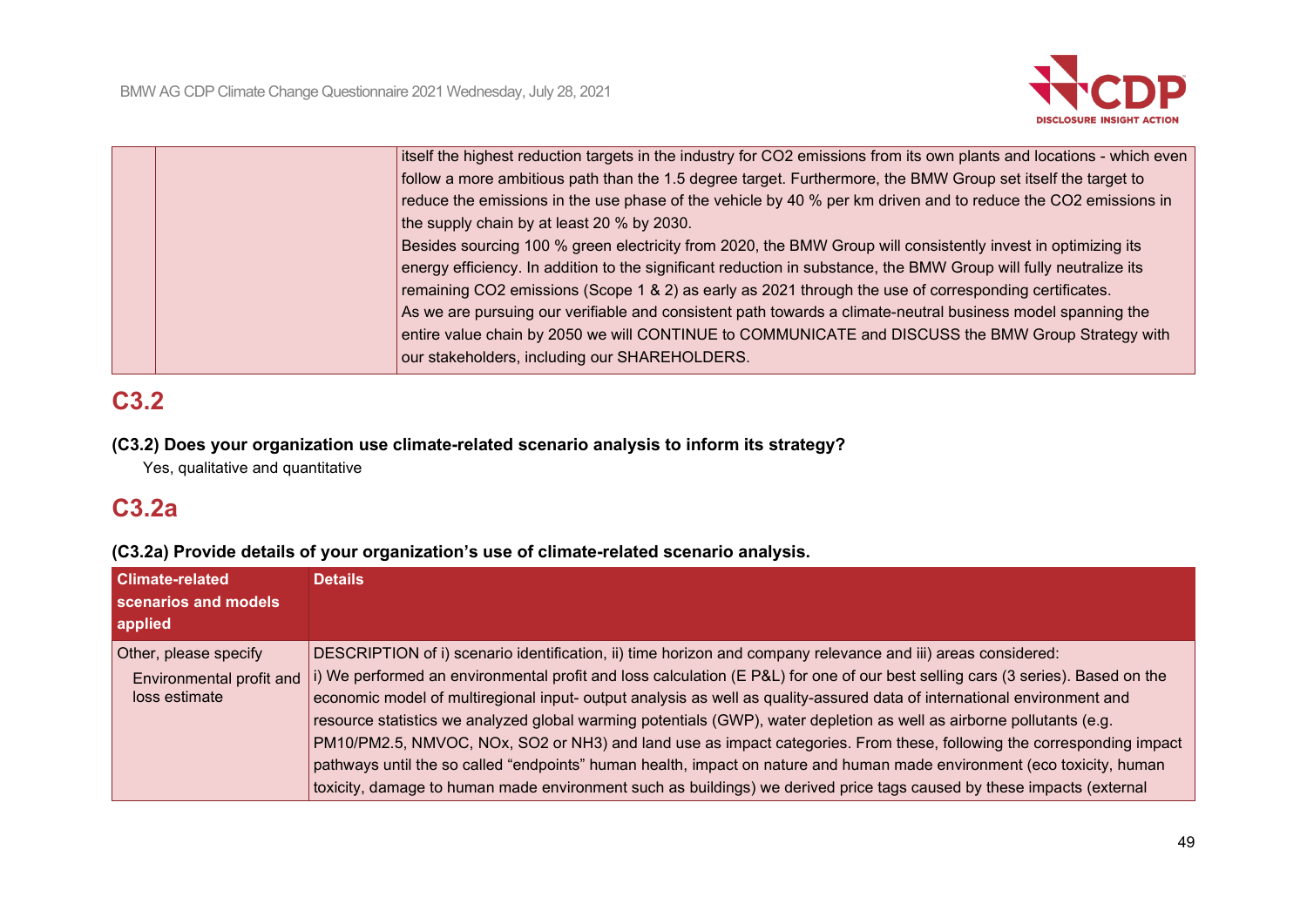

|  | itself the highest reduction targets in the industry for CO2 emissions from its own plants and locations - which even |
|--|-----------------------------------------------------------------------------------------------------------------------|
|  | follow a more ambitious path than the 1.5 degree target. Furthermore, the BMW Group set itself the target to          |
|  | reduce the emissions in the use phase of the vehicle by 40 % per km driven and to reduce the CO2 emissions in         |
|  | the supply chain by at least 20 % by 2030.                                                                            |
|  | Besides sourcing 100 % green electricity from 2020, the BMW Group will consistently invest in optimizing its          |
|  | energy efficiency. In addition to the significant reduction in substance, the BMW Group will fully neutralize its     |
|  | remaining CO2 emissions (Scope 1 & 2) as early as 2021 through the use of corresponding certificates.                 |
|  | As we are pursuing our verifiable and consistent path towards a climate-neutral business model spanning the           |
|  | entire value chain by 2050 we will CONTINUE to COMMUNICATE and DISCUSS the BMW Group Strategy with                    |
|  | our stakeholders, including our SHAREHOLDERS.                                                                         |
|  |                                                                                                                       |

# **C3.2**

### **(C3.2) Does your organization use climate-related scenario analysis to inform its strategy?**

Yes, qualitative and quantitative

# **C3.2a**

## **(C3.2a) Provide details of your organization's use of climate-related scenario analysis.**

| <b>Climate-related</b><br>scenarios and models<br>applied          | <b>Details</b>                                                                                                                                                                                                                                                                                                                                                                                                                                                                                                                                                                                                                                                                                                                                                                                                                                                                  |
|--------------------------------------------------------------------|---------------------------------------------------------------------------------------------------------------------------------------------------------------------------------------------------------------------------------------------------------------------------------------------------------------------------------------------------------------------------------------------------------------------------------------------------------------------------------------------------------------------------------------------------------------------------------------------------------------------------------------------------------------------------------------------------------------------------------------------------------------------------------------------------------------------------------------------------------------------------------|
| Other, please specify<br>Environmental profit and<br>loss estimate | DESCRIPTION of i) scenario identification, ii) time horizon and company relevance and iii) areas considered:<br>i) We performed an environmental profit and loss calculation (E P&L) for one of our best selling cars (3 series). Based on the<br>economic model of multiregional input- output analysis as well as quality-assured data of international environment and<br>resource statistics we analyzed global warming potentials (GWP), water depletion as well as airborne pollutants (e.g.<br>PM10/PM2.5, NMVOC, NOx, SO2 or NH3) and land use as impact categories. From these, following the corresponding impact<br>pathways until the so called "endpoints" human health, impact on nature and human made environment (eco toxicity, human<br>toxicity, damage to human made environment such as buildings) we derived price tags caused by these impacts (external |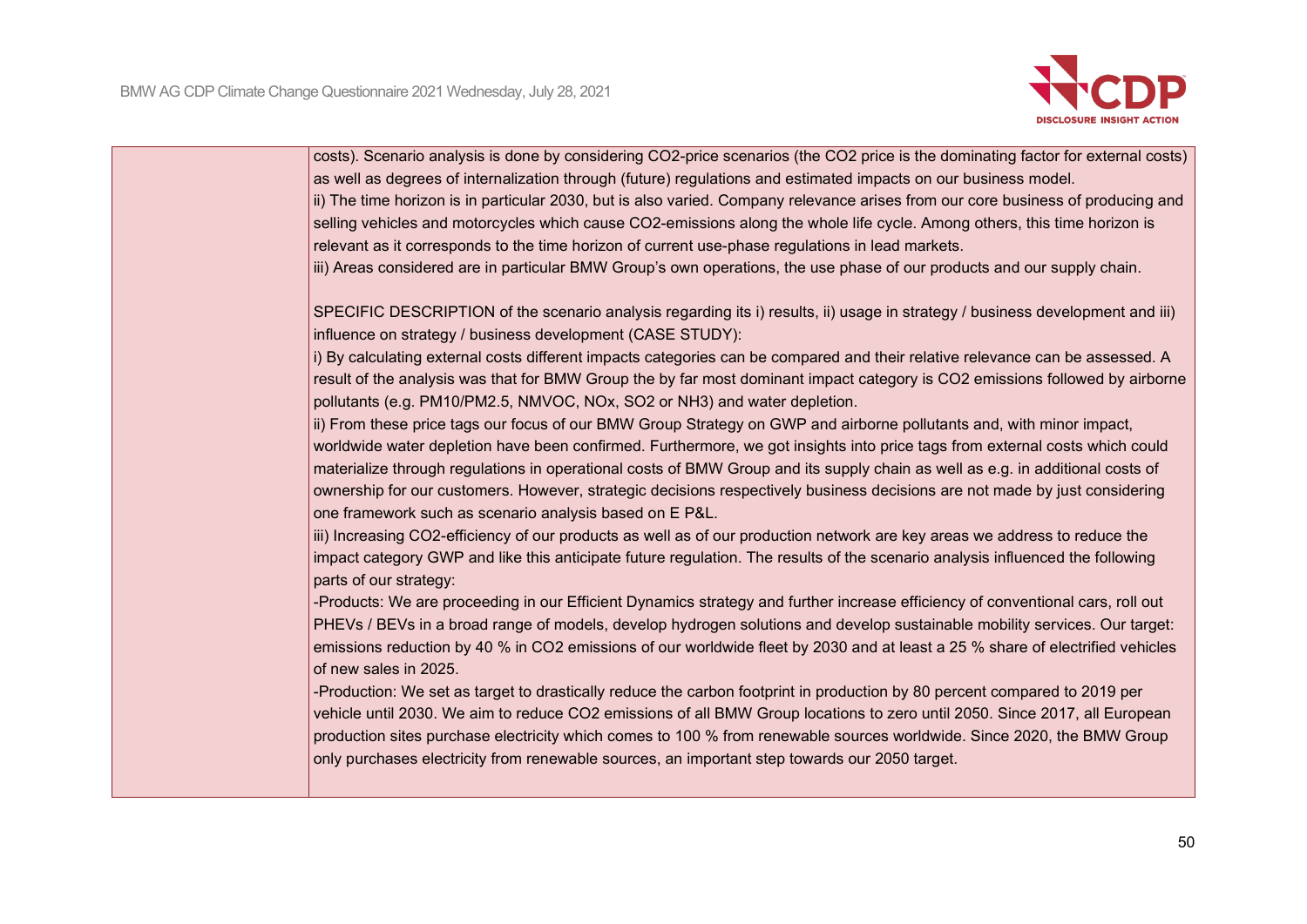

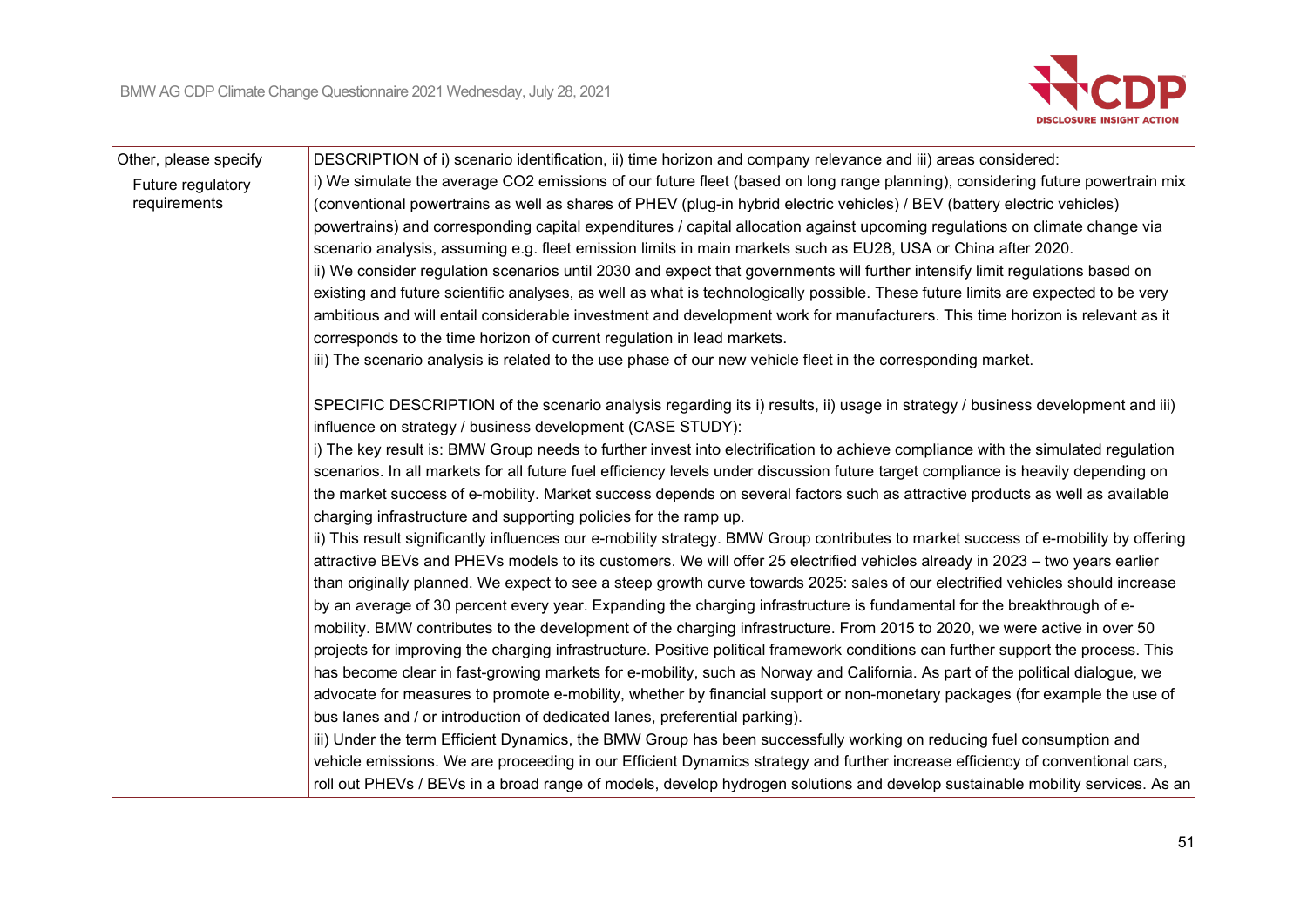

| Other, please specify | DESCRIPTION of i) scenario identification, ii) time horizon and company relevance and iii) areas considered:                        |
|-----------------------|-------------------------------------------------------------------------------------------------------------------------------------|
| Future regulatory     | i) We simulate the average CO2 emissions of our future fleet (based on long range planning), considering future powertrain mix      |
| requirements          | (conventional powertrains as well as shares of PHEV (plug-in hybrid electric vehicles) / BEV (battery electric vehicles)            |
|                       | powertrains) and corresponding capital expenditures / capital allocation against upcoming regulations on climate change via         |
|                       | scenario analysis, assuming e.g. fleet emission limits in main markets such as EU28, USA or China after 2020.                       |
|                       | ii) We consider regulation scenarios until 2030 and expect that governments will further intensify limit regulations based on       |
|                       | existing and future scientific analyses, as well as what is technologically possible. These future limits are expected to be very   |
|                       | ambitious and will entail considerable investment and development work for manufacturers. This time horizon is relevant as it       |
|                       | corresponds to the time horizon of current regulation in lead markets.                                                              |
|                       | iii) The scenario analysis is related to the use phase of our new vehicle fleet in the corresponding market.                        |
|                       | SPECIFIC DESCRIPTION of the scenario analysis regarding its i) results, ii) usage in strategy / business development and iii)       |
|                       | influence on strategy / business development (CASE STUDY):                                                                          |
|                       | i) The key result is: BMW Group needs to further invest into electrification to achieve compliance with the simulated regulation    |
|                       | scenarios. In all markets for all future fuel efficiency levels under discussion future target compliance is heavily depending on   |
|                       | the market success of e-mobility. Market success depends on several factors such as attractive products as well as available        |
|                       | charging infrastructure and supporting policies for the ramp up.                                                                    |
|                       | ii) This result significantly influences our e-mobility strategy. BMW Group contributes to market success of e-mobility by offering |
|                       | attractive BEVs and PHEVs models to its customers. We will offer 25 electrified vehicles already in 2023 - two years earlier        |
|                       | than originally planned. We expect to see a steep growth curve towards 2025: sales of our electrified vehicles should increase      |
|                       | by an average of 30 percent every year. Expanding the charging infrastructure is fundamental for the breakthrough of e-             |
|                       | mobility. BMW contributes to the development of the charging infrastructure. From 2015 to 2020, we were active in over 50           |
|                       | projects for improving the charging infrastructure. Positive political framework conditions can further support the process. This   |
|                       | has become clear in fast-growing markets for e-mobility, such as Norway and California. As part of the political dialogue, we       |
|                       | advocate for measures to promote e-mobility, whether by financial support or non-monetary packages (for example the use of          |
|                       | bus lanes and / or introduction of dedicated lanes, preferential parking).                                                          |
|                       | iii) Under the term Efficient Dynamics, the BMW Group has been successfully working on reducing fuel consumption and                |
|                       | vehicle emissions. We are proceeding in our Efficient Dynamics strategy and further increase efficiency of conventional cars,       |
|                       | roll out PHEVs / BEVs in a broad range of models, develop hydrogen solutions and develop sustainable mobility services. As an       |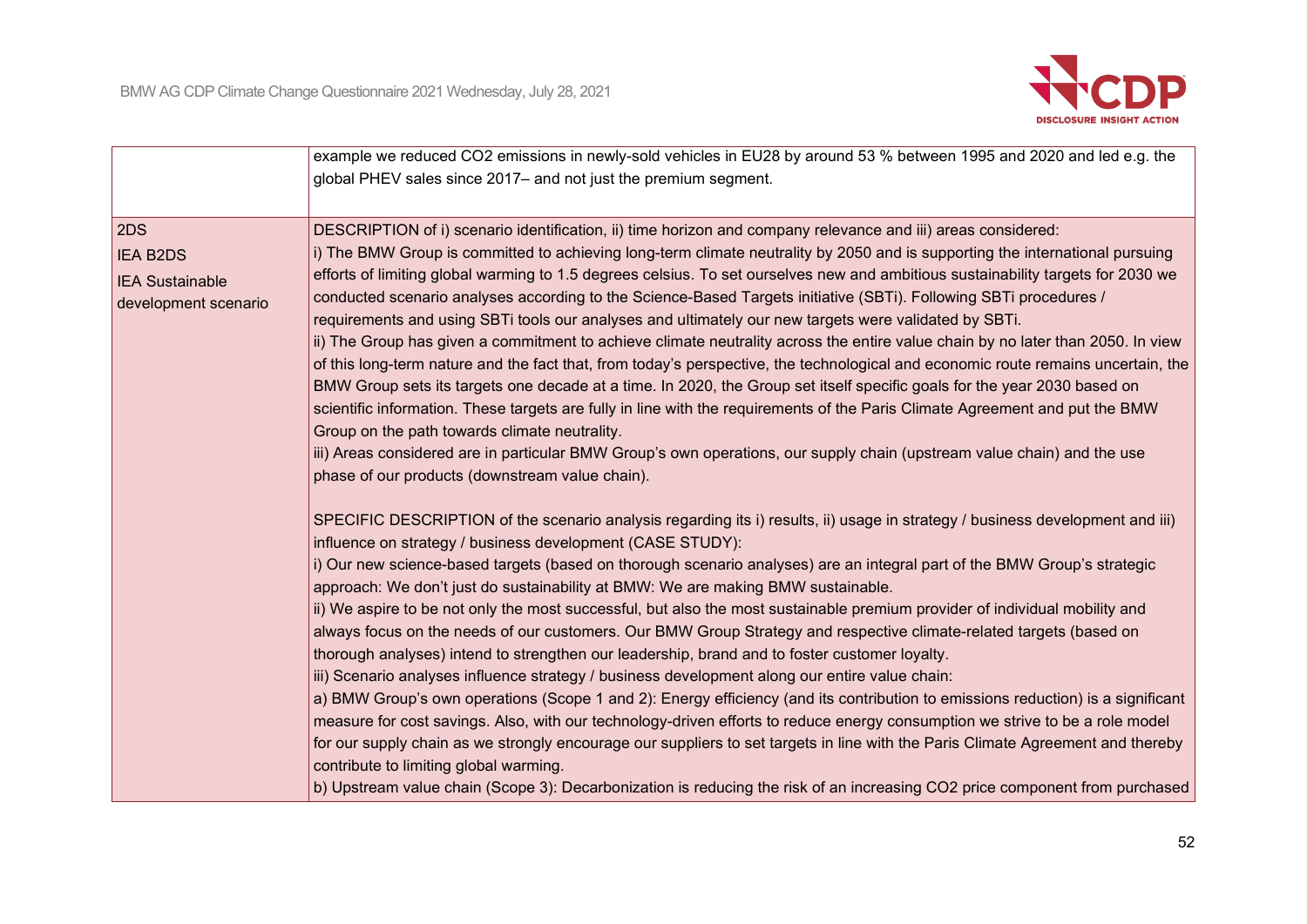

|                        | example we reduced CO2 emissions in newly-sold vehicles in EU28 by around 53 % between 1995 and 2020 and led e.g. the             |
|------------------------|-----------------------------------------------------------------------------------------------------------------------------------|
|                        | global PHEV sales since 2017- and not just the premium segment.                                                                   |
|                        |                                                                                                                                   |
| 2DS                    | DESCRIPTION of i) scenario identification, ii) time horizon and company relevance and iii) areas considered:                      |
| <b>IEA B2DS</b>        | i) The BMW Group is committed to achieving long-term climate neutrality by 2050 and is supporting the international pursuing      |
| <b>IEA Sustainable</b> | efforts of limiting global warming to 1.5 degrees celsius. To set ourselves new and ambitious sustainability targets for 2030 we  |
| development scenario   | conducted scenario analyses according to the Science-Based Targets initiative (SBTi). Following SBTi procedures /                 |
|                        | requirements and using SBTi tools our analyses and ultimately our new targets were validated by SBTi.                             |
|                        | ii) The Group has given a commitment to achieve climate neutrality across the entire value chain by no later than 2050. In view   |
|                        | of this long-term nature and the fact that, from today's perspective, the technological and economic route remains uncertain, the |
|                        | BMW Group sets its targets one decade at a time. In 2020, the Group set itself specific goals for the year 2030 based on          |
|                        | scientific information. These targets are fully in line with the requirements of the Paris Climate Agreement and put the BMW      |
|                        | Group on the path towards climate neutrality.                                                                                     |
|                        | iii) Areas considered are in particular BMW Group's own operations, our supply chain (upstream value chain) and the use           |
|                        | phase of our products (downstream value chain).                                                                                   |
|                        | SPECIFIC DESCRIPTION of the scenario analysis regarding its i) results, ii) usage in strategy / business development and iii)     |
|                        | influence on strategy / business development (CASE STUDY):                                                                        |
|                        | i) Our new science-based targets (based on thorough scenario analyses) are an integral part of the BMW Group's strategic          |
|                        | approach: We don't just do sustainability at BMW: We are making BMW sustainable.                                                  |
|                        | ii) We aspire to be not only the most successful, but also the most sustainable premium provider of individual mobility and       |
|                        | always focus on the needs of our customers. Our BMW Group Strategy and respective climate-related targets (based on               |
|                        | thorough analyses) intend to strengthen our leadership, brand and to foster customer loyalty.                                     |
|                        | iii) Scenario analyses influence strategy / business development along our entire value chain:                                    |
|                        | a) BMW Group's own operations (Scope 1 and 2): Energy efficiency (and its contribution to emissions reduction) is a significant   |
|                        | measure for cost savings. Also, with our technology-driven efforts to reduce energy consumption we strive to be a role model      |
|                        | for our supply chain as we strongly encourage our suppliers to set targets in line with the Paris Climate Agreement and thereby   |
|                        | contribute to limiting global warming.                                                                                            |
|                        | b) Upstream value chain (Scope 3): Decarbonization is reducing the risk of an increasing CO2 price component from purchased       |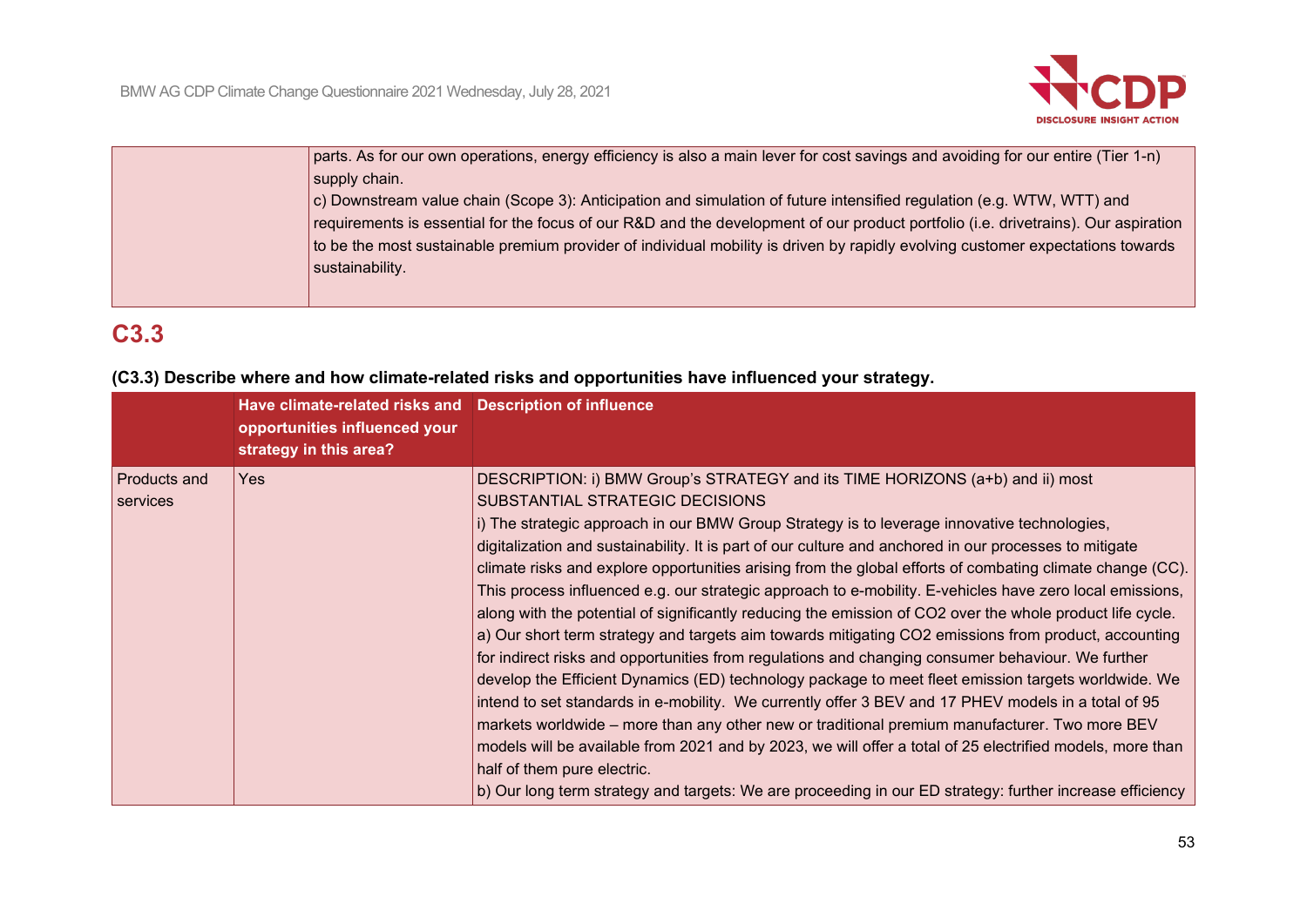

| parts. As for our own operations, energy efficiency is also a main lever for cost savings and avoiding for our entire (Tier 1-n)   |
|------------------------------------------------------------------------------------------------------------------------------------|
| supply chain.                                                                                                                      |
| $ c $ Downstream value chain (Scope 3): Anticipation and simulation of future intensified regulation (e.g. WTW, WTT) and           |
| requirements is essential for the focus of our R&D and the development of our product portfolio (i.e. drivetrains). Our aspiration |
| to be the most sustainable premium provider of individual mobility is driven by rapidly evolving customer expectations towards     |
| sustainability.                                                                                                                    |
|                                                                                                                                    |

# **C3.3**

|  |  | (C3.3) Describe where and how climate-related risks and opportunities have influenced your strategy. |  |  |  |
|--|--|------------------------------------------------------------------------------------------------------|--|--|--|
|--|--|------------------------------------------------------------------------------------------------------|--|--|--|

|                                 | Have climate-related risks and Description of influence<br>opportunities influenced your<br>strategy in this area? |                                                                                                                                                                                                                                                                                                                                                                                                                                                                                                                                                                                                                                                                                                                                                                                                                                                                                                                                                                                                                                                                                                                                                                                                                                                                                                                                                                                                                                                     |
|---------------------------------|--------------------------------------------------------------------------------------------------------------------|-----------------------------------------------------------------------------------------------------------------------------------------------------------------------------------------------------------------------------------------------------------------------------------------------------------------------------------------------------------------------------------------------------------------------------------------------------------------------------------------------------------------------------------------------------------------------------------------------------------------------------------------------------------------------------------------------------------------------------------------------------------------------------------------------------------------------------------------------------------------------------------------------------------------------------------------------------------------------------------------------------------------------------------------------------------------------------------------------------------------------------------------------------------------------------------------------------------------------------------------------------------------------------------------------------------------------------------------------------------------------------------------------------------------------------------------------------|
| <b>Products and</b><br>services | Yes                                                                                                                | DESCRIPTION: i) BMW Group's STRATEGY and its TIME HORIZONS (a+b) and ii) most<br>SUBSTANTIAL STRATEGIC DECISIONS<br>i) The strategic approach in our BMW Group Strategy is to leverage innovative technologies,<br>digitalization and sustainability. It is part of our culture and anchored in our processes to mitigate<br>climate risks and explore opportunities arising from the global efforts of combating climate change (CC).<br>This process influenced e.g. our strategic approach to e-mobility. E-vehicles have zero local emissions,<br>along with the potential of significantly reducing the emission of CO2 over the whole product life cycle.<br>a) Our short term strategy and targets aim towards mitigating CO2 emissions from product, accounting<br>for indirect risks and opportunities from regulations and changing consumer behaviour. We further<br>develop the Efficient Dynamics (ED) technology package to meet fleet emission targets worldwide. We<br>intend to set standards in e-mobility. We currently offer 3 BEV and 17 PHEV models in a total of 95<br>markets worldwide – more than any other new or traditional premium manufacturer. Two more BEV<br>models will be available from 2021 and by 2023, we will offer a total of 25 electrified models, more than<br>half of them pure electric.<br>b) Our long term strategy and targets: We are proceeding in our ED strategy: further increase efficiency |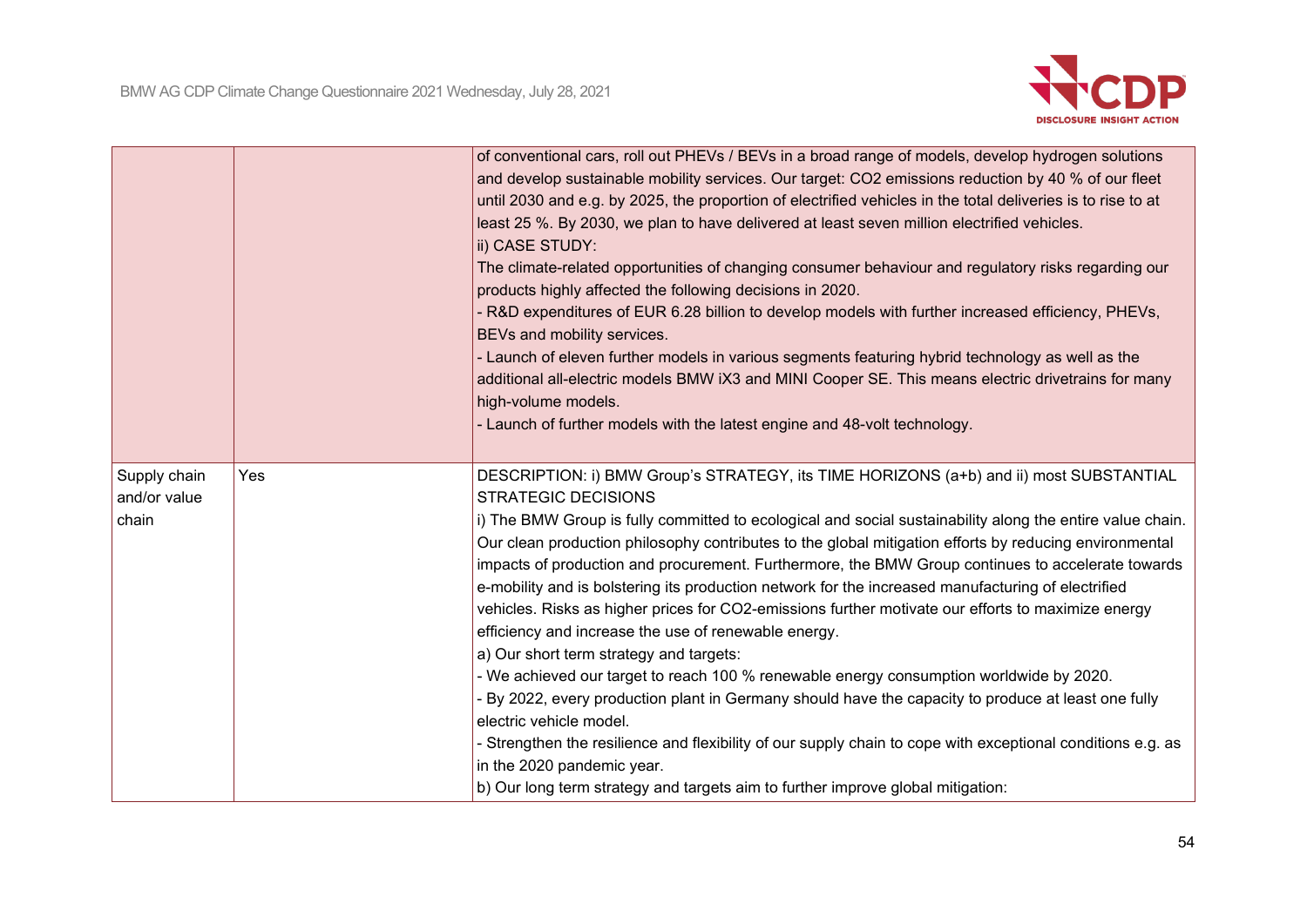

|                                       |     | of conventional cars, roll out PHEVs / BEVs in a broad range of models, develop hydrogen solutions<br>and develop sustainable mobility services. Our target: CO2 emissions reduction by 40 % of our fleet<br>until 2030 and e.g. by 2025, the proportion of electrified vehicles in the total deliveries is to rise to at<br>least 25 %. By 2030, we plan to have delivered at least seven million electrified vehicles.<br>ii) CASE STUDY:<br>The climate-related opportunities of changing consumer behaviour and regulatory risks regarding our<br>products highly affected the following decisions in 2020.<br>- R&D expenditures of EUR 6.28 billion to develop models with further increased efficiency, PHEVs,<br>BEVs and mobility services.<br>- Launch of eleven further models in various segments featuring hybrid technology as well as the<br>additional all-electric models BMW iX3 and MINI Cooper SE. This means electric drivetrains for many<br>high-volume models.<br>- Launch of further models with the latest engine and 48-volt technology.                                                                                                                                                          |
|---------------------------------------|-----|------------------------------------------------------------------------------------------------------------------------------------------------------------------------------------------------------------------------------------------------------------------------------------------------------------------------------------------------------------------------------------------------------------------------------------------------------------------------------------------------------------------------------------------------------------------------------------------------------------------------------------------------------------------------------------------------------------------------------------------------------------------------------------------------------------------------------------------------------------------------------------------------------------------------------------------------------------------------------------------------------------------------------------------------------------------------------------------------------------------------------------------------------------------------------------------------------------------------------|
| Supply chain<br>and/or value<br>chain | Yes | DESCRIPTION: i) BMW Group's STRATEGY, its TIME HORIZONS (a+b) and ii) most SUBSTANTIAL<br><b>STRATEGIC DECISIONS</b><br>i) The BMW Group is fully committed to ecological and social sustainability along the entire value chain.<br>Our clean production philosophy contributes to the global mitigation efforts by reducing environmental<br>impacts of production and procurement. Furthermore, the BMW Group continues to accelerate towards<br>e-mobility and is bolstering its production network for the increased manufacturing of electrified<br>vehicles. Risks as higher prices for CO2-emissions further motivate our efforts to maximize energy<br>efficiency and increase the use of renewable energy.<br>a) Our short term strategy and targets:<br>- We achieved our target to reach 100 % renewable energy consumption worldwide by 2020.<br>- By 2022, every production plant in Germany should have the capacity to produce at least one fully<br>electric vehicle model.<br>- Strengthen the resilience and flexibility of our supply chain to cope with exceptional conditions e.g. as<br>in the 2020 pandemic year.<br>b) Our long term strategy and targets aim to further improve global mitigation: |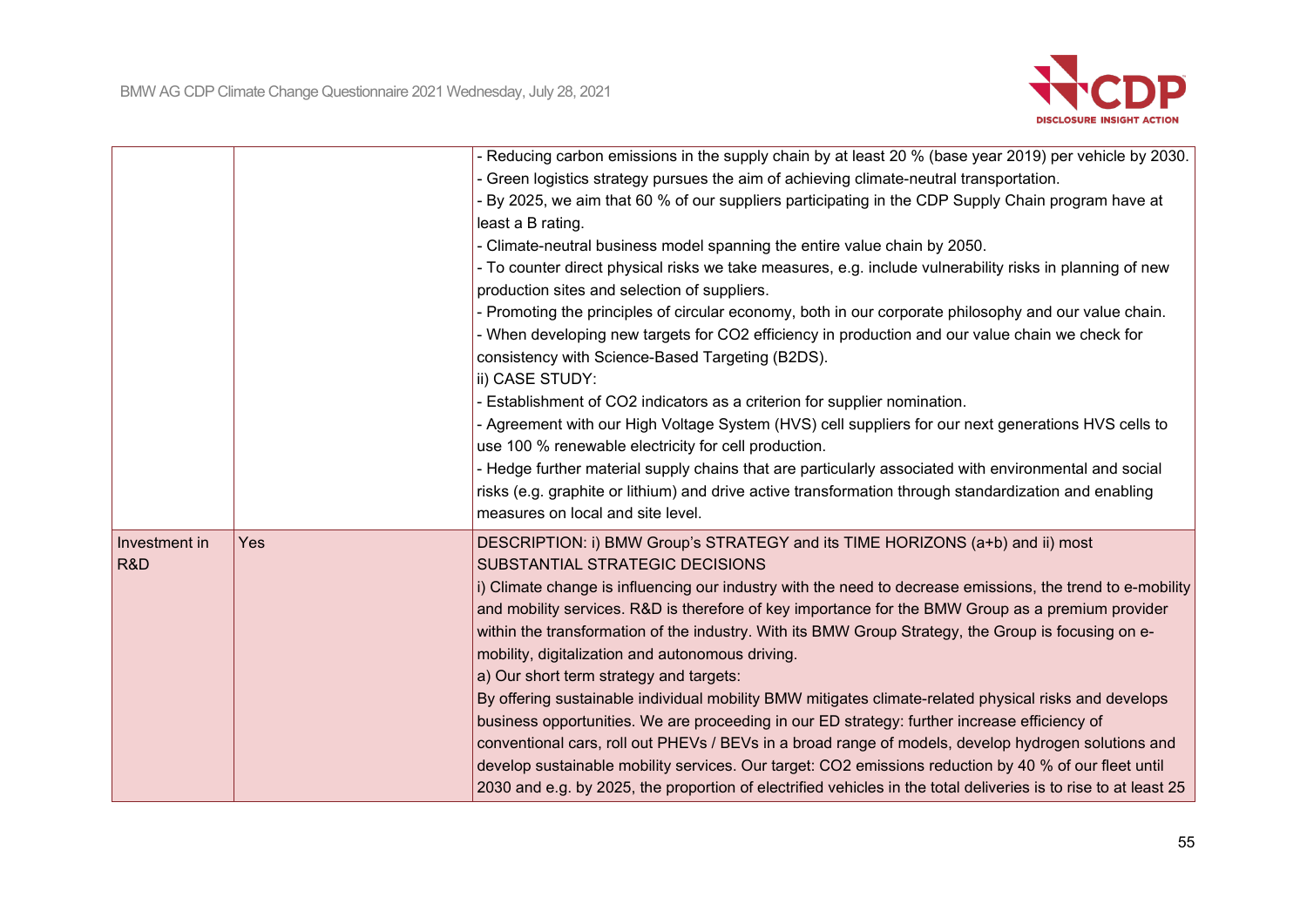

|               |     | - Reducing carbon emissions in the supply chain by at least 20 % (base year 2019) per vehicle by 2030.          |
|---------------|-----|-----------------------------------------------------------------------------------------------------------------|
|               |     | - Green logistics strategy pursues the aim of achieving climate-neutral transportation.                         |
|               |     | - By 2025, we aim that 60 % of our suppliers participating in the CDP Supply Chain program have at              |
|               |     | least a B rating.                                                                                               |
|               |     | - Climate-neutral business model spanning the entire value chain by 2050.                                       |
|               |     | - To counter direct physical risks we take measures, e.g. include vulnerability risks in planning of new        |
|               |     | production sites and selection of suppliers.                                                                    |
|               |     | - Promoting the principles of circular economy, both in our corporate philosophy and our value chain.           |
|               |     | - When developing new targets for CO2 efficiency in production and our value chain we check for                 |
|               |     | consistency with Science-Based Targeting (B2DS).                                                                |
|               |     | ii) CASE STUDY:                                                                                                 |
|               |     | - Establishment of CO2 indicators as a criterion for supplier nomination.                                       |
|               |     | - Agreement with our High Voltage System (HVS) cell suppliers for our next generations HVS cells to             |
|               |     | use 100 % renewable electricity for cell production.                                                            |
|               |     | - Hedge further material supply chains that are particularly associated with environmental and social           |
|               |     | risks (e.g. graphite or lithium) and drive active transformation through standardization and enabling           |
|               |     | measures on local and site level.                                                                               |
| Investment in | Yes | DESCRIPTION: i) BMW Group's STRATEGY and its TIME HORIZONS (a+b) and ii) most                                   |
| R&D           |     | SUBSTANTIAL STRATEGIC DECISIONS                                                                                 |
|               |     | i) Climate change is influencing our industry with the need to decrease emissions, the trend to e-mobility      |
|               |     | and mobility services. R&D is therefore of key importance for the BMW Group as a premium provider               |
|               |     | within the transformation of the industry. With its BMW Group Strategy, the Group is focusing on e-             |
|               |     | mobility, digitalization and autonomous driving.                                                                |
|               |     | a) Our short term strategy and targets:                                                                         |
|               |     | By offering sustainable individual mobility BMW mitigates climate-related physical risks and develops           |
|               |     | business opportunities. We are proceeding in our ED strategy: further increase efficiency of                    |
|               |     | conventional cars, roll out PHEVs / BEVs in a broad range of models, develop hydrogen solutions and             |
|               |     | develop sustainable mobility services. Our target: CO2 emissions reduction by 40 % of our fleet until           |
|               |     | 2030 and e.g. by 2025, the proportion of electrified vehicles in the total deliveries is to rise to at least 25 |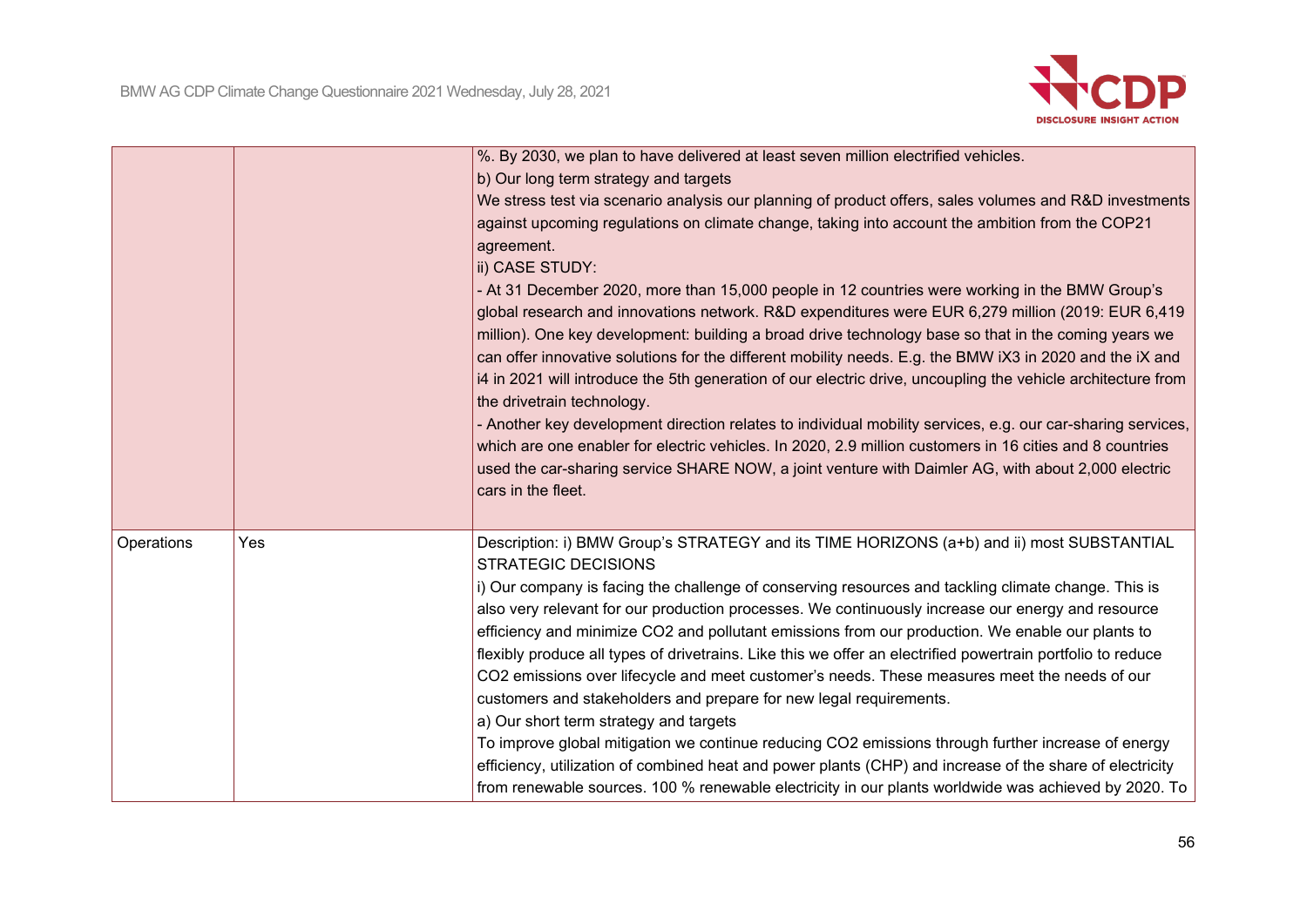

|            |     | %. By 2030, we plan to have delivered at least seven million electrified vehicles.                                                                                                                                                                                                                                                                                                                                                                                                                                                                                                                                                                                                                                                                                                                                  |
|------------|-----|---------------------------------------------------------------------------------------------------------------------------------------------------------------------------------------------------------------------------------------------------------------------------------------------------------------------------------------------------------------------------------------------------------------------------------------------------------------------------------------------------------------------------------------------------------------------------------------------------------------------------------------------------------------------------------------------------------------------------------------------------------------------------------------------------------------------|
|            |     | b) Our long term strategy and targets                                                                                                                                                                                                                                                                                                                                                                                                                                                                                                                                                                                                                                                                                                                                                                               |
|            |     | We stress test via scenario analysis our planning of product offers, sales volumes and R&D investments<br>against upcoming regulations on climate change, taking into account the ambition from the COP21<br>agreement.<br>ii) CASE STUDY:<br>- At 31 December 2020, more than 15,000 people in 12 countries were working in the BMW Group's<br>global research and innovations network. R&D expenditures were EUR 6,279 million (2019: EUR 6,419<br>million). One key development: building a broad drive technology base so that in the coming years we<br>can offer innovative solutions for the different mobility needs. E.g. the BMW iX3 in 2020 and the iX and<br>i4 in 2021 will introduce the 5th generation of our electric drive, uncoupling the vehicle architecture from<br>the drivetrain technology. |
|            |     | - Another key development direction relates to individual mobility services, e.g. our car-sharing services,<br>which are one enabler for electric vehicles. In 2020, 2.9 million customers in 16 cities and 8 countries<br>used the car-sharing service SHARE NOW, a joint venture with Daimler AG, with about 2,000 electric<br>cars in the fleet.                                                                                                                                                                                                                                                                                                                                                                                                                                                                 |
| Operations | Yes | Description: i) BMW Group's STRATEGY and its TIME HORIZONS (a+b) and ii) most SUBSTANTIAL<br><b>STRATEGIC DECISIONS</b>                                                                                                                                                                                                                                                                                                                                                                                                                                                                                                                                                                                                                                                                                             |
|            |     | i) Our company is facing the challenge of conserving resources and tackling climate change. This is                                                                                                                                                                                                                                                                                                                                                                                                                                                                                                                                                                                                                                                                                                                 |
|            |     | also very relevant for our production processes. We continuously increase our energy and resource                                                                                                                                                                                                                                                                                                                                                                                                                                                                                                                                                                                                                                                                                                                   |
|            |     | efficiency and minimize CO2 and pollutant emissions from our production. We enable our plants to                                                                                                                                                                                                                                                                                                                                                                                                                                                                                                                                                                                                                                                                                                                    |
|            |     | flexibly produce all types of drivetrains. Like this we offer an electrified powertrain portfolio to reduce<br>CO2 emissions over lifecycle and meet customer's needs. These measures meet the needs of our                                                                                                                                                                                                                                                                                                                                                                                                                                                                                                                                                                                                         |
|            |     | customers and stakeholders and prepare for new legal requirements.                                                                                                                                                                                                                                                                                                                                                                                                                                                                                                                                                                                                                                                                                                                                                  |
|            |     | a) Our short term strategy and targets                                                                                                                                                                                                                                                                                                                                                                                                                                                                                                                                                                                                                                                                                                                                                                              |
|            |     | To improve global mitigation we continue reducing CO2 emissions through further increase of energy                                                                                                                                                                                                                                                                                                                                                                                                                                                                                                                                                                                                                                                                                                                  |
|            |     | efficiency, utilization of combined heat and power plants (CHP) and increase of the share of electricity                                                                                                                                                                                                                                                                                                                                                                                                                                                                                                                                                                                                                                                                                                            |
|            |     | from renewable sources. 100 % renewable electricity in our plants worldwide was achieved by 2020. To                                                                                                                                                                                                                                                                                                                                                                                                                                                                                                                                                                                                                                                                                                                |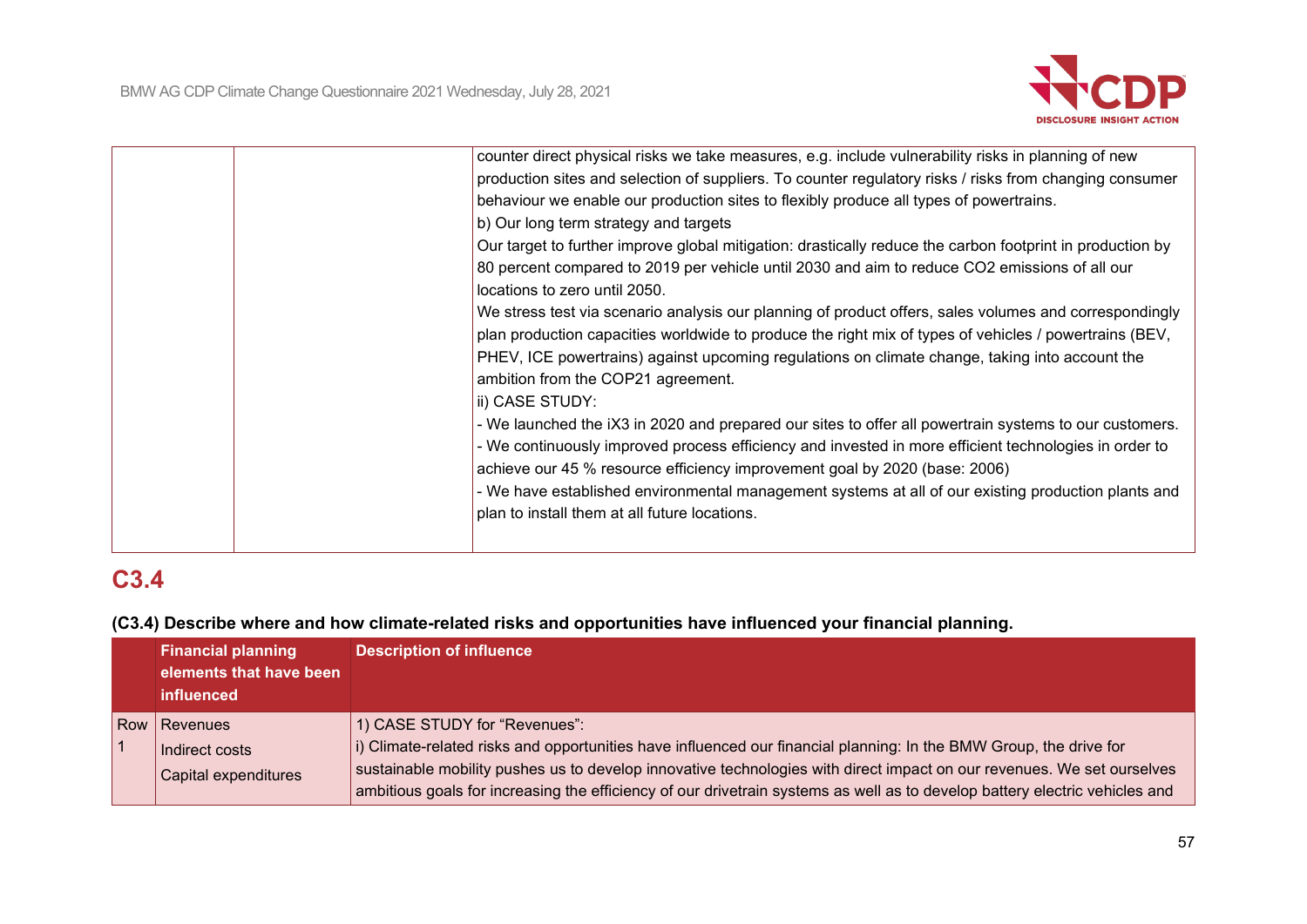

|  | counter direct physical risks we take measures, e.g. include vulnerability risks in planning of new       |
|--|-----------------------------------------------------------------------------------------------------------|
|  | production sites and selection of suppliers. To counter regulatory risks / risks from changing consumer   |
|  | behaviour we enable our production sites to flexibly produce all types of powertrains.                    |
|  | b) Our long term strategy and targets                                                                     |
|  | Our target to further improve global mitigation: drastically reduce the carbon footprint in production by |
|  | 80 percent compared to 2019 per vehicle until 2030 and aim to reduce CO2 emissions of all our             |
|  | locations to zero until 2050.                                                                             |
|  | We stress test via scenario analysis our planning of product offers, sales volumes and correspondingly    |
|  | plan production capacities worldwide to produce the right mix of types of vehicles / powertrains (BEV,    |
|  | PHEV, ICE powertrains) against upcoming regulations on climate change, taking into account the            |
|  | ambition from the COP21 agreement.                                                                        |
|  | ii) CASE STUDY:                                                                                           |
|  | - We launched the iX3 in 2020 and prepared our sites to offer all powertrain systems to our customers.    |
|  | - We continuously improved process efficiency and invested in more efficient technologies in order to     |
|  | achieve our 45 % resource efficiency improvement goal by 2020 (base: 2006)                                |
|  | - We have established environmental management systems at all of our existing production plants and       |
|  | plan to install them at all future locations.                                                             |
|  |                                                                                                           |
|  |                                                                                                           |

# **C3.4**

## **(C3.4) Describe where and how climate-related risks and opportunities have influenced your financial planning.**

| <b>Financial planning</b><br>elements that have been<br>influenced | <b>Description of influence</b>                                                                                                                                                                                                                                                                                                                                                                              |  |
|--------------------------------------------------------------------|--------------------------------------------------------------------------------------------------------------------------------------------------------------------------------------------------------------------------------------------------------------------------------------------------------------------------------------------------------------------------------------------------------------|--|
| Row Revenues<br>Indirect costs<br>Capital expenditures             | 1) CASE STUDY for "Revenues":<br>i) Climate-related risks and opportunities have influenced our financial planning: In the BMW Group, the drive for<br>sustainable mobility pushes us to develop innovative technologies with direct impact on our revenues. We set ourselves<br>ambitious goals for increasing the efficiency of our drivetrain systems as well as to develop battery electric vehicles and |  |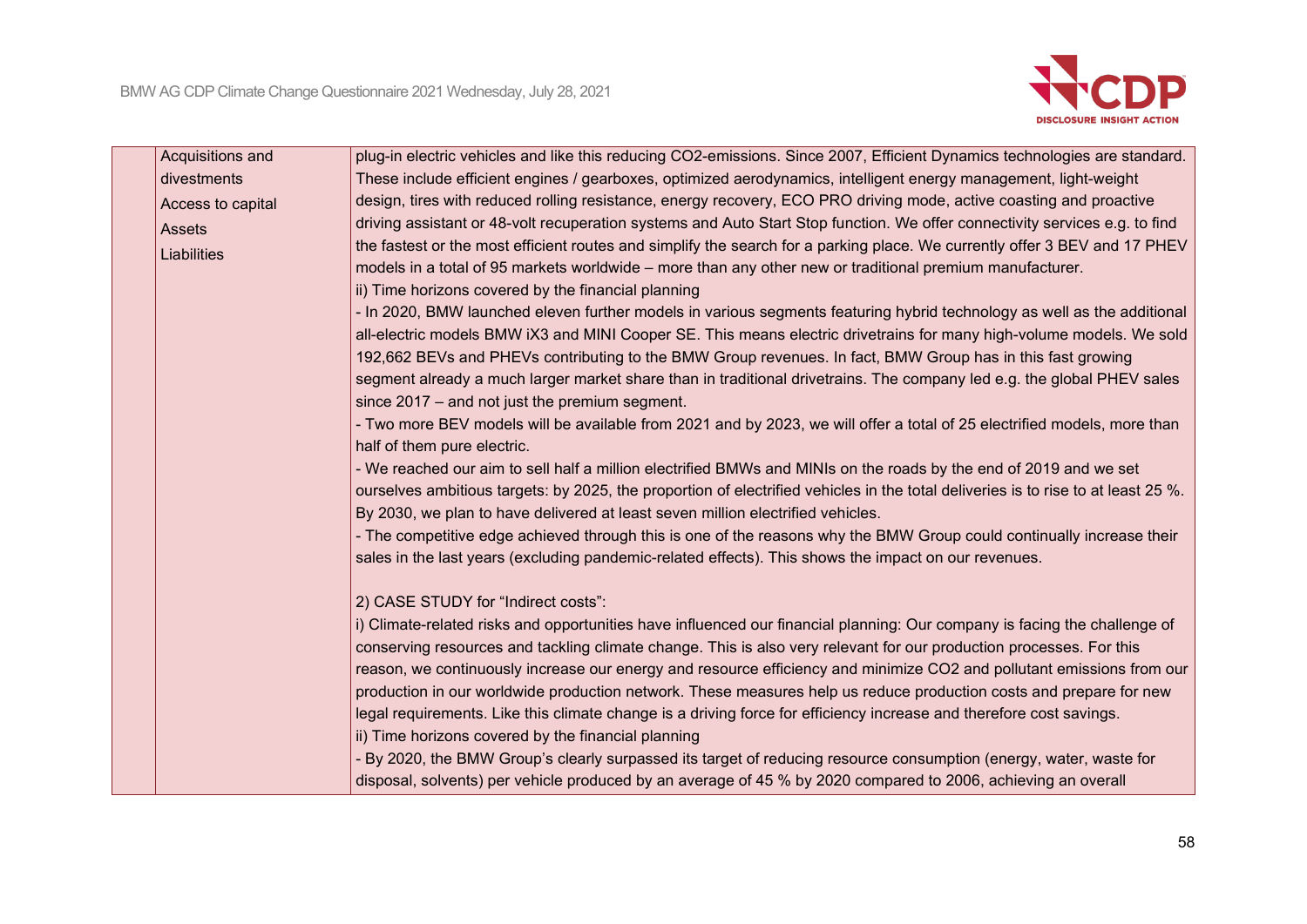

|                                                                                                                                                                                                                                                                                                  | Acquisitions and | plug-in electric vehicles and like this reducing CO2-emissions. Since 2007, Efficient Dynamics technologies are standard.         |  |
|--------------------------------------------------------------------------------------------------------------------------------------------------------------------------------------------------------------------------------------------------------------------------------------------------|------------------|-----------------------------------------------------------------------------------------------------------------------------------|--|
|                                                                                                                                                                                                                                                                                                  | divestments      | These include efficient engines / gearboxes, optimized aerodynamics, intelligent energy management, light-weight                  |  |
| Access to capital                                                                                                                                                                                                                                                                                |                  | design, tires with reduced rolling resistance, energy recovery, ECO PRO driving mode, active coasting and proactive               |  |
|                                                                                                                                                                                                                                                                                                  | <b>Assets</b>    | driving assistant or 48-volt recuperation systems and Auto Start Stop function. We offer connectivity services e.g. to find       |  |
|                                                                                                                                                                                                                                                                                                  | Liabilities      | the fastest or the most efficient routes and simplify the search for a parking place. We currently offer 3 BEV and 17 PHEV        |  |
|                                                                                                                                                                                                                                                                                                  |                  | models in a total of 95 markets worldwide – more than any other new or traditional premium manufacturer.                          |  |
|                                                                                                                                                                                                                                                                                                  |                  | ii) Time horizons covered by the financial planning                                                                               |  |
|                                                                                                                                                                                                                                                                                                  |                  | - In 2020, BMW launched eleven further models in various segments featuring hybrid technology as well as the additional           |  |
|                                                                                                                                                                                                                                                                                                  |                  | all-electric models BMW iX3 and MINI Cooper SE. This means electric drivetrains for many high-volume models. We sold              |  |
|                                                                                                                                                                                                                                                                                                  |                  | 192,662 BEVs and PHEVs contributing to the BMW Group revenues. In fact, BMW Group has in this fast growing                        |  |
|                                                                                                                                                                                                                                                                                                  |                  | segment already a much larger market share than in traditional drivetrains. The company led e.g. the global PHEV sales            |  |
|                                                                                                                                                                                                                                                                                                  |                  | since 2017 – and not just the premium segment.                                                                                    |  |
|                                                                                                                                                                                                                                                                                                  |                  | - Two more BEV models will be available from 2021 and by 2023, we will offer a total of 25 electrified models, more than          |  |
|                                                                                                                                                                                                                                                                                                  |                  | half of them pure electric.                                                                                                       |  |
|                                                                                                                                                                                                                                                                                                  |                  | - We reached our aim to sell half a million electrified BMWs and MINIs on the roads by the end of 2019 and we set                 |  |
|                                                                                                                                                                                                                                                                                                  |                  | ourselves ambitious targets: by 2025, the proportion of electrified vehicles in the total deliveries is to rise to at least 25 %. |  |
|                                                                                                                                                                                                                                                                                                  |                  | By 2030, we plan to have delivered at least seven million electrified vehicles.                                                   |  |
|                                                                                                                                                                                                                                                                                                  |                  | - The competitive edge achieved through this is one of the reasons why the BMW Group could continually increase their             |  |
| 2) CASE STUDY for "Indirect costs":<br>i) Climate-related risks and opportunities have influenced our financial planning: Our company is facing the challenge of<br>conserving resources and tackling climate change. This is also very relevant for our production processes. For this          |                  | sales in the last years (excluding pandemic-related effects). This shows the impact on our revenues.                              |  |
|                                                                                                                                                                                                                                                                                                  |                  |                                                                                                                                   |  |
|                                                                                                                                                                                                                                                                                                  |                  |                                                                                                                                   |  |
|                                                                                                                                                                                                                                                                                                  |                  |                                                                                                                                   |  |
|                                                                                                                                                                                                                                                                                                  |                  |                                                                                                                                   |  |
|                                                                                                                                                                                                                                                                                                  |                  | reason, we continuously increase our energy and resource efficiency and minimize CO2 and pollutant emissions from our             |  |
| legal requirements. Like this climate change is a driving force for efficiency increase and therefore cost savings.<br>ii) Time horizons covered by the financial planning<br>- By 2020, the BMW Group's clearly surpassed its target of reducing resource consumption (energy, water, waste for |                  | production in our worldwide production network. These measures help us reduce production costs and prepare for new                |  |
|                                                                                                                                                                                                                                                                                                  |                  |                                                                                                                                   |  |
|                                                                                                                                                                                                                                                                                                  |                  |                                                                                                                                   |  |
|                                                                                                                                                                                                                                                                                                  |                  |                                                                                                                                   |  |
|                                                                                                                                                                                                                                                                                                  |                  | disposal, solvents) per vehicle produced by an average of 45 % by 2020 compared to 2006, achieving an overall                     |  |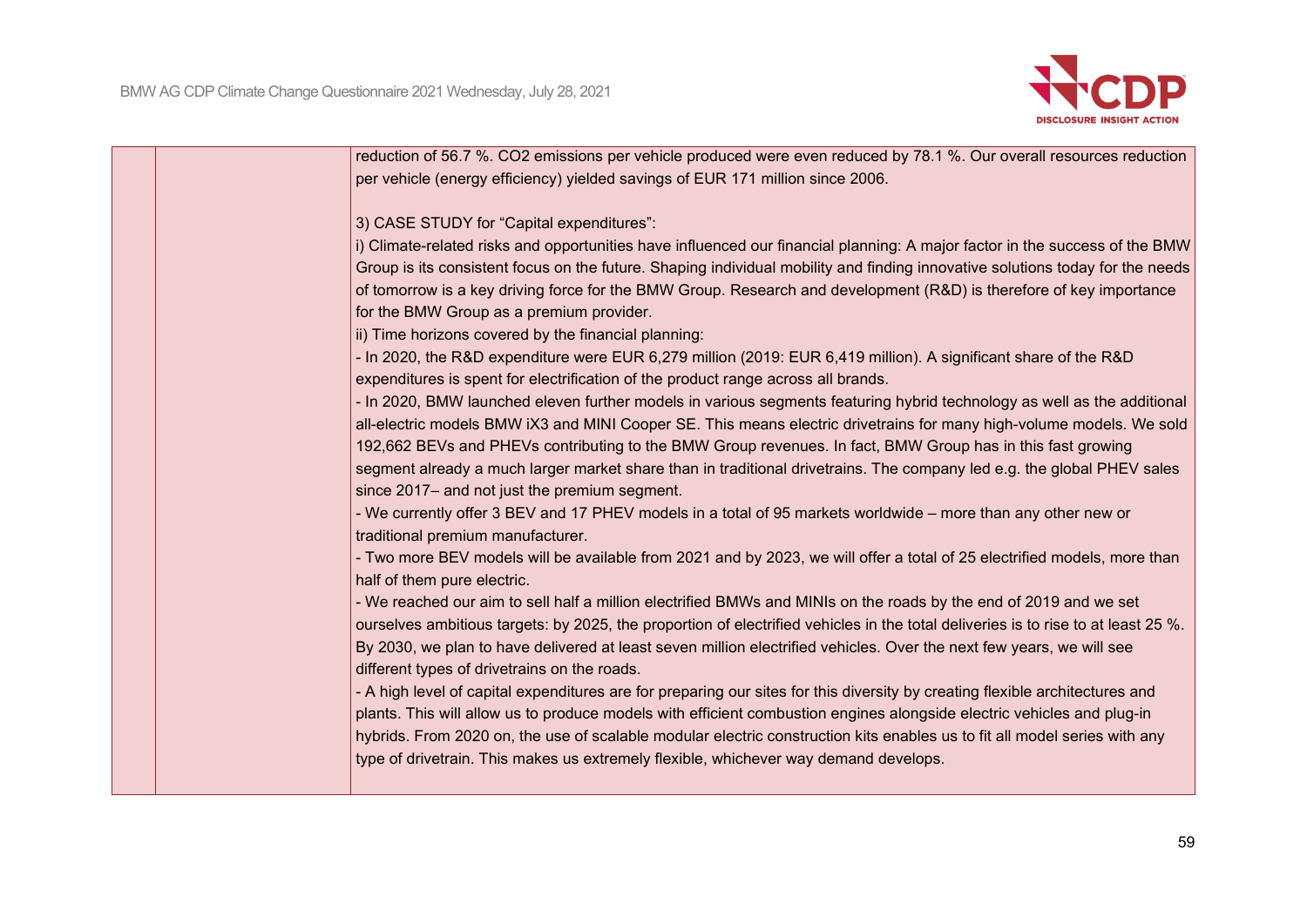

| reduction of 56.7 %. CO2 emissions per vehicle produced were even reduced by 78.1 %. Our overall resources reduction              |
|-----------------------------------------------------------------------------------------------------------------------------------|
| per vehicle (energy efficiency) yielded savings of EUR 171 million since 2006.                                                    |
| 3) CASE STUDY for "Capital expenditures":                                                                                         |
| i) Climate-related risks and opportunities have influenced our financial planning: A major factor in the success of the BMW       |
| Group is its consistent focus on the future. Shaping individual mobility and finding innovative solutions today for the needs     |
| of tomorrow is a key driving force for the BMW Group. Research and development (R&D) is therefore of key importance               |
| for the BMW Group as a premium provider.                                                                                          |
| ii) Time horizons covered by the financial planning:                                                                              |
| - In 2020, the R&D expenditure were EUR 6,279 million (2019: EUR 6,419 million). A significant share of the R&D                   |
| expenditures is spent for electrification of the product range across all brands.                                                 |
| - In 2020, BMW launched eleven further models in various segments featuring hybrid technology as well as the additional           |
| all-electric models BMW iX3 and MINI Cooper SE. This means electric drivetrains for many high-volume models. We sold              |
| 192,662 BEVs and PHEVs contributing to the BMW Group revenues. In fact, BMW Group has in this fast growing                        |
| segment already a much larger market share than in traditional drivetrains. The company led e.g. the global PHEV sales            |
| since 2017- and not just the premium segment.                                                                                     |
| - We currently offer 3 BEV and 17 PHEV models in a total of 95 markets worldwide – more than any other new or                     |
| traditional premium manufacturer.                                                                                                 |
| - Two more BEV models will be available from 2021 and by 2023, we will offer a total of 25 electrified models, more than          |
| half of them pure electric.                                                                                                       |
| - We reached our aim to sell half a million electrified BMWs and MINIs on the roads by the end of 2019 and we set                 |
| ourselves ambitious targets: by 2025, the proportion of electrified vehicles in the total deliveries is to rise to at least 25 %. |
| By 2030, we plan to have delivered at least seven million electrified vehicles. Over the next few years, we will see              |
| different types of drivetrains on the roads.                                                                                      |
| - A high level of capital expenditures are for preparing our sites for this diversity by creating flexible architectures and      |
| plants. This will allow us to produce models with efficient combustion engines alongside electric vehicles and plug-in            |
| hybrids. From 2020 on, the use of scalable modular electric construction kits enables us to fit all model series with any         |
| type of drivetrain. This makes us extremely flexible, whichever way demand develops.                                              |
|                                                                                                                                   |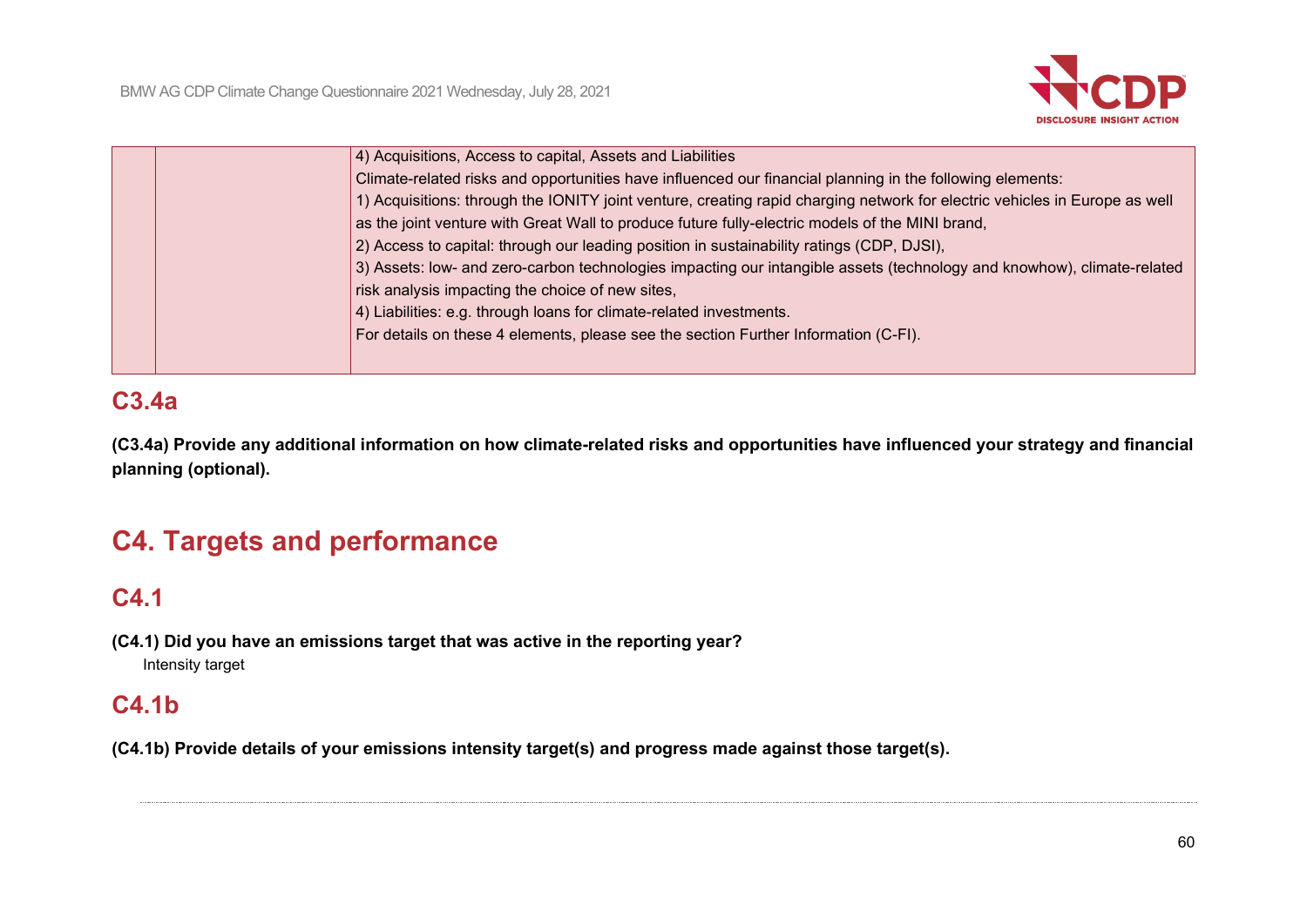

| 4) Acquisitions, Access to capital, Assets and Liabilities                                                                 |
|----------------------------------------------------------------------------------------------------------------------------|
| Climate-related risks and opportunities have influenced our financial planning in the following elements:                  |
| 1) Acquisitions: through the IONITY joint venture, creating rapid charging network for electric vehicles in Europe as well |
| as the joint venture with Great Wall to produce future fully-electric models of the MINI brand,                            |
| 2) Access to capital: through our leading position in sustainability ratings (CDP, DJSI),                                  |
| 3) Assets: low- and zero-carbon technologies impacting our intangible assets (technology and knowhow), climate-related     |
| risk analysis impacting the choice of new sites,                                                                           |
| 4) Liabilities: e.g. through loans for climate-related investments.                                                        |
| For details on these 4 elements, please see the section Further Information (C-FI).                                        |
|                                                                                                                            |
|                                                                                                                            |

# **C3.4a**

**(C3.4a) Provide any additional information on how climate-related risks and opportunities have influenced your strategy and financial planning (optional).**

# **C4. Targets and performance**

# **C4.1**

**(C4.1) Did you have an emissions target that was active in the reporting year?** Intensity target

# **C4.1b**

**(C4.1b) Provide details of your emissions intensity target(s) and progress made against those target(s).**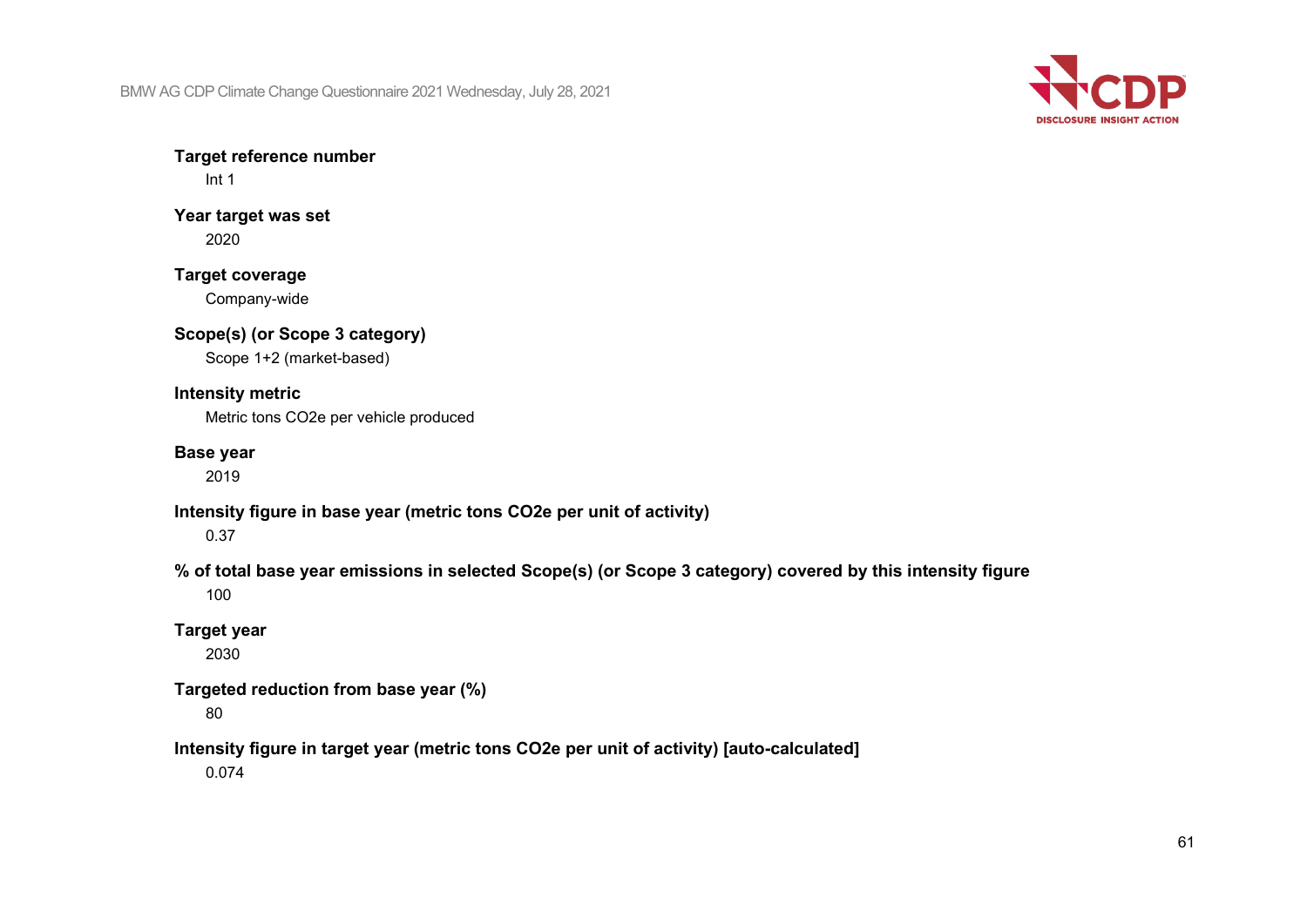

**Target reference number**

Int 1

**Year target was set** 2020

**Target coverage** Company-wide

**Scope(s) (or Scope 3 category)** Scope 1+2 (market-based)

**Intensity metric** Metric tons CO2e per vehicle produced

### **Base year**

2019

**Intensity figure in base year (metric tons CO2e per unit of activity)**

0.37

**% of total base year emissions in selected Scope(s) (or Scope 3 category) covered by this intensity figure** 100

**Target year**

2030

**Targeted reduction from base year (%)**

80

**Intensity figure in target year (metric tons CO2e per unit of activity) [auto-calculated]**

0.074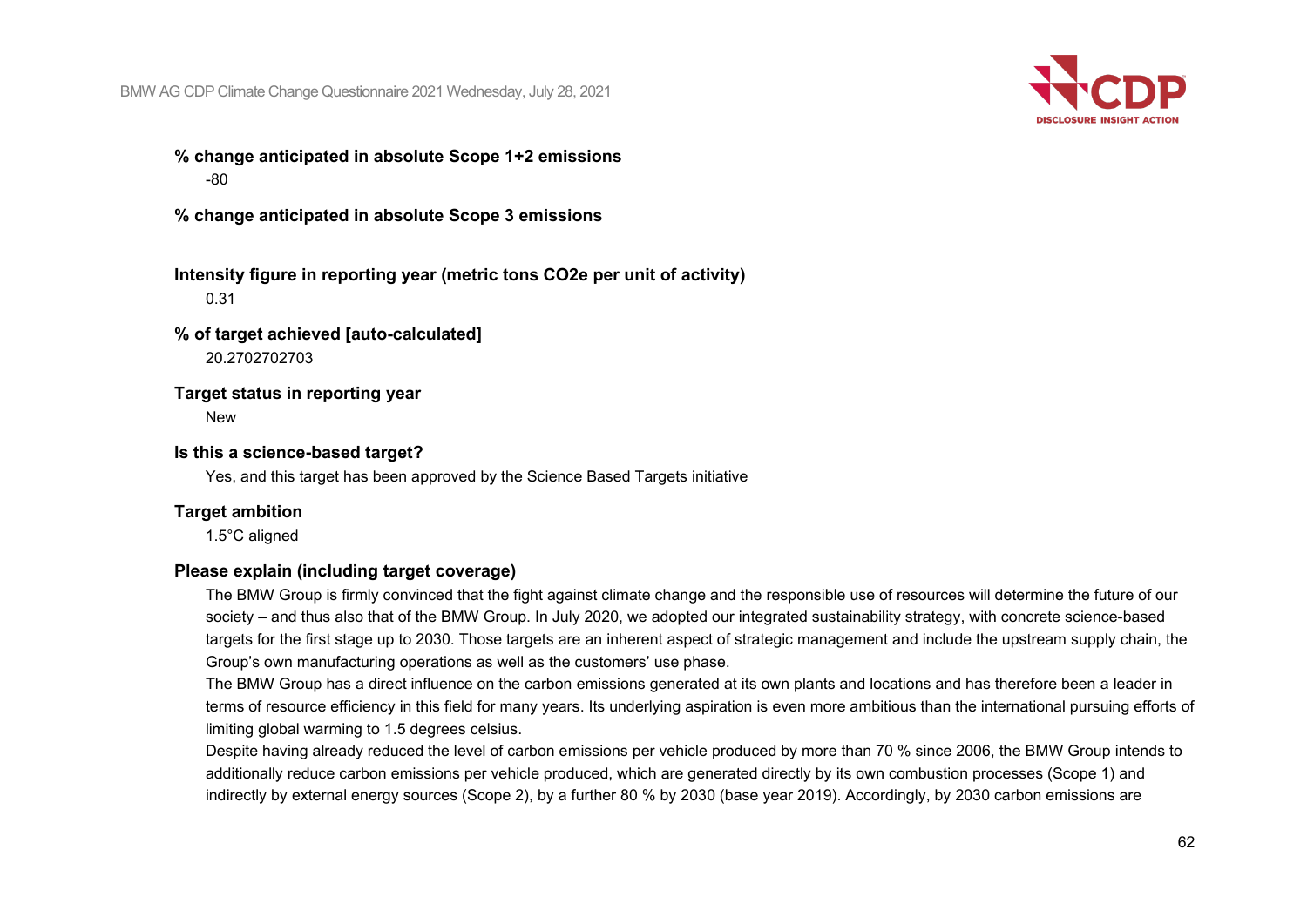

### **% change anticipated in absolute Scope 1+2 emissions** -80

**% change anticipated in absolute Scope 3 emissions**

## **Intensity figure in reporting year (metric tons CO2e per unit of activity)** 0.31

### **% of target achieved [auto-calculated]** 20.2702702703

### **Target status in reporting year**

**New** 

### **Is this a science-based target?**

Yes, and this target has been approved by the Science Based Targets initiative

### **Target ambition**

1.5°C aligned

### **Please explain (including target coverage)**

The BMW Group is firmly convinced that the fight against climate change and the responsible use of resources will determine the future of our society – and thus also that of the BMW Group. In July 2020, we adopted our integrated sustainability strategy, with concrete science-based targets for the first stage up to 2030. Those targets are an inherent aspect of strategic management and include the upstream supply chain, the Group's own manufacturing operations as well as the customers' use phase.

The BMW Group has a direct influence on the carbon emissions generated at its own plants and locations and has therefore been a leader in terms of resource efficiency in this field for many years. Its underlying aspiration is even more ambitious than the international pursuing efforts of limiting global warming to 1.5 degrees celsius.

Despite having already reduced the level of carbon emissions per vehicle produced by more than 70 % since 2006, the BMW Group intends to additionally reduce carbon emissions per vehicle produced, which are generated directly by its own combustion processes (Scope 1) and indirectly by external energy sources (Scope 2), by a further 80 % by 2030 (base year 2019). Accordingly, by 2030 carbon emissions are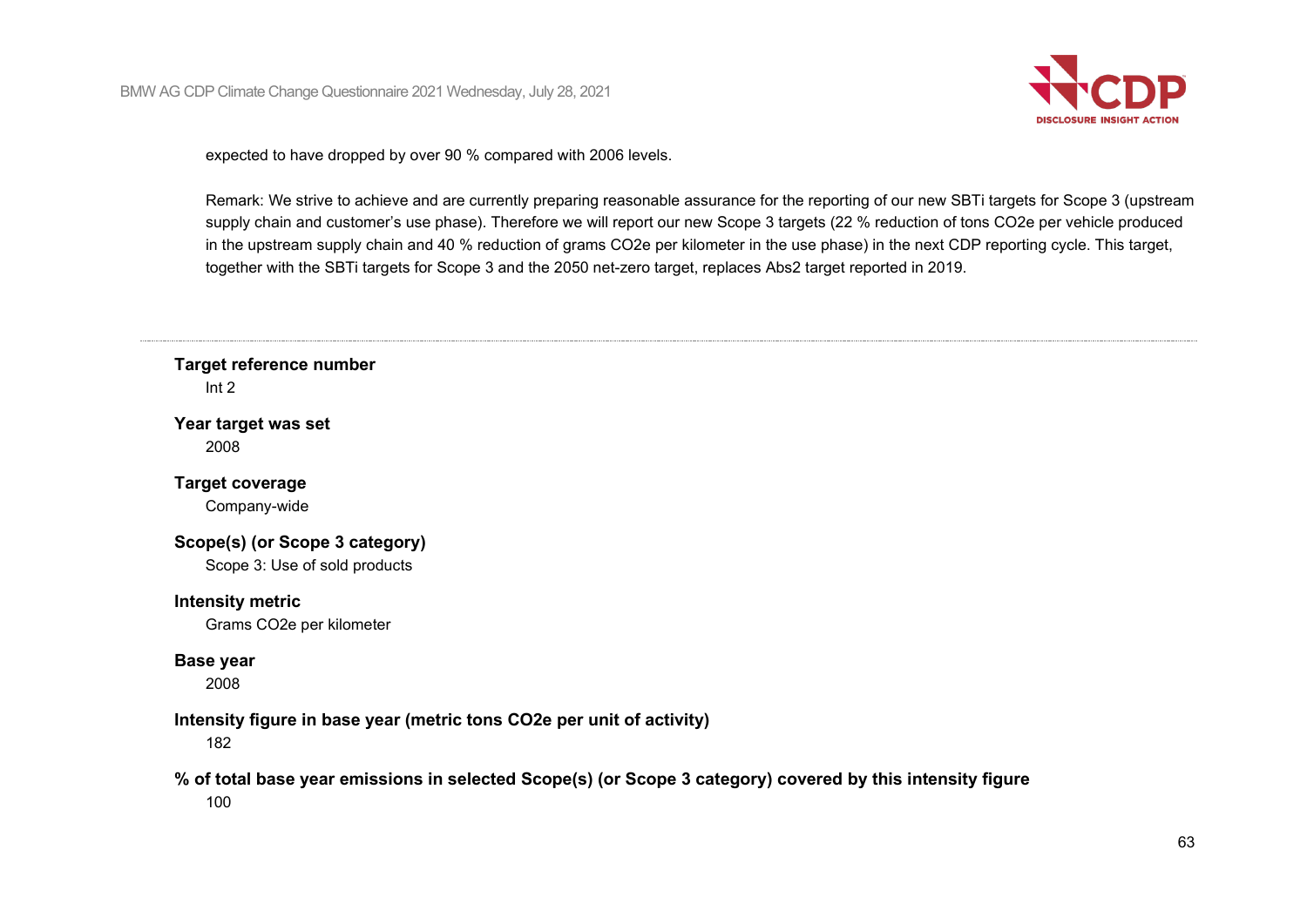

expected to have dropped by over 90 % compared with 2006 levels.

Remark: We strive to achieve and are currently preparing reasonable assurance for the reporting of our new SBTi targets for Scope 3 (upstream supply chain and customer's use phase). Therefore we will report our new Scope 3 targets (22 % reduction of tons CO2e per vehicle produced in the upstream supply chain and 40 % reduction of grams CO2e per kilometer in the use phase) in the next CDP reporting cycle. This target, together with the SBTi targets for Scope 3 and the 2050 net-zero target, replaces Abs2 target reported in 2019.

**Target reference number** Int 2

**Year target was set** 2008

**Target coverage**

Company-wide

**Scope(s) (or Scope 3 category)**

Scope 3: Use of sold products

**Intensity metric**

Grams CO2e per kilometer

### **Base year**

2008

### **Intensity figure in base year (metric tons CO2e per unit of activity)**

182

## **% of total base year emissions in selected Scope(s) (or Scope 3 category) covered by this intensity figure**

100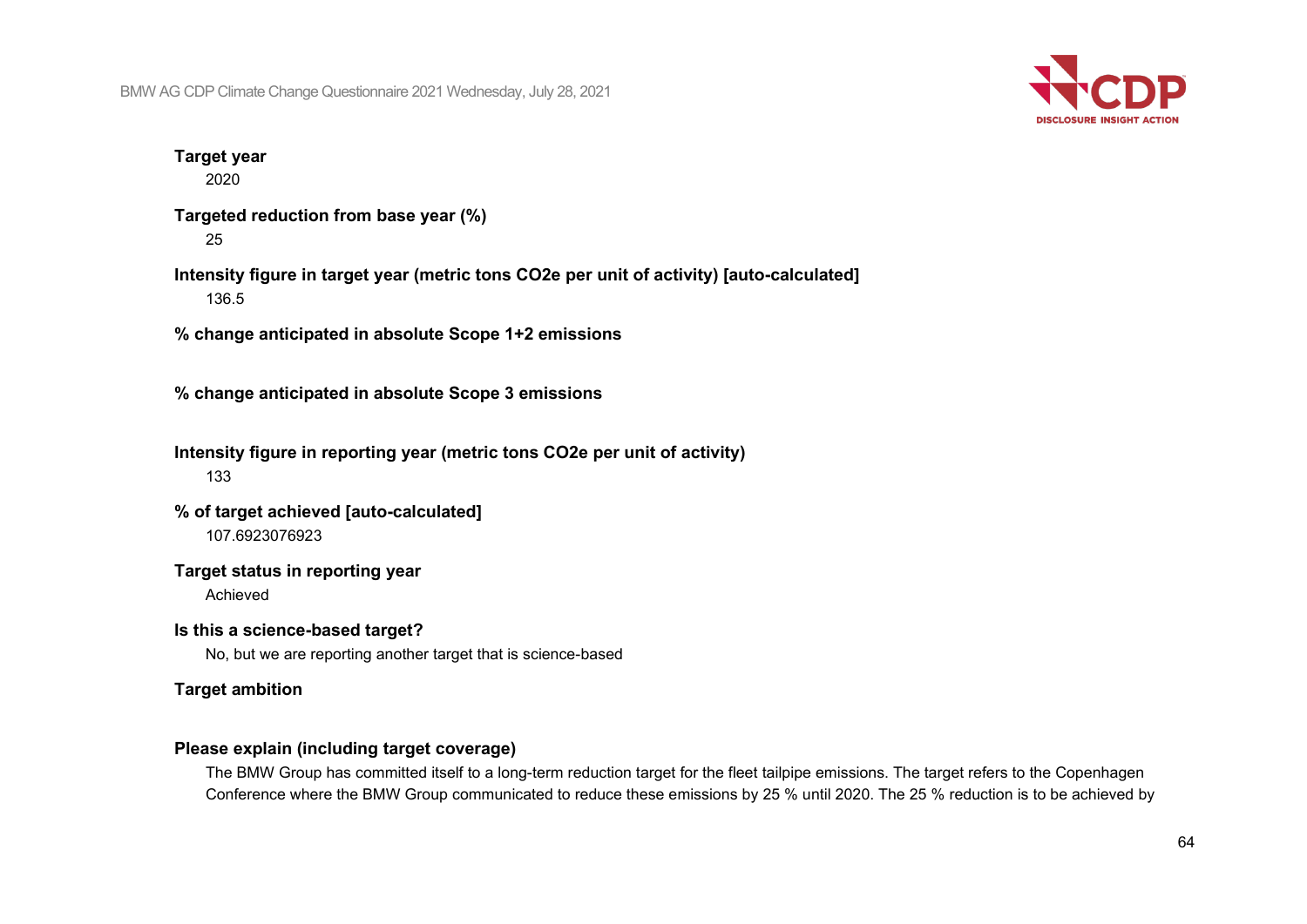

## **Target year**

2020

**Targeted reduction from base year (%)** 25

**Intensity figure in target year (metric tons CO2e per unit of activity) [auto-calculated]** 136.5

**% change anticipated in absolute Scope 1+2 emissions**

**% change anticipated in absolute Scope 3 emissions**

**Intensity figure in reporting year (metric tons CO2e per unit of activity)** 133

**% of target achieved [auto-calculated]** 107.6923076923

**Target status in reporting year**

Achieved

**Is this a science-based target?**

No, but we are reporting another target that is science-based

**Target ambition**

### **Please explain (including target coverage)**

The BMW Group has committed itself to a long-term reduction target for the fleet tailpipe emissions. The target refers to the Copenhagen Conference where the BMW Group communicated to reduce these emissions by 25 % until 2020. The 25 % reduction is to be achieved by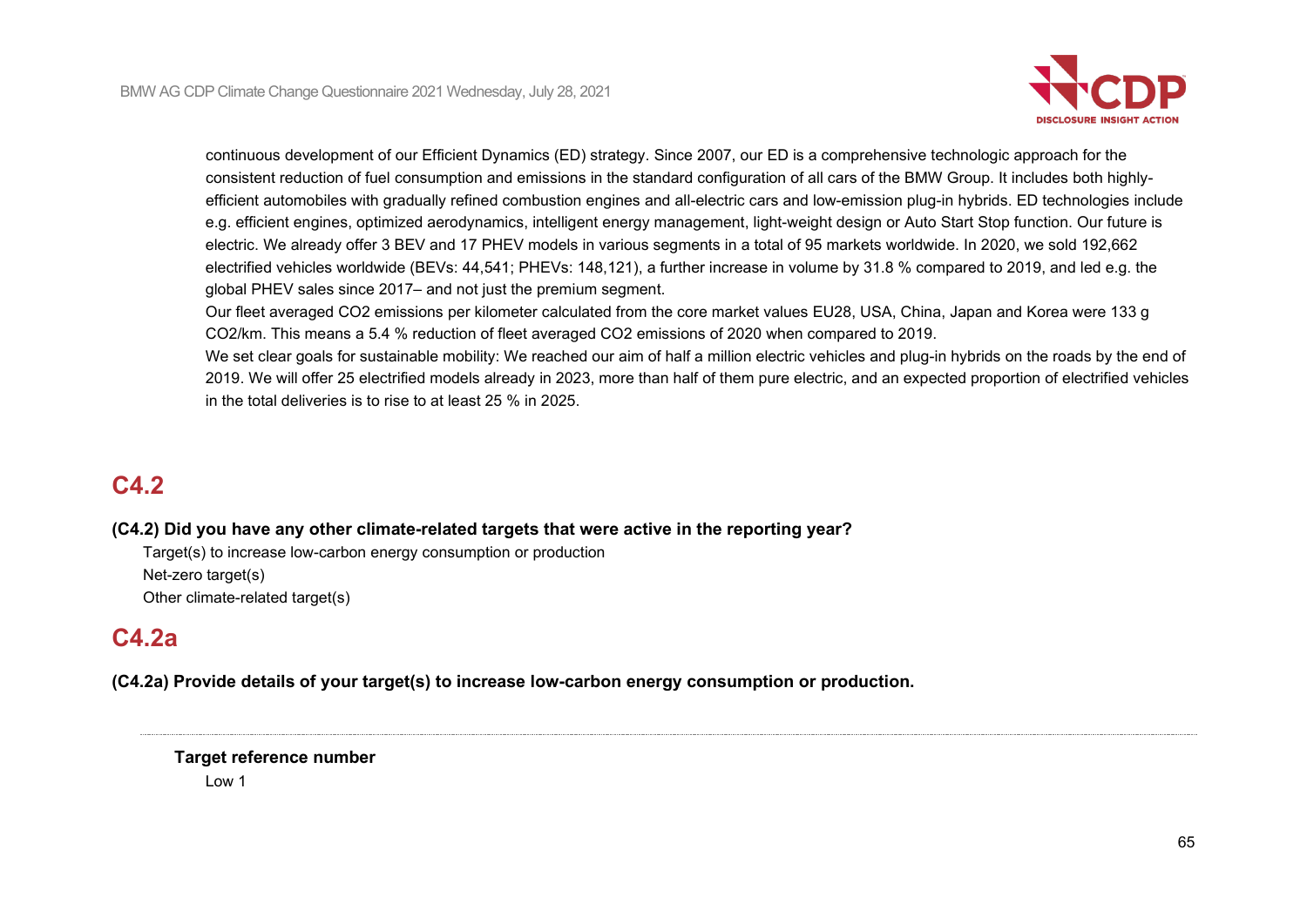

continuous development of our Efficient Dynamics (ED) strategy. Since 2007, our ED is a comprehensive technologic approach for the consistent reduction of fuel consumption and emissions in the standard configuration of all cars of the BMW Group. It includes both highlyefficient automobiles with gradually refined combustion engines and all-electric cars and low-emission plug-in hybrids. ED technologies include e.g. efficient engines, optimized aerodynamics, intelligent energy management, light-weight design or Auto Start Stop function. Our future is electric. We already offer 3 BEV and 17 PHEV models in various segments in a total of 95 markets worldwide. In 2020, we sold 192,662 electrified vehicles worldwide (BEVs: 44,541; PHEVs: 148,121), a further increase in volume by 31.8 % compared to 2019, and led e.g. the global PHEV sales since 2017– and not just the premium segment.

Our fleet averaged CO2 emissions per kilometer calculated from the core market values EU28, USA, China, Japan and Korea were 133 g CO2/km. This means a 5.4 % reduction of fleet averaged CO2 emissions of 2020 when compared to 2019.

We set clear goals for sustainable mobility: We reached our aim of half a million electric vehicles and plug-in hybrids on the roads by the end of 2019. We will offer 25 electrified models already in 2023, more than half of them pure electric, and an expected proportion of electrified vehicles in the total deliveries is to rise to at least 25 % in 2025.

# **C4.2**

### **(C4.2) Did you have any other climate-related targets that were active in the reporting year?**

Target(s) to increase low-carbon energy consumption or production Net-zero target(s) Other climate-related target(s)

# **C4.2a**

**(C4.2a) Provide details of your target(s) to increase low-carbon energy consumption or production.**

## **Target reference number**

Low 1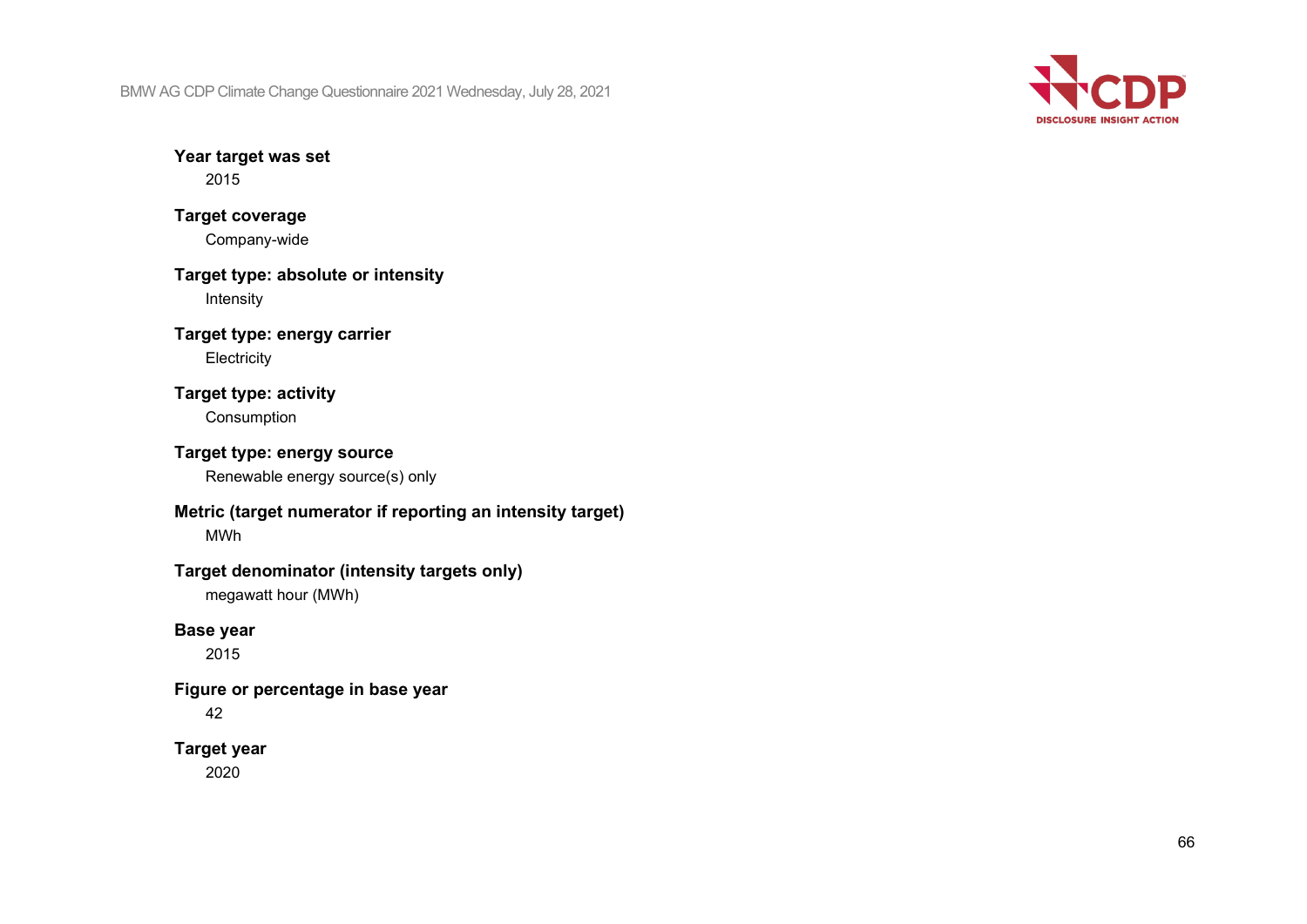

**Year target was set** 2015

## **Target coverage** Company-wide

**Target type: absolute or intensity** Intensity

**Target type: energy carrier Electricity** 

## **Target type: activity**

Consumption

## **Target type: energy source**

Renewable energy source(s) only

# **Metric (target numerator if reporting an intensity target)**

MWh

## **Target denominator (intensity targets only)**

megawatt hour (MWh)

## **Base year**

2015

### **Figure or percentage in base year**

42

## **Target year**

2020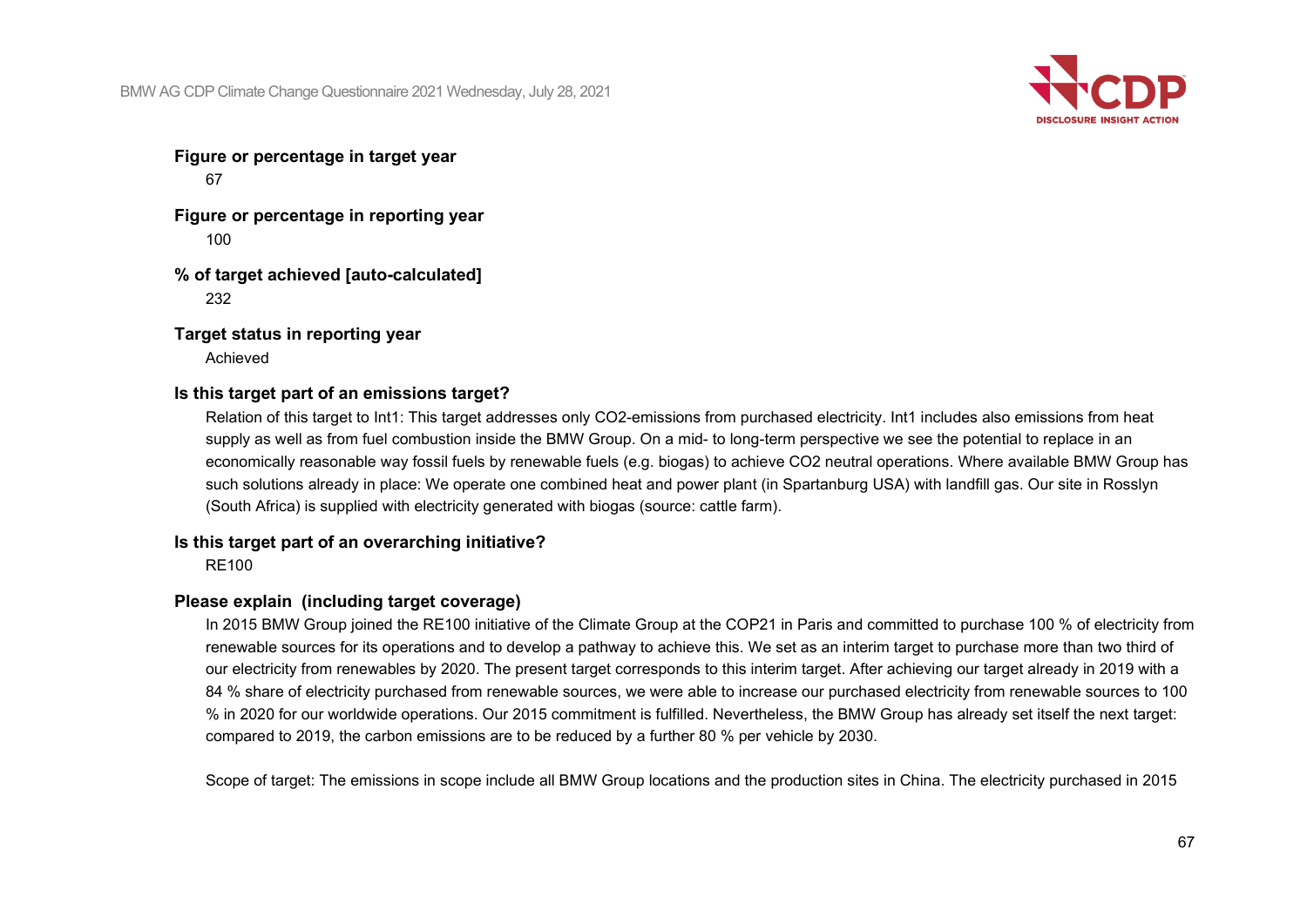

**Figure or percentage in target year** 67

**Figure or percentage in reporting year** 100

**% of target achieved [auto-calculated]** 232

**Target status in reporting year**

Achieved

### **Is this target part of an emissions target?**

Relation of this target to Int1: This target addresses only CO2-emissions from purchased electricity. Int1 includes also emissions from heat supply as well as from fuel combustion inside the BMW Group. On a mid- to long-term perspective we see the potential to replace in an economically reasonable way fossil fuels by renewable fuels (e.g. biogas) to achieve CO2 neutral operations. Where available BMW Group has such solutions already in place: We operate one combined heat and power plant (in Spartanburg USA) with landfill gas. Our site in Rosslyn (South Africa) is supplied with electricity generated with biogas (source: cattle farm).

### **Is this target part of an overarching initiative?**

RE100

### **Please explain (including target coverage)**

In 2015 BMW Group joined the RE100 initiative of the Climate Group at the COP21 in Paris and committed to purchase 100 % of electricity from renewable sources for its operations and to develop a pathway to achieve this. We set as an interim target to purchase more than two third of our electricity from renewables by 2020. The present target corresponds to this interim target. After achieving our target already in 2019 with a 84 % share of electricity purchased from renewable sources, we were able to increase our purchased electricity from renewable sources to 100 % in 2020 for our worldwide operations. Our 2015 commitment is fulfilled. Nevertheless, the BMW Group has already set itself the next target: compared to 2019, the carbon emissions are to be reduced by a further 80 % per vehicle by 2030.

Scope of target: The emissions in scope include all BMW Group locations and the production sites in China. The electricity purchased in 2015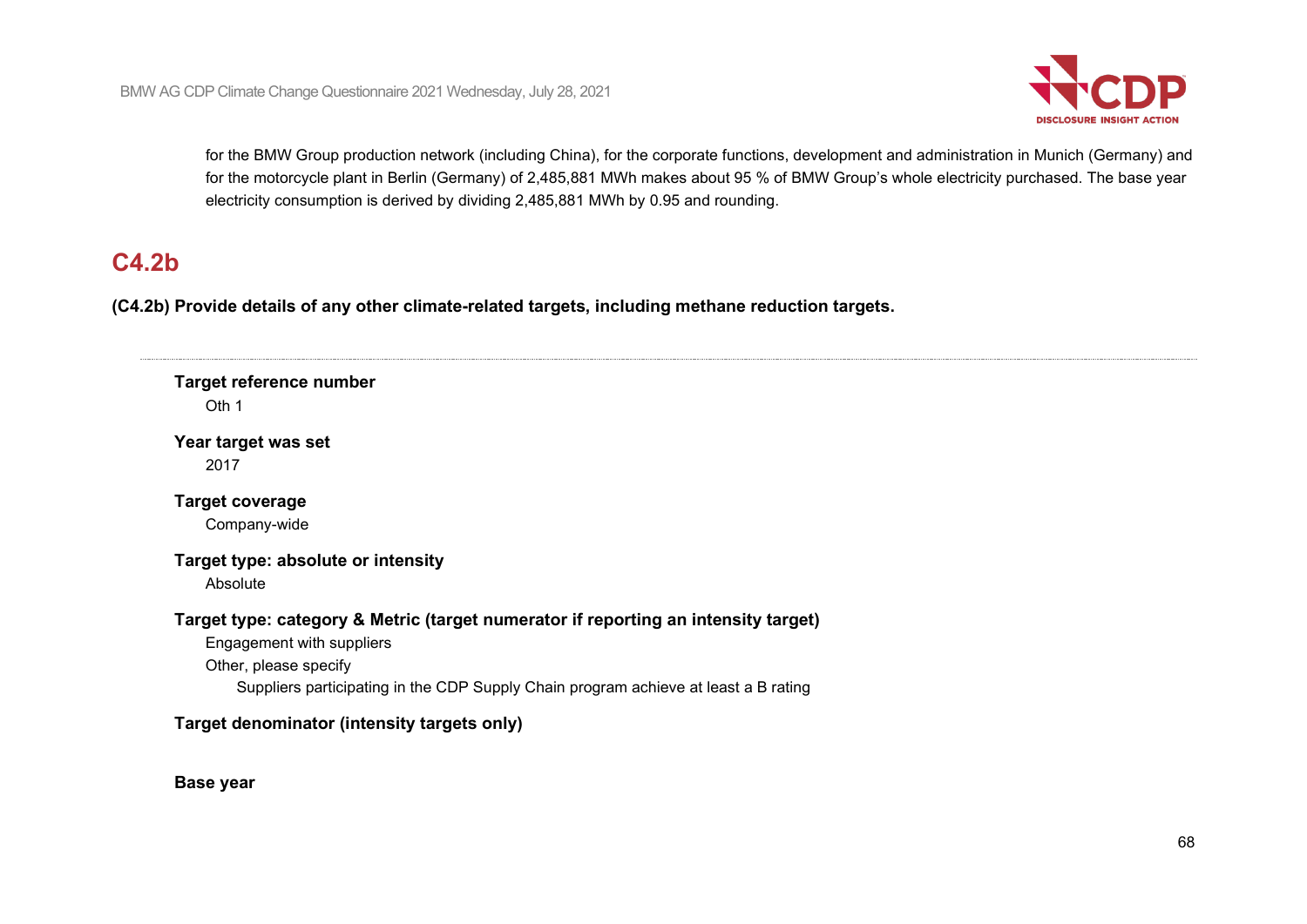

for the BMW Group production network (including China), for the corporate functions, development and administration in Munich (Germany) and for the motorcycle plant in Berlin (Germany) of 2,485,881 MWh makes about 95 % of BMW Group's whole electricity purchased. The base year electricity consumption is derived by dividing 2,485,881 MWh by 0.95 and rounding.

# **C4.2b**

**(C4.2b) Provide details of any other climate-related targets, including methane reduction targets.**

### **Target reference number** Oth 1

**Year target was set** 2017

**Target coverage** Company-wide

### **Target type: absolute or intensity**

Absolute

## **Target type: category & Metric (target numerator if reporting an intensity target)**

Engagement with suppliers

Other, please specify

Suppliers participating in the CDP Supply Chain program achieve at least a B rating

## **Target denominator (intensity targets only)**

**Base year**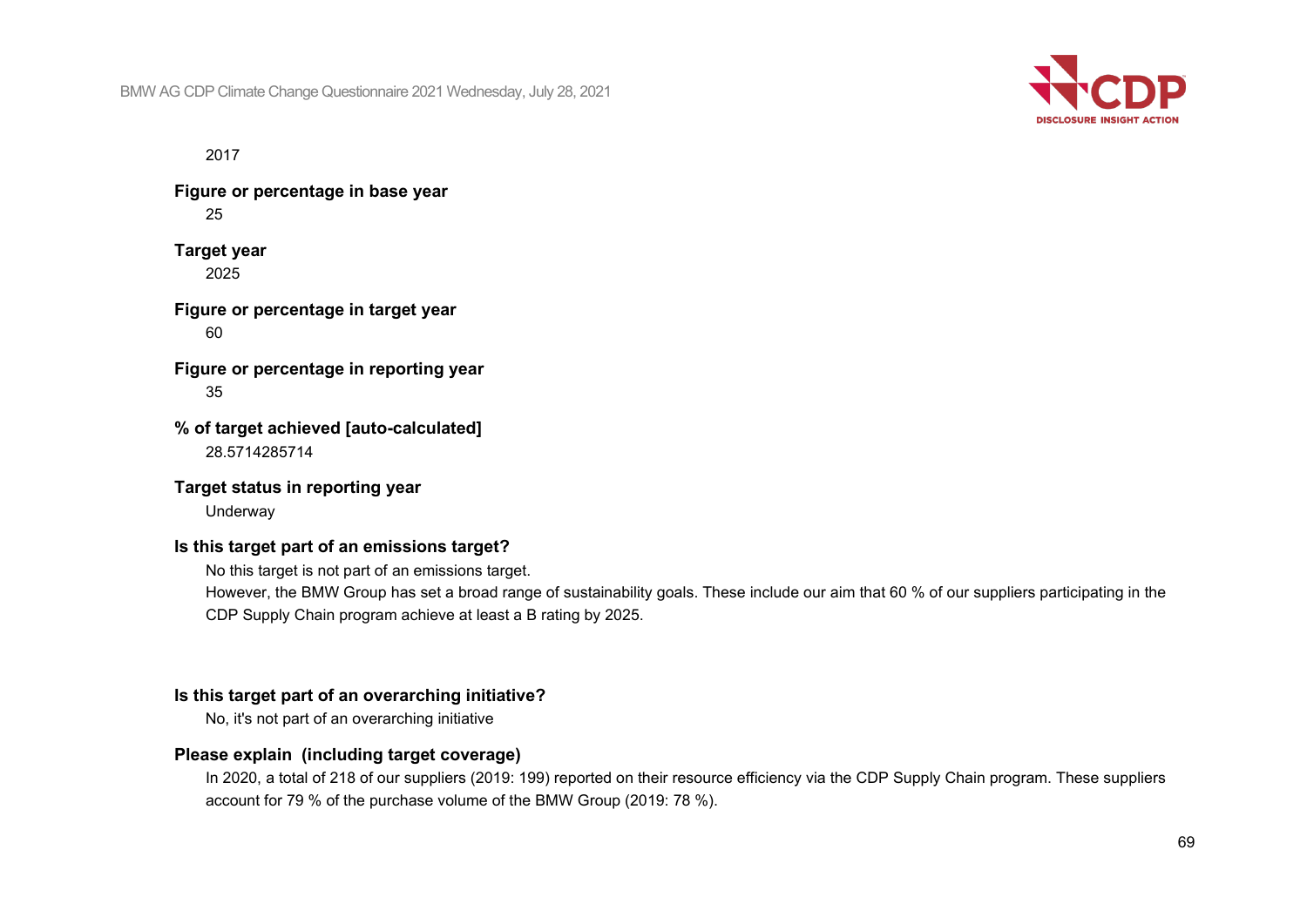

2017

**Figure or percentage in base year** 25

**Target year** 2025

**Figure or percentage in target year** 60

**Figure or percentage in reporting year** 35

**% of target achieved [auto-calculated]** 28.5714285714

**Target status in reporting year**

Underway

### **Is this target part of an emissions target?**

No this target is not part of an emissions target.

However, the BMW Group has set a broad range of sustainability goals. These include our aim that 60 % of our suppliers participating in the CDP Supply Chain program achieve at least a B rating by 2025.

### **Is this target part of an overarching initiative?**

No, it's not part of an overarching initiative

### **Please explain (including target coverage)**

In 2020, a total of 218 of our suppliers (2019: 199) reported on their resource efficiency via the CDP Supply Chain program. These suppliers account for 79 % of the purchase volume of the BMW Group (2019: 78 %).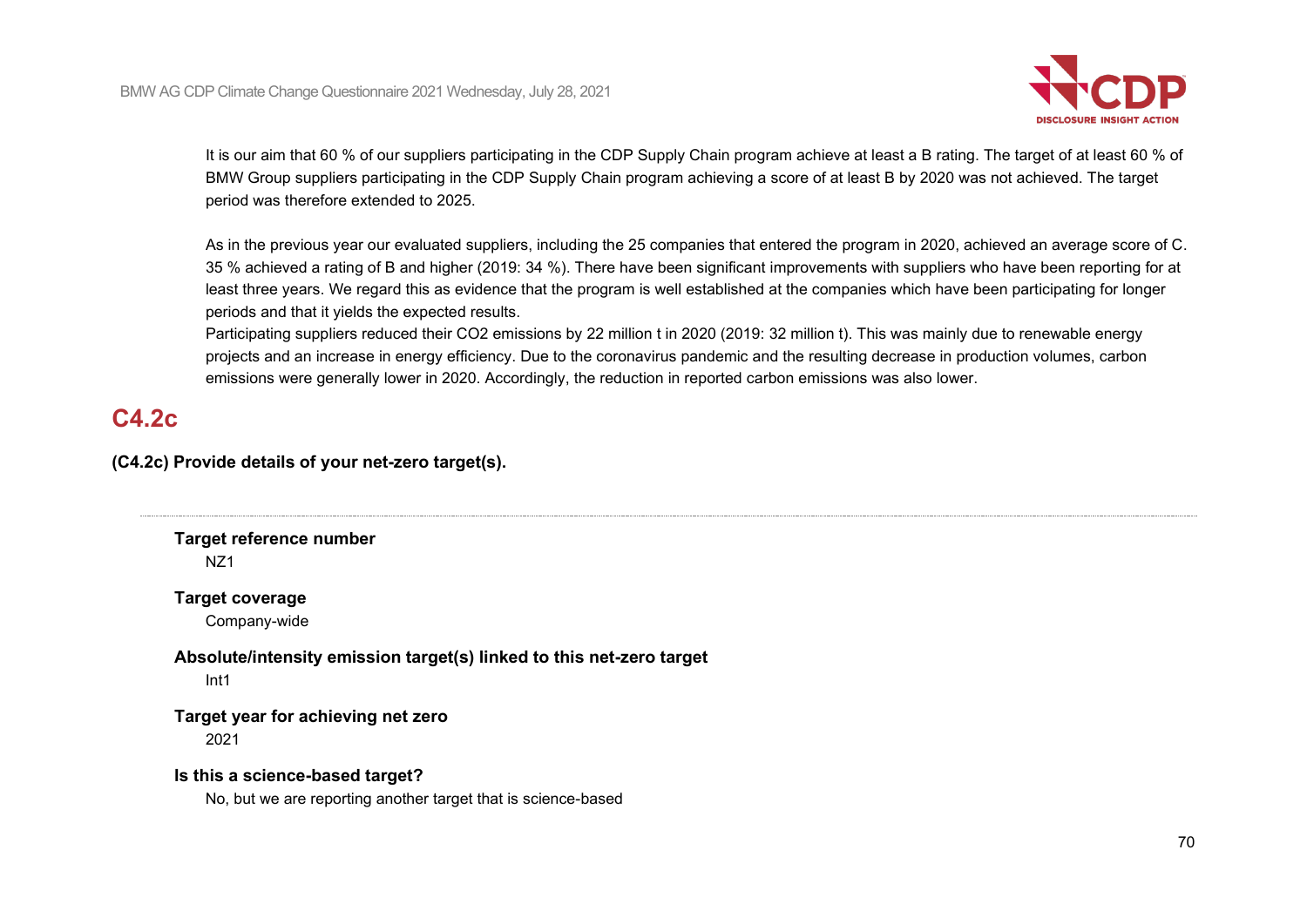

It is our aim that 60 % of our suppliers participating in the CDP Supply Chain program achieve at least a B rating. The target of at least 60 % of BMW Group suppliers participating in the CDP Supply Chain program achieving a score of at least B by 2020 was not achieved. The target period was therefore extended to 2025.

As in the previous year our evaluated suppliers, including the 25 companies that entered the program in 2020, achieved an average score of C. 35 % achieved a rating of B and higher (2019: 34 %). There have been significant improvements with suppliers who have been reporting for at least three years. We regard this as evidence that the program is well established at the companies which have been participating for longer periods and that it yields the expected results.

Participating suppliers reduced their CO2 emissions by 22 million t in 2020 (2019: 32 million t). This was mainly due to renewable energy projects and an increase in energy efficiency. Due to the coronavirus pandemic and the resulting decrease in production volumes, carbon emissions were generally lower in 2020. Accordingly, the reduction in reported carbon emissions was also lower.

# **C4.2c**

**(C4.2c) Provide details of your net-zero target(s).**

**Target reference number**

NZ1

**Target coverage**

Company-wide

**Absolute/intensity emission target(s) linked to this net-zero target**

Int1

**Target year for achieving net zero**

2021

**Is this a science-based target?**

No, but we are reporting another target that is science-based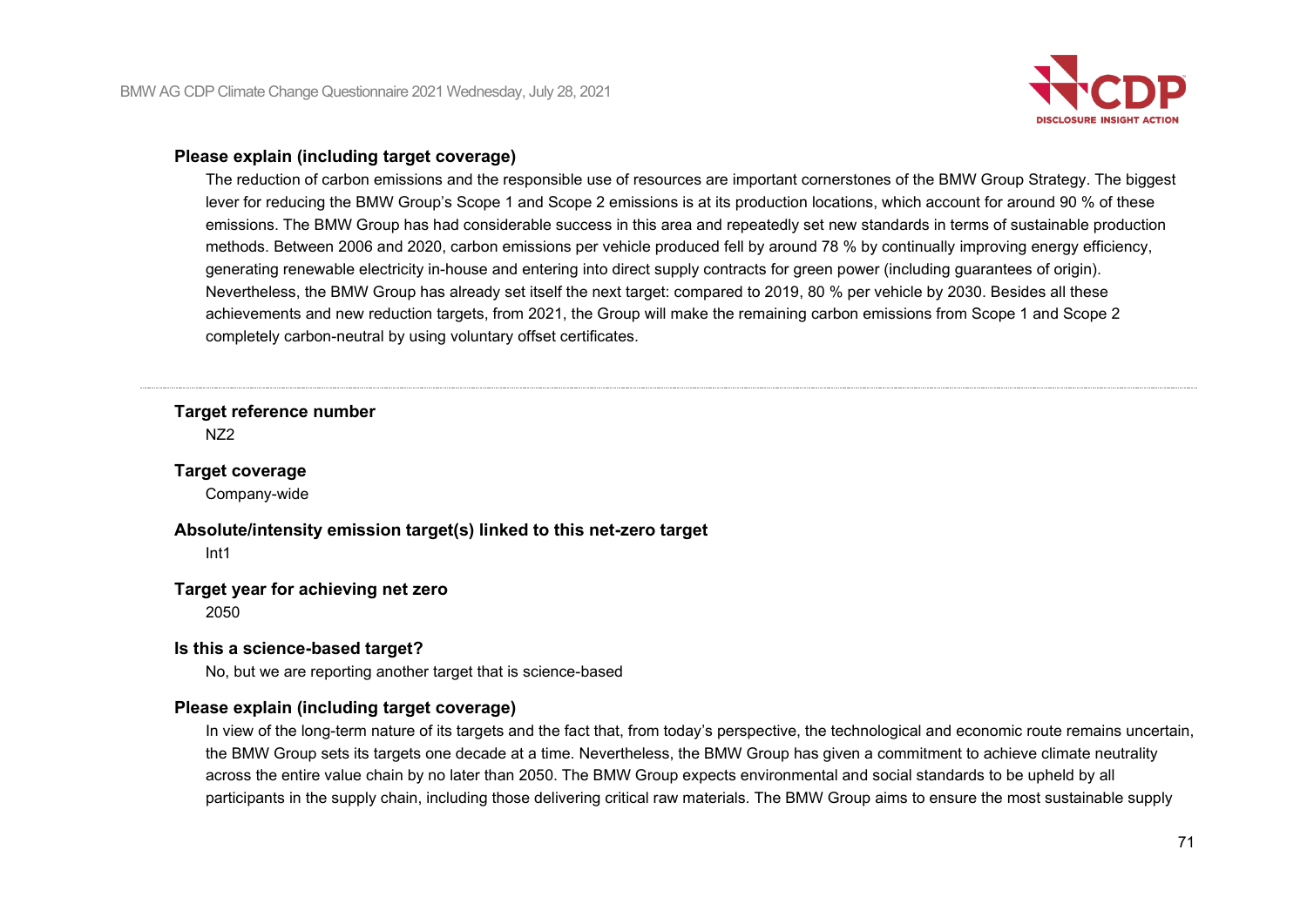

### **Please explain (including target coverage)**

The reduction of carbon emissions and the responsible use of resources are important cornerstones of the BMW Group Strategy. The biggest lever for reducing the BMW Group's Scope 1 and Scope 2 emissions is at its production locations, which account for around 90 % of these emissions. The BMW Group has had considerable success in this area and repeatedly set new standards in terms of sustainable production methods. Between 2006 and 2020, carbon emissions per vehicle produced fell by around 78 % by continually improving energy efficiency, generating renewable electricity in-house and entering into direct supply contracts for green power (including guarantees of origin). Nevertheless, the BMW Group has already set itself the next target: compared to 2019, 80 % per vehicle by 2030. Besides all these achievements and new reduction targets, from 2021, the Group will make the remaining carbon emissions from Scope 1 and Scope 2 completely carbon-neutral by using voluntary offset certificates.

**Target reference number**

N<sub>72</sub>

### **Target coverage**

Company-wide

**Absolute/intensity emission target(s) linked to this net-zero target**

Int1

### **Target year for achieving net zero**

2050

### **Is this a science-based target?**

No, but we are reporting another target that is science-based

### **Please explain (including target coverage)**

In view of the long-term nature of its targets and the fact that, from today's perspective, the technological and economic route remains uncertain, the BMW Group sets its targets one decade at a time. Nevertheless, the BMW Group has given a commitment to achieve climate neutrality across the entire value chain by no later than 2050. The BMW Group expects environmental and social standards to be upheld by all participants in the supply chain, including those delivering critical raw materials. The BMW Group aims to ensure the most sustainable supply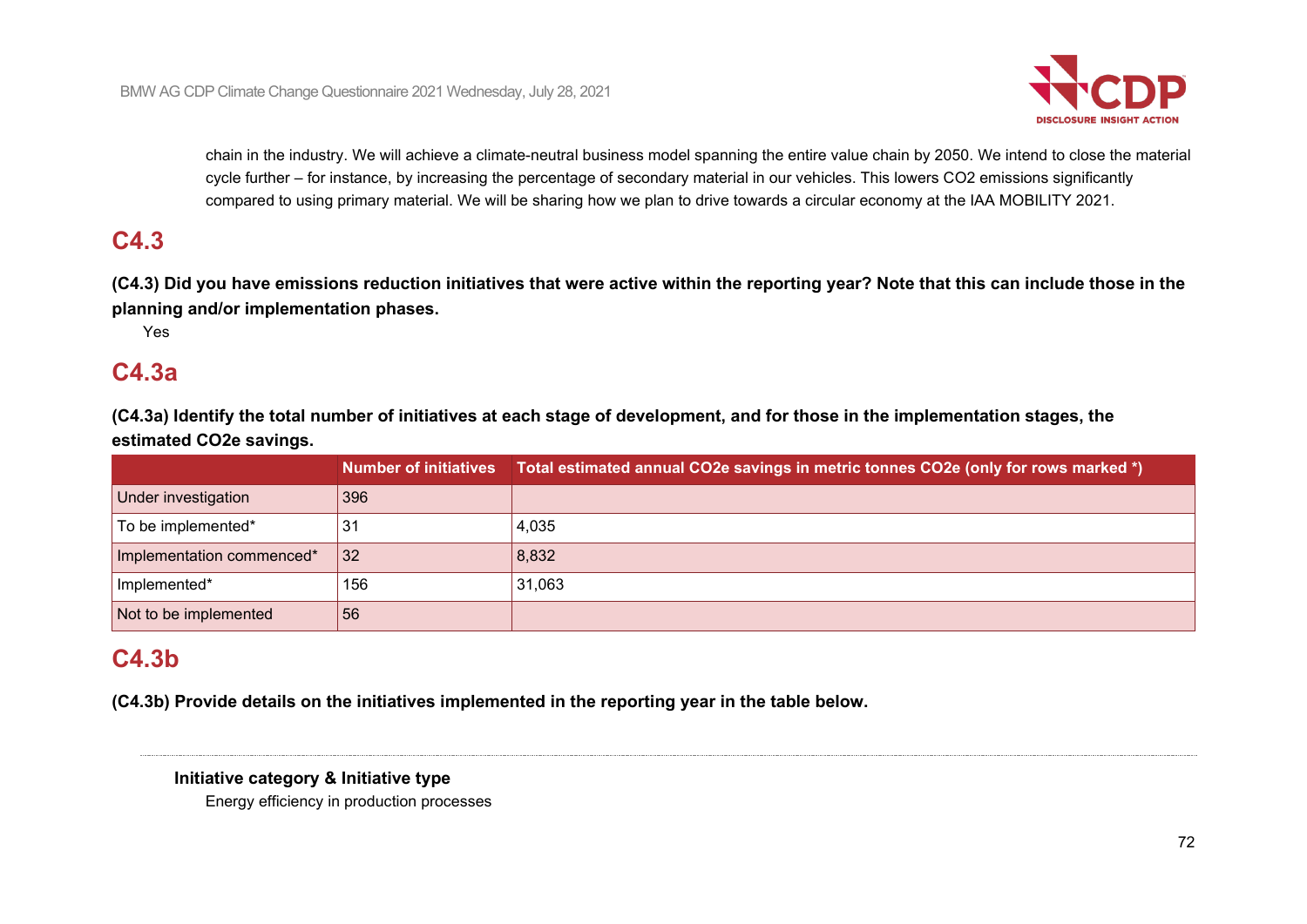

chain in the industry. We will achieve a climate-neutral business model spanning the entire value chain by 2050. We intend to close the material cycle further – for instance, by increasing the percentage of secondary material in our vehicles. This lowers CO2 emissions significantly compared to using primary material. We will be sharing how we plan to drive towards a circular economy at the IAA MOBILITY 2021.

# **C4.3**

**(C4.3) Did you have emissions reduction initiatives that were active within the reporting year? Note that this can include those in the planning and/or implementation phases.**

Yes

# **C4.3a**

**(C4.3a) Identify the total number of initiatives at each stage of development, and for those in the implementation stages, the estimated CO2e savings.**

|                           |     | Number of initiatives Total estimated annual CO2e savings in metric tonnes CO2e (only for rows marked *) |
|---------------------------|-----|----------------------------------------------------------------------------------------------------------|
| Under investigation       | 396 |                                                                                                          |
| To be implemented*        | 31  | 4,035                                                                                                    |
| Implementation commenced* | 32  | 8,832                                                                                                    |
| Implemented*              | 156 | 31,063                                                                                                   |
| Not to be implemented     | 56  |                                                                                                          |

# **C4.3b**

**(C4.3b) Provide details on the initiatives implemented in the reporting year in the table below.**

### **Initiative category & Initiative type**

Energy efficiency in production processes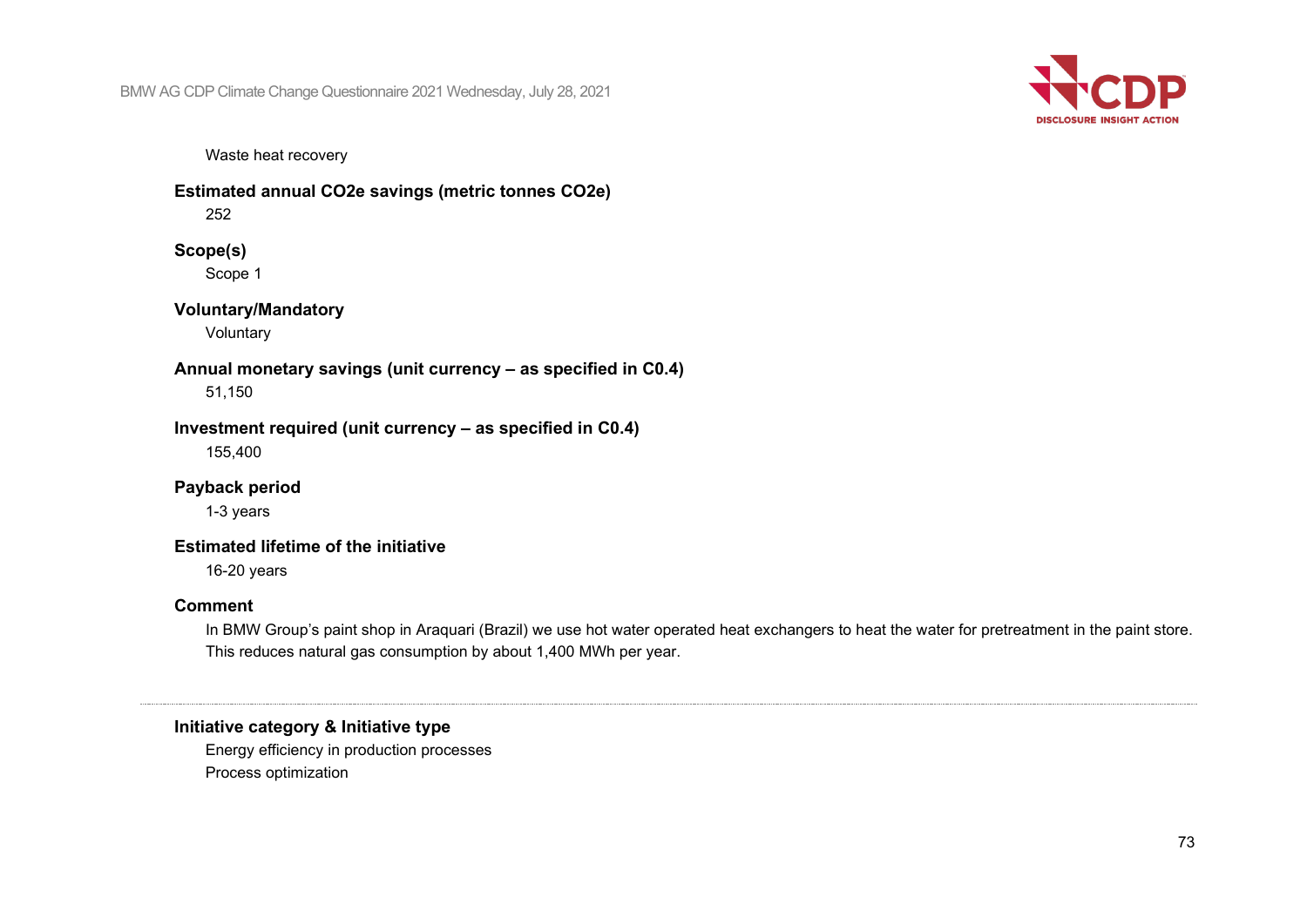

Waste heat recovery

**Estimated annual CO2e savings (metric tonnes CO2e)**

252

### **Scope(s)**

Scope 1

## **Voluntary/Mandatory**

Voluntary

**Annual monetary savings (unit currency – as specified in C0.4)** 51,150

**Investment required (unit currency – as specified in C0.4)** 155,400

**Payback period**

1-3 years

## **Estimated lifetime of the initiative**

16-20 years

#### **Comment**

In BMW Group's paint shop in Araquari (Brazil) we use hot water operated heat exchangers to heat the water for pretreatment in the paint store. This reduces natural gas consumption by about 1,400 MWh per year.

## **Initiative category & Initiative type**

Energy efficiency in production processes Process optimization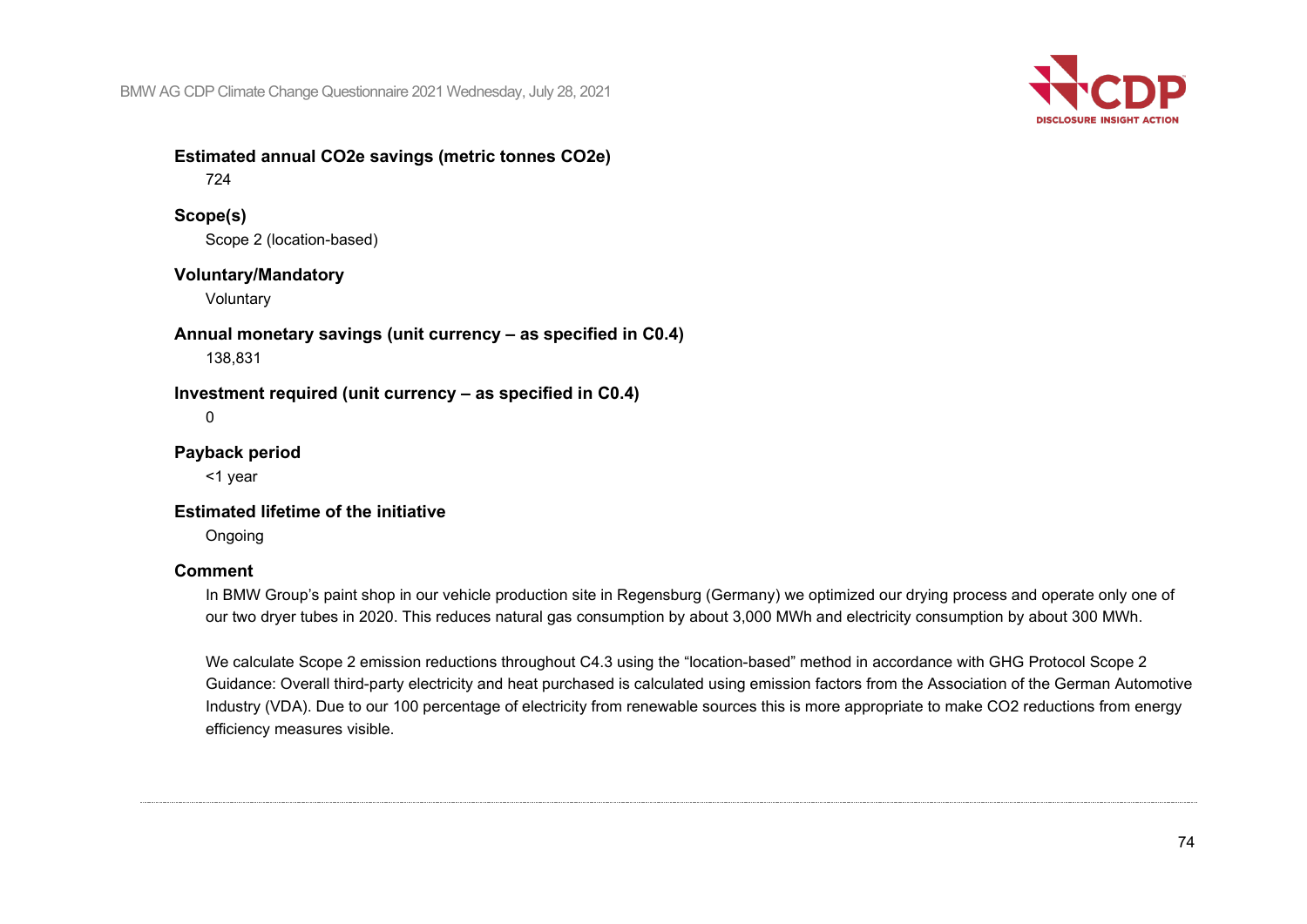

#### **Estimated annual CO2e savings (metric tonnes CO2e)** 724

#### **Scope(s)**

Scope 2 (location-based)

#### **Voluntary/Mandatory**

Voluntary

**Annual monetary savings (unit currency – as specified in C0.4)** 138,831

## **Investment required (unit currency – as specified in C0.4)**

0

## **Payback period**

<1 year

#### **Estimated lifetime of the initiative**

Ongoing

#### **Comment**

In BMW Group's paint shop in our vehicle production site in Regensburg (Germany) we optimized our drying process and operate only one of our two dryer tubes in 2020. This reduces natural gas consumption by about 3,000 MWh and electricity consumption by about 300 MWh.

We calculate Scope 2 emission reductions throughout C4.3 using the "location-based" method in accordance with GHG Protocol Scope 2 Guidance: Overall third-party electricity and heat purchased is calculated using emission factors from the Association of the German Automotive Industry (VDA). Due to our 100 percentage of electricity from renewable sources this is more appropriate to make CO2 reductions from energy efficiency measures visible.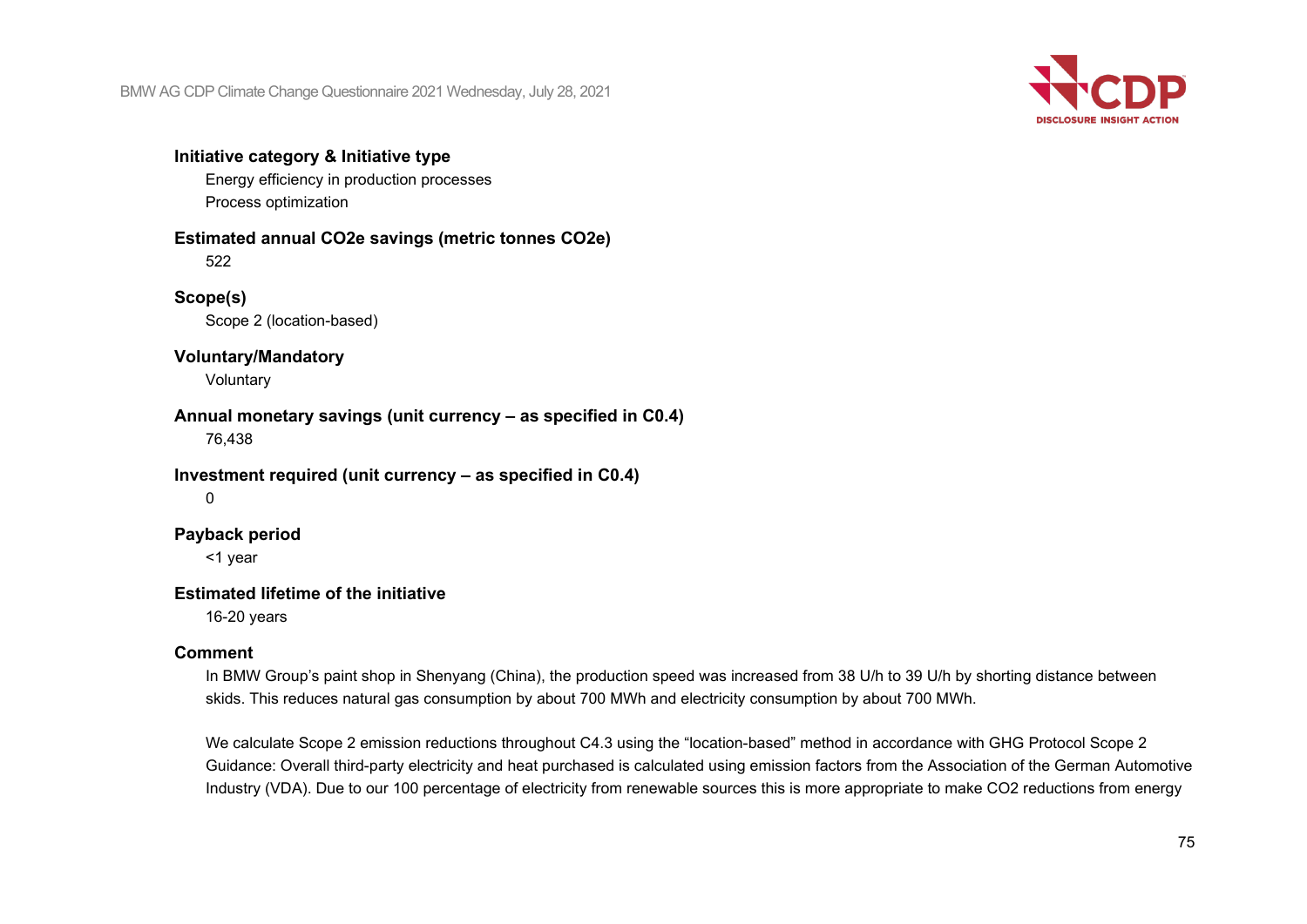

## **Initiative category & Initiative type**

Energy efficiency in production processes Process optimization

#### **Estimated annual CO2e savings (metric tonnes CO2e)**

522

#### **Scope(s)**

Scope 2 (location-based)

#### **Voluntary/Mandatory**

Voluntary

## **Annual monetary savings (unit currency – as specified in C0.4)**

76,438

#### **Investment required (unit currency – as specified in C0.4)**

 $\Omega$ 

#### **Payback period**

<1 year

#### **Estimated lifetime of the initiative**

16-20 years

#### **Comment**

In BMW Group's paint shop in Shenyang (China), the production speed was increased from 38 U/h to 39 U/h by shorting distance between skids. This reduces natural gas consumption by about 700 MWh and electricity consumption by about 700 MWh.

We calculate Scope 2 emission reductions throughout C4.3 using the "location-based" method in accordance with GHG Protocol Scope 2 Guidance: Overall third-party electricity and heat purchased is calculated using emission factors from the Association of the German Automotive Industry (VDA). Due to our 100 percentage of electricity from renewable sources this is more appropriate to make CO2 reductions from energy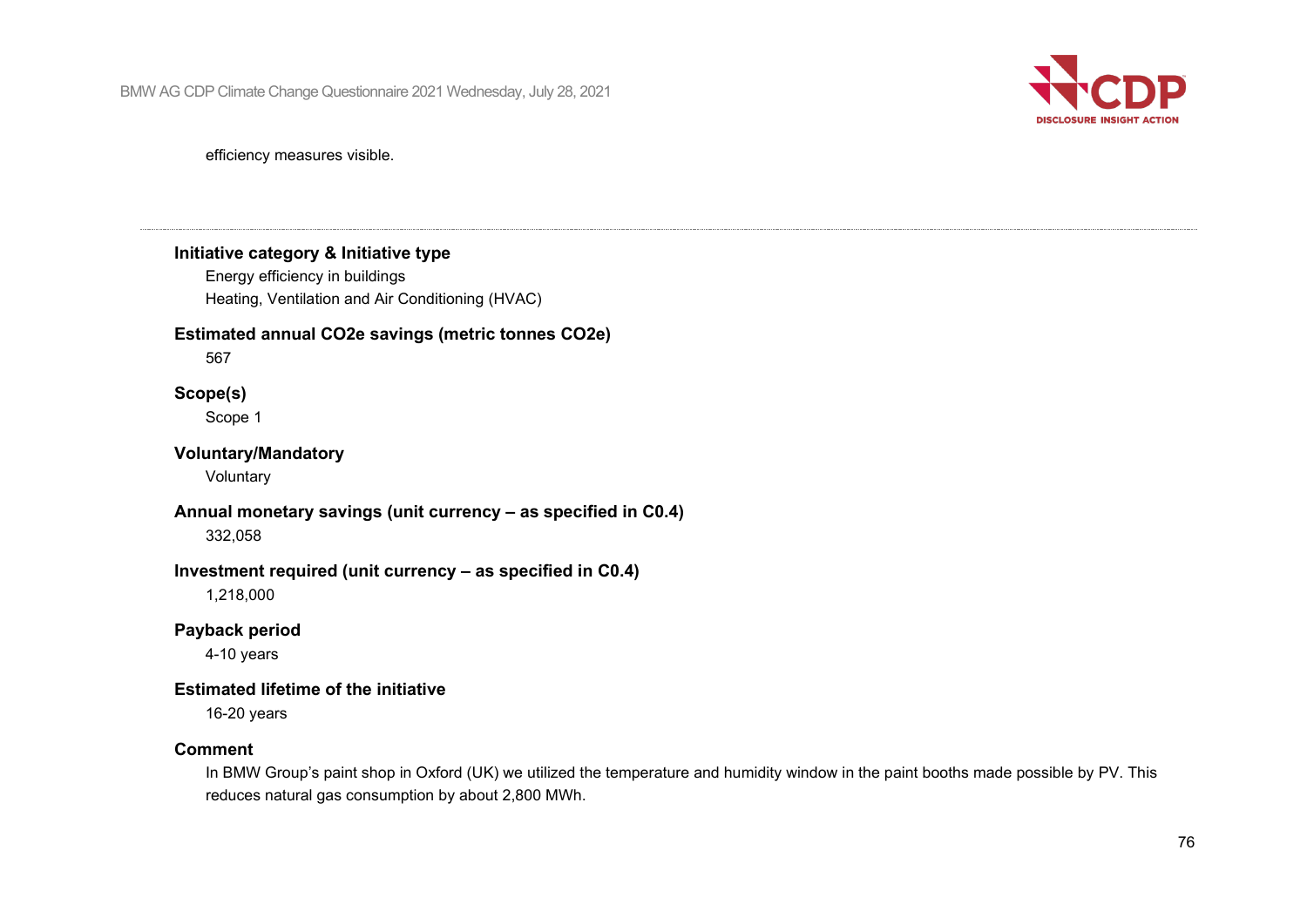

efficiency measures visible.

#### **Initiative category & Initiative type**

Energy efficiency in buildings Heating, Ventilation and Air Conditioning (HVAC)

## **Estimated annual CO2e savings (metric tonnes CO2e)**

567

#### **Scope(s)**

Scope 1

#### **Voluntary/Mandatory**

Voluntary

## **Annual monetary savings (unit currency – as specified in C0.4)**

332,058

### **Investment required (unit currency – as specified in C0.4)**

1,218,000

#### **Payback period**

4-10 years

#### **Estimated lifetime of the initiative**

16-20 years

#### **Comment**

In BMW Group's paint shop in Oxford (UK) we utilized the temperature and humidity window in the paint booths made possible by PV. This reduces natural gas consumption by about 2,800 MWh.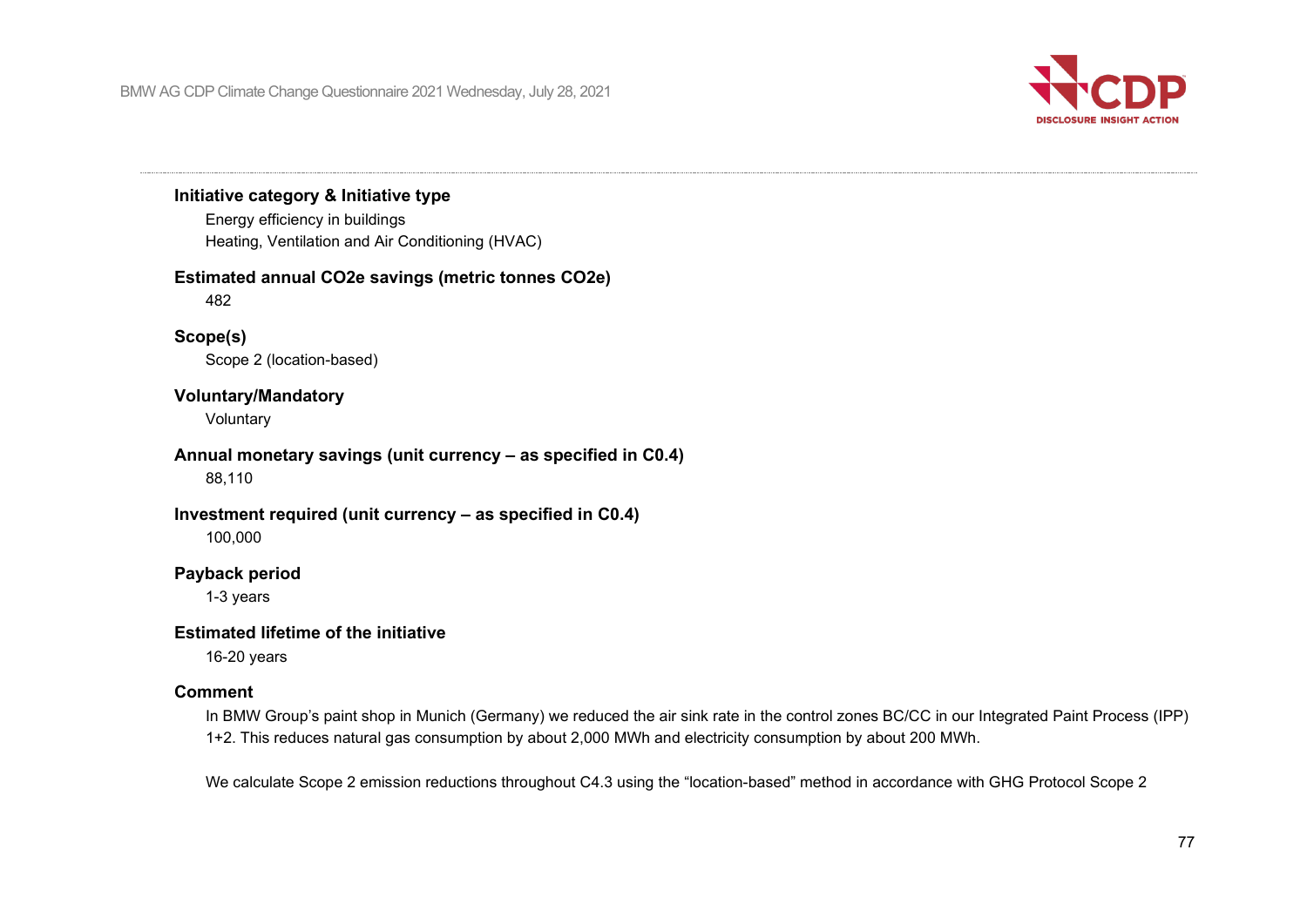

## **Initiative category & Initiative type**

Energy efficiency in buildings Heating, Ventilation and Air Conditioning (HVAC)

#### **Estimated annual CO2e savings (metric tonnes CO2e)**

482

#### **Scope(s)**

Scope 2 (location-based)

#### **Voluntary/Mandatory**

Voluntary

#### **Annual monetary savings (unit currency – as specified in C0.4)**

88,110

#### **Investment required (unit currency – as specified in C0.4)**

100,000

#### **Payback period**

1-3 years

#### **Estimated lifetime of the initiative**

16-20 years

#### **Comment**

In BMW Group's paint shop in Munich (Germany) we reduced the air sink rate in the control zones BC/CC in our Integrated Paint Process (IPP) 1+2. This reduces natural gas consumption by about 2,000 MWh and electricity consumption by about 200 MWh.

We calculate Scope 2 emission reductions throughout C4.3 using the "location-based" method in accordance with GHG Protocol Scope 2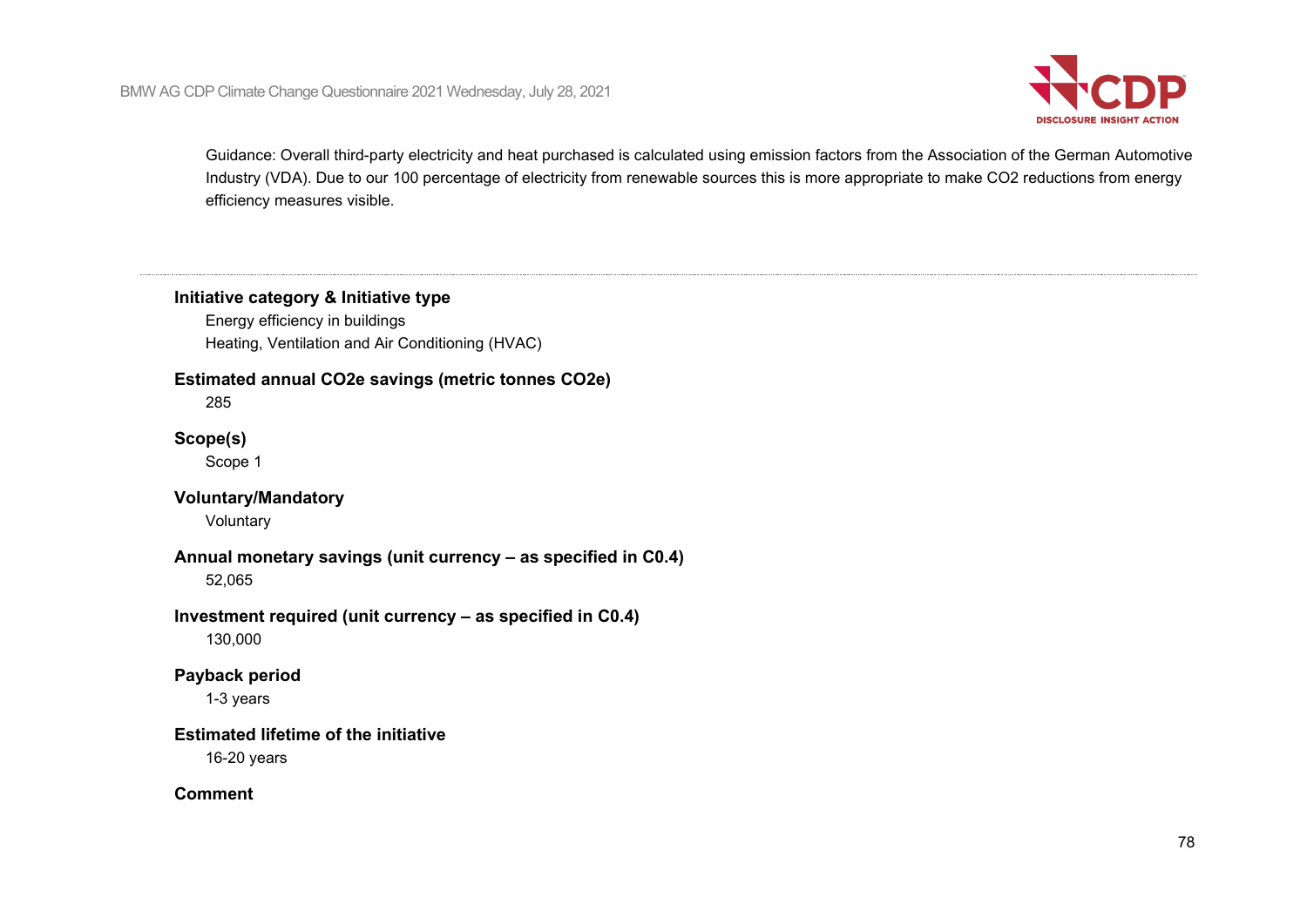

Guidance: Overall third-party electricity and heat purchased is calculated using emission factors from the Association of the German Automotive Industry (VDA). Due to our 100 percentage of electricity from renewable sources this is more appropriate to make CO2 reductions from energy efficiency measures visible.

## **Initiative category & Initiative type**

Energy efficiency in buildings Heating, Ventilation and Air Conditioning (HVAC)

## **Estimated annual CO2e savings (metric tonnes CO2e)**

285

#### **Scope(s)**

Scope 1

## **Voluntary/Mandatory**

Voluntary

#### **Annual monetary savings (unit currency – as specified in C0.4)**

52,065

#### **Investment required (unit currency – as specified in C0.4)**

130,000

#### **Payback period**

1-3 years

## **Estimated lifetime of the initiative**

16-20 years

#### **Comment**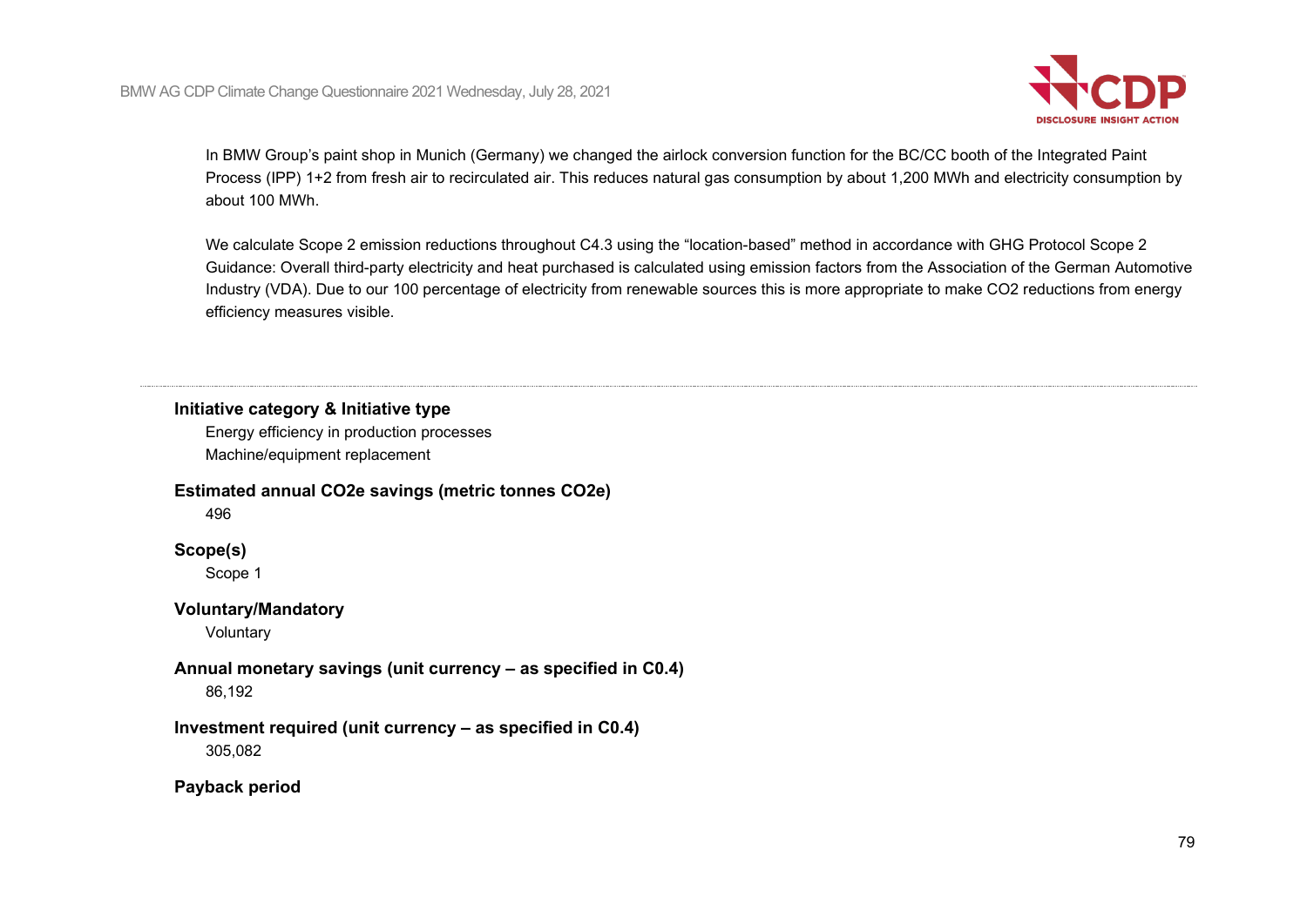

In BMW Group's paint shop in Munich (Germany) we changed the airlock conversion function for the BC/CC booth of the Integrated Paint Process (IPP) 1+2 from fresh air to recirculated air. This reduces natural gas consumption by about 1,200 MWh and electricity consumption by about 100 MWh.

We calculate Scope 2 emission reductions throughout C4.3 using the "location-based" method in accordance with GHG Protocol Scope 2 Guidance: Overall third-party electricity and heat purchased is calculated using emission factors from the Association of the German Automotive Industry (VDA). Due to our 100 percentage of electricity from renewable sources this is more appropriate to make CO2 reductions from energy efficiency measures visible.

**Initiative category & Initiative type**

Energy efficiency in production processes Machine/equipment replacement

#### **Estimated annual CO2e savings (metric tonnes CO2e)**

496

#### **Scope(s)**

Scope 1

### **Voluntary/Mandatory**

Voluntary

## **Annual monetary savings (unit currency – as specified in C0.4)**

86,192

## **Investment required (unit currency – as specified in C0.4)**

305,082

### **Payback period**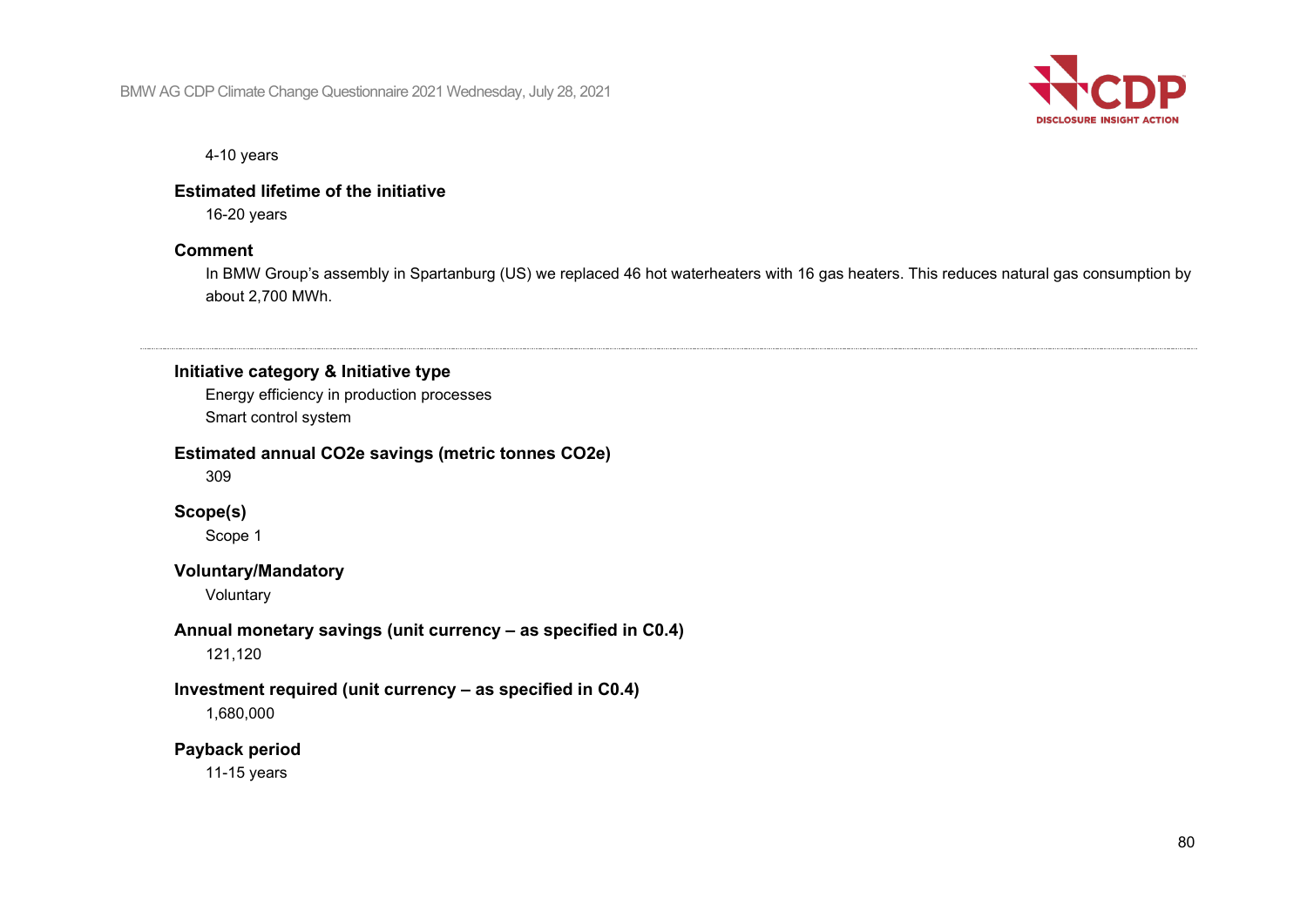

4-10 years

### **Estimated lifetime of the initiative**

16-20 years

#### **Comment**

In BMW Group's assembly in Spartanburg (US) we replaced 46 hot waterheaters with 16 gas heaters. This reduces natural gas consumption by about 2,700 MWh.

#### **Initiative category & Initiative type**

Energy efficiency in production processes Smart control system

#### **Estimated annual CO2e savings (metric tonnes CO2e)**

309

#### **Scope(s)**

Scope 1

#### **Voluntary/Mandatory**

Voluntary

## **Annual monetary savings (unit currency – as specified in C0.4)**

121,120

## **Investment required (unit currency – as specified in C0.4)**

1,680,000

#### **Payback period**

11-15 years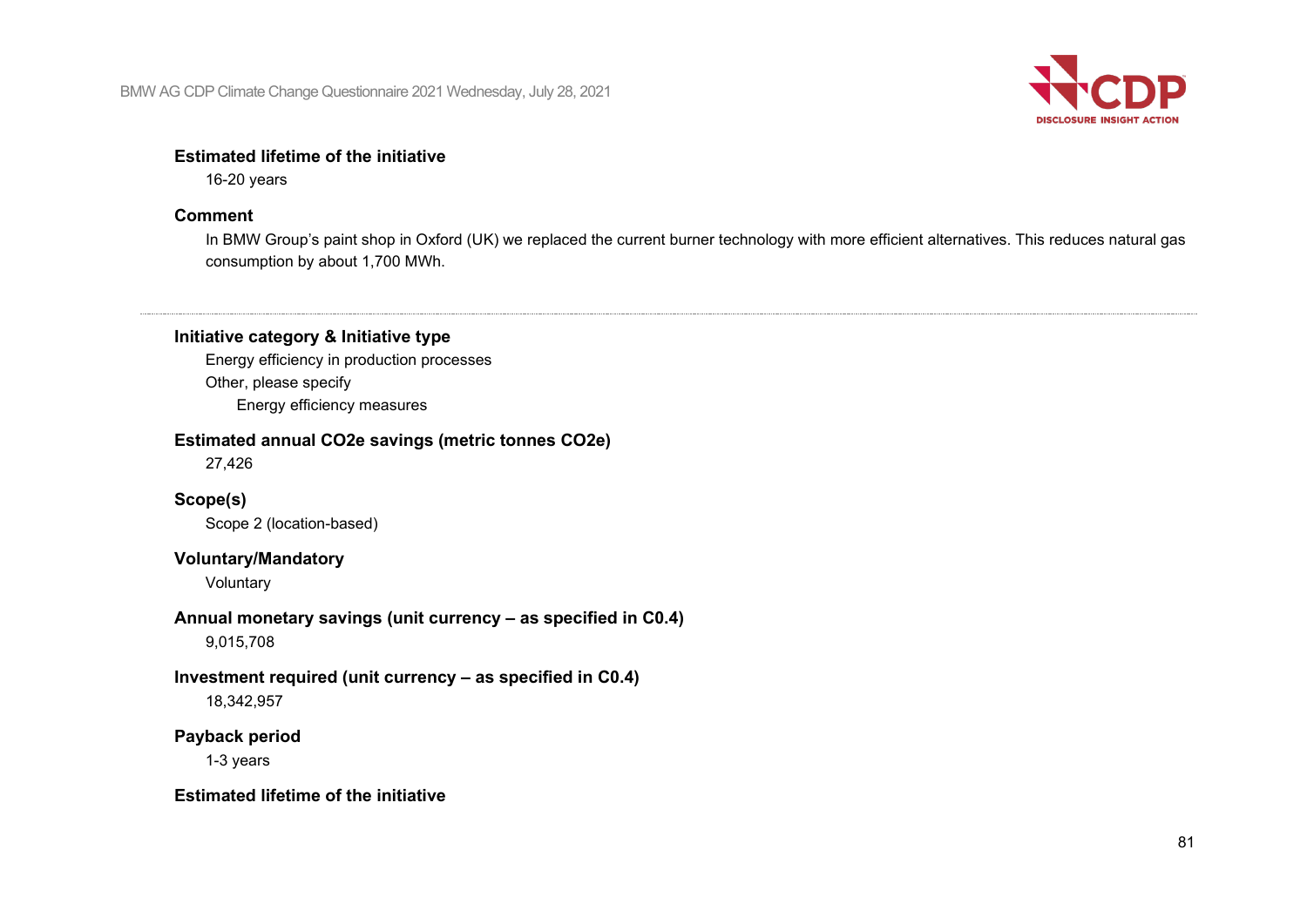

#### **Estimated lifetime of the initiative**

16-20 years

## **Comment**

In BMW Group's paint shop in Oxford (UK) we replaced the current burner technology with more efficient alternatives. This reduces natural gas consumption by about 1,700 MWh.

## **Initiative category & Initiative type**

Energy efficiency in production processes Other, please specify Energy efficiency measures

## **Estimated annual CO2e savings (metric tonnes CO2e)**

27,426

**Scope(s)**

Scope 2 (location-based)

## **Voluntary/Mandatory**

Voluntary

**Annual monetary savings (unit currency – as specified in C0.4)** 9,015,708

#### **Investment required (unit currency – as specified in C0.4)** 18,342,957

## **Payback period**

1-3 years

## **Estimated lifetime of the initiative**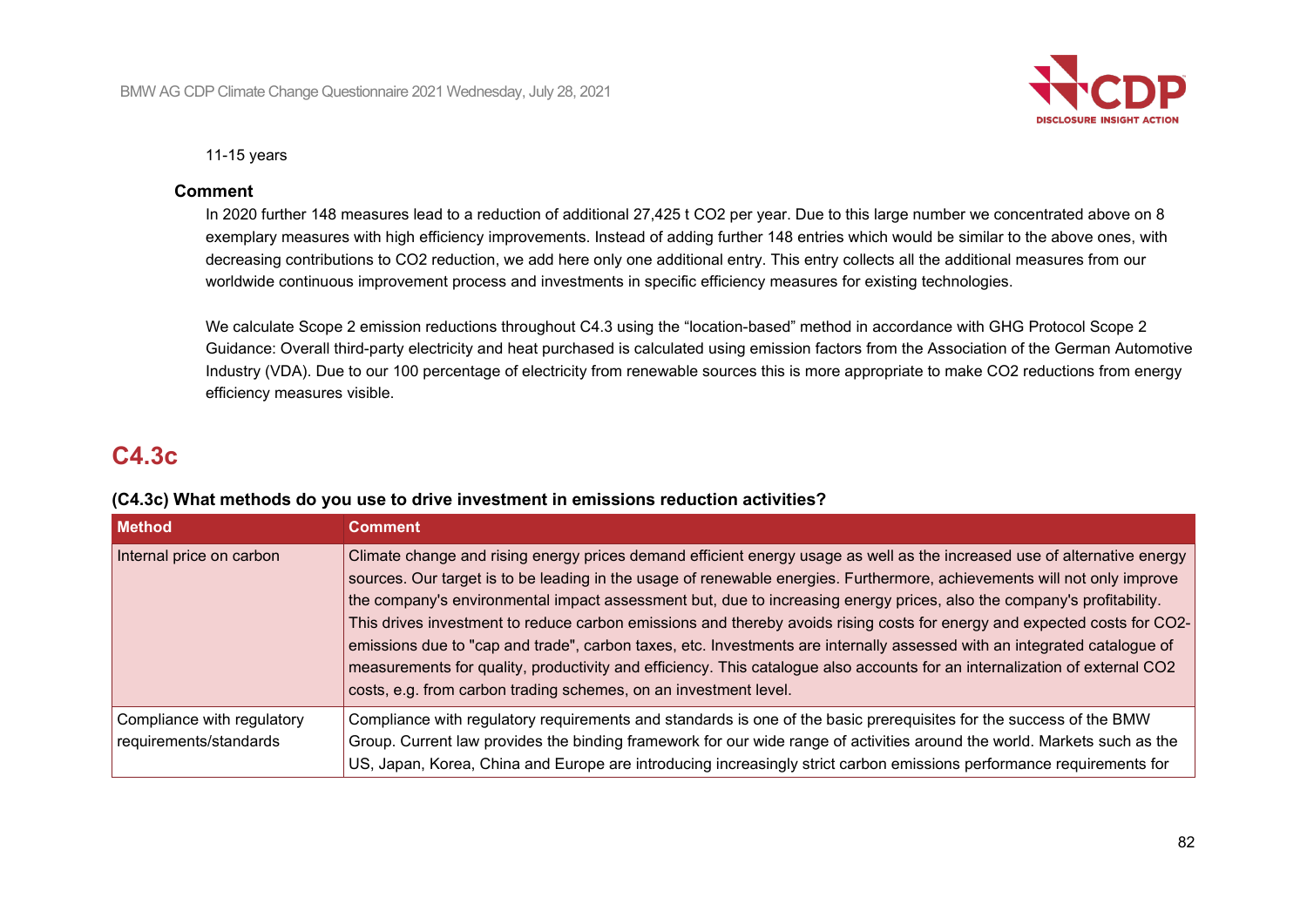

11-15 years

#### **Comment**

In 2020 further 148 measures lead to a reduction of additional 27,425 t CO2 per year. Due to this large number we concentrated above on 8 exemplary measures with high efficiency improvements. Instead of adding further 148 entries which would be similar to the above ones, with decreasing contributions to CO2 reduction, we add here only one additional entry. This entry collects all the additional measures from our worldwide continuous improvement process and investments in specific efficiency measures for existing technologies.

We calculate Scope 2 emission reductions throughout C4.3 using the "location-based" method in accordance with GHG Protocol Scope 2 Guidance: Overall third-party electricity and heat purchased is calculated using emission factors from the Association of the German Automotive Industry (VDA). Due to our 100 percentage of electricity from renewable sources this is more appropriate to make CO2 reductions from energy efficiency measures visible.

# **C4.3c**

|  |  | (C4.3c) What methods do you use to drive investment in emissions reduction activities? |
|--|--|----------------------------------------------------------------------------------------|
|--|--|----------------------------------------------------------------------------------------|

| <b>Method</b>                                        | <b>Comment</b>                                                                                                                                                                                                                                                                                                                                                                                                                                                                                                                                                                                                                                                                                                                                                                                                                          |
|------------------------------------------------------|-----------------------------------------------------------------------------------------------------------------------------------------------------------------------------------------------------------------------------------------------------------------------------------------------------------------------------------------------------------------------------------------------------------------------------------------------------------------------------------------------------------------------------------------------------------------------------------------------------------------------------------------------------------------------------------------------------------------------------------------------------------------------------------------------------------------------------------------|
| Internal price on carbon                             | Climate change and rising energy prices demand efficient energy usage as well as the increased use of alternative energy<br>sources. Our target is to be leading in the usage of renewable energies. Furthermore, achievements will not only improve<br>the company's environmental impact assessment but, due to increasing energy prices, also the company's profitability.<br>This drives investment to reduce carbon emissions and thereby avoids rising costs for energy and expected costs for CO2-<br>emissions due to "cap and trade", carbon taxes, etc. Investments are internally assessed with an integrated catalogue of<br>measurements for quality, productivity and efficiency. This catalogue also accounts for an internalization of external CO2<br>costs, e.g. from carbon trading schemes, on an investment level. |
| Compliance with regulatory<br>requirements/standards | Compliance with regulatory requirements and standards is one of the basic prerequisites for the success of the BMW<br>Group. Current law provides the binding framework for our wide range of activities around the world. Markets such as the<br>US, Japan, Korea, China and Europe are introducing increasingly strict carbon emissions performance requirements for                                                                                                                                                                                                                                                                                                                                                                                                                                                                  |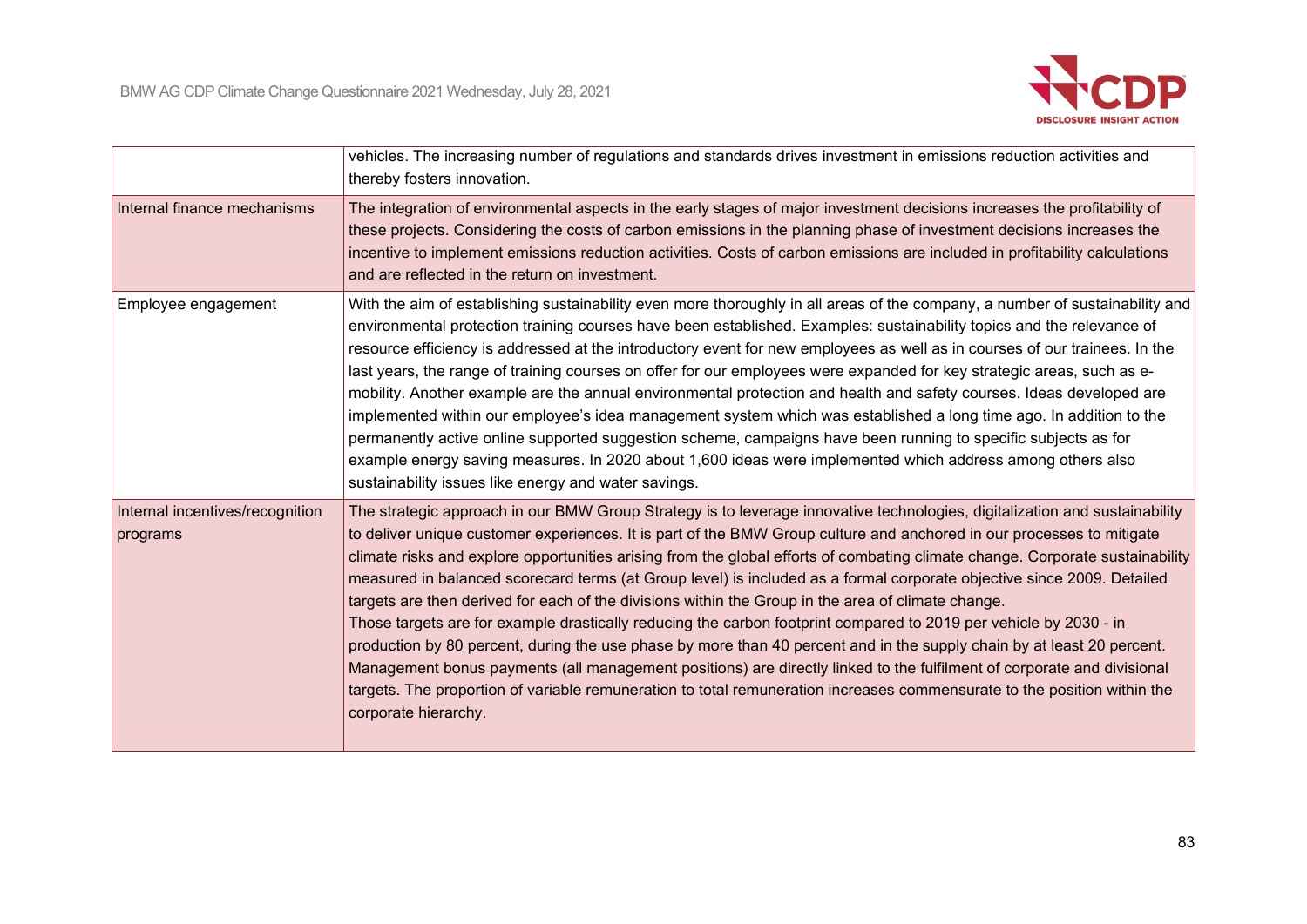

|                                             | vehicles. The increasing number of regulations and standards drives investment in emissions reduction activities and<br>thereby fosters innovation.                                                                                                                                                                                                                                                                                                                                                                                                                                                                                                                                                                                                                                                                                                                                                                                                                                                                                                                                                                                               |
|---------------------------------------------|---------------------------------------------------------------------------------------------------------------------------------------------------------------------------------------------------------------------------------------------------------------------------------------------------------------------------------------------------------------------------------------------------------------------------------------------------------------------------------------------------------------------------------------------------------------------------------------------------------------------------------------------------------------------------------------------------------------------------------------------------------------------------------------------------------------------------------------------------------------------------------------------------------------------------------------------------------------------------------------------------------------------------------------------------------------------------------------------------------------------------------------------------|
| Internal finance mechanisms                 | The integration of environmental aspects in the early stages of major investment decisions increases the profitability of<br>these projects. Considering the costs of carbon emissions in the planning phase of investment decisions increases the<br>incentive to implement emissions reduction activities. Costs of carbon emissions are included in profitability calculations<br>and are reflected in the return on investment.                                                                                                                                                                                                                                                                                                                                                                                                                                                                                                                                                                                                                                                                                                               |
| Employee engagement                         | With the aim of establishing sustainability even more thoroughly in all areas of the company, a number of sustainability and<br>environmental protection training courses have been established. Examples: sustainability topics and the relevance of<br>resource efficiency is addressed at the introductory event for new employees as well as in courses of our trainees. In the<br>last years, the range of training courses on offer for our employees were expanded for key strategic areas, such as e-<br>mobility. Another example are the annual environmental protection and health and safety courses. Ideas developed are<br>implemented within our employee's idea management system which was established a long time ago. In addition to the<br>permanently active online supported suggestion scheme, campaigns have been running to specific subjects as for<br>example energy saving measures. In 2020 about 1,600 ideas were implemented which address among others also<br>sustainability issues like energy and water savings.                                                                                               |
| Internal incentives/recognition<br>programs | The strategic approach in our BMW Group Strategy is to leverage innovative technologies, digitalization and sustainability<br>to deliver unique customer experiences. It is part of the BMW Group culture and anchored in our processes to mitigate<br>climate risks and explore opportunities arising from the global efforts of combating climate change. Corporate sustainability<br>measured in balanced scorecard terms (at Group level) is included as a formal corporate objective since 2009. Detailed<br>targets are then derived for each of the divisions within the Group in the area of climate change.<br>Those targets are for example drastically reducing the carbon footprint compared to 2019 per vehicle by 2030 - in<br>production by 80 percent, during the use phase by more than 40 percent and in the supply chain by at least 20 percent.<br>Management bonus payments (all management positions) are directly linked to the fulfilment of corporate and divisional<br>targets. The proportion of variable remuneration to total remuneration increases commensurate to the position within the<br>corporate hierarchy. |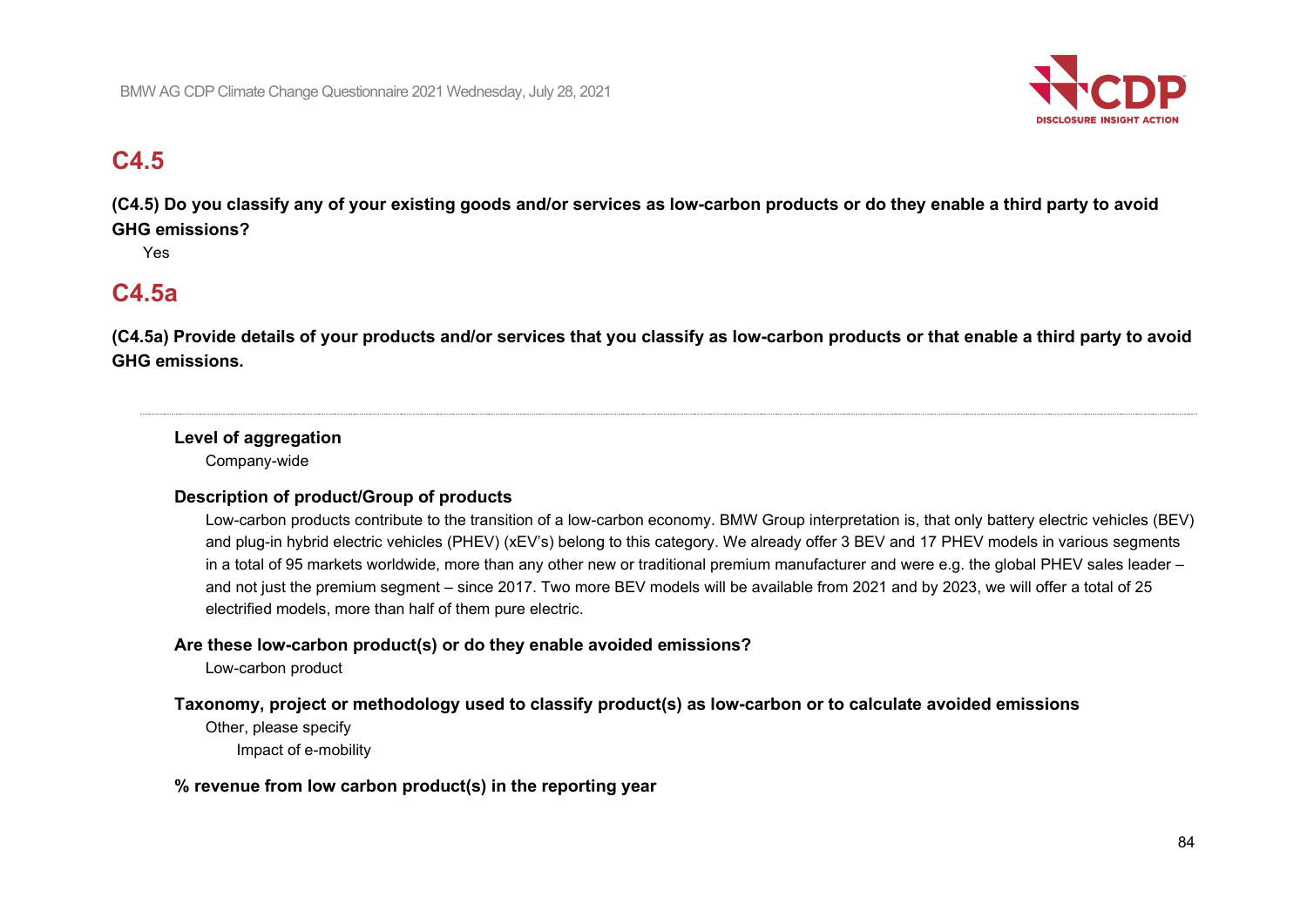

# **C4.5**

**(C4.5) Do you classify any of your existing goods and/or services as low-carbon products or do they enable a third party to avoid GHG emissions?**

Yes

# **C4.5a**

**(C4.5a) Provide details of your products and/or services that you classify as low-carbon products or that enable a third party to avoid GHG emissions.**

## **Level of aggregation**

Company-wide

## **Description of product/Group of products**

Low-carbon products contribute to the transition of a low-carbon economy. BMW Group interpretation is, that only battery electric vehicles (BEV) and plug-in hybrid electric vehicles (PHEV) (xEV's) belong to this category. We already offer 3 BEV and 17 PHEV models in various segments in a total of 95 markets worldwide, more than any other new or traditional premium manufacturer and were e.g. the global PHEV sales leader – and not just the premium segment – since 2017. Two more BEV models will be available from 2021 and by 2023, we will offer a total of 25 electrified models, more than half of them pure electric.

## **Are these low-carbon product(s) or do they enable avoided emissions?**

Low-carbon product

## **Taxonomy, project or methodology used to classify product(s) as low-carbon or to calculate avoided emissions**

Other, please specify Impact of e-mobility

## **% revenue from low carbon product(s) in the reporting year**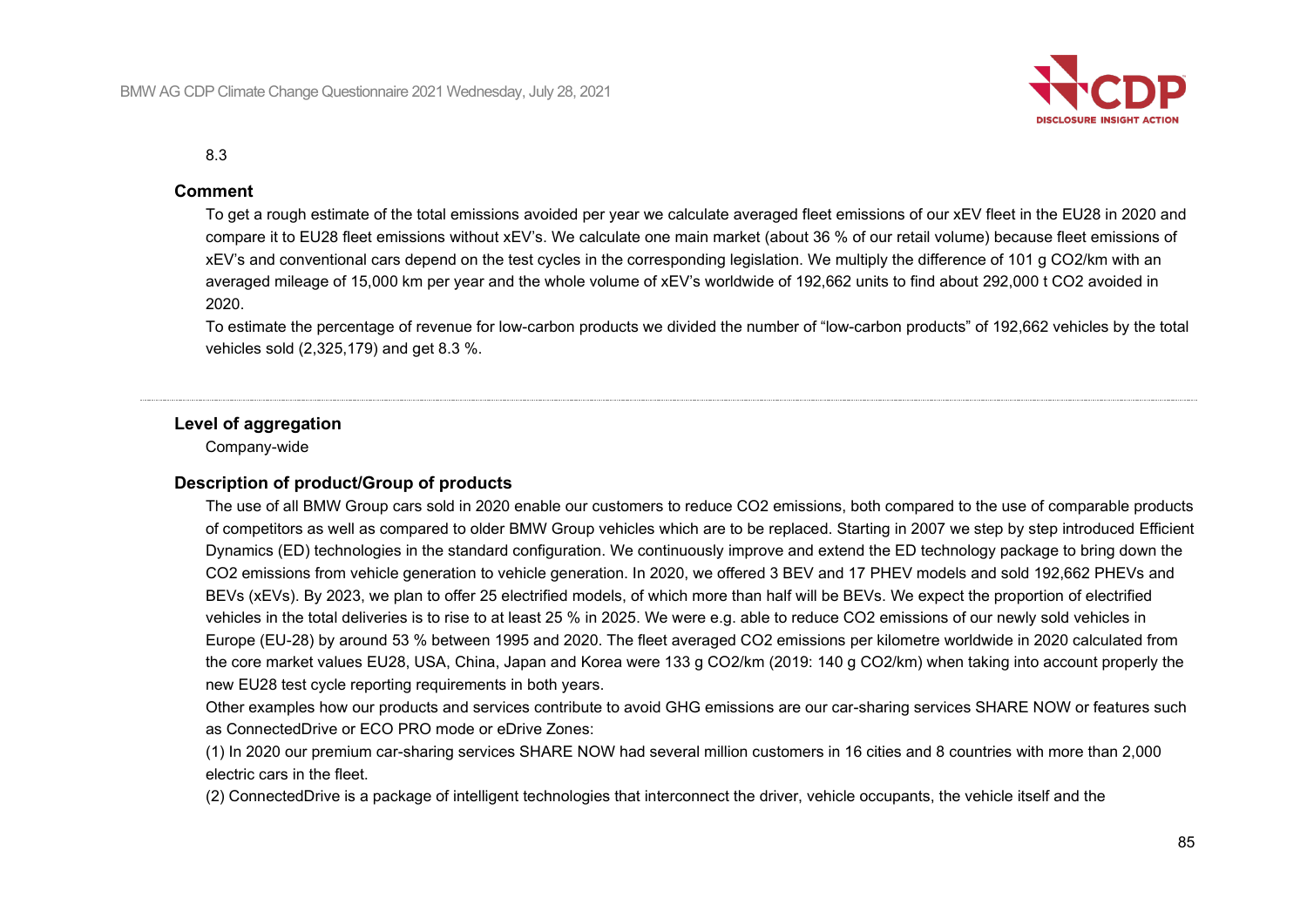

#### 8.3

#### **Comment**

To get a rough estimate of the total emissions avoided per year we calculate averaged fleet emissions of our xEV fleet in the EU28 in 2020 and compare it to EU28 fleet emissions without xEV's. We calculate one main market (about 36 % of our retail volume) because fleet emissions of xEV's and conventional cars depend on the test cycles in the corresponding legislation. We multiply the difference of 101 g CO2/km with an averaged mileage of 15,000 km per year and the whole volume of xEV's worldwide of 192,662 units to find about 292,000 t CO2 avoided in 2020.

To estimate the percentage of revenue for low-carbon products we divided the number of "low-carbon products" of 192,662 vehicles by the total vehicles sold (2,325,179) and get 8.3 %.

#### **Level of aggregation**

Company-wide

#### **Description of product/Group of products**

The use of all BMW Group cars sold in 2020 enable our customers to reduce CO2 emissions, both compared to the use of comparable products of competitors as well as compared to older BMW Group vehicles which are to be replaced. Starting in 2007 we step by step introduced Efficient Dynamics (ED) technologies in the standard configuration. We continuously improve and extend the ED technology package to bring down the CO2 emissions from vehicle generation to vehicle generation. In 2020, we offered 3 BEV and 17 PHEV models and sold 192,662 PHEVs and BEVs (xEVs). By 2023, we plan to offer 25 electrified models, of which more than half will be BEVs. We expect the proportion of electrified vehicles in the total deliveries is to rise to at least 25 % in 2025. We were e.g. able to reduce CO2 emissions of our newly sold vehicles in Europe (EU-28) by around 53 % between 1995 and 2020. The fleet averaged CO2 emissions per kilometre worldwide in 2020 calculated from the core market values EU28, USA, China, Japan and Korea were 133 g CO2/km (2019: 140 g CO2/km) when taking into account properly the new EU28 test cycle reporting requirements in both years.

Other examples how our products and services contribute to avoid GHG emissions are our car-sharing services SHARE NOW or features such as ConnectedDrive or ECO PRO mode or eDrive Zones:

(1) In 2020 our premium car-sharing services SHARE NOW had several million customers in 16 cities and 8 countries with more than 2,000 electric cars in the fleet.

(2) ConnectedDrive is a package of intelligent technologies that interconnect the driver, vehicle occupants, the vehicle itself and the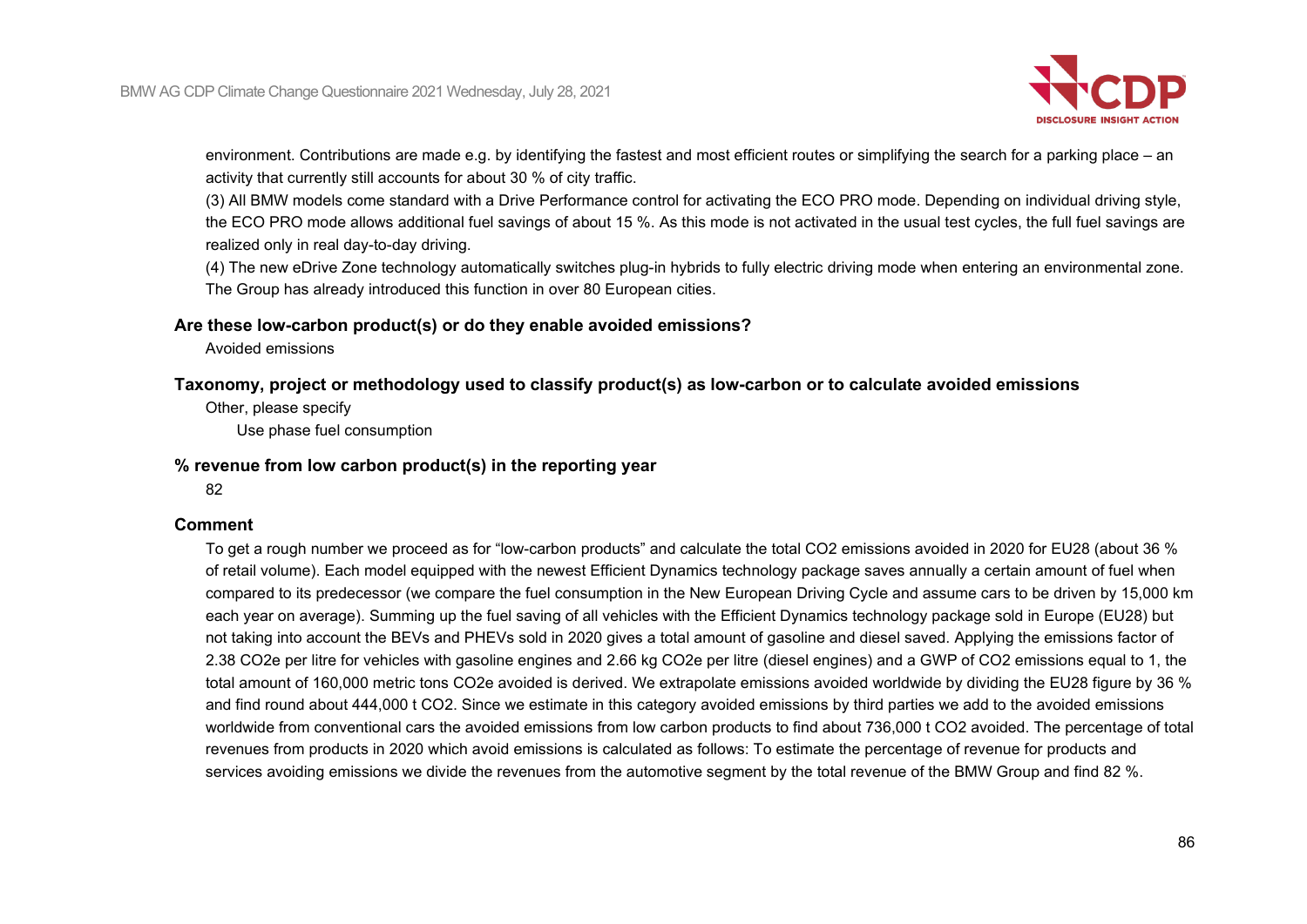

environment. Contributions are made e.g. by identifying the fastest and most efficient routes or simplifying the search for a parking place – an activity that currently still accounts for about 30 % of city traffic.

(3) All BMW models come standard with a Drive Performance control for activating the ECO PRO mode. Depending on individual driving style, the ECO PRO mode allows additional fuel savings of about 15 %. As this mode is not activated in the usual test cycles, the full fuel savings are realized only in real day-to-day driving.

(4) The new eDrive Zone technology automatically switches plug-in hybrids to fully electric driving mode when entering an environmental zone. The Group has already introduced this function in over 80 European cities.

#### **Are these low-carbon product(s) or do they enable avoided emissions?**

Avoided emissions

#### **Taxonomy, project or methodology used to classify product(s) as low-carbon or to calculate avoided emissions**

Other, please specify

Use phase fuel consumption

#### **% revenue from low carbon product(s) in the reporting year**

82

#### **Comment**

To get a rough number we proceed as for "low-carbon products" and calculate the total CO2 emissions avoided in 2020 for EU28 (about 36 % of retail volume). Each model equipped with the newest Efficient Dynamics technology package saves annually a certain amount of fuel when compared to its predecessor (we compare the fuel consumption in the New European Driving Cycle and assume cars to be driven by 15,000 km each year on average). Summing up the fuel saving of all vehicles with the Efficient Dynamics technology package sold in Europe (EU28) but not taking into account the BEVs and PHEVs sold in 2020 gives a total amount of gasoline and diesel saved. Applying the emissions factor of 2.38 CO2e per litre for vehicles with gasoline engines and 2.66 kg CO2e per litre (diesel engines) and a GWP of CO2 emissions equal to 1, the total amount of 160,000 metric tons CO2e avoided is derived. We extrapolate emissions avoided worldwide by dividing the EU28 figure by 36 % and find round about 444,000 t CO2. Since we estimate in this category avoided emissions by third parties we add to the avoided emissions worldwide from conventional cars the avoided emissions from low carbon products to find about 736,000 t CO2 avoided. The percentage of total revenues from products in 2020 which avoid emissions is calculated as follows: To estimate the percentage of revenue for products and services avoiding emissions we divide the revenues from the automotive segment by the total revenue of the BMW Group and find 82 %.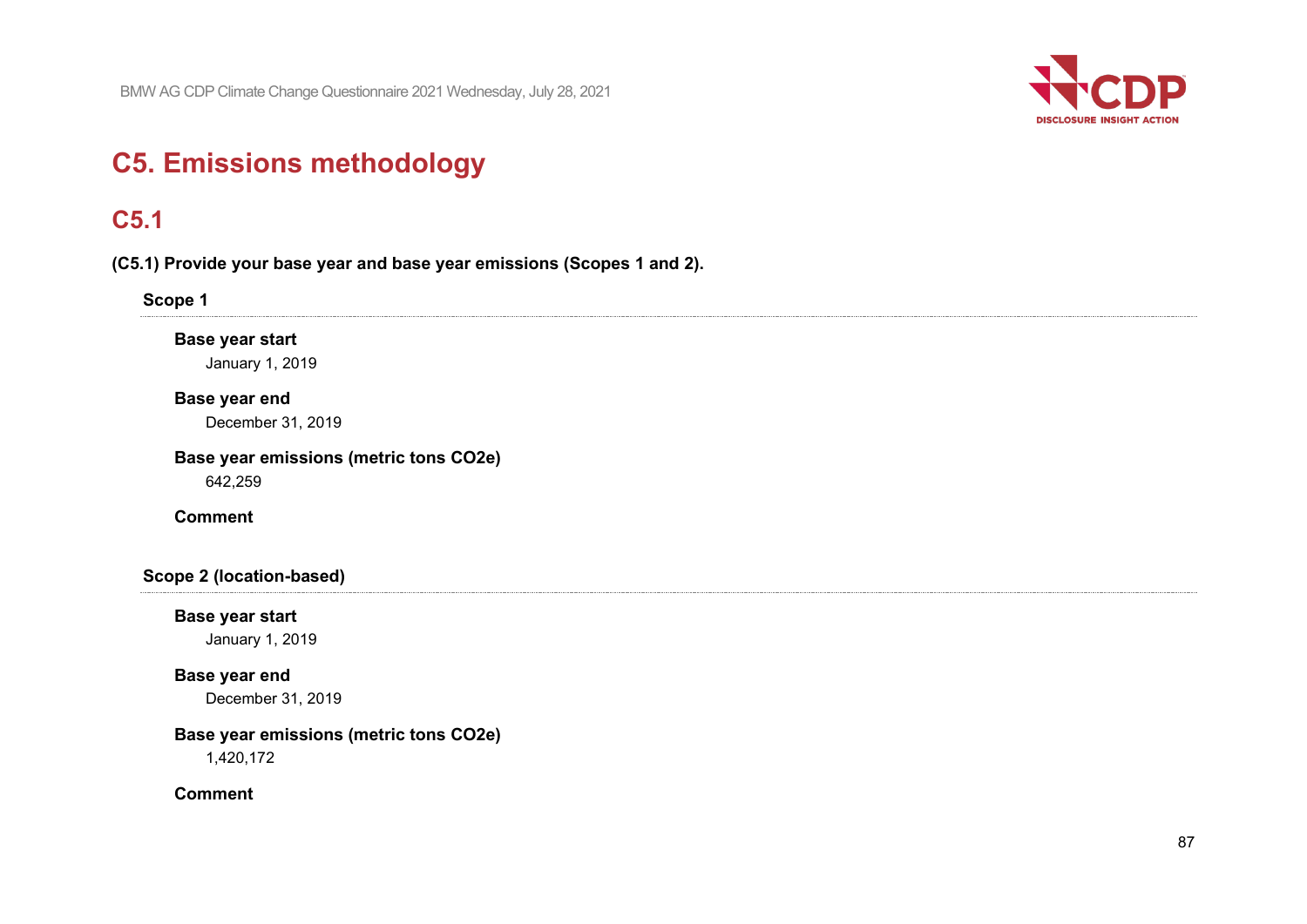

# **C5. Emissions methodology**

## **C5.1**

**(C5.1) Provide your base year and base year emissions (Scopes 1 and 2).**

#### **Scope 1**

## **Base year start**

January 1, 2019

#### **Base year end**

December 31, 2019

## **Base year emissions (metric tons CO2e)**

642,259

## **Comment**

### **Scope 2 (location-based)**

## **Base year start**

January 1, 2019

#### **Base year end**

December 31, 2019

## **Base year emissions (metric tons CO2e)**

1,420,172

#### **Comment**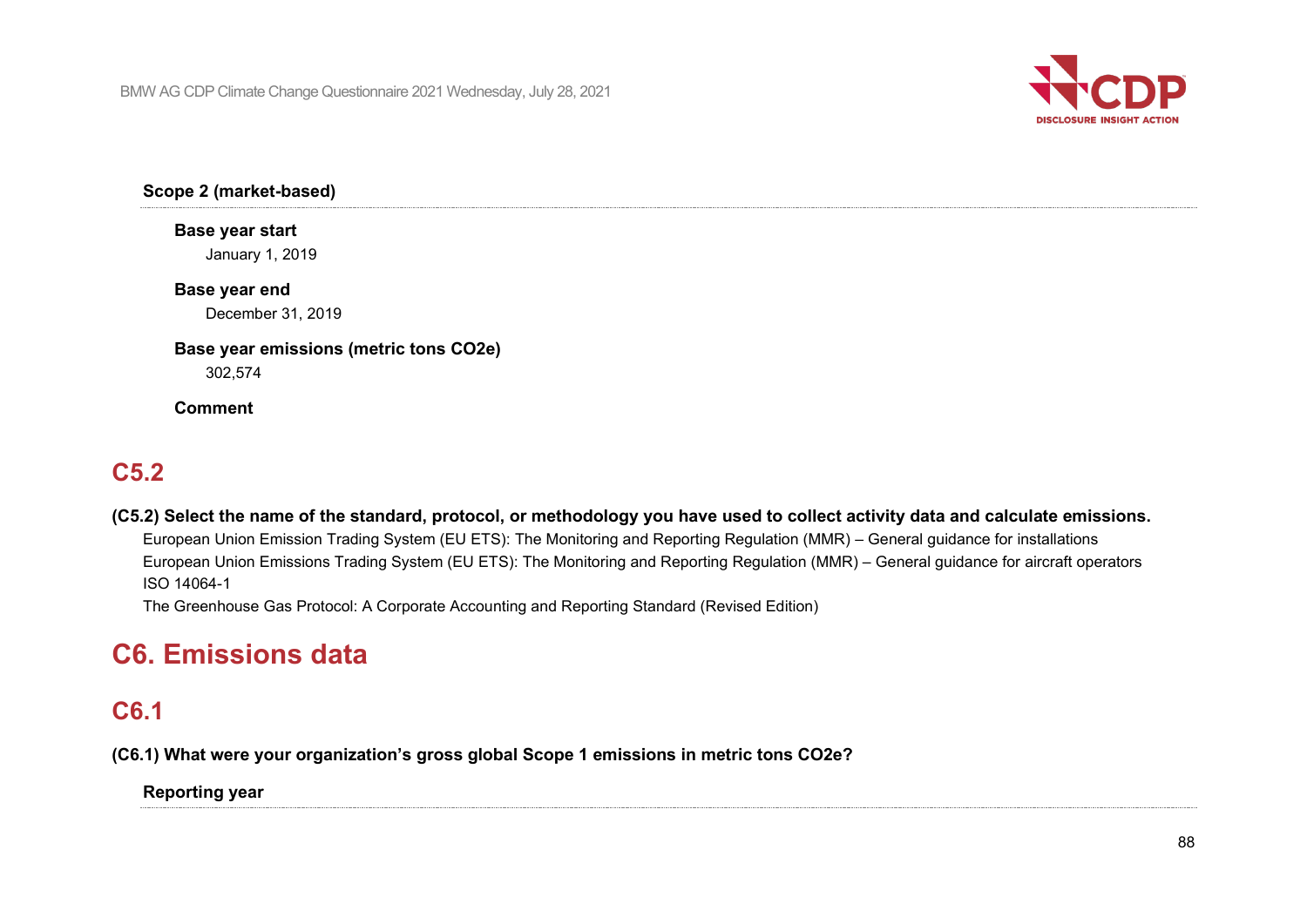

**Scope 2 (market-based)**

## **Base year start**

January 1, 2019

## **Base year end**

December 31, 2019

## **Base year emissions (metric tons CO2e)**

302,574

## **Comment**

# **C5.2**

**(C5.2) Select the name of the standard, protocol, or methodology you have used to collect activity data and calculate emissions.** European Union Emission Trading System (EU ETS): The Monitoring and Reporting Regulation (MMR) – General guidance for installations European Union Emissions Trading System (EU ETS): The Monitoring and Reporting Regulation (MMR) – General guidance for aircraft operators ISO 14064-1

The Greenhouse Gas Protocol: A Corporate Accounting and Reporting Standard (Revised Edition)

# **C6. Emissions data**

# **C6.1**

**(C6.1) What were your organization's gross global Scope 1 emissions in metric tons CO2e?**

## **Reporting year**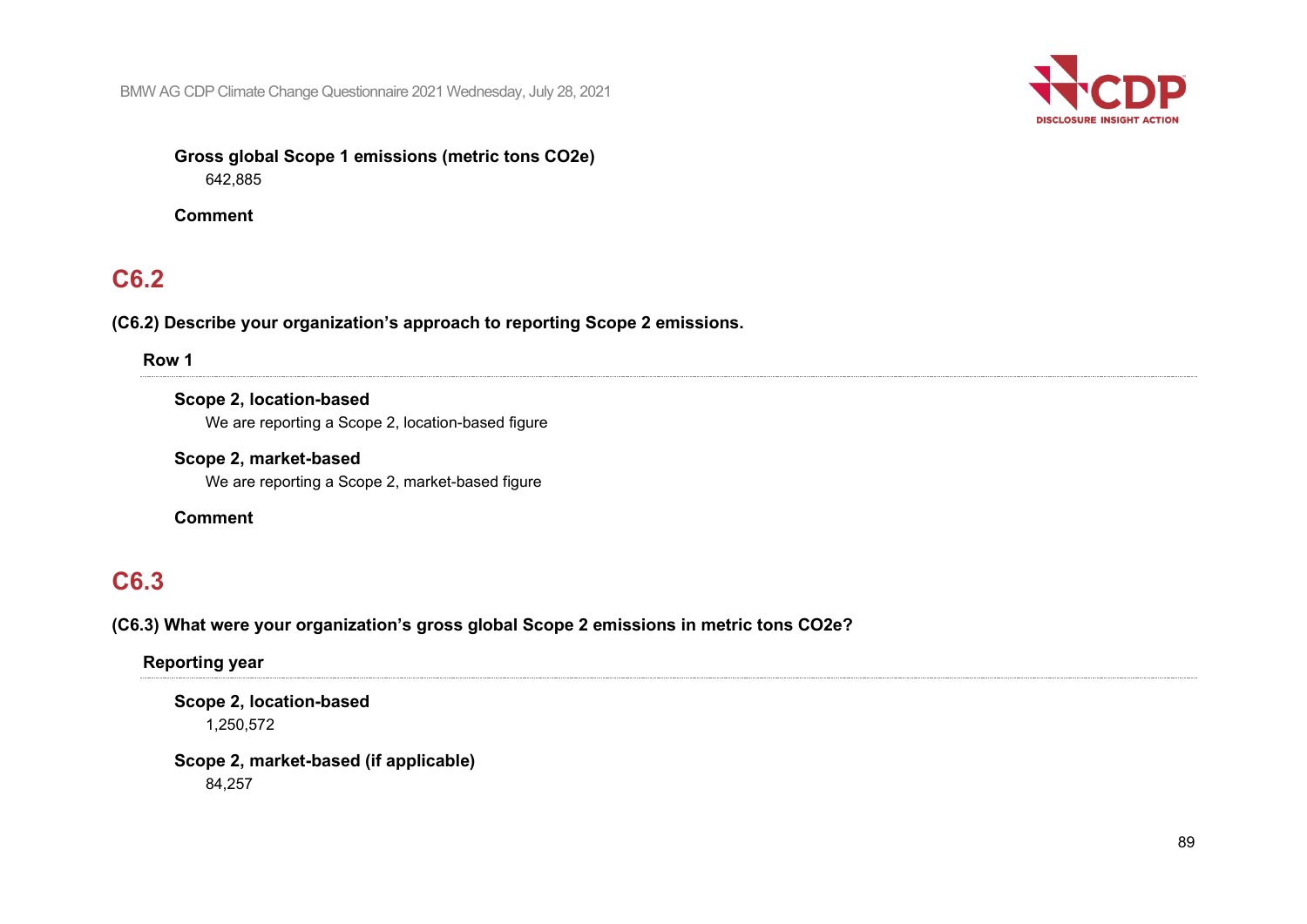

## **Gross global Scope 1 emissions (metric tons CO2e)** 642,885

**Comment**

# **C6.2**

**(C6.2) Describe your organization's approach to reporting Scope 2 emissions.**

**Row 1**

**Scope 2, location-based** We are reporting a Scope 2, location-based figure

**Scope 2, market-based** We are reporting a Scope 2, market-based figure

**Comment**

# **C6.3**

**(C6.3) What were your organization's gross global Scope 2 emissions in metric tons CO2e?**

**Reporting year**

**Scope 2, location-based** 1,250,572

**Scope 2, market-based (if applicable)** 84,257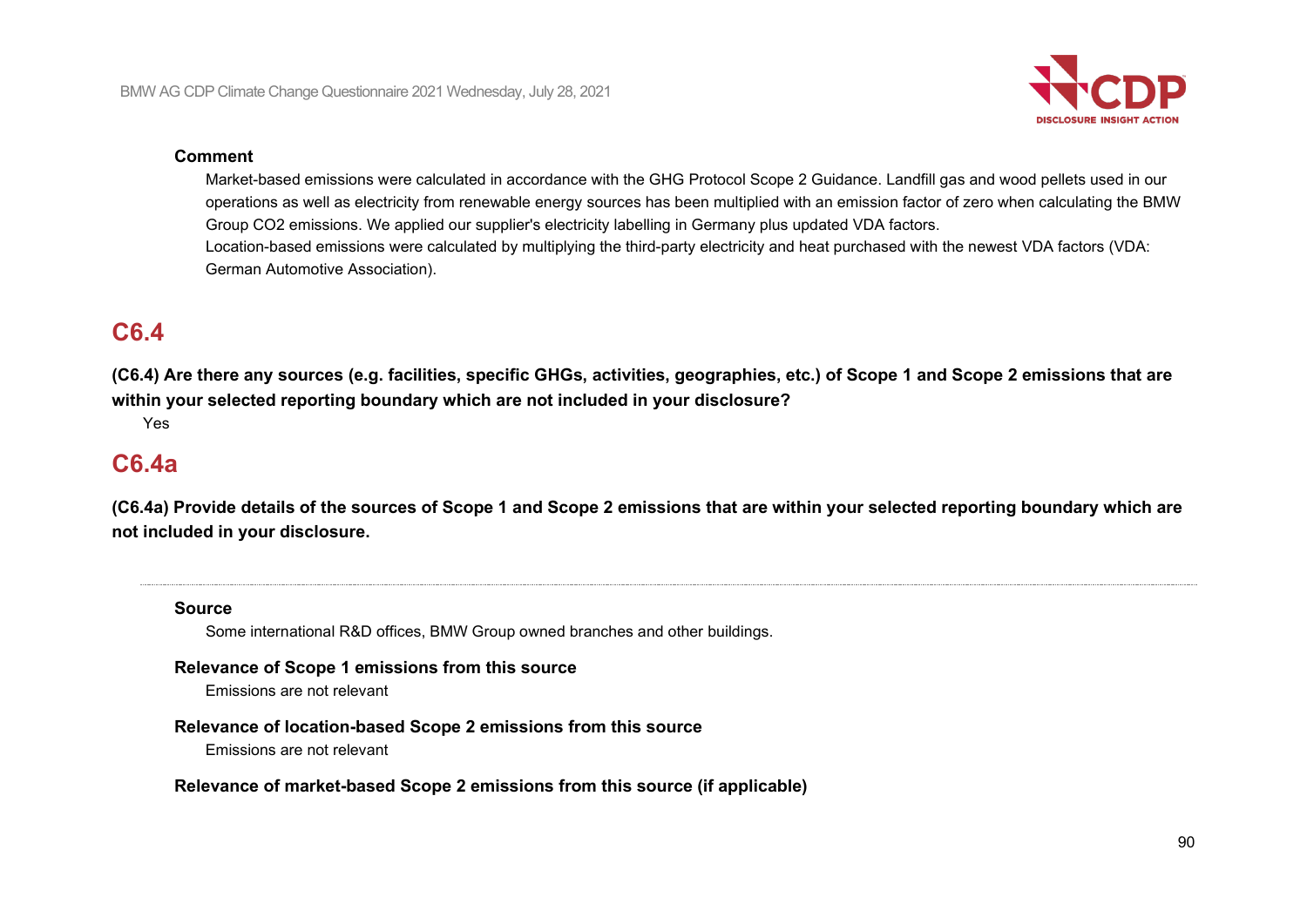

#### **Comment**

Market-based emissions were calculated in accordance with the GHG Protocol Scope 2 Guidance. Landfill gas and wood pellets used in our operations as well as electricity from renewable energy sources has been multiplied with an emission factor of zero when calculating the BMW Group CO2 emissions. We applied our supplier's electricity labelling in Germany plus updated VDA factors. Location-based emissions were calculated by multiplying the third-party electricity and heat purchased with the newest VDA factors (VDA: German Automotive Association).

## **C6.4**

**(C6.4) Are there any sources (e.g. facilities, specific GHGs, activities, geographies, etc.) of Scope 1 and Scope 2 emissions that are within your selected reporting boundary which are not included in your disclosure?**

Yes

## **C6.4a**

**(C6.4a) Provide details of the sources of Scope 1 and Scope 2 emissions that are within your selected reporting boundary which are not included in your disclosure.**

#### **Source**

Some international R&D offices, BMW Group owned branches and other buildings.

#### **Relevance of Scope 1 emissions from this source**

Emissions are not relevant

#### **Relevance of location-based Scope 2 emissions from this source**

Emissions are not relevant

**Relevance of market-based Scope 2 emissions from this source (if applicable)**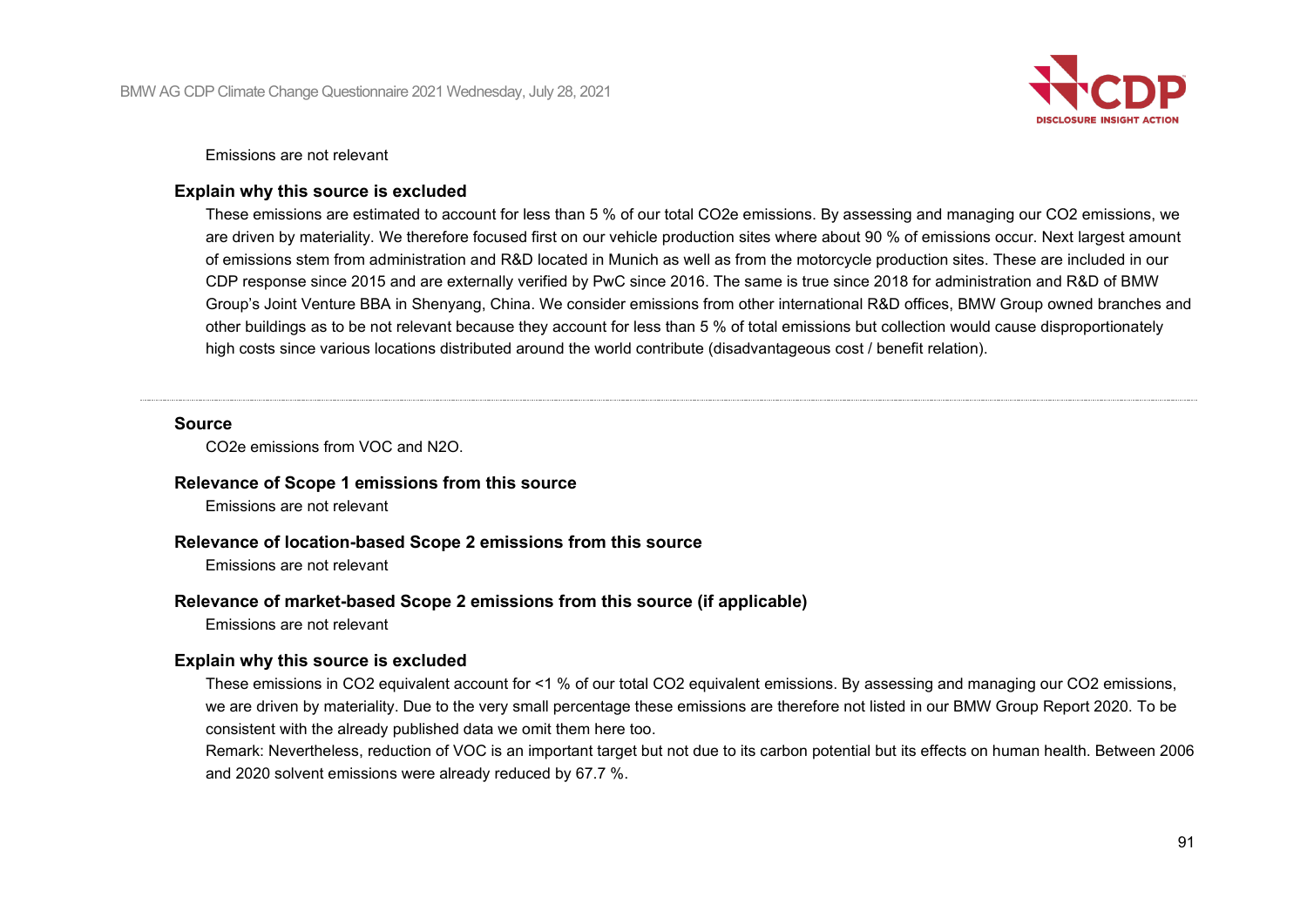

Emissions are not relevant

### **Explain why this source is excluded**

These emissions are estimated to account for less than 5 % of our total CO2e emissions. By assessing and managing our CO2 emissions, we are driven by materiality. We therefore focused first on our vehicle production sites where about 90 % of emissions occur. Next largest amount of emissions stem from administration and R&D located in Munich as well as from the motorcycle production sites. These are included in our CDP response since 2015 and are externally verified by PwC since 2016. The same is true since 2018 for administration and R&D of BMW Group's Joint Venture BBA in Shenyang, China. We consider emissions from other international R&D offices, BMW Group owned branches and other buildings as to be not relevant because they account for less than 5 % of total emissions but collection would cause disproportionately high costs since various locations distributed around the world contribute (disadvantageous cost / benefit relation).

#### **Source**

CO2e emissions from VOC and N2O.

#### **Relevance of Scope 1 emissions from this source**

Emissions are not relevant

#### **Relevance of location-based Scope 2 emissions from this source**

Emissions are not relevant

#### **Relevance of market-based Scope 2 emissions from this source (if applicable)**

Emissions are not relevant

#### **Explain why this source is excluded**

These emissions in CO2 equivalent account for <1 % of our total CO2 equivalent emissions. By assessing and managing our CO2 emissions, we are driven by materiality. Due to the very small percentage these emissions are therefore not listed in our BMW Group Report 2020. To be consistent with the already published data we omit them here too.

Remark: Nevertheless, reduction of VOC is an important target but not due to its carbon potential but its effects on human health. Between 2006 and 2020 solvent emissions were already reduced by 67.7 %.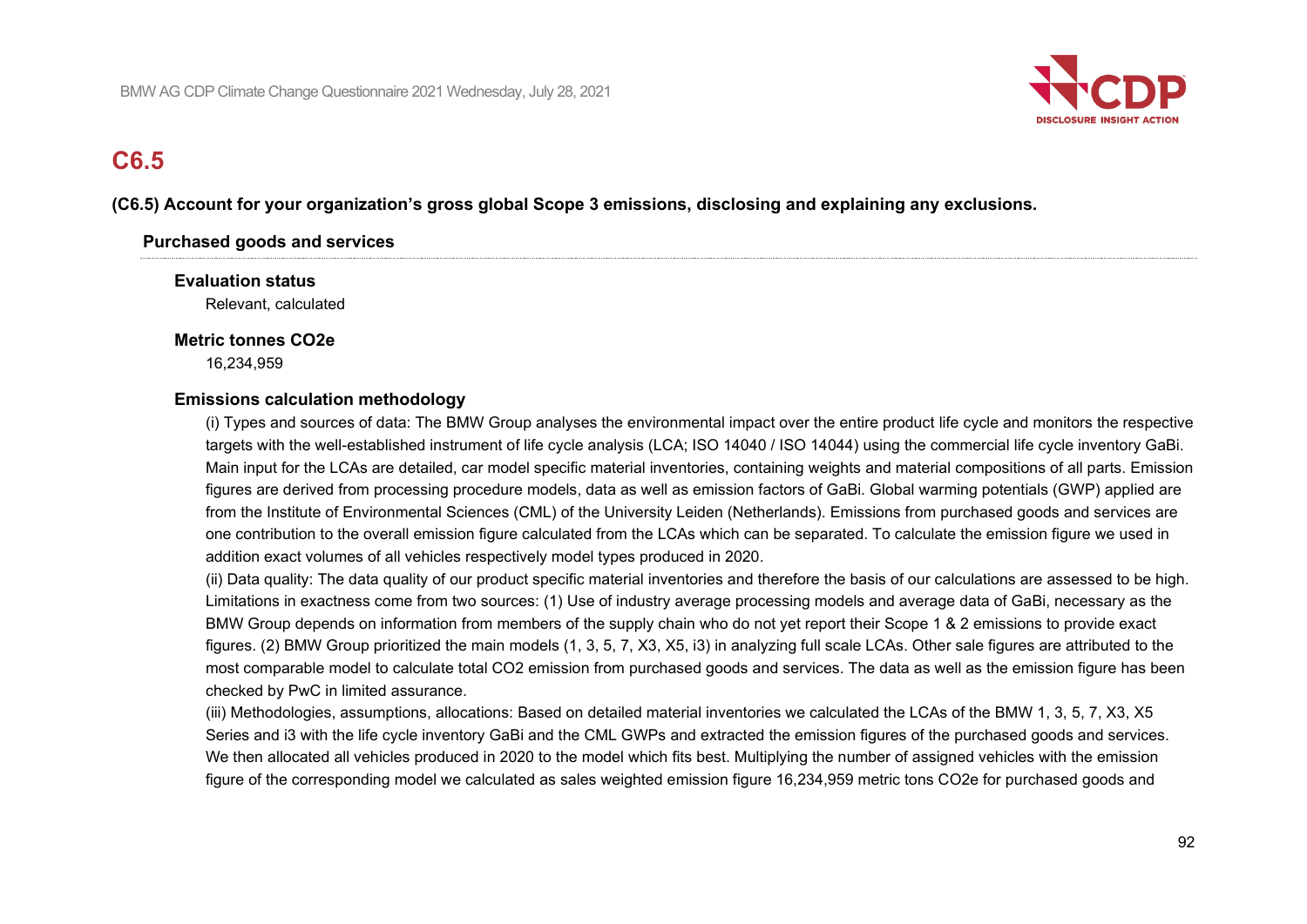

# **C6.5**

#### **(C6.5) Account for your organization's gross global Scope 3 emissions, disclosing and explaining any exclusions.**

#### **Purchased goods and services**

**Evaluation status** Relevant, calculated

#### **Metric tonnes CO2e**

16,234,959

#### **Emissions calculation methodology**

(i) Types and sources of data: The BMW Group analyses the environmental impact over the entire product life cycle and monitors the respective targets with the well-established instrument of life cycle analysis (LCA; ISO 14040 / ISO 14044) using the commercial life cycle inventory GaBi. Main input for the LCAs are detailed, car model specific material inventories, containing weights and material compositions of all parts. Emission figures are derived from processing procedure models, data as well as emission factors of GaBi. Global warming potentials (GWP) applied are from the Institute of Environmental Sciences (CML) of the University Leiden (Netherlands). Emissions from purchased goods and services are one contribution to the overall emission figure calculated from the LCAs which can be separated. To calculate the emission figure we used in addition exact volumes of all vehicles respectively model types produced in 2020.

(ii) Data quality: The data quality of our product specific material inventories and therefore the basis of our calculations are assessed to be high. Limitations in exactness come from two sources: (1) Use of industry average processing models and average data of GaBi, necessary as the BMW Group depends on information from members of the supply chain who do not yet report their Scope 1 & 2 emissions to provide exact figures. (2) BMW Group prioritized the main models (1, 3, 5, 7, X3, X5, i3) in analyzing full scale LCAs. Other sale figures are attributed to the most comparable model to calculate total CO2 emission from purchased goods and services. The data as well as the emission figure has been checked by PwC in limited assurance.

(iii) Methodologies, assumptions, allocations: Based on detailed material inventories we calculated the LCAs of the BMW 1, 3, 5, 7, X3, X5 Series and i3 with the life cycle inventory GaBi and the CML GWPs and extracted the emission figures of the purchased goods and services. We then allocated all vehicles produced in 2020 to the model which fits best. Multiplying the number of assigned vehicles with the emission figure of the corresponding model we calculated as sales weighted emission figure 16,234,959 metric tons CO2e for purchased goods and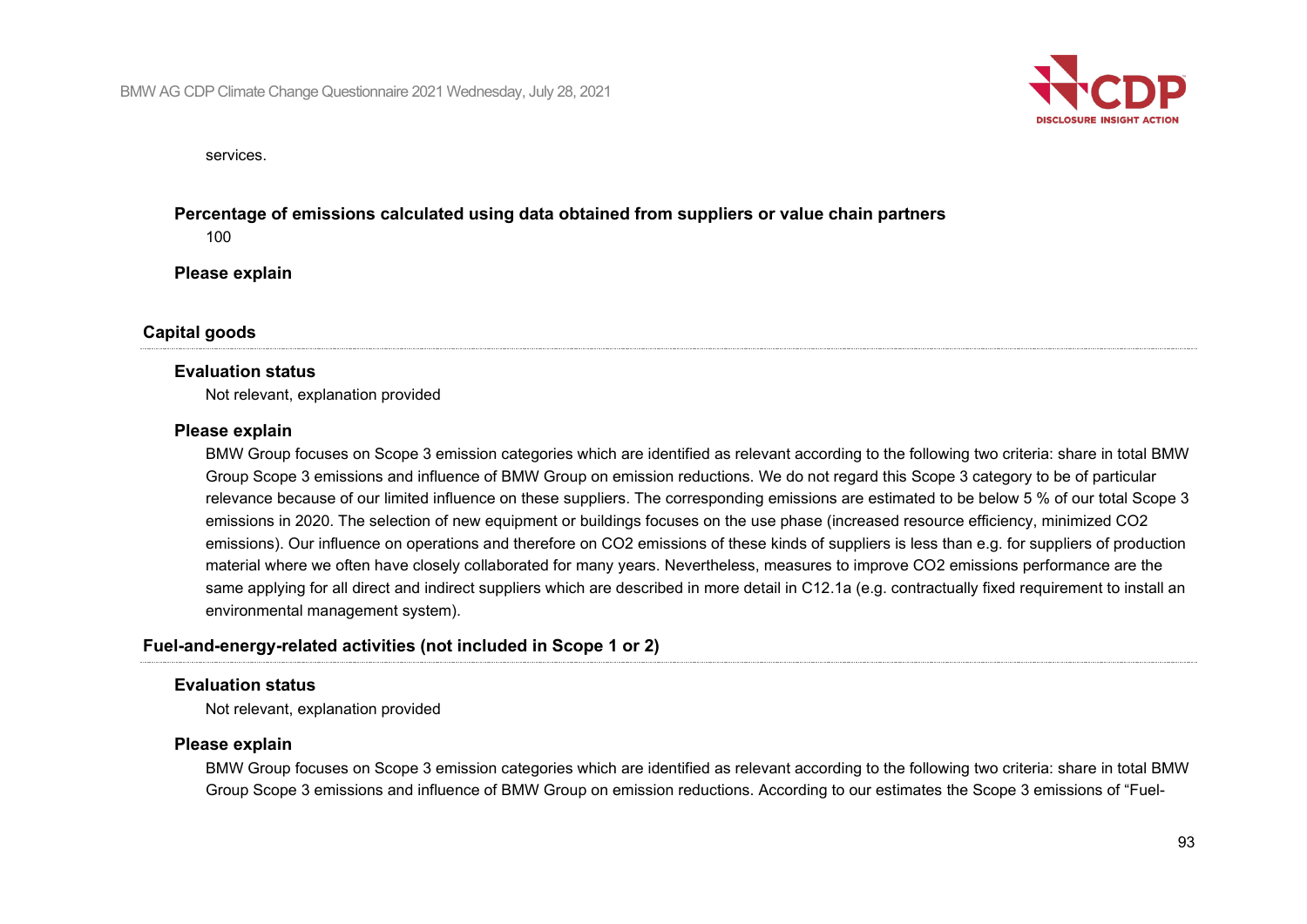

services.

## **Percentage of emissions calculated using data obtained from suppliers or value chain partners**

100

**Please explain**

#### **Capital goods**

#### **Evaluation status**

Not relevant, explanation provided

#### **Please explain**

BMW Group focuses on Scope 3 emission categories which are identified as relevant according to the following two criteria: share in total BMW Group Scope 3 emissions and influence of BMW Group on emission reductions. We do not regard this Scope 3 category to be of particular relevance because of our limited influence on these suppliers. The corresponding emissions are estimated to be below 5 % of our total Scope 3 emissions in 2020. The selection of new equipment or buildings focuses on the use phase (increased resource efficiency, minimized CO2 emissions). Our influence on operations and therefore on CO2 emissions of these kinds of suppliers is less than e.g. for suppliers of production material where we often have closely collaborated for many years. Nevertheless, measures to improve CO2 emissions performance are the same applying for all direct and indirect suppliers which are described in more detail in C12.1a (e.g. contractually fixed requirement to install an environmental management system).

#### **Fuel-and-energy-related activities (not included in Scope 1 or 2)**

#### **Evaluation status**

Not relevant, explanation provided

#### **Please explain**

BMW Group focuses on Scope 3 emission categories which are identified as relevant according to the following two criteria: share in total BMW Group Scope 3 emissions and influence of BMW Group on emission reductions. According to our estimates the Scope 3 emissions of "Fuel-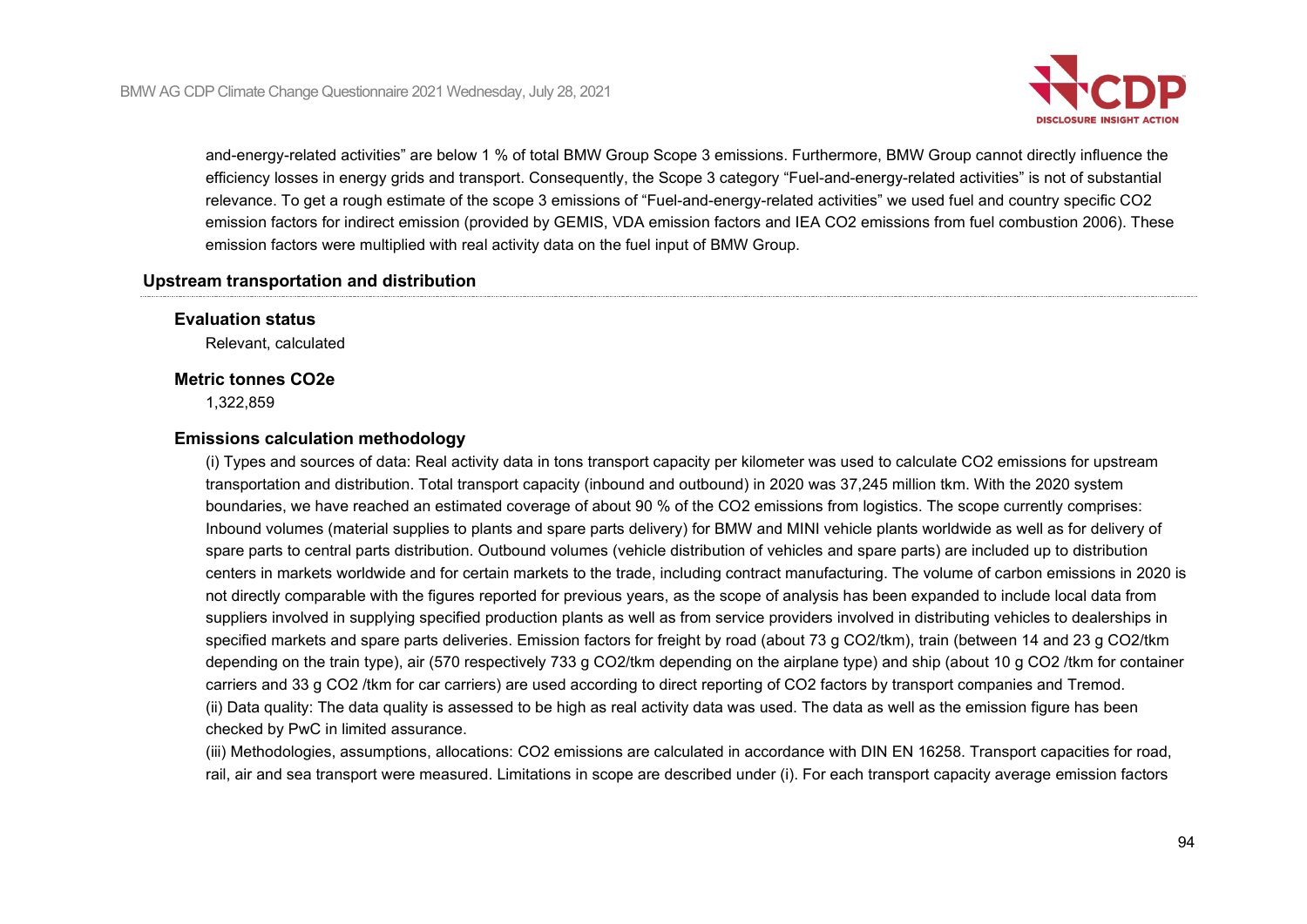

and-energy-related activities" are below 1 % of total BMW Group Scope 3 emissions. Furthermore, BMW Group cannot directly influence the efficiency losses in energy grids and transport. Consequently, the Scope 3 category "Fuel-and-energy-related activities" is not of substantial relevance. To get a rough estimate of the scope 3 emissions of "Fuel-and-energy-related activities" we used fuel and country specific CO2 emission factors for indirect emission (provided by GEMIS, VDA emission factors and IEA CO2 emissions from fuel combustion 2006). These emission factors were multiplied with real activity data on the fuel input of BMW Group.

#### **Upstream transportation and distribution**

**Evaluation status**

Relevant, calculated

## **Metric tonnes CO2e**

1,322,859

#### **Emissions calculation methodology**

(i) Types and sources of data: Real activity data in tons transport capacity per kilometer was used to calculate CO2 emissions for upstream transportation and distribution. Total transport capacity (inbound and outbound) in 2020 was 37,245 million tkm. With the 2020 system boundaries, we have reached an estimated coverage of about 90 % of the CO2 emissions from logistics. The scope currently comprises: Inbound volumes (material supplies to plants and spare parts delivery) for BMW and MINI vehicle plants worldwide as well as for delivery of spare parts to central parts distribution. Outbound volumes (vehicle distribution of vehicles and spare parts) are included up to distribution centers in markets worldwide and for certain markets to the trade, including contract manufacturing. The volume of carbon emissions in 2020 is not directly comparable with the figures reported for previous years, as the scope of analysis has been expanded to include local data from suppliers involved in supplying specified production plants as well as from service providers involved in distributing vehicles to dealerships in specified markets and spare parts deliveries. Emission factors for freight by road (about 73 g CO2/tkm), train (between 14 and 23 g CO2/tkm depending on the train type), air (570 respectively 733 g CO2/tkm depending on the airplane type) and ship (about 10 g CO2 /tkm for container carriers and 33 g CO2 /tkm for car carriers) are used according to direct reporting of CO2 factors by transport companies and Tremod. (ii) Data quality: The data quality is assessed to be high as real activity data was used. The data as well as the emission figure has been checked by PwC in limited assurance.

(iii) Methodologies, assumptions, allocations: CO2 emissions are calculated in accordance with DIN EN 16258. Transport capacities for road, rail, air and sea transport were measured. Limitations in scope are described under (i). For each transport capacity average emission factors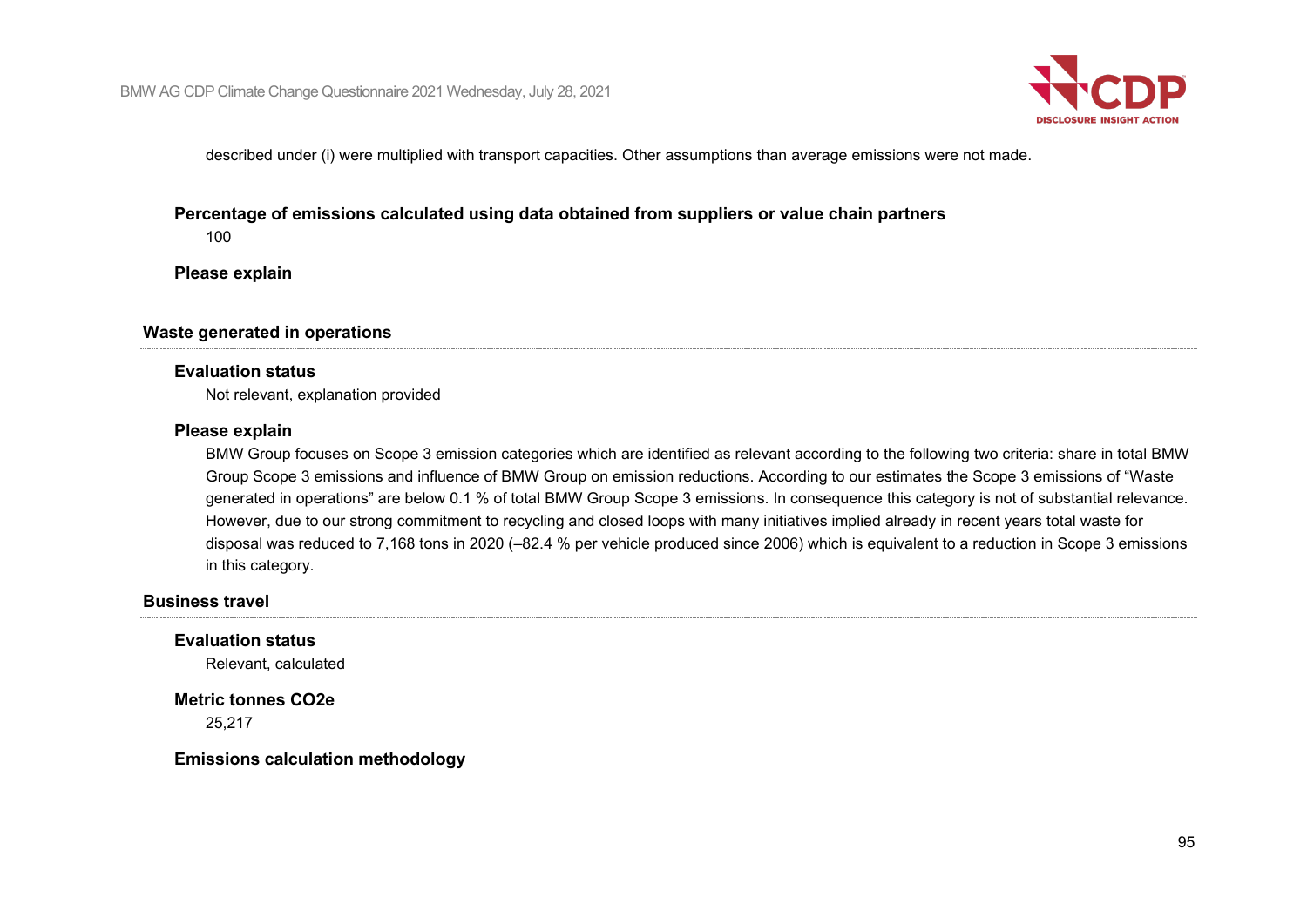

described under (i) were multiplied with transport capacities. Other assumptions than average emissions were not made.

#### **Percentage of emissions calculated using data obtained from suppliers or value chain partners**

100

**Please explain**

## **Waste generated in operations**

#### **Evaluation status**

Not relevant, explanation provided

#### **Please explain**

BMW Group focuses on Scope 3 emission categories which are identified as relevant according to the following two criteria: share in total BMW Group Scope 3 emissions and influence of BMW Group on emission reductions. According to our estimates the Scope 3 emissions of "Waste generated in operations" are below 0.1 % of total BMW Group Scope 3 emissions. In consequence this category is not of substantial relevance. However, due to our strong commitment to recycling and closed loops with many initiatives implied already in recent years total waste for disposal was reduced to 7,168 tons in 2020 (–82.4 % per vehicle produced since 2006) which is equivalent to a reduction in Scope 3 emissions in this category.

#### **Business travel**

#### **Evaluation status**

Relevant, calculated

**Metric tonnes CO2e** 25,217

**Emissions calculation methodology**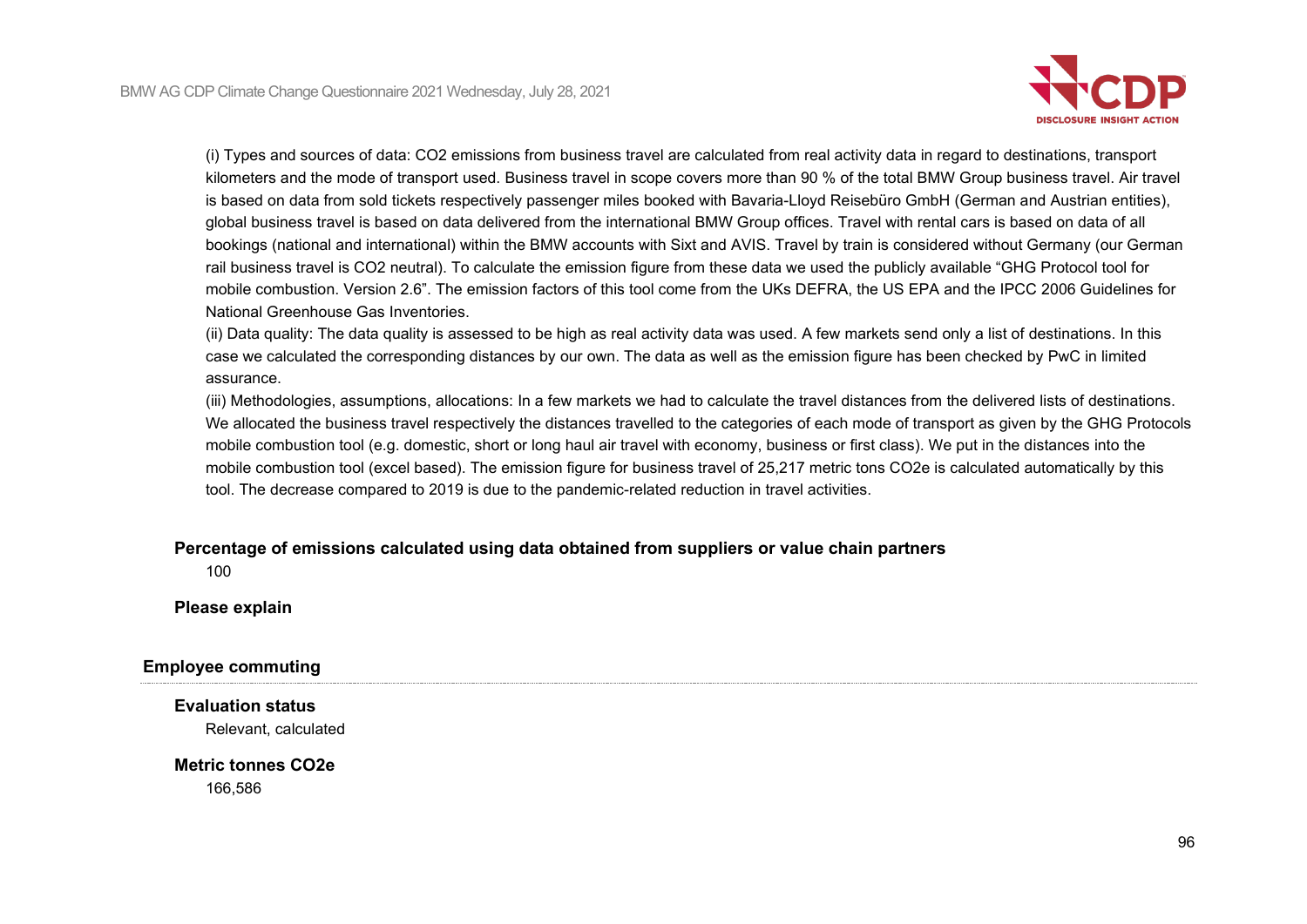

(i) Types and sources of data: CO2 emissions from business travel are calculated from real activity data in regard to destinations, transport kilometers and the mode of transport used. Business travel in scope covers more than 90 % of the total BMW Group business travel. Air travel is based on data from sold tickets respectively passenger miles booked with Bavaria-Lloyd Reisebüro GmbH (German and Austrian entities), global business travel is based on data delivered from the international BMW Group offices. Travel with rental cars is based on data of all bookings (national and international) within the BMW accounts with Sixt and AVIS. Travel by train is considered without Germany (our German rail business travel is CO2 neutral). To calculate the emission figure from these data we used the publicly available "GHG Protocol tool for mobile combustion. Version 2.6". The emission factors of this tool come from the UKs DEFRA, the US EPA and the IPCC 2006 Guidelines for National Greenhouse Gas Inventories.

(ii) Data quality: The data quality is assessed to be high as real activity data was used. A few markets send only a list of destinations. In this case we calculated the corresponding distances by our own. The data as well as the emission figure has been checked by PwC in limited assurance.

(iii) Methodologies, assumptions, allocations: In a few markets we had to calculate the travel distances from the delivered lists of destinations. We allocated the business travel respectively the distances travelled to the categories of each mode of transport as given by the GHG Protocols mobile combustion tool (e.g. domestic, short or long haul air travel with economy, business or first class). We put in the distances into the mobile combustion tool (excel based). The emission figure for business travel of 25,217 metric tons CO2e is calculated automatically by this tool. The decrease compared to 2019 is due to the pandemic-related reduction in travel activities.

#### **Percentage of emissions calculated using data obtained from suppliers or value chain partners**

100

#### **Please explain**

#### **Employee commuting**

**Evaluation status**

Relevant, calculated

## **Metric tonnes CO2e**

166,586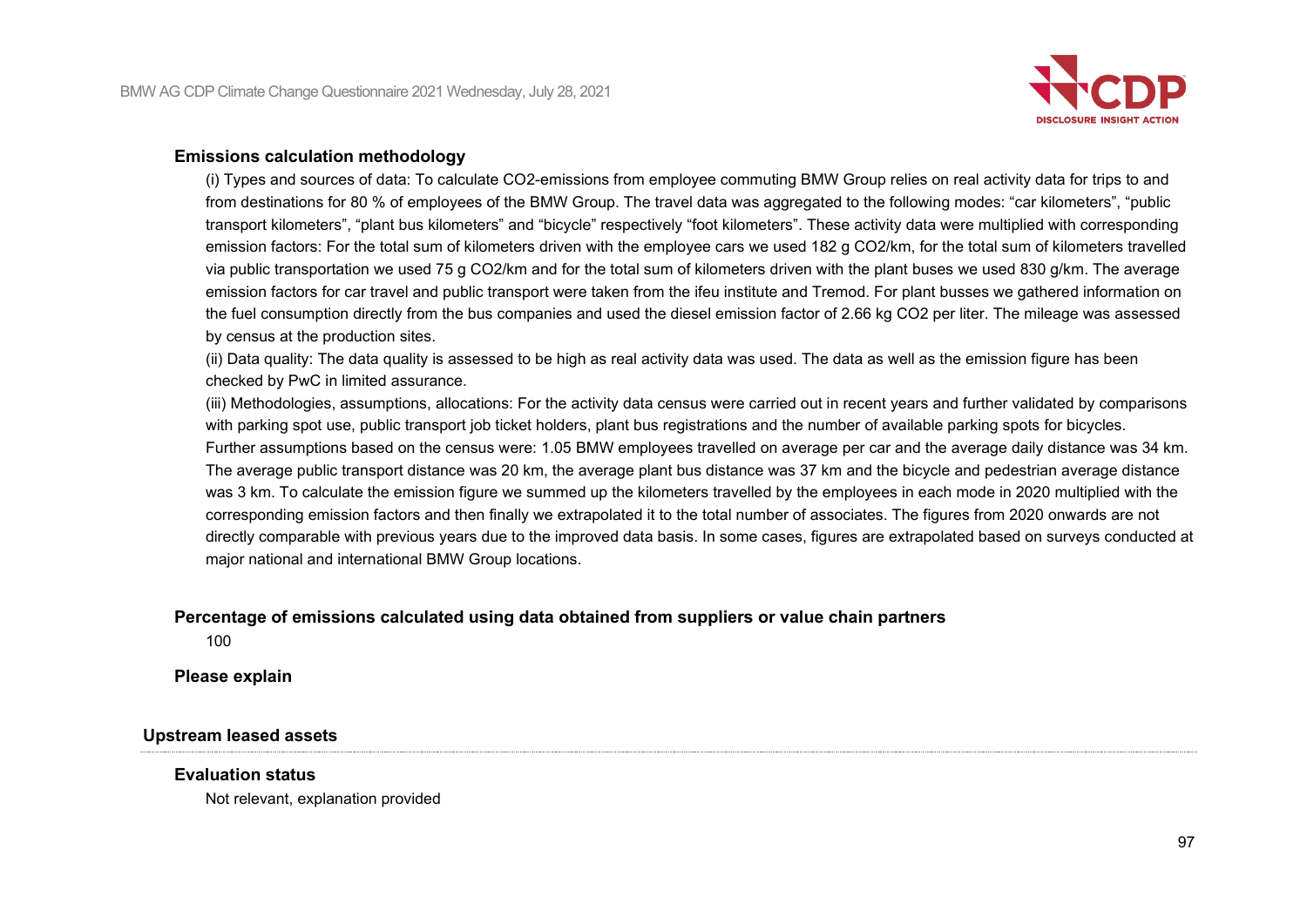

#### **Emissions calculation methodology**

(i) Types and sources of data: To calculate CO2-emissions from employee commuting BMW Group relies on real activity data for trips to and from destinations for 80 % of employees of the BMW Group. The travel data was aggregated to the following modes: "car kilometers", "public transport kilometers", "plant bus kilometers" and "bicycle" respectively "foot kilometers". These activity data were multiplied with corresponding emission factors: For the total sum of kilometers driven with the employee cars we used 182 g CO2/km, for the total sum of kilometers travelled via public transportation we used 75 g CO2/km and for the total sum of kilometers driven with the plant buses we used 830 g/km. The average emission factors for car travel and public transport were taken from the ifeu institute and Tremod. For plant busses we gathered information on the fuel consumption directly from the bus companies and used the diesel emission factor of 2.66 kg CO2 per liter. The mileage was assessed by census at the production sites.

(ii) Data quality: The data quality is assessed to be high as real activity data was used. The data as well as the emission figure has been checked by PwC in limited assurance.

(iii) Methodologies, assumptions, allocations: For the activity data census were carried out in recent years and further validated by comparisons with parking spot use, public transport job ticket holders, plant bus registrations and the number of available parking spots for bicycles. Further assumptions based on the census were: 1.05 BMW employees travelled on average per car and the average daily distance was 34 km. The average public transport distance was 20 km, the average plant bus distance was 37 km and the bicycle and pedestrian average distance was 3 km. To calculate the emission figure we summed up the kilometers travelled by the employees in each mode in 2020 multiplied with the corresponding emission factors and then finally we extrapolated it to the total number of associates. The figures from 2020 onwards are not directly comparable with previous years due to the improved data basis. In some cases, figures are extrapolated based on surveys conducted at major national and international BMW Group locations.

## **Percentage of emissions calculated using data obtained from suppliers or value chain partners**

100

**Please explain**

#### **Upstream leased assets**

#### **Evaluation status**

Not relevant, explanation provided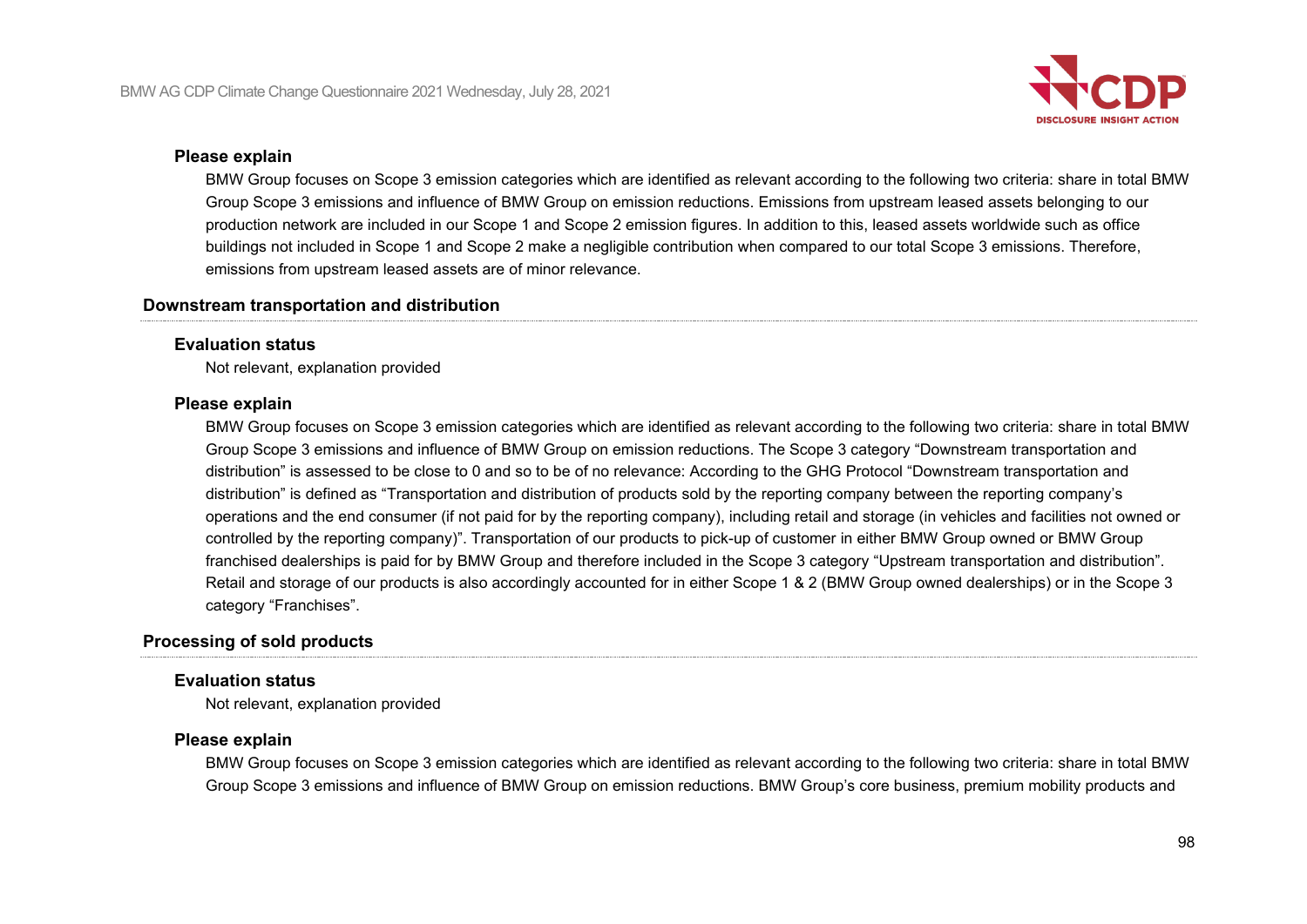

#### **Please explain**

BMW Group focuses on Scope 3 emission categories which are identified as relevant according to the following two criteria: share in total BMW Group Scope 3 emissions and influence of BMW Group on emission reductions. Emissions from upstream leased assets belonging to our production network are included in our Scope 1 and Scope 2 emission figures. In addition to this, leased assets worldwide such as office buildings not included in Scope 1 and Scope 2 make a negligible contribution when compared to our total Scope 3 emissions. Therefore, emissions from upstream leased assets are of minor relevance.

#### **Downstream transportation and distribution**

#### **Evaluation status**

Not relevant, explanation provided

#### **Please explain**

BMW Group focuses on Scope 3 emission categories which are identified as relevant according to the following two criteria: share in total BMW Group Scope 3 emissions and influence of BMW Group on emission reductions. The Scope 3 category "Downstream transportation and distribution" is assessed to be close to 0 and so to be of no relevance: According to the GHG Protocol "Downstream transportation and distribution" is defined as "Transportation and distribution of products sold by the reporting company between the reporting company's operations and the end consumer (if not paid for by the reporting company), including retail and storage (in vehicles and facilities not owned or controlled by the reporting company)". Transportation of our products to pick-up of customer in either BMW Group owned or BMW Group franchised dealerships is paid for by BMW Group and therefore included in the Scope 3 category "Upstream transportation and distribution". Retail and storage of our products is also accordingly accounted for in either Scope 1 & 2 (BMW Group owned dealerships) or in the Scope 3 category "Franchises".

## **Processing of sold products**

#### **Evaluation status**

Not relevant, explanation provided

#### **Please explain**

BMW Group focuses on Scope 3 emission categories which are identified as relevant according to the following two criteria: share in total BMW Group Scope 3 emissions and influence of BMW Group on emission reductions. BMW Group's core business, premium mobility products and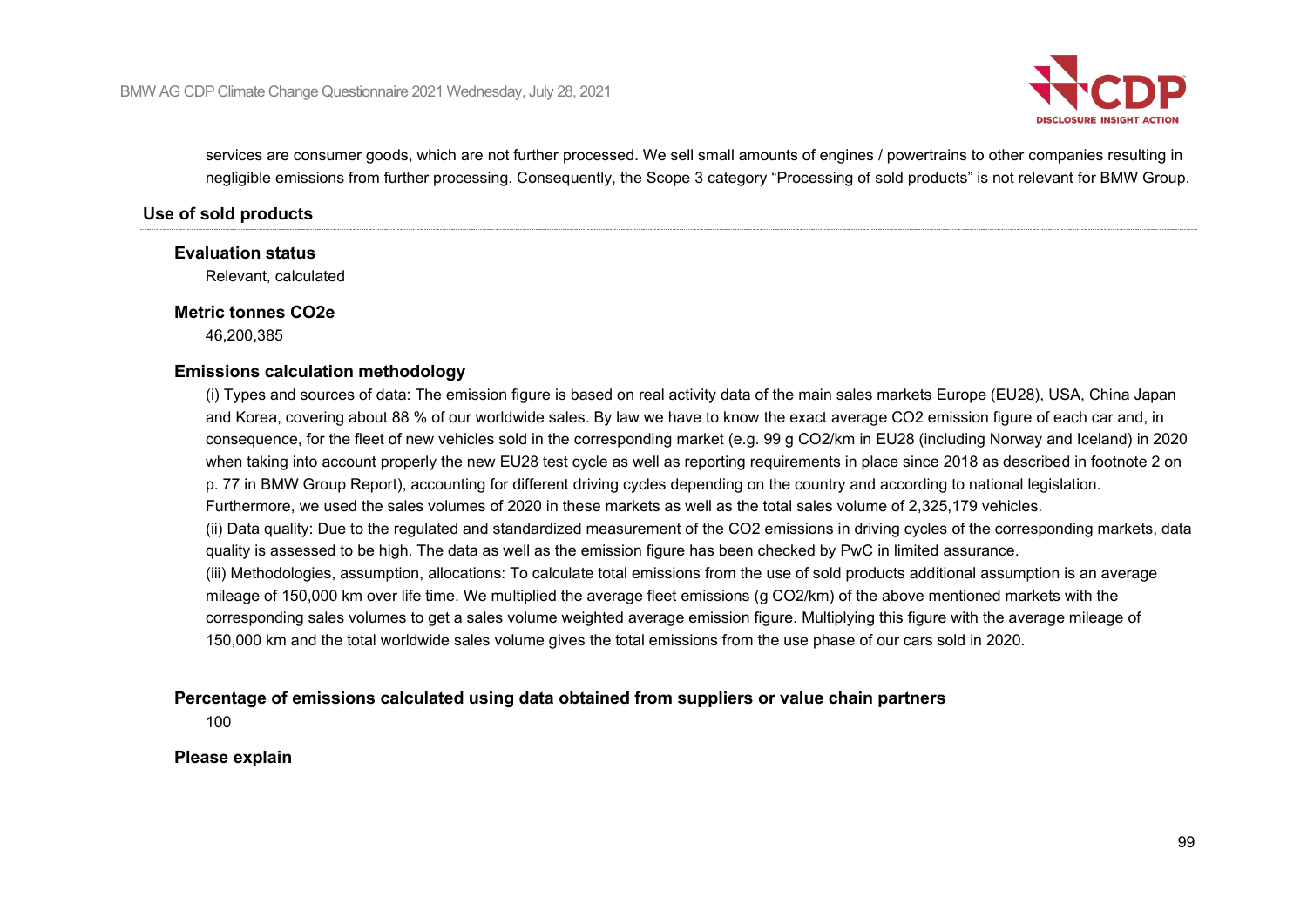

services are consumer goods, which are not further processed. We sell small amounts of engines / powertrains to other companies resulting in negligible emissions from further processing. Consequently, the Scope 3 category "Processing of sold products" is not relevant for BMW Group.

#### **Use of sold products**

#### **Evaluation status**

Relevant, calculated

#### **Metric tonnes CO2e**

46,200,385

#### **Emissions calculation methodology**

(i) Types and sources of data: The emission figure is based on real activity data of the main sales markets Europe (EU28), USA, China Japan and Korea, covering about 88 % of our worldwide sales. By law we have to know the exact average CO2 emission figure of each car and, in consequence, for the fleet of new vehicles sold in the corresponding market (e.g. 99 g CO2/km in EU28 (including Norway and Iceland) in 2020 when taking into account properly the new EU28 test cycle as well as reporting requirements in place since 2018 as described in footnote 2 on p. 77 in BMW Group Report), accounting for different driving cycles depending on the country and according to national legislation. Furthermore, we used the sales volumes of 2020 in these markets as well as the total sales volume of 2,325,179 vehicles. (ii) Data quality: Due to the regulated and standardized measurement of the CO2 emissions in driving cycles of the corresponding markets, data quality is assessed to be high. The data as well as the emission figure has been checked by PwC in limited assurance. (iii) Methodologies, assumption, allocations: To calculate total emissions from the use of sold products additional assumption is an average mileage of 150,000 km over life time. We multiplied the average fleet emissions (g CO2/km) of the above mentioned markets with the corresponding sales volumes to get a sales volume weighted average emission figure. Multiplying this figure with the average mileage of 150,000 km and the total worldwide sales volume gives the total emissions from the use phase of our cars sold in 2020.

#### **Percentage of emissions calculated using data obtained from suppliers or value chain partners**

100

#### **Please explain**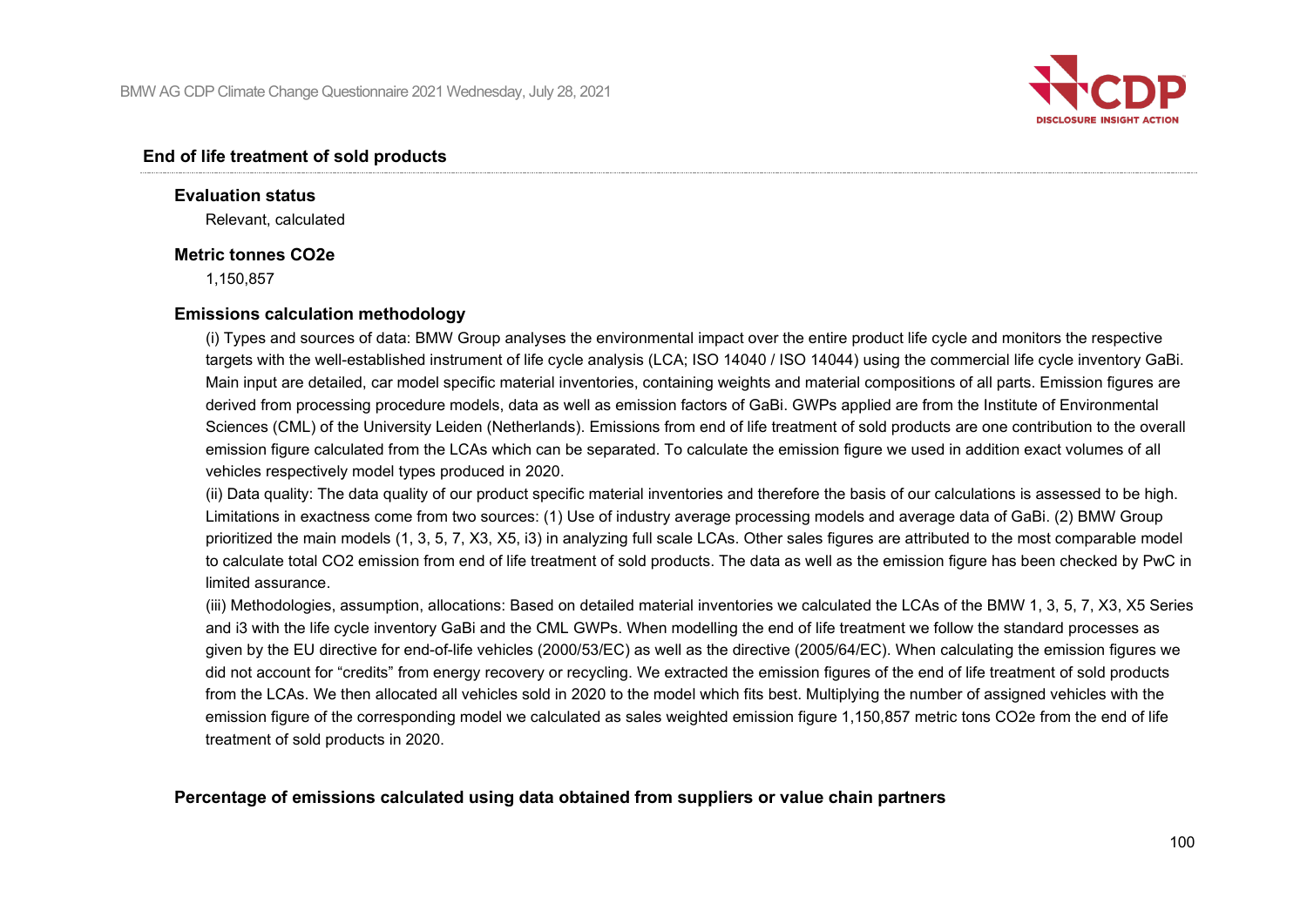

#### **End of life treatment of sold products**

**Evaluation status** Relevant, calculated

#### **Metric tonnes CO2e**

1,150,857

#### **Emissions calculation methodology**

(i) Types and sources of data: BMW Group analyses the environmental impact over the entire product life cycle and monitors the respective targets with the well-established instrument of life cycle analysis (LCA; ISO 14040 / ISO 14044) using the commercial life cycle inventory GaBi. Main input are detailed, car model specific material inventories, containing weights and material compositions of all parts. Emission figures are derived from processing procedure models, data as well as emission factors of GaBi. GWPs applied are from the Institute of Environmental Sciences (CML) of the University Leiden (Netherlands). Emissions from end of life treatment of sold products are one contribution to the overall emission figure calculated from the LCAs which can be separated. To calculate the emission figure we used in addition exact volumes of all vehicles respectively model types produced in 2020.

(ii) Data quality: The data quality of our product specific material inventories and therefore the basis of our calculations is assessed to be high. Limitations in exactness come from two sources: (1) Use of industry average processing models and average data of GaBi. (2) BMW Group prioritized the main models (1, 3, 5, 7, X3, X5, i3) in analyzing full scale LCAs. Other sales figures are attributed to the most comparable model to calculate total CO2 emission from end of life treatment of sold products. The data as well as the emission figure has been checked by PwC in limited assurance.

(iii) Methodologies, assumption, allocations: Based on detailed material inventories we calculated the LCAs of the BMW 1, 3, 5, 7, X3, X5 Series and i3 with the life cycle inventory GaBi and the CML GWPs. When modelling the end of life treatment we follow the standard processes as given by the EU directive for end-of-life vehicles (2000/53/EC) as well as the directive (2005/64/EC). When calculating the emission figures we did not account for "credits" from energy recovery or recycling. We extracted the emission figures of the end of life treatment of sold products from the LCAs. We then allocated all vehicles sold in 2020 to the model which fits best. Multiplying the number of assigned vehicles with the emission figure of the corresponding model we calculated as sales weighted emission figure 1,150,857 metric tons CO2e from the end of life treatment of sold products in 2020.

#### **Percentage of emissions calculated using data obtained from suppliers or value chain partners**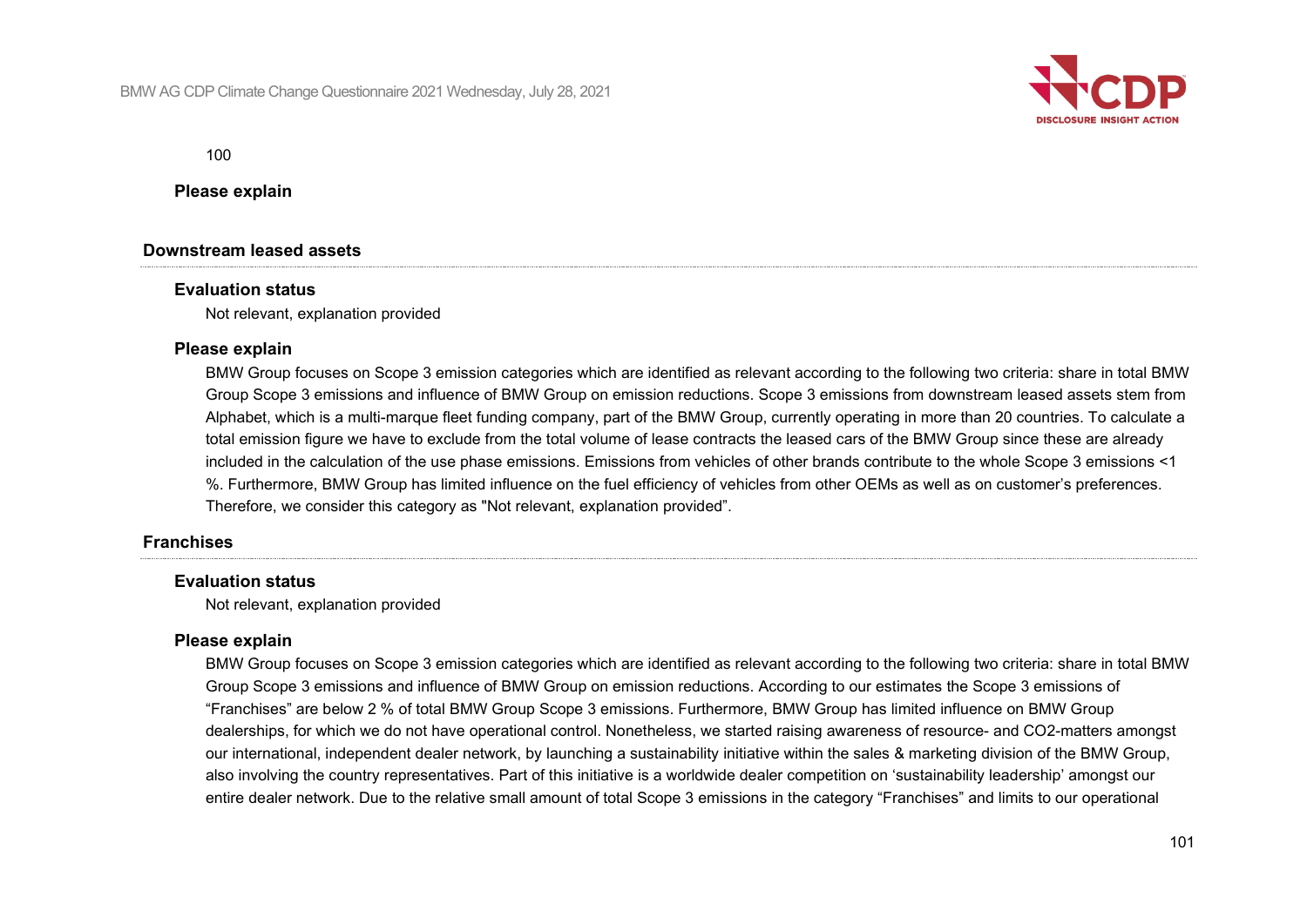

100

**Please explain**

#### **Downstream leased assets**

#### **Evaluation status**

Not relevant, explanation provided

#### **Please explain**

BMW Group focuses on Scope 3 emission categories which are identified as relevant according to the following two criteria: share in total BMW Group Scope 3 emissions and influence of BMW Group on emission reductions. Scope 3 emissions from downstream leased assets stem from Alphabet, which is a multi-marque fleet funding company, part of the BMW Group, currently operating in more than 20 countries. To calculate a total emission figure we have to exclude from the total volume of lease contracts the leased cars of the BMW Group since these are already included in the calculation of the use phase emissions. Emissions from vehicles of other brands contribute to the whole Scope 3 emissions <1 %. Furthermore, BMW Group has limited influence on the fuel efficiency of vehicles from other OEMs as well as on customer's preferences. Therefore, we consider this category as "Not relevant, explanation provided".

#### **Franchises**

#### **Evaluation status**

Not relevant, explanation provided

#### **Please explain**

BMW Group focuses on Scope 3 emission categories which are identified as relevant according to the following two criteria: share in total BMW Group Scope 3 emissions and influence of BMW Group on emission reductions. According to our estimates the Scope 3 emissions of "Franchises" are below 2 % of total BMW Group Scope 3 emissions. Furthermore, BMW Group has limited influence on BMW Group dealerships, for which we do not have operational control. Nonetheless, we started raising awareness of resource- and CO2-matters amongst our international, independent dealer network, by launching a sustainability initiative within the sales & marketing division of the BMW Group, also involving the country representatives. Part of this initiative is a worldwide dealer competition on 'sustainability leadership' amongst our entire dealer network. Due to the relative small amount of total Scope 3 emissions in the category "Franchises" and limits to our operational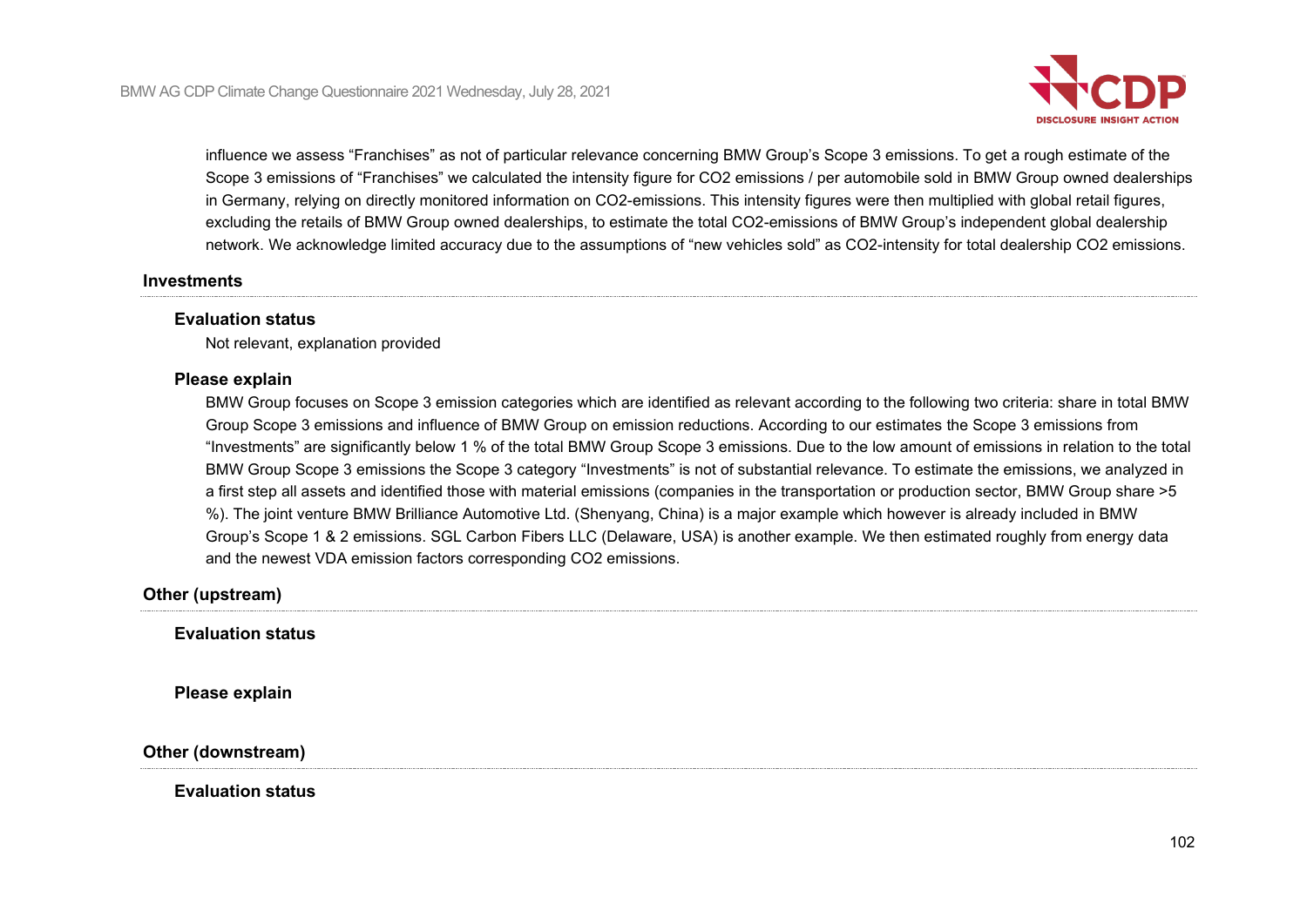

influence we assess "Franchises" as not of particular relevance concerning BMW Group's Scope 3 emissions. To get a rough estimate of the Scope 3 emissions of "Franchises" we calculated the intensity figure for CO2 emissions / per automobile sold in BMW Group owned dealerships in Germany, relying on directly monitored information on CO2-emissions. This intensity figures were then multiplied with global retail figures, excluding the retails of BMW Group owned dealerships, to estimate the total CO2-emissions of BMW Group's independent global dealership network. We acknowledge limited accuracy due to the assumptions of "new vehicles sold" as CO2-intensity for total dealership CO2 emissions.

#### **Investments**

#### **Evaluation status**

Not relevant, explanation provided

#### **Please explain**

BMW Group focuses on Scope 3 emission categories which are identified as relevant according to the following two criteria: share in total BMW Group Scope 3 emissions and influence of BMW Group on emission reductions. According to our estimates the Scope 3 emissions from "Investments" are significantly below 1 % of the total BMW Group Scope 3 emissions. Due to the low amount of emissions in relation to the total BMW Group Scope 3 emissions the Scope 3 category "Investments" is not of substantial relevance. To estimate the emissions, we analyzed in a first step all assets and identified those with material emissions (companies in the transportation or production sector, BMW Group share >5 %). The joint venture BMW Brilliance Automotive Ltd. (Shenyang, China) is a major example which however is already included in BMW Group's Scope 1 & 2 emissions. SGL Carbon Fibers LLC (Delaware, USA) is another example. We then estimated roughly from energy data and the newest VDA emission factors corresponding CO2 emissions.

#### **Other (upstream)**

**Evaluation status**

**Please explain**

**Other (downstream)**

**Evaluation status**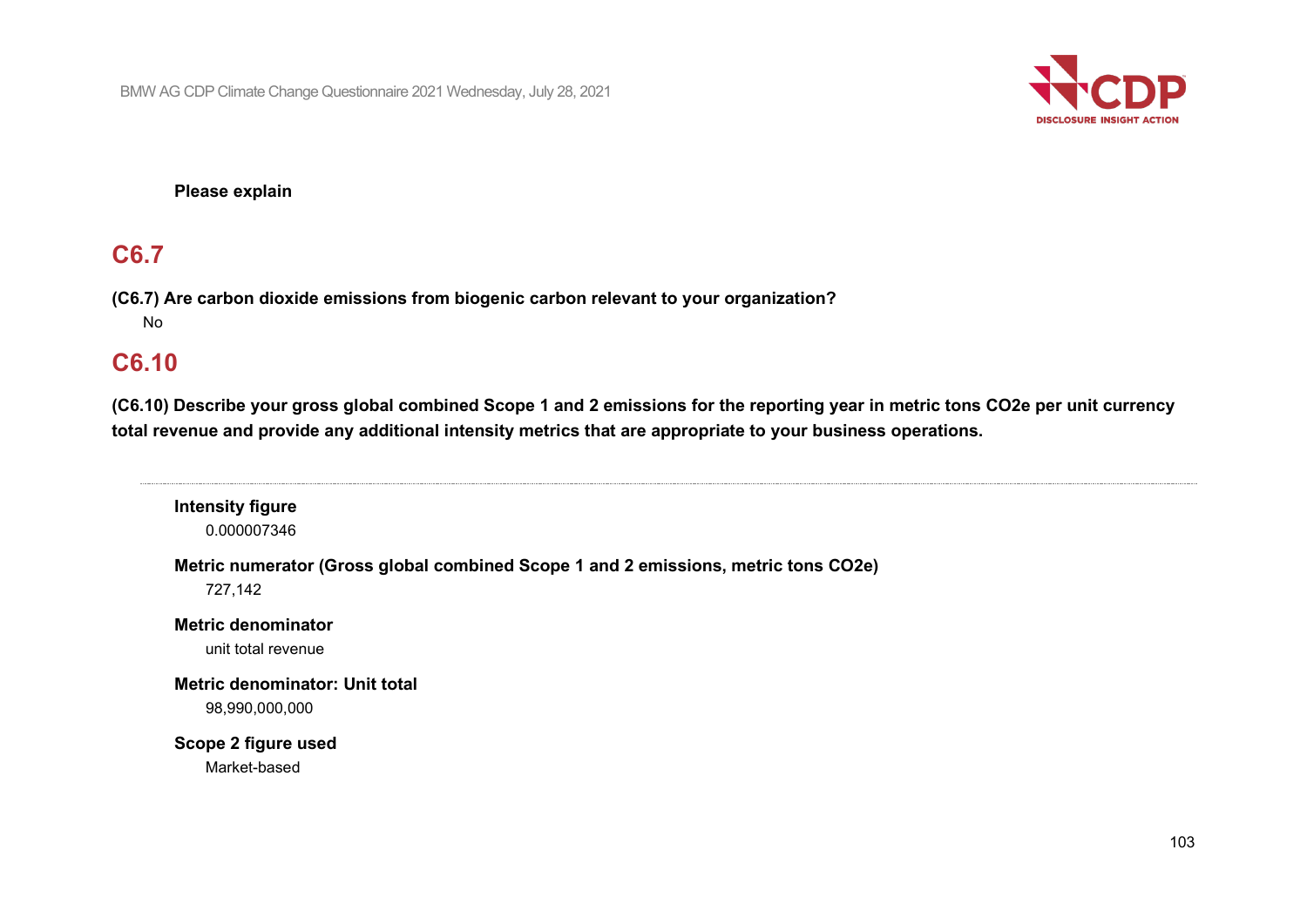

**Please explain**

## **C6.7**

**(C6.7) Are carbon dioxide emissions from biogenic carbon relevant to your organization?**

## No

## **C6.10**

**(C6.10) Describe your gross global combined Scope 1 and 2 emissions for the reporting year in metric tons CO2e per unit currency total revenue and provide any additional intensity metrics that are appropriate to your business operations.**

## **Intensity figure** 0.000007346 **Metric numerator (Gross global combined Scope 1 and 2 emissions, metric tons CO2e)** 727,142 **Metric denominator** unit total revenue **Metric denominator: Unit total** 98,990,000,000 **Scope 2 figure used** Market-based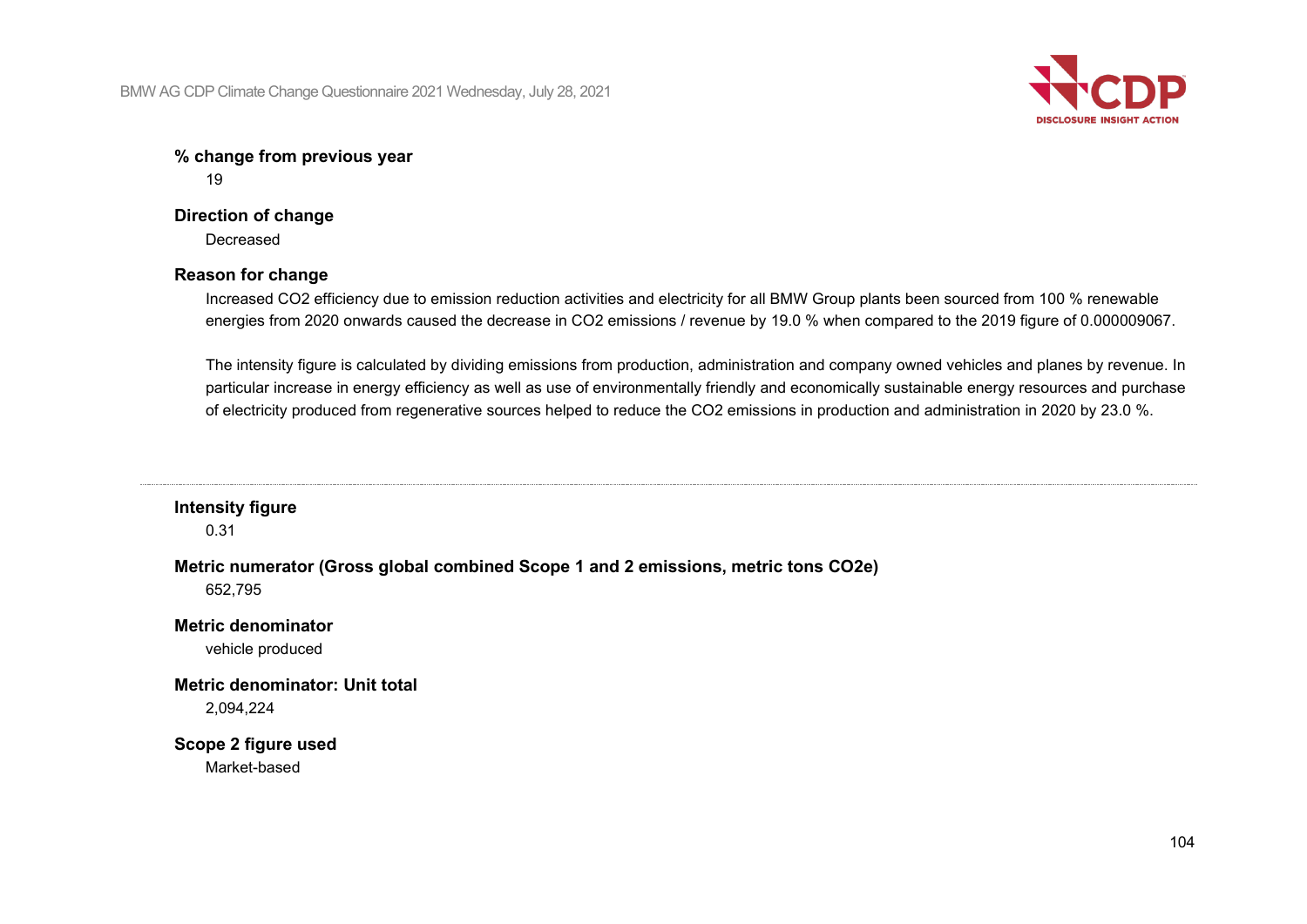

## **% change from previous year**

19

## **Direction of change**

**Decreased** 

## **Reason for change**

Increased CO2 efficiency due to emission reduction activities and electricity for all BMW Group plants been sourced from 100 % renewable energies from 2020 onwards caused the decrease in CO2 emissions / revenue by 19.0 % when compared to the 2019 figure of 0.000009067.

The intensity figure is calculated by dividing emissions from production, administration and company owned vehicles and planes by revenue. In particular increase in energy efficiency as well as use of environmentally friendly and economically sustainable energy resources and purchase of electricity produced from regenerative sources helped to reduce the CO2 emissions in production and administration in 2020 by 23.0 %.

#### **Intensity figure**

0.31

**Metric numerator (Gross global combined Scope 1 and 2 emissions, metric tons CO2e)**

652,795

## **Metric denominator**

vehicle produced

# **Metric denominator: Unit total**

2,094,224

## **Scope 2 figure used**

Market-based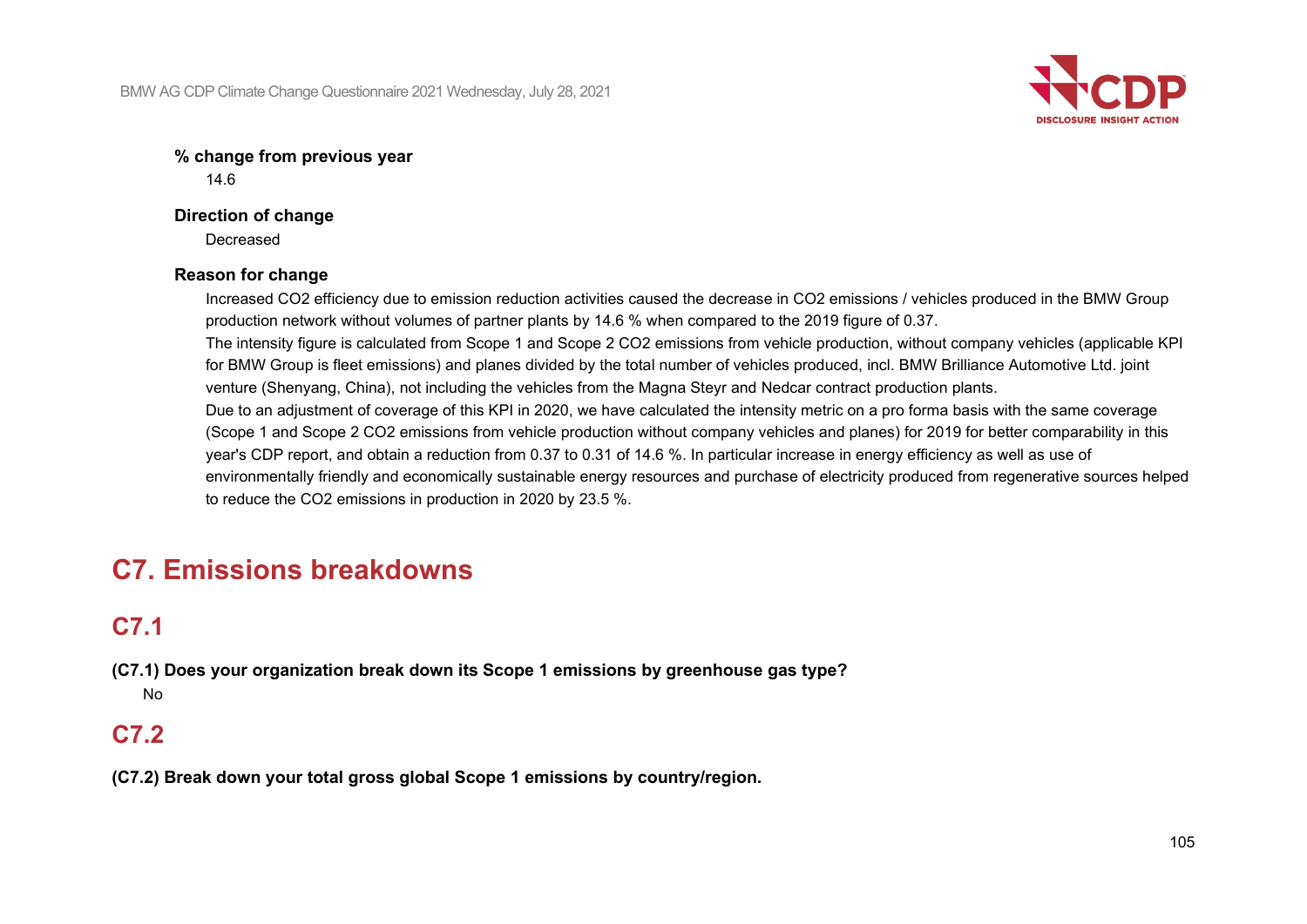

## **% change from previous year**

14.6

### **Direction of change**

**Decreased** 

## **Reason for change**

Increased CO2 efficiency due to emission reduction activities caused the decrease in CO2 emissions / vehicles produced in the BMW Group production network without volumes of partner plants by 14.6 % when compared to the 2019 figure of 0.37. The intensity figure is calculated from Scope 1 and Scope 2 CO2 emissions from vehicle production, without company vehicles (applicable KPI for BMW Group is fleet emissions) and planes divided by the total number of vehicles produced, incl. BMW Brilliance Automotive Ltd. joint venture (Shenyang, China), not including the vehicles from the Magna Steyr and Nedcar contract production plants. Due to an adjustment of coverage of this KPI in 2020, we have calculated the intensity metric on a pro forma basis with the same coverage (Scope 1 and Scope 2 CO2 emissions from vehicle production without company vehicles and planes) for 2019 for better comparability in this year's CDP report, and obtain a reduction from 0.37 to 0.31 of 14.6 %. In particular increase in energy efficiency as well as use of environmentally friendly and economically sustainable energy resources and purchase of electricity produced from regenerative sources helped to reduce the CO2 emissions in production in 2020 by 23.5 %.

# **C7. Emissions breakdowns**

# **C7.1**

**(C7.1) Does your organization break down its Scope 1 emissions by greenhouse gas type?** No

# **C7.2**

**(C7.2) Break down your total gross global Scope 1 emissions by country/region.**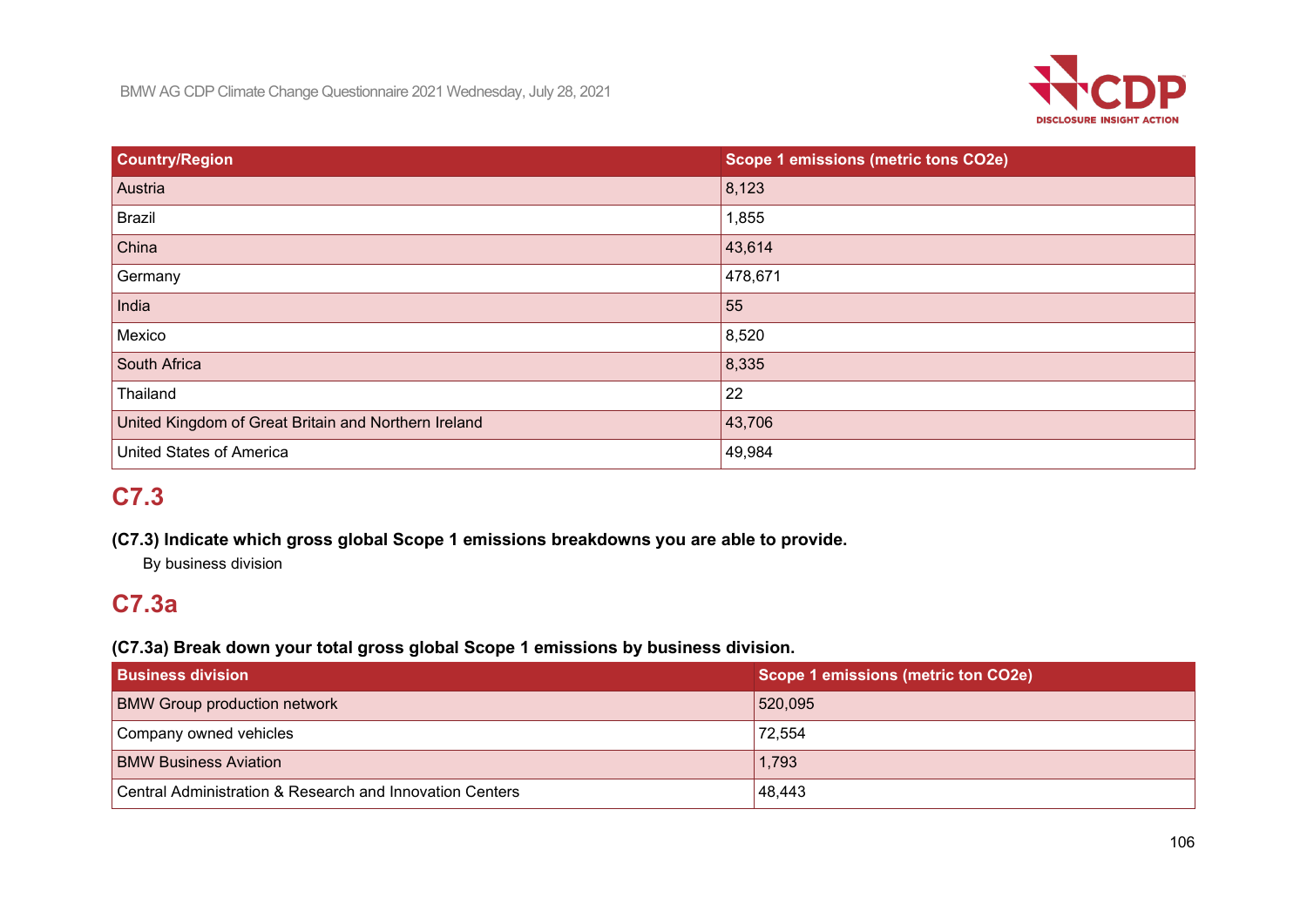

| <b>Country/Region</b>                                | Scope 1 emissions (metric tons CO2e) |
|------------------------------------------------------|--------------------------------------|
| Austria                                              | 8,123                                |
| Brazil                                               | 1,855                                |
| $ $ China                                            | 43,614                               |
| Germany                                              | 478,671                              |
| India                                                | 55                                   |
| Mexico                                               | 8,520                                |
| South Africa                                         | 8,335                                |
| Thailand                                             | 22                                   |
| United Kingdom of Great Britain and Northern Ireland | 43,706                               |
| <b>United States of America</b>                      | 49,984                               |

# **C7.3**

## **(C7.3) Indicate which gross global Scope 1 emissions breakdowns you are able to provide.**

By business division

# **C7.3a**

## **(C7.3a) Break down your total gross global Scope 1 emissions by business division.**

| <b>Business division</b>                                 | Scope 1 emissions (metric ton CO2e) |
|----------------------------------------------------------|-------------------------------------|
| <b>BMW Group production network</b>                      | 520,095                             |
| Company owned vehicles                                   | 72,554                              |
| <b>BMW Business Aviation</b>                             | 1,793                               |
| Central Administration & Research and Innovation Centers | 48,443                              |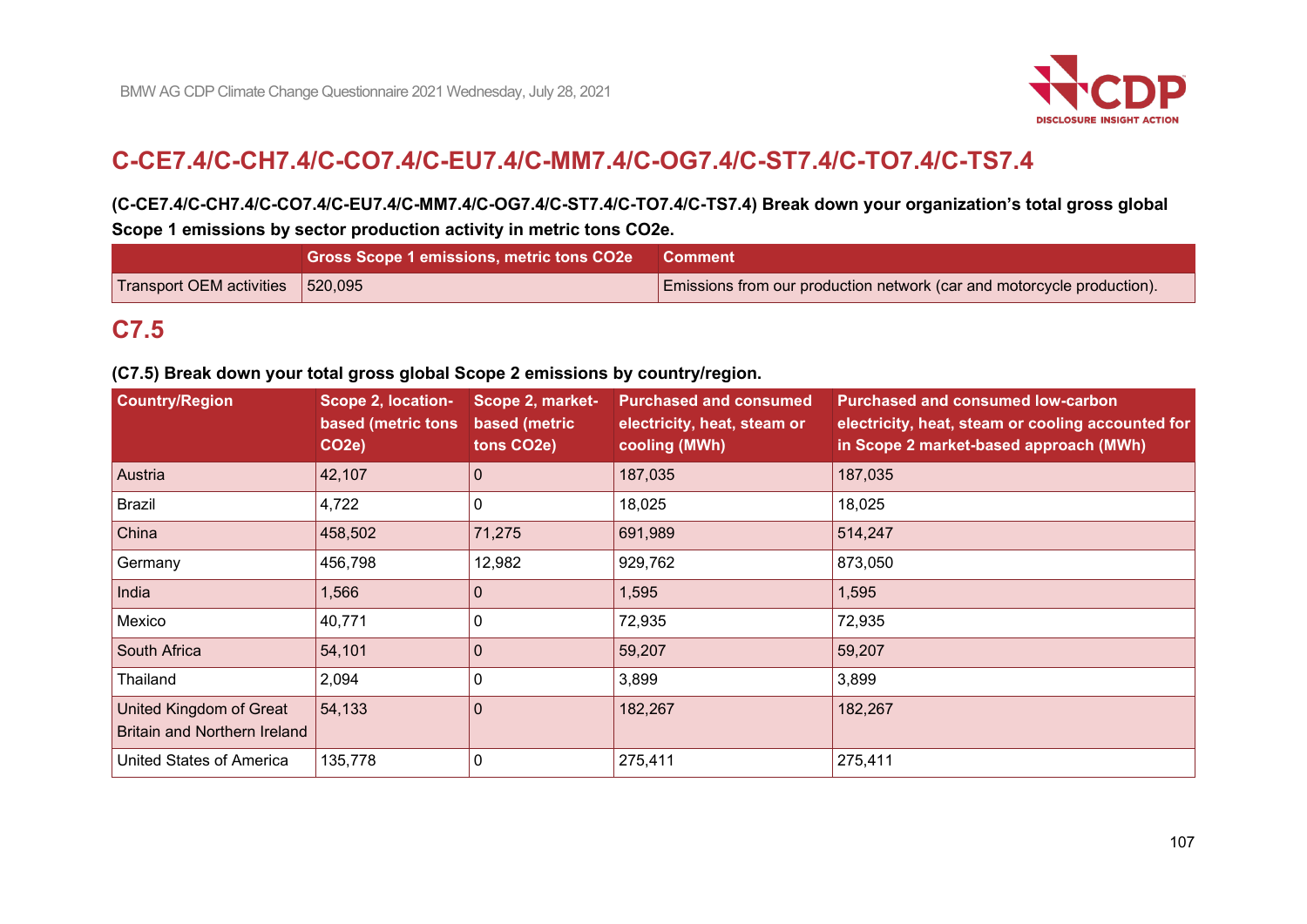

# **C-CE7.4/C-CH7.4/C-CO7.4/C-EU7.4/C-MM7.4/C-OG7.4/C-ST7.4/C-TO7.4/C-TS7.4**

## **(C-CE7.4/C-CH7.4/C-CO7.4/C-EU7.4/C-MM7.4/C-OG7.4/C-ST7.4/C-TO7.4/C-TS7.4) Break down your organization's total gross global Scope 1 emissions by sector production activity in metric tons CO2e.**

|                                                  | Gross Scope 1 emissions, metric tons CO2e Comment |                                                                        |
|--------------------------------------------------|---------------------------------------------------|------------------------------------------------------------------------|
| $\vert$ Transport OEM activities $\vert$ 520,095 |                                                   | Emissions from our production network (car and motorcycle production). |

# **C7.5**

#### **(C7.5) Break down your total gross global Scope 2 emissions by country/region.**

| <b>Country/Region</b>                                                 | Scope 2, location-<br>based (metric tons<br>CO <sub>2</sub> e) | Scope 2, market-<br>based (metric<br>tons CO2e) | <b>Purchased and consumed</b><br>electricity, heat, steam or<br>cooling (MWh) | <b>Purchased and consumed low-carbon</b><br>electricity, heat, steam or cooling accounted for<br>in Scope 2 market-based approach (MWh) |
|-----------------------------------------------------------------------|----------------------------------------------------------------|-------------------------------------------------|-------------------------------------------------------------------------------|-----------------------------------------------------------------------------------------------------------------------------------------|
| Austria                                                               | 42,107                                                         | $\mathbf{0}$                                    | 187,035                                                                       | 187,035                                                                                                                                 |
| <b>Brazil</b>                                                         | 4,722                                                          | 0                                               | 18,025                                                                        | 18,025                                                                                                                                  |
| China                                                                 | 458,502                                                        | 71,275                                          | 691,989                                                                       | 514,247                                                                                                                                 |
| Germany                                                               | 456,798                                                        | 12,982                                          | 929,762                                                                       | 873,050                                                                                                                                 |
| India                                                                 | 1,566                                                          |                                                 | 1,595                                                                         | 1,595                                                                                                                                   |
| Mexico                                                                | 40,771                                                         |                                                 | 72,935                                                                        | 72,935                                                                                                                                  |
| South Africa                                                          | 54,101                                                         | $\Omega$                                        | 59,207                                                                        | 59,207                                                                                                                                  |
| Thailand                                                              | 2,094                                                          | 0                                               | 3,899                                                                         | 3,899                                                                                                                                   |
| <b>United Kingdom of Great</b><br><b>Britain and Northern Ireland</b> | 54,133                                                         | 0                                               | 182,267                                                                       | 182,267                                                                                                                                 |
| United States of America                                              | 135,778                                                        |                                                 | 275,411                                                                       | 275,411                                                                                                                                 |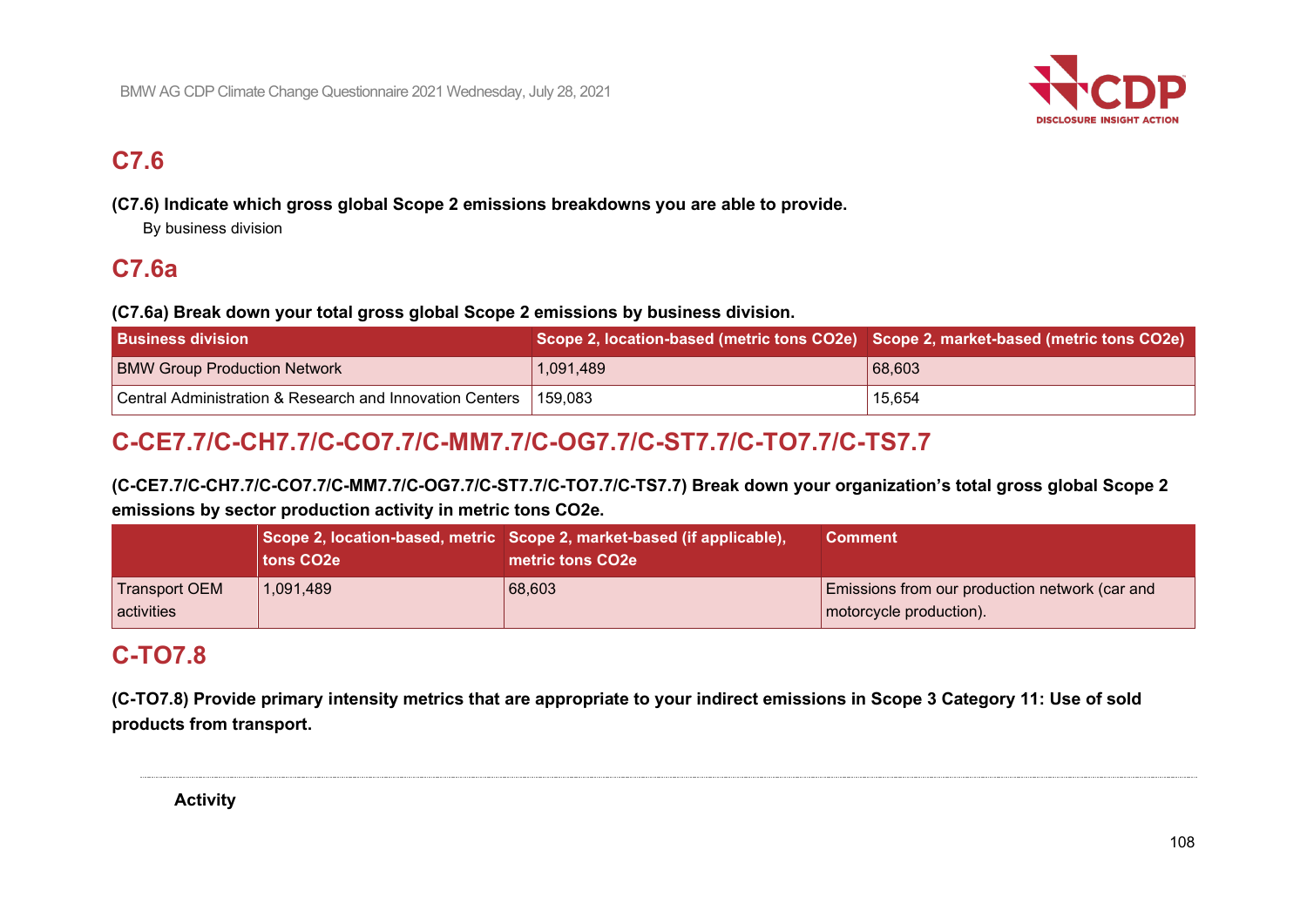

# **C7.6**

**(C7.6) Indicate which gross global Scope 2 emissions breakdowns you are able to provide.**

By business division

# **C7.6a**

## **(C7.6a) Break down your total gross global Scope 2 emissions by business division.**

| <b>Business division</b>                                           | Scope 2, location-based (metric tons CO2e) Scope 2, market-based (metric tons CO2e) |        |
|--------------------------------------------------------------------|-------------------------------------------------------------------------------------|--------|
| <b>BMW Group Production Network</b>                                | 1,091,489                                                                           | 68,603 |
| Central Administration & Research and Innovation Centers   159,083 |                                                                                     | 15,654 |

# **C-CE7.7/C-CH7.7/C-CO7.7/C-MM7.7/C-OG7.7/C-ST7.7/C-TO7.7/C-TS7.7**

**(C-CE7.7/C-CH7.7/C-CO7.7/C-MM7.7/C-OG7.7/C-ST7.7/C-TO7.7/C-TS7.7) Break down your organization's total gross global Scope 2 emissions by sector production activity in metric tons CO2e.**

|                                           | tons CO <sub>2</sub> e | Scope 2, location-based, metric Scope 2, market-based (if applicable),<br>metric tons CO2e | <b>Comment</b>                                                                |
|-------------------------------------------|------------------------|--------------------------------------------------------------------------------------------|-------------------------------------------------------------------------------|
| <b>Transport OEM</b><br><b>activities</b> | 1,091,489              | 68,603                                                                                     | Emissions from our production network (car and<br>$ $ motorcycle production). |

# **C-TO7.8**

**(C-TO7.8) Provide primary intensity metrics that are appropriate to your indirect emissions in Scope 3 Category 11: Use of sold products from transport.**

**Activity**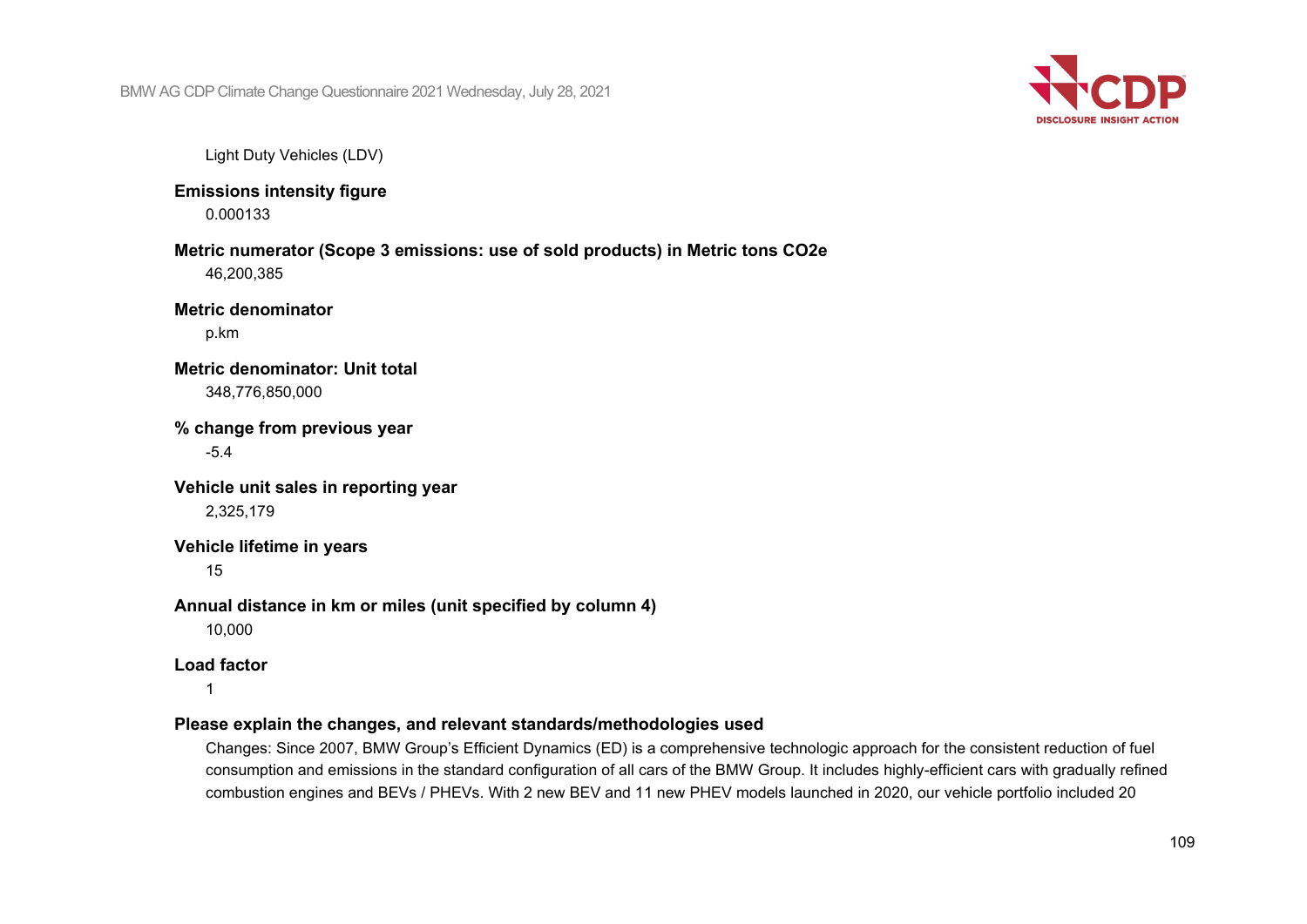

Light Duty Vehicles (LDV)

**Emissions intensity figure**

0.000133

#### **Metric numerator (Scope 3 emissions: use of sold products) in Metric tons CO2e** 46,200,385

**Metric denominator**

p.km

### **Metric denominator: Unit total** 348,776,850,000

**% change from previous year** -5.4

**Vehicle unit sales in reporting year** 2,325,179

## **Vehicle lifetime in years**

15

### **Annual distance in km or miles (unit specified by column 4)**

10,000

## **Load factor**

1

### **Please explain the changes, and relevant standards/methodologies used**

Changes: Since 2007, BMW Group's Efficient Dynamics (ED) is a comprehensive technologic approach for the consistent reduction of fuel consumption and emissions in the standard configuration of all cars of the BMW Group. It includes highly-efficient cars with gradually refined combustion engines and BEVs / PHEVs. With 2 new BEV and 11 new PHEV models launched in 2020, our vehicle portfolio included 20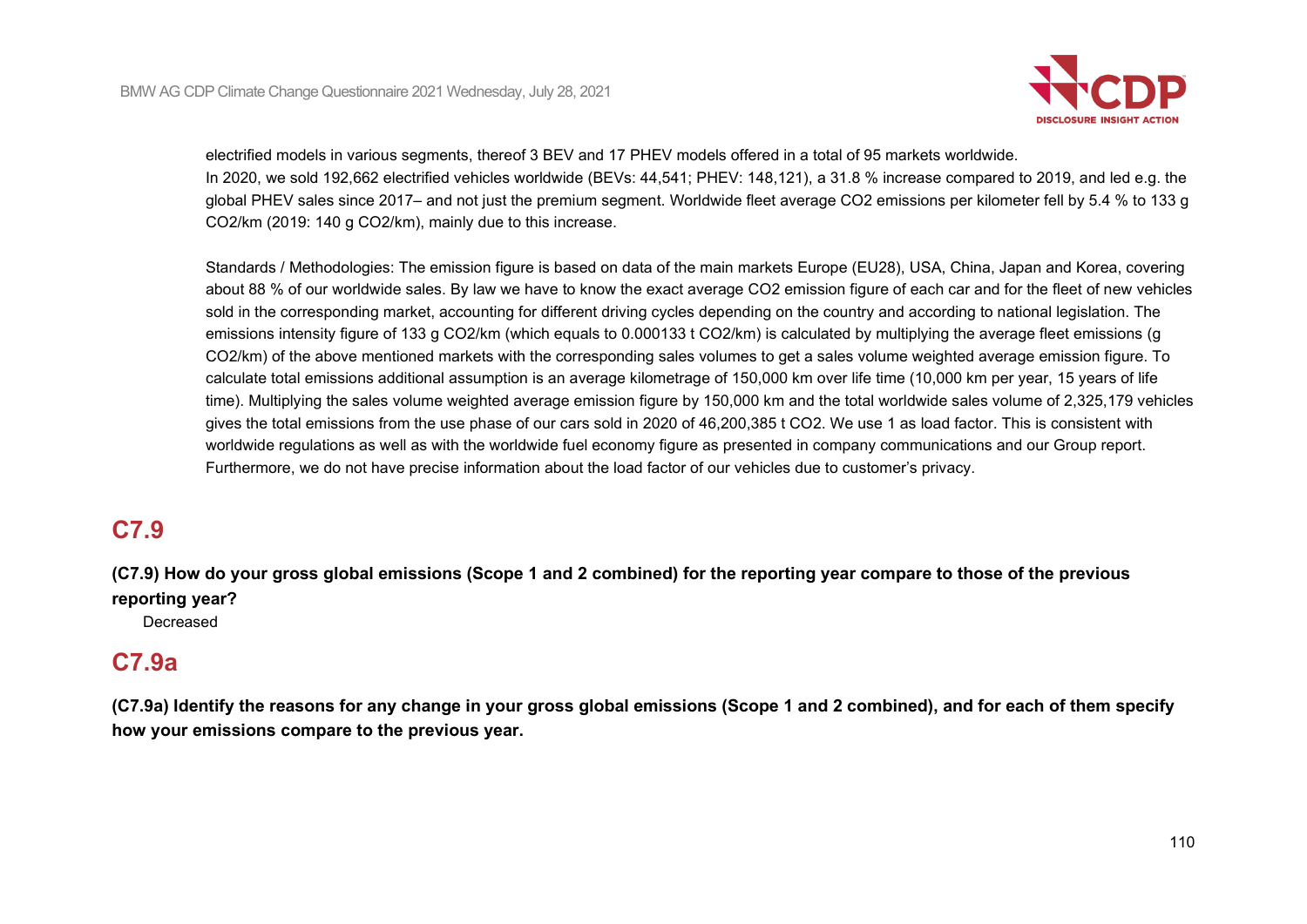

electrified models in various segments, thereof 3 BEV and 17 PHEV models offered in a total of 95 markets worldwide. In 2020, we sold 192,662 electrified vehicles worldwide (BEVs: 44,541; PHEV: 148,121), a 31.8 % increase compared to 2019, and led e.g. the global PHEV sales since 2017– and not just the premium segment. Worldwide fleet average CO2 emissions per kilometer fell by 5.4 % to 133 g CO2/km (2019: 140 g CO2/km), mainly due to this increase.

Standards / Methodologies: The emission figure is based on data of the main markets Europe (EU28), USA, China, Japan and Korea, covering about 88 % of our worldwide sales. By law we have to know the exact average CO2 emission figure of each car and for the fleet of new vehicles sold in the corresponding market, accounting for different driving cycles depending on the country and according to national legislation. The emissions intensity figure of 133 g CO2/km (which equals to 0.000133 t CO2/km) is calculated by multiplying the average fleet emissions (g CO2/km) of the above mentioned markets with the corresponding sales volumes to get a sales volume weighted average emission figure. To calculate total emissions additional assumption is an average kilometrage of 150,000 km over life time (10,000 km per year, 15 years of life time). Multiplying the sales volume weighted average emission figure by 150,000 km and the total worldwide sales volume of 2,325,179 vehicles gives the total emissions from the use phase of our cars sold in 2020 of 46,200,385 t CO2. We use 1 as load factor. This is consistent with worldwide regulations as well as with the worldwide fuel economy figure as presented in company communications and our Group report. Furthermore, we do not have precise information about the load factor of our vehicles due to customer's privacy.

# **C7.9**

**(C7.9) How do your gross global emissions (Scope 1 and 2 combined) for the reporting year compare to those of the previous reporting year?**

Decreased

# **C7.9a**

**(C7.9a) Identify the reasons for any change in your gross global emissions (Scope 1 and 2 combined), and for each of them specify how your emissions compare to the previous year.**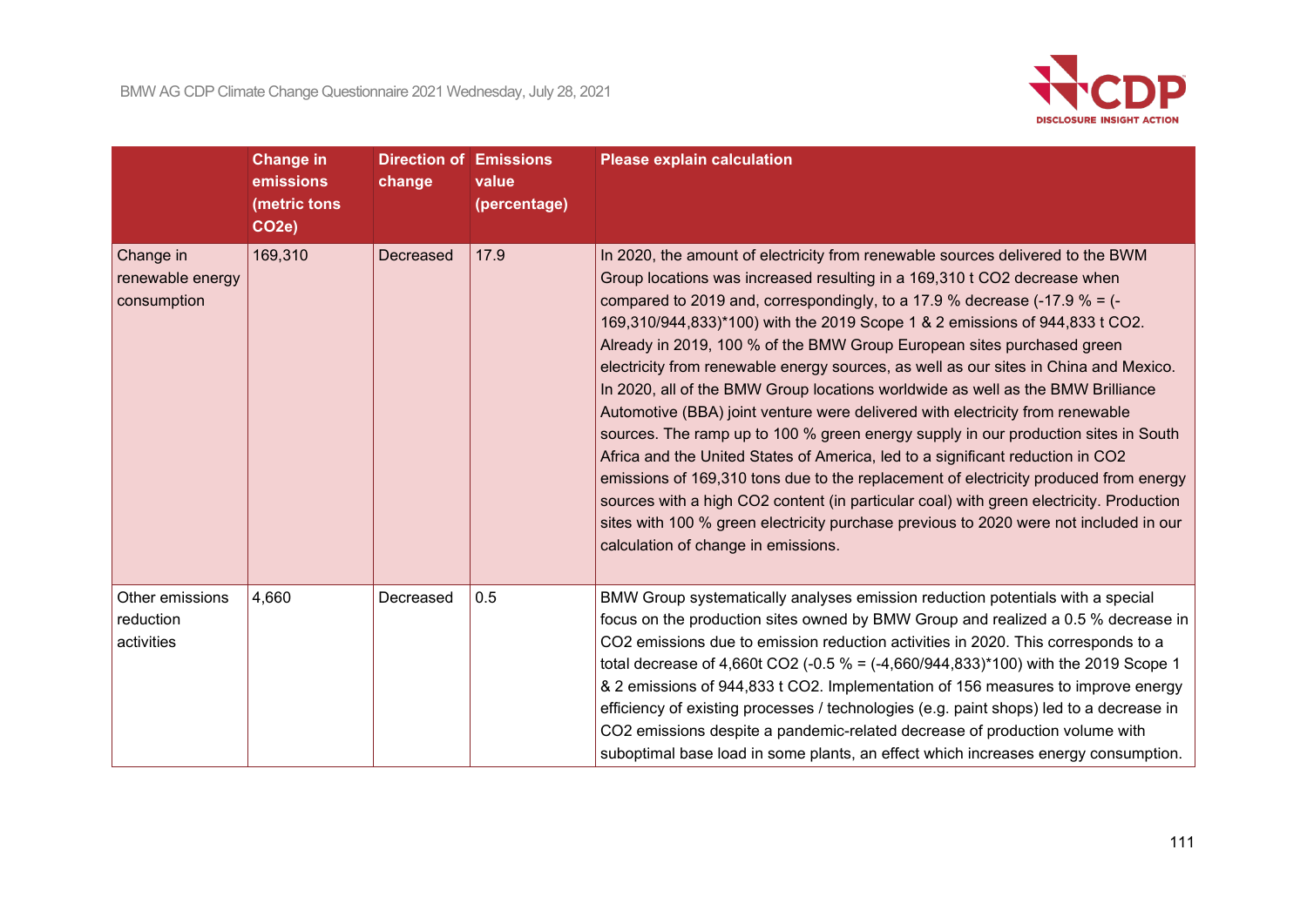

|                                              | <b>Change in</b><br>emissions<br>(metric tons<br>CO <sub>2e</sub> ) | <b>Direction of Emissions</b><br>change | value<br>(percentage) | <b>Please explain calculation</b>                                                                                                                                                                                                                                                                                                                                                                                                                                                                                                                                                                                                                                                                                                                                                                                                                                                                                                                                                                                                                                                                                                                           |
|----------------------------------------------|---------------------------------------------------------------------|-----------------------------------------|-----------------------|-------------------------------------------------------------------------------------------------------------------------------------------------------------------------------------------------------------------------------------------------------------------------------------------------------------------------------------------------------------------------------------------------------------------------------------------------------------------------------------------------------------------------------------------------------------------------------------------------------------------------------------------------------------------------------------------------------------------------------------------------------------------------------------------------------------------------------------------------------------------------------------------------------------------------------------------------------------------------------------------------------------------------------------------------------------------------------------------------------------------------------------------------------------|
| Change in<br>renewable energy<br>consumption | 169,310                                                             | Decreased                               | 17.9                  | In 2020, the amount of electricity from renewable sources delivered to the BWM<br>Group locations was increased resulting in a 169,310 t CO2 decrease when<br>compared to 2019 and, correspondingly, to a 17.9 % decrease (-17.9 % = $(-1)$<br>169,310/944,833)*100) with the 2019 Scope 1 & 2 emissions of 944,833 t CO2.<br>Already in 2019, 100 % of the BMW Group European sites purchased green<br>electricity from renewable energy sources, as well as our sites in China and Mexico.<br>In 2020, all of the BMW Group locations worldwide as well as the BMW Brilliance<br>Automotive (BBA) joint venture were delivered with electricity from renewable<br>sources. The ramp up to 100 % green energy supply in our production sites in South<br>Africa and the United States of America, led to a significant reduction in CO2<br>emissions of 169,310 tons due to the replacement of electricity produced from energy<br>sources with a high CO2 content (in particular coal) with green electricity. Production<br>sites with 100 % green electricity purchase previous to 2020 were not included in our<br>calculation of change in emissions. |
| Other emissions<br>reduction<br>activities   | 4,660                                                               | Decreased                               | 0.5                   | BMW Group systematically analyses emission reduction potentials with a special<br>focus on the production sites owned by BMW Group and realized a 0.5 % decrease in<br>CO2 emissions due to emission reduction activities in 2020. This corresponds to a<br>total decrease of 4,660t CO2 (-0.5 % = (-4,660/944,833)*100) with the 2019 Scope 1<br>& 2 emissions of 944,833 t CO2. Implementation of 156 measures to improve energy<br>efficiency of existing processes / technologies (e.g. paint shops) led to a decrease in<br>CO2 emissions despite a pandemic-related decrease of production volume with<br>suboptimal base load in some plants, an effect which increases energy consumption.                                                                                                                                                                                                                                                                                                                                                                                                                                                          |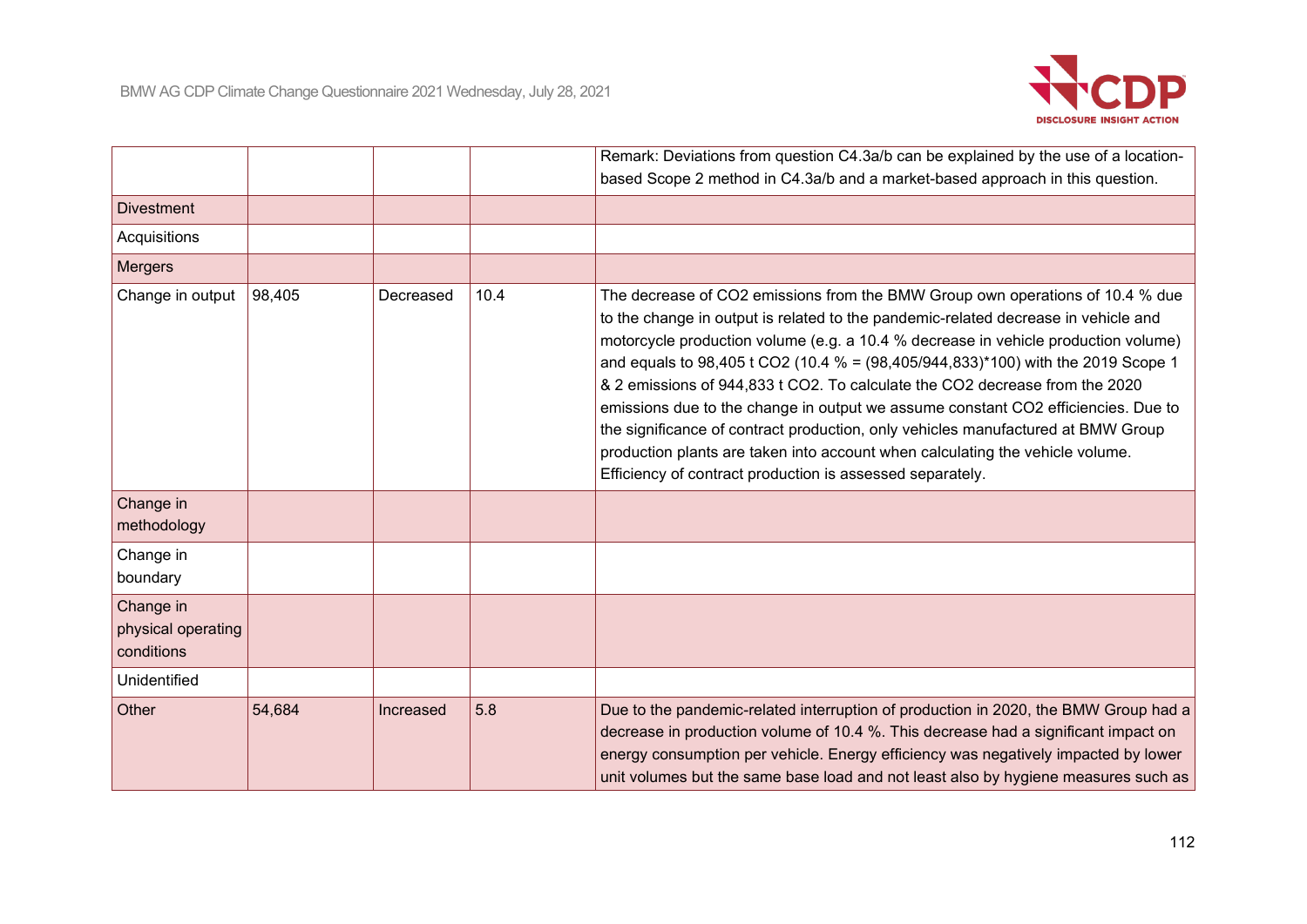

|                                               |        |           |      | Remark: Deviations from question C4.3a/b can be explained by the use of a location-                                                                                                                                                                                                                                                                                                                                                                                                                                                                                                                                                                                                                                                                       |
|-----------------------------------------------|--------|-----------|------|-----------------------------------------------------------------------------------------------------------------------------------------------------------------------------------------------------------------------------------------------------------------------------------------------------------------------------------------------------------------------------------------------------------------------------------------------------------------------------------------------------------------------------------------------------------------------------------------------------------------------------------------------------------------------------------------------------------------------------------------------------------|
|                                               |        |           |      | based Scope 2 method in C4.3a/b and a market-based approach in this question.                                                                                                                                                                                                                                                                                                                                                                                                                                                                                                                                                                                                                                                                             |
| <b>Divestment</b>                             |        |           |      |                                                                                                                                                                                                                                                                                                                                                                                                                                                                                                                                                                                                                                                                                                                                                           |
| Acquisitions                                  |        |           |      |                                                                                                                                                                                                                                                                                                                                                                                                                                                                                                                                                                                                                                                                                                                                                           |
| <b>Mergers</b>                                |        |           |      |                                                                                                                                                                                                                                                                                                                                                                                                                                                                                                                                                                                                                                                                                                                                                           |
| Change in output                              | 98,405 | Decreased | 10.4 | The decrease of CO2 emissions from the BMW Group own operations of 10.4 % due<br>to the change in output is related to the pandemic-related decrease in vehicle and<br>motorcycle production volume (e.g. a 10.4 % decrease in vehicle production volume)<br>and equals to $98,405$ t CO2 (10.4 % = $(98,405/944,833)^*100$ ) with the 2019 Scope 1<br>& 2 emissions of 944,833 t CO2. To calculate the CO2 decrease from the 2020<br>emissions due to the change in output we assume constant CO2 efficiencies. Due to<br>the significance of contract production, only vehicles manufactured at BMW Group<br>production plants are taken into account when calculating the vehicle volume.<br>Efficiency of contract production is assessed separately. |
| Change in<br>methodology                      |        |           |      |                                                                                                                                                                                                                                                                                                                                                                                                                                                                                                                                                                                                                                                                                                                                                           |
| Change in<br>boundary                         |        |           |      |                                                                                                                                                                                                                                                                                                                                                                                                                                                                                                                                                                                                                                                                                                                                                           |
| Change in<br>physical operating<br>conditions |        |           |      |                                                                                                                                                                                                                                                                                                                                                                                                                                                                                                                                                                                                                                                                                                                                                           |
| <b>Unidentified</b>                           |        |           |      |                                                                                                                                                                                                                                                                                                                                                                                                                                                                                                                                                                                                                                                                                                                                                           |
| Other                                         | 54,684 | Increased | 5.8  | Due to the pandemic-related interruption of production in 2020, the BMW Group had a<br>decrease in production volume of 10.4 %. This decrease had a significant impact on<br>energy consumption per vehicle. Energy efficiency was negatively impacted by lower<br>unit volumes but the same base load and not least also by hygiene measures such as                                                                                                                                                                                                                                                                                                                                                                                                     |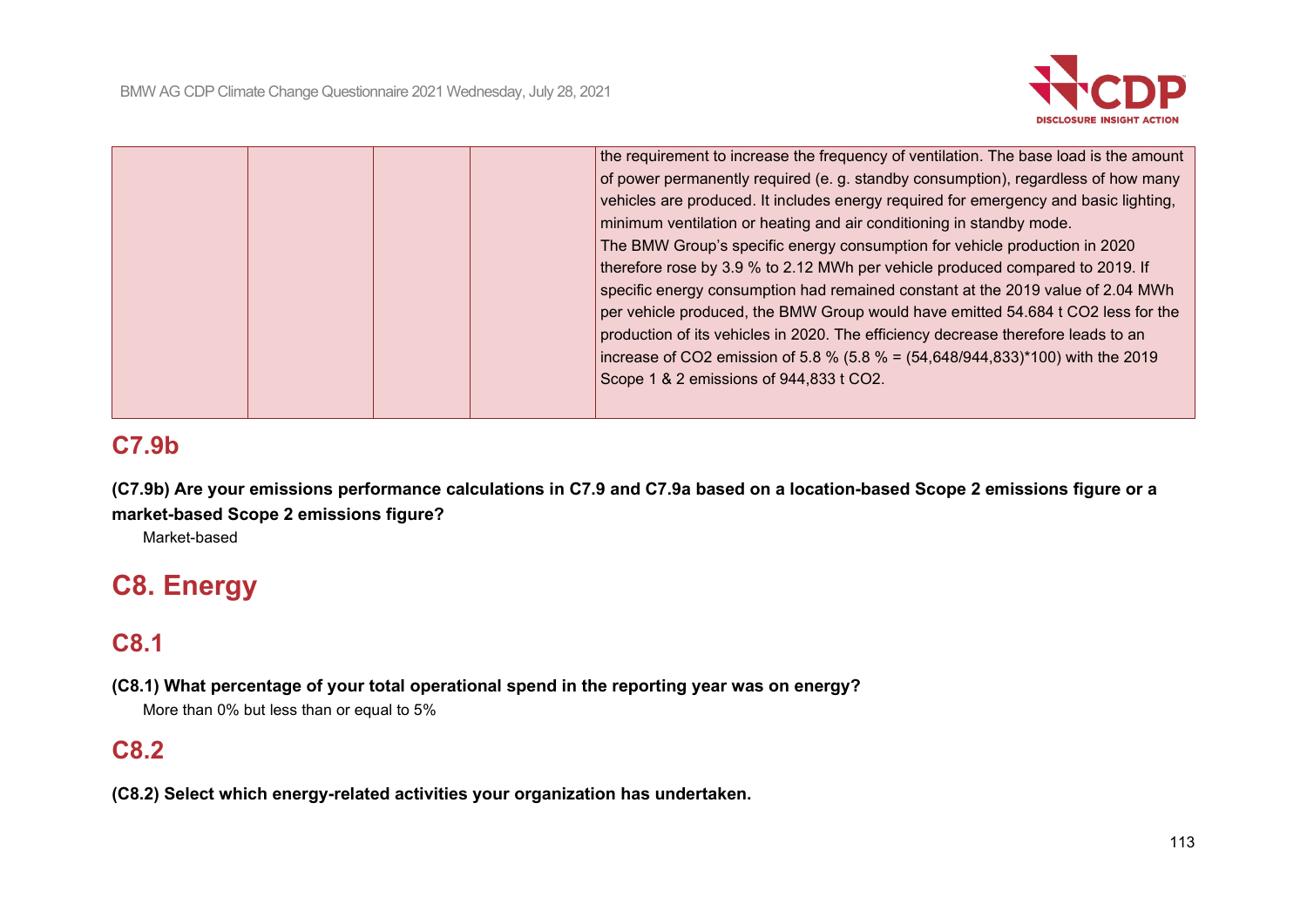

|  |  | the requirement to increase the frequency of ventilation. The base load is the amount |
|--|--|---------------------------------------------------------------------------------------|
|  |  | of power permanently required (e. g. standby consumption), regardless of how many     |
|  |  | vehicles are produced. It includes energy required for emergency and basic lighting,  |
|  |  | minimum ventilation or heating and air conditioning in standby mode.                  |
|  |  | The BMW Group's specific energy consumption for vehicle production in 2020            |
|  |  | therefore rose by 3.9 % to 2.12 MWh per vehicle produced compared to 2019. If         |
|  |  | specific energy consumption had remained constant at the 2019 value of 2.04 MWh       |
|  |  | per vehicle produced, the BMW Group would have emitted 54.684 t CO2 less for the      |
|  |  | production of its vehicles in 2020. The efficiency decrease therefore leads to an     |
|  |  | increase of CO2 emission of 5.8 % (5.8 % = $(54,648/944,833)$ *100) with the 2019     |
|  |  | Scope 1 & 2 emissions of 944,833 t CO2.                                               |
|  |  |                                                                                       |
|  |  |                                                                                       |

# **C7.9b**

**(C7.9b) Are your emissions performance calculations in C7.9 and C7.9a based on a location-based Scope 2 emissions figure or a market-based Scope 2 emissions figure?**

Market-based

# **C8. Energy**

# **C8.1**

**(C8.1) What percentage of your total operational spend in the reporting year was on energy?**

More than 0% but less than or equal to 5%

# **C8.2**

**(C8.2) Select which energy-related activities your organization has undertaken.**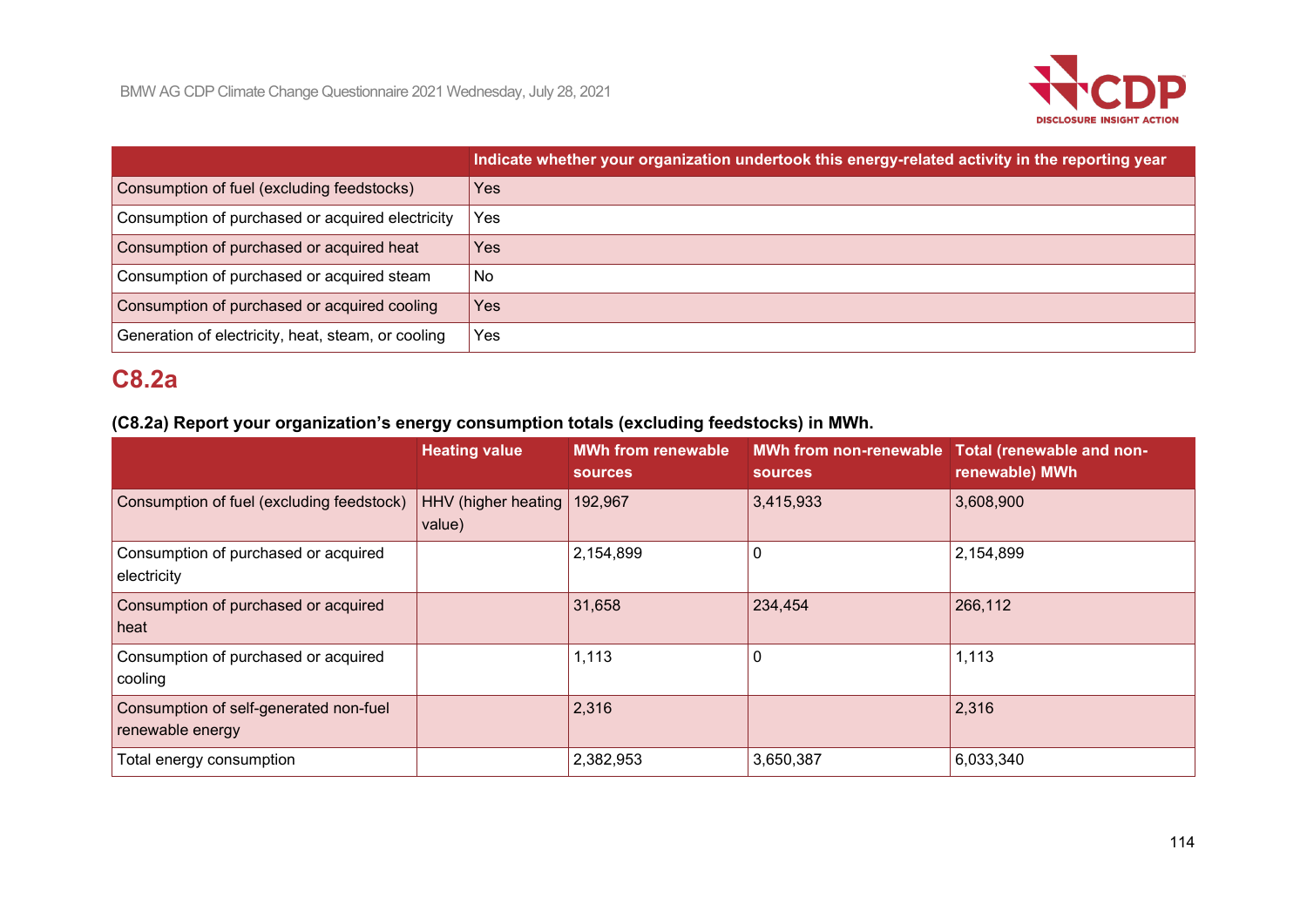

|                                                    | Indicate whether your organization undertook this energy-related activity in the reporting year |
|----------------------------------------------------|-------------------------------------------------------------------------------------------------|
| Consumption of fuel (excluding feedstocks)         | Yes                                                                                             |
| Consumption of purchased or acquired electricity   | Yes                                                                                             |
| Consumption of purchased or acquired heat          | <b>Yes</b>                                                                                      |
| Consumption of purchased or acquired steam         | No                                                                                              |
| Consumption of purchased or acquired cooling       | Yes                                                                                             |
| Generation of electricity, heat, steam, or cooling | Yes                                                                                             |

# **C8.2a**

# **(C8.2a) Report your organization's energy consumption totals (excluding feedstocks) in MWh.**

|                                                            | <b>Heating value</b>                  | <b>MWh from renewable</b><br><b>sources</b> | <b>sources</b> | MWh from non-renewable Total (renewable and non-<br>renewable) MWh |
|------------------------------------------------------------|---------------------------------------|---------------------------------------------|----------------|--------------------------------------------------------------------|
| Consumption of fuel (excluding feedstock)                  | HHV (higher heating 192,967<br>value) |                                             | 3,415,933      | 3,608,900                                                          |
| Consumption of purchased or acquired<br>electricity        |                                       | 2,154,899                                   | 0              | 2,154,899                                                          |
| Consumption of purchased or acquired<br>heat               |                                       | 31,658                                      | 234,454        | 266,112                                                            |
| Consumption of purchased or acquired<br>cooling            |                                       | 1,113                                       | 0              | 1,113                                                              |
| Consumption of self-generated non-fuel<br>renewable energy |                                       | 2,316                                       |                | 2,316                                                              |
| Total energy consumption                                   |                                       | 2,382,953                                   | 3,650,387      | 6,033,340                                                          |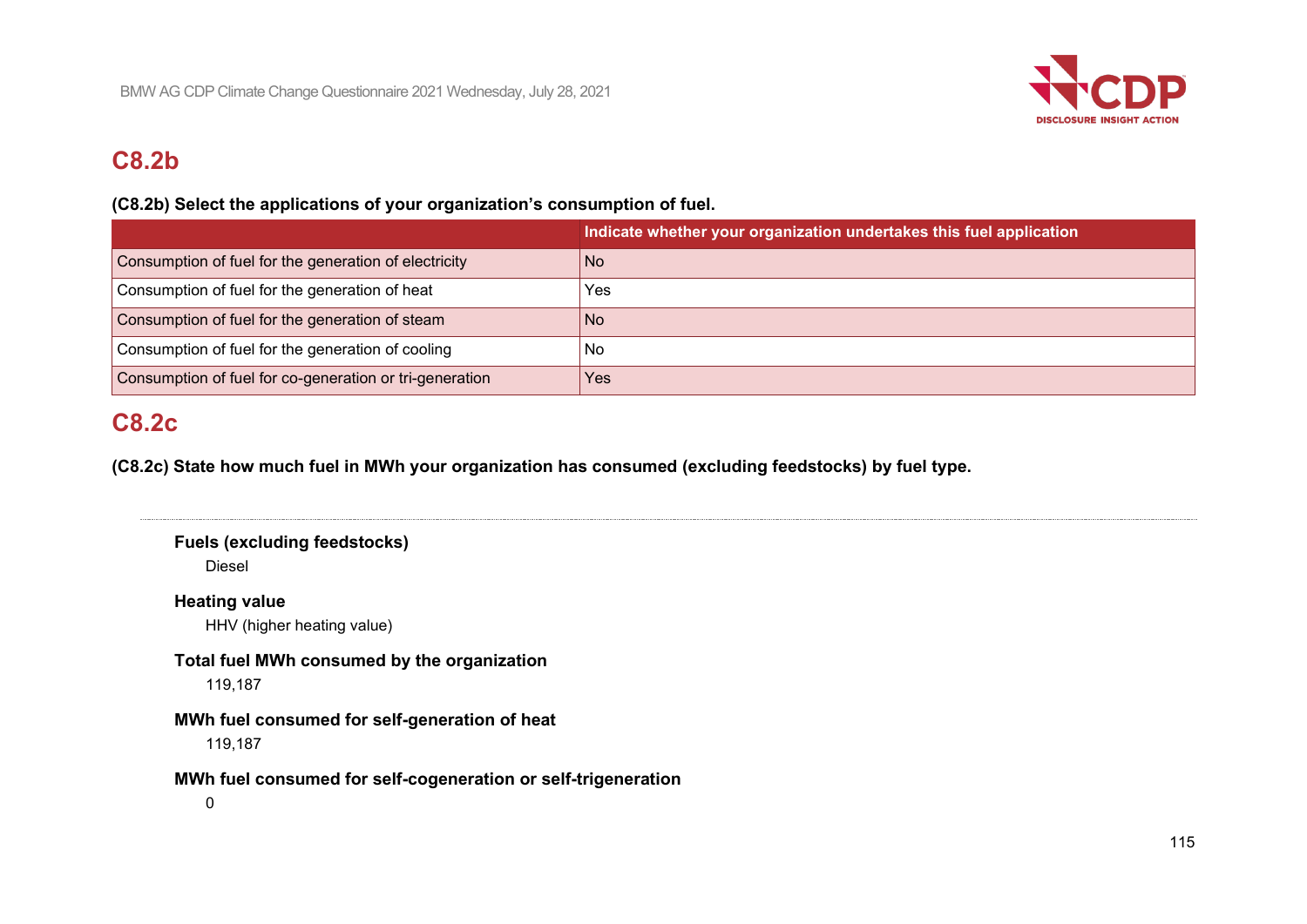

# **C8.2b**

## **(C8.2b) Select the applications of your organization's consumption of fuel.**

|                                                         | Indicate whether your organization undertakes this fuel application |
|---------------------------------------------------------|---------------------------------------------------------------------|
| Consumption of fuel for the generation of electricity   | N <sub>o</sub>                                                      |
| Consumption of fuel for the generation of heat          | Yes                                                                 |
| Consumption of fuel for the generation of steam         | No.                                                                 |
| Consumption of fuel for the generation of cooling       | No                                                                  |
| Consumption of fuel for co-generation or tri-generation | <b>Yes</b>                                                          |

# **C8.2c**

**(C8.2c) State how much fuel in MWh your organization has consumed (excluding feedstocks) by fuel type.**

```
Fuels (excluding feedstocks)
   Diesel
Heating value
   HHV (higher heating value)
Total fuel MWh consumed by the organization
   119,187
MWh fuel consumed for self-generation of heat
   119,187
MWh fuel consumed for self-cogeneration or self-trigeneration
   0
```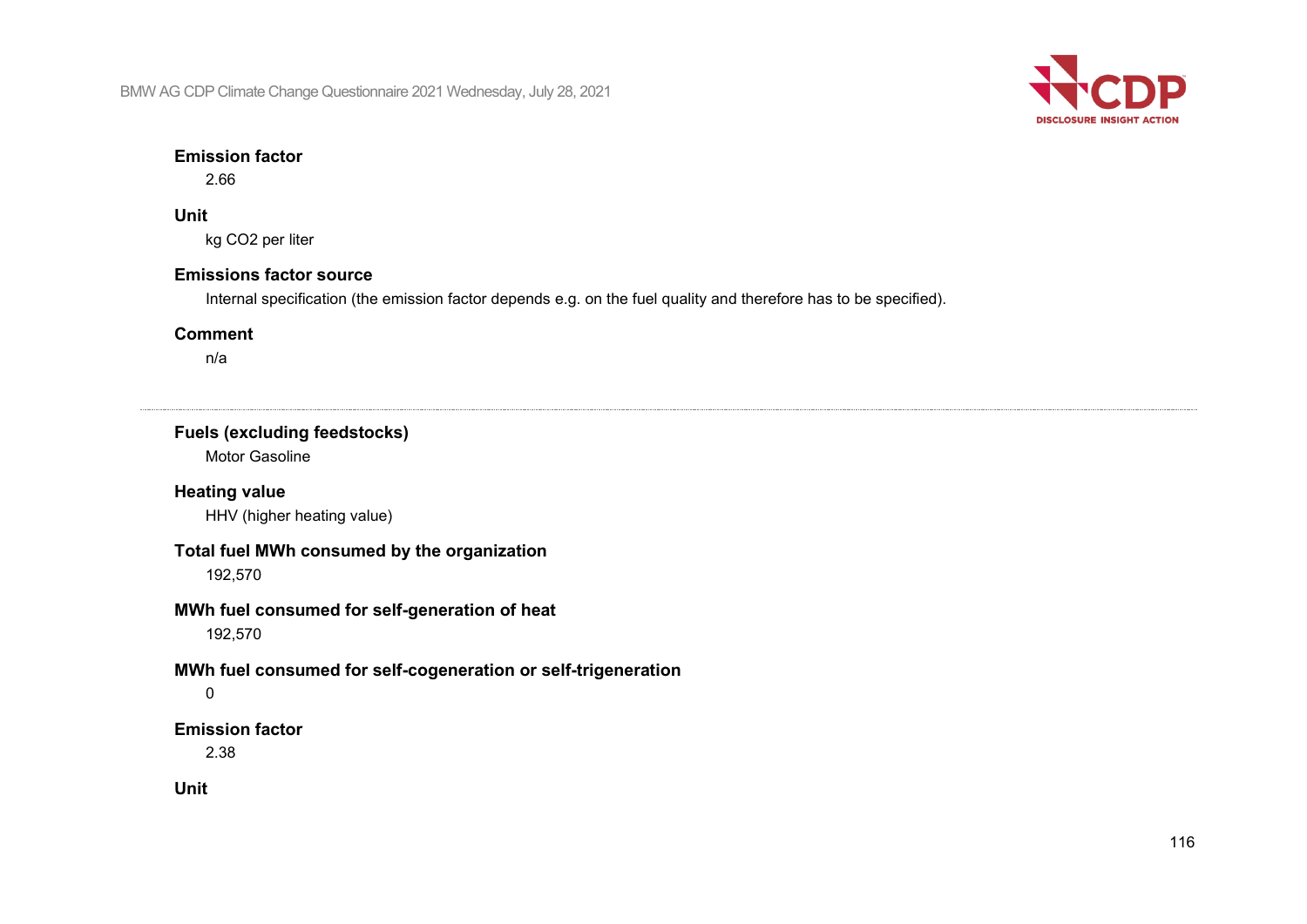

#### **Emission factor**

2.66

#### **Unit**

kg CO2 per liter

## **Emissions factor source**

Internal specification (the emission factor depends e.g. on the fuel quality and therefore has to be specified).

### **Comment**

n/a

# **Fuels (excluding feedstocks)** Motor Gasoline **Heating value** HHV (higher heating value) **Total fuel MWh consumed by the organization** 192,570 **MWh fuel consumed for self-generation of heat** 192,570 **MWh fuel consumed for self-cogeneration or self-trigeneration** 0 **Emission factor** 2.38 **Unit**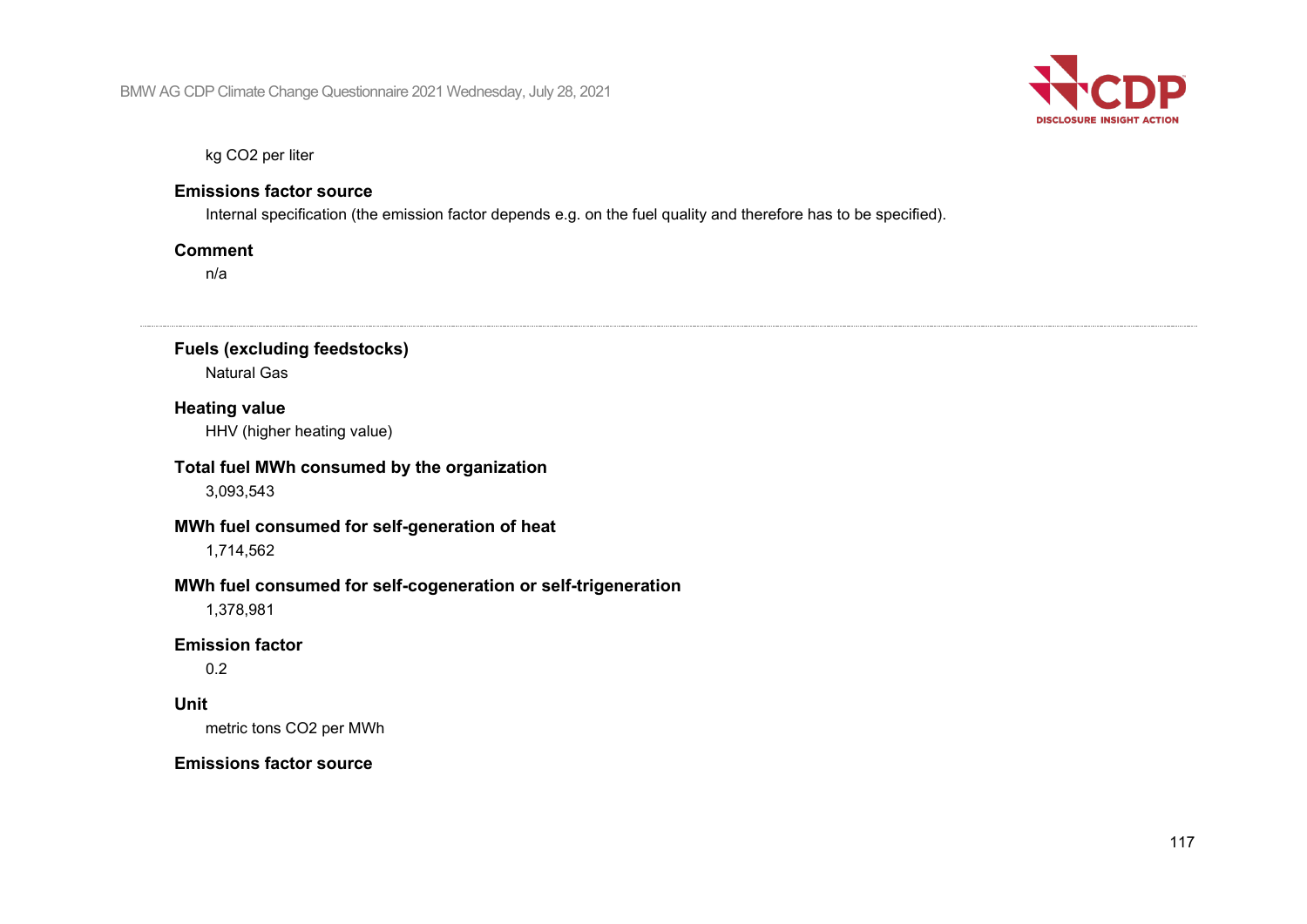

kg CO2 per liter

#### **Emissions factor source**

Internal specification (the emission factor depends e.g. on the fuel quality and therefore has to be specified).

#### **Comment**

n/a

**Fuels (excluding feedstocks)**

Natural Gas

**Heating value**

HHV (higher heating value)

#### **Total fuel MWh consumed by the organization** 3,093,543

**MWh fuel consumed for self-generation of heat** 1,714,562

#### **MWh fuel consumed for self-cogeneration or self-trigeneration**

1,378,981

#### **Emission factor**

0.2

#### **Unit**

metric tons CO2 per MWh

#### **Emissions factor source**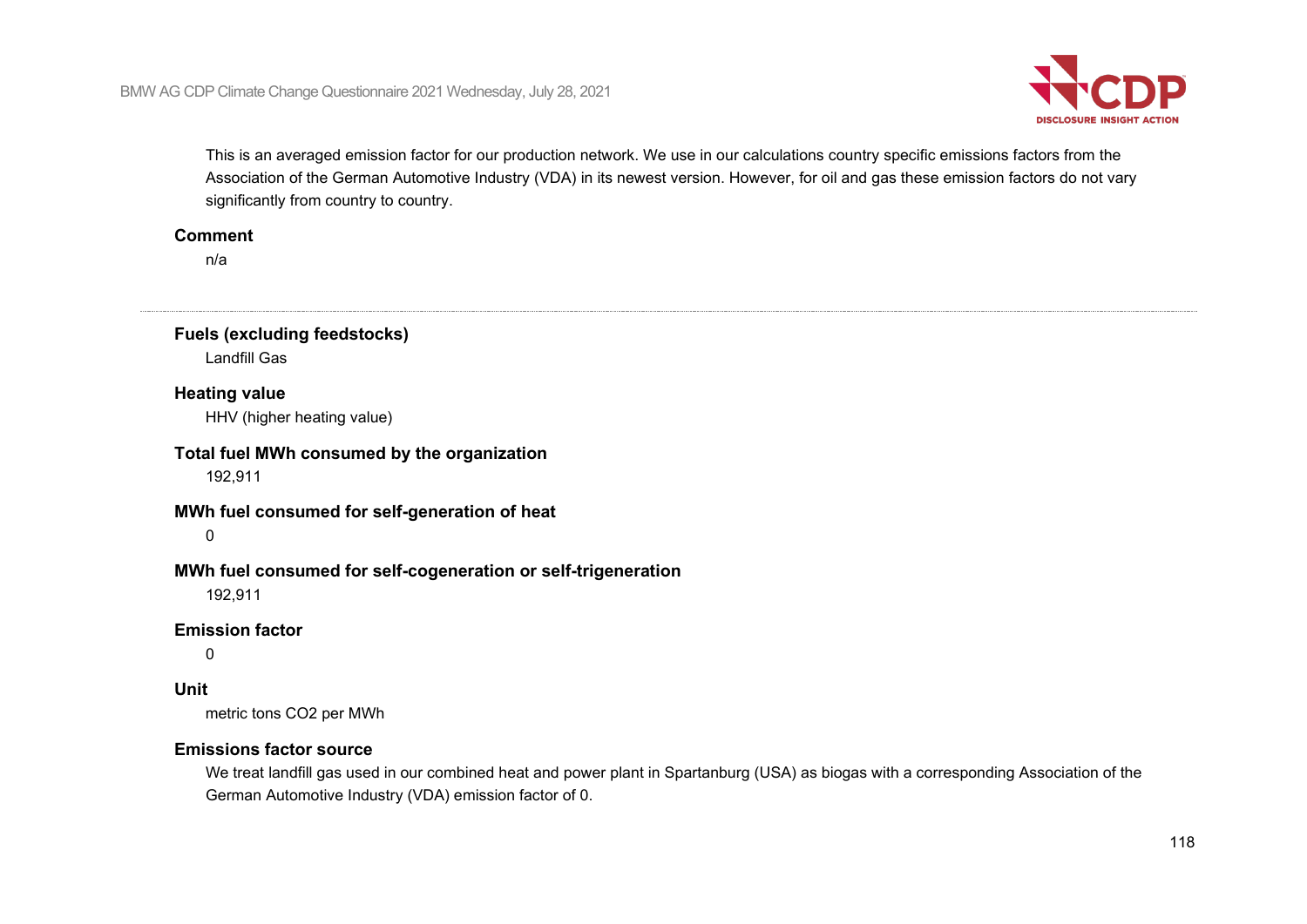

This is an averaged emission factor for our production network. We use in our calculations country specific emissions factors from the Association of the German Automotive Industry (VDA) in its newest version. However, for oil and gas these emission factors do not vary significantly from country to country.

#### **Comment**

n/a

**Fuels (excluding feedstocks)** Landfill Gas

#### **Heating value**

HHV (higher heating value)

**Total fuel MWh consumed by the organization**

192,911

#### **MWh fuel consumed for self-generation of heat**

 $\Omega$ 

#### **MWh fuel consumed for self-cogeneration or self-trigeneration**

192,911

#### **Emission factor**

 $\Omega$ 

#### **Unit**

metric tons CO2 per MWh

#### **Emissions factor source**

We treat landfill gas used in our combined heat and power plant in Spartanburg (USA) as biogas with a corresponding Association of the German Automotive Industry (VDA) emission factor of 0.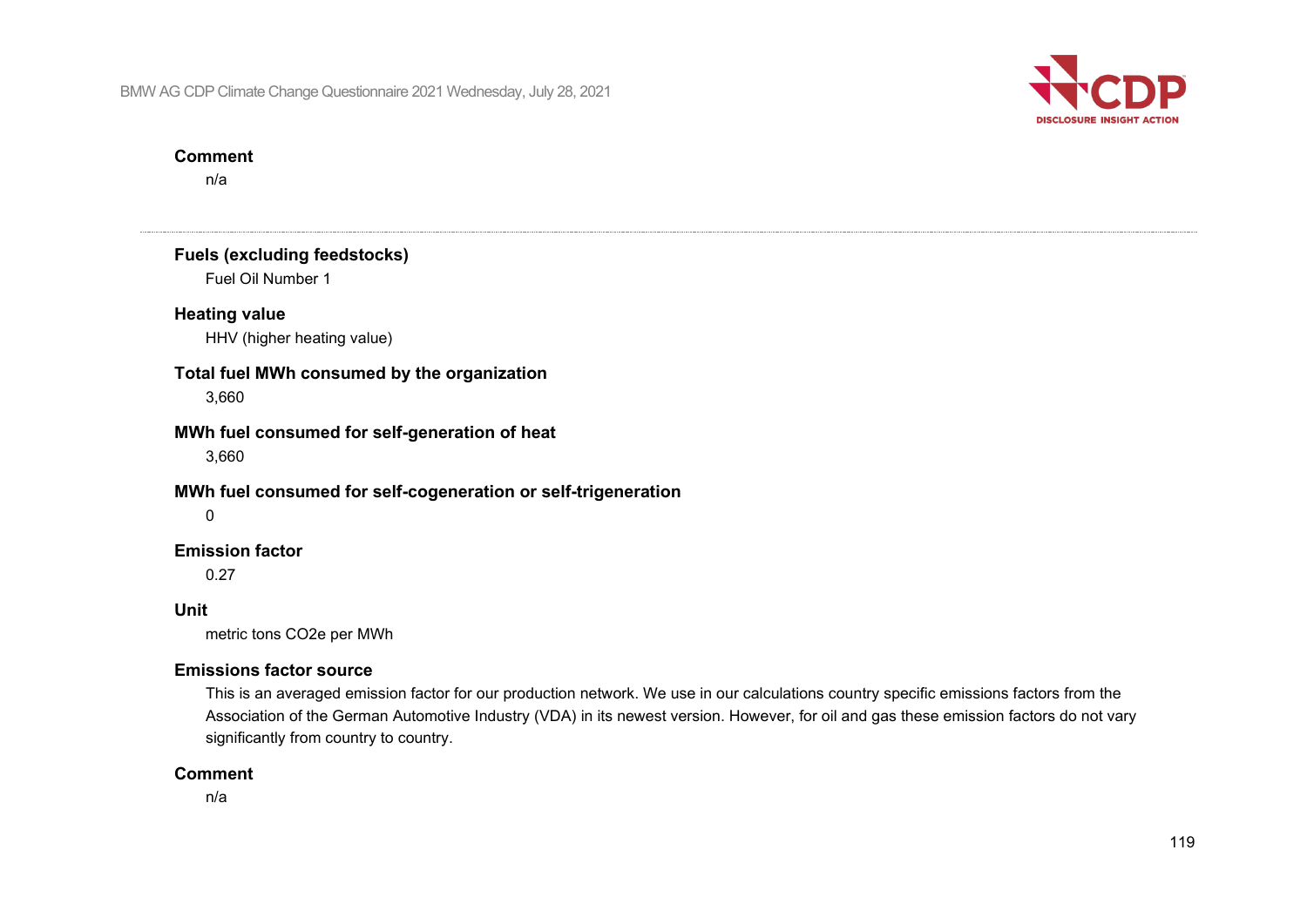

#### **Comment**

n/a

**Fuels (excluding feedstocks)** Fuel Oil Number 1 **Heating value** HHV (higher heating value) **Total fuel MWh consumed by the organization** 3,660 **MWh fuel consumed for self-generation of heat** 3,660 **MWh fuel consumed for self-cogeneration or self-trigeneration**  $\Omega$ **Emission factor** 0.27 **Unit** metric tons CO2e per MWh **Emissions factor source** This is an averaged emission factor for our production network. We use in our calculations country specific emissions factors from the Association of the German Automotive Industry (VDA) in its newest version. However, for oil and gas these emission factors do not vary significantly from country to country.

#### **Comment**

n/a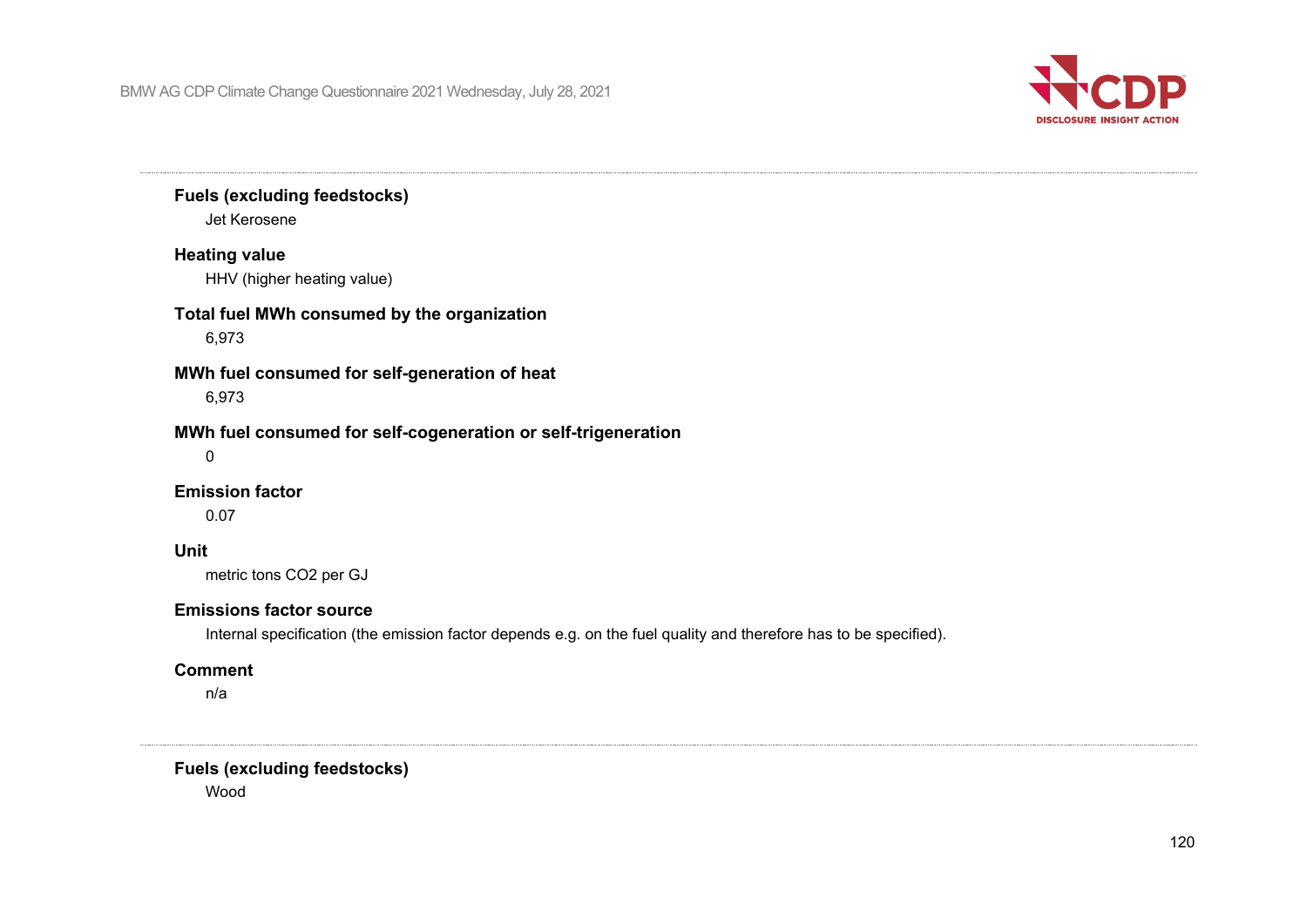

# **Fuels (excluding feedstocks)** Jet Kerosene **Heating value** HHV (higher heating value) **Total fuel MWh consumed by the organization** 6,973 **MWh fuel consumed for self-generation of heat** 6,973 **MWh fuel consumed for self-cogeneration or self-trigeneration** 0 **Emission factor** 0.07 **Unit** metric tons CO2 per GJ **Emissions factor source** Internal specification (the emission factor depends e.g. on the fuel quality and therefore has to be specified).

#### **Comment**

n/a

**Fuels (excluding feedstocks)**

Wood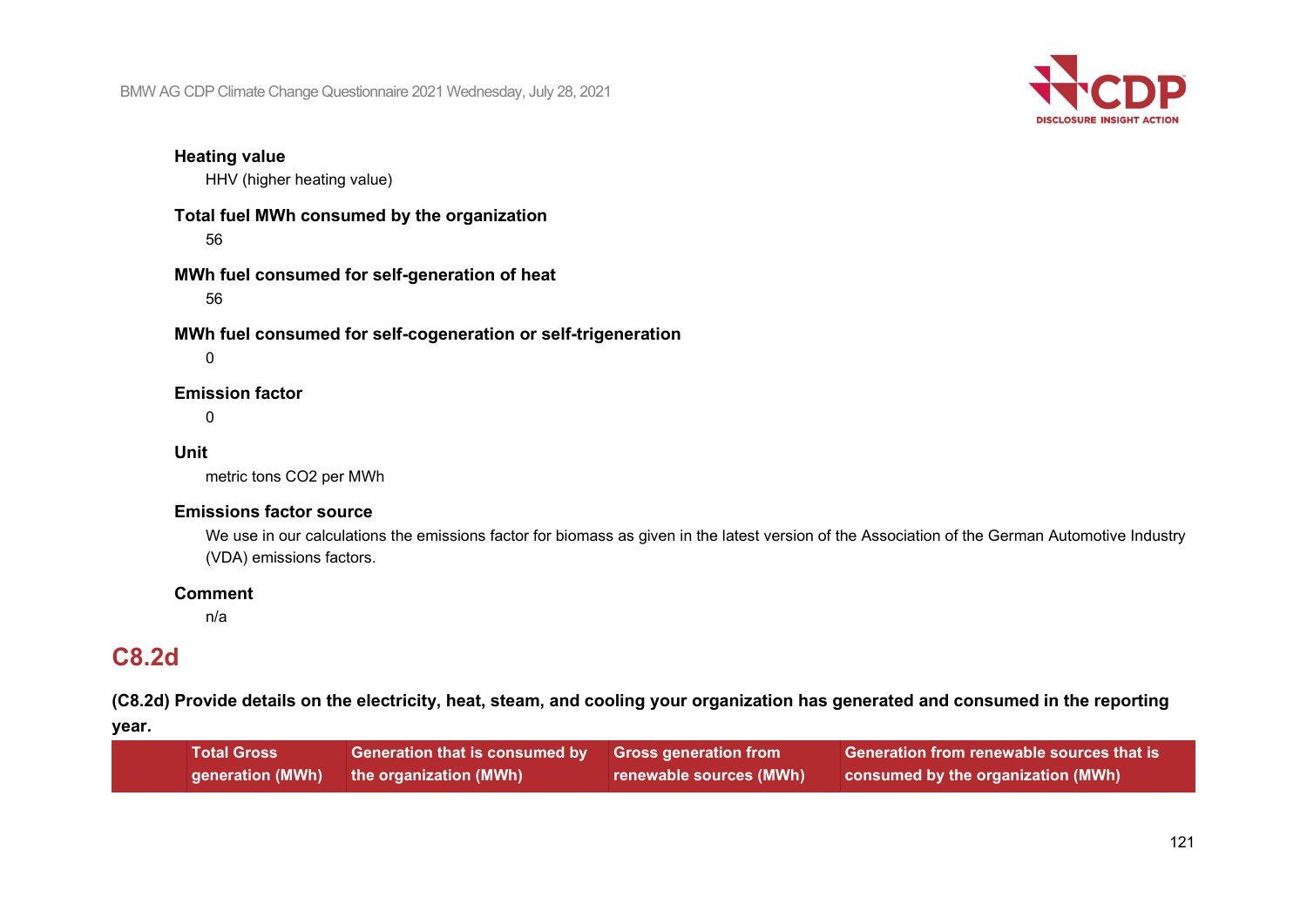

#### **Heating value**

HHV (higher heating value)

**Total fuel MWh consumed by the organization** 56

**MWh fuel consumed for self-generation of heat** 56

**MWh fuel consumed for self-cogeneration or self-trigeneration**

 $\Omega$ 

#### **Emission factor**

0

#### **Unit**

metric tons CO2 per MWh

#### **Emissions factor source**

We use in our calculations the emissions factor for biomass as given in the latest version of the Association of the German Automotive Industry (VDA) emissions factors.

#### **Comment**

n/a

# **C8.2d**

**(C8.2d) Provide details on the electricity, heat, steam, and cooling your organization has generated and consumed in the reporting** 

**year.**

| <b>Total Gross</b> | Generation that is consumed by Gross generation from |                         | <b>Generation from renewable sources that is</b> |
|--------------------|------------------------------------------------------|-------------------------|--------------------------------------------------|
|                    | generation (MWh) the organizati <u>on (MWh)</u>      | renewable sources (MWh) | consumed by the organization (MWh)               |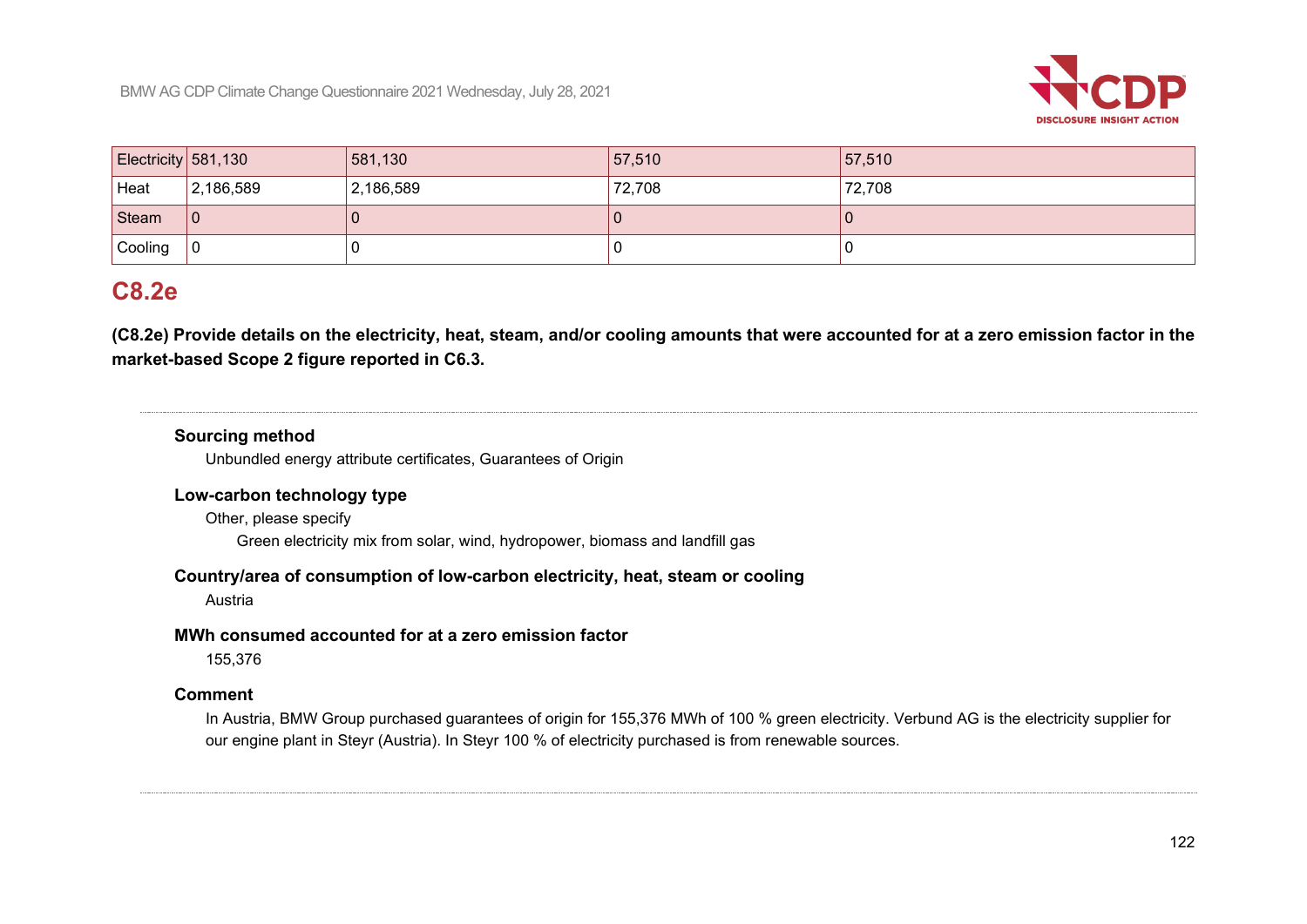

| Electricity $581,130$ |           | 581,130   | 57,510 | 57,510 |
|-----------------------|-----------|-----------|--------|--------|
| Heat                  | 2,186,589 | 2,186,589 | 72,708 | 72,708 |
| Steam                 | l 0       |           |        |        |
| Cooling               |           |           |        |        |

# **C8.2e**

**(C8.2e) Provide details on the electricity, heat, steam, and/or cooling amounts that were accounted for at a zero emission factor in the market-based Scope 2 figure reported in C6.3.**

### **Sourcing method**

Unbundled energy attribute certificates, Guarantees of Origin

#### **Low-carbon technology type**

Other, please specify

Green electricity mix from solar, wind, hydropower, biomass and landfill gas

#### **Country/area of consumption of low-carbon electricity, heat, steam or cooling**

Austria

#### **MWh consumed accounted for at a zero emission factor**

155,376

#### **Comment**

In Austria, BMW Group purchased guarantees of origin for 155,376 MWh of 100 % green electricity. Verbund AG is the electricity supplier for our engine plant in Steyr (Austria). In Steyr 100 % of electricity purchased is from renewable sources.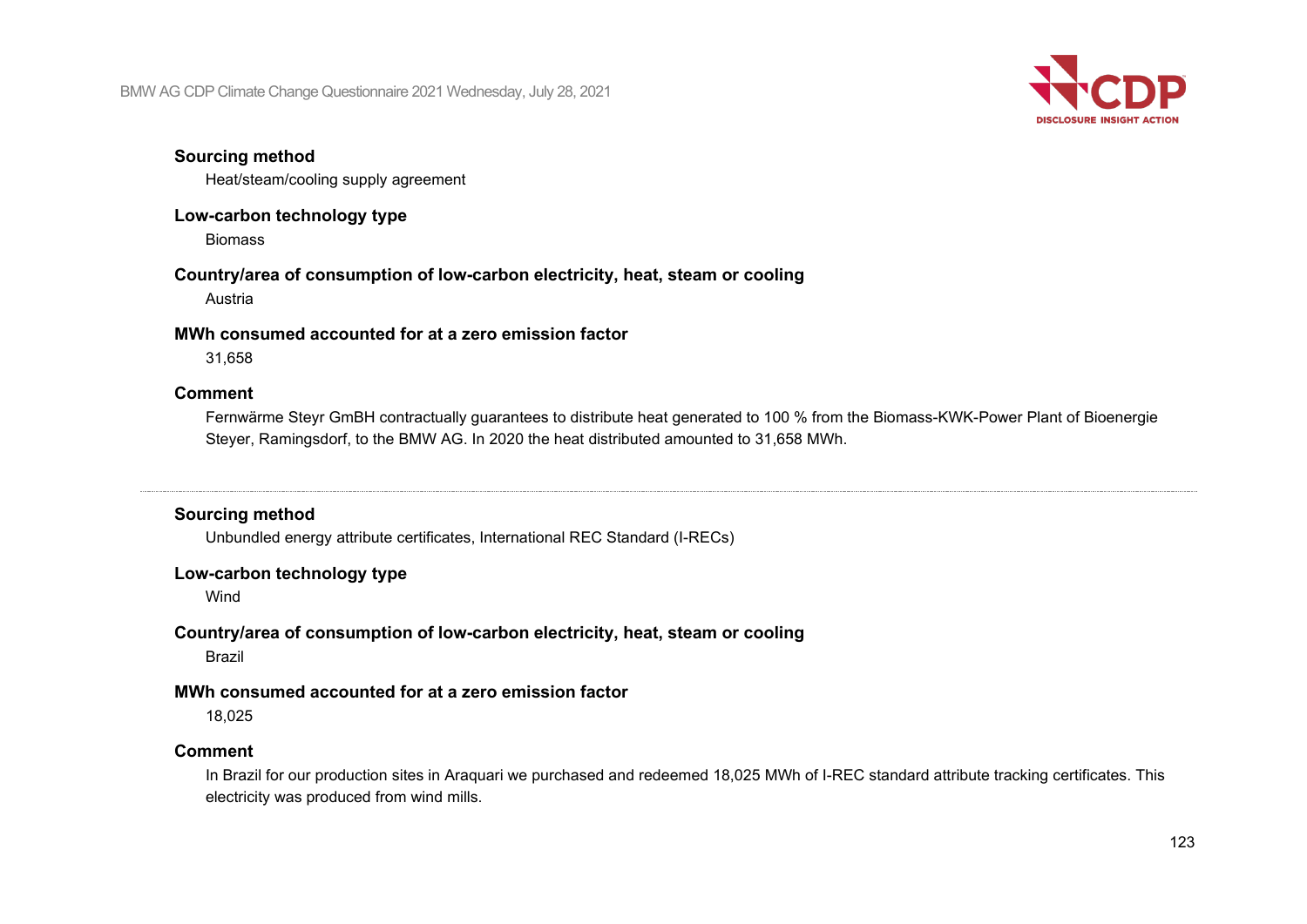

#### **Sourcing method**

Heat/steam/cooling supply agreement

### **Low-carbon technology type**

Biomass

# **Country/area of consumption of low-carbon electricity, heat, steam or cooling**

Austria

#### **MWh consumed accounted for at a zero emission factor**

31,658

#### **Comment**

Fernwärme Steyr GmBH contractually guarantees to distribute heat generated to 100 % from the Biomass-KWK-Power Plant of Bioenergie Steyer, Ramingsdorf, to the BMW AG. In 2020 the heat distributed amounted to 31,658 MWh.

### **Sourcing method**

Unbundled energy attribute certificates, International REC Standard (I-RECs)

### **Low-carbon technology type**

Wind

## **Country/area of consumption of low-carbon electricity, heat, steam or cooling**

Brazil

### **MWh consumed accounted for at a zero emission factor**

18,025

### **Comment**

In Brazil for our production sites in Araquari we purchased and redeemed 18,025 MWh of I-REC standard attribute tracking certificates. This electricity was produced from wind mills.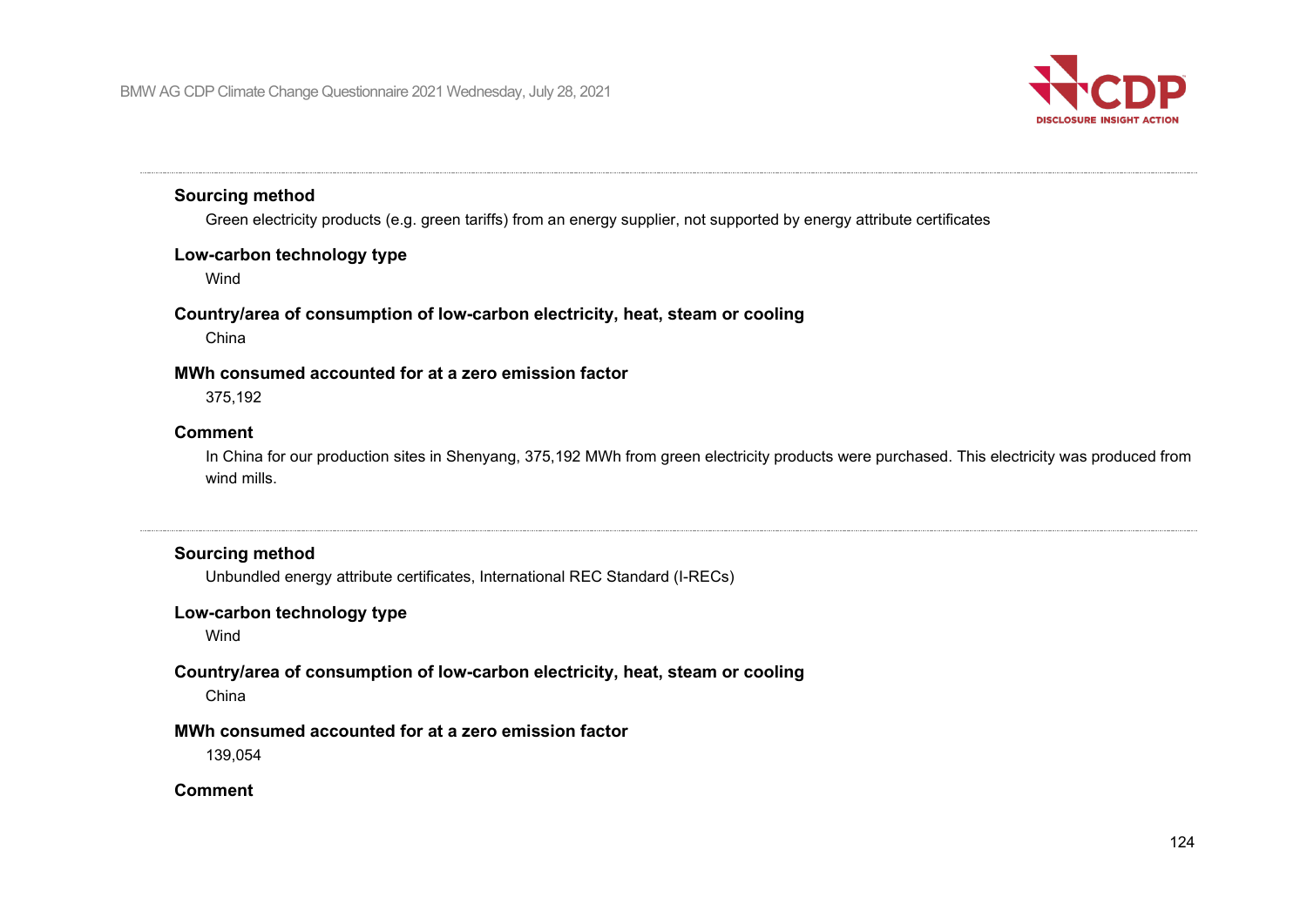

#### **Sourcing method**

Green electricity products (e.g. green tariffs) from an energy supplier, not supported by energy attribute certificates

#### **Low-carbon technology type**

Wind

#### **Country/area of consumption of low-carbon electricity, heat, steam or cooling**

China

#### **MWh consumed accounted for at a zero emission factor**

375,192

#### **Comment**

In China for our production sites in Shenyang, 375,192 MWh from green electricity products were purchased. This electricity was produced from wind mills.

### **Sourcing method**

Unbundled energy attribute certificates, International REC Standard (I-RECs)

#### **Low-carbon technology type**

Wind

### **Country/area of consumption of low-carbon electricity, heat, steam or cooling**

China

#### **MWh consumed accounted for at a zero emission factor**

139,054

#### **Comment**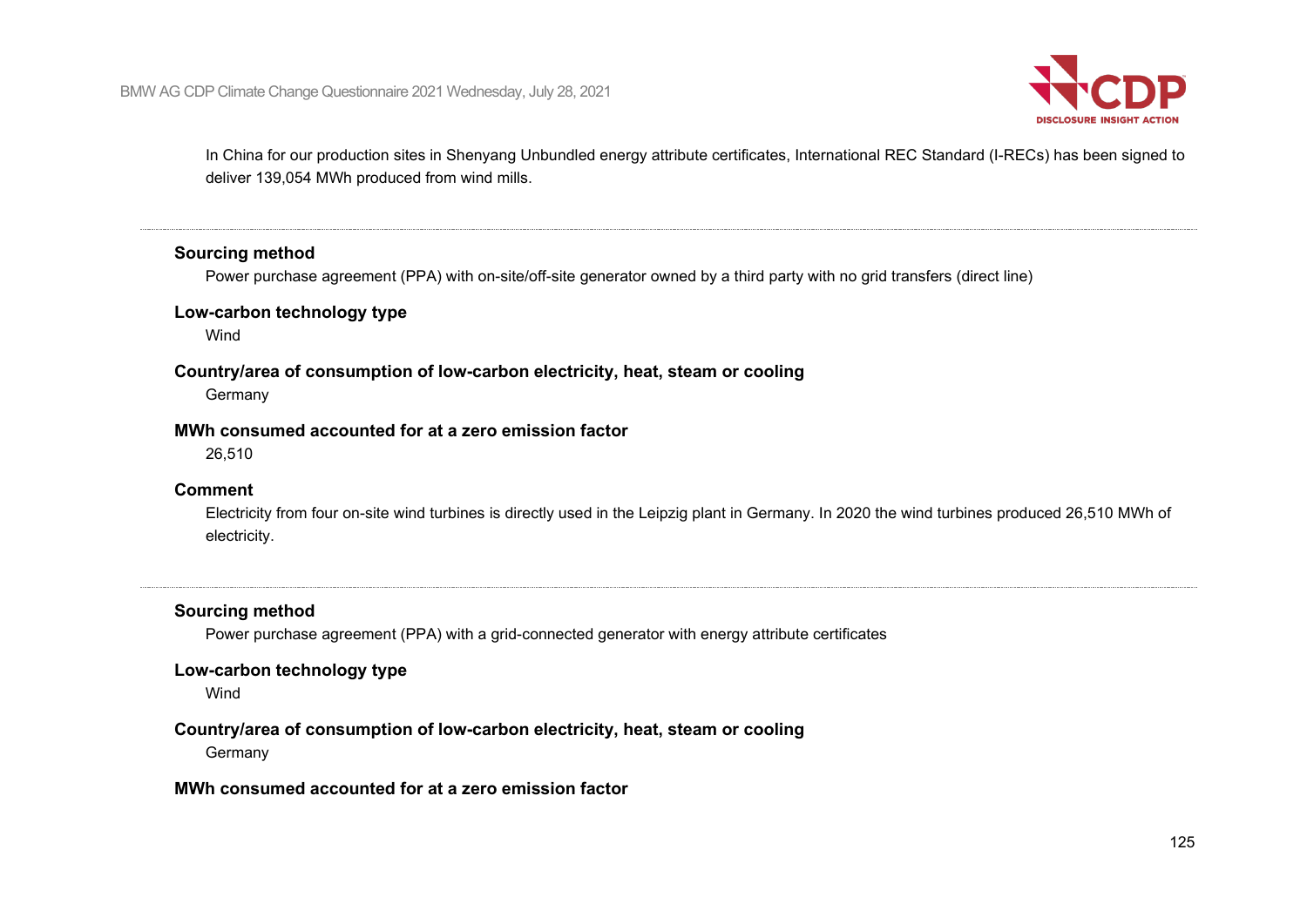

In China for our production sites in Shenyang Unbundled energy attribute certificates, International REC Standard (I-RECs) has been signed to deliver 139,054 MWh produced from wind mills.

#### **Sourcing method**

Power purchase agreement (PPA) with on-site/off-site generator owned by a third party with no grid transfers (direct line)

#### **Low-carbon technology type**

Wind

#### **Country/area of consumption of low-carbon electricity, heat, steam or cooling**

**Germany** 

#### **MWh consumed accounted for at a zero emission factor**

26,510

#### **Comment**

Electricity from four on-site wind turbines is directly used in the Leipzig plant in Germany. In 2020 the wind turbines produced 26,510 MWh of electricity.

#### **Sourcing method**

Power purchase agreement (PPA) with a grid-connected generator with energy attribute certificates

#### **Low-carbon technology type**

Wind

### **Country/area of consumption of low-carbon electricity, heat, steam or cooling**

Germany

#### **MWh consumed accounted for at a zero emission factor**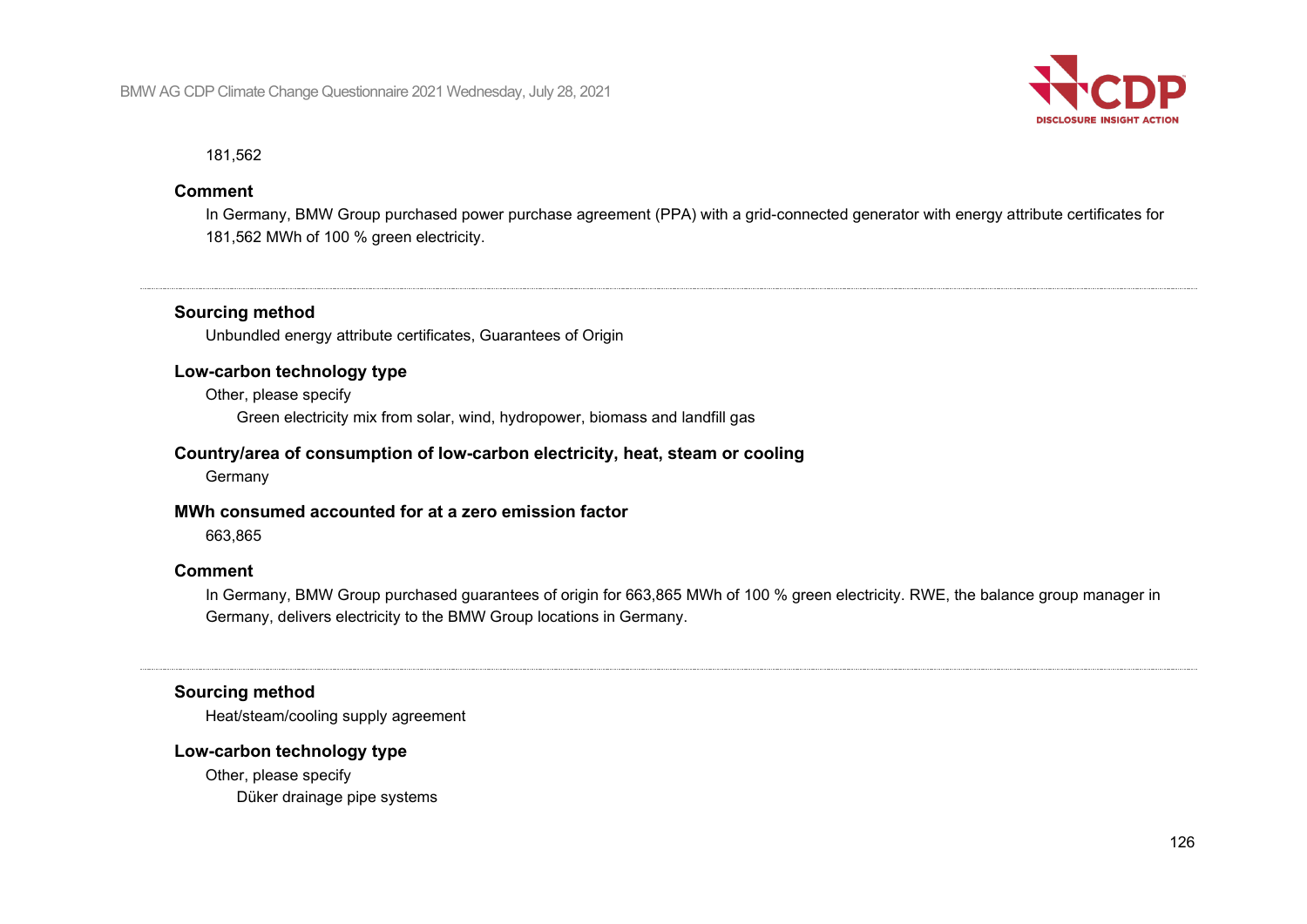

181,562

#### **Comment**

In Germany, BMW Group purchased power purchase agreement (PPA) with a grid-connected generator with energy attribute certificates for 181,562 MWh of 100 % green electricity.

#### **Sourcing method**

Unbundled energy attribute certificates, Guarantees of Origin

#### **Low-carbon technology type**

Other, please specify Green electricity mix from solar, wind, hydropower, biomass and landfill gas

#### **Country/area of consumption of low-carbon electricity, heat, steam or cooling**

Germany

#### **MWh consumed accounted for at a zero emission factor**

663,865

#### **Comment**

In Germany, BMW Group purchased guarantees of origin for 663,865 MWh of 100 % green electricity. RWE, the balance group manager in Germany, delivers electricity to the BMW Group locations in Germany.

#### **Sourcing method**

Heat/steam/cooling supply agreement

#### **Low-carbon technology type**

Other, please specify Düker drainage pipe systems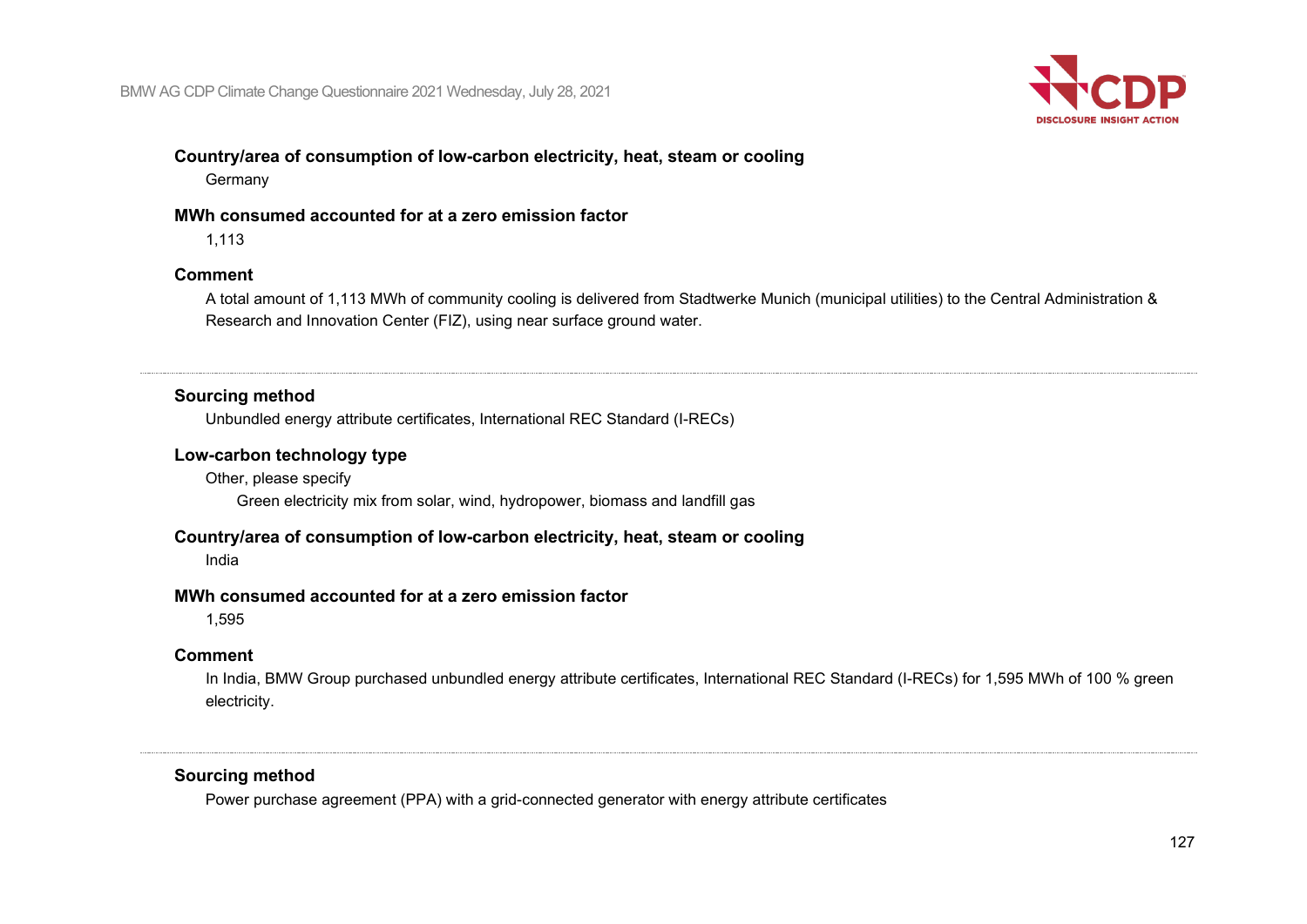

# **Country/area of consumption of low-carbon electricity, heat, steam or cooling**

Germany

#### **MWh consumed accounted for at a zero emission factor**

1,113

#### **Comment**

A total amount of 1,113 MWh of community cooling is delivered from Stadtwerke Munich (municipal utilities) to the Central Administration & Research and Innovation Center (FIZ), using near surface ground water.

#### **Sourcing method**

Unbundled energy attribute certificates, International REC Standard (I-RECs)

#### **Low-carbon technology type**

Other, please specify Green electricity mix from solar, wind, hydropower, biomass and landfill gas

### **Country/area of consumption of low-carbon electricity, heat, steam or cooling**

India

#### **MWh consumed accounted for at a zero emission factor**

1,595

### **Comment**

In India, BMW Group purchased unbundled energy attribute certificates, International REC Standard (I-RECs) for 1,595 MWh of 100 % green electricity.

## **Sourcing method**

Power purchase agreement (PPA) with a grid-connected generator with energy attribute certificates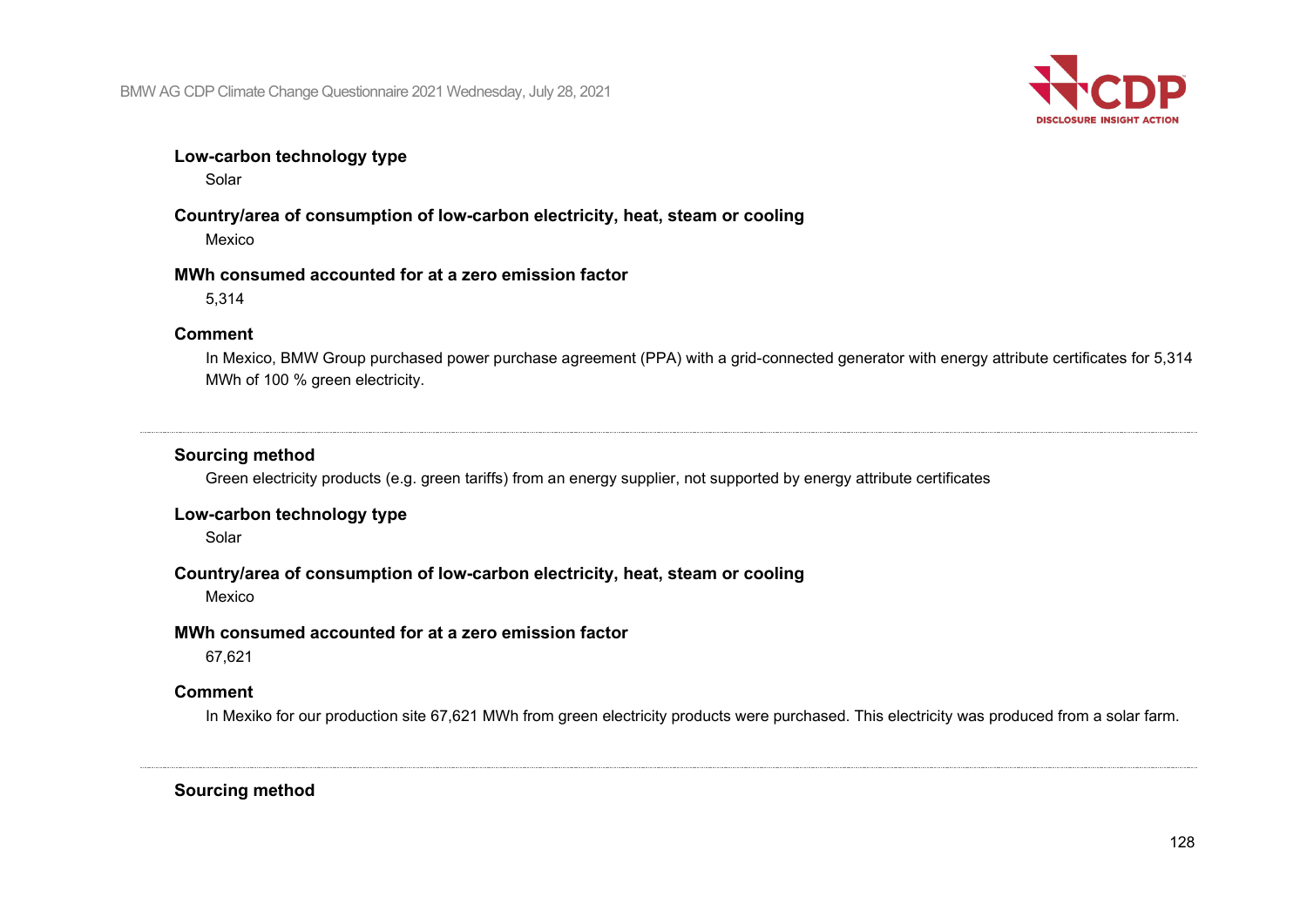

#### **Low-carbon technology type**

Solar

#### **Country/area of consumption of low-carbon electricity, heat, steam or cooling** Mexico

#### **MWh consumed accounted for at a zero emission factor**

5,314

#### **Comment**

In Mexico, BMW Group purchased power purchase agreement (PPA) with a grid-connected generator with energy attribute certificates for 5,314 MWh of 100 % green electricity.

#### **Sourcing method**

Green electricity products (e.g. green tariffs) from an energy supplier, not supported by energy attribute certificates

### **Low-carbon technology type**

Solar

#### **Country/area of consumption of low-carbon electricity, heat, steam or cooling**

Mexico

#### **MWh consumed accounted for at a zero emission factor**

67,621

#### **Comment**

In Mexiko for our production site 67,621 MWh from green electricity products were purchased. This electricity was produced from a solar farm.

**Sourcing method**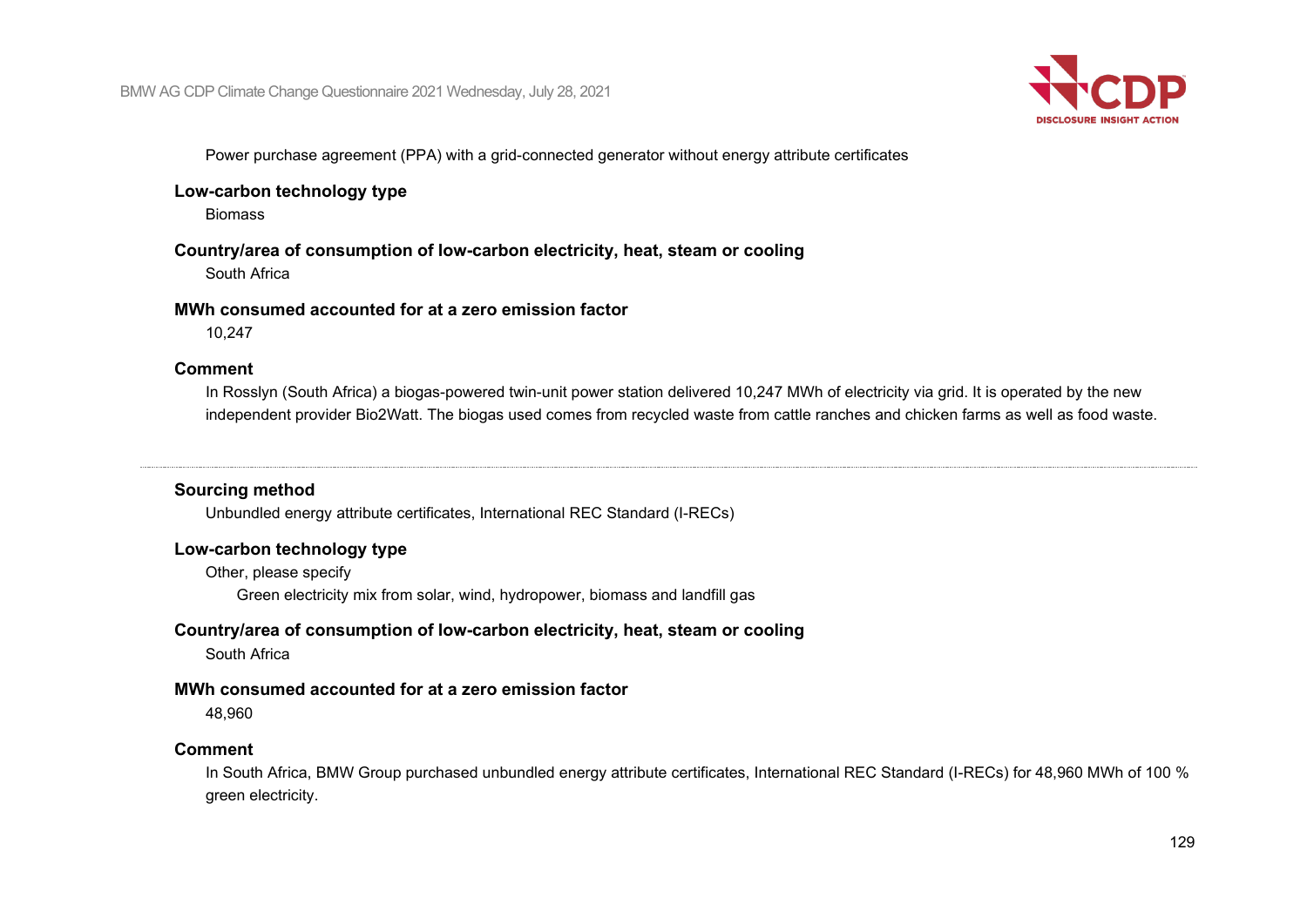

Power purchase agreement (PPA) with a grid-connected generator without energy attribute certificates

#### **Low-carbon technology type**

Biomass

#### **Country/area of consumption of low-carbon electricity, heat, steam or cooling**

South Africa

#### **MWh consumed accounted for at a zero emission factor**

10,247

#### **Comment**

In Rosslyn (South Africa) a biogas-powered twin-unit power station delivered 10,247 MWh of electricity via grid. It is operated by the new independent provider Bio2Watt. The biogas used comes from recycled waste from cattle ranches and chicken farms as well as food waste.

#### **Sourcing method**

Unbundled energy attribute certificates, International REC Standard (I-RECs)

#### **Low-carbon technology type**

Other, please specify Green electricity mix from solar, wind, hydropower, biomass and landfill gas

#### **Country/area of consumption of low-carbon electricity, heat, steam or cooling**

South Africa

#### **MWh consumed accounted for at a zero emission factor**

48,960

#### **Comment**

In South Africa, BMW Group purchased unbundled energy attribute certificates, International REC Standard (I-RECs) for 48,960 MWh of 100 % green electricity.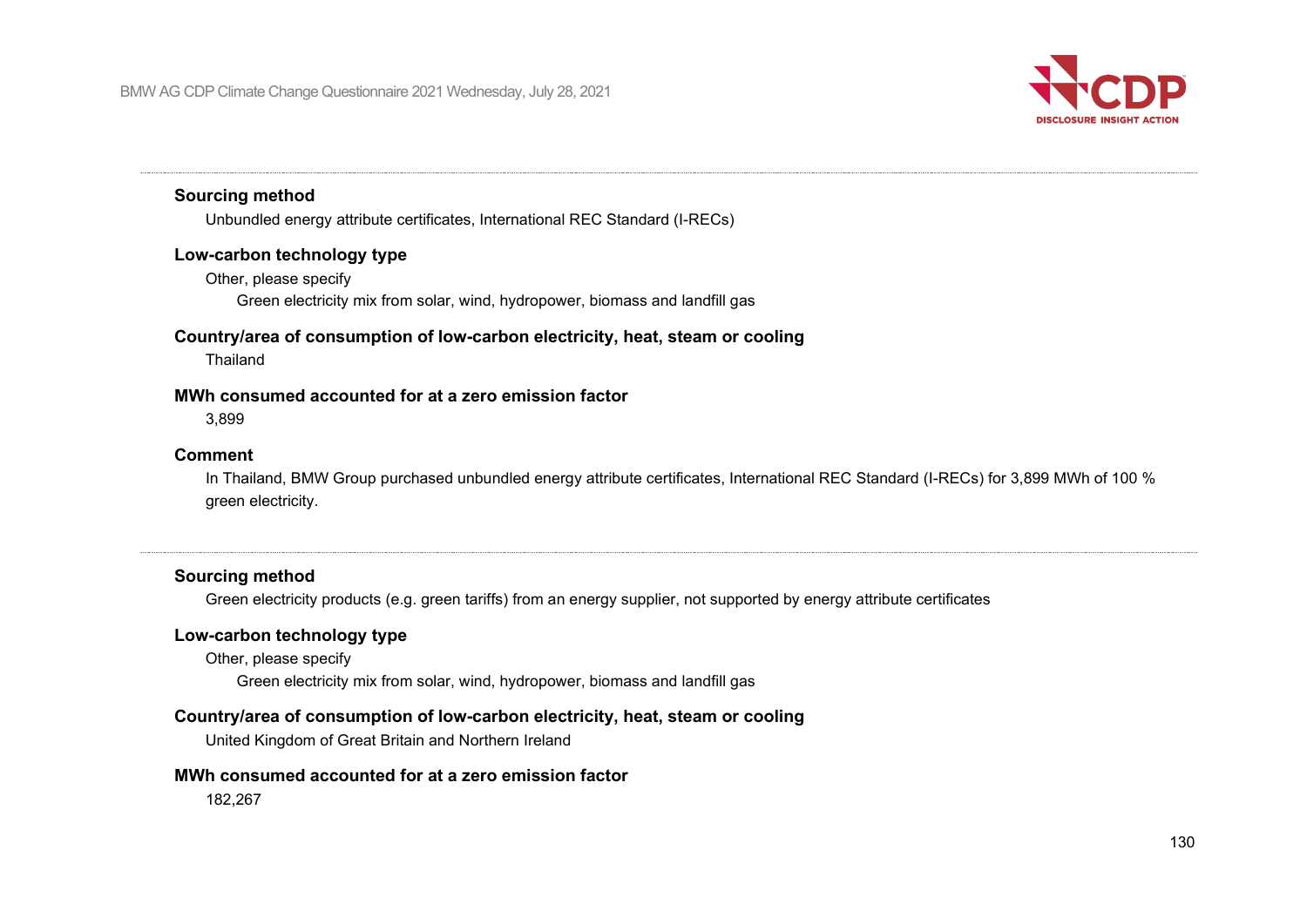

#### **Sourcing method**

Unbundled energy attribute certificates, International REC Standard (I-RECs)

#### **Low-carbon technology type**

Other, please specify

Green electricity mix from solar, wind, hydropower, biomass and landfill gas

#### **Country/area of consumption of low-carbon electricity, heat, steam or cooling**

Thailand

#### **MWh consumed accounted for at a zero emission factor**

3,899

#### **Comment**

In Thailand, BMW Group purchased unbundled energy attribute certificates, International REC Standard (I-RECs) for 3,899 MWh of 100 % green electricity.

#### **Sourcing method**

Green electricity products (e.g. green tariffs) from an energy supplier, not supported by energy attribute certificates

#### **Low-carbon technology type**

Other, please specify Green electricity mix from solar, wind, hydropower, biomass and landfill gas

#### **Country/area of consumption of low-carbon electricity, heat, steam or cooling**

United Kingdom of Great Britain and Northern Ireland

#### **MWh consumed accounted for at a zero emission factor**

182,267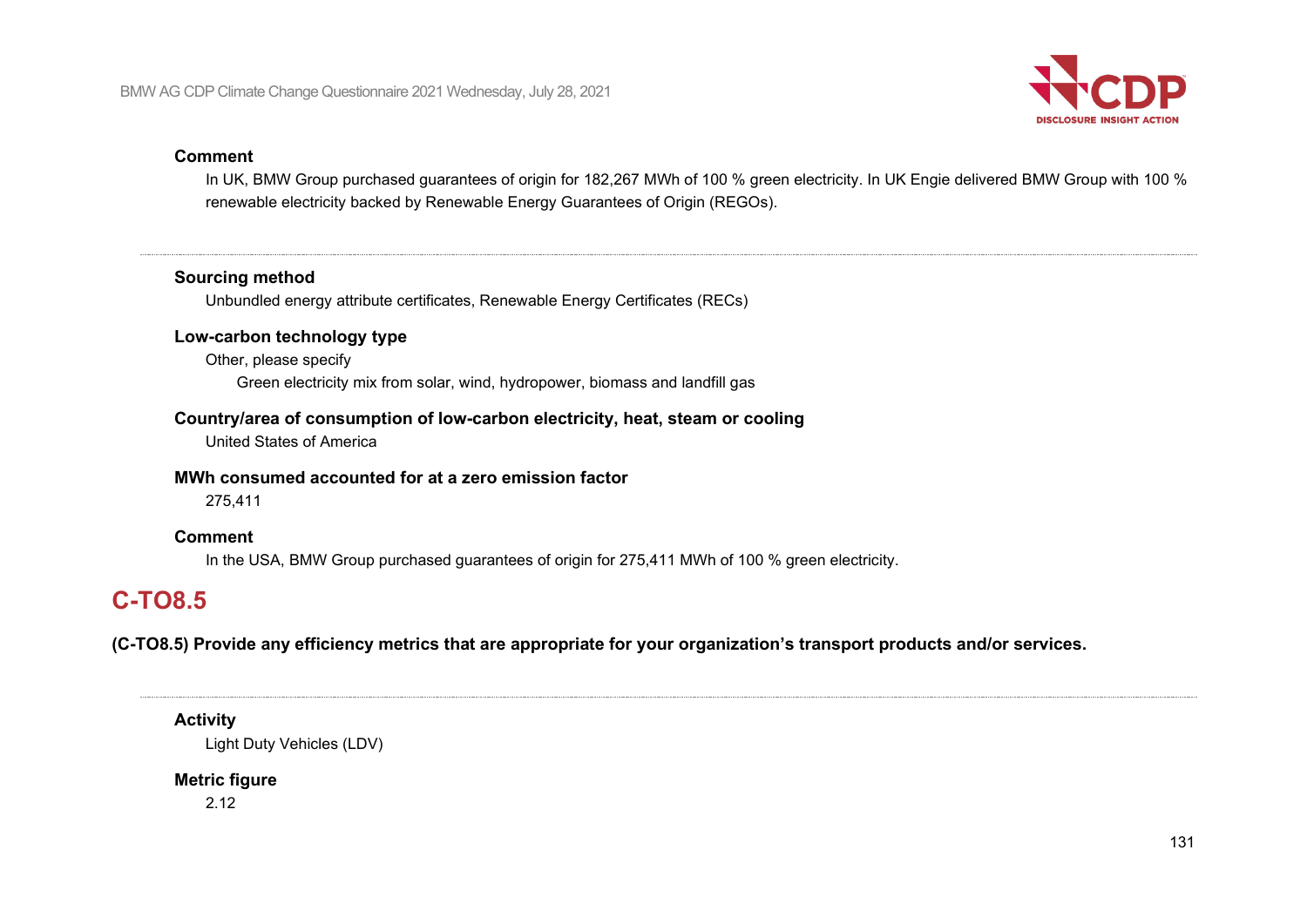

#### **Comment**

In UK, BMW Group purchased guarantees of origin for 182,267 MWh of 100 % green electricity. In UK Engie delivered BMW Group with 100 % renewable electricity backed by Renewable Energy Guarantees of Origin (REGOs).

#### **Sourcing method**

Unbundled energy attribute certificates, Renewable Energy Certificates (RECs)

#### **Low-carbon technology type**

Other, please specify Green electricity mix from solar, wind, hydropower, biomass and landfill gas

#### **Country/area of consumption of low-carbon electricity, heat, steam or cooling**

United States of America

#### **MWh consumed accounted for at a zero emission factor**

275,411

#### **Comment**

In the USA, BMW Group purchased guarantees of origin for 275,411 MWh of 100 % green electricity.

# **C-TO8.5**

**(C-TO8.5) Provide any efficiency metrics that are appropriate for your organization's transport products and/or services.**

**Activity** Light Duty Vehicles (LDV)

# **Metric figure**

2.12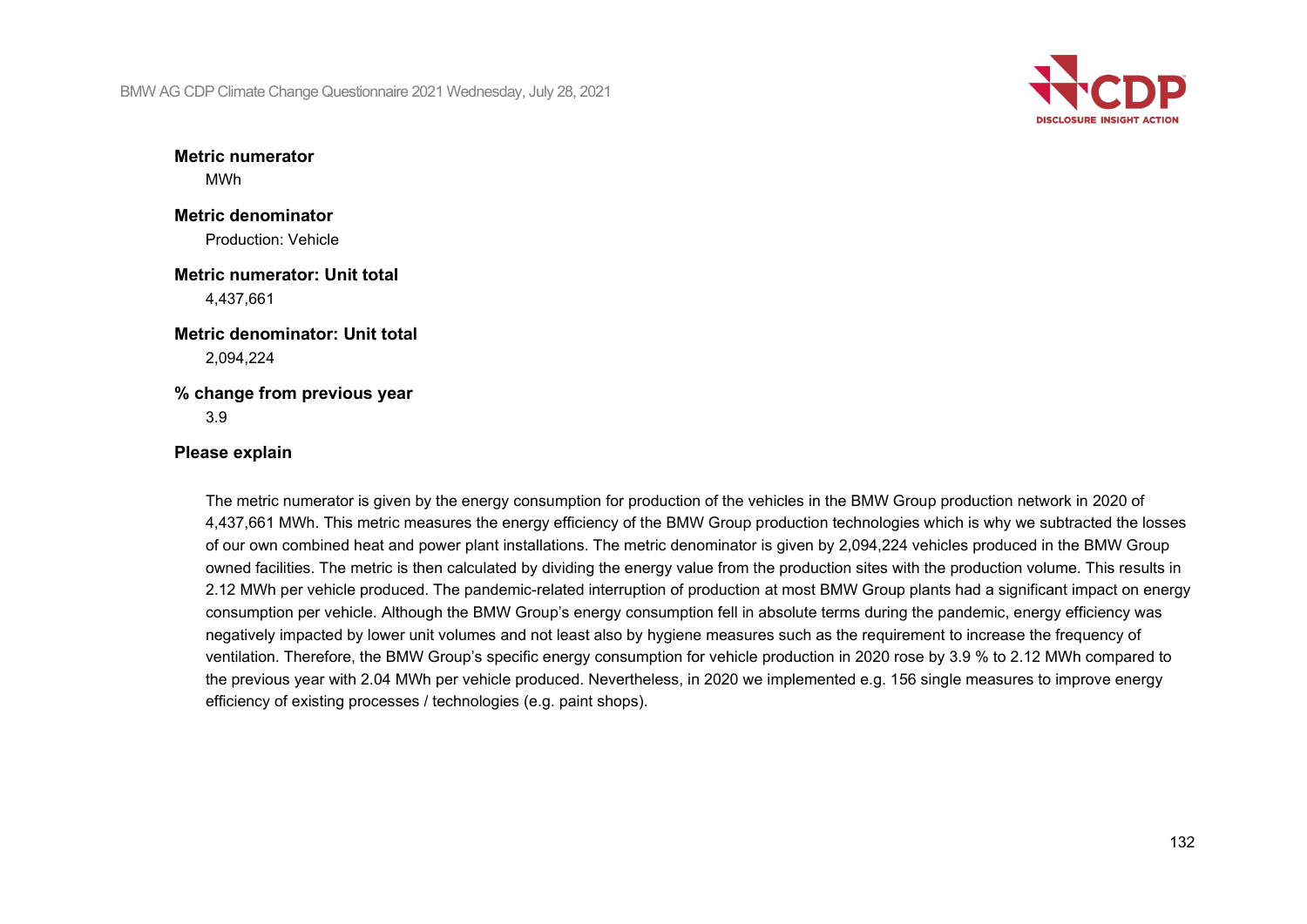

**Metric numerator** MWh

**Metric denominator** Production: Vehicle

**Metric numerator: Unit total** 4,437,661

**Metric denominator: Unit total** 2,094,224

**% change from previous year** 3.9

#### **Please explain**

The metric numerator is given by the energy consumption for production of the vehicles in the BMW Group production network in 2020 of 4,437,661 MWh. This metric measures the energy efficiency of the BMW Group production technologies which is why we subtracted the losses of our own combined heat and power plant installations. The metric denominator is given by 2,094,224 vehicles produced in the BMW Group owned facilities. The metric is then calculated by dividing the energy value from the production sites with the production volume. This results in 2.12 MWh per vehicle produced. The pandemic-related interruption of production at most BMW Group plants had a significant impact on energy consumption per vehicle. Although the BMW Group's energy consumption fell in absolute terms during the pandemic, energy efficiency was negatively impacted by lower unit volumes and not least also by hygiene measures such as the requirement to increase the frequency of ventilation. Therefore, the BMW Group's specific energy consumption for vehicle production in 2020 rose by 3.9 % to 2.12 MWh compared to the previous year with 2.04 MWh per vehicle produced. Nevertheless, in 2020 we implemented e.g. 156 single measures to improve energy efficiency of existing processes / technologies (e.g. paint shops).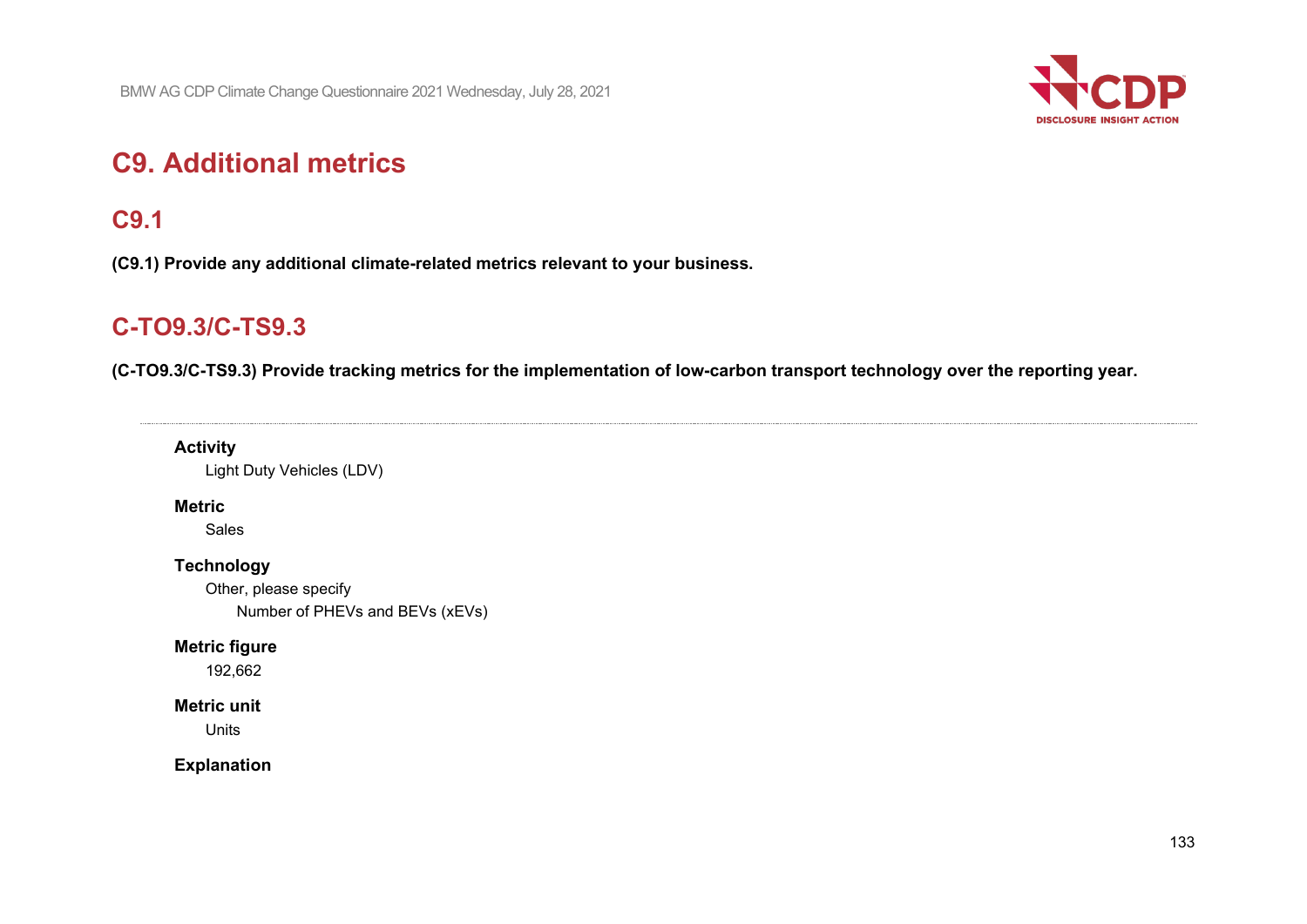

# **C9. Additional metrics**

# **C9.1**

**(C9.1) Provide any additional climate-related metrics relevant to your business.**

# **C-TO9.3/C-TS9.3**

**(C-TO9.3/C-TS9.3) Provide tracking metrics for the implementation of low-carbon transport technology over the reporting year.**

### **Activity**

Light Duty Vehicles (LDV)

### **Metric**

Sales

### **Technology**

Other, please specify Number of PHEVs and BEVs (xEVs)

#### **Metric figure**

192,662

### **Metric unit**

Units

### **Explanation**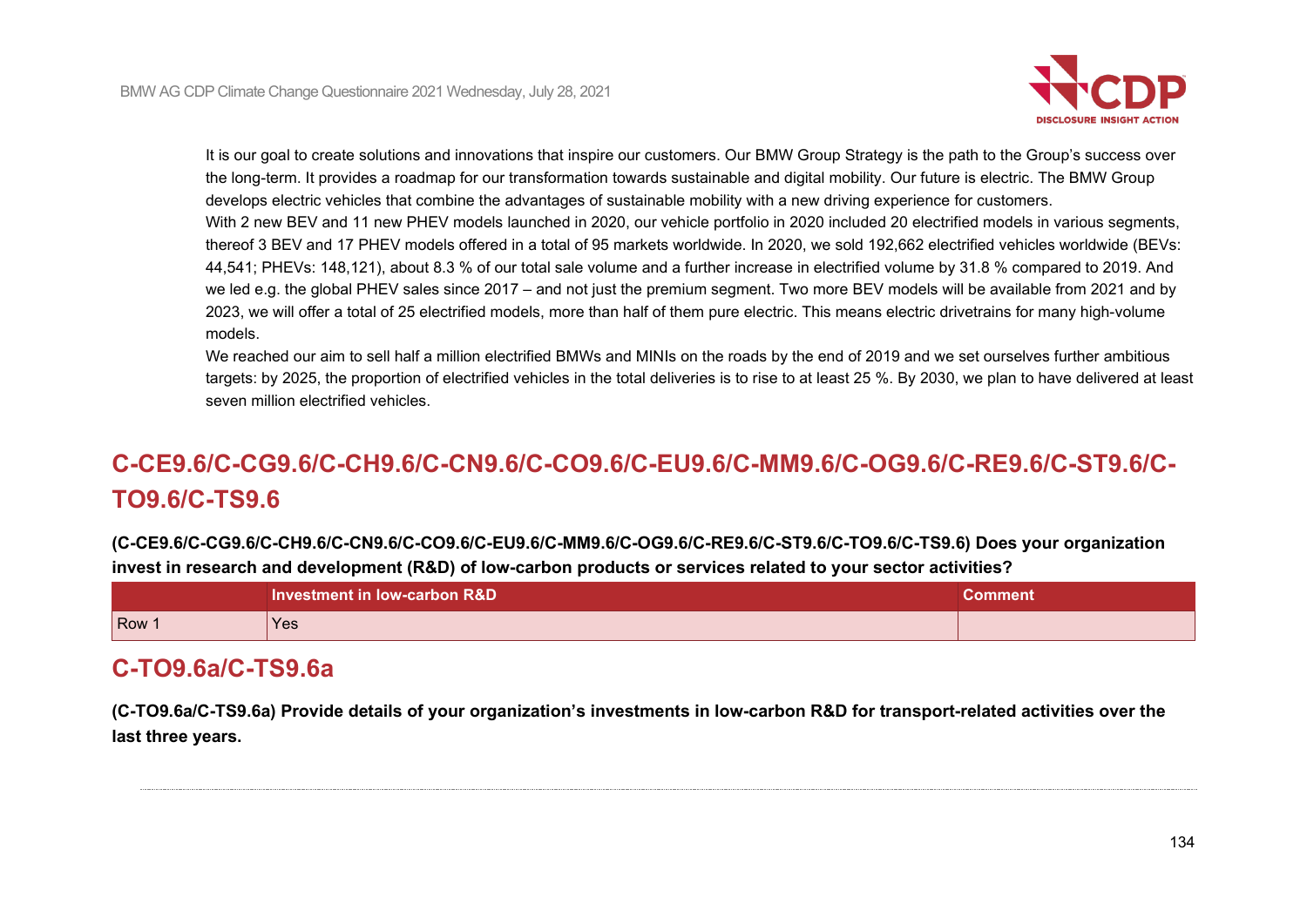

It is our goal to create solutions and innovations that inspire our customers. Our BMW Group Strategy is the path to the Group's success over the long-term. It provides a roadmap for our transformation towards sustainable and digital mobility. Our future is electric. The BMW Group develops electric vehicles that combine the advantages of sustainable mobility with a new driving experience for customers. With 2 new BEV and 11 new PHEV models launched in 2020, our vehicle portfolio in 2020 included 20 electrified models in various segments, thereof 3 BEV and 17 PHEV models offered in a total of 95 markets worldwide. In 2020, we sold 192,662 electrified vehicles worldwide (BEVs: 44,541; PHEVs: 148,121), about 8.3 % of our total sale volume and a further increase in electrified volume by 31.8 % compared to 2019. And we led e.g. the global PHEV sales since 2017 – and not just the premium segment. Two more BEV models will be available from 2021 and by 2023, we will offer a total of 25 electrified models, more than half of them pure electric. This means electric drivetrains for many high-volume models.

We reached our aim to sell half a million electrified BMWs and MINIs on the roads by the end of 2019 and we set ourselves further ambitious targets: by 2025, the proportion of electrified vehicles in the total deliveries is to rise to at least 25 %. By 2030, we plan to have delivered at least seven million electrified vehicles.

# **C-CE9.6/C-CG9.6/C-CH9.6/C-CN9.6/C-CO9.6/C-EU9.6/C-MM9.6/C-OG9.6/C-RE9.6/C-ST9.6/C-TO9.6/C-TS9.6**

**(C-CE9.6/C-CG9.6/C-CH9.6/C-CN9.6/C-CO9.6/C-EU9.6/C-MM9.6/C-OG9.6/C-RE9.6/C-ST9.6/C-TO9.6/C-TS9.6) Does your organization invest in research and development (R&D) of low-carbon products or services related to your sector activities?**

|       | Investment in low-carbon R&D | Comment∖ |
|-------|------------------------------|----------|
| Row : | Yes                          |          |

# **C-TO9.6a/C-TS9.6a**

**(C-TO9.6a/C-TS9.6a) Provide details of your organization's investments in low-carbon R&D for transport-related activities over the last three years.**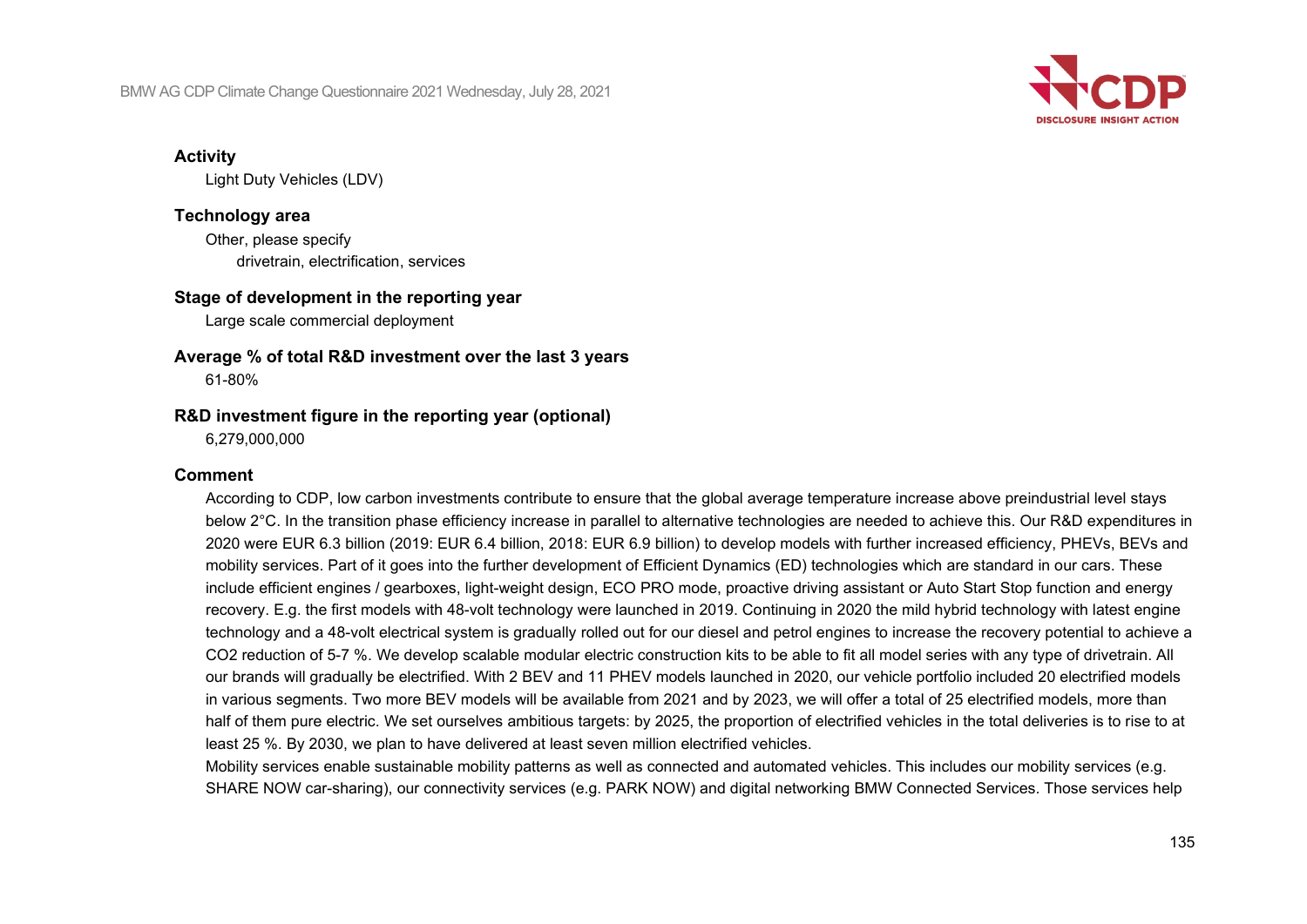

#### **Activity**

Light Duty Vehicles (LDV)

## **Technology area**

Other, please specify drivetrain, electrification, services

#### **Stage of development in the reporting year**

Large scale commercial deployment

# **Average % of total R&D investment over the last 3 years**

61-80%

#### **R&D investment figure in the reporting year (optional)**

6,279,000,000

#### **Comment**

According to CDP, low carbon investments contribute to ensure that the global average temperature increase above preindustrial level stays below 2°C. In the transition phase efficiency increase in parallel to alternative technologies are needed to achieve this. Our R&D expenditures in 2020 were EUR 6.3 billion (2019: EUR 6.4 billion, 2018: EUR 6.9 billion) to develop models with further increased efficiency, PHEVs, BEVs and mobility services. Part of it goes into the further development of Efficient Dynamics (ED) technologies which are standard in our cars. These include efficient engines / gearboxes, light-weight design, ECO PRO mode, proactive driving assistant or Auto Start Stop function and energy recovery. E.g. the first models with 48-volt technology were launched in 2019. Continuing in 2020 the mild hybrid technology with latest engine technology and a 48-volt electrical system is gradually rolled out for our diesel and petrol engines to increase the recovery potential to achieve a CO2 reduction of 5-7 %. We develop scalable modular electric construction kits to be able to fit all model series with any type of drivetrain. All our brands will gradually be electrified. With 2 BEV and 11 PHEV models launched in 2020, our vehicle portfolio included 20 electrified models in various segments. Two more BEV models will be available from 2021 and by 2023, we will offer a total of 25 electrified models, more than half of them pure electric. We set ourselves ambitious targets: by 2025, the proportion of electrified vehicles in the total deliveries is to rise to at least 25 %. By 2030, we plan to have delivered at least seven million electrified vehicles.

Mobility services enable sustainable mobility patterns as well as connected and automated vehicles. This includes our mobility services (e.g. SHARE NOW car-sharing), our connectivity services (e.g. PARK NOW) and digital networking BMW Connected Services. Those services help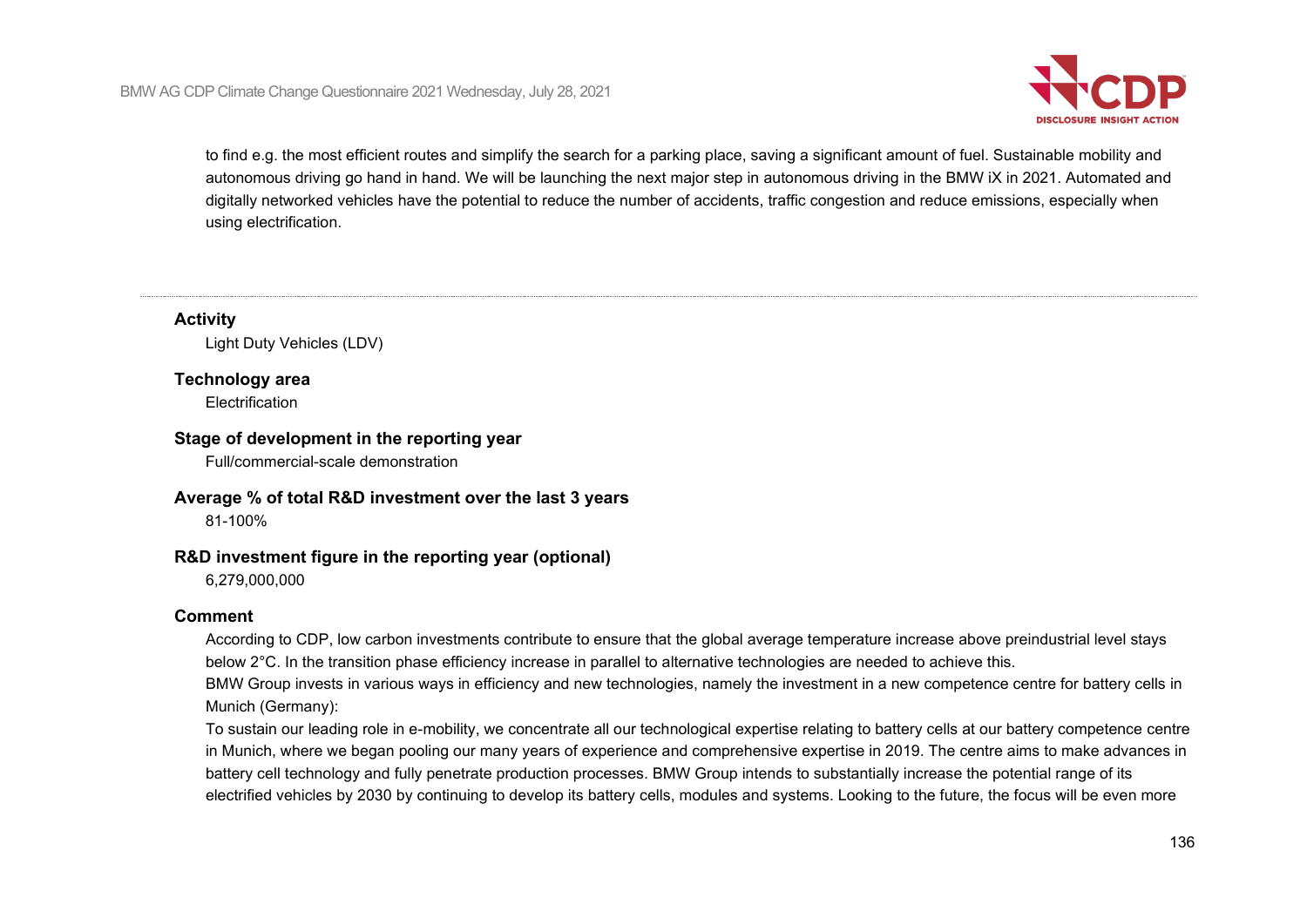

to find e.g. the most efficient routes and simplify the search for a parking place, saving a significant amount of fuel. Sustainable mobility and autonomous driving go hand in hand. We will be launching the next major step in autonomous driving in the BMW iX in 2021. Automated and digitally networked vehicles have the potential to reduce the number of accidents, traffic congestion and reduce emissions, especially when using electrification.

**Activity**

Light Duty Vehicles (LDV)

### **Technology area**

**Electrification** 

#### **Stage of development in the reporting year**

Full/commercial-scale demonstration

#### **Average % of total R&D investment over the last 3 years**

81-100%

### **R&D investment figure in the reporting year (optional)**

6,279,000,000

#### **Comment**

According to CDP, low carbon investments contribute to ensure that the global average temperature increase above preindustrial level stays below 2°C. In the transition phase efficiency increase in parallel to alternative technologies are needed to achieve this.

BMW Group invests in various ways in efficiency and new technologies, namely the investment in a new competence centre for battery cells in Munich (Germany):

To sustain our leading role in e-mobility, we concentrate all our technological expertise relating to battery cells at our battery competence centre in Munich, where we began pooling our many years of experience and comprehensive expertise in 2019. The centre aims to make advances in battery cell technology and fully penetrate production processes. BMW Group intends to substantially increase the potential range of its electrified vehicles by 2030 by continuing to develop its battery cells, modules and systems. Looking to the future, the focus will be even more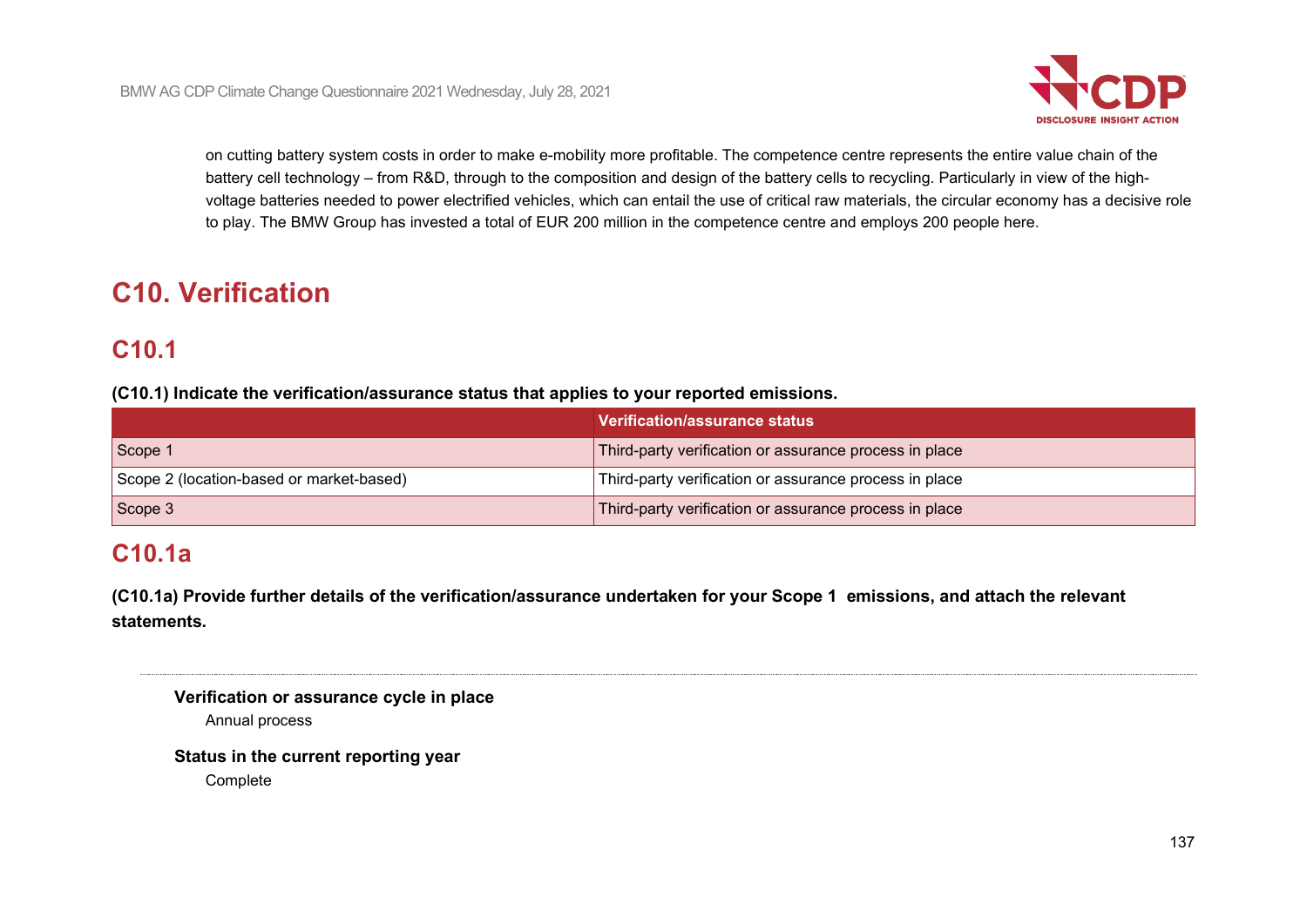

on cutting battery system costs in order to make e-mobility more profitable. The competence centre represents the entire value chain of the battery cell technology – from R&D, through to the composition and design of the battery cells to recycling. Particularly in view of the highvoltage batteries needed to power electrified vehicles, which can entail the use of critical raw materials, the circular economy has a decisive role to play. The BMW Group has invested a total of EUR 200 million in the competence centre and employs 200 people here.

# **C10. Verification**

# **C10.1**

**(C10.1) Indicate the verification/assurance status that applies to your reported emissions.**

|                                          | Verification/assurance status                          |
|------------------------------------------|--------------------------------------------------------|
| Scope 1                                  | Third-party verification or assurance process in place |
| Scope 2 (location-based or market-based) | Third-party verification or assurance process in place |
| Scope 3                                  | Third-party verification or assurance process in place |

# **C10.1a**

**(C10.1a) Provide further details of the verification/assurance undertaken for your Scope 1 emissions, and attach the relevant statements.**

| Verification or assurance cycle in place |  |
|------------------------------------------|--|
| Annual process                           |  |

**Status in the current reporting year Complete**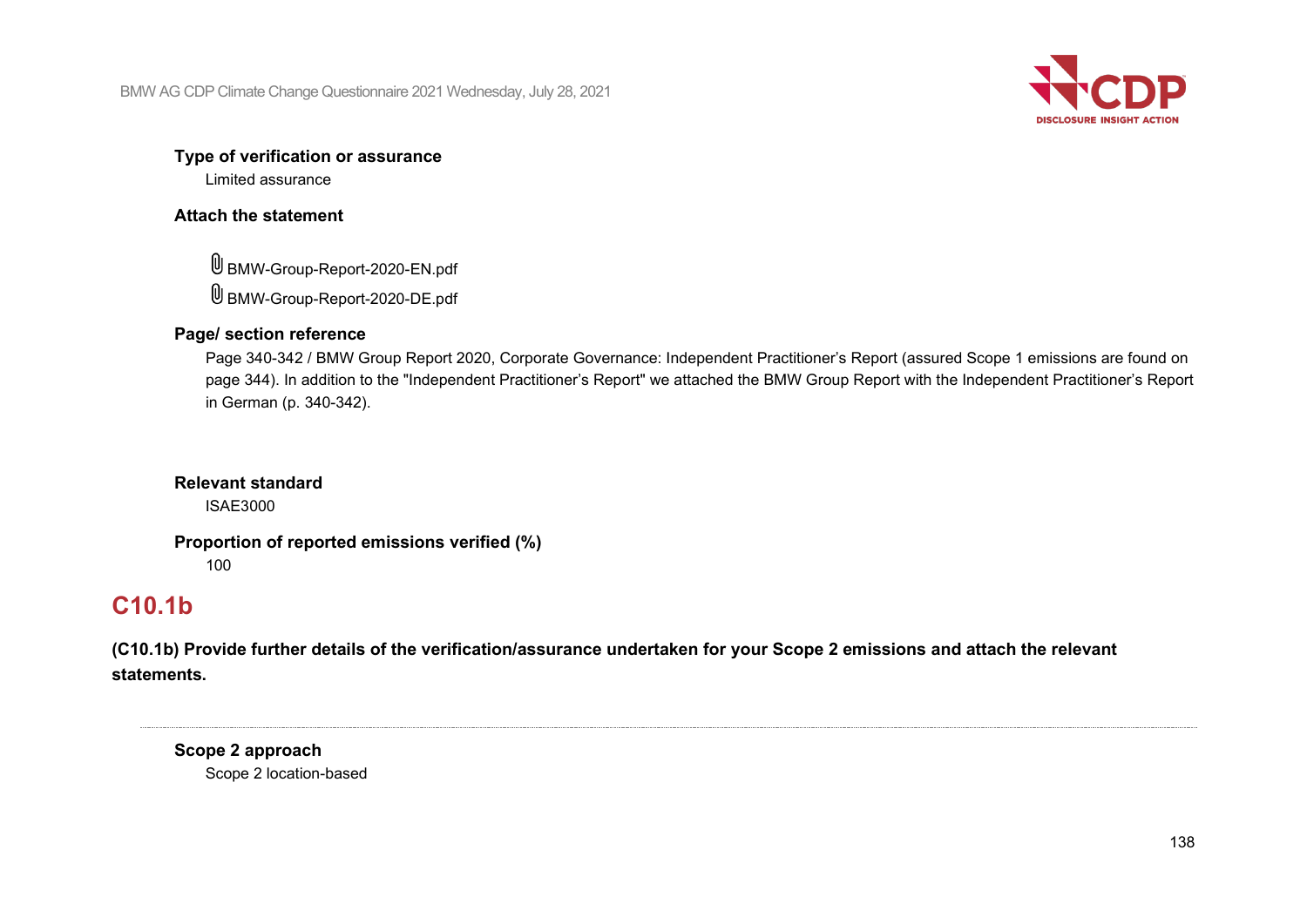

#### **Type of verification or assurance**

Limited assurance

### **Attach the statement**

BMW-Group-Report-2020-EN.pdf BMW-Group-Report-2020-DE.pdf

## **Page/ section reference**

Page 340-342 / BMW Group Report 2020, Corporate Governance: Independent Practitioner's Report (assured Scope 1 emissions are found on page 344). In addition to the "Independent Practitioner's Report" we attached the BMW Group Report with the Independent Practitioner's Report in German (p. 340-342).

# **Relevant standard**

ISAE3000

# **Proportion of reported emissions verified (%)**

100

# **C10.1b**

**(C10.1b) Provide further details of the verification/assurance undertaken for your Scope 2 emissions and attach the relevant statements.**

**Scope 2 approach** Scope 2 location-based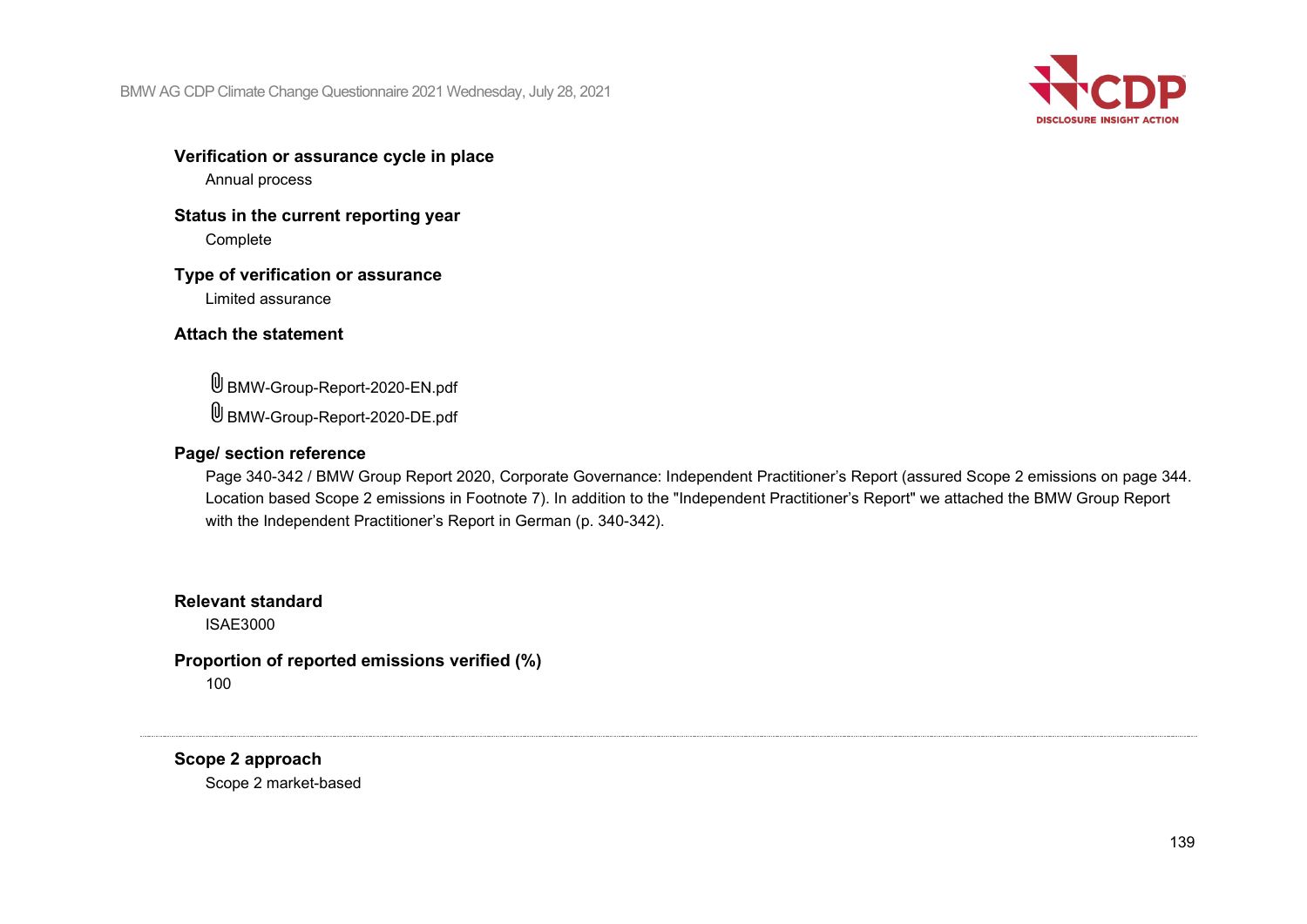

**Verification or assurance cycle in place**

Annual process

**Status in the current reporting year Complete** 

**Type of verification or assurance** Limited assurance

### **Attach the statement**

BMW-Group-Report-2020-EN.pdf BMW-Group-Report-2020-DE.pdf

#### **Page/ section reference**

Page 340-342 / BMW Group Report 2020, Corporate Governance: Independent Practitioner's Report (assured Scope 2 emissions on page 344. Location based Scope 2 emissions in Footnote 7). In addition to the "Independent Practitioner's Report" we attached the BMW Group Report with the Independent Practitioner's Report in German (p. 340-342).

### **Relevant standard**

ISAE3000

**Proportion of reported emissions verified (%)** 100

**Scope 2 approach** Scope 2 market-based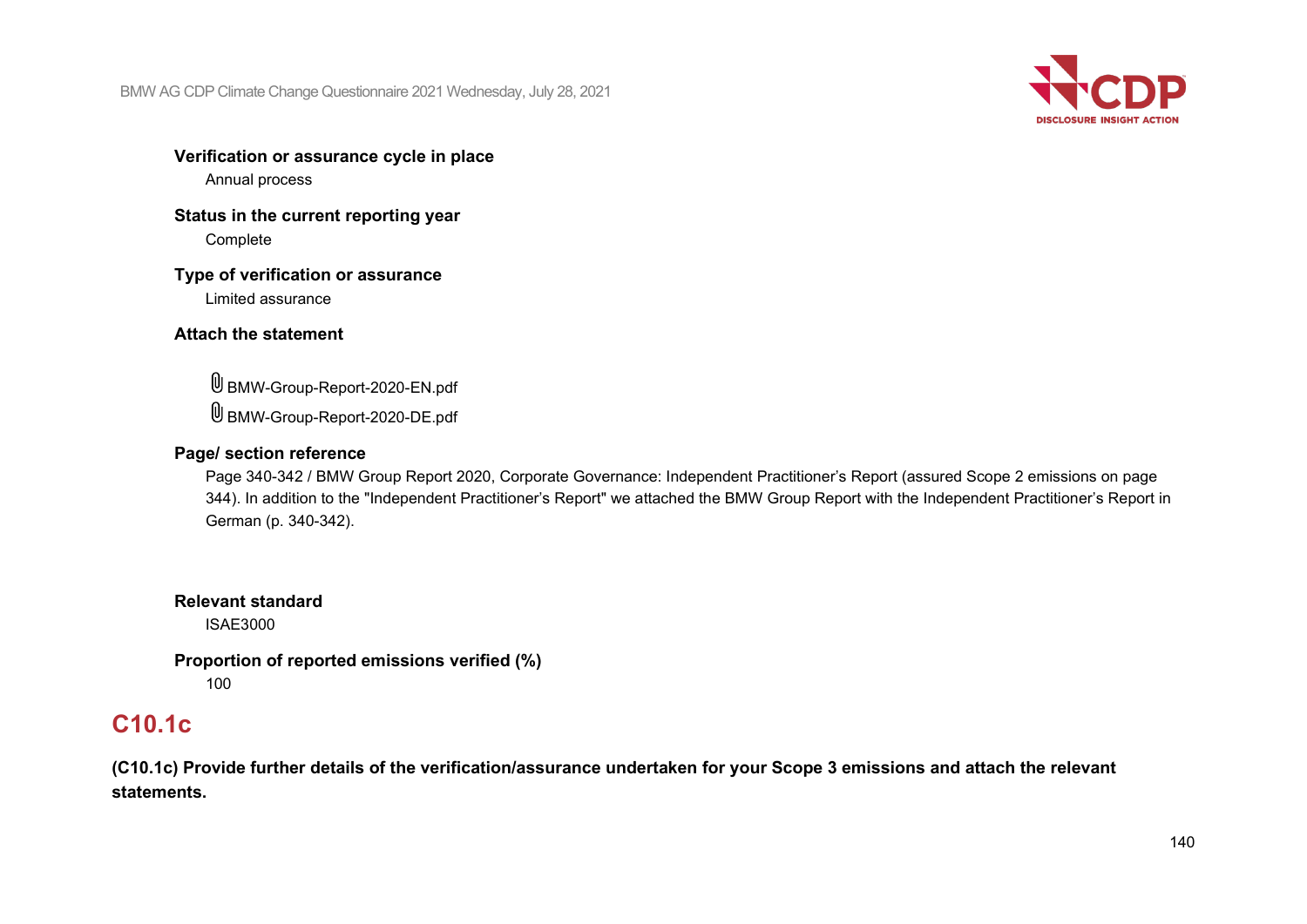

# **Verification or assurance cycle in place**

Annual process

### **Status in the current reporting year Complete**

#### **Type of verification or assurance** Limited assurance

## **Attach the statement**

BMW-Group-Report-2020-EN.pdf BMW-Group-Report-2020-DE.pdf

## **Page/ section reference**

Page 340-342 / BMW Group Report 2020, Corporate Governance: Independent Practitioner's Report (assured Scope 2 emissions on page 344). In addition to the "Independent Practitioner's Report" we attached the BMW Group Report with the Independent Practitioner's Report in German (p. 340-342).

# **Relevant standard**

ISAE3000

## **Proportion of reported emissions verified (%)** 100

# **C10.1c**

**(C10.1c) Provide further details of the verification/assurance undertaken for your Scope 3 emissions and attach the relevant statements.**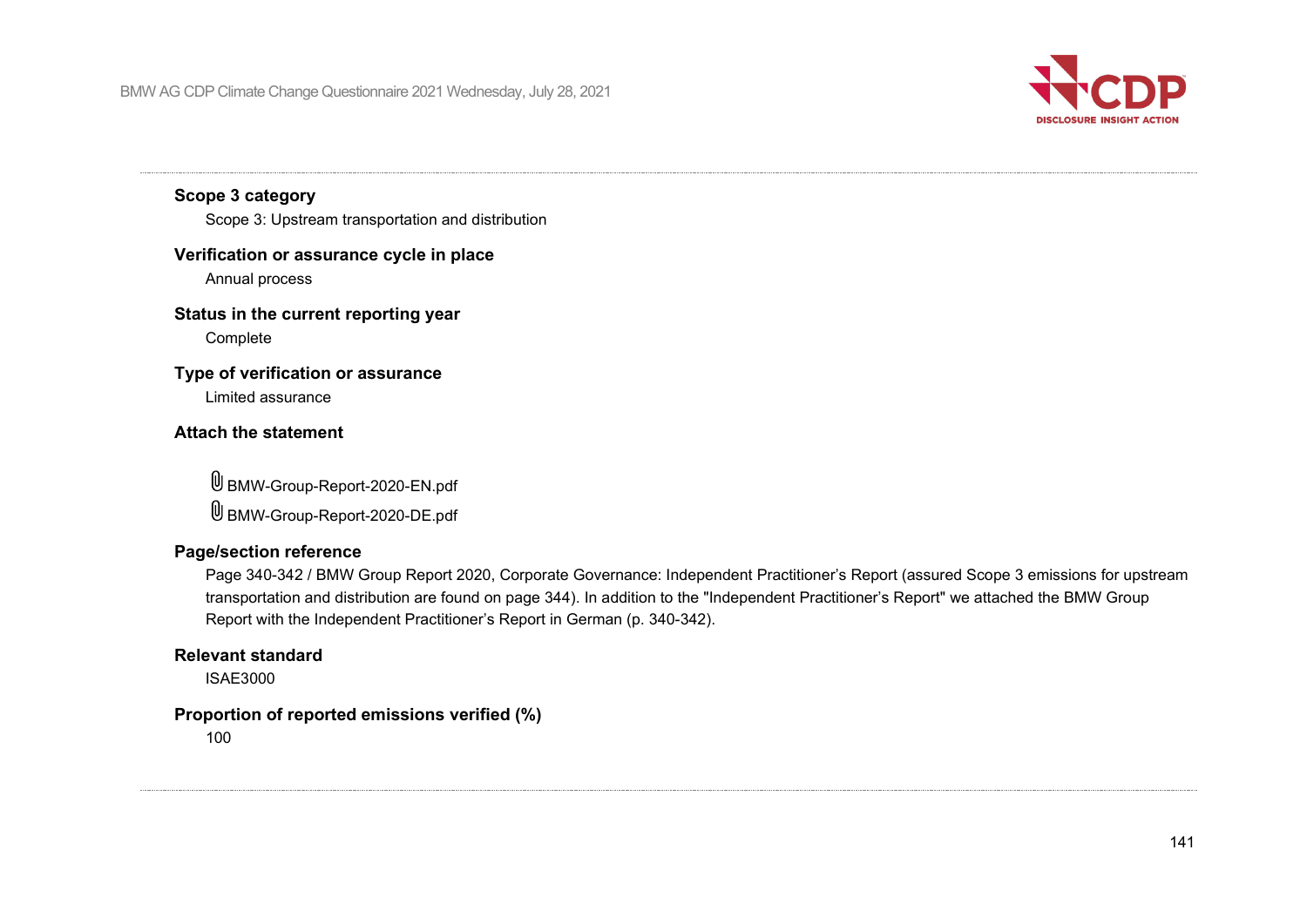

## **Scope 3 category**

Scope 3: Upstream transportation and distribution

#### **Verification or assurance cycle in place**

Annual process

#### **Status in the current reporting year**

Complete

#### **Type of verification or assurance**

Limited assurance

#### **Attach the statement**

BMW-Group-Report-2020-EN.pdf BMW-Group-Report-2020-DE.pdf

#### **Page/section reference**

Page 340-342 / BMW Group Report 2020, Corporate Governance: Independent Practitioner's Report (assured Scope 3 emissions for upstream transportation and distribution are found on page 344). In addition to the "Independent Practitioner's Report" we attached the BMW Group Report with the Independent Practitioner's Report in German (p. 340-342).

#### **Relevant standard**

ISAE3000

#### **Proportion of reported emissions verified (%)**

100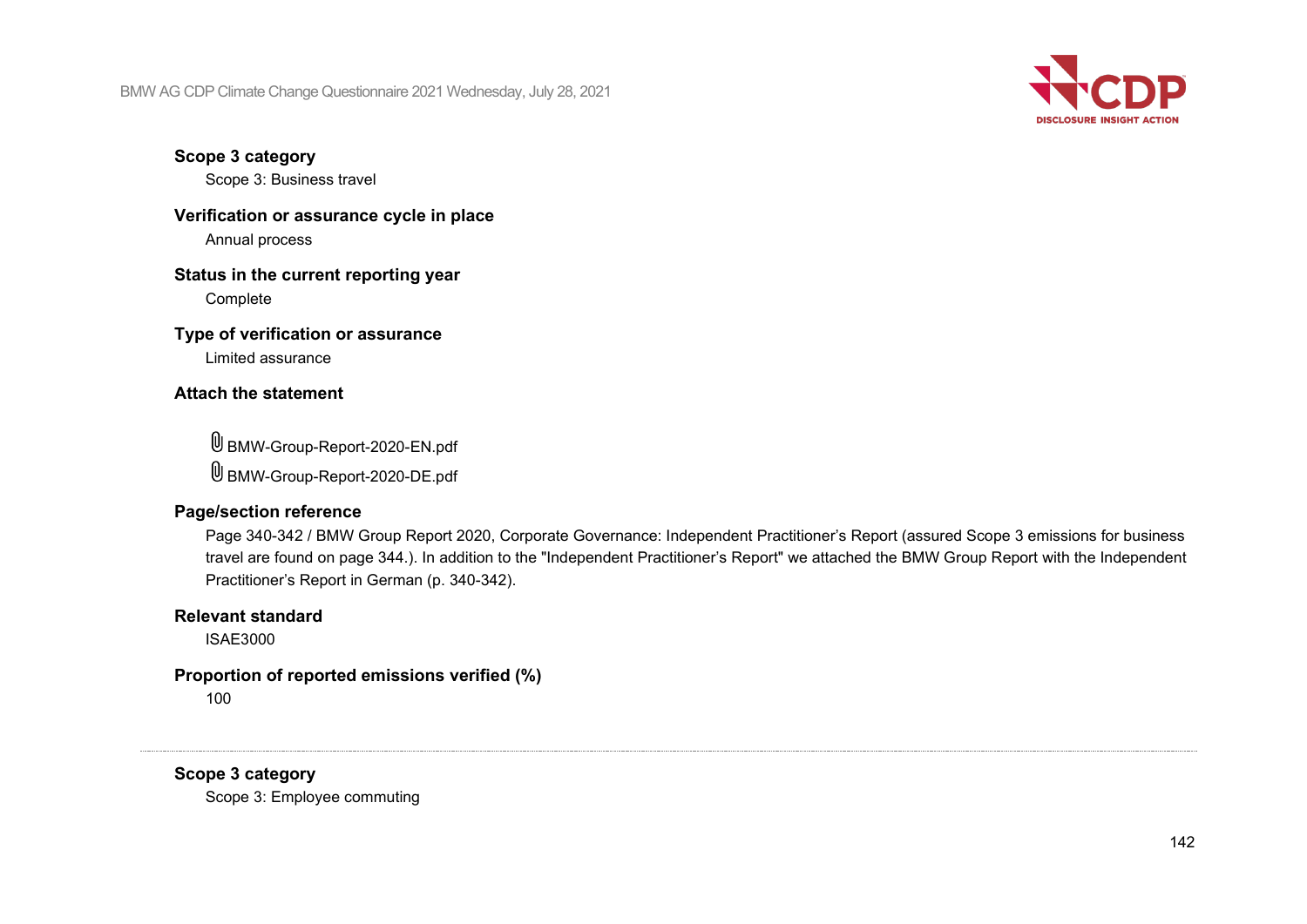

**Scope 3 category**

Scope 3: Business travel

**Verification or assurance cycle in place** Annual process

**Status in the current reporting year** Complete

**Type of verification or assurance**

Limited assurance

#### **Attach the statement**

BMW-Group-Report-2020-EN.pdf BMW-Group-Report-2020-DE.pdf

#### **Page/section reference**

Page 340-342 / BMW Group Report 2020, Corporate Governance: Independent Practitioner's Report (assured Scope 3 emissions for business travel are found on page 344.). In addition to the "Independent Practitioner's Report" we attached the BMW Group Report with the Independent Practitioner's Report in German (p. 340-342).

#### **Relevant standard**

ISAE3000

# **Proportion of reported emissions verified (%)**

100

**Scope 3 category**

Scope 3: Employee commuting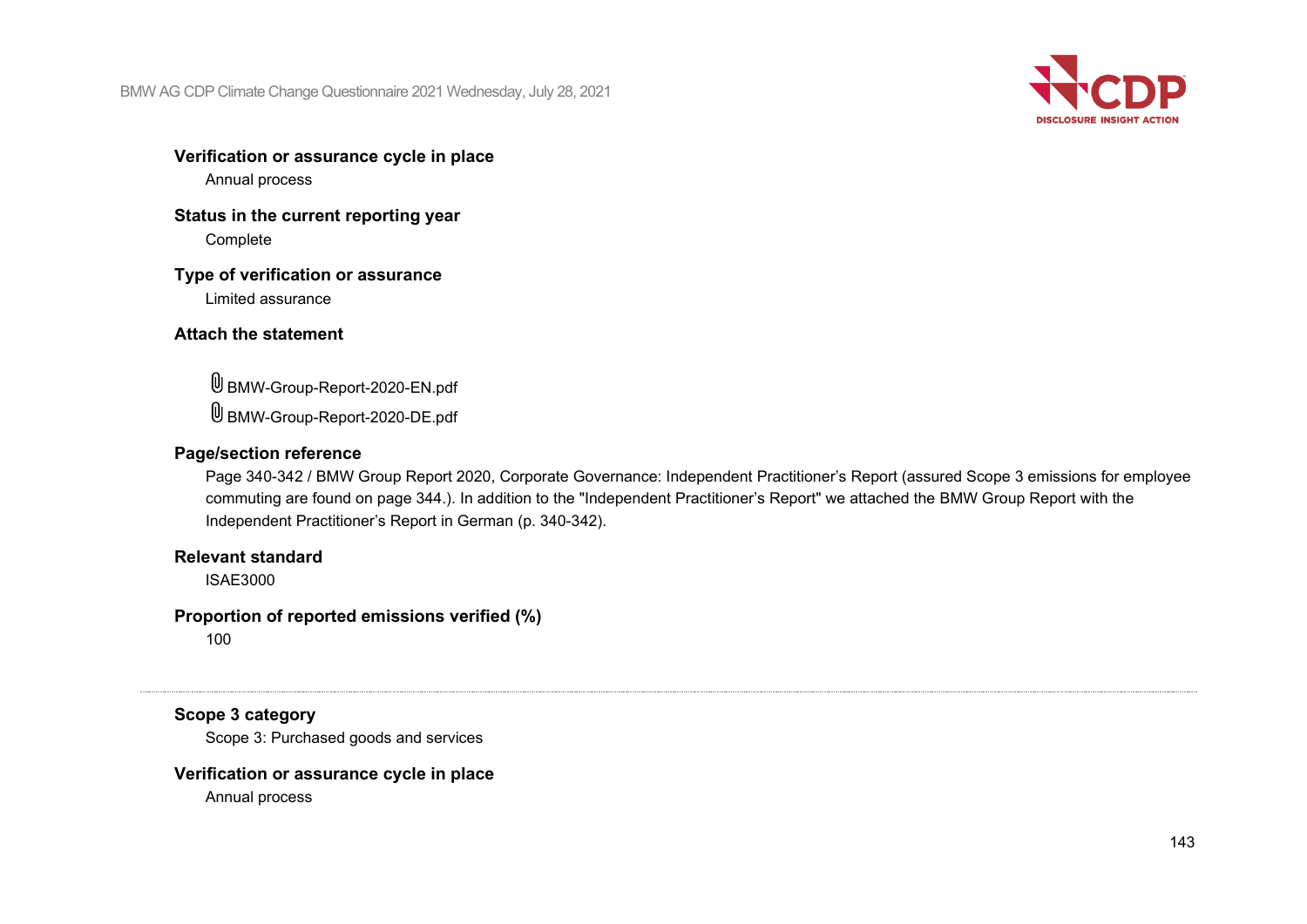

# **Verification or assurance cycle in place**

Annual process

### **Status in the current reporting year** Complete

#### **Type of verification or assurance** Limited assurance

## **Attach the statement**

BMW-Group-Report-2020-EN.pdf BMW-Group-Report-2020-DE.pdf

## **Page/section reference**

Page 340-342 / BMW Group Report 2020, Corporate Governance: Independent Practitioner's Report (assured Scope 3 emissions for employee commuting are found on page 344.). In addition to the "Independent Practitioner's Report" we attached the BMW Group Report with the Independent Practitioner's Report in German (p. 340-342).

# **Relevant standard**

ISAE3000

# **Proportion of reported emissions verified (%)**

100

# **Scope 3 category**

Scope 3: Purchased goods and services

# **Verification or assurance cycle in place**

Annual process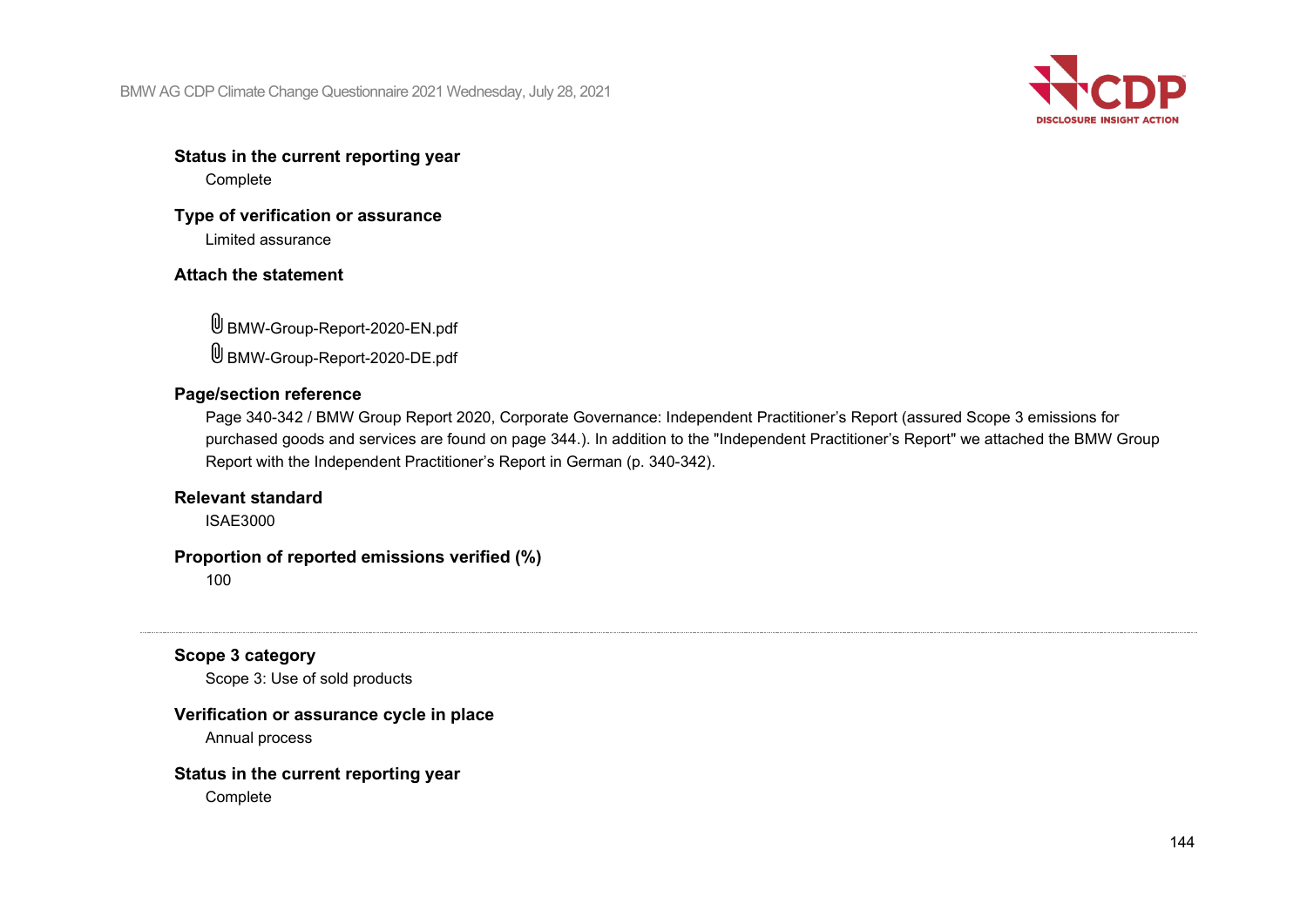

# **Status in the current reporting year**

Complete

# **Type of verification or assurance**

Limited assurance

# **Attach the statement**

BMW-Group-Report-2020-EN.pdf BMW-Group-Report-2020-DE.pdf

## **Page/section reference**

Page 340-342 / BMW Group Report 2020, Corporate Governance: Independent Practitioner's Report (assured Scope 3 emissions for purchased goods and services are found on page 344.). In addition to the "Independent Practitioner's Report" we attached the BMW Group Report with the Independent Practitioner's Report in German (p. 340-342).

### **Relevant standard**

ISAE3000

## **Proportion of reported emissions verified (%)**

100

# **Scope 3 category**

Scope 3: Use of sold products

## **Verification or assurance cycle in place**

Annual process

## **Status in the current reporting year**

Complete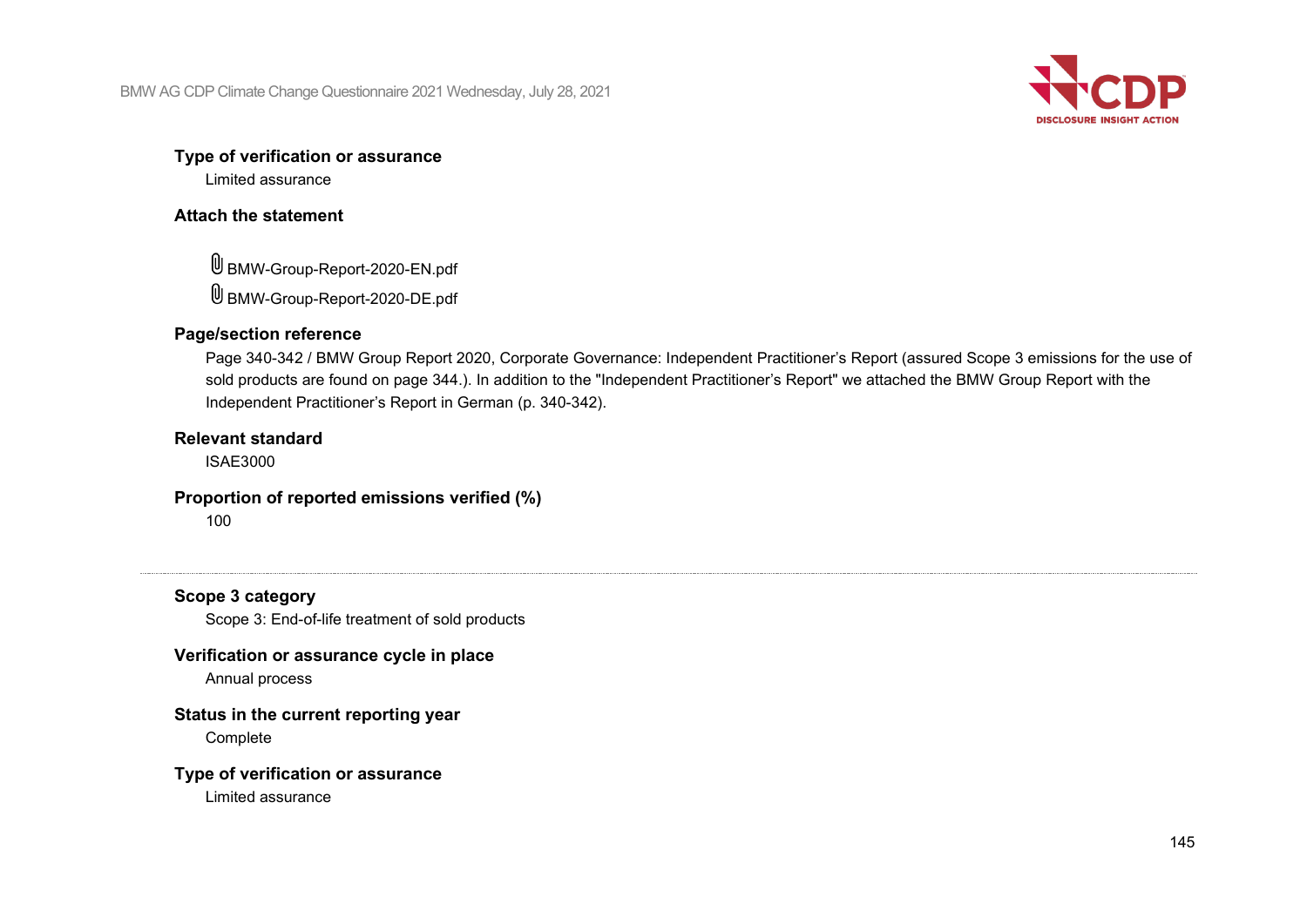

### **Type of verification or assurance**

Limited assurance

# **Attach the statement**

BMW-Group-Report-2020-EN.pdf BMW-Group-Report-2020-DE.pdf

# **Page/section reference**

Page 340-342 / BMW Group Report 2020, Corporate Governance: Independent Practitioner's Report (assured Scope 3 emissions for the use of sold products are found on page 344.). In addition to the "Independent Practitioner's Report" we attached the BMW Group Report with the Independent Practitioner's Report in German (p. 340-342).

# **Relevant standard**

ISAE3000

# **Proportion of reported emissions verified (%)**

100

# **Scope 3 category**

Scope 3: End-of-life treatment of sold products

# **Verification or assurance cycle in place**

Annual process

# **Status in the current reporting year**

Complete

# **Type of verification or assurance**

Limited assurance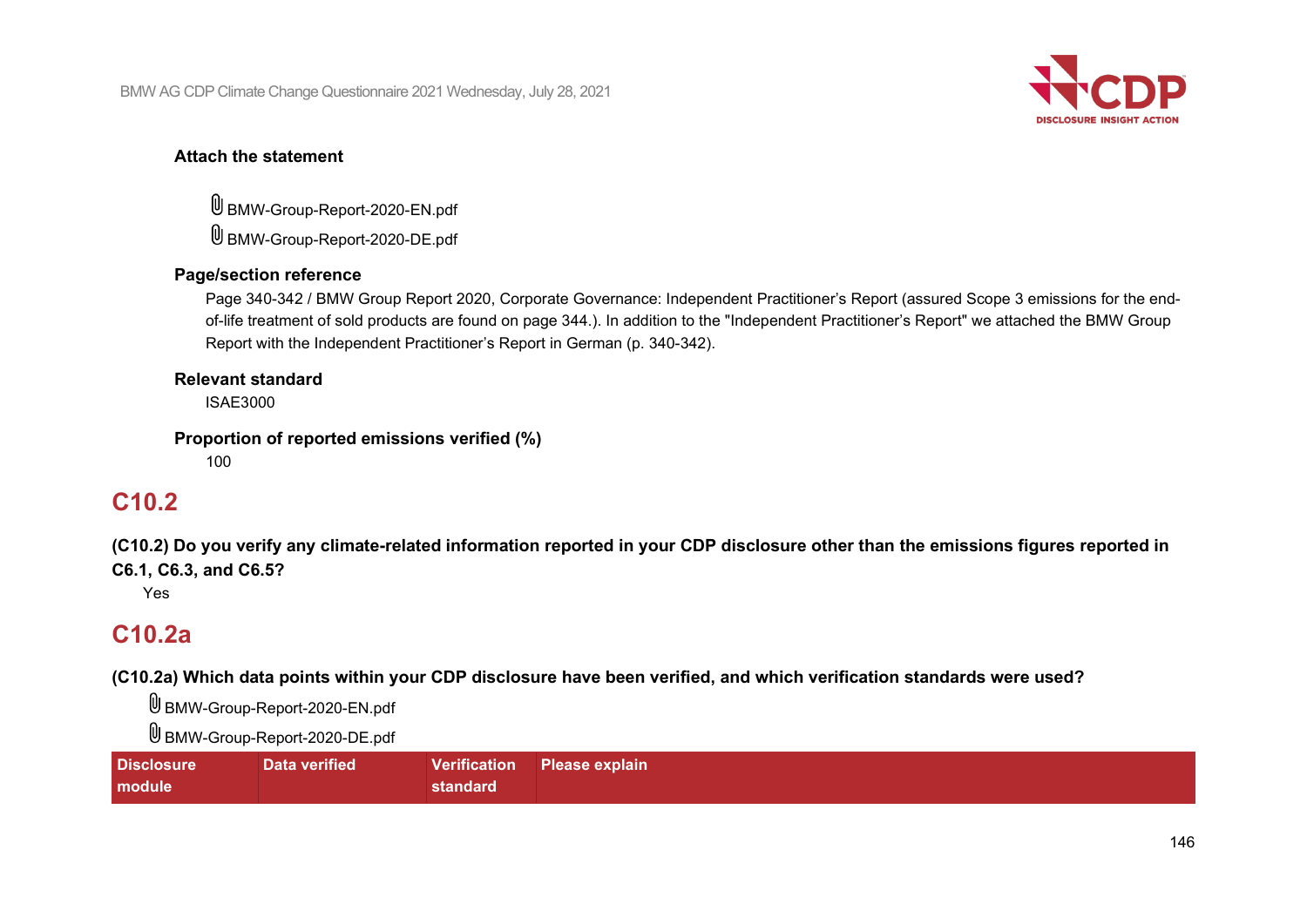

# **Attach the statement**

BMW-Group-Report-2020-EN.pdf BMW-Group-Report-2020-DE.pdf

# **Page/section reference**

Page 340-342 / BMW Group Report 2020, Corporate Governance: Independent Practitioner's Report (assured Scope 3 emissions for the endof-life treatment of sold products are found on page 344.). In addition to the "Independent Practitioner's Report" we attached the BMW Group Report with the Independent Practitioner's Report in German (p. 340-342).

# **Relevant standard**

ISAE3000

# **Proportion of reported emissions verified (%)**

100

# **C10.2**

**(C10.2) Do you verify any climate-related information reported in your CDP disclosure other than the emissions figures reported in C6.1, C6.3, and C6.5?**

Yes

# **C10.2a**

**(C10.2a) Which data points within your CDP disclosure have been verified, and which verification standards were used?**

BMW-Group-Report-2020-EN.pdf

BMW-Group-Report-2020-DE.pdf

| <b>Disclosure</b> | Data verified |          | Verification Please explain |
|-------------------|---------------|----------|-----------------------------|
| module            |               | standard |                             |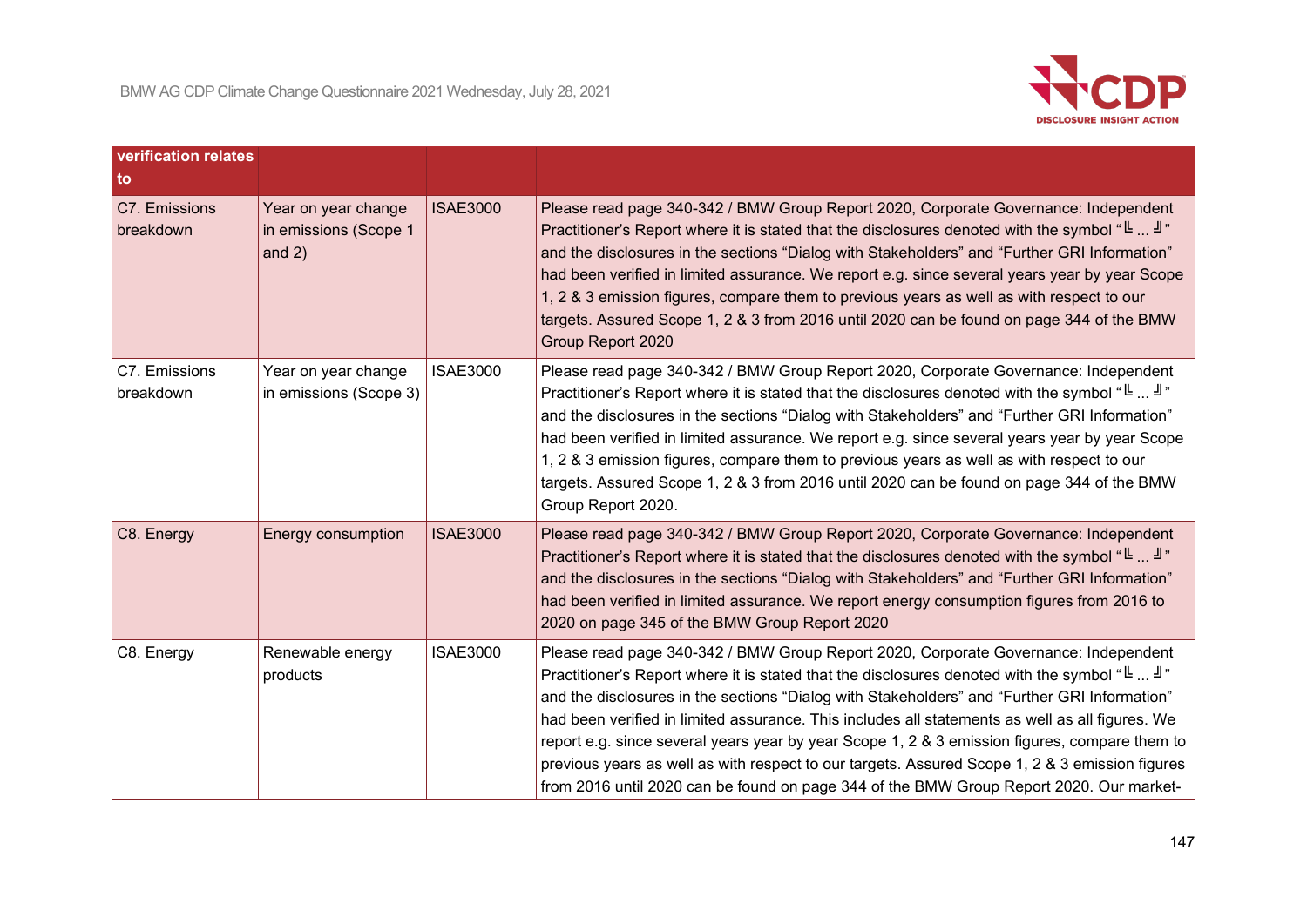

| verification relates<br>to |                                                          |                 |                                                                                                                                                                                                                                                                                                                                                                                                                                                                                                                                                                                                                                                                                   |
|----------------------------|----------------------------------------------------------|-----------------|-----------------------------------------------------------------------------------------------------------------------------------------------------------------------------------------------------------------------------------------------------------------------------------------------------------------------------------------------------------------------------------------------------------------------------------------------------------------------------------------------------------------------------------------------------------------------------------------------------------------------------------------------------------------------------------|
| C7. Emissions<br>breakdown | Year on year change<br>in emissions (Scope 1<br>and $2)$ | <b>ISAE3000</b> | Please read page 340-342 / BMW Group Report 2020, Corporate Governance: Independent<br>Practitioner's Report where it is stated that the disclosures denoted with the symbol "Let $\mathbb{L}$ "<br>and the disclosures in the sections "Dialog with Stakeholders" and "Further GRI Information"<br>had been verified in limited assurance. We report e.g. since several years year by year Scope<br>1, 2 & 3 emission figures, compare them to previous years as well as with respect to our<br>targets. Assured Scope 1, 2 & 3 from 2016 until 2020 can be found on page 344 of the BMW<br>Group Report 2020                                                                    |
| C7. Emissions<br>breakdown | Year on year change<br>in emissions (Scope 3)            | <b>ISAE3000</b> | Please read page 340-342 / BMW Group Report 2020, Corporate Governance: Independent<br>Practitioner's Report where it is stated that the disclosures denoted with the symbol "L"<br>and the disclosures in the sections "Dialog with Stakeholders" and "Further GRI Information"<br>had been verified in limited assurance. We report e.g. since several years year by year Scope<br>1, 2 & 3 emission figures, compare them to previous years as well as with respect to our<br>targets. Assured Scope 1, 2 & 3 from 2016 until 2020 can be found on page 344 of the BMW<br>Group Report 2020.                                                                                   |
| C8. Energy                 | Energy consumption                                       | <b>ISAE3000</b> | Please read page 340-342 / BMW Group Report 2020, Corporate Governance: Independent<br>Practitioner's Report where it is stated that the disclosures denoted with the symbol "L $\exists$ "<br>and the disclosures in the sections "Dialog with Stakeholders" and "Further GRI Information"<br>had been verified in limited assurance. We report energy consumption figures from 2016 to<br>2020 on page 345 of the BMW Group Report 2020                                                                                                                                                                                                                                         |
| C8. Energy                 | Renewable energy<br>products                             | <b>ISAE3000</b> | Please read page 340-342 / BMW Group Report 2020, Corporate Governance: Independent<br>Practitioner's Report where it is stated that the disclosures denoted with the symbol "L"<br>and the disclosures in the sections "Dialog with Stakeholders" and "Further GRI Information"<br>had been verified in limited assurance. This includes all statements as well as all figures. We<br>report e.g. since several years year by year Scope 1, 2 & 3 emission figures, compare them to<br>previous years as well as with respect to our targets. Assured Scope 1, 2 & 3 emission figures<br>from 2016 until 2020 can be found on page 344 of the BMW Group Report 2020. Our market- |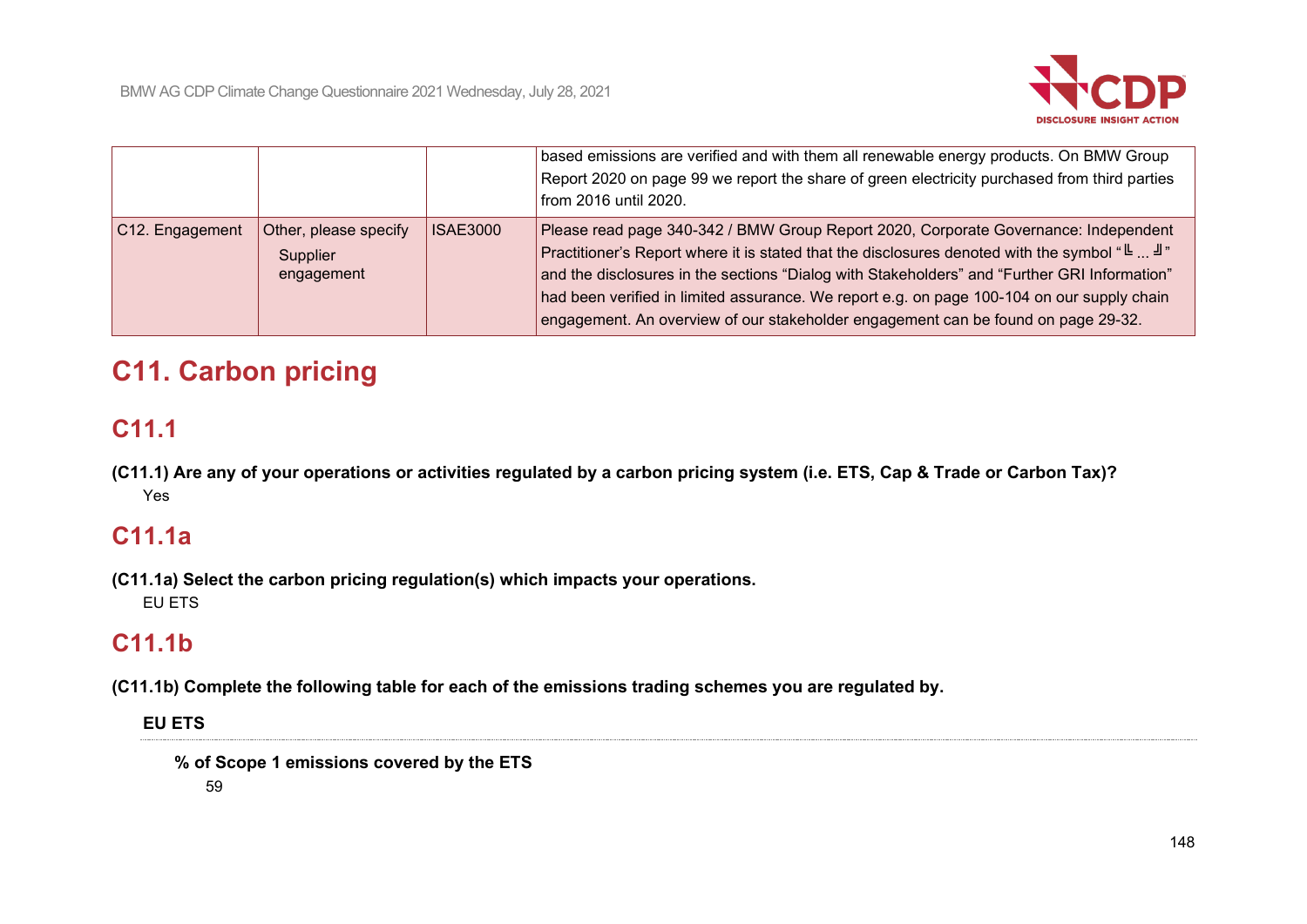

|                 |                                                 |                 | based emissions are verified and with them all renewable energy products. On BMW Group<br>Report 2020 on page 99 we report the share of green electricity purchased from third parties<br>from 2016 until 2020.                                                                                                                                                                                                                                                                              |
|-----------------|-------------------------------------------------|-----------------|----------------------------------------------------------------------------------------------------------------------------------------------------------------------------------------------------------------------------------------------------------------------------------------------------------------------------------------------------------------------------------------------------------------------------------------------------------------------------------------------|
| C12. Engagement | Other, please specify<br>Supplier<br>engagement | <b>ISAE3000</b> | Please read page 340-342 / BMW Group Report 2020, Corporate Governance: Independent<br>Practitioner's Report where it is stated that the disclosures denoted with the symbol "Lettimed". $\mathbb{F}$ "<br>  and the disclosures in the sections "Dialog with Stakeholders" and "Further GRI Information"<br>had been verified in limited assurance. We report e.g. on page 100-104 on our supply chain<br>engagement. An overview of our stakeholder engagement can be found on page 29-32. |

# **C11. Carbon pricing**

# **C11.1**

**(C11.1) Are any of your operations or activities regulated by a carbon pricing system (i.e. ETS, Cap & Trade or Carbon Tax)?** Yes

# **C11.1a**

**(C11.1a) Select the carbon pricing regulation(s) which impacts your operations.** EU ETS

# **C11.1b**

**(C11.1b) Complete the following table for each of the emissions trading schemes you are regulated by.**

# **EU ETS**

**% of Scope 1 emissions covered by the ETS**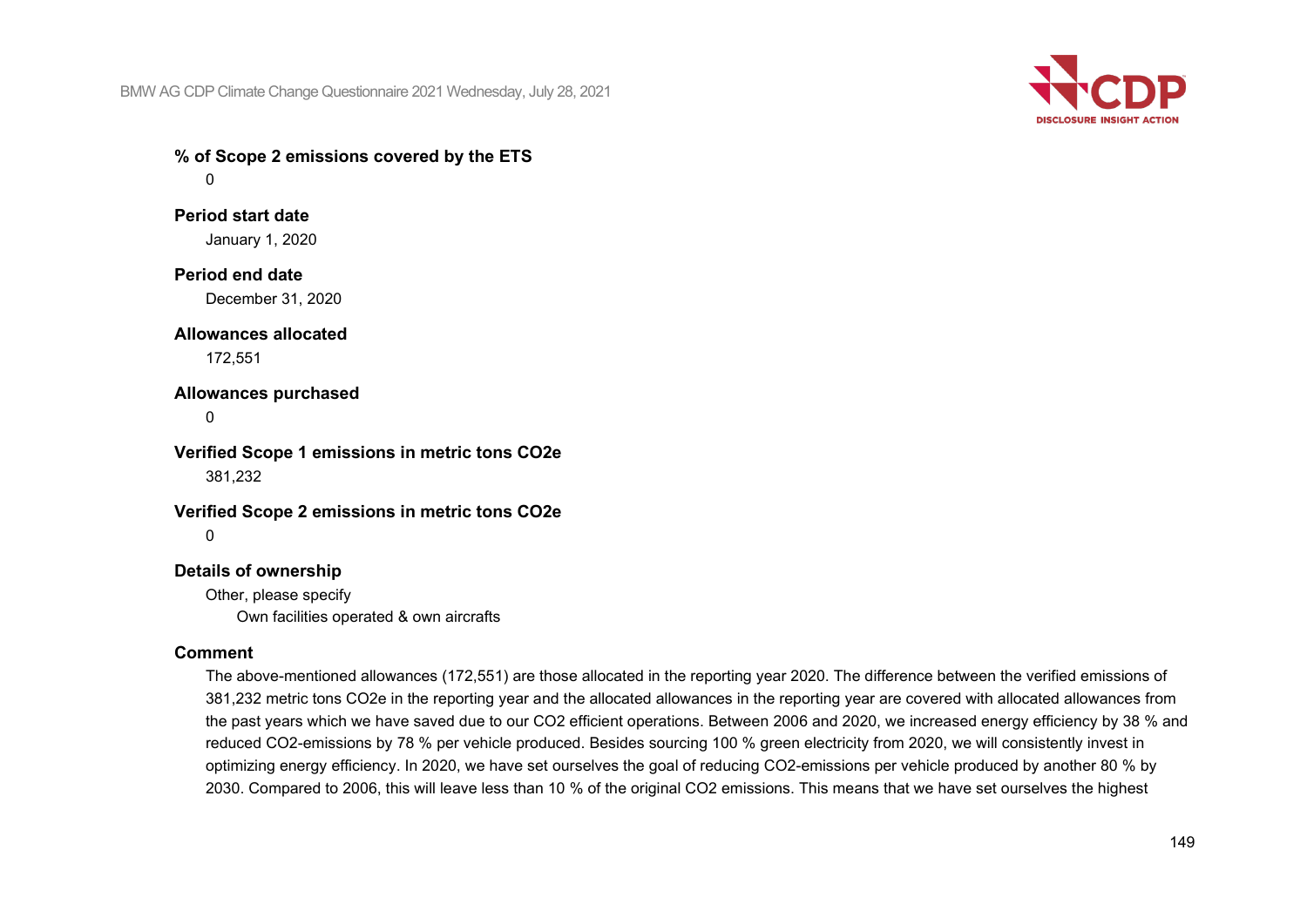BMW AG CDP Climate Change Questionnaire 2021 Wednesday, July 28, 2021



**% of Scope 2 emissions covered by the ETS**  $\Omega$ 

**Period start date** January 1, 2020

**Period end date** December 31, 2020

**Allowances allocated** 172,551

**Allowances purchased**

 $\Omega$ 

**Verified Scope 1 emissions in metric tons CO2e** 381,232

**Verified Scope 2 emissions in metric tons CO2e**  $\Omega$ 

# **Details of ownership**

Other, please specify Own facilities operated & own aircrafts

### **Comment**

The above-mentioned allowances (172,551) are those allocated in the reporting year 2020. The difference between the verified emissions of 381,232 metric tons CO2e in the reporting year and the allocated allowances in the reporting year are covered with allocated allowances from the past years which we have saved due to our CO2 efficient operations. Between 2006 and 2020, we increased energy efficiency by 38 % and reduced CO2-emissions by 78 % per vehicle produced. Besides sourcing 100 % green electricity from 2020, we will consistently invest in optimizing energy efficiency. In 2020, we have set ourselves the goal of reducing CO2-emissions per vehicle produced by another 80 % by 2030. Compared to 2006, this will leave less than 10 % of the original CO2 emissions. This means that we have set ourselves the highest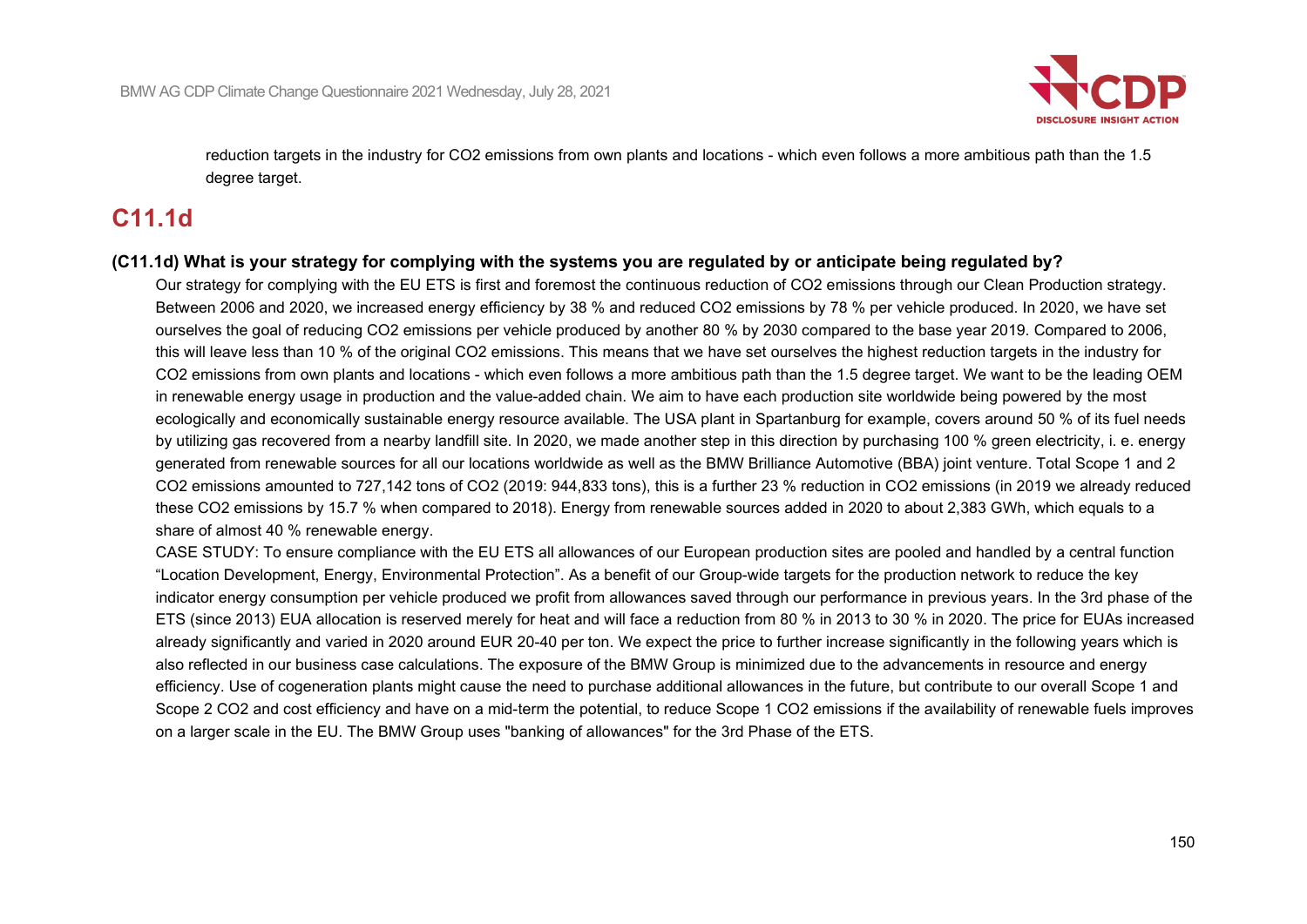

reduction targets in the industry for CO2 emissions from own plants and locations - which even follows a more ambitious path than the 1.5 degree target.

# **C11.1d**

### **(C11.1d) What is your strategy for complying with the systems you are regulated by or anticipate being regulated by?**

Our strategy for complying with the EU ETS is first and foremost the continuous reduction of CO2 emissions through our Clean Production strategy. Between 2006 and 2020, we increased energy efficiency by 38 % and reduced CO2 emissions by 78 % per vehicle produced. In 2020, we have set ourselves the goal of reducing CO2 emissions per vehicle produced by another 80 % by 2030 compared to the base year 2019. Compared to 2006, this will leave less than 10 % of the original CO2 emissions. This means that we have set ourselves the highest reduction targets in the industry for CO2 emissions from own plants and locations - which even follows a more ambitious path than the 1.5 degree target. We want to be the leading OEM in renewable energy usage in production and the value-added chain. We aim to have each production site worldwide being powered by the most ecologically and economically sustainable energy resource available. The USA plant in Spartanburg for example, covers around 50 % of its fuel needs by utilizing gas recovered from a nearby landfill site. In 2020, we made another step in this direction by purchasing 100 % green electricity, i. e. energy generated from renewable sources for all our locations worldwide as well as the BMW Brilliance Automotive (BBA) joint venture. Total Scope 1 and 2 CO2 emissions amounted to 727,142 tons of CO2 (2019: 944,833 tons), this is a further 23 % reduction in CO2 emissions (in 2019 we already reduced these CO2 emissions by 15.7 % when compared to 2018). Energy from renewable sources added in 2020 to about 2,383 GWh, which equals to a share of almost 40 % renewable energy.

CASE STUDY: To ensure compliance with the EU ETS all allowances of our European production sites are pooled and handled by a central function "Location Development, Energy, Environmental Protection". As a benefit of our Group-wide targets for the production network to reduce the key indicator energy consumption per vehicle produced we profit from allowances saved through our performance in previous years. In the 3rd phase of the ETS (since 2013) EUA allocation is reserved merely for heat and will face a reduction from 80 % in 2013 to 30 % in 2020. The price for EUAs increased already significantly and varied in 2020 around EUR 20-40 per ton. We expect the price to further increase significantly in the following years which is also reflected in our business case calculations. The exposure of the BMW Group is minimized due to the advancements in resource and energy efficiency. Use of cogeneration plants might cause the need to purchase additional allowances in the future, but contribute to our overall Scope 1 and Scope 2 CO2 and cost efficiency and have on a mid-term the potential, to reduce Scope 1 CO2 emissions if the availability of renewable fuels improves on a larger scale in the EU. The BMW Group uses "banking of allowances" for the 3rd Phase of the ETS.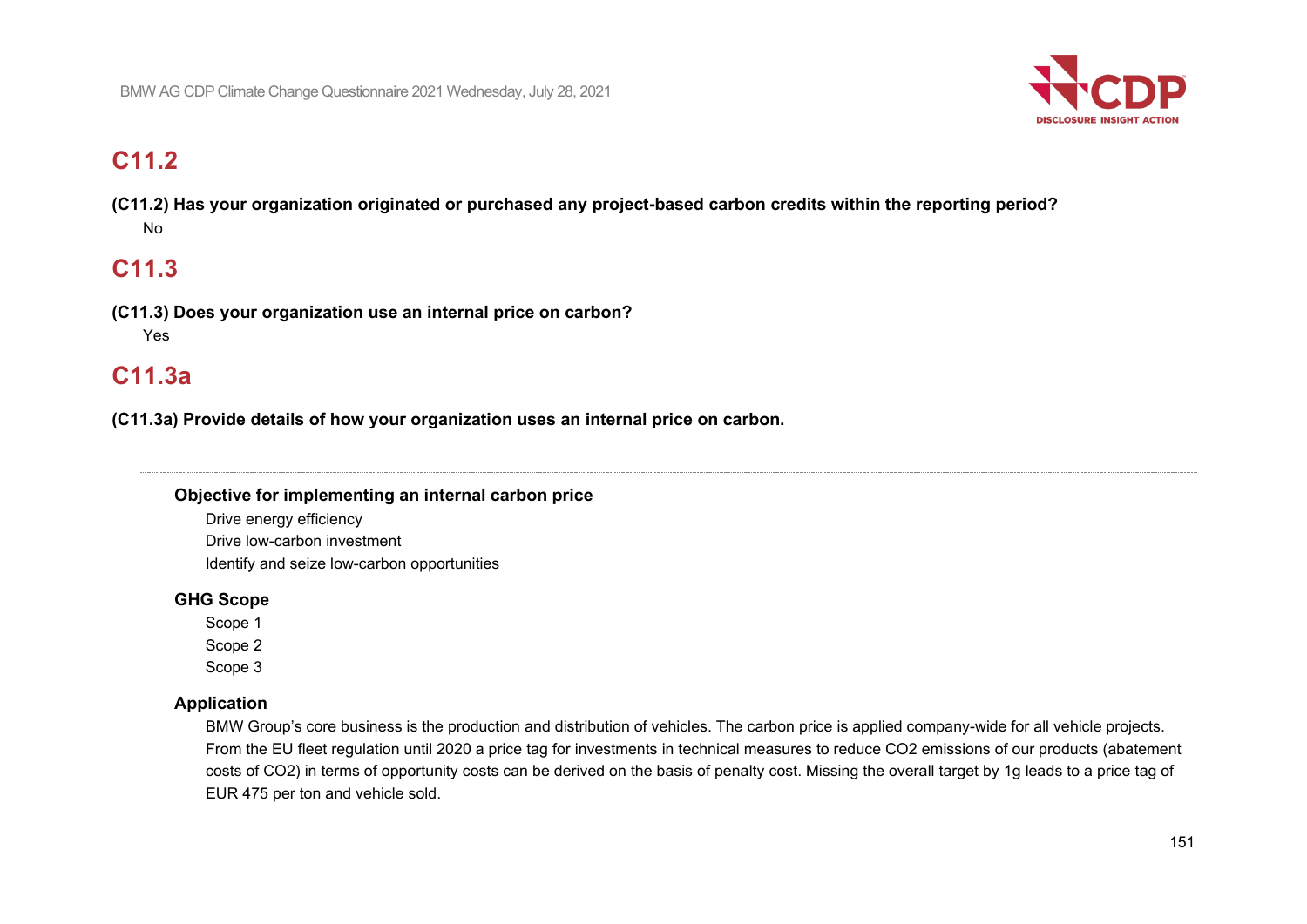

# **C11.2**

**(C11.2) Has your organization originated or purchased any project-based carbon credits within the reporting period?** No

# **C11.3**

**(C11.3) Does your organization use an internal price on carbon?** Yes

# **C11.3a**

**(C11.3a) Provide details of how your organization uses an internal price on carbon.**

# **Objective for implementing an internal carbon price**

Drive energy efficiency Drive low-carbon investment Identify and seize low-carbon opportunities

# **GHG Scope**

Scope 1

Scope 2

Scope 3

# **Application**

BMW Group's core business is the production and distribution of vehicles. The carbon price is applied company-wide for all vehicle projects. From the EU fleet regulation until 2020 a price tag for investments in technical measures to reduce CO2 emissions of our products (abatement costs of CO2) in terms of opportunity costs can be derived on the basis of penalty cost. Missing the overall target by 1g leads to a price tag of EUR 475 per ton and vehicle sold.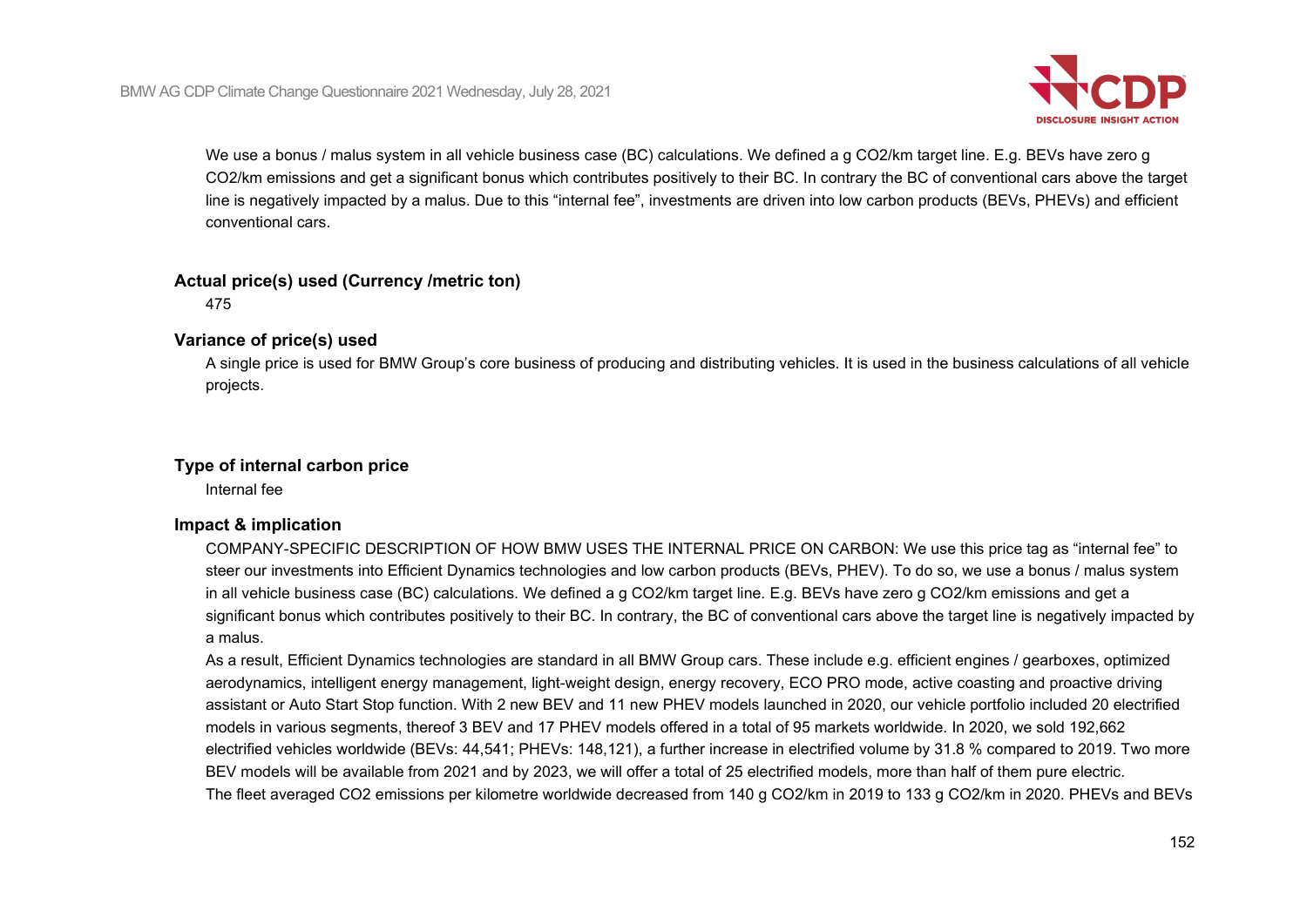

We use a bonus / malus system in all vehicle business case (BC) calculations. We defined a g CO2/km target line. E.g. BEVs have zero g CO2/km emissions and get a significant bonus which contributes positively to their BC. In contrary the BC of conventional cars above the target line is negatively impacted by a malus. Due to this "internal fee", investments are driven into low carbon products (BEVs, PHEVs) and efficient conventional cars.

## **Actual price(s) used (Currency /metric ton)**

475

# **Variance of price(s) used**

A single price is used for BMW Group's core business of producing and distributing vehicles. It is used in the business calculations of all vehicle projects.

# **Type of internal carbon price**

Internal fee

# **Impact & implication**

COMPANY-SPECIFIC DESCRIPTION OF HOW BMW USES THE INTERNAL PRICE ON CARBON: We use this price tag as "internal fee" to steer our investments into Efficient Dynamics technologies and low carbon products (BEVs, PHEV). To do so, we use a bonus / malus system in all vehicle business case (BC) calculations. We defined a g CO2/km target line. E.g. BEVs have zero g CO2/km emissions and get a significant bonus which contributes positively to their BC. In contrary, the BC of conventional cars above the target line is negatively impacted by a malus.

As a result, Efficient Dynamics technologies are standard in all BMW Group cars. These include e.g. efficient engines / gearboxes, optimized aerodynamics, intelligent energy management, light-weight design, energy recovery, ECO PRO mode, active coasting and proactive driving assistant or Auto Start Stop function. With 2 new BEV and 11 new PHEV models launched in 2020, our vehicle portfolio included 20 electrified models in various segments, thereof 3 BEV and 17 PHEV models offered in a total of 95 markets worldwide. In 2020, we sold 192,662 electrified vehicles worldwide (BEVs: 44,541; PHEVs: 148,121), a further increase in electrified volume by 31.8 % compared to 2019. Two more BEV models will be available from 2021 and by 2023, we will offer a total of 25 electrified models, more than half of them pure electric. The fleet averaged CO2 emissions per kilometre worldwide decreased from 140 g CO2/km in 2019 to 133 g CO2/km in 2020. PHEVs and BEVs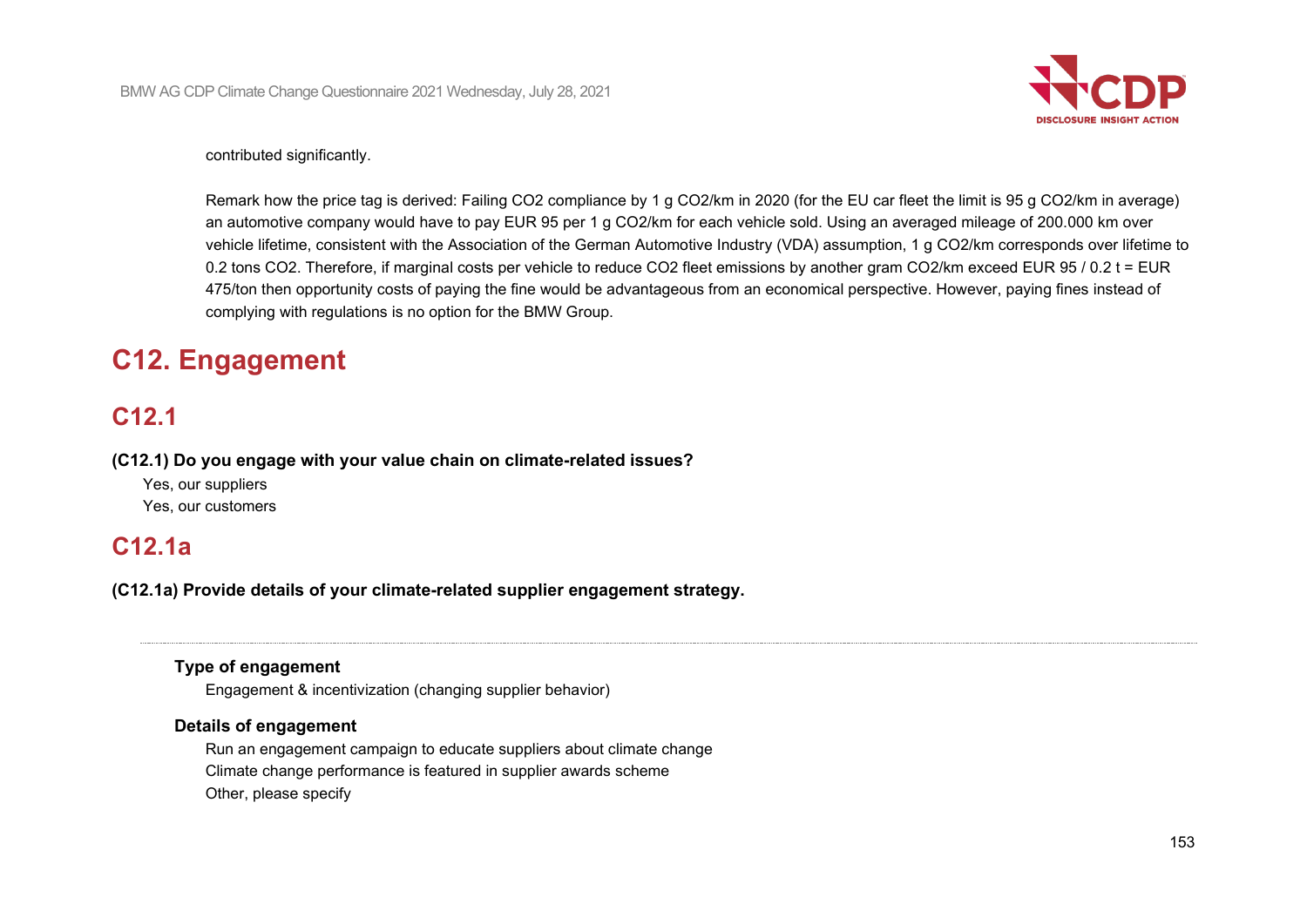

#### contributed significantly.

Remark how the price tag is derived: Failing CO2 compliance by 1 g CO2/km in 2020 (for the EU car fleet the limit is 95 g CO2/km in average) an automotive company would have to pay EUR 95 per 1 g CO2/km for each vehicle sold. Using an averaged mileage of 200.000 km over vehicle lifetime, consistent with the Association of the German Automotive Industry (VDA) assumption, 1 g CO2/km corresponds over lifetime to 0.2 tons CO2. Therefore, if marginal costs per vehicle to reduce CO2 fleet emissions by another gram CO2/km exceed EUR 95 / 0.2 t = EUR 475/ton then opportunity costs of paying the fine would be advantageous from an economical perspective. However, paying fines instead of complying with regulations is no option for the BMW Group.

# **C12. Engagement**

# **C12.1**

**(C12.1) Do you engage with your value chain on climate-related issues?**

Yes, our suppliers Yes, our customers

# **C12.1a**

**(C12.1a) Provide details of your climate-related supplier engagement strategy.**

### **Type of engagement**

Engagement & incentivization (changing supplier behavior)

### **Details of engagement**

Run an engagement campaign to educate suppliers about climate change Climate change performance is featured in supplier awards scheme Other, please specify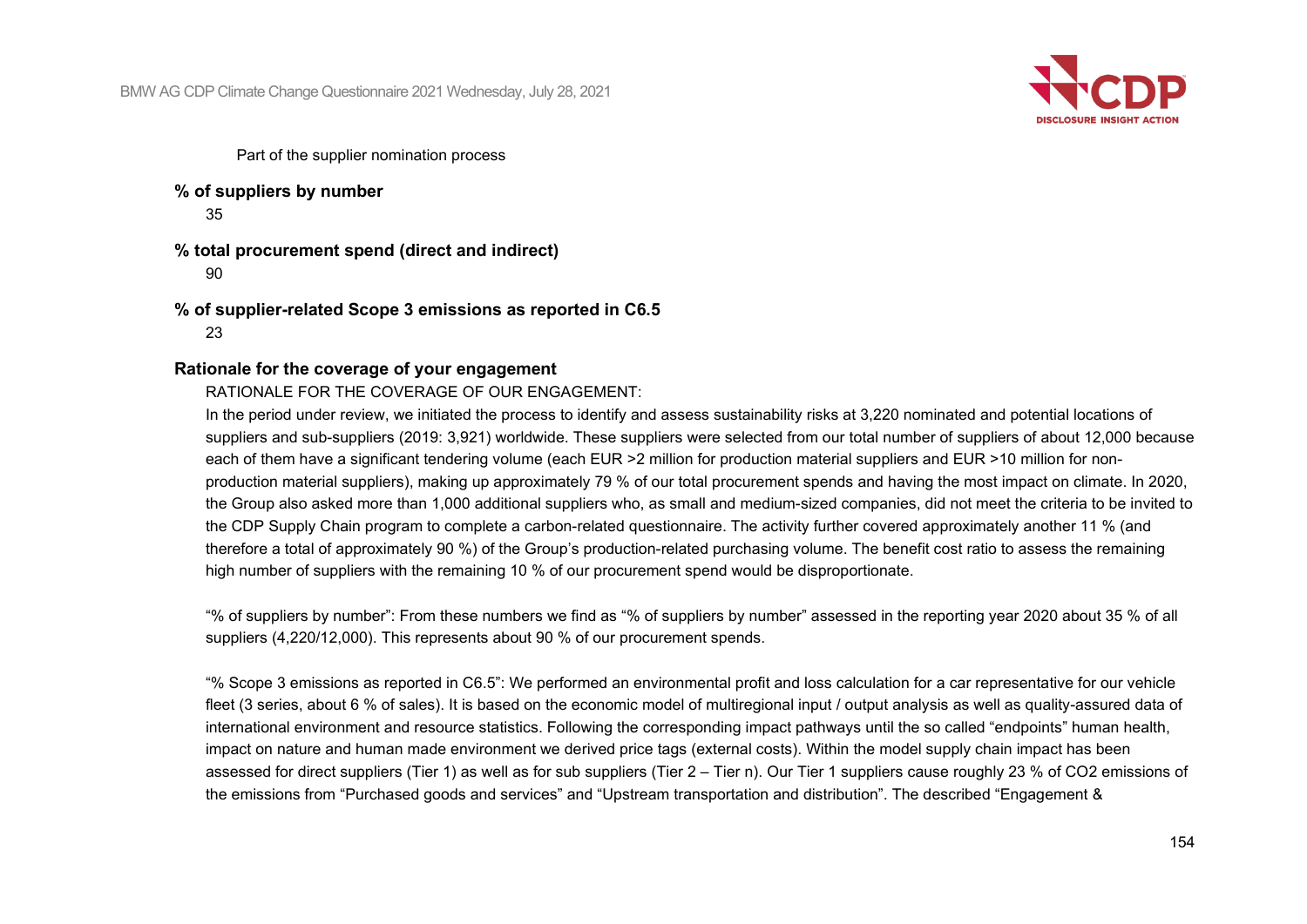BMW AG CDP Climate Change Questionnaire 2021 Wednesday, July 28, 2021



Part of the supplier nomination process

**% of suppliers by number**

35

**% total procurement spend (direct and indirect)** 90

**% of supplier-related Scope 3 emissions as reported in C6.5** 23

### **Rationale for the coverage of your engagement**

RATIONALE FOR THE COVERAGE OF OUR ENGAGEMENT:

In the period under review, we initiated the process to identify and assess sustainability risks at 3,220 nominated and potential locations of suppliers and sub-suppliers (2019: 3,921) worldwide. These suppliers were selected from our total number of suppliers of about 12,000 because each of them have a significant tendering volume (each EUR >2 million for production material suppliers and EUR >10 million for nonproduction material suppliers), making up approximately 79 % of our total procurement spends and having the most impact on climate. In 2020, the Group also asked more than 1,000 additional suppliers who, as small and medium-sized companies, did not meet the criteria to be invited to the CDP Supply Chain program to complete a carbon-related questionnaire. The activity further covered approximately another 11 % (and therefore a total of approximately 90 %) of the Group's production-related purchasing volume. The benefit cost ratio to assess the remaining high number of suppliers with the remaining 10 % of our procurement spend would be disproportionate.

"% of suppliers by number": From these numbers we find as "% of suppliers by number" assessed in the reporting year 2020 about 35 % of all suppliers (4,220/12,000). This represents about 90 % of our procurement spends.

"% Scope 3 emissions as reported in C6.5": We performed an environmental profit and loss calculation for a car representative for our vehicle fleet (3 series, about 6 % of sales). It is based on the economic model of multiregional input / output analysis as well as quality-assured data of international environment and resource statistics. Following the corresponding impact pathways until the so called "endpoints" human health, impact on nature and human made environment we derived price tags (external costs). Within the model supply chain impact has been assessed for direct suppliers (Tier 1) as well as for sub suppliers (Tier 2 – Tier n). Our Tier 1 suppliers cause roughly 23 % of CO2 emissions of the emissions from "Purchased goods and services" and "Upstream transportation and distribution". The described "Engagement &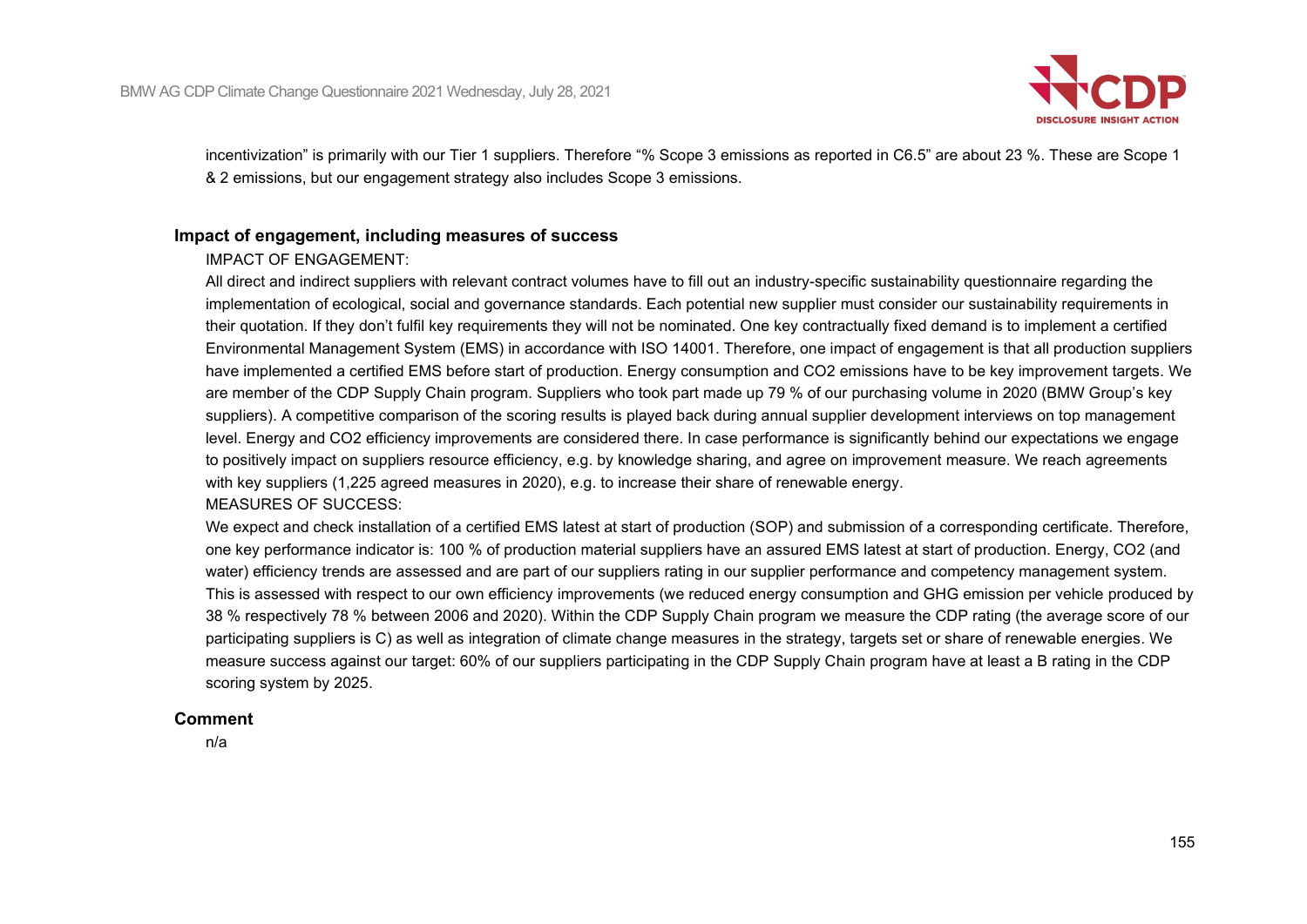

incentivization" is primarily with our Tier 1 suppliers. Therefore "% Scope 3 emissions as reported in C6.5" are about 23 %. These are Scope 1 & 2 emissions, but our engagement strategy also includes Scope 3 emissions.

### **Impact of engagement, including measures of success**

#### IMPACT OF ENGAGEMENT:

All direct and indirect suppliers with relevant contract volumes have to fill out an industry-specific sustainability questionnaire regarding the implementation of ecological, social and governance standards. Each potential new supplier must consider our sustainability requirements in their quotation. If they don't fulfil key requirements they will not be nominated. One key contractually fixed demand is to implement a certified Environmental Management System (EMS) in accordance with ISO 14001. Therefore, one impact of engagement is that all production suppliers have implemented a certified EMS before start of production. Energy consumption and CO2 emissions have to be key improvement targets. We are member of the CDP Supply Chain program. Suppliers who took part made up 79 % of our purchasing volume in 2020 (BMW Group's key suppliers). A competitive comparison of the scoring results is played back during annual supplier development interviews on top management level. Energy and CO2 efficiency improvements are considered there. In case performance is significantly behind our expectations we engage to positively impact on suppliers resource efficiency, e.g. by knowledge sharing, and agree on improvement measure. We reach agreements with key suppliers (1,225 agreed measures in 2020), e.g. to increase their share of renewable energy.

#### MEASURES OF SUCCESS:

We expect and check installation of a certified EMS latest at start of production (SOP) and submission of a corresponding certificate. Therefore, one key performance indicator is: 100 % of production material suppliers have an assured EMS latest at start of production. Energy, CO2 (and water) efficiency trends are assessed and are part of our suppliers rating in our supplier performance and competency management system. This is assessed with respect to our own efficiency improvements (we reduced energy consumption and GHG emission per vehicle produced by 38 % respectively 78 % between 2006 and 2020). Within the CDP Supply Chain program we measure the CDP rating (the average score of our participating suppliers is C) as well as integration of climate change measures in the strategy, targets set or share of renewable energies. We measure success against our target: 60% of our suppliers participating in the CDP Supply Chain program have at least a B rating in the CDP scoring system by 2025.

#### **Comment**

n/a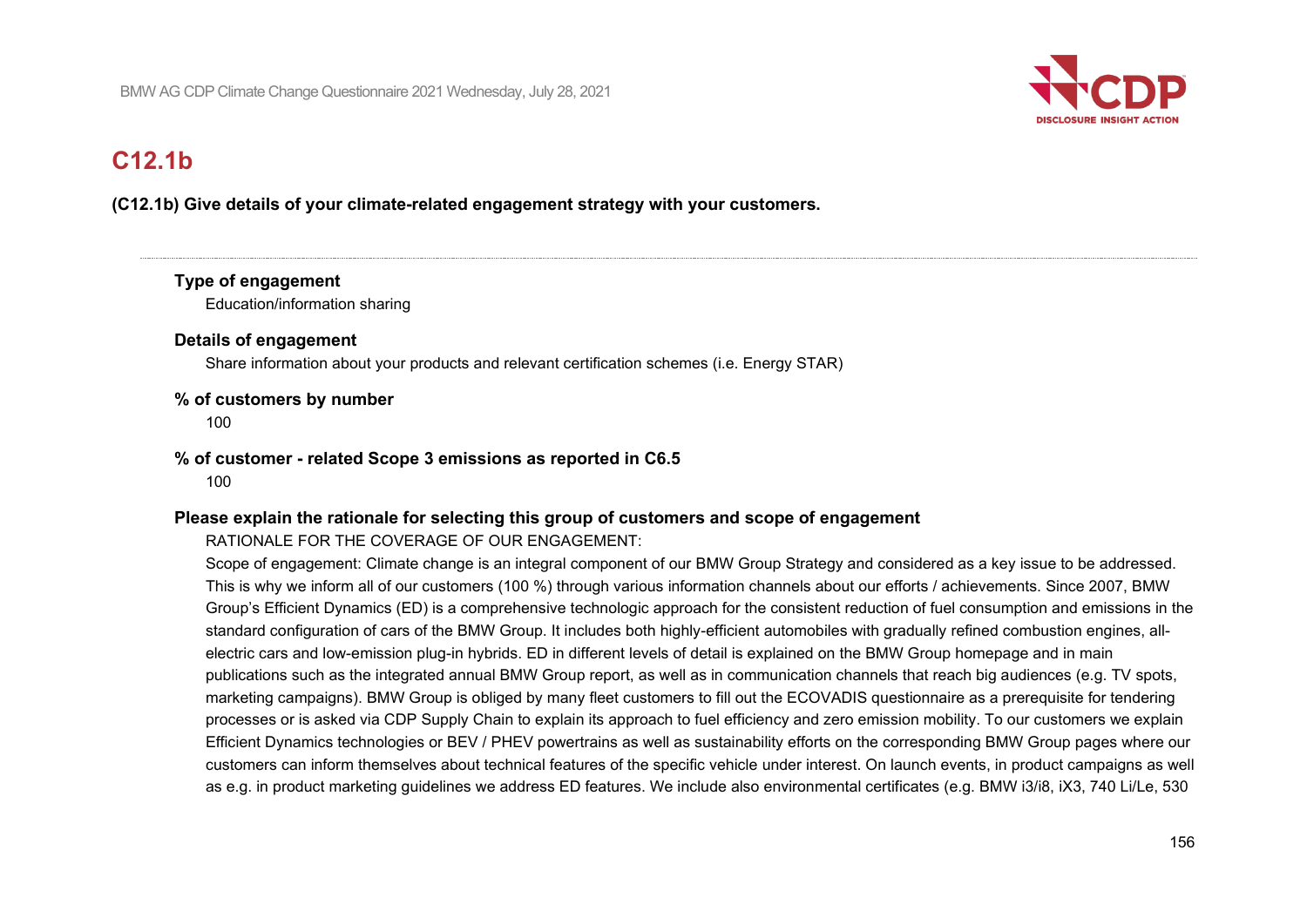

# **C12.1b**

# **(C12.1b) Give details of your climate-related engagement strategy with your customers.**

# **Type of engagement**

Education/information sharing

## **Details of engagement**

Share information about your products and relevant certification schemes (i.e. Energy STAR)

### **% of customers by number**

100

### **% of customer - related Scope 3 emissions as reported in C6.5**

100

## **Please explain the rationale for selecting this group of customers and scope of engagement**

## RATIONALE FOR THE COVERAGE OF OUR ENGAGEMENT:

Scope of engagement: Climate change is an integral component of our BMW Group Strategy and considered as a key issue to be addressed. This is why we inform all of our customers (100 %) through various information channels about our efforts / achievements. Since 2007, BMW Group's Efficient Dynamics (ED) is a comprehensive technologic approach for the consistent reduction of fuel consumption and emissions in the standard configuration of cars of the BMW Group. It includes both highly-efficient automobiles with gradually refined combustion engines, allelectric cars and low-emission plug-in hybrids. ED in different levels of detail is explained on the BMW Group homepage and in main publications such as the integrated annual BMW Group report, as well as in communication channels that reach big audiences (e.g. TV spots, marketing campaigns). BMW Group is obliged by many fleet customers to fill out the ECOVADIS questionnaire as a prerequisite for tendering processes or is asked via CDP Supply Chain to explain its approach to fuel efficiency and zero emission mobility. To our customers we explain Efficient Dynamics technologies or BEV / PHEV powertrains as well as sustainability efforts on the corresponding BMW Group pages where our customers can inform themselves about technical features of the specific vehicle under interest. On launch events, in product campaigns as well as e.g. in product marketing guidelines we address ED features. We include also environmental certificates (e.g. BMW i3/i8, iX3, 740 Li/Le, 530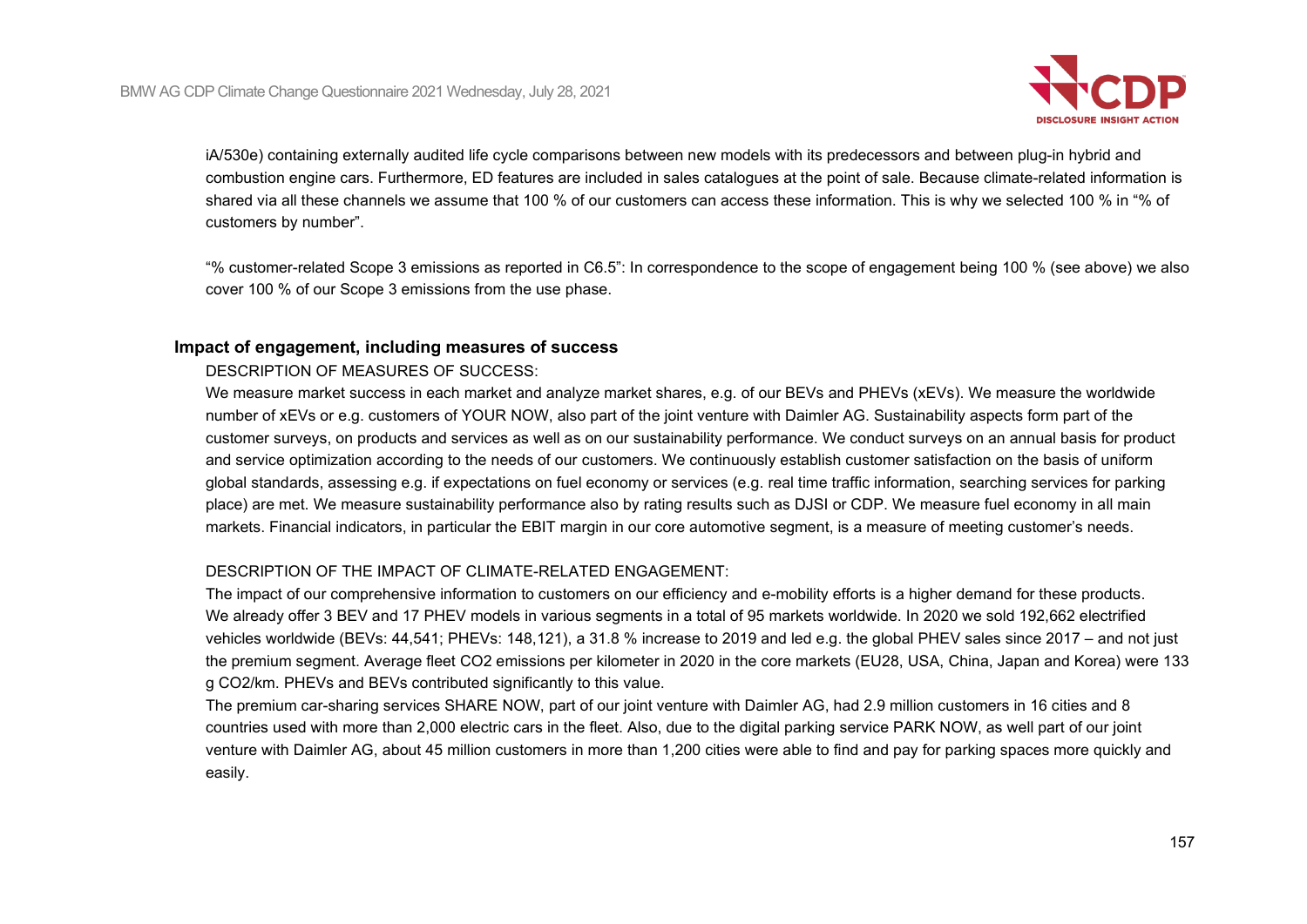

iA/530e) containing externally audited life cycle comparisons between new models with its predecessors and between plug-in hybrid and combustion engine cars. Furthermore, ED features are included in sales catalogues at the point of sale. Because climate-related information is shared via all these channels we assume that 100 % of our customers can access these information. This is why we selected 100 % in "% of customers by number".

"% customer-related Scope 3 emissions as reported in C6.5": In correspondence to the scope of engagement being 100 % (see above) we also cover 100 % of our Scope 3 emissions from the use phase.

### **Impact of engagement, including measures of success**

### DESCRIPTION OF MEASURES OF SUCCESS:

We measure market success in each market and analyze market shares, e.g. of our BEVs and PHEVs (xEVs). We measure the worldwide number of xEVs or e.g. customers of YOUR NOW, also part of the joint venture with Daimler AG. Sustainability aspects form part of the customer surveys, on products and services as well as on our sustainability performance. We conduct surveys on an annual basis for product and service optimization according to the needs of our customers. We continuously establish customer satisfaction on the basis of uniform global standards, assessing e.g. if expectations on fuel economy or services (e.g. real time traffic information, searching services for parking place) are met. We measure sustainability performance also by rating results such as DJSI or CDP. We measure fuel economy in all main markets. Financial indicators, in particular the EBIT margin in our core automotive segment, is a measure of meeting customer's needs.

## DESCRIPTION OF THE IMPACT OF CLIMATE-RELATED ENGAGEMENT:

The impact of our comprehensive information to customers on our efficiency and e-mobility efforts is a higher demand for these products. We already offer 3 BEV and 17 PHEV models in various segments in a total of 95 markets worldwide. In 2020 we sold 192,662 electrified vehicles worldwide (BEVs: 44,541; PHEVs: 148,121), a 31.8 % increase to 2019 and led e.g. the global PHEV sales since 2017 – and not just the premium segment. Average fleet CO2 emissions per kilometer in 2020 in the core markets (EU28, USA, China, Japan and Korea) were 133 g CO2/km. PHEVs and BEVs contributed significantly to this value.

The premium car-sharing services SHARE NOW, part of our joint venture with Daimler AG, had 2.9 million customers in 16 cities and 8 countries used with more than 2,000 electric cars in the fleet. Also, due to the digital parking service PARK NOW, as well part of our joint venture with Daimler AG, about 45 million customers in more than 1,200 cities were able to find and pay for parking spaces more quickly and easily.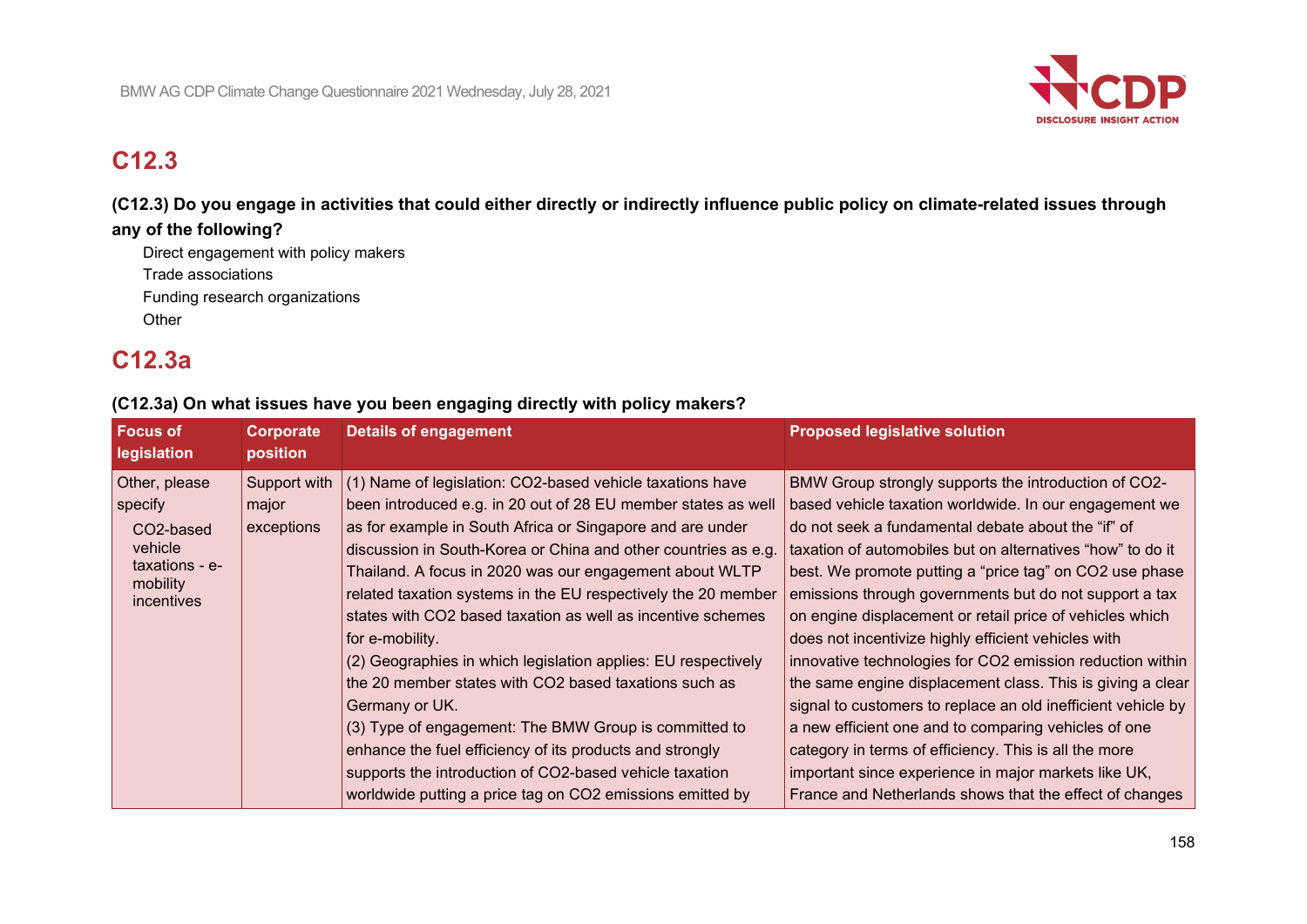

# **C12.3**

**(C12.3) Do you engage in activities that could either directly or indirectly influence public policy on climate-related issues through any of the following?**

Direct engagement with policy makers Trade associations Funding research organizations **Other** 

# **C12.3a**

# **(C12.3a) On what issues have you been engaging directly with policy makers?**

| <b>Focus of</b><br>legislation                                                               | Corporate<br>position               | <b>Details of engagement</b>                                                                                                                                                                                                                                                                                                                                                                                                                                                                                                                                                                                                                                                                                                                                                                                                                                     | <b>Proposed legislative solution</b>                                                                                                                                                                                                                                                                                                                                                                                                                                                                                                                                                                                                                                                                                                                                                                                                                                                                      |
|----------------------------------------------------------------------------------------------|-------------------------------------|------------------------------------------------------------------------------------------------------------------------------------------------------------------------------------------------------------------------------------------------------------------------------------------------------------------------------------------------------------------------------------------------------------------------------------------------------------------------------------------------------------------------------------------------------------------------------------------------------------------------------------------------------------------------------------------------------------------------------------------------------------------------------------------------------------------------------------------------------------------|-----------------------------------------------------------------------------------------------------------------------------------------------------------------------------------------------------------------------------------------------------------------------------------------------------------------------------------------------------------------------------------------------------------------------------------------------------------------------------------------------------------------------------------------------------------------------------------------------------------------------------------------------------------------------------------------------------------------------------------------------------------------------------------------------------------------------------------------------------------------------------------------------------------|
| Other, please<br>specify<br>CO2-based<br>vehicle<br>taxations - e-<br>mobility<br>incentives | Support with<br>major<br>exceptions | (1) Name of legislation: CO2-based vehicle taxations have<br>been introduced e.g. in 20 out of 28 EU member states as well<br>as for example in South Africa or Singapore and are under<br>discussion in South-Korea or China and other countries as e.g.<br>Thailand. A focus in 2020 was our engagement about WLTP<br>related taxation systems in the EU respectively the 20 member<br>states with CO2 based taxation as well as incentive schemes<br>for e-mobility.<br>(2) Geographies in which legislation applies: EU respectively<br>the 20 member states with CO2 based taxations such as<br>Germany or UK.<br>(3) Type of engagement: The BMW Group is committed to<br>enhance the fuel efficiency of its products and strongly<br>supports the introduction of CO2-based vehicle taxation<br>worldwide putting a price tag on CO2 emissions emitted by | BMW Group strongly supports the introduction of CO2-<br>based vehicle taxation worldwide. In our engagement we<br>do not seek a fundamental debate about the "if" of<br>taxation of automobiles but on alternatives "how" to do it<br>best. We promote putting a "price tag" on CO2 use phase<br>emissions through governments but do not support a tax<br>on engine displacement or retail price of vehicles which<br>does not incentivize highly efficient vehicles with<br>innovative technologies for CO2 emission reduction within<br>the same engine displacement class. This is giving a clear<br>signal to customers to replace an old inefficient vehicle by<br>a new efficient one and to comparing vehicles of one<br>category in terms of efficiency. This is all the more<br>important since experience in major markets like UK,<br>France and Netherlands shows that the effect of changes |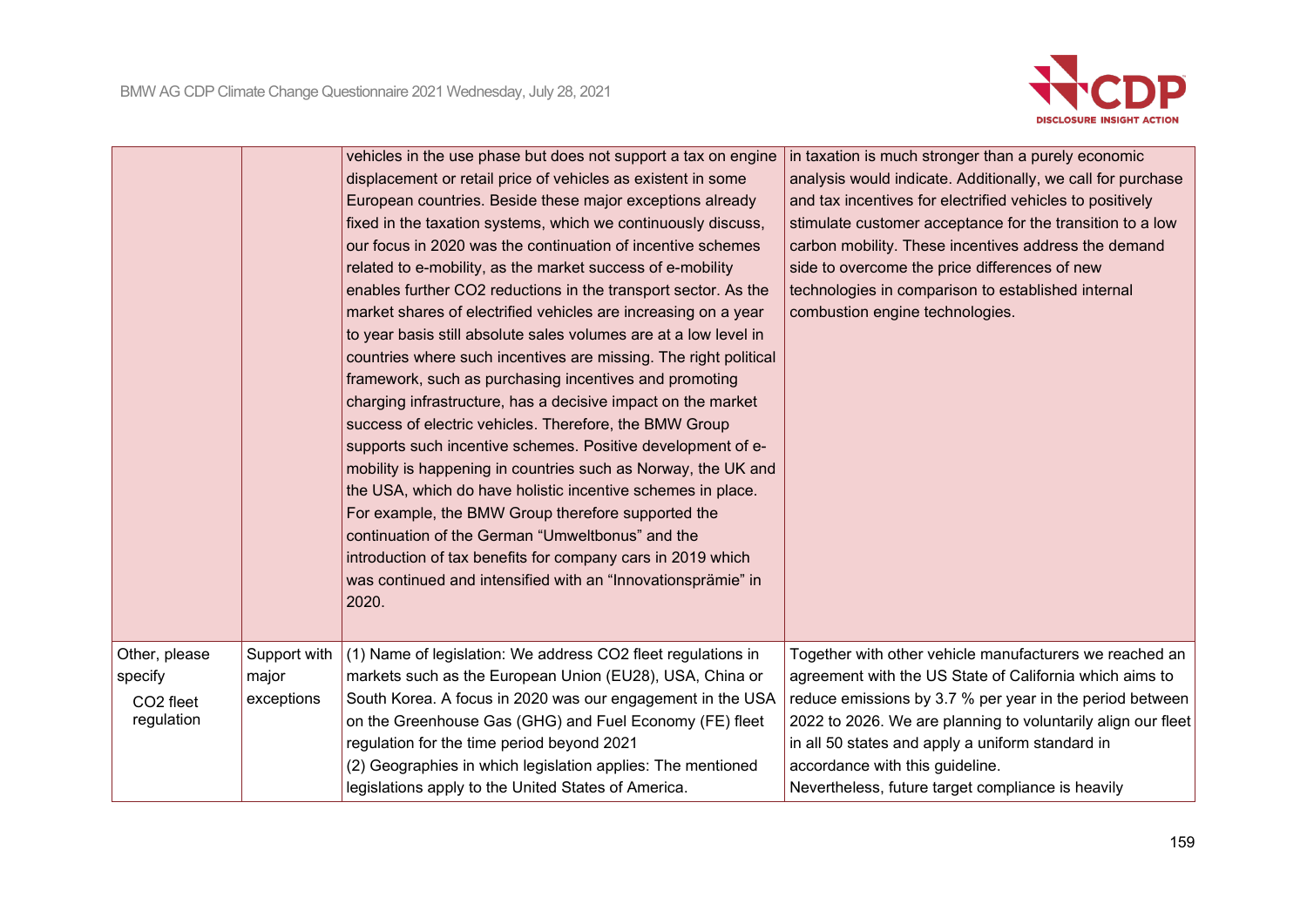

|                                                                 |                                     | vehicles in the use phase but does not support a tax on engine<br>displacement or retail price of vehicles as existent in some<br>European countries. Beside these major exceptions already<br>fixed in the taxation systems, which we continuously discuss,<br>our focus in 2020 was the continuation of incentive schemes<br>related to e-mobility, as the market success of e-mobility<br>enables further CO2 reductions in the transport sector. As the<br>market shares of electrified vehicles are increasing on a year<br>to year basis still absolute sales volumes are at a low level in<br>countries where such incentives are missing. The right political<br>framework, such as purchasing incentives and promoting<br>charging infrastructure, has a decisive impact on the market<br>success of electric vehicles. Therefore, the BMW Group<br>supports such incentive schemes. Positive development of e-<br>mobility is happening in countries such as Norway, the UK and<br>the USA, which do have holistic incentive schemes in place.<br>For example, the BMW Group therefore supported the<br>continuation of the German "Umweltbonus" and the<br>introduction of tax benefits for company cars in 2019 which<br>was continued and intensified with an "Innovationsprämie" in<br>2020. | in taxation is much stronger than a purely economic<br>analysis would indicate. Additionally, we call for purchase<br>and tax incentives for electrified vehicles to positively<br>stimulate customer acceptance for the transition to a low<br>carbon mobility. These incentives address the demand<br>side to overcome the price differences of new<br>technologies in comparison to established internal<br>combustion engine technologies. |
|-----------------------------------------------------------------|-------------------------------------|------------------------------------------------------------------------------------------------------------------------------------------------------------------------------------------------------------------------------------------------------------------------------------------------------------------------------------------------------------------------------------------------------------------------------------------------------------------------------------------------------------------------------------------------------------------------------------------------------------------------------------------------------------------------------------------------------------------------------------------------------------------------------------------------------------------------------------------------------------------------------------------------------------------------------------------------------------------------------------------------------------------------------------------------------------------------------------------------------------------------------------------------------------------------------------------------------------------------------------------------------------------------------------------------------------|------------------------------------------------------------------------------------------------------------------------------------------------------------------------------------------------------------------------------------------------------------------------------------------------------------------------------------------------------------------------------------------------------------------------------------------------|
| Other, please<br>specify<br>CO <sub>2</sub> fleet<br>regulation | Support with<br>major<br>exceptions | (1) Name of legislation: We address CO2 fleet regulations in<br>markets such as the European Union (EU28), USA, China or<br>South Korea. A focus in 2020 was our engagement in the USA<br>on the Greenhouse Gas (GHG) and Fuel Economy (FE) fleet<br>regulation for the time period beyond 2021<br>(2) Geographies in which legislation applies: The mentioned<br>legislations apply to the United States of America.                                                                                                                                                                                                                                                                                                                                                                                                                                                                                                                                                                                                                                                                                                                                                                                                                                                                                      | Together with other vehicle manufacturers we reached an<br>agreement with the US State of California which aims to<br>reduce emissions by 3.7 % per year in the period between<br>2022 to 2026. We are planning to voluntarily align our fleet<br>in all 50 states and apply a uniform standard in<br>accordance with this guideline.<br>Nevertheless, future target compliance is heavily                                                     |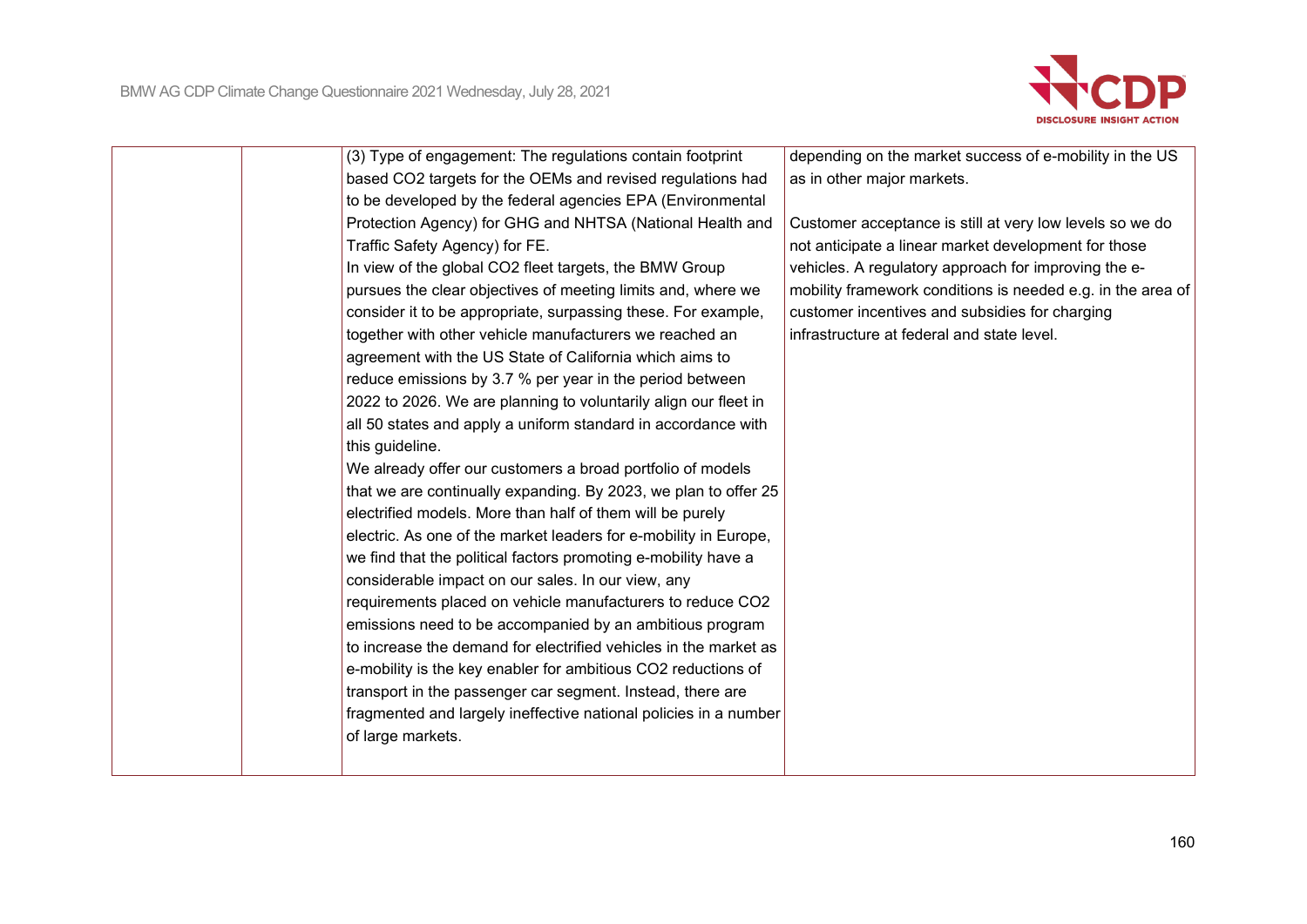

| (3) Type of engagement: The regulations contain footprint        | depending on the market success of e-mobility in the US     |
|------------------------------------------------------------------|-------------------------------------------------------------|
| based CO2 targets for the OEMs and revised regulations had       | as in other major markets.                                  |
| to be developed by the federal agencies EPA (Environmental       |                                                             |
| Protection Agency) for GHG and NHTSA (National Health and        | Customer acceptance is still at very low levels so we do    |
| Traffic Safety Agency) for FE.                                   | not anticipate a linear market development for those        |
| In view of the global CO2 fleet targets, the BMW Group           | vehicles. A regulatory approach for improving the e-        |
| pursues the clear objectives of meeting limits and, where we     | mobility framework conditions is needed e.g. in the area of |
| consider it to be appropriate, surpassing these. For example,    | customer incentives and subsidies for charging              |
| together with other vehicle manufacturers we reached an          | infrastructure at federal and state level.                  |
| agreement with the US State of California which aims to          |                                                             |
| reduce emissions by 3.7 % per year in the period between         |                                                             |
| 2022 to 2026. We are planning to voluntarily align our fleet in  |                                                             |
| all 50 states and apply a uniform standard in accordance with    |                                                             |
| this guideline.                                                  |                                                             |
| We already offer our customers a broad portfolio of models       |                                                             |
| that we are continually expanding. By 2023, we plan to offer 25  |                                                             |
| electrified models. More than half of them will be purely        |                                                             |
| electric. As one of the market leaders for e-mobility in Europe, |                                                             |
| we find that the political factors promoting e-mobility have a   |                                                             |
| considerable impact on our sales. In our view, any               |                                                             |
| requirements placed on vehicle manufacturers to reduce CO2       |                                                             |
| emissions need to be accompanied by an ambitious program         |                                                             |
| to increase the demand for electrified vehicles in the market as |                                                             |
| e-mobility is the key enabler for ambitious CO2 reductions of    |                                                             |
| transport in the passenger car segment. Instead, there are       |                                                             |
| fragmented and largely ineffective national policies in a number |                                                             |
| of large markets.                                                |                                                             |
|                                                                  |                                                             |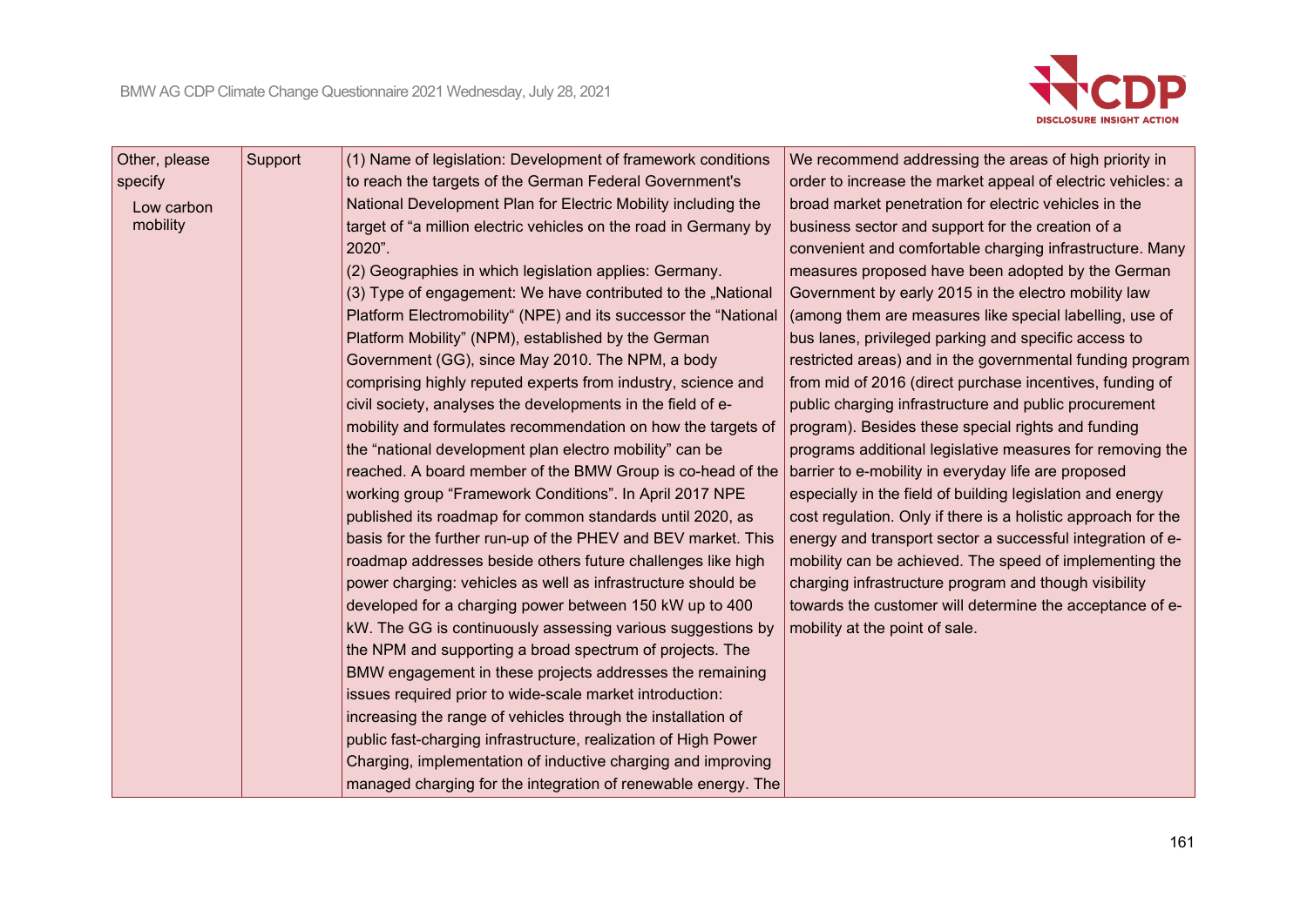

| Other, please | Support | (1) Name of legislation: Development of framework conditions     | We recommend addressing the areas of high priority in         |
|---------------|---------|------------------------------------------------------------------|---------------------------------------------------------------|
| specify       |         | to reach the targets of the German Federal Government's          | order to increase the market appeal of electric vehicles: a   |
| Low carbon    |         | National Development Plan for Electric Mobility including the    | broad market penetration for electric vehicles in the         |
| mobility      |         | target of "a million electric vehicles on the road in Germany by | business sector and support for the creation of a             |
|               |         | 2020".                                                           | convenient and comfortable charging infrastructure. Many      |
|               |         | (2) Geographies in which legislation applies: Germany.           | measures proposed have been adopted by the German             |
|               |         | (3) Type of engagement: We have contributed to the "National     | Government by early 2015 in the electro mobility law          |
|               |         | Platform Electromobility" (NPE) and its successor the "National  | (among them are measures like special labelling, use of       |
|               |         | Platform Mobility" (NPM), established by the German              | bus lanes, privileged parking and specific access to          |
|               |         | Government (GG), since May 2010. The NPM, a body                 | restricted areas) and in the governmental funding program     |
|               |         | comprising highly reputed experts from industry, science and     | from mid of 2016 (direct purchase incentives, funding of      |
|               |         | civil society, analyses the developments in the field of e-      | public charging infrastructure and public procurement         |
|               |         | mobility and formulates recommendation on how the targets of     | program). Besides these special rights and funding            |
|               |         | the "national development plan electro mobility" can be          | programs additional legislative measures for removing the     |
|               |         | reached. A board member of the BMW Group is co-head of the       | barrier to e-mobility in everyday life are proposed           |
|               |         | working group "Framework Conditions". In April 2017 NPE          | especially in the field of building legislation and energy    |
|               |         | published its roadmap for common standards until 2020, as        | cost regulation. Only if there is a holistic approach for the |
|               |         | basis for the further run-up of the PHEV and BEV market. This    | energy and transport sector a successful integration of e-    |
|               |         | roadmap addresses beside others future challenges like high      | mobility can be achieved. The speed of implementing the       |
|               |         | power charging: vehicles as well as infrastructure should be     | charging infrastructure program and though visibility         |
|               |         | developed for a charging power between 150 kW up to 400          | towards the customer will determine the acceptance of e-      |
|               |         | kW. The GG is continuously assessing various suggestions by      | mobility at the point of sale.                                |
|               |         | the NPM and supporting a broad spectrum of projects. The         |                                                               |
|               |         | BMW engagement in these projects addresses the remaining         |                                                               |
|               |         | issues required prior to wide-scale market introduction:         |                                                               |
|               |         | increasing the range of vehicles through the installation of     |                                                               |
|               |         | public fast-charging infrastructure, realization of High Power   |                                                               |
|               |         | Charging, implementation of inductive charging and improving     |                                                               |
|               |         | managed charging for the integration of renewable energy. The    |                                                               |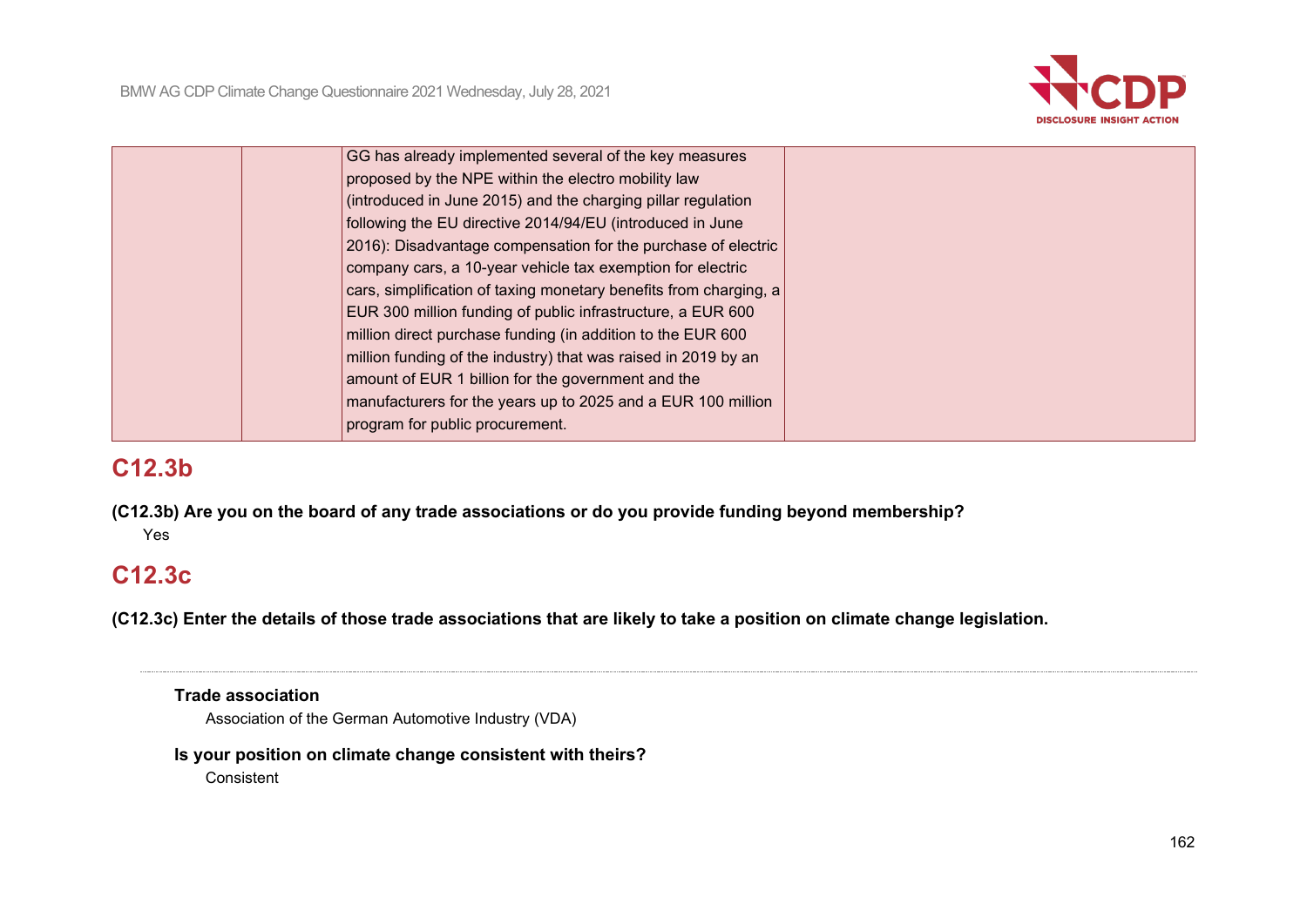

| GG has already implemented several of the key measures            |  |
|-------------------------------------------------------------------|--|
| proposed by the NPE within the electro mobility law               |  |
| (introduced in June 2015) and the charging pillar regulation      |  |
| following the EU directive 2014/94/EU (introduced in June         |  |
| 2016): Disadvantage compensation for the purchase of electric     |  |
| company cars, a 10-year vehicle tax exemption for electric        |  |
| cars, simplification of taxing monetary benefits from charging, a |  |
| EUR 300 million funding of public infrastructure, a EUR 600       |  |
| million direct purchase funding (in addition to the EUR 600       |  |
| million funding of the industry) that was raised in 2019 by an    |  |
| amount of EUR 1 billion for the government and the                |  |
| manufacturers for the years up to 2025 and a EUR 100 million      |  |
| program for public procurement.                                   |  |
|                                                                   |  |

# **C12.3b**

**(C12.3b) Are you on the board of any trade associations or do you provide funding beyond membership?** Yes

# **C12.3c**

**(C12.3c) Enter the details of those trade associations that are likely to take a position on climate change legislation.**

**Trade association**

Association of the German Automotive Industry (VDA)

# **Is your position on climate change consistent with theirs?**

Consistent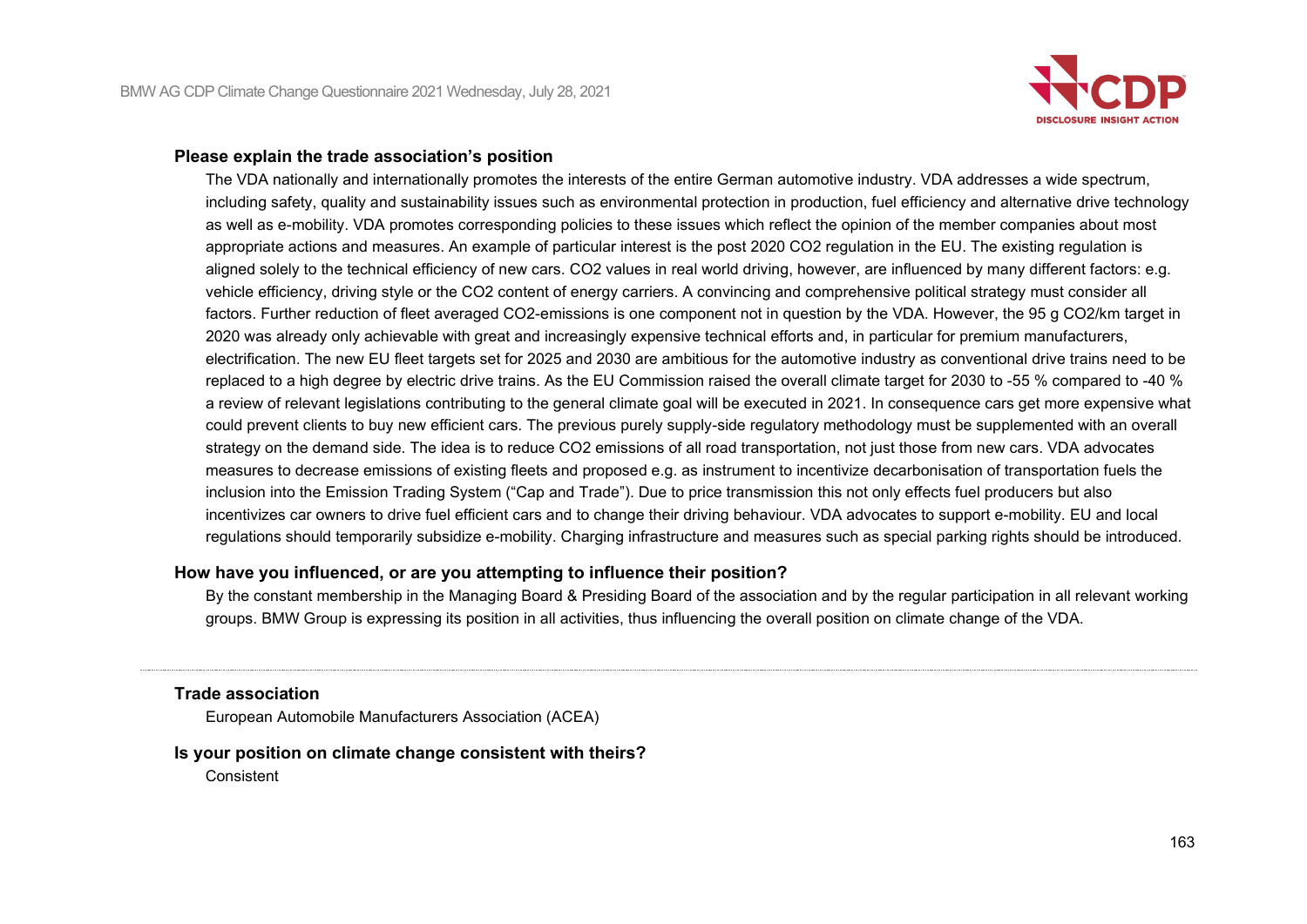

### **Please explain the trade association's position**

The VDA nationally and internationally promotes the interests of the entire German automotive industry. VDA addresses a wide spectrum, including safety, quality and sustainability issues such as environmental protection in production, fuel efficiency and alternative drive technology as well as e-mobility. VDA promotes corresponding policies to these issues which reflect the opinion of the member companies about most appropriate actions and measures. An example of particular interest is the post 2020 CO2 regulation in the EU. The existing regulation is aligned solely to the technical efficiency of new cars. CO2 values in real world driving, however, are influenced by many different factors: e.g. vehicle efficiency, driving style or the CO2 content of energy carriers. A convincing and comprehensive political strategy must consider all factors. Further reduction of fleet averaged CO2-emissions is one component not in question by the VDA. However, the 95 g CO2/km target in 2020 was already only achievable with great and increasingly expensive technical efforts and, in particular for premium manufacturers, electrification. The new EU fleet targets set for 2025 and 2030 are ambitious for the automotive industry as conventional drive trains need to be replaced to a high degree by electric drive trains. As the EU Commission raised the overall climate target for 2030 to -55 % compared to -40 % a review of relevant legislations contributing to the general climate goal will be executed in 2021. In consequence cars get more expensive what could prevent clients to buy new efficient cars. The previous purely supply-side regulatory methodology must be supplemented with an overall strategy on the demand side. The idea is to reduce CO2 emissions of all road transportation, not just those from new cars. VDA advocates measures to decrease emissions of existing fleets and proposed e.g. as instrument to incentivize decarbonisation of transportation fuels the inclusion into the Emission Trading System ("Cap and Trade"). Due to price transmission this not only effects fuel producers but also incentivizes car owners to drive fuel efficient cars and to change their driving behaviour. VDA advocates to support e-mobility. EU and local regulations should temporarily subsidize e-mobility. Charging infrastructure and measures such as special parking rights should be introduced.

### **How have you influenced, or are you attempting to influence their position?**

By the constant membership in the Managing Board & Presiding Board of the association and by the regular participation in all relevant working groups. BMW Group is expressing its position in all activities, thus influencing the overall position on climate change of the VDA.

### **Trade association**

European Automobile Manufacturers Association (ACEA)

### **Is your position on climate change consistent with theirs?**

**Consistent**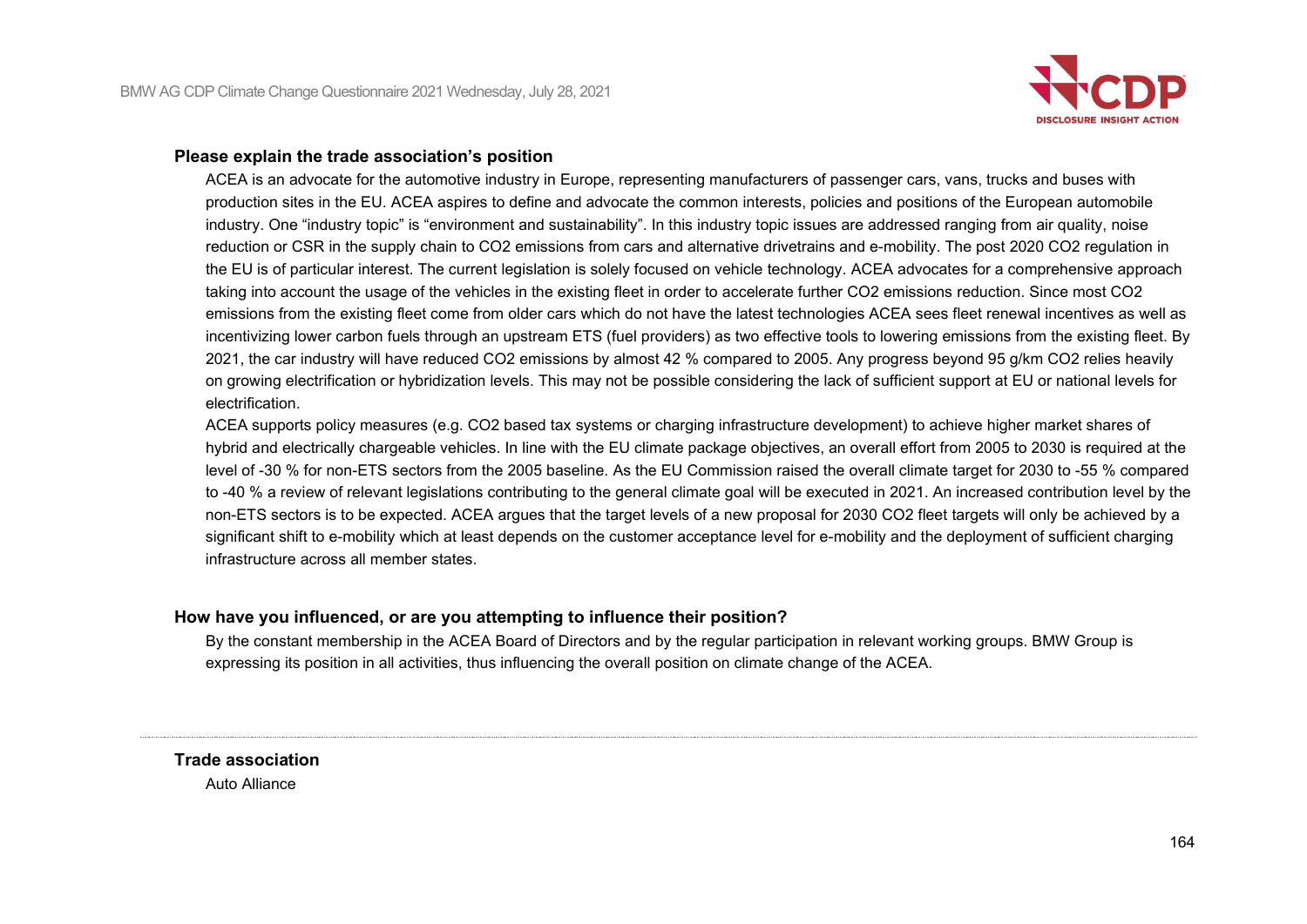

### **Please explain the trade association's position**

ACEA is an advocate for the automotive industry in Europe, representing manufacturers of passenger cars, vans, trucks and buses with production sites in the EU. ACEA aspires to define and advocate the common interests, policies and positions of the European automobile industry. One "industry topic" is "environment and sustainability". In this industry topic issues are addressed ranging from air quality, noise reduction or CSR in the supply chain to CO2 emissions from cars and alternative drivetrains and e-mobility. The post 2020 CO2 regulation in the EU is of particular interest. The current legislation is solely focused on vehicle technology. ACEA advocates for a comprehensive approach taking into account the usage of the vehicles in the existing fleet in order to accelerate further CO2 emissions reduction. Since most CO2 emissions from the existing fleet come from older cars which do not have the latest technologies ACEA sees fleet renewal incentives as well as incentivizing lower carbon fuels through an upstream ETS (fuel providers) as two effective tools to lowering emissions from the existing fleet. By 2021, the car industry will have reduced CO2 emissions by almost 42 % compared to 2005. Any progress beyond 95 g/km CO2 relies heavily on growing electrification or hybridization levels. This may not be possible considering the lack of sufficient support at EU or national levels for electrification.

ACEA supports policy measures (e.g. CO2 based tax systems or charging infrastructure development) to achieve higher market shares of hybrid and electrically chargeable vehicles. In line with the EU climate package objectives, an overall effort from 2005 to 2030 is required at the level of -30 % for non-ETS sectors from the 2005 baseline. As the EU Commission raised the overall climate target for 2030 to -55 % compared to -40 % a review of relevant legislations contributing to the general climate goal will be executed in 2021. An increased contribution level by the non-ETS sectors is to be expected. ACEA argues that the target levels of a new proposal for 2030 CO2 fleet targets will only be achieved by a significant shift to e-mobility which at least depends on the customer acceptance level for e-mobility and the deployment of sufficient charging infrastructure across all member states.

## **How have you influenced, or are you attempting to influence their position?**

By the constant membership in the ACEA Board of Directors and by the regular participation in relevant working groups. BMW Group is expressing its position in all activities, thus influencing the overall position on climate change of the ACEA.

**Trade association** Auto Alliance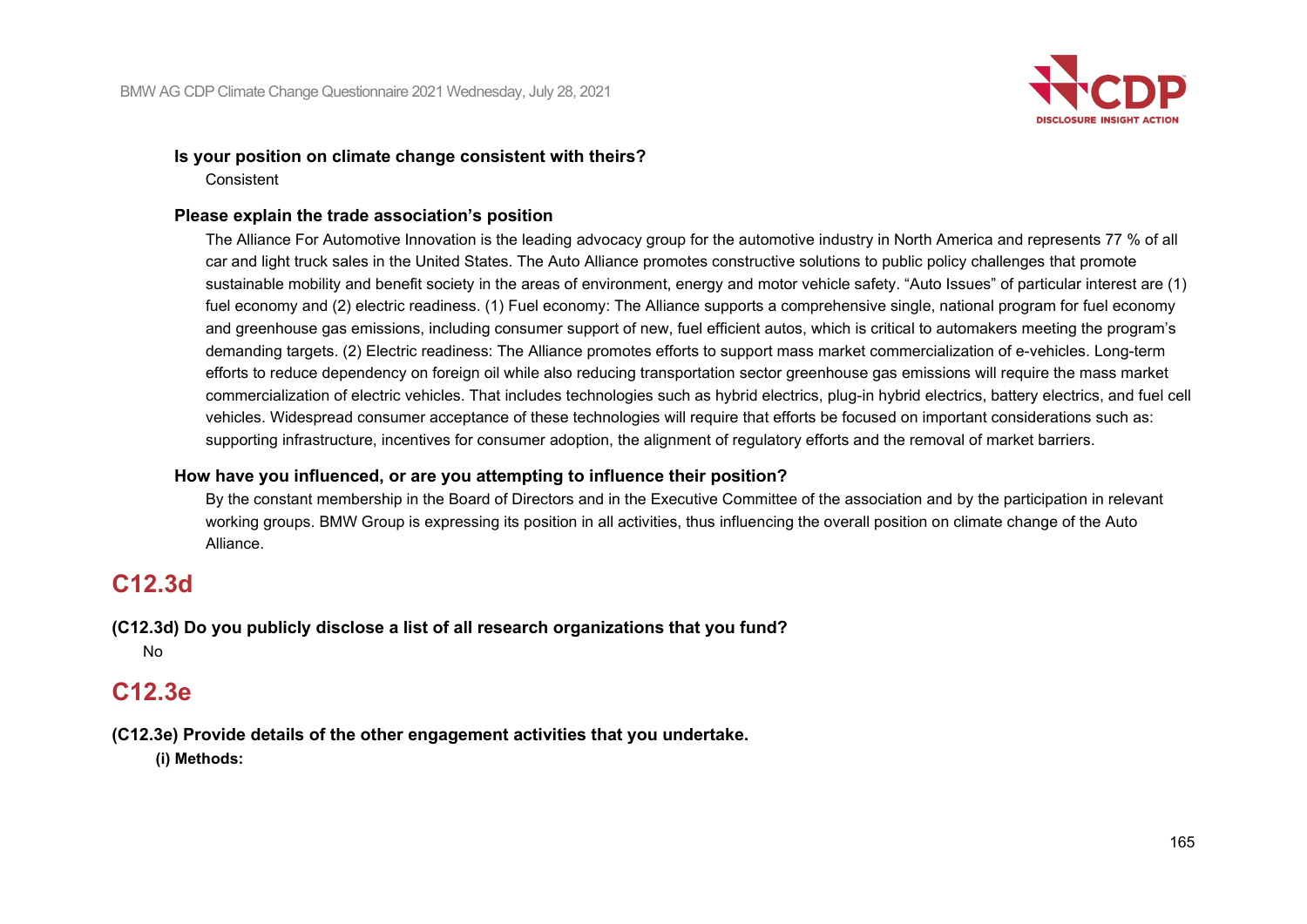

#### **Is your position on climate change consistent with theirs?** Consistent

### **Please explain the trade association's position**

The Alliance For Automotive Innovation is the leading advocacy group for the automotive industry in North America and represents 77 % of all car and light truck sales in the United States. The Auto Alliance promotes constructive solutions to public policy challenges that promote sustainable mobility and benefit society in the areas of environment, energy and motor vehicle safety. "Auto Issues" of particular interest are (1) fuel economy and (2) electric readiness. (1) Fuel economy: The Alliance supports a comprehensive single, national program for fuel economy and greenhouse gas emissions, including consumer support of new, fuel efficient autos, which is critical to automakers meeting the program's demanding targets. (2) Electric readiness: The Alliance promotes efforts to support mass market commercialization of e-vehicles. Long-term efforts to reduce dependency on foreign oil while also reducing transportation sector greenhouse gas emissions will require the mass market commercialization of electric vehicles. That includes technologies such as hybrid electrics, plug-in hybrid electrics, battery electrics, and fuel cell vehicles. Widespread consumer acceptance of these technologies will require that efforts be focused on important considerations such as: supporting infrastructure, incentives for consumer adoption, the alignment of regulatory efforts and the removal of market barriers.

## **How have you influenced, or are you attempting to influence their position?**

By the constant membership in the Board of Directors and in the Executive Committee of the association and by the participation in relevant working groups. BMW Group is expressing its position in all activities, thus influencing the overall position on climate change of the Auto Alliance.

# **C12.3d**

**(C12.3d) Do you publicly disclose a list of all research organizations that you fund?** No

# **C12.3e**

**(C12.3e) Provide details of the other engagement activities that you undertake. (i) Methods:**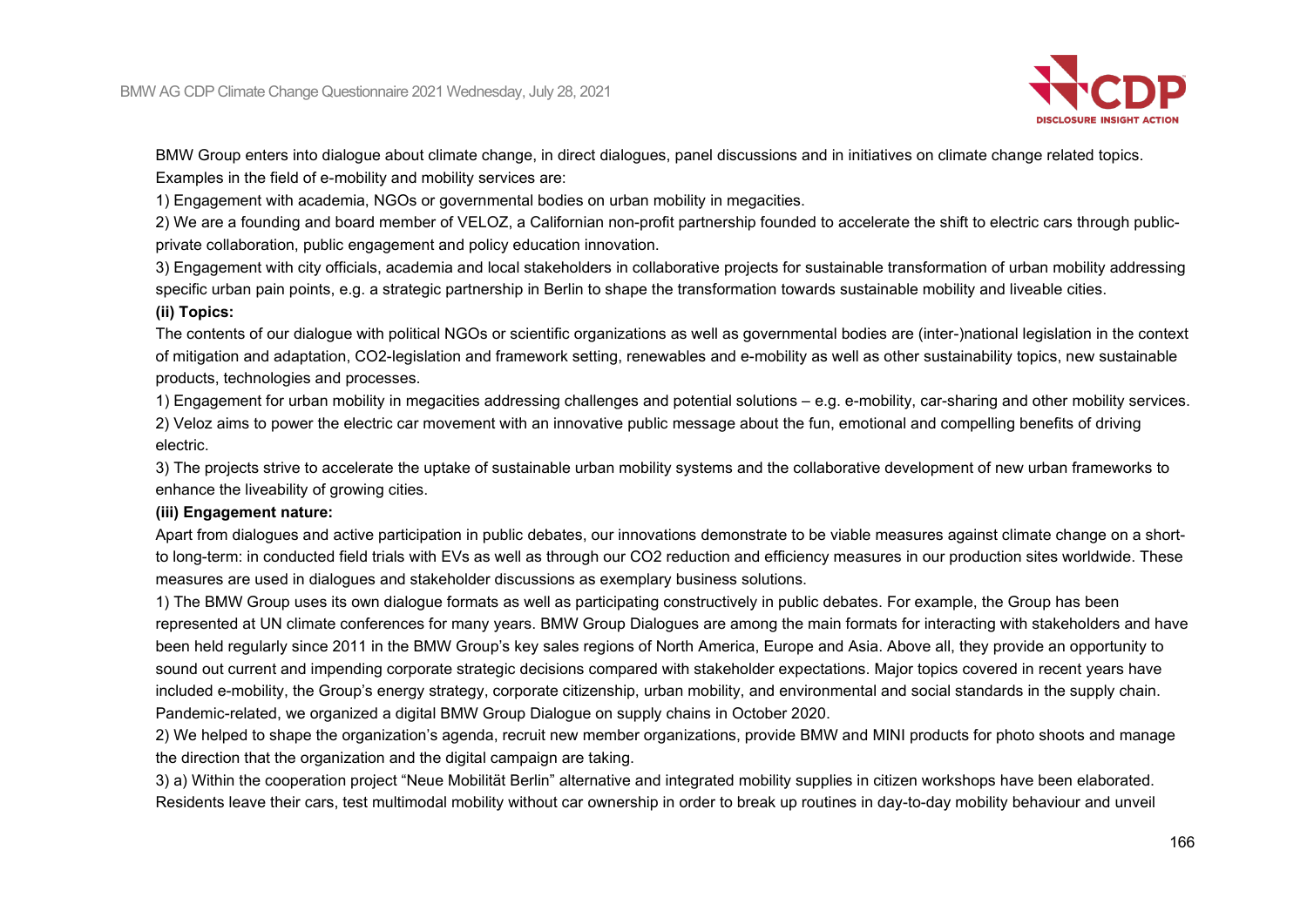

BMW Group enters into dialogue about climate change, in direct dialogues, panel discussions and in initiatives on climate change related topics. Examples in the field of e-mobility and mobility services are:

1) Engagement with academia, NGOs or governmental bodies on urban mobility in megacities.

2) We are a founding and board member of VELOZ, a Californian non-profit partnership founded to accelerate the shift to electric cars through publicprivate collaboration, public engagement and policy education innovation.

3) Engagement with city officials, academia and local stakeholders in collaborative projects for sustainable transformation of urban mobility addressing specific urban pain points, e.g. a strategic partnership in Berlin to shape the transformation towards sustainable mobility and liveable cities.

### **(ii) Topics:**

The contents of our dialogue with political NGOs or scientific organizations as well as governmental bodies are (inter-)national legislation in the context of mitigation and adaptation, CO2-legislation and framework setting, renewables and e-mobility as well as other sustainability topics, new sustainable products, technologies and processes.

1) Engagement for urban mobility in megacities addressing challenges and potential solutions – e.g. e-mobility, car-sharing and other mobility services. 2) Veloz aims to power the electric car movement with an innovative public message about the fun, emotional and compelling benefits of driving electric.

3) The projects strive to accelerate the uptake of sustainable urban mobility systems and the collaborative development of new urban frameworks to enhance the liveability of growing cities.

### **(iii) Engagement nature:**

Apart from dialogues and active participation in public debates, our innovations demonstrate to be viable measures against climate change on a shortto long-term: in conducted field trials with EVs as well as through our CO2 reduction and efficiency measures in our production sites worldwide. These measures are used in dialogues and stakeholder discussions as exemplary business solutions.

1) The BMW Group uses its own dialogue formats as well as participating constructively in public debates. For example, the Group has been represented at UN climate conferences for many years. BMW Group Dialogues are among the main formats for interacting with stakeholders and have been held regularly since 2011 in the BMW Group's key sales regions of North America, Europe and Asia. Above all, they provide an opportunity to sound out current and impending corporate strategic decisions compared with stakeholder expectations. Major topics covered in recent years have included e-mobility, the Group's energy strategy, corporate citizenship, urban mobility, and environmental and social standards in the supply chain. Pandemic-related, we organized a digital BMW Group Dialogue on supply chains in October 2020.

2) We helped to shape the organization's agenda, recruit new member organizations, provide BMW and MINI products for photo shoots and manage the direction that the organization and the digital campaign are taking.

3) a) Within the cooperation project "Neue Mobilität Berlin" alternative and integrated mobility supplies in citizen workshops have been elaborated. Residents leave their cars, test multimodal mobility without car ownership in order to break up routines in day-to-day mobility behaviour and unveil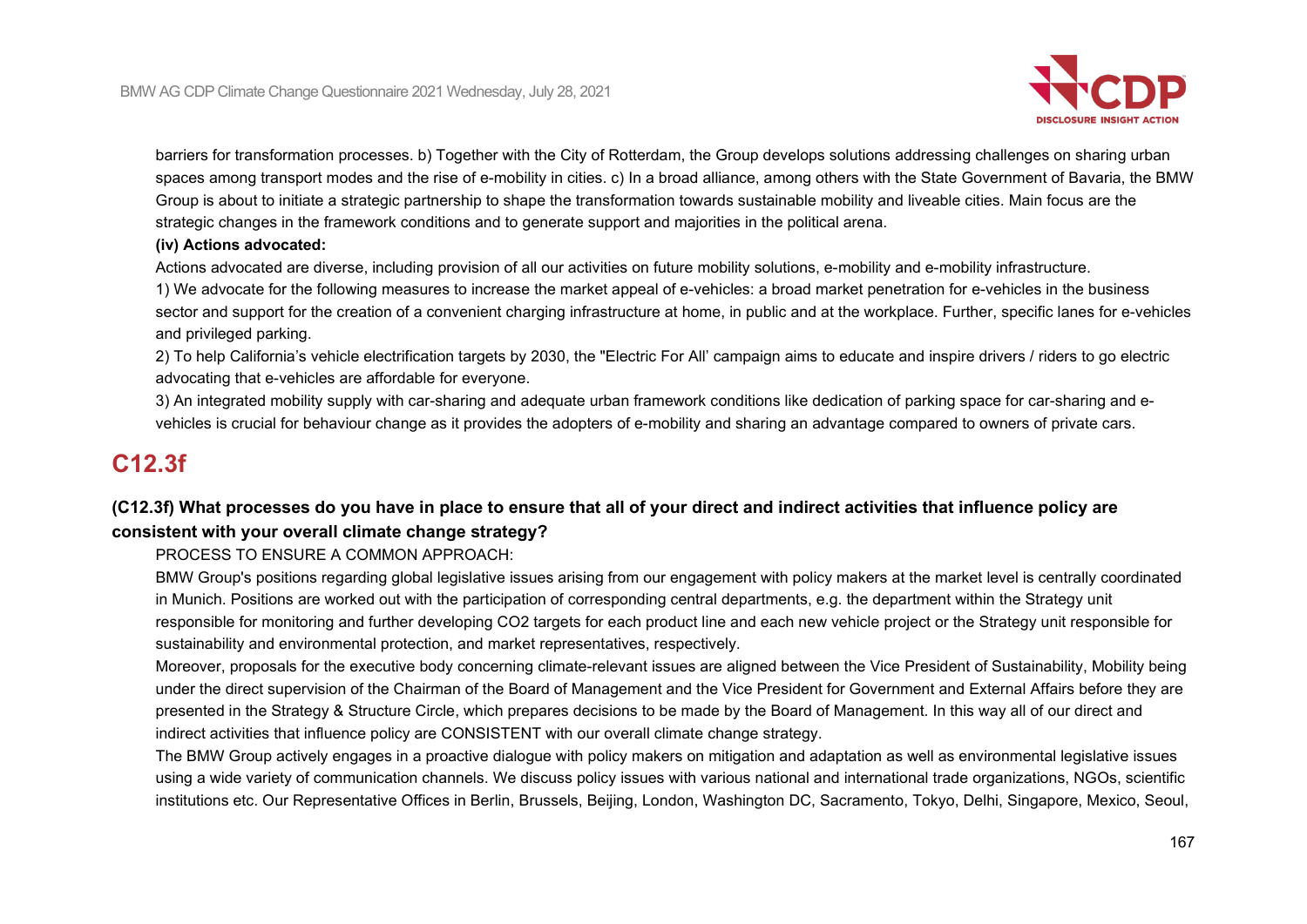

barriers for transformation processes. b) Together with the City of Rotterdam, the Group develops solutions addressing challenges on sharing urban spaces among transport modes and the rise of e-mobility in cities. c) In a broad alliance, among others with the State Government of Bavaria, the BMW Group is about to initiate a strategic partnership to shape the transformation towards sustainable mobility and liveable cities. Main focus are the strategic changes in the framework conditions and to generate support and majorities in the political arena.

#### **(iv) Actions advocated:**

Actions advocated are diverse, including provision of all our activities on future mobility solutions, e-mobility and e-mobility infrastructure.

1) We advocate for the following measures to increase the market appeal of e-vehicles: a broad market penetration for e-vehicles in the business sector and support for the creation of a convenient charging infrastructure at home, in public and at the workplace. Further, specific lanes for e-vehicles and privileged parking.

2) To help California's vehicle electrification targets by 2030, the "Electric For All' campaign aims to educate and inspire drivers / riders to go electric advocating that e-vehicles are affordable for everyone.

3) An integrated mobility supply with car-sharing and adequate urban framework conditions like dedication of parking space for car-sharing and evehicles is crucial for behaviour change as it provides the adopters of e-mobility and sharing an advantage compared to owners of private cars.

# **C12.3f**

# **(C12.3f) What processes do you have in place to ensure that all of your direct and indirect activities that influence policy are consistent with your overall climate change strategy?**

PROCESS TO ENSURE A COMMON APPROACH:

BMW Group's positions regarding global legislative issues arising from our engagement with policy makers at the market level is centrally coordinated in Munich. Positions are worked out with the participation of corresponding central departments, e.g. the department within the Strategy unit responsible for monitoring and further developing CO2 targets for each product line and each new vehicle project or the Strategy unit responsible for sustainability and environmental protection, and market representatives, respectively.

Moreover, proposals for the executive body concerning climate-relevant issues are aligned between the Vice President of Sustainability, Mobility being under the direct supervision of the Chairman of the Board of Management and the Vice President for Government and External Affairs before they are presented in the Strategy & Structure Circle, which prepares decisions to be made by the Board of Management. In this way all of our direct and indirect activities that influence policy are CONSISTENT with our overall climate change strategy.

The BMW Group actively engages in a proactive dialogue with policy makers on mitigation and adaptation as well as environmental legislative issues using a wide variety of communication channels. We discuss policy issues with various national and international trade organizations, NGOs, scientific institutions etc. Our Representative Offices in Berlin, Brussels, Beijing, London, Washington DC, Sacramento, Tokyo, Delhi, Singapore, Mexico, Seoul,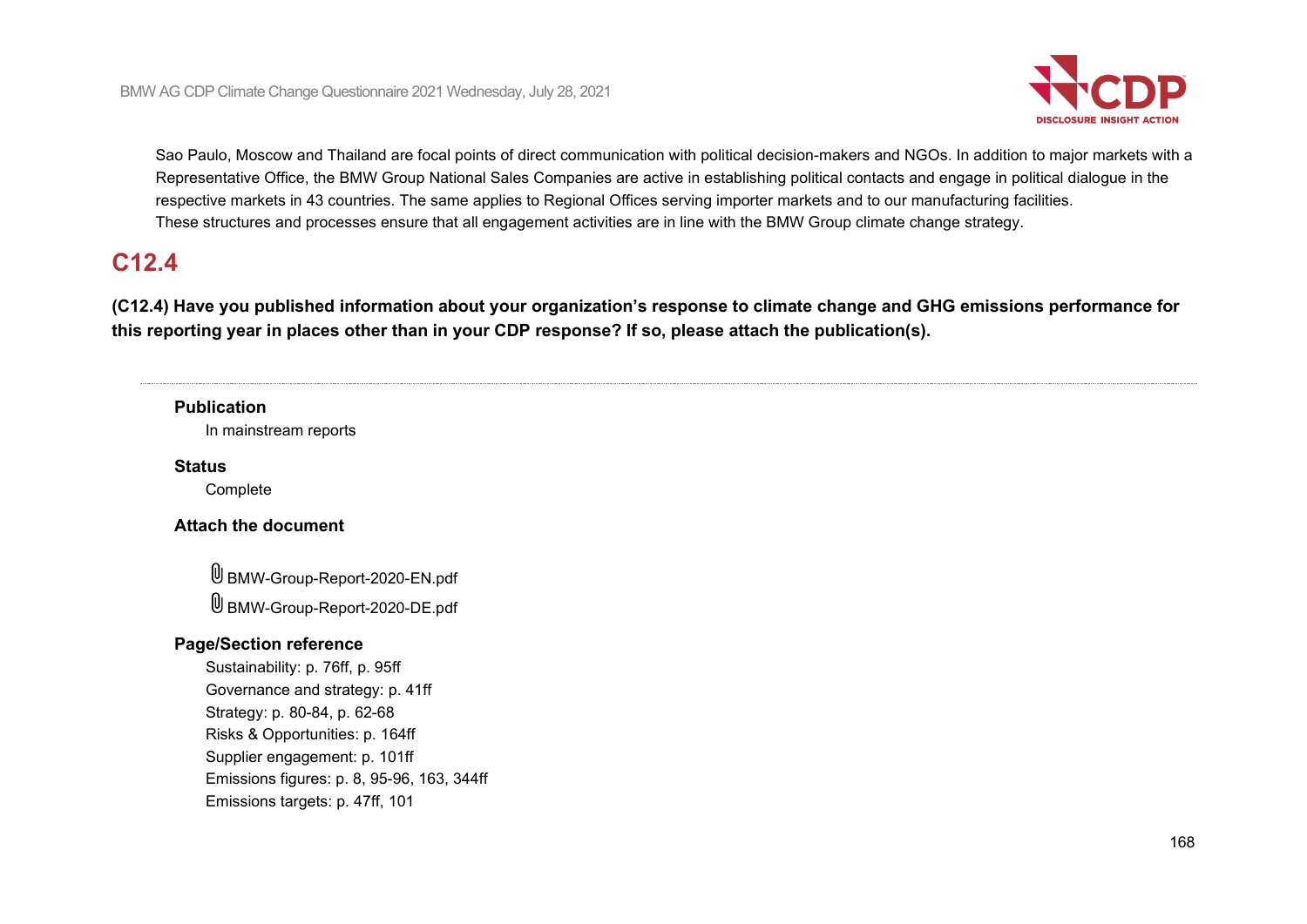

Sao Paulo, Moscow and Thailand are focal points of direct communication with political decision-makers and NGOs. In addition to major markets with a Representative Office, the BMW Group National Sales Companies are active in establishing political contacts and engage in political dialogue in the respective markets in 43 countries. The same applies to Regional Offices serving importer markets and to our manufacturing facilities. These structures and processes ensure that all engagement activities are in line with the BMW Group climate change strategy.

# **C12.4**

**(C12.4) Have you published information about your organization's response to climate change and GHG emissions performance for this reporting year in places other than in your CDP response? If so, please attach the publication(s).**

## **Publication**

In mainstream reports

#### **Status**

Complete

## **Attach the document**

BMW-Group-Report-2020-EN.pdf BMW-Group-Report-2020-DE.pdf

### **Page/Section reference**

Sustainability: p. 76ff, p. 95ff Governance and strategy: p. 41ff Strategy: p. 80-84, p. 62-68 Risks & Opportunities: p. 164ff Supplier engagement: p. 101ff Emissions figures: p. 8, 95-96, 163, 344ff Emissions targets: p. 47ff, 101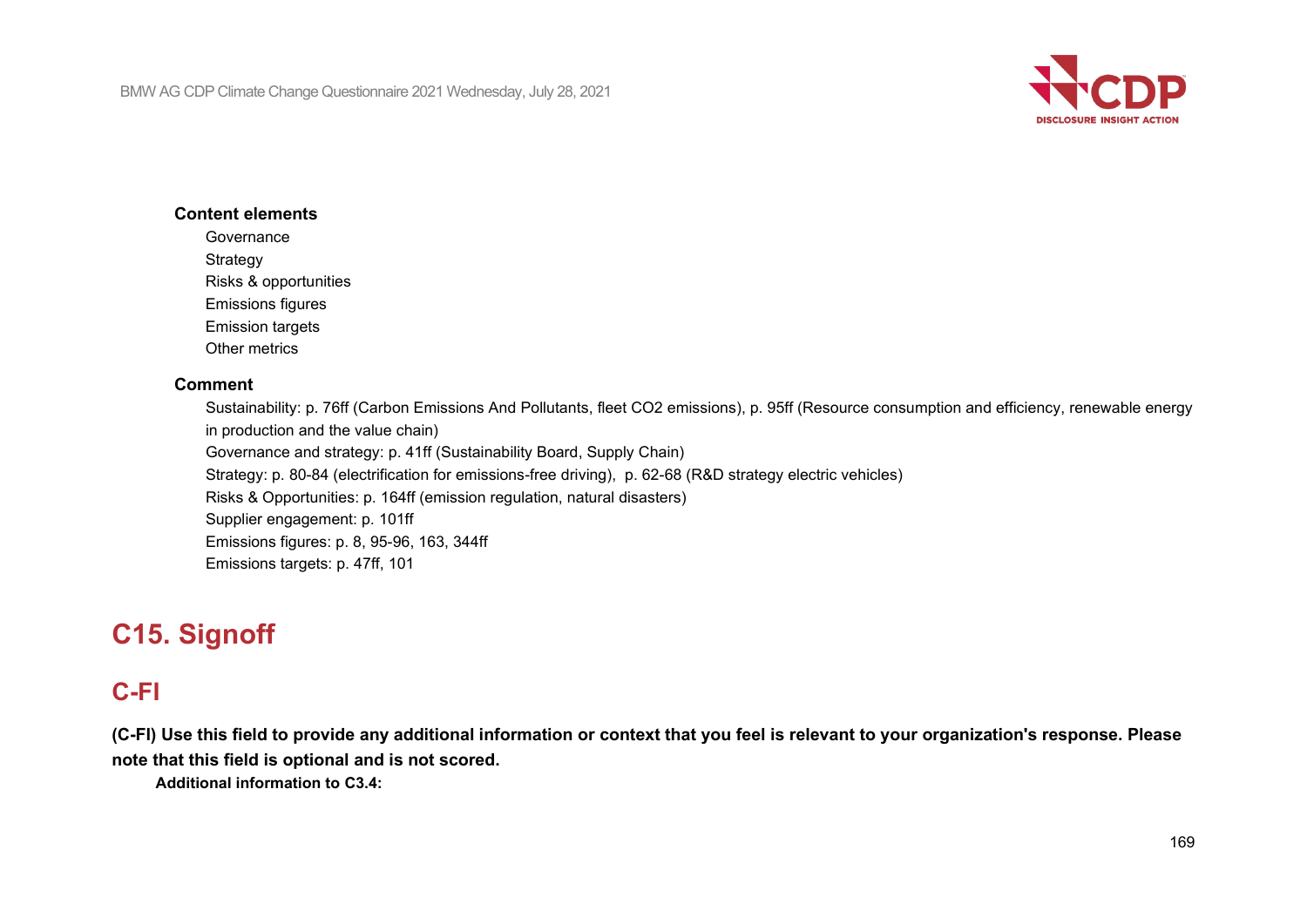

### **Content elements**

**Governance** 

Strategy

Risks & opportunities

Emissions figures

Emission targets

Other metrics

## **Comment**

Sustainability: p. 76ff (Carbon Emissions And Pollutants, fleet CO2 emissions), p. 95ff (Resource consumption and efficiency, renewable energy in production and the value chain) Governance and strategy: p. 41ff (Sustainability Board, Supply Chain) Strategy: p. 80-84 (electrification for emissions-free driving), p. 62-68 (R&D strategy electric vehicles) Risks & Opportunities: p. 164ff (emission regulation, natural disasters) Supplier engagement: p. 101ff Emissions figures: p. 8, 95-96, 163, 344ff Emissions targets: p. 47ff, 101

# **C15. Signoff**

# **C-FI**

**(C-FI) Use this field to provide any additional information or context that you feel is relevant to your organization's response. Please note that this field is optional and is not scored.**

**Additional information to C3.4:**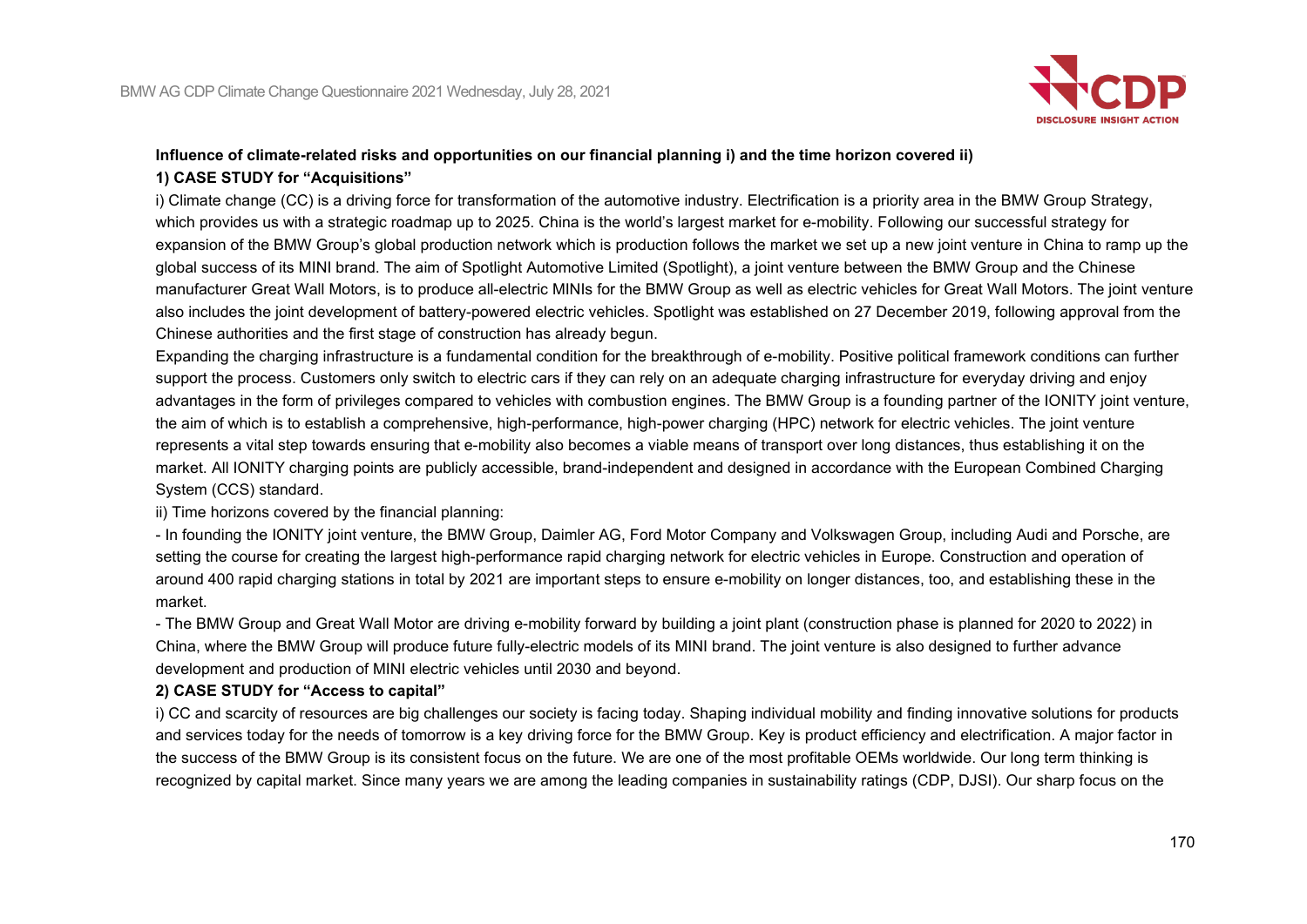

# **Influence of climate-related risks and opportunities on our financial planning i) and the time horizon covered ii) 1) CASE STUDY for "Acquisitions"**

i) Climate change (CC) is a driving force for transformation of the automotive industry. Electrification is a priority area in the BMW Group Strategy, which provides us with a strategic roadmap up to 2025. China is the world's largest market for e-mobility. Following our successful strategy for expansion of the BMW Group's global production network which is production follows the market we set up a new joint venture in China to ramp up the global success of its MINI brand. The aim of Spotlight Automotive Limited (Spotlight), a joint venture between the BMW Group and the Chinese manufacturer Great Wall Motors, is to produce all-electric MINIs for the BMW Group as well as electric vehicles for Great Wall Motors. The joint venture also includes the joint development of battery-powered electric vehicles. Spotlight was established on 27 December 2019, following approval from the Chinese authorities and the first stage of construction has already begun.

Expanding the charging infrastructure is a fundamental condition for the breakthrough of e-mobility. Positive political framework conditions can further support the process. Customers only switch to electric cars if they can rely on an adequate charging infrastructure for everyday driving and enjoy advantages in the form of privileges compared to vehicles with combustion engines. The BMW Group is a founding partner of the IONITY joint venture, the aim of which is to establish a comprehensive, high-performance, high-power charging (HPC) network for electric vehicles. The joint venture represents a vital step towards ensuring that e-mobility also becomes a viable means of transport over long distances, thus establishing it on the market. All IONITY charging points are publicly accessible, brand-independent and designed in accordance with the European Combined Charging System (CCS) standard.

### ii) Time horizons covered by the financial planning:

- In founding the IONITY joint venture, the BMW Group, Daimler AG, Ford Motor Company and Volkswagen Group, including Audi and Porsche, are setting the course for creating the largest high-performance rapid charging network for electric vehicles in Europe. Construction and operation of around 400 rapid charging stations in total by 2021 are important steps to ensure e-mobility on longer distances, too, and establishing these in the market.

- The BMW Group and Great Wall Motor are driving e-mobility forward by building a joint plant (construction phase is planned for 2020 to 2022) in China, where the BMW Group will produce future fully-electric models of its MINI brand. The joint venture is also designed to further advance development and production of MINI electric vehicles until 2030 and beyond.

### **2) CASE STUDY for "Access to capital"**

i) CC and scarcity of resources are big challenges our society is facing today. Shaping individual mobility and finding innovative solutions for products and services today for the needs of tomorrow is a key driving force for the BMW Group. Key is product efficiency and electrification. A major factor in the success of the BMW Group is its consistent focus on the future. We are one of the most profitable OEMs worldwide. Our long term thinking is recognized by capital market. Since many years we are among the leading companies in sustainability ratings (CDP, DJSI). Our sharp focus on the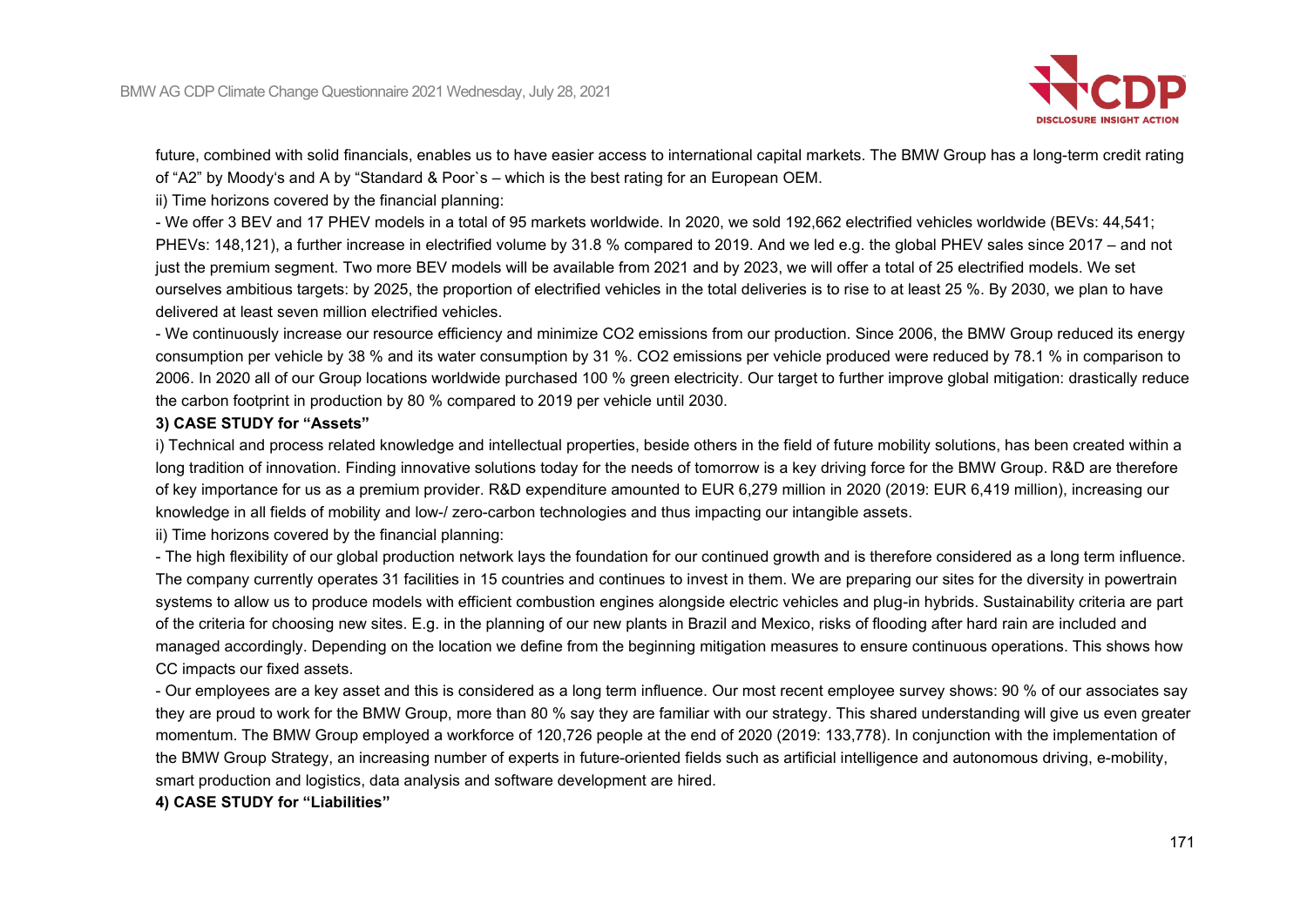

future, combined with solid financials, enables us to have easier access to international capital markets. The BMW Group has a long-term credit rating of "A2" by Moody's and A by "Standard & Poor`s – which is the best rating for an European OEM.

ii) Time horizons covered by the financial planning:

- We offer 3 BEV and 17 PHEV models in a total of 95 markets worldwide. In 2020, we sold 192,662 electrified vehicles worldwide (BEVs: 44,541; PHEVs: 148,121), a further increase in electrified volume by 31.8 % compared to 2019. And we led e.g. the global PHEV sales since 2017 – and not just the premium segment. Two more BEV models will be available from 2021 and by 2023, we will offer a total of 25 electrified models. We set ourselves ambitious targets: by 2025, the proportion of electrified vehicles in the total deliveries is to rise to at least 25 %. By 2030, we plan to have delivered at least seven million electrified vehicles.

- We continuously increase our resource efficiency and minimize CO2 emissions from our production. Since 2006, the BMW Group reduced its energy consumption per vehicle by 38 % and its water consumption by 31 %. CO2 emissions per vehicle produced were reduced by 78.1 % in comparison to 2006. In 2020 all of our Group locations worldwide purchased 100 % green electricity. Our target to further improve global mitigation: drastically reduce the carbon footprint in production by 80 % compared to 2019 per vehicle until 2030.

### **3) CASE STUDY for "Assets"**

i) Technical and process related knowledge and intellectual properties, beside others in the field of future mobility solutions, has been created within a long tradition of innovation. Finding innovative solutions today for the needs of tomorrow is a key driving force for the BMW Group. R&D are therefore of key importance for us as a premium provider. R&D expenditure amounted to EUR 6,279 million in 2020 (2019: EUR 6,419 million), increasing our knowledge in all fields of mobility and low-/ zero-carbon technologies and thus impacting our intangible assets.

ii) Time horizons covered by the financial planning:

- The high flexibility of our global production network lays the foundation for our continued growth and is therefore considered as a long term influence. The company currently operates 31 facilities in 15 countries and continues to invest in them. We are preparing our sites for the diversity in powertrain systems to allow us to produce models with efficient combustion engines alongside electric vehicles and plug-in hybrids. Sustainability criteria are part of the criteria for choosing new sites. E.g. in the planning of our new plants in Brazil and Mexico, risks of flooding after hard rain are included and managed accordingly. Depending on the location we define from the beginning mitigation measures to ensure continuous operations. This shows how CC impacts our fixed assets.

- Our employees are a key asset and this is considered as a long term influence. Our most recent employee survey shows: 90 % of our associates say they are proud to work for the BMW Group, more than 80 % say they are familiar with our strategy. This shared understanding will give us even greater momentum. The BMW Group employed a workforce of 120,726 people at the end of 2020 (2019: 133,778). In conjunction with the implementation of the BMW Group Strategy, an increasing number of experts in future-oriented fields such as artificial intelligence and autonomous driving, e-mobility, smart production and logistics, data analysis and software development are hired.

## **4) CASE STUDY for "Liabilities"**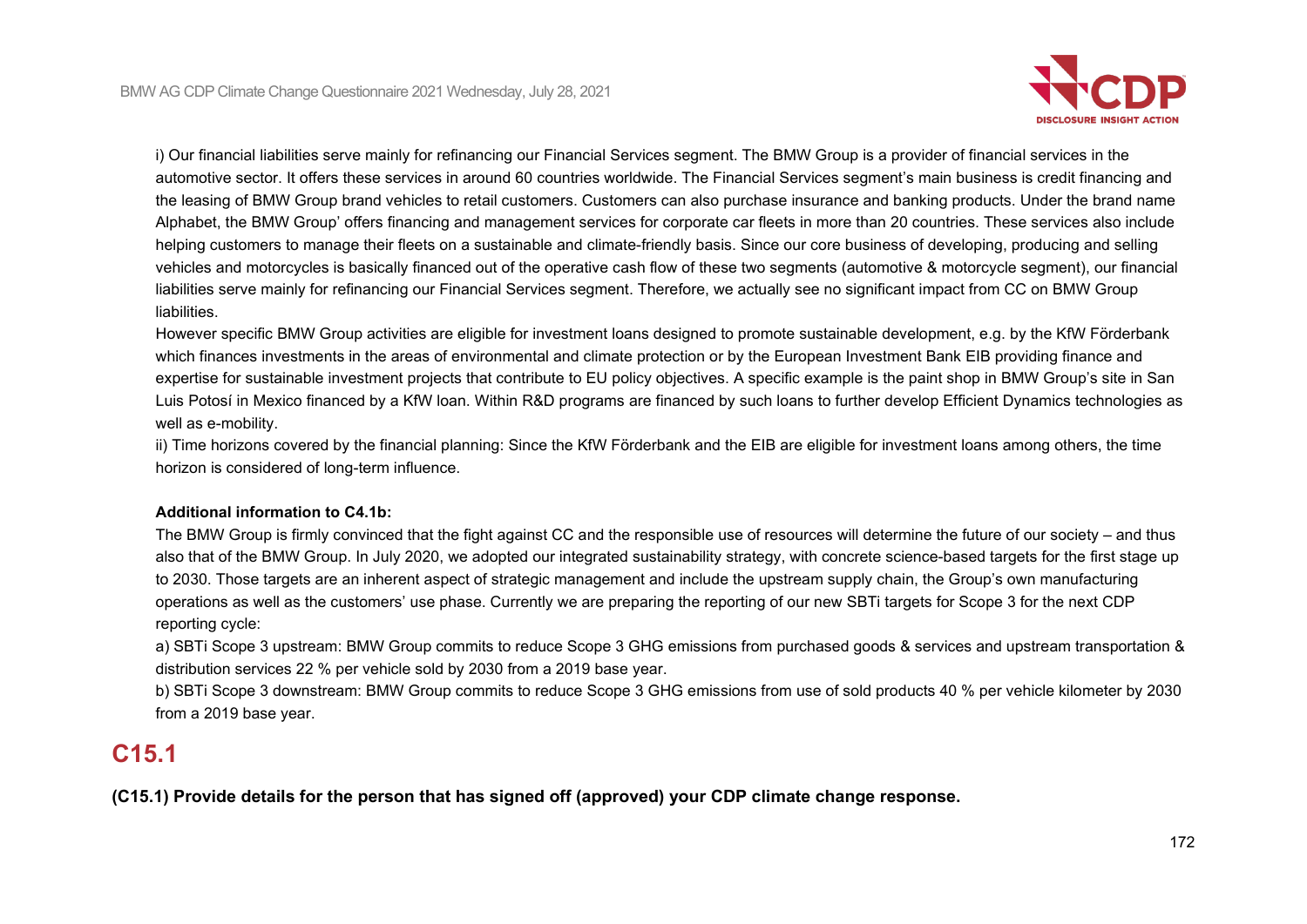

i) Our financial liabilities serve mainly for refinancing our Financial Services segment. The BMW Group is a provider of financial services in the automotive sector. It offers these services in around 60 countries worldwide. The Financial Services segment's main business is credit financing and the leasing of BMW Group brand vehicles to retail customers. Customers can also purchase insurance and banking products. Under the brand name Alphabet, the BMW Group' offers financing and management services for corporate car fleets in more than 20 countries. These services also include helping customers to manage their fleets on a sustainable and climate-friendly basis. Since our core business of developing, producing and selling vehicles and motorcycles is basically financed out of the operative cash flow of these two segments (automotive & motorcycle segment), our financial liabilities serve mainly for refinancing our Financial Services segment. Therefore, we actually see no significant impact from CC on BMW Group liabilities.

However specific BMW Group activities are eligible for investment loans designed to promote sustainable development, e.g. by the KfW Förderbank which finances investments in the areas of environmental and climate protection or by the European Investment Bank EIB providing finance and expertise for sustainable investment projects that contribute to EU policy objectives. A specific example is the paint shop in BMW Group's site in San Luis Potosí in Mexico financed by a KfW loan. Within R&D programs are financed by such loans to further develop Efficient Dynamics technologies as well as e-mobility.

ii) Time horizons covered by the financial planning: Since the KfW Förderbank and the EIB are eligible for investment loans among others, the time horizon is considered of long-term influence.

### **Additional information to C4.1b:**

The BMW Group is firmly convinced that the fight against CC and the responsible use of resources will determine the future of our society – and thus also that of the BMW Group. In July 2020, we adopted our integrated sustainability strategy, with concrete science-based targets for the first stage up to 2030. Those targets are an inherent aspect of strategic management and include the upstream supply chain, the Group's own manufacturing operations as well as the customers' use phase. Currently we are preparing the reporting of our new SBTi targets for Scope 3 for the next CDP reporting cycle:

a) SBTi Scope 3 upstream: BMW Group commits to reduce Scope 3 GHG emissions from purchased goods & services and upstream transportation & distribution services 22 % per vehicle sold by 2030 from a 2019 base year.

b) SBTi Scope 3 downstream: BMW Group commits to reduce Scope 3 GHG emissions from use of sold products 40 % per vehicle kilometer by 2030 from a 2019 base year.

# **C15.1**

**(C15.1) Provide details for the person that has signed off (approved) your CDP climate change response.**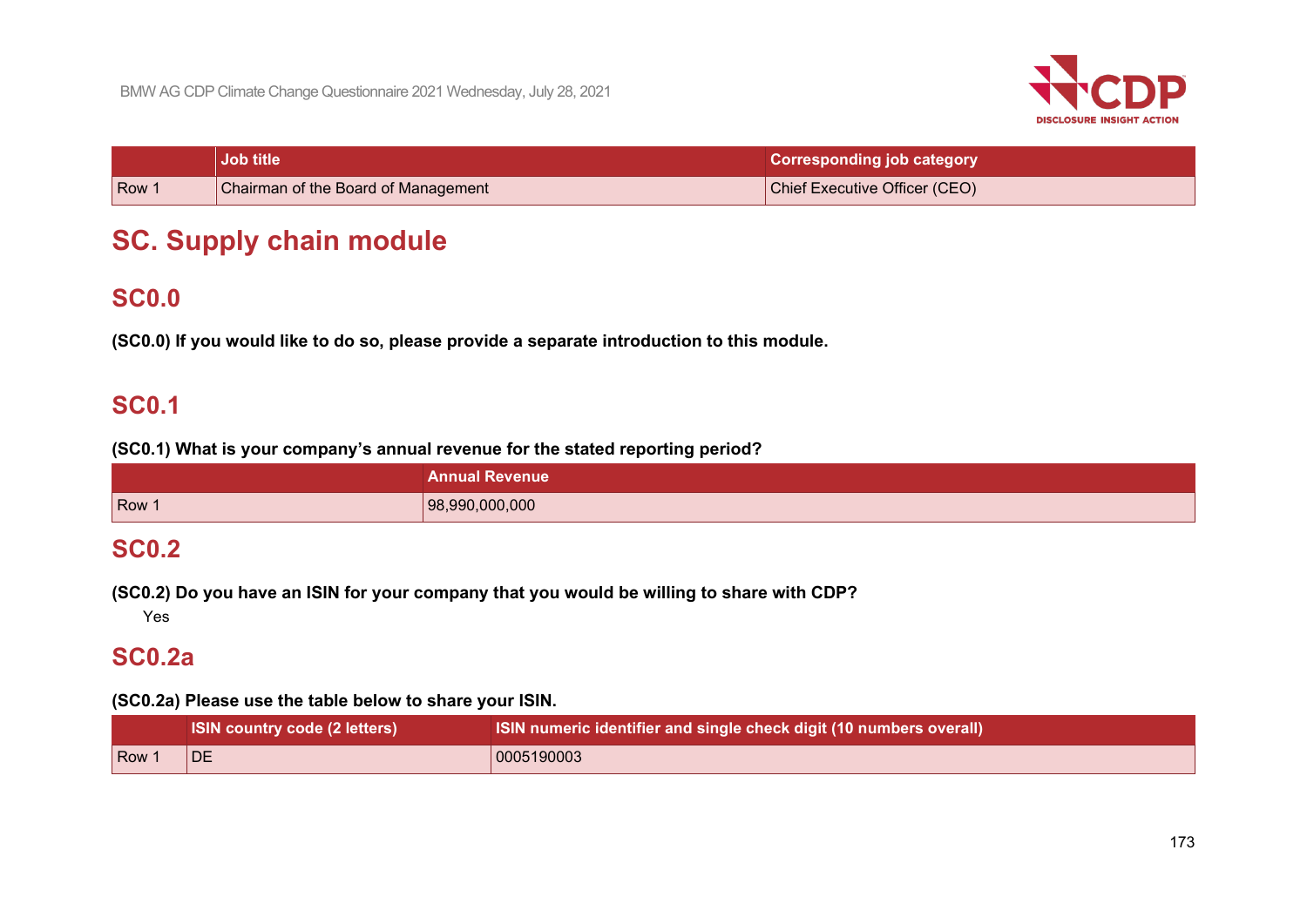

|     | <b>Job title</b>                    | <b>Corresponding job category</b> |
|-----|-------------------------------------|-----------------------------------|
| Row | Chairman of the Board of Management | Chief Executive Officer (CEO)     |

# **SC. Supply chain module**

# **SC0.0**

**(SC0.0) If you would like to do so, please provide a separate introduction to this module.**

# **SC0.1**

**(SC0.1) What is your company's annual revenue for the stated reporting period?**

|       | <b>Annual Revenue</b> |
|-------|-----------------------|
| Row 1 | 98,990,000,000        |

# **SC0.2**

**(SC0.2) Do you have an ISIN for your company that you would be willing to share with CDP?**

Yes

# **SC0.2a**

# **(SC0.2a) Please use the table below to share your ISIN.**

|       | <b>ISIN country code (2 letters)</b> | ISIN numeric identifier and single check digit (10 numbers overall) |
|-------|--------------------------------------|---------------------------------------------------------------------|
| Row 1 | DE                                   | 0005190003                                                          |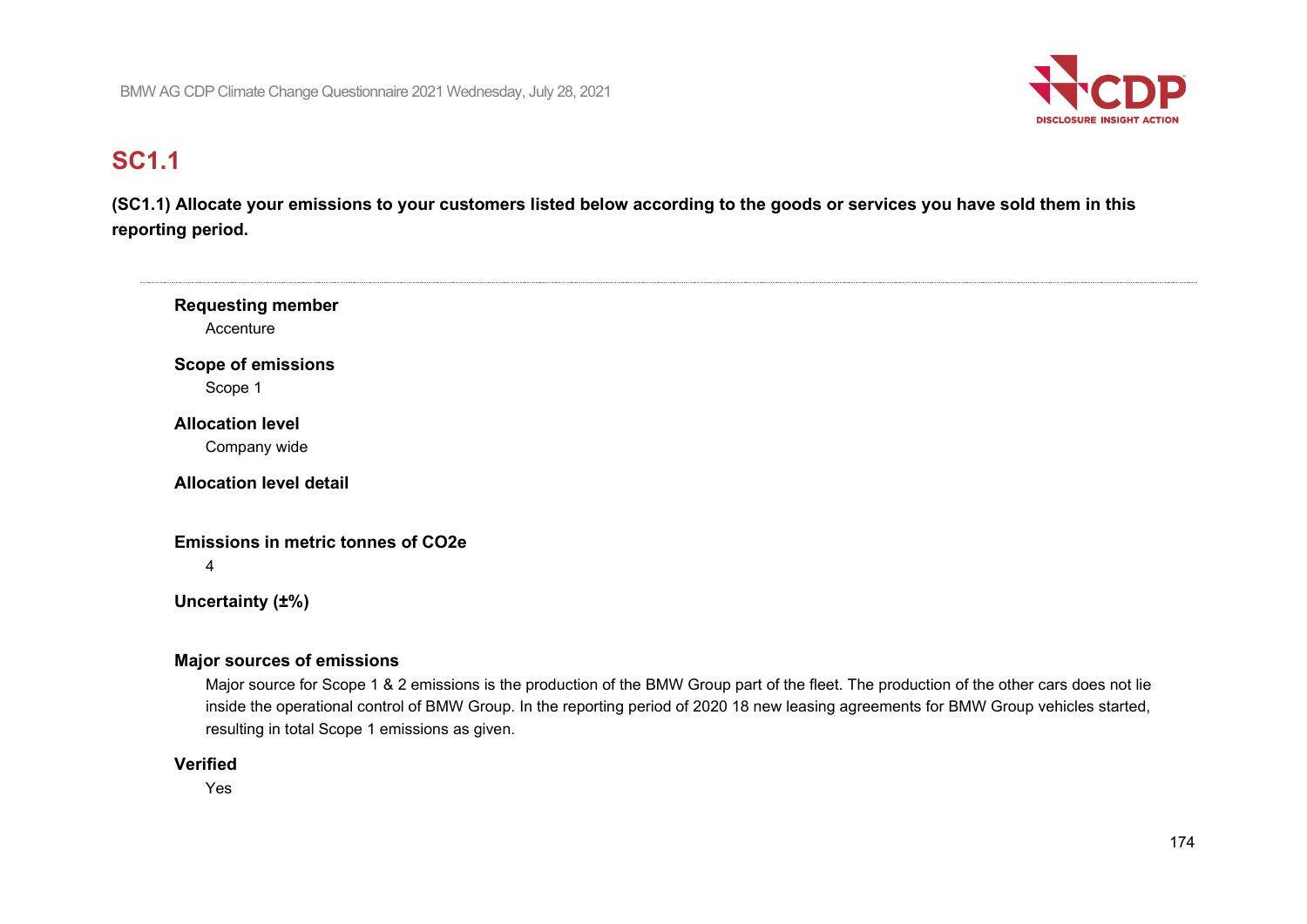

# **SC1.1**

 $\sim$ 

**(SC1.1) Allocate your emissions to your customers listed below according to the goods or services you have sold them in this reporting period.**

| <b>Requesting member</b><br>Accenture          |  |  |
|------------------------------------------------|--|--|
| <b>Scope of emissions</b>                      |  |  |
| Scope 1<br><b>Allocation level</b>             |  |  |
| Company wide                                   |  |  |
| <b>Allocation level detail</b>                 |  |  |
| <b>Emissions in metric tonnes of CO2e</b><br>4 |  |  |
| Uncertainty (±%)                               |  |  |
| <b>Major sources of emissions</b>              |  |  |

Major source for Scope 1 & 2 emissions is the production of the BMW Group part of the fleet. The production of the other cars does not lie inside the operational control of BMW Group. In the reporting period of 2020 18 new leasing agreements for BMW Group vehicles started, resulting in total Scope 1 emissions as given.

### **Verified**

Yes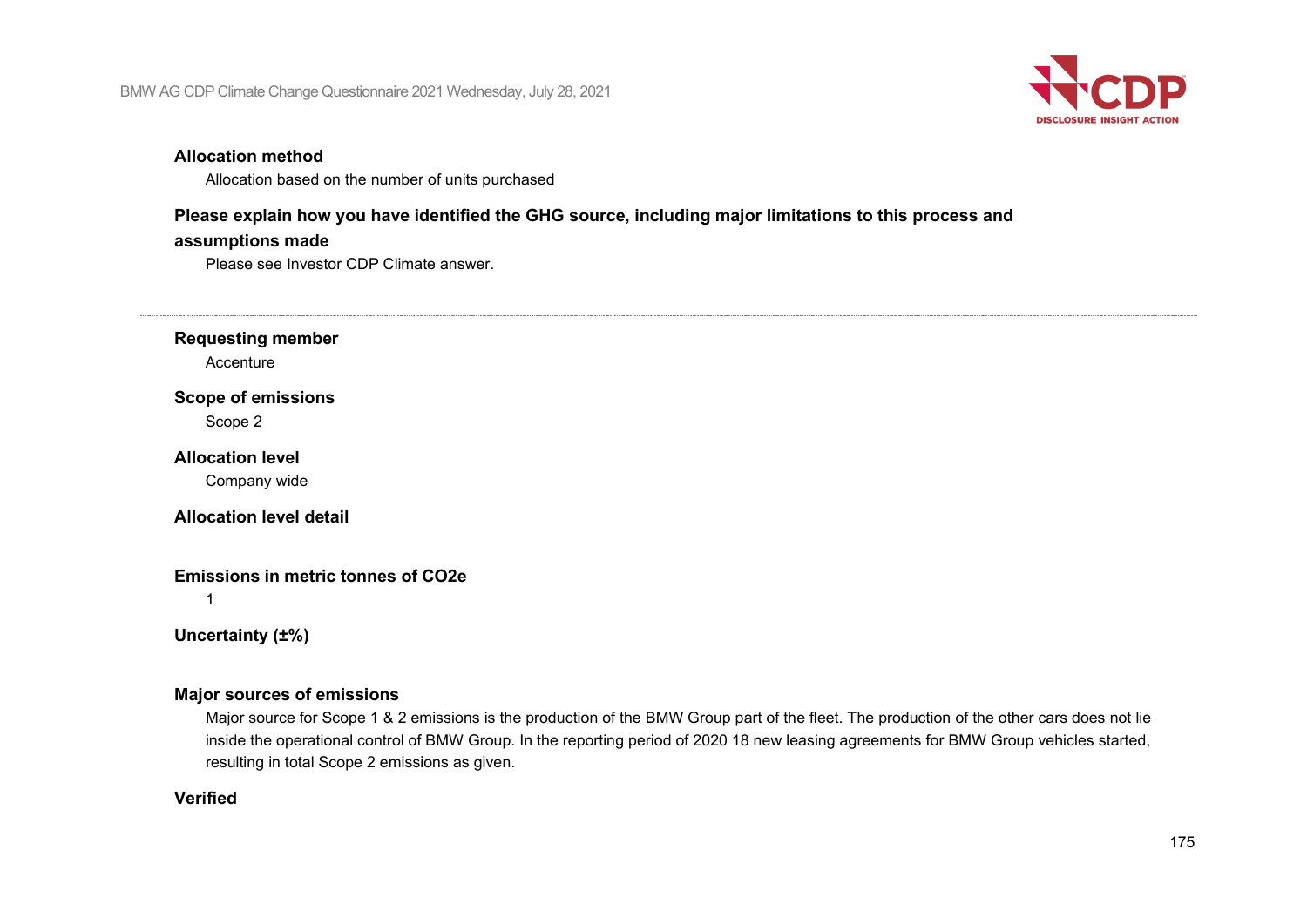

### **Allocation method**

Allocation based on the number of units purchased

# **Please explain how you have identified the GHG source, including major limitations to this process and**

### **assumptions made**

Please see Investor CDP Climate answer.

**Requesting member**

**Accenture** 

## **Scope of emissions**

Scope 2

### **Allocation level**

Company wide

## **Allocation level detail**

# **Emissions in metric tonnes of CO2e**

1

# **Uncertainty (±%)**

## **Major sources of emissions**

Major source for Scope 1 & 2 emissions is the production of the BMW Group part of the fleet. The production of the other cars does not lie inside the operational control of BMW Group. In the reporting period of 2020 18 new leasing agreements for BMW Group vehicles started, resulting in total Scope 2 emissions as given.

## **Verified**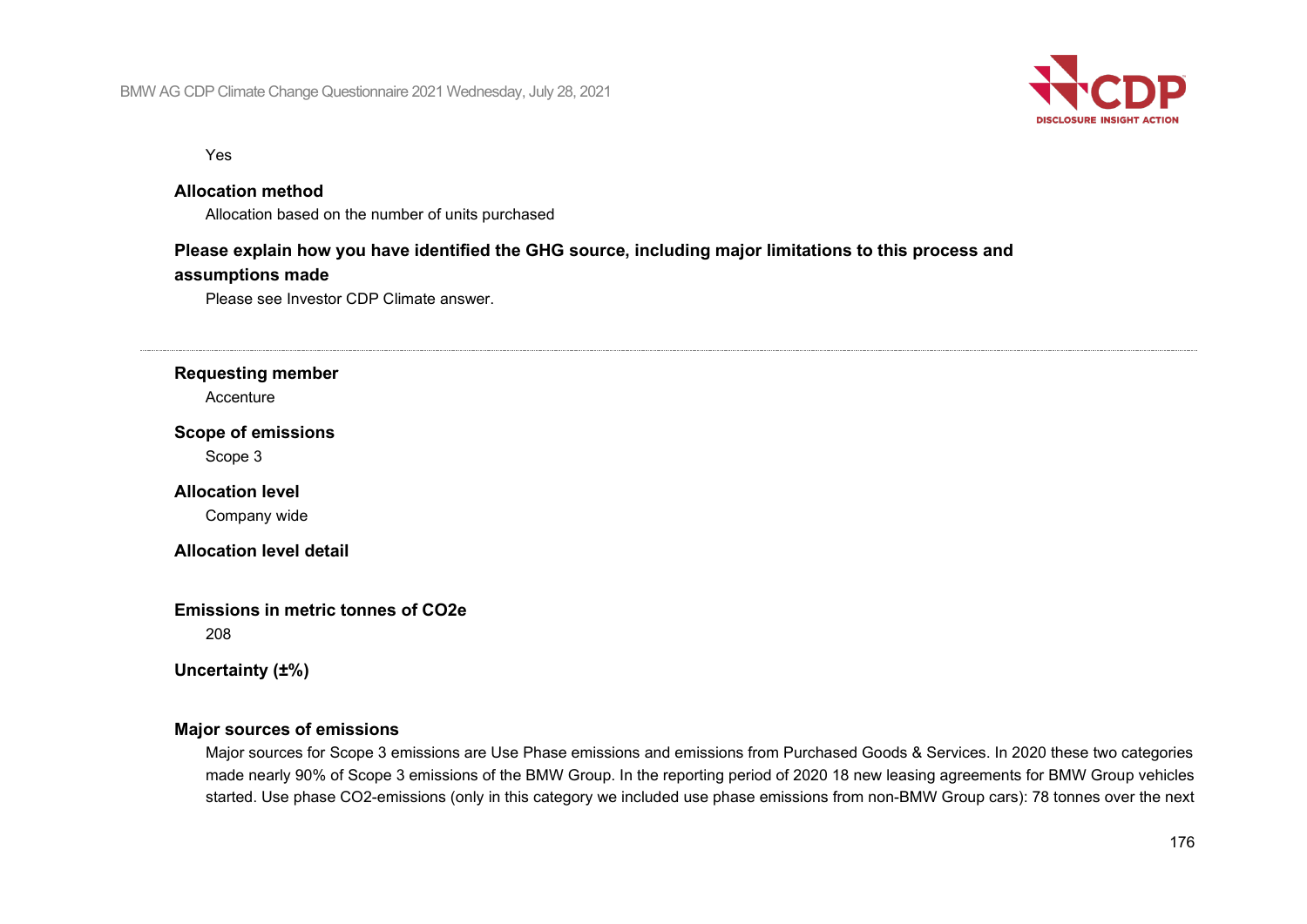

Yes

### **Allocation method**

Allocation based on the number of units purchased

## **Please explain how you have identified the GHG source, including major limitations to this process and**

#### **assumptions made**

Please see Investor CDP Climate answer.

### **Requesting member**

Accenture

#### **Scope of emissions**

Scope 3

### **Allocation level**

Company wide

### **Allocation level detail**

**Emissions in metric tonnes of CO2e**

208

# **Uncertainty (±%)**

## **Major sources of emissions**

Major sources for Scope 3 emissions are Use Phase emissions and emissions from Purchased Goods & Services. In 2020 these two categories made nearly 90% of Scope 3 emissions of the BMW Group. In the reporting period of 2020 18 new leasing agreements for BMW Group vehicles started. Use phase CO2-emissions (only in this category we included use phase emissions from non-BMW Group cars): 78 tonnes over the next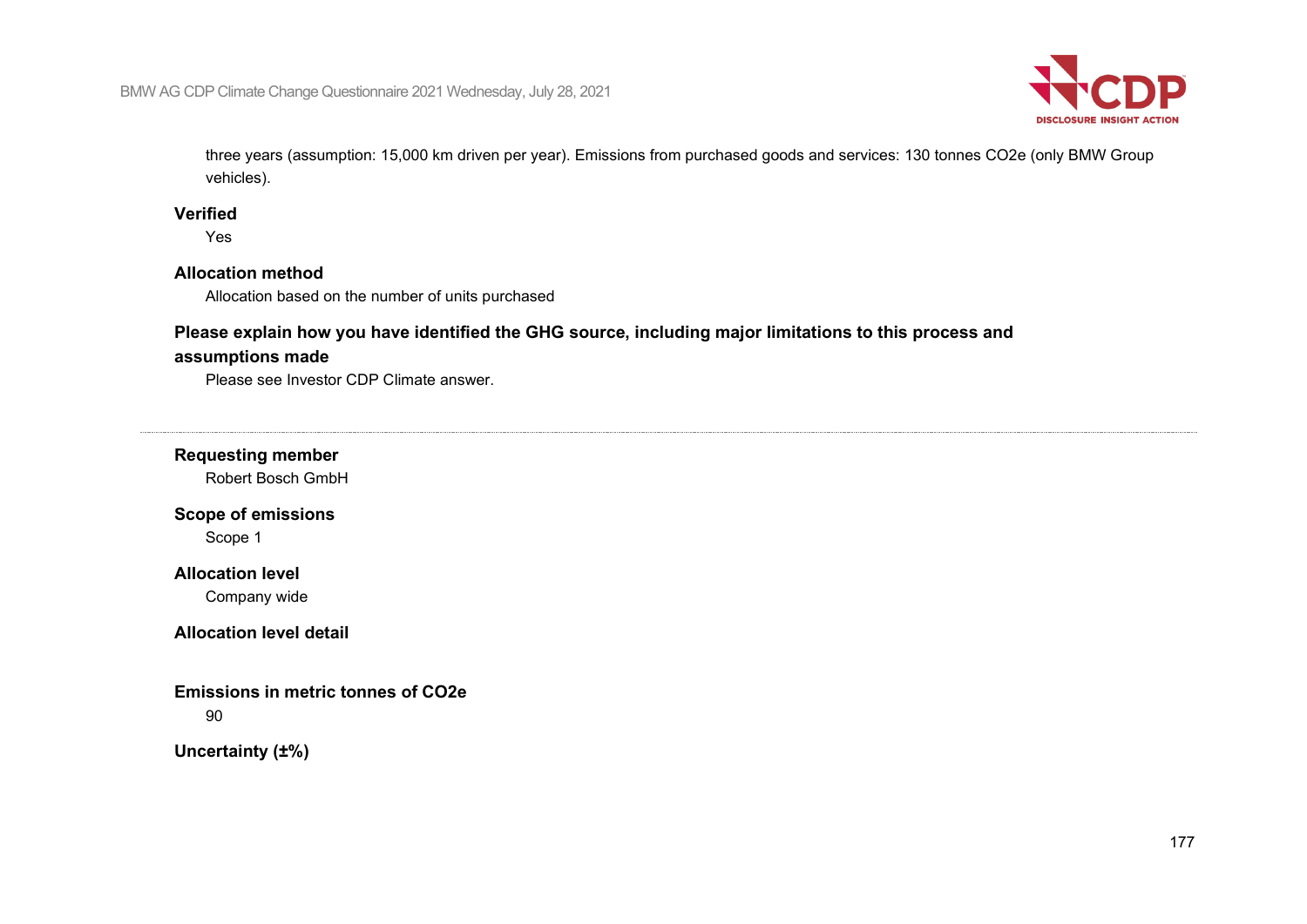

three years (assumption: 15,000 km driven per year). Emissions from purchased goods and services: 130 tonnes CO2e (only BMW Group vehicles).

## **Verified**

Yes

# **Allocation method**

Allocation based on the number of units purchased

# **Please explain how you have identified the GHG source, including major limitations to this process and**

### **assumptions made**

Please see Investor CDP Climate answer.

# **Requesting member**

Robert Bosch GmbH

# **Scope of emissions**

Scope 1

# **Allocation level**

Company wide

## **Allocation level detail**

## **Emissions in metric tonnes of CO2e**

90

# **Uncertainty (±%)**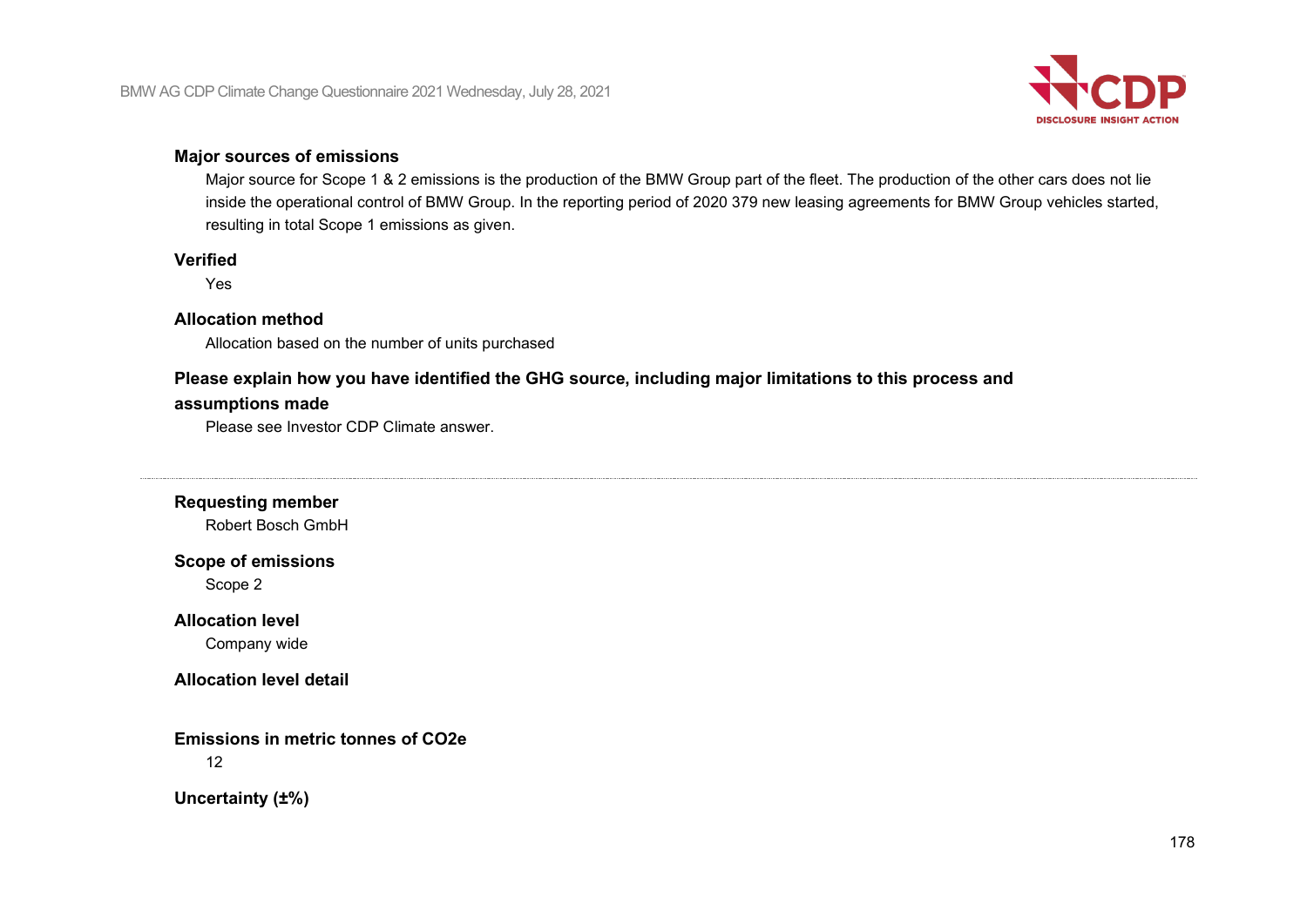

### **Major sources of emissions**

Major source for Scope 1 & 2 emissions is the production of the BMW Group part of the fleet. The production of the other cars does not lie inside the operational control of BMW Group. In the reporting period of 2020 379 new leasing agreements for BMW Group vehicles started, resulting in total Scope 1 emissions as given.

### **Verified**

Yes

### **Allocation method**

Allocation based on the number of units purchased

# **Please explain how you have identified the GHG source, including major limitations to this process and**

# **assumptions made**

Please see Investor CDP Climate answer.

**Requesting member**

Robert Bosch GmbH

# **Scope of emissions**

Scope 2

# **Allocation level**

Company wide

# **Allocation level detail**

**Emissions in metric tonnes of CO2e** 12

**Uncertainty (±%)**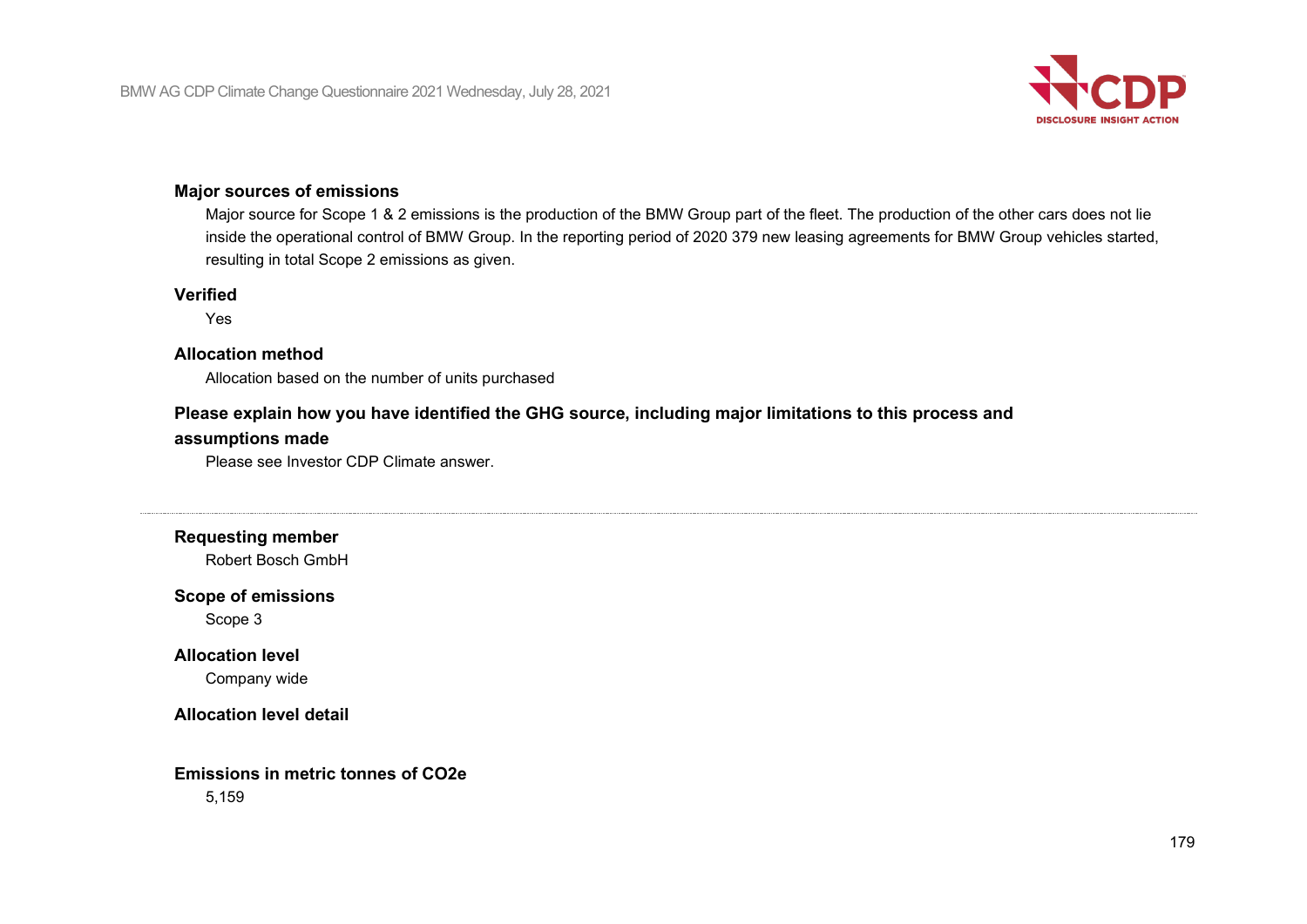

# **Major sources of emissions**

Major source for Scope 1 & 2 emissions is the production of the BMW Group part of the fleet. The production of the other cars does not lie inside the operational control of BMW Group. In the reporting period of 2020 379 new leasing agreements for BMW Group vehicles started, resulting in total Scope 2 emissions as given.

#### **Verified**

Yes

# **Allocation method**

Allocation based on the number of units purchased

# **Please explain how you have identified the GHG source, including major limitations to this process and**

### **assumptions made**

Please see Investor CDP Climate answer.

**Requesting member**

Robert Bosch GmbH

### **Scope of emissions**

Scope 3

# **Allocation level**

Company wide

### **Allocation level detail**

# **Emissions in metric tonnes of CO2e**

5,159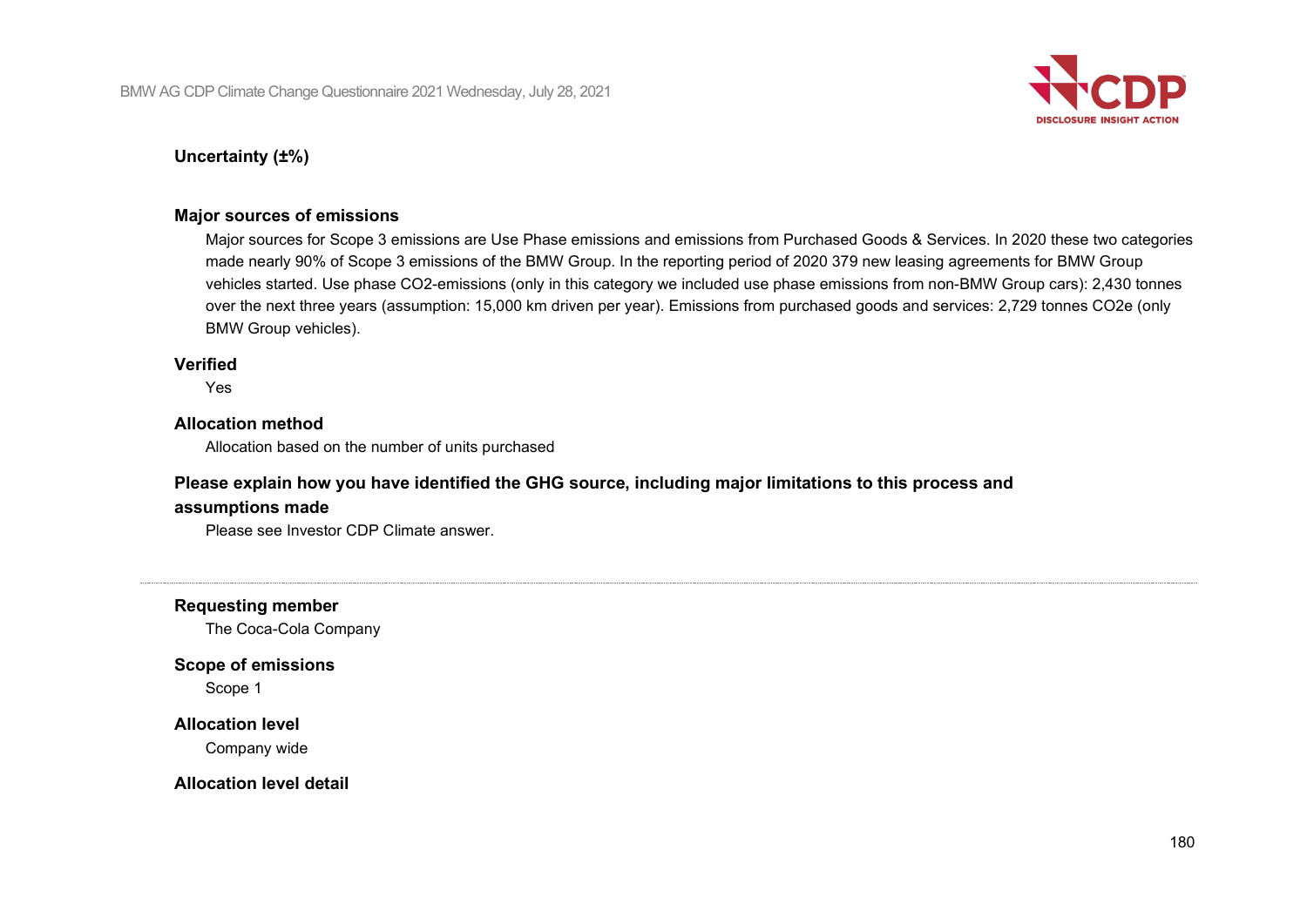

# **Uncertainty (±%)**

### **Major sources of emissions**

Major sources for Scope 3 emissions are Use Phase emissions and emissions from Purchased Goods & Services. In 2020 these two categories made nearly 90% of Scope 3 emissions of the BMW Group. In the reporting period of 2020 379 new leasing agreements for BMW Group vehicles started. Use phase CO2-emissions (only in this category we included use phase emissions from non-BMW Group cars): 2,430 tonnes over the next three years (assumption: 15,000 km driven per year). Emissions from purchased goods and services: 2,729 tonnes CO2e (only BMW Group vehicles).

### **Verified**

Yes

### **Allocation method**

Allocation based on the number of units purchased

# **Please explain how you have identified the GHG source, including major limitations to this process and**

### **assumptions made**

Please see Investor CDP Climate answer.

**Requesting member**

The Coca-Cola Company

### **Scope of emissions**

Scope 1

### **Allocation level**

Company wide

### **Allocation level detail**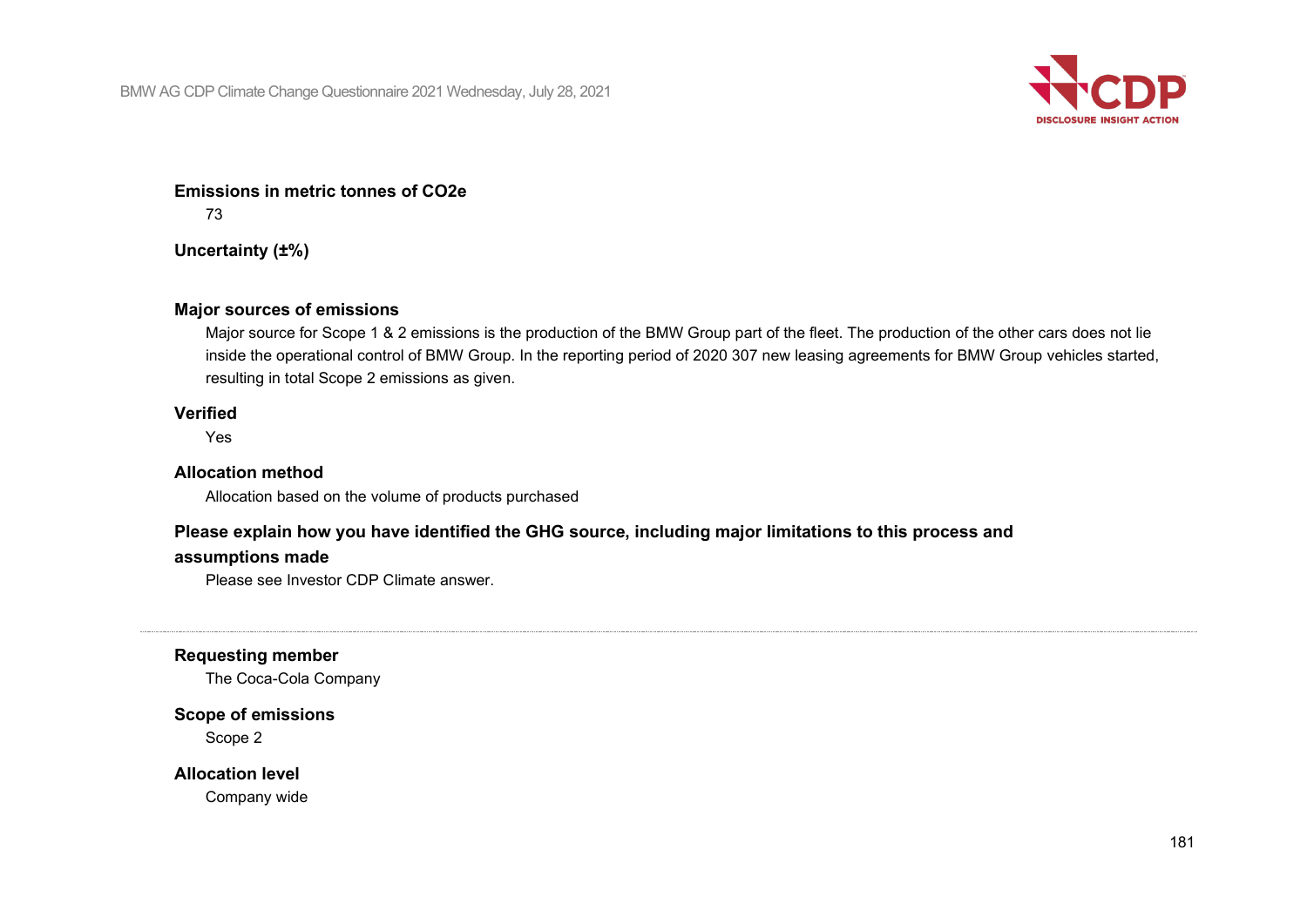

#### **Emissions in metric tonnes of CO2e**

73

**Uncertainty (±%)**

#### **Major sources of emissions**

Major source for Scope 1 & 2 emissions is the production of the BMW Group part of the fleet. The production of the other cars does not lie inside the operational control of BMW Group. In the reporting period of 2020 307 new leasing agreements for BMW Group vehicles started, resulting in total Scope 2 emissions as given.

#### **Verified**

Yes

#### **Allocation method**

Allocation based on the volume of products purchased

#### **Please explain how you have identified the GHG source, including major limitations to this process and**

#### **assumptions made**

Please see Investor CDP Climate answer.

#### **Requesting member**

The Coca-Cola Company

#### **Scope of emissions**

Scope 2

**Allocation level**

Company wide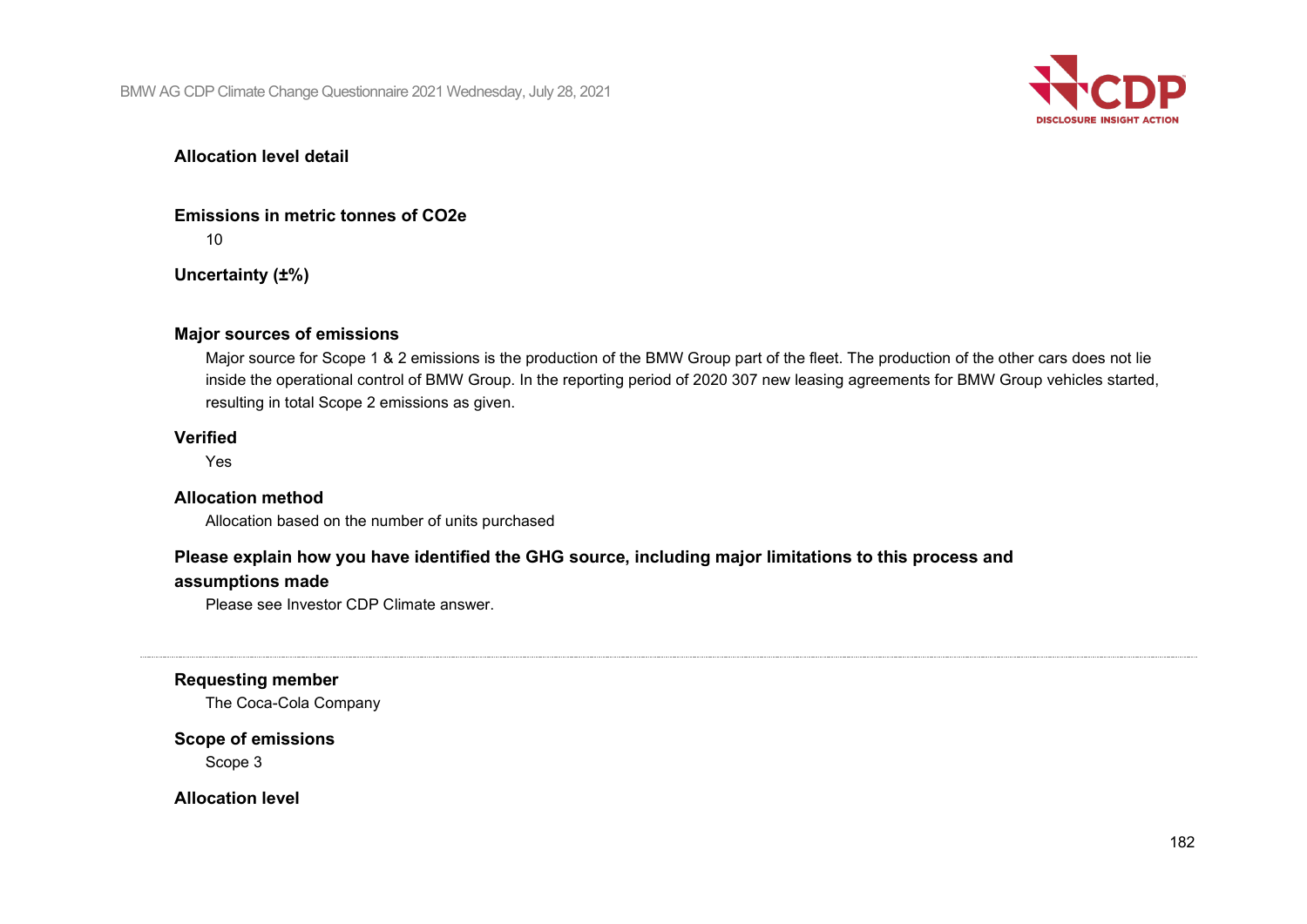

#### **Allocation level detail**

**Emissions in metric tonnes of CO2e** 10

**Uncertainty (±%)**

#### **Major sources of emissions**

Major source for Scope 1 & 2 emissions is the production of the BMW Group part of the fleet. The production of the other cars does not lie inside the operational control of BMW Group. In the reporting period of 2020 307 new leasing agreements for BMW Group vehicles started, resulting in total Scope 2 emissions as given.

#### **Verified**

Yes

#### **Allocation method**

Allocation based on the number of units purchased

#### **Please explain how you have identified the GHG source, including major limitations to this process and**

#### **assumptions made**

Please see Investor CDP Climate answer.

**Requesting member**

The Coca-Cola Company

#### **Scope of emissions**

Scope 3

**Allocation level**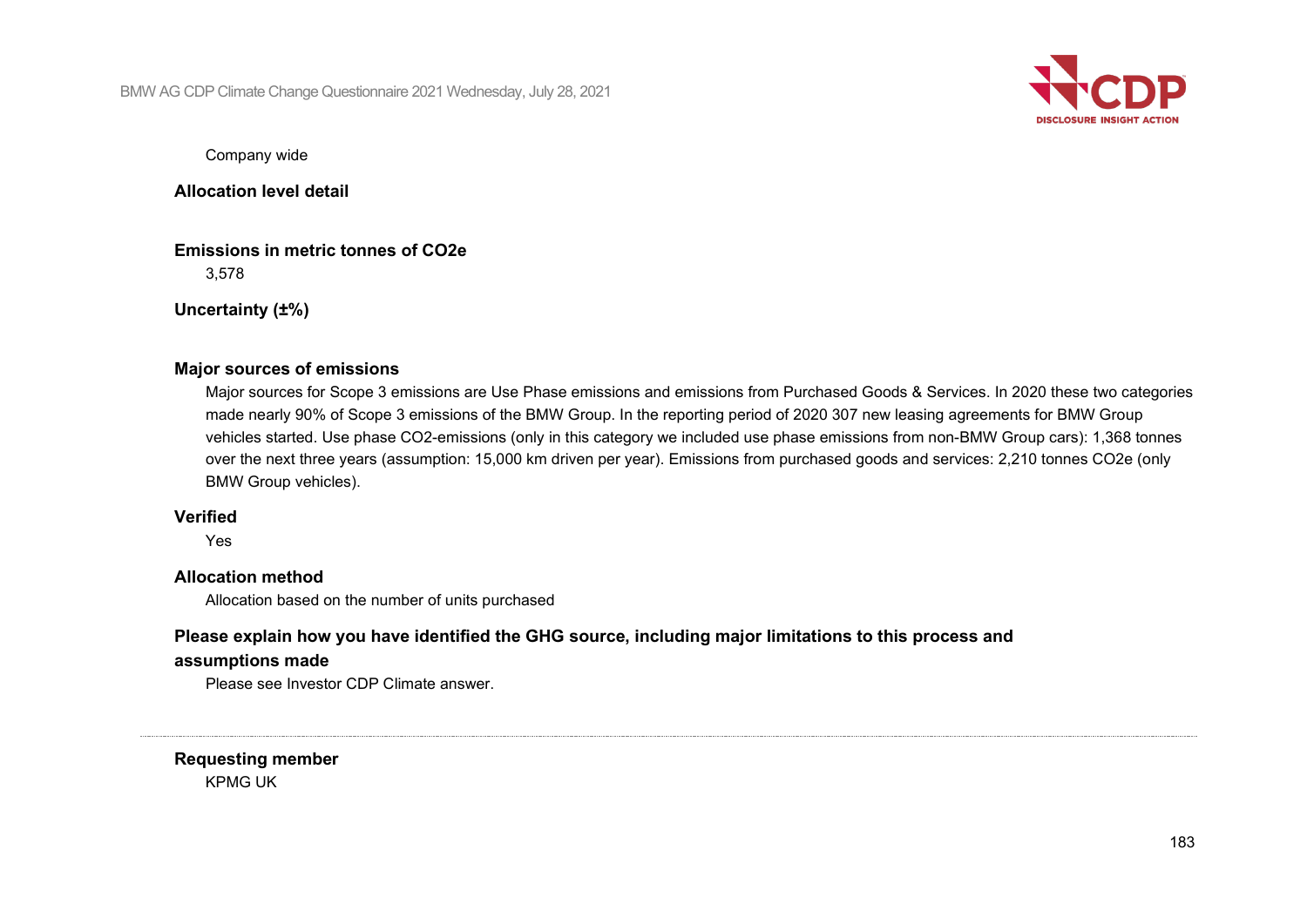BMW AG CDP Climate Change Questionnaire 2021 Wednesday, July 28, 2021



Company wide

**Allocation level detail**

**Emissions in metric tonnes of CO2e** 3,578

**Uncertainty (±%)**

#### **Major sources of emissions**

Major sources for Scope 3 emissions are Use Phase emissions and emissions from Purchased Goods & Services. In 2020 these two categories made nearly 90% of Scope 3 emissions of the BMW Group. In the reporting period of 2020 307 new leasing agreements for BMW Group vehicles started. Use phase CO2-emissions (only in this category we included use phase emissions from non-BMW Group cars): 1,368 tonnes over the next three years (assumption: 15,000 km driven per year). Emissions from purchased goods and services: 2,210 tonnes CO2e (only BMW Group vehicles).

#### **Verified**

Yes

#### **Allocation method**

Allocation based on the number of units purchased

## **Please explain how you have identified the GHG source, including major limitations to this process and**

#### **assumptions made**

Please see Investor CDP Climate answer.

**Requesting member** KPMG UK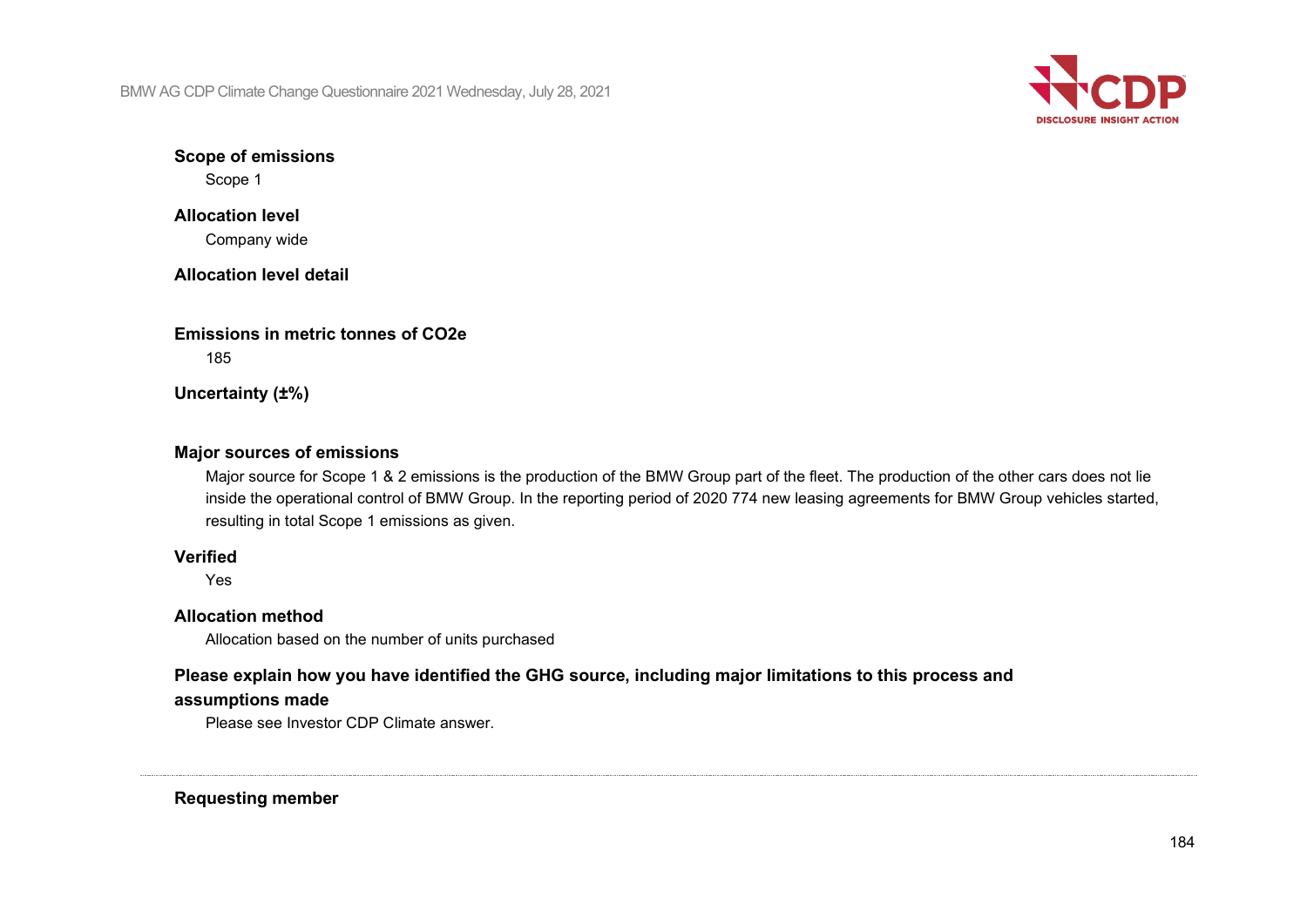BMW AG CDP Climate Change Questionnaire 2021 Wednesday, July 28, 2021



**Scope of emissions** Scope 1

**Allocation level** Company wide

**Allocation level detail**

**Emissions in metric tonnes of CO2e** 185

**Uncertainty (±%)**

#### **Major sources of emissions**

Major source for Scope 1 & 2 emissions is the production of the BMW Group part of the fleet. The production of the other cars does not lie inside the operational control of BMW Group. In the reporting period of 2020 774 new leasing agreements for BMW Group vehicles started, resulting in total Scope 1 emissions as given.

#### **Verified**

Yes

#### **Allocation method**

Allocation based on the number of units purchased

## **Please explain how you have identified the GHG source, including major limitations to this process and**

#### **assumptions made**

Please see Investor CDP Climate answer.

**Requesting member**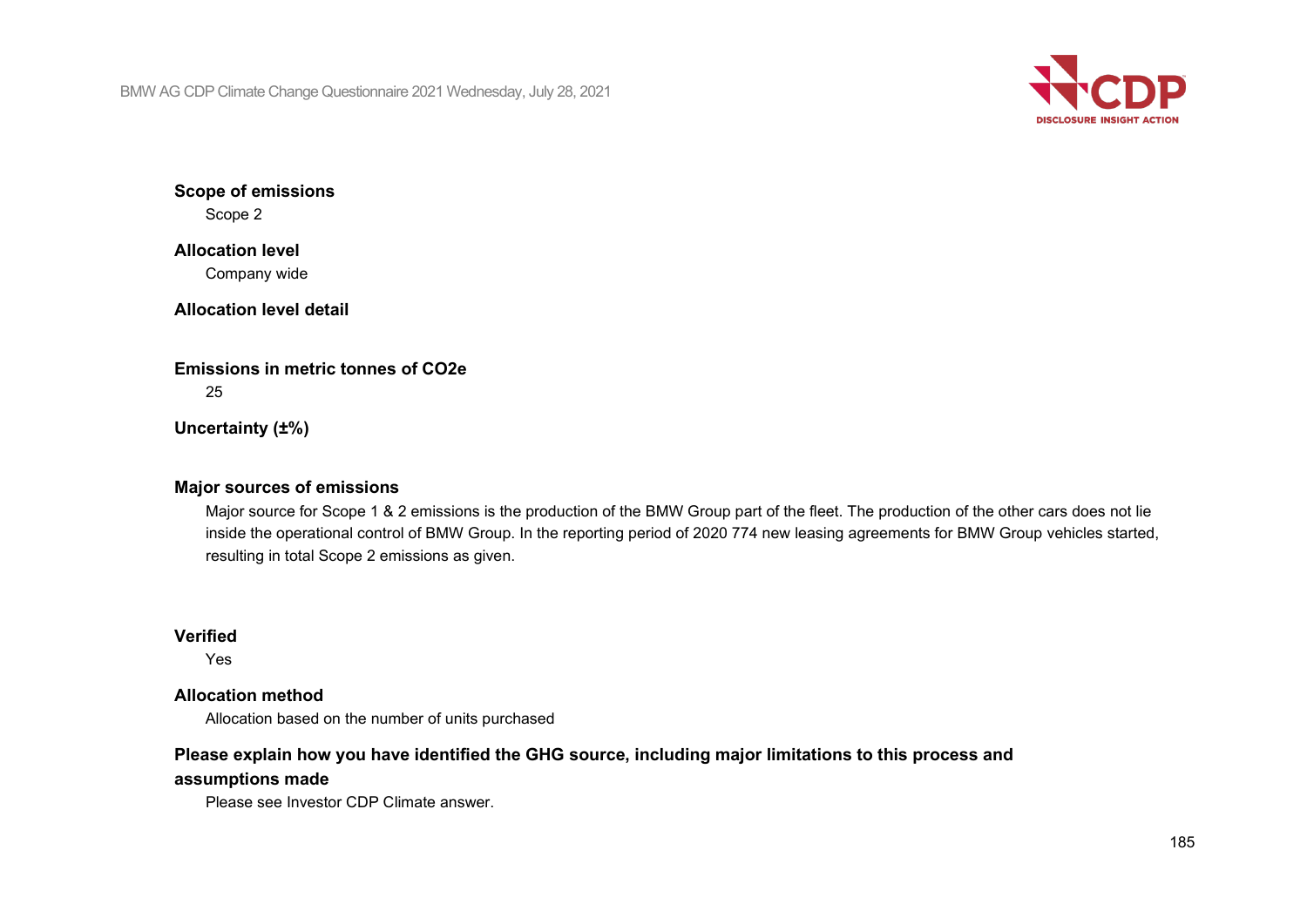BMW AG CDP Climate Change Questionnaire 2021 Wednesday, July 28, 2021



**Scope of emissions** Scope 2

## **Allocation level** Company wide

**Allocation level detail**

**Emissions in metric tonnes of CO2e** 25

**Uncertainty (±%)**

## **Major sources of emissions**

Major source for Scope 1 & 2 emissions is the production of the BMW Group part of the fleet. The production of the other cars does not lie inside the operational control of BMW Group. In the reporting period of 2020 774 new leasing agreements for BMW Group vehicles started, resulting in total Scope 2 emissions as given.

### **Verified**

Yes

### **Allocation method**

Allocation based on the number of units purchased

## **Please explain how you have identified the GHG source, including major limitations to this process and**

## **assumptions made**

Please see Investor CDP Climate answer.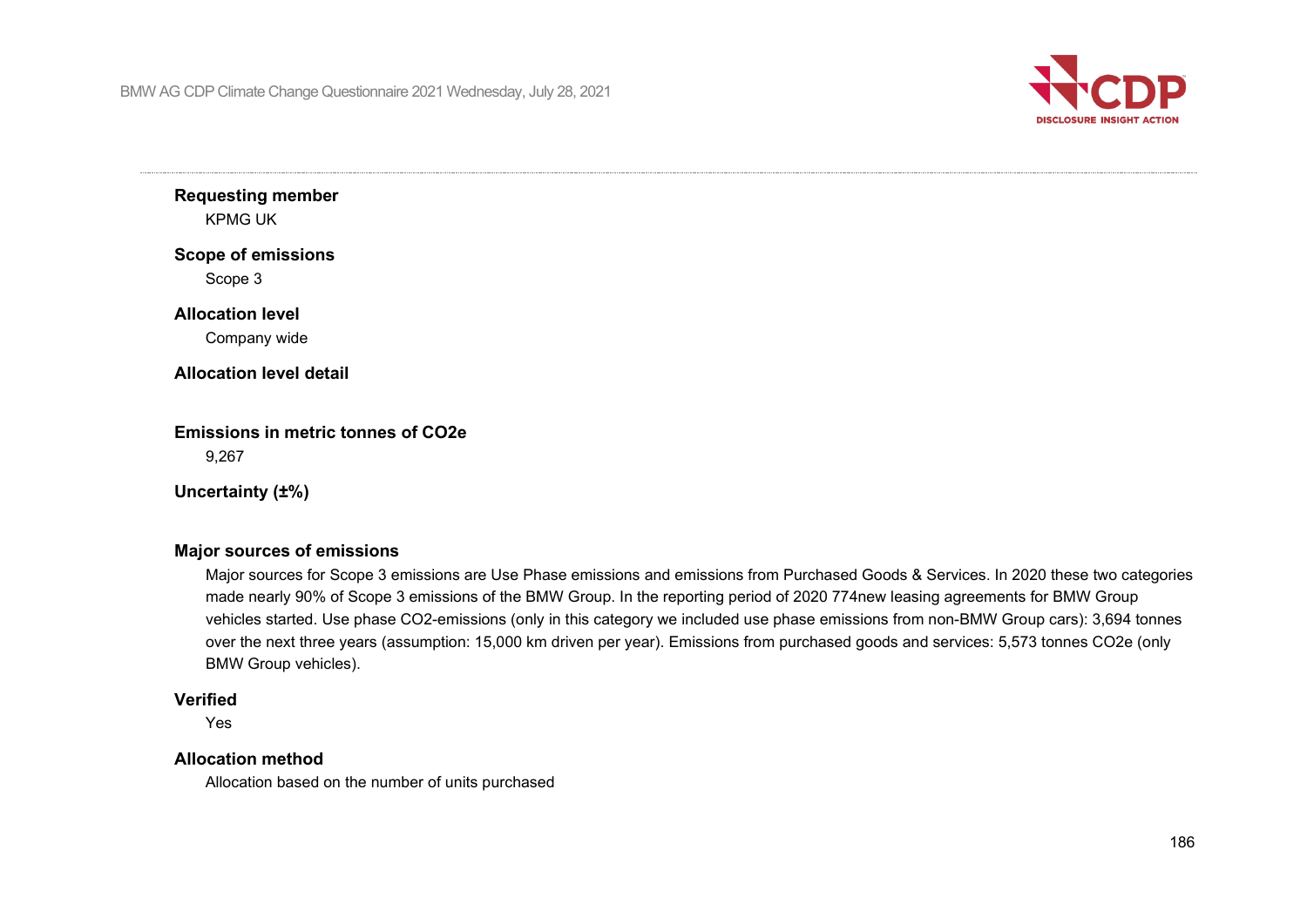

**Requesting member** KPMG UK

**Scope of emissions**

Scope 3

#### **Allocation level**

Company wide

#### **Allocation level detail**

**Emissions in metric tonnes of CO2e** 9,267

**Uncertainty (±%)**

#### **Major sources of emissions**

Major sources for Scope 3 emissions are Use Phase emissions and emissions from Purchased Goods & Services. In 2020 these two categories made nearly 90% of Scope 3 emissions of the BMW Group. In the reporting period of 2020 774new leasing agreements for BMW Group vehicles started. Use phase CO2-emissions (only in this category we included use phase emissions from non-BMW Group cars): 3,694 tonnes over the next three years (assumption: 15,000 km driven per year). Emissions from purchased goods and services: 5,573 tonnes CO2e (only BMW Group vehicles).

#### **Verified**

Yes

#### **Allocation method**

Allocation based on the number of units purchased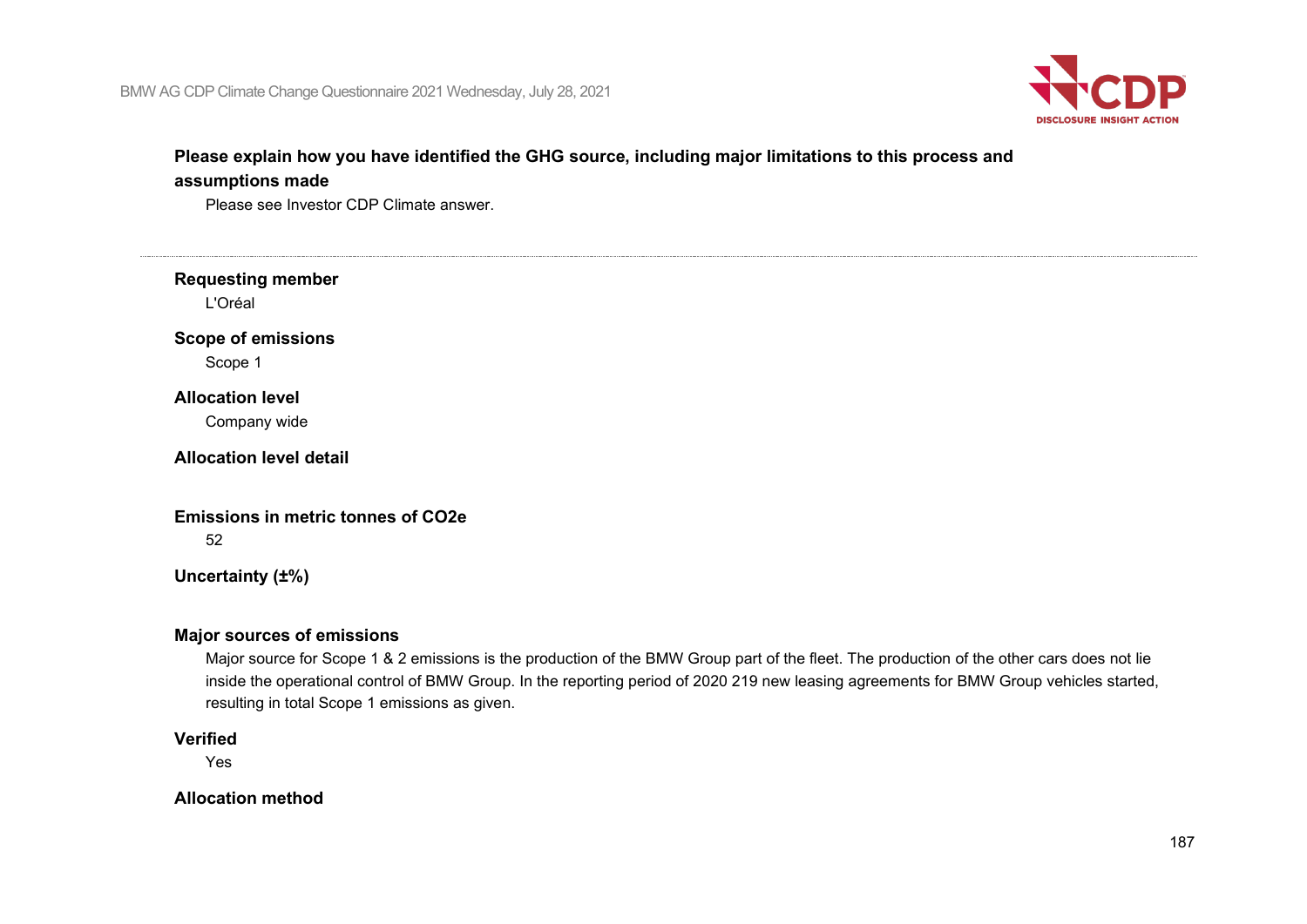

## **Please explain how you have identified the GHG source, including major limitations to this process and assumptions made**

Please see Investor CDP Climate answer.

**Requesting member** L'Oréal **Scope of emissions** Scope 1 **Allocation level** Company wide

**Allocation level detail**

**Emissions in metric tonnes of CO2e**

52

**Uncertainty (±%)**

#### **Major sources of emissions**

Major source for Scope 1 & 2 emissions is the production of the BMW Group part of the fleet. The production of the other cars does not lie inside the operational control of BMW Group. In the reporting period of 2020 219 new leasing agreements for BMW Group vehicles started, resulting in total Scope 1 emissions as given.

#### **Verified**

Yes

**Allocation method**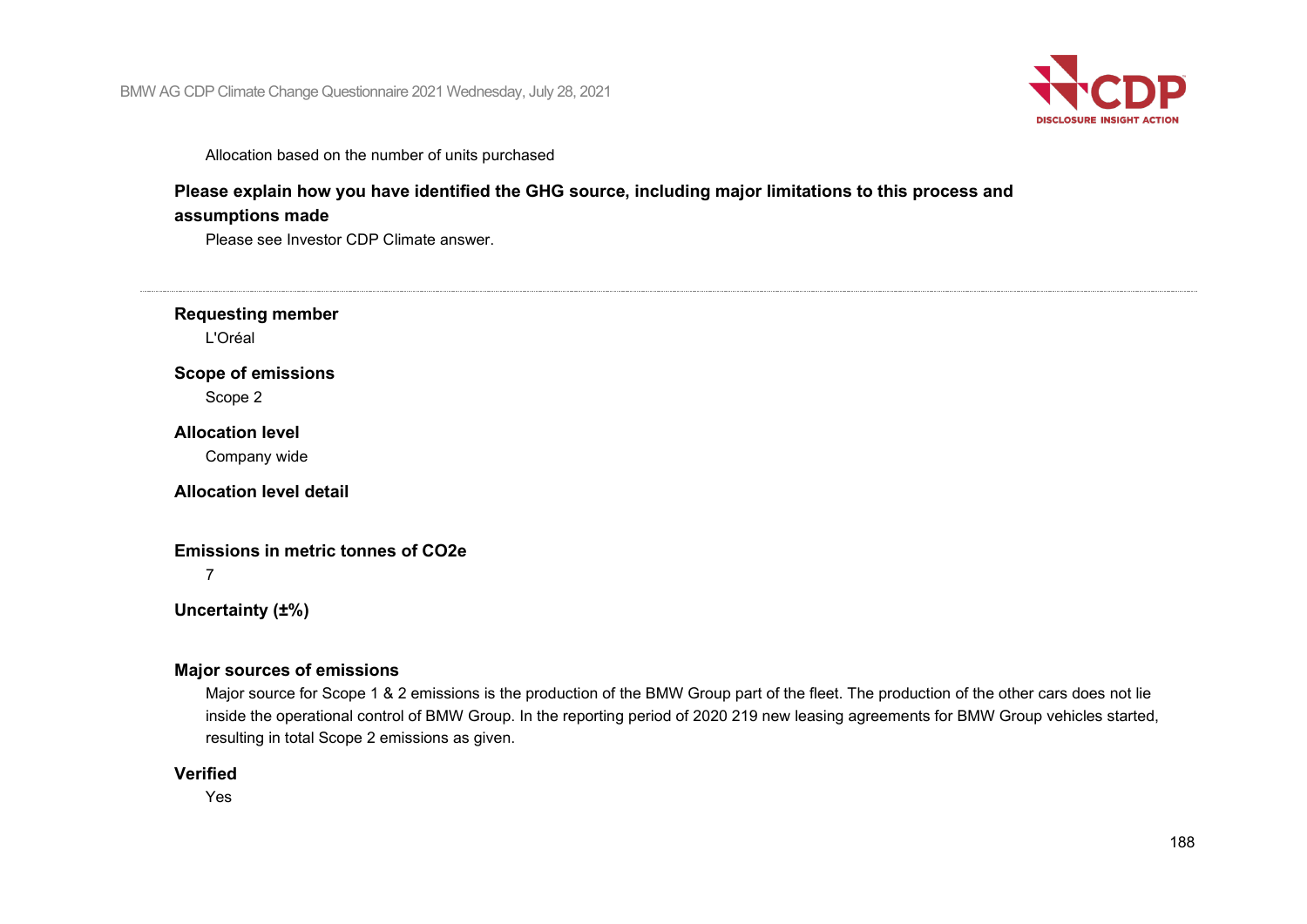

Allocation based on the number of units purchased

#### **Please explain how you have identified the GHG source, including major limitations to this process and**

#### **assumptions made**

Please see Investor CDP Climate answer.

#### **Requesting member**

L'Oréal

#### **Scope of emissions**

Scope 2

#### **Allocation level**

Company wide

#### **Allocation level detail**

#### **Emissions in metric tonnes of CO2e**

7

**Uncertainty (±%)**

#### **Major sources of emissions**

Major source for Scope 1 & 2 emissions is the production of the BMW Group part of the fleet. The production of the other cars does not lie inside the operational control of BMW Group. In the reporting period of 2020 219 new leasing agreements for BMW Group vehicles started, resulting in total Scope 2 emissions as given.

#### **Verified**

Yes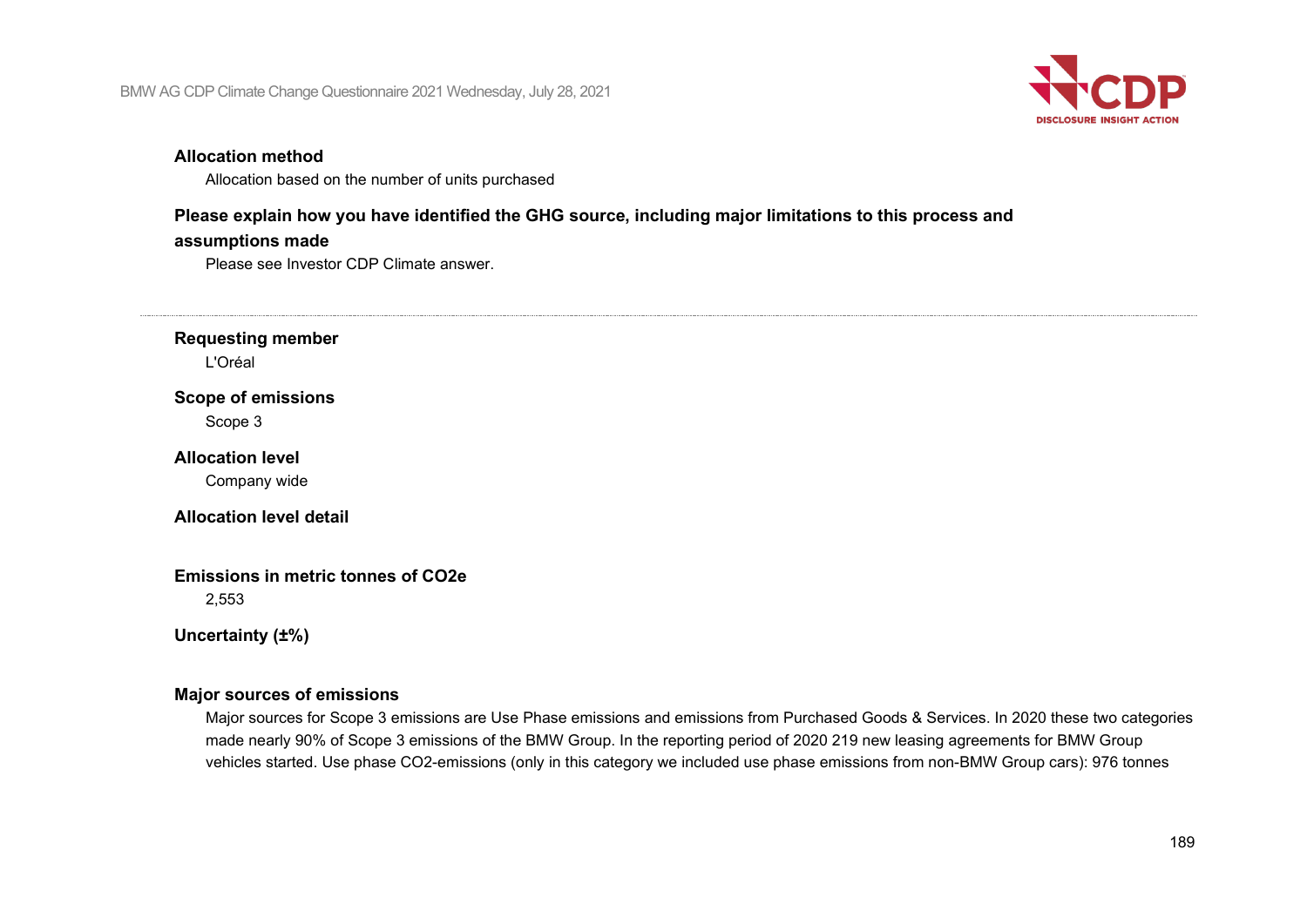

#### **Allocation method**

Allocation based on the number of units purchased

#### **Please explain how you have identified the GHG source, including major limitations to this process and**

#### **assumptions made**

Please see Investor CDP Climate answer.

**Requesting member**

L'Oréal

#### **Scope of emissions**

Scope 3

#### **Allocation level**

Company wide

#### **Allocation level detail**

## **Emissions in metric tonnes of CO2e**

2,553

#### **Uncertainty (±%)**

#### **Major sources of emissions**

Major sources for Scope 3 emissions are Use Phase emissions and emissions from Purchased Goods & Services. In 2020 these two categories made nearly 90% of Scope 3 emissions of the BMW Group. In the reporting period of 2020 219 new leasing agreements for BMW Group vehicles started. Use phase CO2-emissions (only in this category we included use phase emissions from non-BMW Group cars): 976 tonnes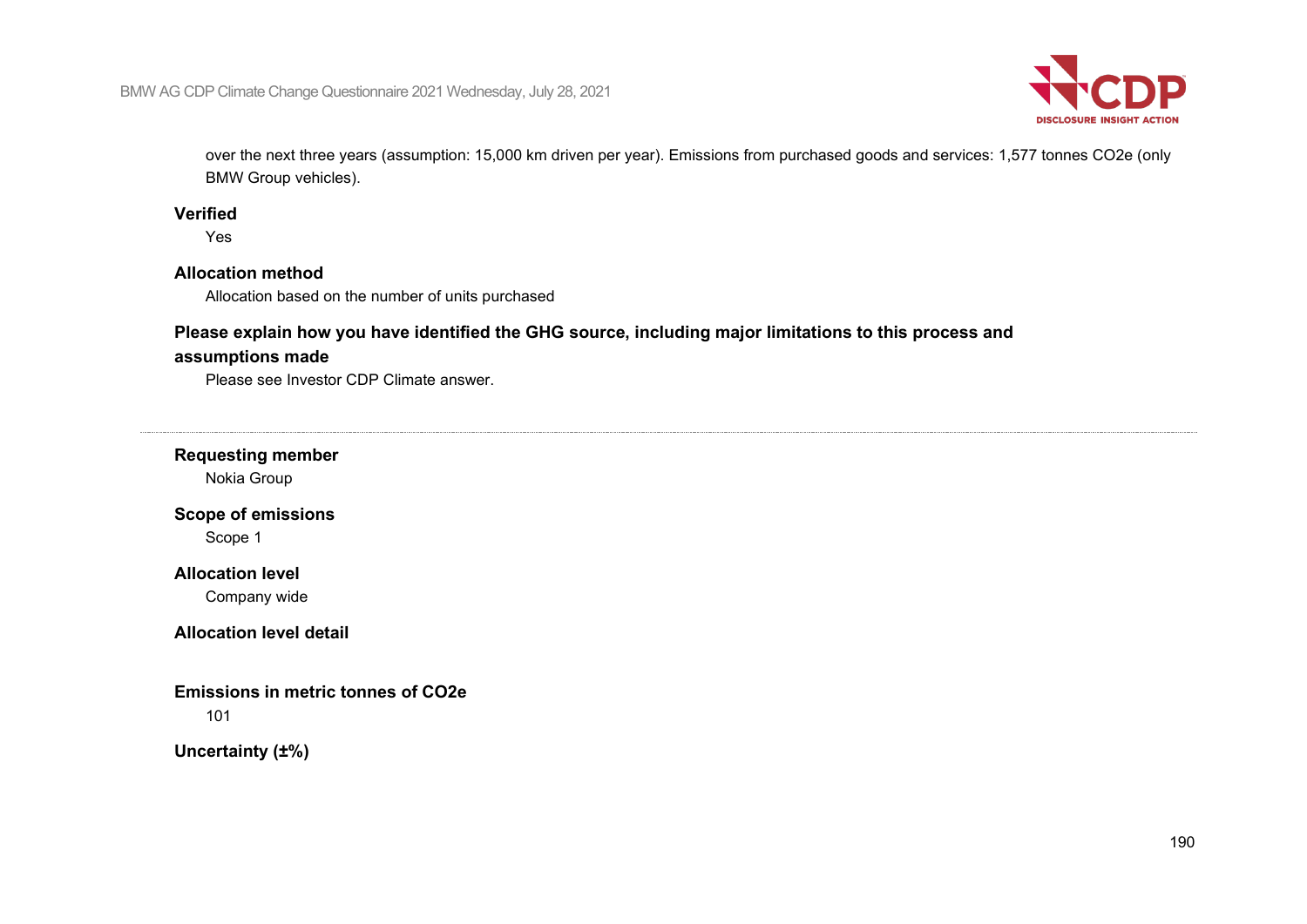

over the next three years (assumption: 15,000 km driven per year). Emissions from purchased goods and services: 1,577 tonnes CO2e (only BMW Group vehicles).

#### **Verified**

Yes

#### **Allocation method**

Allocation based on the number of units purchased

### **Please explain how you have identified the GHG source, including major limitations to this process and**

#### **assumptions made**

Please see Investor CDP Climate answer.

#### **Requesting member**

Nokia Group

## **Scope of emissions**

Scope 1

## **Allocation level**

Company wide

#### **Allocation level detail**

#### **Emissions in metric tonnes of CO2e**

101

#### **Uncertainty (±%)**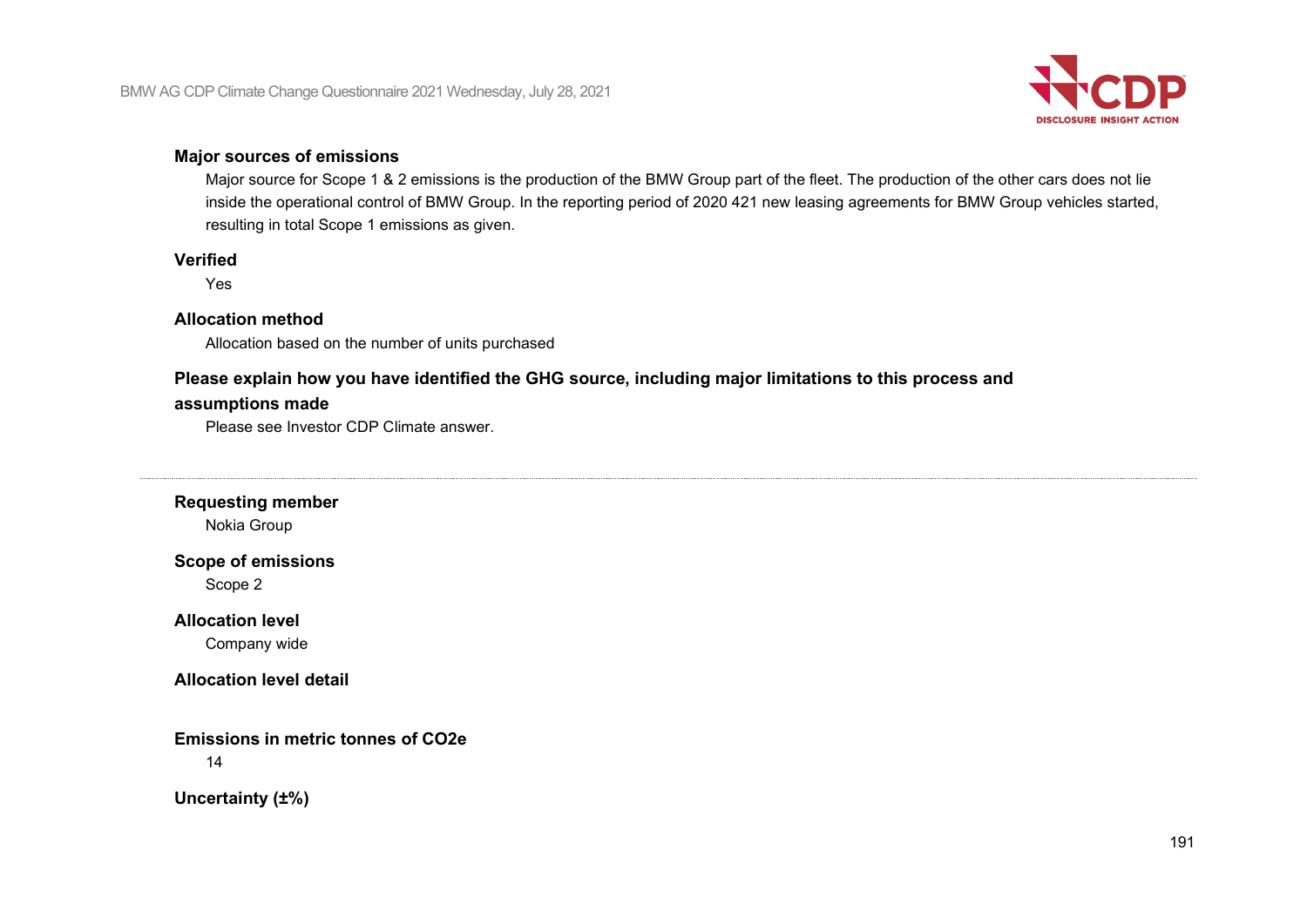

#### **Major sources of emissions**

Major source for Scope 1 & 2 emissions is the production of the BMW Group part of the fleet. The production of the other cars does not lie inside the operational control of BMW Group. In the reporting period of 2020 421 new leasing agreements for BMW Group vehicles started, resulting in total Scope 1 emissions as given.

#### **Verified**

Yes

#### **Allocation method**

Allocation based on the number of units purchased

# **Please explain how you have identified the GHG source, including major limitations to this process and**

### **assumptions made**

Please see Investor CDP Climate answer.

## **Requesting member**

Nokia Group

## **Scope of emissions**

Scope 2

#### **Allocation level**

Company wide

#### **Allocation level detail**

**Emissions in metric tonnes of CO2e**

14

**Uncertainty (±%)**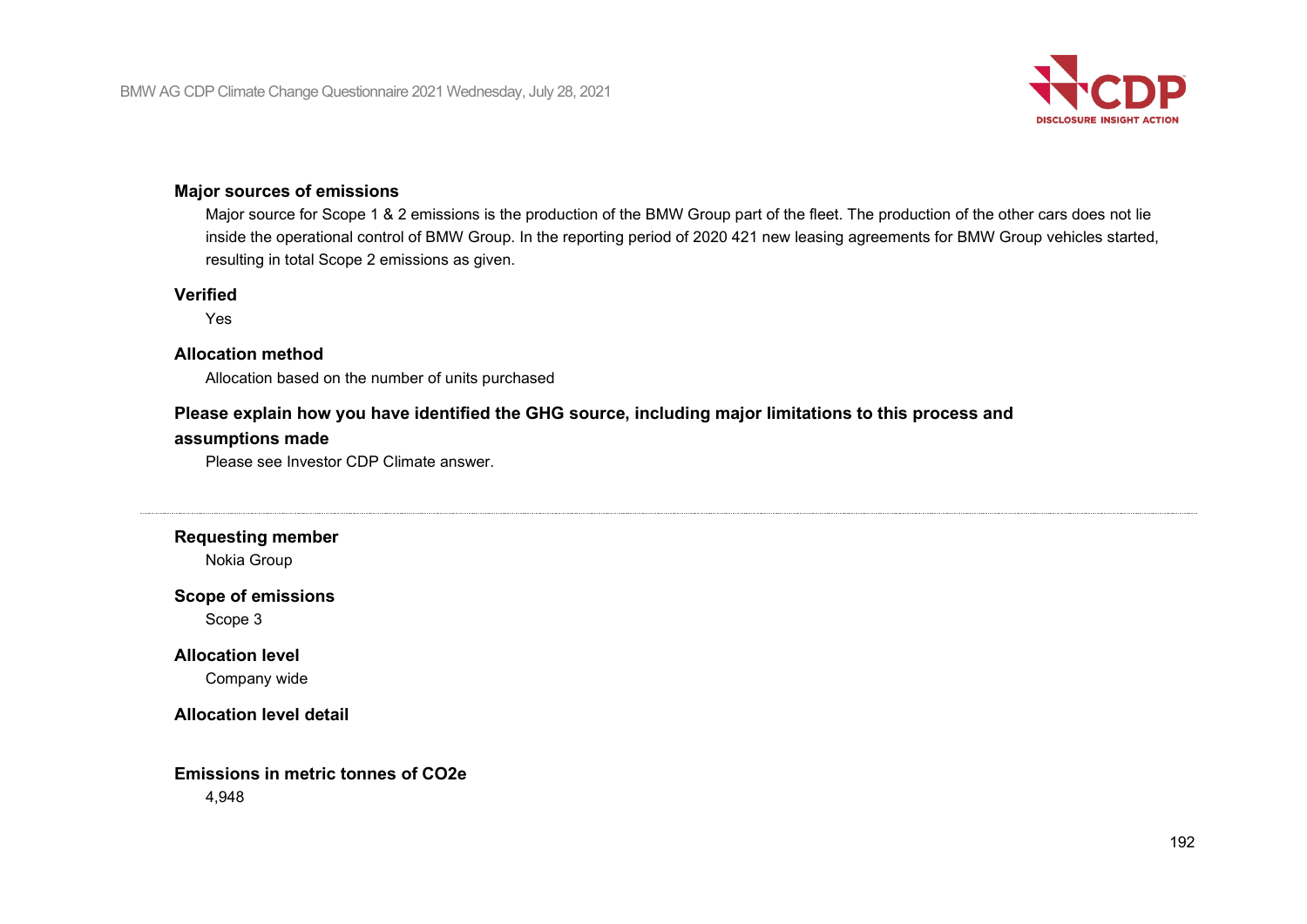

#### **Major sources of emissions**

Major source for Scope 1 & 2 emissions is the production of the BMW Group part of the fleet. The production of the other cars does not lie inside the operational control of BMW Group. In the reporting period of 2020 421 new leasing agreements for BMW Group vehicles started, resulting in total Scope 2 emissions as given.

#### **Verified**

Yes

#### **Allocation method**

Allocation based on the number of units purchased

## **Please explain how you have identified the GHG source, including major limitations to this process and**

#### **assumptions made**

Please see Investor CDP Climate answer.

**Requesting member**

Nokia Group

#### **Scope of emissions**

Scope 3

#### **Allocation level**

Company wide

#### **Allocation level detail**

## **Emissions in metric tonnes of CO2e**

4,948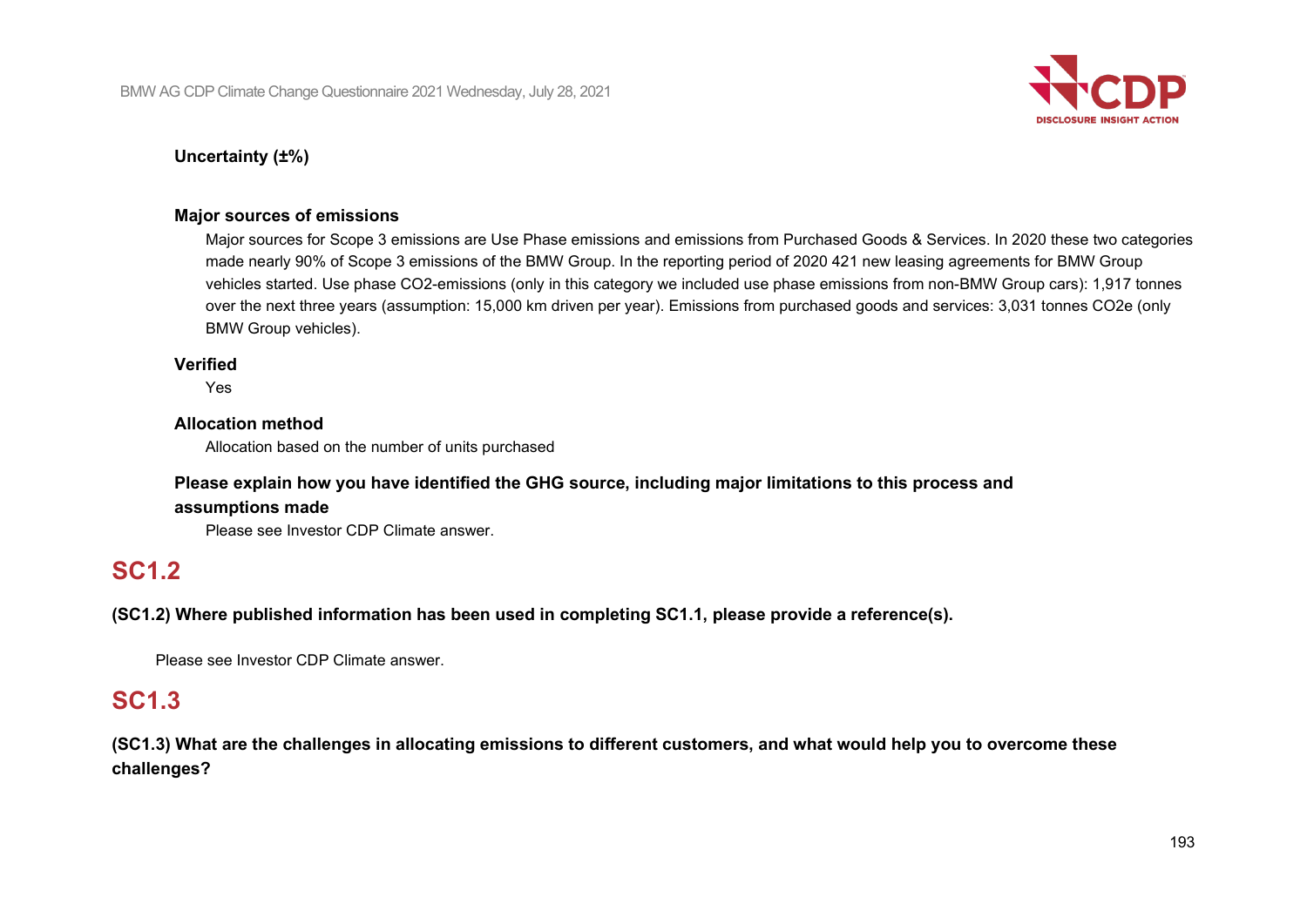

## **Uncertainty (±%)**

#### **Major sources of emissions**

Major sources for Scope 3 emissions are Use Phase emissions and emissions from Purchased Goods & Services. In 2020 these two categories made nearly 90% of Scope 3 emissions of the BMW Group. In the reporting period of 2020 421 new leasing agreements for BMW Group vehicles started. Use phase CO2-emissions (only in this category we included use phase emissions from non-BMW Group cars): 1,917 tonnes over the next three years (assumption: 15,000 km driven per year). Emissions from purchased goods and services: 3,031 tonnes CO2e (only BMW Group vehicles).

#### **Verified**

Yes

#### **Allocation method**

Allocation based on the number of units purchased

## **Please explain how you have identified the GHG source, including major limitations to this process and assumptions made**

Please see Investor CDP Climate answer.

## **SC1.2**

**(SC1.2) Where published information has been used in completing SC1.1, please provide a reference(s).**

Please see Investor CDP Climate answer.

## **SC1.3**

**(SC1.3) What are the challenges in allocating emissions to different customers, and what would help you to overcome these challenges?**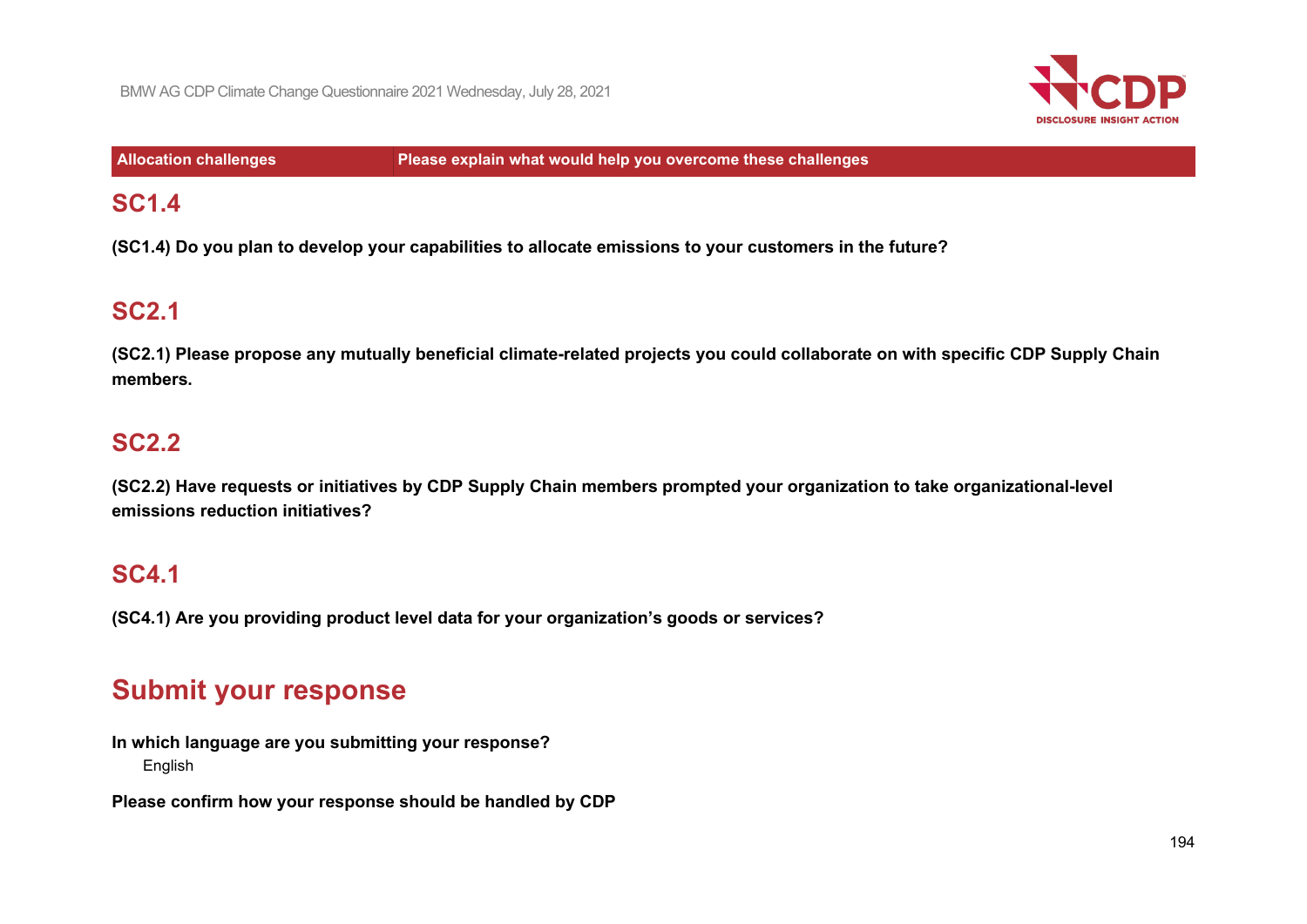

**Allocation challenges Please explain what would help you overcome these challenges**

## **SC1.4**

**(SC1.4) Do you plan to develop your capabilities to allocate emissions to your customers in the future?**

# **SC2.1**

**(SC2.1) Please propose any mutually beneficial climate-related projects you could collaborate on with specific CDP Supply Chain members.**

# **SC2.2**

**(SC2.2) Have requests or initiatives by CDP Supply Chain members prompted your organization to take organizational-level emissions reduction initiatives?**

## **SC4.1**

**(SC4.1) Are you providing product level data for your organization's goods or services?**

# **Submit your response**

**In which language are you submitting your response?** English

**Please confirm how your response should be handled by CDP**